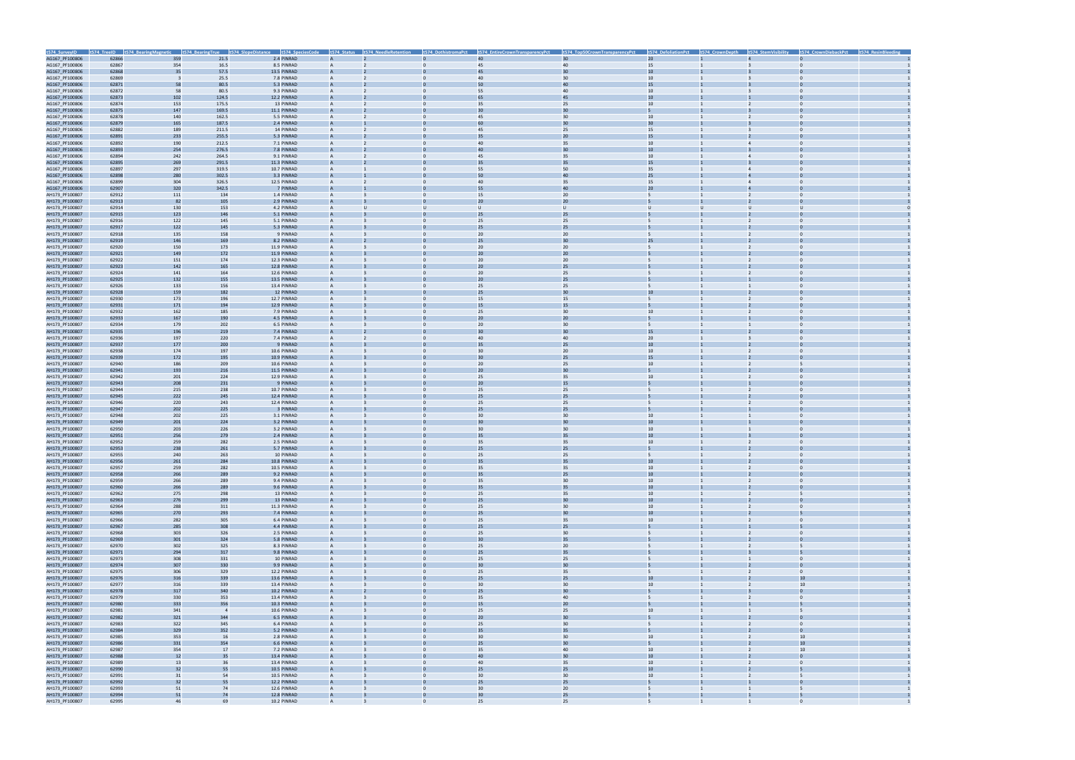|                                  |                |                          |                | t574_SurveyID t574_TreeID t574_BearingMagnetic t574_BearingTrue t574_SlopeDistance t574_SpeciesCode |                   | t574_Status t574_NeedleRetention | t574 DothistromaPct | t574_EntireCrownTransparencyPct | t574_Top50CrownTransparencyPct | t574_DefoliationPct   | t574 CrownDepth | t574_StemVisibility | t574_CrownDiebackPct | t574 ResinBleeding |
|----------------------------------|----------------|--------------------------|----------------|-----------------------------------------------------------------------------------------------------|-------------------|----------------------------------|---------------------|---------------------------------|--------------------------------|-----------------------|-----------------|---------------------|----------------------|--------------------|
| AG167_PF100806                   | 62866          | 359                      | 21.5           | 2.4 PINRAD                                                                                          |                   |                                  |                     | 40                              | 30                             | 20 <sup>°</sup>       |                 |                     |                      |                    |
| AG167_PF100806                   | 62867          | 354                      | 16.5           | 8.5 PINRAD                                                                                          | $\mathsf{A}$      | $\overline{2}$                   | $\mathbf{0}$        | 45                              | 40                             | 15                    |                 | $\overline{3}$      | $\mathbf{0}$         |                    |
| AG167_PF100806                   | 62868          | 35                       | 57.5           | 13.5 PINRAD                                                                                         |                   |                                  |                     | 45                              | 30                             | 10                    |                 |                     |                      |                    |
| AG167_PF100806                   | 62869          | $\overline{\phantom{a}}$ | 25.5           | 7.8 PINRAD                                                                                          | A                 |                                  | $\Omega$            | 40                              | 30                             | 10 <sup>1</sup>       |                 |                     |                      |                    |
| AG167_PF100806                   | 62871          | 58                       | 80.5           | 5.3 PINRAD                                                                                          |                   |                                  |                     | 50                              | 40                             | 15                    |                 |                     |                      |                    |
| AG167_PF100806                   | 62872          | 58                       | 80.5           | 9.3 PINRAD                                                                                          | $\mathsf{A}$      |                                  |                     | 55                              | 40                             | 10                    |                 |                     | $\Omega$             |                    |
| AG167_PF100806                   | 62873          | 102                      | 124.5          | 12.2 PINRAD                                                                                         |                   |                                  |                     |                                 | 45                             | 10                    |                 |                     |                      |                    |
| AG167_PF100806                   | 62874          | 153                      | 175.5          | 13 PINRAD                                                                                           | A                 |                                  |                     | 35<br>$\overline{3}$            | 25                             | 10                    |                 |                     | $\Omega$             |                    |
| AG167_PF100806<br>AG167_PF100806 | 62875<br>62878 | 147<br>140               | 169.5<br>162.5 | 11.1 PINRAD<br>5.5 PINRAD                                                                           |                   |                                  |                     | 45                              | 30<br>30                       | 10 <sub>1</sub>       |                 |                     |                      |                    |
| AG167_PF100806                   | 62879          | 165                      | 187.5          | 2.4 PINRAD                                                                                          |                   |                                  |                     | 60                              | 30                             | 30                    |                 |                     |                      |                    |
| AG167_PF100806                   | 62882          | 189                      | 211.5          | 14 PINRAD                                                                                           | A                 |                                  |                     | 45                              | 25                             | 15                    |                 |                     |                      |                    |
| AG167_PF100806                   | 62891          | 233                      | 255.5          | 5.3 PINRAD                                                                                          |                   |                                  |                     | 35                              | 20                             | 15                    |                 |                     |                      |                    |
| AG167_PF100806                   | 62892          | 190                      | 212.5          | 7.1 PINRAD                                                                                          | A                 |                                  | $\Omega$            | 40                              | 35                             | 10                    |                 | $\overline{4}$      | $\Omega$             |                    |
| AG167_PF100806                   | 62893          | 254                      | 276.5          | 7.8 PINRAD                                                                                          |                   |                                  |                     | 4(                              | 30                             | 10                    |                 |                     |                      |                    |
| AG167_PF100806                   | 62894          | 242                      | 264.5          | 9.1 PINRAD                                                                                          | A                 |                                  |                     | 45                              | 35                             | 10                    |                 | $\overline{4}$      | $\Omega$             |                    |
| AG167_PF100806                   | 62895          | 269                      | 291.5          | 11.3 PINRAD                                                                                         |                   |                                  |                     |                                 | 35                             | 15                    |                 |                     |                      |                    |
| AG167_PF100806                   | 62897          | 297                      | 319.5          | 10.7 PINRAD                                                                                         | A                 |                                  |                     | 55                              | 50                             | 35                    |                 | $\overline{4}$      |                      |                    |
| AG167_PF100806                   | 62898          | 280                      | 302.5          | 3.3 PINRAD                                                                                          |                   |                                  |                     | 50                              | 40                             | 25                    |                 |                     |                      |                    |
| AG167_PF100806                   | 62899          | 304                      | 326.5          | 12.5 PINRAD                                                                                         |                   |                                  |                     | 40                              | 35                             | 15                    |                 |                     |                      |                    |
| AG167_PF100806                   | 62907          | 320                      | 342.5          | 7 PINRAD                                                                                            |                   |                                  |                     | 55                              | 40                             | 20 <sup>°</sup>       |                 |                     |                      |                    |
| AH173_PF100807<br>AH173_PF100807 | 62912<br>62913 | 111<br>82                | 134<br>105     | 1.4 PINRAD<br>2.9 PINRAD                                                                            |                   |                                  |                     | 15<br>20                        | 20<br>20                       |                       |                 | $\overline{2}$      |                      |                    |
| AH173_PF100807                   | 62914          | 130                      | 153            | 4.2 PINRAD                                                                                          | А                 |                                  | U                   | U                               | $\cup$                         | $\cup$                | U               | U                   |                      |                    |
| AH173_PF100807                   | 62915          | 123                      | 146            | 5.1 PINRAD                                                                                          |                   |                                  |                     | 25                              | 25                             |                       |                 |                     |                      |                    |
| AH173_PF100807                   | 62916          | 122                      | 145            | 5.1 PINRAD                                                                                          |                   |                                  |                     | 25                              | 25                             | 5                     |                 | $\overline{2}$      | $\Omega$             |                    |
| AH173_PF100807                   | 62917          | 122                      | 145            | 5.3 PINRAD                                                                                          |                   |                                  |                     |                                 | 25                             |                       |                 |                     |                      |                    |
| AH173_PF100807                   | 62918          | 135                      | 158            | 9 PINRAD                                                                                            | A                 |                                  |                     | 20                              | 20                             | $\overline{5}$        |                 |                     | $\Omega$             |                    |
| AH173_PF100807                   | 62919          | 146                      | 169            | 8.2 PINRAD                                                                                          |                   |                                  |                     | 25                              | 30                             | 25                    |                 |                     |                      |                    |
| AH173_PF100807                   | 62920          | 150                      | 173            | 11.9 PINRAD                                                                                         |                   |                                  |                     | 20                              | 20                             |                       |                 |                     |                      |                    |
| AH173_PF100807                   | 62921          | 149                      | 172            | 11.9 PINRAD                                                                                         |                   |                                  |                     | 20                              | 20                             |                       |                 |                     |                      |                    |
| AH173_PF100807                   | 62922          | 151                      | 174            | 12.3 PINRAD                                                                                         |                   |                                  |                     | 20                              | 20                             |                       |                 | $\overline{2}$      |                      |                    |
| AH173_PF100807                   | 62923          | 142                      | 165            | 12.8 PINRAD                                                                                         |                   |                                  |                     | 20                              | 25                             |                       |                 |                     |                      |                    |
| AH173_PF100807<br>AH173_PF100807 | 62924<br>62925 | 141<br>132               | 164<br>155     | 12.6 PINRAD<br>13.5 PINRAD                                                                          | А                 |                                  | $\Omega$            | 20<br>$\overline{2}$            | 25<br>25                       | 5                     |                 | $\overline{2}$      | $\Omega$             |                    |
| AH173_PF100807                   | 62926          | 133                      | 156            | 13.4 PINRAD                                                                                         | A                 |                                  |                     | 25                              | 25                             |                       |                 |                     | $\Omega$             |                    |
| AH173_PF100807                   | 62928          | 159                      | 182            | 12 PINRAD                                                                                           |                   |                                  |                     | 2 <sup>5</sup>                  | 30                             | 10                    |                 |                     |                      |                    |
| AH173_PF100807                   | 62930          | 173                      | 196            | 12.7 PINRAD                                                                                         | A                 |                                  |                     | 15                              | 15                             | 5                     |                 | $\overline{2}$      | $\Omega$             |                    |
| AH173_PF100807                   | 62931          | 171                      | 194            | 12.9 PINRAD                                                                                         |                   |                                  |                     | 15                              | 15                             |                       |                 |                     |                      |                    |
| AH173_PF100807                   | 62932          | 162                      | 185            | 7.9 PINRAD                                                                                          |                   |                                  |                     | 25                              | 30                             | 10                    |                 |                     |                      |                    |
| AH173_PF100807                   | 62933          | 167                      | 190            | 4.5 PINRAD                                                                                          |                   |                                  |                     | 20                              | 20                             |                       |                 |                     |                      |                    |
| AH173_PF100807                   | 62934          | 179                      | 202            | 6.5 PINRAD                                                                                          |                   |                                  |                     | 20                              | 30                             |                       |                 |                     |                      |                    |
| AH173_PF100807                   | 62935          | 196                      | 219            | 7.4 PINRAD                                                                                          |                   |                                  |                     | 3 <sup>1</sup>                  | 30                             | 15                    |                 |                     |                      |                    |
| AH173_PF100807                   | 62936          | 197                      | 220            | 7.4 PINRAD                                                                                          | A                 |                                  | $\Omega$            | 40                              | 40                             | 20                    |                 | -3                  | $\Omega$             |                    |
| AH173_PF100807<br>AH173_PF100807 | 62937<br>62938 | 177<br>174               | 200<br>197     | 9 PINRAD<br>10.6 PINRAD                                                                             | A                 |                                  |                     | 30                              | 25<br>20                       | 10<br>10 <sup>1</sup> |                 |                     | $\Omega$             |                    |
| AH173_PF100807                   | 62939          | 172                      | 195            | 10.9 PINRAD                                                                                         |                   |                                  |                     |                                 | 25                             | 15                    |                 |                     |                      |                    |
| AH173_PF100807                   | 62940          | 186                      | 209            | 10.6 PINRAD                                                                                         | А                 |                                  |                     | 20                              | 25                             | 10                    |                 | $\overline{2}$      |                      |                    |
| AH173_PF100807                   | 62941          | 193                      | 216            | 11.5 PINRAD                                                                                         |                   |                                  |                     | 20                              | 30                             |                       |                 |                     |                      |                    |
| AH173_PF100807                   | 62942          | 201                      | 224            | 12.9 PINRAD                                                                                         |                   |                                  |                     | 25                              | 35                             | 10                    |                 |                     |                      |                    |
| AH173_PF100807                   | 62943          | 208                      | 231            | 9 PINRAD                                                                                            |                   |                                  |                     | 20                              | 15                             |                       |                 |                     |                      |                    |
| AH173_PF100807                   | 62944          | 215                      | 238            | 10.7 PINRAD                                                                                         |                   |                                  |                     | 25                              | 25                             |                       |                 |                     |                      |                    |
| AH173_PF100807                   | 62945          | 222                      | 245            | 12.4 PINRAD                                                                                         |                   |                                  |                     | 25                              | 25                             |                       |                 |                     |                      |                    |
| AH173_PF100807                   | 62946          | 220                      | 243            | 12.4 PINRAD<br>3 PINRAD                                                                             | А                 |                                  | $\Omega$            | 25<br>25                        | 25<br>25                       | 5                     |                 | $\overline{2}$      | $\Omega$             |                    |
| AH173_PF100807<br>AH173_PF100807 | 62947<br>62948 | 202<br>202               | 225<br>225     | 3.1 PINRAD                                                                                          | A                 |                                  |                     | 30                              | 30                             | 10 <sup>1</sup>       |                 |                     | $\Omega$             |                    |
| AH173_PF100807                   | 62949          | 201                      | 224            | 3.2 PINRAD                                                                                          |                   |                                  |                     |                                 | 30                             |                       |                 |                     |                      |                    |
| AH173_PF100807                   | 62950          | 203                      | 226            | 3.2 PINRAD                                                                                          |                   |                                  |                     | 30                              | 30                             | 10 <sup>1</sup>       |                 |                     | $\Omega$             |                    |
| AH173_PF100807                   | 62951          | 256                      | 279            | 2.4 PINRAD                                                                                          |                   |                                  |                     | 35                              | 35                             | 10                    |                 |                     |                      |                    |
| AH173_PF100807                   | 62952          | 259                      | 282            | 2.5 PINRAD                                                                                          |                   |                                  |                     | 35                              | 35                             | 10                    |                 |                     |                      |                    |
| AH173_PF100807                   | 62953          | 238                      | 261            | 5.7 PINRAD                                                                                          |                   |                                  |                     | 25                              | 25                             |                       |                 |                     |                      |                    |
| AH173_PF100807                   | 62955          | 240                      | 263            | 10 PINRAD                                                                                           | А                 |                                  |                     | 25                              | 25                             |                       |                 | $\overline{2}$      | $\Omega$             |                    |
| AH173_PF100807                   | 62956          | 261                      | 284            | 10.8 PINRAD                                                                                         |                   |                                  |                     | 35                              | 35                             | 10                    |                 |                     |                      |                    |
| AH173_PF100807                   | 62957          | 259                      | 282            | 10.5 PINRAD                                                                                         | $\mathsf{A}$      |                                  | $\mathbf{0}$        | 35                              | 35                             | 10                    |                 | $\overline{2}$      | $\mathbf{0}$         |                    |
| AH173_PF100807                   | 62958          | 266                      | 289            | 9.2 PINRAD                                                                                          | A                 |                                  |                     | 35                              | 25                             | 10                    |                 |                     | $\Omega$             |                    |
| AH173_PF100807                   | 62959<br>62960 | 266<br>266               | 289            | 9.4 PINRAD<br>9.6 PINRAD                                                                            | A                 |                                  | $\mathbf{0}$        | 35<br>35                        | 30<br>35                       | 10<br>10              |                 | $\overline{2}$      | $\Omega$             |                    |
| AH173_PF100807                   | 62962          |                          | 289            | 13 PINRAD                                                                                           | $\mathsf{A}$      |                                  | $\mathbf{0}$        | 25                              |                                | 10                    |                 | $\overline{2}$      | 5                    |                    |
| AH173_PF100807<br>AH173_PF100807 | 62963          | 275<br>276               | 298<br>299     | 13 PINRAD                                                                                           | A                 |                                  |                     | 25                              | 35<br>30                       | 10                    |                 | $\overline{2}$      | $\mathbf 0$          |                    |
| AH173_PF100807                   | 62964          | 288                      | 311            | 11.3 PINRAD                                                                                         | A                 |                                  |                     | 25                              | 30                             | 10 <sub>1</sub>       |                 | $\overline{2}$      | $\Omega$             |                    |
| AH173_PF100807                   | 62965          | 270                      | 293            | 7.4 PINRAD                                                                                          | A                 |                                  |                     | 25                              | 30                             | 10 <sup>10</sup>      |                 |                     |                      |                    |
| AH173_PF100807                   | 62966          | 282                      | 305            | 6.4 PINRAD                                                                                          | $\mathsf{A}$      |                                  | $\mathbf{0}$        | 25                              | 35                             | 10                    |                 | $\overline{2}$      | $\overline{0}$       |                    |
| AH173_PF100807                   | 62967          | 285                      | 308            | 4.4 PINRAD                                                                                          | A                 |                                  |                     | 25                              | 25                             | 5                     |                 |                     |                      |                    |
| AH173_PF100807                   | 62968          | 303                      | 326            | 2.5 PINRAD                                                                                          | Α                 |                                  | 0                   | 25                              | 30                             | 5 <sup>5</sup>        |                 | $\overline{2}$      | $\overline{0}$       |                    |
| AH173_PF100807                   | 62969          | 301                      | 324            | 5.8 PINRAD                                                                                          | A                 |                                  |                     | 30                              | 35                             |                       |                 |                     | $\Omega$             |                    |
| AH173_PF100807                   | 62970          | 302                      | 325            | 8.3 PINRAD                                                                                          | Α                 |                                  | $\mathbf{0}$        | 25                              | $20\,$                         | 5 <sup>5</sup>        |                 | 2                   | 5                    |                    |
| AH173_PF100807                   | 62971          | 294                      | 317            | 9.8 PINRAD                                                                                          | $\mathsf{A}$      |                                  | $\mathbf{0}$        | 25                              | 35                             |                       |                 | $\mathbf{1}$        | $\overline{0}$       |                    |
| AH173_PF100807<br>AH173_PF100807 | 62973<br>62974 | 308<br>307               | 331<br>330     | 10 PINRAD<br>9.9 PINRAD                                                                             | A                 |                                  |                     | 25<br>30                        | 25<br>30                       | 5 <sup>5</sup>        |                 |                     | $\overline{0}$       |                    |
| AH173_PF100807                   | 62975          | 306                      | 329            | 12.2 PINRAD                                                                                         | A                 |                                  |                     | 25                              | 35                             | 5                     |                 | $\overline{2}$      | $\overline{0}$       |                    |
| AH173_PF100807                   | 62976          | 316                      | 339            | 13.6 PINRAD                                                                                         | A                 |                                  |                     | 25                              | 25                             | 10                    |                 | $\overline{2}$      | $10$                 |                    |
| AH173_PF100807                   | 62977          | 316                      | 339            | 13.4 PINRAD                                                                                         | $\mathsf{A}$      |                                  | $\mathbf{0}$        | 30                              | 30                             | 10                    |                 | $\overline{2}$      | 10                   |                    |
| AH173_PF100807                   | 62978          | 317                      | 340            | 10.2 PINRAD                                                                                         | A                 |                                  |                     | 25                              | 30                             | 5                     |                 | $\overline{3}$      | $\overline{0}$       |                    |
| AH173_PF100807                   | 62979          | 330                      | 353            | 13.4 PINRAD                                                                                         | Α                 |                                  | $\mathbf{0}$        | 35                              | 40                             | 5 <sup>5</sup>        |                 | $\overline{2}$      | $\overline{0}$       |                    |
| AH173_PF100807                   | 62980          | 333                      | 356            | 10.3 PINRAD                                                                                         |                   |                                  |                     | 15                              | 20                             |                       |                 |                     |                      |                    |
| AH173_PF100807                   | 62981          | 341                      | $\overline{4}$ | 10.6 PINRAD                                                                                         | Α                 |                                  | 0                   | 25                              | 25                             | 10                    |                 |                     | 5                    |                    |
| AH173_PF100807                   | 62982          | 321                      | 344            | 6.5 PINRAD                                                                                          |                   |                                  |                     | 20                              | 30                             |                       |                 |                     | $\overline{0}$       |                    |
| AH173_PF100807<br>AH173_PF100807 | 62983<br>62984 | 322<br>329               | 345<br>352     | 6.4 PINRAD<br>5.2 PINRAD                                                                            | $\mathsf{A}$<br>A |                                  | $\mathbf{0}$        | 25<br>35                        | 30<br>35                       | 5 <sup>5</sup>        |                 | $\overline{2}$      | $\overline{0}$       |                    |
| AH173_PF100807                   | 62985          | 353                      | 16             | 2.8 PINRAD                                                                                          | A                 |                                  |                     | 30                              | 30                             | $10$                  |                 | $\overline{2}$      | 10                   |                    |
| AH173_PF100807                   | 62986          | 331                      | 354            | 6.6 PINRAD                                                                                          | A                 |                                  |                     | 25                              | 30                             | 5                     |                 |                     | 10                   |                    |
| AH173_PF100807                   | 62987          | 354                      | 17             | 7.2 PINRAD                                                                                          | $\mathsf{A}$      |                                  | $\mathbf{0}$        | 35                              | 40                             | 10                    |                 | $\overline{2}$      | 10                   |                    |
| AH173_PF100807                   | 62988          | 12                       | 35             | 13.4 PINRAD                                                                                         | A                 |                                  |                     | 40                              | 30                             | 10                    |                 |                     | $\overline{0}$       |                    |
| AH173_PF100807                   | 62989          | 13                       | 36             | 13.4 PINRAD                                                                                         | Α                 |                                  | $\mathbf{0}$        | 40                              | 35                             | 10                    |                 | $\overline{2}$      | $\mathbf{0}$         |                    |
| AH173_PF100807                   | 62990          | 32                       | 55             | 10.5 PINRAD                                                                                         |                   |                                  |                     | 25                              | 25                             | 10 <sup>°</sup>       |                 |                     |                      |                    |
| AH173_PF100807                   | 62991          | 31                       | 54             | 10.5 PINRAD                                                                                         | Α                 |                                  | $\mathbf{0}$        | 30                              | 30                             | 10                    |                 | $\overline{2}$      | 5                    |                    |
| AH173_PF100807<br>AH173_PF100807 | 62992<br>62993 | 32<br>51                 | 55<br>74       | 12.2 PINRAD<br>12.6 PINRAD                                                                          | $\mathsf{A}$      |                                  | $\mathbf{0}$        | 25<br>30                        | 25<br>20                       | 5 <sup>5</sup>        | $\mathbf{1}$    | $\mathbf{1}$        | 5                    |                    |
| AH173_PF100807                   | 62994          | 51                       | 74             | 12.8 PINRAD                                                                                         | A                 |                                  | $\Omega$            | 30                              | 25                             |                       |                 |                     |                      |                    |
| AH173 PF100807                   | 62995          | 46                       | 69             | 10.2 PINRAD                                                                                         | $\Delta$          |                                  |                     | 25                              | 25                             |                       |                 |                     |                      |                    |

| <b>CrownDiebackPct</b> | t574_ResinBleeding | í,                             |
|------------------------|--------------------|--------------------------------|
|                        |                    | $\mathbf{1}$                   |
|                        |                    | $\mathbf 1$                    |
|                        |                    | $\mathbf{1}$                   |
|                        |                    | $\mathbf 1$                    |
|                        |                    | $\mathbf{1}$<br>$\mathbf 1$    |
|                        |                    | $\overline{1}$                 |
|                        |                    | $\mathbf{1}$                   |
|                        |                    | $\mathbf{1}$                   |
|                        |                    | $\mathbf{1}$                   |
|                        |                    | $\mathbf{1}$                   |
|                        |                    | $\mathbf 1$                    |
|                        |                    | $\mathbf{1}$                   |
|                        |                    | $\mathbf 1$                    |
|                        |                    | $\overline{1}$                 |
|                        |                    | $\mathbf 1$                    |
|                        |                    | $\overline{1}$<br>$\mathbf{1}$ |
|                        |                    | $\mathbf 1$                    |
|                        |                    | $\mathbf{1}$                   |
|                        |                    | $\mathbf{1}$                   |
|                        |                    | $\mathbf 1$                    |
|                        |                    | $\mathbf{1}$                   |
|                        |                    | 0                              |
|                        |                    | $\mathbf{1}$                   |
|                        |                    | $\mathbf 1$                    |
|                        |                    | $\overline{1}$                 |
|                        |                    | $\mathbf 1$                    |
|                        |                    | $\mathbf 1$<br>$\mathbf{1}$    |
|                        |                    | $\mathbf{1}$                   |
|                        |                    | $\mathbf 1$                    |
|                        |                    | $\mathbf{1}$                   |
|                        |                    | $\mathbf 1$                    |
|                        |                    | $\overline{1}$                 |
|                        |                    | $\mathbf 1$                    |
|                        |                    | $\overline{1}$                 |
|                        |                    | $\mathbf 1$<br>$\mathbf 1$     |
|                        |                    | $\mathbf{1}$                   |
|                        |                    | $\overline{1}$                 |
|                        |                    | $\mathbf 1$                    |
|                        |                    | $\mathbf{1}$                   |
|                        |                    | $\mathbf 1$                    |
|                        |                    | $\mathbf{1}$                   |
|                        |                    | $\mathbf 1$                    |
|                        |                    | $\overline{1}$                 |
|                        |                    | $\mathbf 1$                    |
|                        |                    | $\mathbf 1$<br>$\mathbf{1}$    |
|                        |                    | $\overline{1}$                 |
|                        |                    | $\mathbf 1$                    |
|                        |                    | $\mathbf{1}$                   |
|                        |                    | $\mathbf 1$                    |
|                        |                    | $\mathbf{1}$                   |
|                        |                    | $\mathbf 1$                    |
|                        |                    | $\overline{1}$                 |
|                        |                    | $\mathbf 1$                    |
|                        |                    | $\mathbf 1$                    |
|                        |                    | $\mathbf 1$<br>$\mathbf{1}$    |
|                        |                    | $\mathbf{1}$                   |
|                        |                    | $\mathbf{1}$                   |
|                        |                    | $\mathbf{1}$                   |
|                        |                    | $\mathbf{1}$                   |
|                        |                    | $\mathbf{1}$                   |
|                        |                    | $\overline{1}$                 |
|                        |                    | $\mathbf{1}$                   |
|                        |                    | $\mathbf{1}$                   |
|                        |                    | $\mathbf{1}$                   |
|                        |                    | $\overline{1}$<br>$\mathbf{1}$ |
|                        |                    | $\mathbf{1}$                   |
|                        |                    | $\mathbf{1}$                   |
|                        |                    | $\mathbf{1}$                   |
|                        |                    | $\mathbf{1}$                   |
|                        |                    | $\overline{1}$                 |
|                        |                    | $\mathbf{1}$                   |
|                        |                    | $\mathbf{1}$                   |
|                        |                    | $\mathbf{1}$                   |
|                        |                    | $\overline{1}$<br>$\mathbf{1}$ |
|                        |                    | $\mathbf{1}$                   |
|                        |                    | $\mathbf{1}$                   |
|                        |                    | $\mathbf{1}$                   |
|                        |                    | $\mathbf{1}$                   |
|                        |                    | $\overline{1}$                 |
|                        |                    | $\mathbf{1}$                   |
|                        |                    | $\mathbf{1}$                   |
|                        |                    | $\mathbf{1}$                   |
|                        |                    | $\mathbf{1}$                   |
|                        |                    | $\mathbf{1}$<br>$\mathbf{1}$   |
|                        |                    | $\mathbf{1}$                   |
|                        |                    | $\mathbf{1}$                   |
|                        |                    | $\mathbf{1}$                   |
|                        |                    | $\overline{1}$                 |
|                        |                    | $\mathbf{1}$                   |
|                        |                    | $\mathbf{1}$                   |
|                        |                    | $\mathbf{1}$                   |
|                        |                    |                                |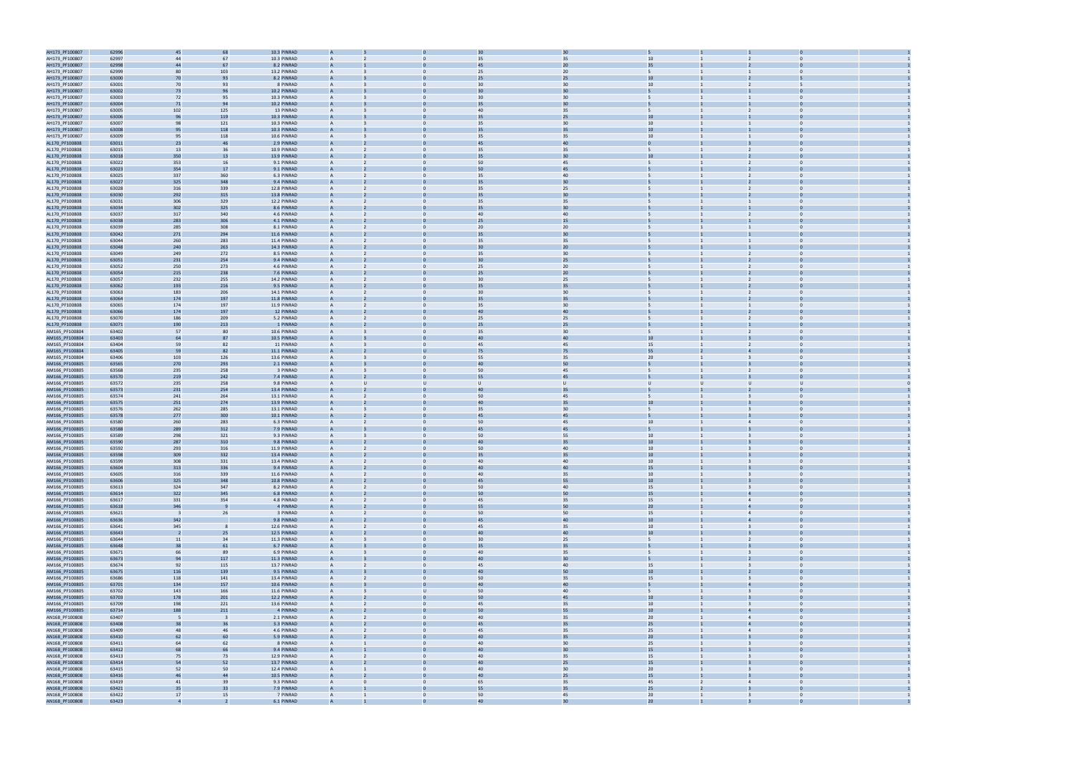

| AH173_PF100807 | 62996 | 45                      | 68  | 10.3 PINRAD |                |          |                |                | 30 |                  |                |                         |                |  |
|----------------|-------|-------------------------|-----|-------------|----------------|----------|----------------|----------------|----|------------------|----------------|-------------------------|----------------|--|
| AH173_PF100807 | 62997 | 44                      | 67  | 10.3 PINRAD |                |          |                | 35             | 35 | 10               |                |                         |                |  |
| AH173_PF100807 | 62998 | 44                      | 67  | 8.2 PINRAD  |                |          |                | 45             | 20 | 35               |                |                         |                |  |
| AH173_PF100807 | 62999 | 80                      | 103 | 13.2 PINRAD | $\overline{A}$ |          | $\Omega$       | 25             | 20 | 5.               |                |                         | $\Omega$       |  |
| AH173_PF100807 | 63000 | 70                      | 93  | 8.2 PINRAD  |                |          |                | 25             | 25 | 10               |                |                         |                |  |
|                |       |                         |     |             |                |          |                |                |    |                  |                |                         |                |  |
| AH173_PF100807 | 63001 | 70                      | 93  | 8 PINRAD    | $\overline{A}$ |          | $\mathbf{0}$   | 30             | 30 | 10               |                | 2                       | 5              |  |
| AH173_PF100807 | 63002 | 73                      | 96  | 10.2 PINRAD |                |          |                | 3 <sub>C</sub> | 30 |                  |                |                         |                |  |
| AH173_PF100807 | 63003 | 72                      | 95  | 10.3 PINRAD | $\overline{A}$ |          | $\Omega$       | 30             | 30 | $5^{\circ}$      |                |                         | $\Omega$       |  |
| AH173_PF100807 | 63004 | 71                      | 94  | 10.2 PINRAD |                |          |                | 35             | 30 |                  |                |                         |                |  |
| AH173_PF100807 | 63005 | 102                     | 125 | 13 PINRAD   | $\overline{A}$ |          | $\mathbf{0}$   | 40             | 35 | 5                |                | 2                       | $\mathbf 0$    |  |
| AH173_PF100807 | 63006 | 96                      | 119 | 10.3 PINRAD |                |          |                | 35             | 25 | $10\,$           |                |                         |                |  |
| AH173_PF100807 | 63007 | 98                      | 121 | 10.3 PINRAD |                |          |                | 35             | 30 | $10\,$           |                |                         |                |  |
|                | 63008 | 95                      | 118 | 10.3 PINRAD |                |          |                | 35             | 35 | 10               |                |                         |                |  |
| AH173_PF100807 |       |                         |     |             |                |          |                |                |    |                  |                |                         |                |  |
| AH173_PF100807 | 63009 | 95                      | 118 | 10.6 PINRAD | $\overline{A}$ |          | $\Omega$       | 35             | 35 | 10               |                | $\overline{1}$          | $\Omega$       |  |
| AL170_PF100808 | 63011 | 23                      | 46  | 2.9 PINRAD  |                |          |                | 45             | 40 | $\mathbf{0}$     |                |                         |                |  |
| AL170_PF100808 | 63015 | 13                      | 36  | 10.9 PINRAD | $\overline{A}$ |          | $\mathbf{0}$   | 35             | 35 | 5                |                | 2                       | $\bf{0}$       |  |
| AL170_PF100808 | 63018 | 350                     | 13  | 13.9 PINRAD |                |          |                | 35             | 30 | 10               |                |                         |                |  |
| AL170_PF100808 | 63022 | 353                     | 16  | 9.1 PINRAD  | $\overline{A}$ |          | $\Omega$       | 50             | 45 | $5^{\circ}$      |                |                         | $\Omega$       |  |
| AL170_PF100808 | 63023 | 354                     | 17  | 9.1 PINRAD  |                |          |                | 50             | 45 |                  |                |                         |                |  |
| AL170_PF100808 | 63025 | 337                     | 360 | 6.3 PINRAD  | $\overline{A}$ |          | $\mathbf{0}$   | 35             | 40 | 5                |                | 2                       | $\mathbf 0$    |  |
| AL170_PF100808 | 63027 | 325                     | 348 | 9.4 PINRAD  |                |          |                | 35             | 30 |                  |                |                         |                |  |
|                |       |                         |     |             |                |          |                |                |    |                  |                |                         |                |  |
| AL170_PF100808 | 63028 | 316                     | 339 | 12.8 PINRAD |                |          |                | 35             | 25 |                  |                |                         |                |  |
| AL170_PF100808 | 63030 | 292                     | 315 | 13.8 PINRAD |                |          |                | 35             | 30 |                  |                |                         |                |  |
| AL170_PF100808 | 63031 | 306                     | 329 | 12.2 PINRAD | $\overline{A}$ |          | $\Omega$       | 35             | 35 | 5                |                |                         | $\Omega$       |  |
| AL170_PF100808 | 63034 | 302                     | 325 | 8.6 PINRAD  |                |          |                | 35             | 30 |                  |                |                         |                |  |
| AL170_PF100808 | 63037 | 317                     | 340 | 4.6 PINRAD  | $\overline{A}$ |          | $\mathbf{0}$   | 40             | 40 | 5                |                | $\overline{2}$          | $\mathbf 0$    |  |
| AL170_PF100808 | 63038 | 283                     | 306 | 4.1 PINRAD  |                |          |                | 25             | 15 |                  |                |                         |                |  |
|                |       |                         |     |             | $\overline{A}$ |          | $\Omega$       |                |    | 5                |                |                         | $\Omega$       |  |
| AL170_PF100808 | 63039 | 285                     | 308 | 8.1 PINRAD  |                |          |                | 20             | 20 |                  |                |                         |                |  |
| AL170_PF100808 | 63042 | 271                     | 294 | 11.6 PINRAD |                |          |                |                | 30 |                  |                |                         |                |  |
| AL170_PF100808 | 63044 | 260                     | 283 | 11.4 PINRAD | $\overline{A}$ |          | $\mathbf{0}$   | 35             | 35 | 5                |                |                         | $\Omega$       |  |
| AL170_PF100808 | 63048 | 240                     | 263 | 14.3 PINRAD |                |          |                | 30             | 20 |                  |                |                         |                |  |
| AL170_PF100808 | 63049 | 249                     | 272 | 8.5 PINRAD  | $\overline{A}$ |          |                | 35             | 30 |                  |                |                         |                |  |
| AL170_PF100808 | 63051 | 231                     | 254 | 9.4 PINRAD  | $\overline{A}$ |          |                | 30             | 25 |                  |                |                         |                |  |
|                |       |                         |     | 4.6 PINRAD  | $\overline{A}$ |          | $\Omega$       |                |    |                  |                | 2                       |                |  |
| AL170_PF100808 | 63052 | 250                     | 273 |             |                |          |                | 25             | 20 |                  |                |                         |                |  |
| AL170_PF100808 | 63054 | 215                     | 238 | 7.6 PINRAD  |                |          |                | 25             | 20 |                  |                |                         |                |  |
| AL170_PF100808 | 63057 | 232                     | 255 | 14.2 PINRAD | $\overline{A}$ |          | $\mathbf{0}$   | 30             | 25 | 5                |                |                         | $\mathbf 0$    |  |
| AL170_PF100808 | 63062 | 193                     | 216 | 9.5 PINRAD  |                |          |                | 35             | 35 |                  |                |                         |                |  |
| AL170_PF100808 | 63063 | 183                     | 206 | 14.1 PINRAD | $\overline{A}$ |          | $\Omega$       | 30             | 30 | 5                |                |                         | $\Omega$       |  |
| AL170_PF100808 | 63064 | 174                     | 197 | 11.8 PINRAD |                |          |                |                |    |                  |                |                         |                |  |
|                |       |                         |     |             |                |          |                |                |    | 5                |                |                         | $\Omega$       |  |
| AL170_PF100808 | 63065 | 174                     | 197 | 11.9 PINRAD | $\overline{A}$ |          | $\mathbf{0}$   | 35             | 30 |                  |                |                         |                |  |
| AL170_PF100808 | 63066 | 174                     | 197 | 12 PINRAD   |                |          |                | 40             | 40 |                  |                |                         |                |  |
| AL170_PF100808 | 63070 | 186                     | 209 | 5.2 PINRAD  |                |          |                | 25             | 25 |                  |                |                         |                |  |
| AL170_PF100808 | 63071 | 190                     | 213 | 1 PINRAD    | $\overline{A}$ |          |                | 25             | 25 |                  |                |                         |                |  |
| AM165_PF100804 | 63402 | 57                      | 80  | 10.6 PINRAD | $\overline{A}$ |          | $\Omega$       | 35             | 30 | 5                |                | 2                       | $\Omega$       |  |
|                |       |                         | 87  | 10.5 PINRAD |                |          |                | 40             | 40 | 10               |                |                         |                |  |
| AM165_PF100804 | 63403 | 64                      |     |             |                |          |                |                |    |                  |                |                         |                |  |
| AM165_PF100804 | 63404 | 59                      | 82  | 11 PINRAD   | A              |          | $\mathbf{0}$   | 45             | 45 | 15               |                | $\overline{2}$          | $\mathbf 0$    |  |
| AM165_PF100804 | 63405 | 59                      | 82  | 11.1 PINRAD |                |          |                | 75             | 75 | 55               |                |                         |                |  |
| AM165_PF100804 | 63406 | 103                     | 126 | 13.6 PINRAD | $\overline{A}$ |          | $\Omega$       | 55             | 35 | 20               |                |                         | $\Omega$       |  |
| AM166_PF100805 | 63565 | 270                     | 293 | 2.1 PINRAD  |                |          |                |                | 50 |                  |                |                         |                |  |
| AM166_PF100805 | 63568 | 235                     | 258 | 3 PINRAD    | $\overline{A}$ |          | $\mathbf{0}$   | 50             | 45 | 5                |                | 2                       | $\mathbf 0$    |  |
|                |       |                         |     |             |                |          |                |                |    |                  |                |                         |                |  |
| AM166_PF100805 | 63570 | 219                     | 242 | 7.4 PINRAD  |                |          |                | 55             | 45 |                  |                |                         |                |  |
| AM166_PF100805 | 63572 | 235                     | 258 | 9.8 PINRAD  |                |          | $\mathbf{U}$   |                | U  | U                |                |                         |                |  |
| AM166_PF100805 | 63573 | 231                     | 254 | 13.4 PINRAD | $\overline{A}$ |          |                | 40             | 35 |                  |                |                         |                |  |
| AM166_PF100805 | 63574 | 241                     | 264 | 13.1 PINRAD | $\overline{A}$ |          | $\Omega$       | 50             | 45 | 5                |                | $\overline{3}$          | $\Omega$       |  |
| AM166_PF100805 | 63575 | 251                     | 274 | 13.9 PINRAD |                |          |                | 40             | 35 | 10               |                |                         |                |  |
| AM166_PF100805 | 63576 | 262                     | 285 | 13.1 PINRAD | A              |          | $\mathbf{0}$   | 35             | 30 | 5                |                | 3                       | $\Omega$       |  |
|                |       |                         |     | 10.1 PINRAD |                |          |                | 45             | 45 |                  |                |                         |                |  |
| AM166_PF100805 | 63578 | 277                     | 300 |             |                |          |                |                |    |                  |                |                         |                |  |
| AM166_PF100805 | 63580 | 260                     | 283 | 6.3 PINRAD  | $\overline{A}$ |          | $\Omega$       | 50             | 45 | 10 <sup>10</sup> |                | $\overline{4}$          | $\Omega$       |  |
| AM166_PF100805 | 63588 | 289                     | 312 | 7.9 PINRAD  |                |          |                | 45             | 45 |                  |                |                         |                |  |
| AM166_PF100805 | 63589 | 298                     | 321 | 9.3 PINRAD  | A              |          | $\mathbf{0}$   | 50             | 55 | 10               |                | $\overline{3}$          | $\overline{0}$ |  |
| AM166_PF100805 | 63590 | 287                     | 310 | 9.8 PINRAD  |                |          |                | 40             | 35 | 10 <sup>°</sup>  |                |                         | $\Omega$       |  |
| AM166_PF100805 | 63592 | 293                     | 316 | 11.9 PINRAD |                |          |                | 50             | 40 | 10               |                |                         | $\Omega$       |  |
|                |       |                         |     |             |                |          |                |                |    |                  |                |                         |                |  |
| AM166_PF100805 | 63598 | 309                     | 332 | 13.4 PINRAD |                |          |                |                |    |                  |                |                         |                |  |
| AM166_PF100805 | 63599 | 308                     | 331 | 13.4 PINRAD |                |          |                |                | 35 | 10               |                |                         |                |  |
| AM166_PF100805 | 63604 | 313                     |     |             |                |          |                | 40             | 40 | 10               |                |                         |                |  |
| AM166_PF100805 | 63605 |                         | 336 | 9.4 PINRAD  |                |          |                | 40             | 40 | 15               |                |                         |                |  |
| AM166_PF100805 | 63606 | 316                     | 339 | 11.6 PINRAD | $\overline{A}$ |          | $\mathbf{0}$   | 40             | 35 | 10 <sub>1</sub>  |                | $\overline{3}$          | $\overline{0}$ |  |
| AM166_PF100805 |       | 325                     | 348 | 10.8 PINRAD |                |          |                | 45             | 55 | 10               |                |                         |                |  |
|                | 63613 | 324                     | 347 | 8.2 PINRAD  | $\mathsf{A}$   |          | $\mathbf{0}$   | 50             | 40 | 15               |                | $\overline{3}$          | $\overline{0}$ |  |
|                |       |                         |     | 6.8 PINRAD  |                |          |                | 50             | 50 | 15               |                |                         |                |  |
| AM166_PF100805 | 63614 | 322                     | 345 |             | $\overline{A}$ |          | $\mathbf{0}$   |                |    |                  | $\mathbf{1}$   | $\overline{4}$          | $\overline{0}$ |  |
| AM166_PF100805 | 63617 | 331                     | 354 | 4.8 PINRAD  |                |          |                | 45             | 35 | 15               |                |                         |                |  |
| AM166_PF100805 | 63618 | 346                     |     | 4 PINRAD    | $\overline{A}$ |          |                | 55             | 50 | 20 <sub>2</sub>  |                | $\overline{4}$          | $\Omega$       |  |
| AM166_PF100805 | 63621 | $\overline{\mathbf{3}}$ | 26  | 3 PINRAD    | $\overline{A}$ |          | $\mathbf{0}$   | 50             | 50 | 15               |                | $\overline{4}$          | $\overline{0}$ |  |
| AM166_PF100805 | 63636 | 342                     |     | 9.8 PINRAD  | $\overline{A}$ |          |                | 45             | 40 | 10               |                | $\overline{4}$          | $\Omega$       |  |
| AM166_PF100805 | 63641 | 345                     |     | 12.6 PINRAD | $\mathsf{A}$   |          | $\mathbf{0}$   | 45             | 35 | 10               |                | $\overline{3}$          | $\Omega$       |  |
| AM166_PF100805 | 63643 | $\overline{2}$          | 25  | 12.5 PINRAD | $\overline{A}$ |          |                | 40             | 40 | 10 <sub>1</sub>  |                |                         | $\overline{0}$ |  |
|                | 63644 |                         | 34  | 11.3 PINRAD | $\overline{A}$ |          | $\overline{0}$ | 30             | 25 | 5                |                | $\overline{2}$          | $\overline{0}$ |  |
| AM166_PF100805 |       | 11                      |     |             |                |          |                |                |    |                  |                |                         | $\Omega$       |  |
| AM166_PF100805 | 63648 | 38                      | 61  | 6.7 PINRAD  | $\overline{A}$ |          |                | 35             | 35 |                  |                |                         |                |  |
| AM166_PF100805 | 63671 | 66                      | 89  | 6.9 PINRAD  | $\mathsf{A}$   |          | $\mathbf{0}$   | 40             | 35 | 5                |                | $\overline{3}$          | $\overline{0}$ |  |
| AM166_PF100805 | 63673 | 94                      | 117 | 11.3 PINRAD |                |          |                | 40             | 30 |                  |                |                         |                |  |
| AM166_PF100805 | 63674 | 92                      | 115 | 13.7 PINRAD | $\mathsf{A}$   |          | $\mathbf{0}$   | 45             | 40 | 15               | $\mathbf{1}$   | $\overline{3}$          | $\overline{0}$ |  |
| AM166_PF100805 | 63675 | 116                     | 139 | 9.5 PINRAD  | $\overline{A}$ |          |                | 40             | 50 | 10 <sup>°</sup>  |                |                         | $\Omega$       |  |
| AM166_PF100805 | 63686 | 118                     | 141 | 13.4 PINRAD | $\overline{A}$ |          | $\mathbf{0}$   | 50             | 35 | 15               |                |                         | $\overline{0}$ |  |
|                |       |                         |     |             | $\mathbf{A}$   |          |                | 40             |    |                  |                |                         | $\Omega$       |  |
| AM166_PF100805 | 63701 | 134                     | 157 | 10.6 PINRAD |                |          |                |                | 40 |                  |                |                         |                |  |
| AM166_PF100805 | 63702 | 143                     | 166 | 11.6 PINRAD | $\mathsf{A}$   |          | U              | 50             | 40 | 5                |                | $\overline{3}$          | $\Omega$       |  |
| AM166_PF100805 | 63703 | 178                     | 201 | 12.2 PINRAD | A              |          |                | 50             | 45 | 10 <sub>1</sub>  |                |                         | $\overline{0}$ |  |
| AM166_PF100805 | 63709 | 198                     | 221 | 13.6 PINRAD | $\overline{A}$ |          | $\mathbf{0}$   | 45             | 35 | 10               | $\mathbf{1}$   | $\overline{\mathbf{3}}$ | $\overline{0}$ |  |
| AM166_PF100805 | 63714 | 188                     | 211 | 4 PINRAD    | A              |          | $\Omega$       | 50             | 55 | $10\,$           |                | $\overline{4}$          | $\Omega$       |  |
| AN168_PF100808 | 63407 | - 5                     |     | 2.1 PINRAD  | $\overline{A}$ |          | $\overline{0}$ | 40             | 35 | 20               | $\mathbf{1}$   | $\overline{4}$          | $\Omega$       |  |
|                |       |                         |     |             |                |          |                |                |    |                  |                |                         |                |  |
| AN168_PF100808 | 63408 | 38                      | 36  | 3.3 PINRAD  |                |          |                | 45             | 35 | 25               |                |                         |                |  |
| AN168_PF100808 | 63409 | 48                      | 46  | 4.6 PINRAD  | $\mathsf{A}$   |          | $\mathbf{0}$   | 45             | 35 | 25               | $\mathbf{1}$   | $\overline{4}$          | $\overline{0}$ |  |
| AN168_PF100808 | 63410 | 62                      | 60  | 5.9 PINRAD  | $\overline{A}$ |          |                | 40             | 35 | 20 <sub>2</sub>  |                |                         | $\Omega$       |  |
| AN168_PF100808 | 63411 | 64                      | 62  | 8 PINRAD    | $\overline{A}$ |          | $\mathbf{0}$   | 40             | 30 | 25               |                |                         | $\overline{0}$ |  |
| AN168_PF100808 | 63412 | 68                      | 66  | 9.4 PINRAD  | $\overline{A}$ |          |                | 40             | 30 | 15               |                |                         | $\Omega$       |  |
|                |       |                         | 73  | 12.9 PINRAD | $\mathsf{A}$   |          | $\overline{0}$ | 40             |    | 15               |                | $\overline{3}$          | $\mathbf{0}$   |  |
| AN168_PF100808 | 63413 | 75                      |     |             |                |          |                |                | 35 |                  |                |                         |                |  |
| AN168_PF100808 | 63414 | 54                      | 52  | 13.7 PINRAD | $\overline{A}$ |          |                | 40             | 25 | 15               |                |                         | $\overline{0}$ |  |
| AN168_PF100808 | 63415 | 52                      | 50  | 12.4 PINRAD | $\overline{A}$ |          | $\mathbf{0}$   | 40             | 30 | 20               | $\mathbf{1}$   | $\overline{3}$          | $\overline{0}$ |  |
| AN168_PF100808 | 63416 | 46                      | 44  | 10.5 PINRAD | $\overline{A}$ |          | $\Omega$       | 40             | 25 | 15               |                |                         | $\overline{0}$ |  |
| AN168_PF100808 | 63419 | 41                      | 39  | 9.3 PINRAD  | $\mathsf{A}$   | $\Omega$ | $\mathbf{0}$   | 65             | 35 | 45               | $\overline{2}$ | $\overline{4}$          | $\Omega$       |  |
| AN168_PF100808 | 63421 | 35                      | 33  | 7.9 PINRAD  |                |          |                | 55             | 35 | 25               |                |                         |                |  |
| AN168_PF100808 | 63422 | 17                      | 15  | 7 PINRAD    | $\mathsf{A}$   |          | $\mathbf{0}$   | 50             | 45 | 20               | 1              | $\overline{\mathbf{3}}$ | $\overline{0}$ |  |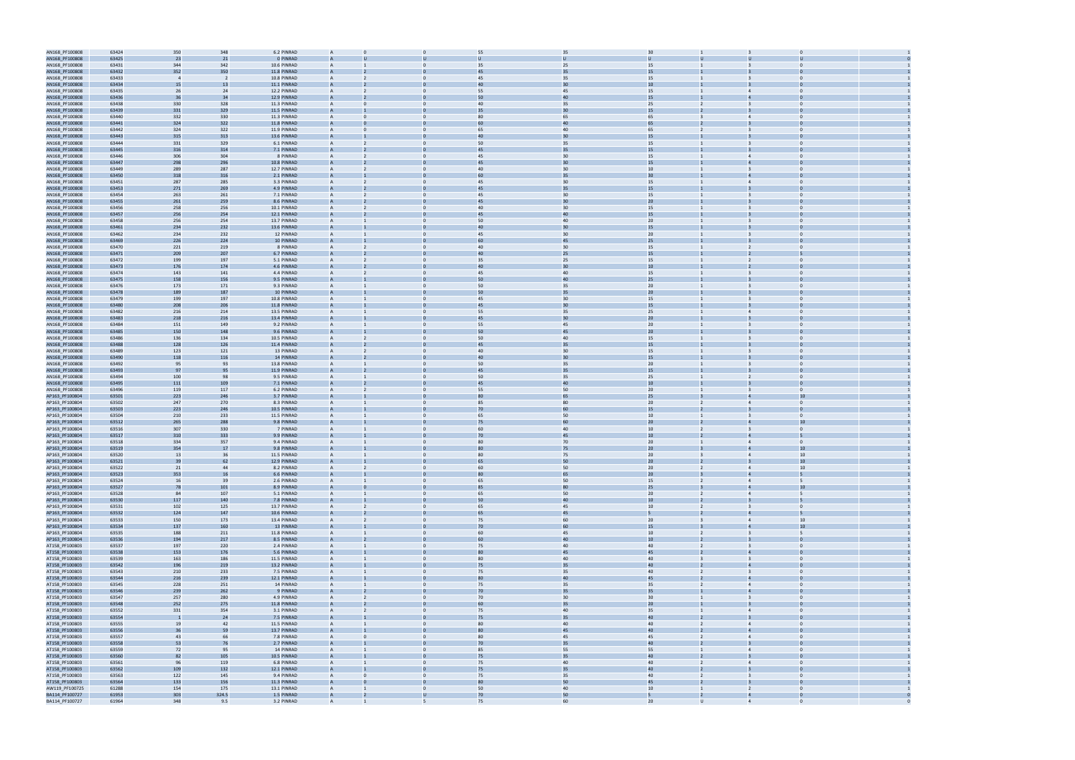

| AN168_PF100808                   | 63424 | 350            | 348   | 6.2 PINRAD  | A              |              | 55             | 35 | 30               |                |                                           |  |
|----------------------------------|-------|----------------|-------|-------------|----------------|--------------|----------------|----|------------------|----------------|-------------------------------------------|--|
| AN168_PF100808                   | 63425 | 23             | 21    | 0 PINRAD    |                |              |                |    |                  |                |                                           |  |
| AN168_PF100808                   | 63431 | 344            | 342   | 10.6 PINRAD | A              |              | 35             | 25 | 15               |                | $\mathbf 0$                               |  |
|                                  | 63432 | 352            | 350   | 11.8 PINRAD |                |              | 45             | 35 | 15               |                |                                           |  |
| AN168_PF100808                   |       |                |       |             |                |              |                |    |                  |                |                                           |  |
| AN168_PF100808                   | 63433 | $\overline{4}$ | - 2   | 10.8 PINRAD | A              |              | 45             | 35 | 15               |                | $\overline{\mathbf{3}}$                   |  |
| AN168_PF100808                   | 63434 | 15             | 13    | 11.1 PINRAD | $\mathsf{A}$   |              | 40             | 30 | 10 <sup>°</sup>  |                |                                           |  |
| AN168_PF100808                   | 63435 | 26             | 24    | 12.2 PINRAD | A              |              | 55             | 45 | 15               |                |                                           |  |
| AN168_PF100808                   | 63436 | 36             | 34    | 12.9 PINRAD |                |              | 50             | 40 | 15               |                |                                           |  |
| AN168_PF100808                   | 63438 | 330            | 328   | 11.3 PINRAD | A              | $\Omega$     | 40             | 35 | 25               |                | $\overline{3}$<br>$\Omega$                |  |
| AN168_PF100808                   | 63439 | 331            | 329   | 11.5 PINRAD |                |              |                | 30 | 15               |                |                                           |  |
| AN168_PF100808                   | 63440 | 332            | 330   | 11.3 PINRAD | A              | $\Omega$     | 80             | 65 | 65               |                | $\Omega$<br>$\overline{4}$                |  |
|                                  |       | 324            | 322   | 11.8 PINRAD |                |              | 60             | 40 | 65               |                |                                           |  |
| AN168_PF100808                   | 63441 |                |       |             |                |              |                |    |                  |                |                                           |  |
| AN168_PF100808                   | 63442 | 324            | 322   | 11.9 PINRAD | A              | $\Omega$     | 65             | 40 | 65               |                | $\Omega$                                  |  |
| AN168_PF100808                   | 63443 | 315            | 313   | 13.6 PINRAD |                |              | $\Delta$ r     | 30 | 15               |                |                                           |  |
| AN168_PF100808                   | 63444 | 331            | 329   | 6.1 PINRAD  | A              |              | 50             | 35 | 15               |                |                                           |  |
| AN168_PF100808                   | 63445 | 316            | 314   | 7.1 PINRAD  | A              |              | 45             | 35 | 15               |                |                                           |  |
| AN168_PF100808                   | 63446 | 306            | 304   | 8 PINRAD    | A              |              | 45             | 30 | 15               |                |                                           |  |
|                                  | 63447 |                | 296   | 10.8 PINRAD | A              |              | 45             | 30 | 15               |                |                                           |  |
| AN168_PF100808                   |       | 298            |       |             |                |              |                |    |                  |                |                                           |  |
| AN168_PF100808                   | 63449 | 289            | 287   | 12.7 PINRAD | A              | $\Omega$     | 40             | 30 | 10 <sup>10</sup> |                | $\Omega$                                  |  |
| AN168_PF100808                   | 63450 | 318            | 316   | 2.1 PINRAD  |                |              | 60             | 35 | 30               |                |                                           |  |
| AN168_PF100808                   | 63451 | 287            | 285   | 3.3 PINRAD  | A              | $\Omega$     | 45             | 30 | 15               |                | $\Omega$<br>$\overline{4}$                |  |
| AN168_PF100808                   | 63453 | 271            | 269   | 4.9 PINRAD  |                |              | 45             | 35 | 15               |                |                                           |  |
| AN168_PF100808                   | 63454 | 263            | 261   | 7.1 PINRAD  | A              |              | 45             | 30 | 15               |                | $\Omega$                                  |  |
| AN168_PF100808                   | 63455 | 261            | 259   | 8.6 PINRAD  |                |              |                | 30 | 20               |                |                                           |  |
| AN168_PF100808                   | 63456 | 258            | 256   | 10.1 PINRAD | A              |              | 40             | 30 | 15               |                |                                           |  |
|                                  |       |                |       |             |                |              |                | 40 |                  |                |                                           |  |
| AN168_PF100808                   | 63457 | 256            | 254   | 12.1 PINRAD | A              |              | 45             |    | 15               |                |                                           |  |
| AN168_PF100808                   | 63458 | 256            | 254   | 13.7 PINRAD |                |              | 50             | 40 | 20               |                |                                           |  |
| AN168_PF100808                   | 63461 | 234            | 232   | 13.6 PINRAD |                |              | 40             | 30 | 15               |                |                                           |  |
| AN168_PF100808                   | 63462 | 234            | 232   | 12 PINRAD   | A              | $\mathbf{0}$ | 45             | 30 | 20               |                | $\mathbf 0$                               |  |
| AN168_PF100808                   | 63469 | 226            | 224   | 10 PINRAD   | A              |              | 60             | 45 | 25               |                |                                           |  |
| AN168_PF100808                   | 63470 | 221            | 219   | 8 PINRAD    | A              | $\Omega$     | 40             | 30 | 15               |                | $\Omega$<br>$\overline{2}$                |  |
| AN168_PF100808                   | 63471 | 209            | 207   | 6.7 PINRAD  |                |              | 4 <sub>0</sub> | 25 | 15               |                |                                           |  |
| AN168_PF100808                   | 63472 | 199            | 197   | 5.1 PINRAD  | A              |              | 35             | 25 | 15               |                | $\Omega$                                  |  |
|                                  |       |                |       |             |                |              |                | 30 | 10               |                |                                           |  |
| AN168_PF100808                   | 63473 | 176            | 174   | 4.6 PINRAD  |                |              | 4 <sub>0</sub> |    |                  |                |                                           |  |
| AN168_PF100808                   | 63474 | 143            | 141   | 4.4 PINRAD  | A              |              | 45             | 40 | 15               |                | 3                                         |  |
| AN168_PF100808                   | 63475 | 158            | 156   | 9.5 PINRAD  | A              |              | 50             | 40 | 25               |                |                                           |  |
| AN168_PF100808                   | 63476 | 173            | 171   | 9.3 PINRAD  |                |              | 50             | 35 | 20               |                |                                           |  |
| AN168_PF100808                   | 63478 | 189            | 187   | 10 PINRAD   |                |              | 50             | 35 | 20 <sub>2</sub>  |                |                                           |  |
| AN168_PF100808                   | 63479 | 199            | 197   | 10.8 PINRAD | A              | $\mathbf{0}$ | 45             | 30 | 15               |                | $\overline{3}$<br>$\mathbf 0$             |  |
| AN168_PF100808                   | 63480 | 208            | 206   | 11.8 PINRAD |                |              | 45             | 30 | 15               |                |                                           |  |
|                                  |       |                |       |             | A              | $\Omega$     |                |    |                  |                | $\Omega$<br>$\overline{4}$                |  |
| AN168_PF100808                   | 63482 | 216            | 214   | 13.5 PINRAD |                |              | 55             | 35 | 25               |                |                                           |  |
| AN168_PF100808                   | 63483 | 218            | 216   | 13.4 PINRAD |                |              | 45             | 30 | 20               |                |                                           |  |
| AN168_PF100808                   | 63484 | 151            | 149   | 9.2 PINRAD  | A              | $\Omega$     | 55             | 45 | 20               |                | $\Omega$<br>$\mathbf{B}$                  |  |
| AN168_PF100808                   | 63485 | 150            | 148   | 9.6 PINRAD  |                |              | 50             | 45 | 20               |                |                                           |  |
| AN168_PF100808                   | 63486 | 136            | 134   | 10.5 PINRAD | A              |              | 50             | 40 | 15               |                | 3                                         |  |
| AN168_PF100808                   | 63488 | 128            | 126   | 11.4 PINRAD | A              |              | 45             | 35 | 15               |                |                                           |  |
| AN168_PF100808                   | 63489 | 123            | 121   | 13 PINRAD   |                |              | 40             | 30 | 15               |                |                                           |  |
| AN168_PF100808                   | 63490 | 118            | 116   | 14 PINRAD   |                |              | 40             | 30 | 15               |                |                                           |  |
| AN168_PF100808                   | 63492 | 95             | 93    | 13.8 PINRAD | A              | $\Omega$     | 50             | 35 | 20               |                | $\Omega$<br>$\overline{\mathbf{3}}$       |  |
| AN168_PF100808                   | 63493 | 97             | 95    | 11.9 PINRAD |                |              | 45             | 35 | 15               |                |                                           |  |
|                                  |       |                |       |             |                |              |                |    |                  |                |                                           |  |
| AN168_PF100808                   | 63494 | 100            | 98    | 9.5 PINRAD  | A              | $\Omega$     | 50             | 35 | 25               |                | $\Omega$<br>$\overline{2}$                |  |
| AN168_PF100808                   | 63495 | 111            | 109   | 7.1 PINRAD  |                |              | 45             | 40 | 10               |                |                                           |  |
| AN168_PF100808                   | 63496 | 119            | 117   | 6.2 PINRAD  | A              |              | 55             | 50 | 20               |                | $\Omega$                                  |  |
| AP163_PF100804                   | 63501 | 223            | 246   | 3.7 PINRAD  |                |              |                |    | 25               |                |                                           |  |
| AP163_PF100804                   | 63502 | 247            | 270   | 8.3 PINRAD  | A              |              | 85             | 80 | 20               |                | $\overline{4}$                            |  |
| AP163_PF100804                   | 63503 | 223            | 246   | 10.5 PINRAD | $\overline{A}$ |              | 70             | 60 | 15               |                |                                           |  |
|                                  |       |                |       |             |                |              | 65             | 50 | $10\,$           |                |                                           |  |
| AP163_PF100804                   | 63504 | 210            | 233   | 11.5 PINRAD |                |              |                |    |                  |                |                                           |  |
| AP163_PF100804                   | 63512 | 265            | 288   | 9.8 PINRAD  |                |              | 75             | 60 | 20 <sub>2</sub>  |                | 10                                        |  |
| AP163_PF100804                   | 63516 | 307            | 330   | 7 PINRAD    | A              | $\Omega$     | 60             | 40 | 10 <sup>10</sup> |                | $\Omega$                                  |  |
| AP163_PF100804                   | 63517 | 310            | 333   | 9.9 PINRAD  |                |              | 70             | 45 | 10               |                |                                           |  |
| AP163_PF100804                   | 63518 | 334            | 357   | 9.4 PINRAD  | A              | $\mathbf{0}$ | 80             | 70 | 20 <sub>2</sub>  |                | $\mathbf{0}$<br>$\overline{4}$            |  |
| AP163_PF100804                   | 63519 | 354            | 17    | 9.8 PINRAD  |                |              |                | 75 | 20 <sup>2</sup>  |                |                                           |  |
| AP163_PF100804                   | 63520 | 13             | 36    | 11.5 PINRAD |                |              |                | 75 | 20               |                | 10                                        |  |
| AP163_PF100804                   | 63521 | 39             | 62    | 12.9 PINRAD |                |              |                | 50 | 20               |                | 10                                        |  |
| AP163_PF100804                   | 63522 | 21             | 44    | 8.2 PINRAD  | $\overline{A}$ | $\mathbf{0}$ | 60             | 50 | 20               | $\overline{2}$ | 10<br>$\overline{4}$                      |  |
| AP163_PF100804                   | 63523 | 353            | 16    | 6.6 PINRAD  | A              |              | 80             | 65 | 20 <sub>2</sub>  |                | 5<br>$\overline{4}$                       |  |
|                                  |       |                |       |             |                |              |                |    |                  |                |                                           |  |
| AP163_PF100804                   | 63524 | 16             | 39    | 2.6 PINRAD  | $\overline{A}$ |              | 65             | 50 | 15               | $\overline{2}$ | $\overline{4}$<br>5                       |  |
| AP163_PF100804                   | 63527 | 78             | 101   | 8.9 PINRAD  | A              |              | 85             | 80 | 25               |                | 10<br>$\overline{4}$                      |  |
| AP163 PF100804                   | 63528 | 84             | 107   | 5.1 PINRAD  | $\mathsf{A}$   | $\mathbf{0}$ | 65             | 50 | 20               | $\overline{2}$ | 5<br>$\overline{4}$                       |  |
| AP163_PF100804                   | 63530 | 117            | 140   | 7.8 PINRAD  | А              |              | 50             | 40 | 10 <sub>1</sub>  |                | 5                                         |  |
| AP163_PF100804                   | 63531 | 102            | 125   | 13.7 PINRAD | $\overline{A}$ | $\mathbf{0}$ | 65             | 45 | 10               | $\overline{2}$ | $\overline{3}$<br>$\overline{0}$          |  |
| AP163_PF100804                   | 63532 | 124            | 147   | 10.6 PINRAD | $\overline{A}$ |              | 65             | 45 | 5 <sup>1</sup>   | $\overline{2}$ | $5\overline{5}$<br>$\overline{4}$         |  |
| AP163_PF100804                   | 63533 | 150            | 173   | 13.4 PINRAD | A              | $\mathbf{0}$ | 75             | 60 | 20               | 3              | 10<br>$\overline{4}$                      |  |
| AP163_PF100804                   | 63534 | 137            | 160   | 13 PINRAD   |                |              | 70             | 60 | 15 <sup>15</sup> |                | 10                                        |  |
| AP163_PF100804                   | 63535 | 188            | 211   | 11.8 PINRAD | $\overline{A}$ | $\mathbf{0}$ | 60             | 45 | 10               | $\overline{2}$ | 5<br>$\overline{\mathbf{3}}$              |  |
|                                  |       |                |       | 8.5 PINRAD  | $\overline{A}$ |              |                | 40 |                  |                | $\Omega$                                  |  |
| AP163_PF100804                   | 63536 | 194            | 217   |             |                |              | 60             |    | 10 <sup>10</sup> |                |                                           |  |
| AT158_PF100803                   | 63537 | 197            | 220   | 2.4 PINRAD  | A              | $\Omega$     | 75             | 40 | 40               | $\overline{2}$ | $\overline{3}$<br>$\Omega$                |  |
| AT158_PF100803                   | 63538 | 153            | 176   | 5.6 PINRAD  | $\mathsf{A}$   |              | 80             | 45 | 45               |                | $\mathbf 0$                               |  |
| AT158_PF100803                   | 63539 | 163            | 186   | 11.5 PINRAD | $\mathsf{A}$   | $\mathbf{0}$ | 80             | 40 | 40               | $\overline{3}$ | $\overline{3}$<br>$\overline{0}$          |  |
| AT158_PF100803                   | 63542 | 196            | 219   | 13.2 PINRAD | А              |              | 75             | 35 | 40               |                | $\Omega$<br>$\overline{4}$                |  |
| AT158_PF100803                   | 63543 | 210            | 233   | 7.5 PINRAD  | $\overline{A}$ | $\mathbf{0}$ | 75             | 35 | 40               | $\overline{2}$ | $\overline{3}$<br>$\overline{0}$          |  |
| AT158_PF100803                   | 63544 | 216            | 239   | 12.1 PINRAD | $\overline{A}$ |              | 80             | 40 | 45               |                | $\Omega$                                  |  |
| AT158_PF100803                   | 63545 | 228            | 251   | 14 PINRAD   | A              | $\mathbf{0}$ | 75             | 35 | 35               | $\overline{2}$ | $\overline{0}$<br>$\overline{4}$          |  |
| AT158_PF100803                   | 63546 | 239            | 262   | 9 PINRAD    |                |              | 70             | 35 | 35               |                |                                           |  |
| AT158_PF100803                   | 63547 | 257            | 280   | 4.9 PINRAD  | A              | $\mathbf{0}$ | 70             | 30 | 30               |                | $\overline{0}$<br>$\overline{\mathbf{3}}$ |  |
| AT158_PF100803                   | 63548 | 252            | 275   | 11.8 PINRAD | $\overline{A}$ |              | 60             | 35 | 20 <sub>2</sub>  |                | $\Omega$                                  |  |
|                                  |       |                |       |             | A              | $\Omega$     |                |    |                  |                | $\overline{4}$<br>$\Omega$                |  |
| AT158_PF100803                   | 63552 | 331            | 354   | 3.1 PINRAD  |                |              | 75             | 40 | 35               |                |                                           |  |
| AT158_PF100803                   | 63554 | - 1            | 24    | 7.5 PINRAD  | $\mathsf{A}$   |              | 75             | 35 | 40               |                | $\overline{3}$<br>$\mathbf 0$             |  |
| AT158_PF100803                   | 63555 | 19             | 42    | 11.5 PINRAD | $\mathsf{A}$   | $\mathbf{0}$ | 80             | 40 | 40               | $\overline{2}$ | $\overline{4}$<br>$\overline{0}$          |  |
| AT158_PF100803                   | 63556 | 36             | 59    | 13.7 PINRAD | A              |              | 80             | 45 | 40               |                | $\overline{4}$                            |  |
| AT158_PF100803                   | 63557 | 43             | 66    | 7.8 PINRAD  | $\overline{A}$ | $\mathbf{0}$ | 80             | 45 | 45               | $\overline{2}$ | $\overline{4}$<br>$\overline{0}$          |  |
| AT158_PF100803                   | 63558 | 53             | 76    | 2.7 PINRAD  | $\overline{A}$ |              | 70             | 35 | 40               |                | $\overline{3}$<br>$\Omega$                |  |
| AT158_PF100803                   | 63559 | 72             | 95    | 14 PINRAD   | $\overline{A}$ | $\mathbf{0}$ | 85             | 55 | 55               |                | $\overline{0}$<br>$\overline{4}$          |  |
| AT158_PF100803                   | 63560 | 82             | 105   | 10.5 PINRAD |                |              | 75             | 35 | 40               |                |                                           |  |
| AT158_PF100803                   | 63561 | 96             | 119   | 6.8 PINRAD  | $\overline{A}$ | $\mathbf{0}$ | 75             | 40 | 40               | $\overline{2}$ | $\Omega$<br>$\overline{4}$                |  |
| AT158_PF100803                   | 63562 | 109            | 132   | 12.1 PINRAD | $\overline{A}$ |              | 75             | 35 | 40               |                | $\overline{3}$<br>$\Omega$                |  |
| AT158_PF100803                   | 63563 | 122            | 145   | 9.4 PINRAD  |                | $\Omega$     | 75             | 35 | 40               |                | $\Omega$<br>$\overline{3}$                |  |
| AT158_PF100803                   | 63564 | 133            | 156   | 11.3 PINRAD | $\mathsf{A}$   |              | 80             | 50 | 45               |                |                                           |  |
| AW119_PF100725                   | 61288 | 154            | 175   | 13.1 PINRAD | $\overline{A}$ | $\mathbf{0}$ | 50             | 40 | 10               |                | $\overline{2}$<br>$\overline{0}$          |  |
|                                  |       |                |       |             |                |              | 70             |    |                  |                | $\overline{0}$                            |  |
| BA114_PF100727<br>BA114 PF100727 | 61953 | 303            | 324.5 | 1.5 PINRAD  |                |              |                | 50 |                  |                | $\overline{4}$                            |  |
|                                  | 61964 | 348            | 9.5   | 3.2 PINRAD  | $\Lambda$      |              | 75             | 60 | 20               | $\mathbf{H}$   | $\Omega$<br>$\Delta$                      |  |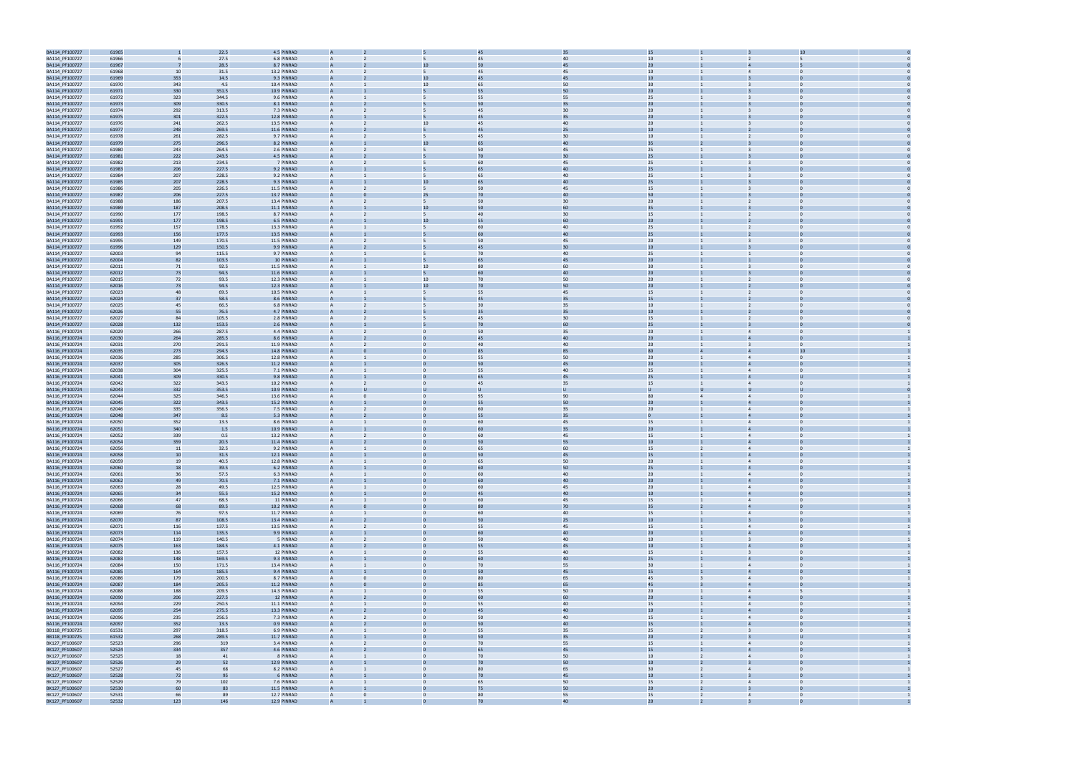

| BA114_PF100727                   | 61965          |                | 22.5         | 4.5 PINRAD                 |                |              |                | 45       | 35       | 15               |                |                         |                |  |
|----------------------------------|----------------|----------------|--------------|----------------------------|----------------|--------------|----------------|----------|----------|------------------|----------------|-------------------------|----------------|--|
| BA114_PF100727                   | 61966          |                | 27.5         | 6.8 PINRAD                 |                |              | 5              | 45       | 40       | 10               |                |                         |                |  |
| BA114_PF100727                   | 61967          |                | 28.5         | 8.7 PINRAD                 |                |              | 10             | 50       | 45       | 20               |                |                         |                |  |
| BA114_PF100727                   | 61968          | 10             | 31.5         | 13.2 PINRAD                | $\overline{A}$ |              | 5              | 45       | 45       | 10 <sup>10</sup> |                |                         | $\Omega$       |  |
| BA114_PF100727                   | 61969          | 353            | 14.5         | 9.3 PINRAD                 |                |              | 10             | 45       | 45       | 10               |                |                         |                |  |
|                                  | 61970          | 343            | 4.5          | 10.4 PINRAD                | $\overline{A}$ |              | 10             |          | 50       | 30 <sub>o</sub>  |                |                         | $\mathbf 0$    |  |
| BA114_PF100727                   |                |                |              |                            |                |              |                | 65       |          |                  |                | 3                       |                |  |
| BA114_PF100727                   | 61971          | 330            | 351.5        | 10.9 PINRAD                |                |              |                | 55       | 50       | 20               |                |                         |                |  |
| BA114_PF100727                   | 61972          | 323            | 344.5        | 9.6 PINRAD                 | $\overline{A}$ |              | 5              | 55       | 55       | 25               |                |                         | $\Omega$       |  |
| BA114_PF100727                   | 61973          | 309            | 330.5        | 8.1 PINRAD                 |                |              |                | 50       | 35       | 20               |                |                         |                |  |
| BA114_PF100727                   | 61974          | 292            | 313.5        | 7.3 PINRAD                 | $\overline{A}$ |              | 5              | 45       | 30       | 20               |                |                         | $\Omega$       |  |
| BA114_PF100727                   | 61975          | 301            | 322.5        | 12.8 PINRAD                |                |              |                | 45       | 35       | 20               |                |                         |                |  |
| BA114_PF100727                   | 61976          | 241            | 262.5        | 13.5 PINRAD                |                |              | 10             | 45       | 40       | 20               |                |                         |                |  |
| BA114_PF100727                   | 61977          | 248            | 269.5        | 11.6 PINRAD                |                |              |                | 45       | 25       | 10               |                |                         |                |  |
| BA114_PF100727                   | 61978          | 261            | 282.5        | 9.7 PINRAD                 | $\overline{A}$ |              | 5              | 45       | 30       | 10               |                | 2                       | $\Omega$       |  |
| BA114_PF100727                   | 61979          | 275            | 296.5        | 8.2 PINRAD                 |                |              | 10             | 65       | 40       | 35               |                |                         |                |  |
| BA114_PF100727                   | 61980          | 243            | 264.5        | 2.6 PINRAD                 | A              |              | 5              | 50       | 45       | 25               |                | 3                       | $\bf{0}$       |  |
|                                  |                |                |              | 4.5 PINRAD                 |                |              |                | 70       | 30       | 25               |                |                         |                |  |
| BA114_PF100727                   | 61981          | 222            | 243.5        |                            |                |              |                |          |          |                  |                |                         |                |  |
| BA114_PF100727                   | 61982          | 213            | 234.5        | 7 PINRAD                   | $\overline{A}$ |              | 5              | 60       | 45       | 25               |                |                         | $\Omega$       |  |
| BA114_PF100727                   | 61983          | 206            | 227.5        | 9.2 PINRAD                 |                |              |                |          | 40       | 25               |                |                         |                |  |
| BA114_PF100727                   | 61984          | 207            | 228.5        | 9.2 PINRAD                 | A              |              | 5              | 65       | 40       | 25               |                | $\overline{\mathbf{3}}$ | $\Omega$       |  |
| BA114_PF100727                   | 61985          | 207            | 228.5        | 9.3 PINRAD                 |                |              | 10             | 65       | 40       | 25               |                |                         |                |  |
| BA114_PF100727                   | 61986          | 205            | 226.5        | 11.5 PINRAD                |                |              |                | 50       | 45       | 15               |                |                         |                |  |
| BA114_PF100727                   | 61987          | 206            | 227.5        | 13.7 PINRAD                |                |              | 25             | 70       | 40       | 50               |                |                         |                |  |
| BA114_PF100727                   | 61988          | 186            | 207.5        | 13.4 PINRAD                | $\overline{A}$ |              | 5              | 50       | 30       | 20 <sub>2</sub>  |                | 2                       |                |  |
| BA114_PF100727                   | 61989          | 187            | 208.5        | 11.1 PINRAD                |                |              | 10             | 50       | 60       | 35               |                |                         |                |  |
| BA114_PF100727                   | 61990          | 177            | 198.5        | 8.7 PINRAD                 | $\overline{A}$ |              | 5              | 40       | 30       | 15               |                |                         | $\Omega$       |  |
| BA114_PF100727                   | 61991          | 177            | 198.5        | 6.5 PINRAD                 |                |              | 10             | 55       | 60       | 20               |                |                         |                |  |
|                                  |                |                |              |                            |                |              |                |          |          |                  |                |                         |                |  |
| BA114_PF100727                   | 61992          | 157            | 178.5        | 13.3 PINRAD                | $\overline{A}$ |              | 5              | 60       | 40       | 25               |                |                         | $\Omega$       |  |
| BA114_PF100727                   | 61993          | 156            | 177.5        | 13.5 PINRAD                |                |              |                |          | 40       | 25               |                |                         |                |  |
| BA114_PF100727                   | 61995          | 149            | 170.5        | 11.5 PINRAD                | $\overline{A}$ |              | 5              | 50       | 45       | 20 <sub>2</sub>  |                |                         | $\Omega$       |  |
| BA114_PF100727                   | 61996          | 129            | 150.5        | 9.9 PINRAD                 |                |              |                | 45       | 30       | 10               |                |                         |                |  |
| BA114_PF100727                   | 62003          | 94             | 115.5        | 9.7 PINRAD                 |                |              |                | 70       | 40       | 25               |                |                         |                |  |
| BA114_PF100727                   | 62004          | 82             | 103.5        | 10 PINRAD                  |                |              |                | 65       | 45       | 20               |                |                         |                |  |
| BA114_PF100727                   | 62011          | 71             | 92.5         | 11.5 PINRAD                | $\overline{A}$ |              | 10             | 80       | 60       | 30 <sup>°</sup>  |                |                         |                |  |
| BA114_PF100727                   | 62012          | 73             | 94.5         | 11.6 PINRAD                |                |              |                | 60       | 40       | 20 <sub>2</sub>  |                |                         |                |  |
| BA114_PF100727                   | 62015          | 72             | 93.5         | 12.3 PINRAD                | $\overline{A}$ |              | 10             | 70       | 50       | 20 <sub>2</sub>  |                |                         | $\Omega$       |  |
| BA114_PF100727                   | 62016          | 73             | 94.5         | 12.3 PINRAD                |                |              | 10             | 70       | 50       | 20               |                |                         |                |  |
|                                  |                | 48             |              | 10.5 PINRAD                | $\overline{A}$ |              | $\overline{5}$ |          |          |                  |                |                         | $\Omega$       |  |
| BA114_PF100727                   | 62023<br>62024 | 3 <sup>7</sup> | 69.5<br>58.5 | 8.6 PINRAD                 |                |              |                | 55       | 45       | 15<br>15         |                |                         |                |  |
| BA114_PF100727                   |                |                |              |                            |                |              |                |          |          |                  |                |                         |                |  |
| BA114_PF100727                   | 62025          | 45             | 66.5         | 6.8 PINRAD                 | $\overline{A}$ |              | 5              | 30       | 35       | 10 <sup>10</sup> |                |                         | $\Omega$       |  |
| BA114_PF100727                   | 62026          | 55             | 76.5         | 4.7 PINRAD                 |                |              |                | 35       | 35       | $10\,$           |                |                         |                |  |
| BA114_PF100727                   | 62027          | 84             | 105.5        | 2.8 PINRAD                 |                |              |                | 45       | 30       | 15               |                |                         |                |  |
| BA114_PF100727                   | 62028          | 132            | 153.5        | 2.6 PINRAD                 | $\overline{A}$ |              |                | 70       | 60       | 25               |                |                         |                |  |
| BA116_PF100724                   | 62029          | 266            | 287.5        | 4.4 PINRAD                 | $\overline{A}$ |              | $\Omega$       | 50       | 35       | 20 <sub>2</sub>  |                |                         |                |  |
| BA116_PF100724                   | 62030          | 264            | 285.5        | 8.6 PINRAD                 |                |              |                | 45       | 40       | 20 <sub>2</sub>  |                |                         |                |  |
| BA116_PF100724                   | 62031          | 270            | 291.5        | 11.9 PINRAD                | A              |              | $\mathbf{0}$   | 40       | 40       | 20 <sub>2</sub>  |                | $\mathbf{B}$            | $\mathbf 0$    |  |
| BA116_PF100724                   | 62035          | 273            | 294.5        | 14.8 PINRAD                |                |              |                |          |          | 80               |                |                         |                |  |
| BA116_PF100724                   | 62036          | 285            | 306.5        | 12.8 PINRAD                | $\overline{A}$ |              | $\Omega$       | 55       | 50       | 20               |                |                         | $\Omega$       |  |
|                                  |                |                |              |                            |                |              |                |          | 45       | 20               |                |                         |                |  |
| BA116_PF100724                   | 62037          | 305            | 326.5        | 11.2 PINRAD                |                |              |                |          |          |                  |                |                         |                |  |
| BA116_PF100724                   | 62038          | 304            | 325.5        | 7.1 PINRAD                 | $\overline{A}$ |              | $\mathbf{0}$   | 55       | 40       | 25               |                | $\overline{4}$          | $\Omega$       |  |
| BA116_PF100724                   | 62041          | 309            | 330.5        | 9.8 PINRAD                 |                |              |                | 65       | 45       | 25               |                |                         |                |  |
| BA116_PF100724                   | 62042          | 322            | 343.5        | 10.2 PINRAD                |                |              |                | 45       | 35       | 15               |                |                         |                |  |
| BA116_PF100724                   | 62043          | 332            | 353.5        | 10.9 PINRAD                |                |              |                |          |          | U                |                |                         |                |  |
| BA116_PF100724                   | 62044          | 325            | 346.5        | 13.6 PINRAD                | $\overline{A}$ |              | $\Omega$       | 95       | 90       | 80               |                |                         |                |  |
| BA116_PF100724                   | 62045          | 322            | 343.5        | 15.2 PINRAD                |                |              |                | 55       | 50       | 20 <sub>2</sub>  |                |                         |                |  |
| BA116_PF100724                   | 62046          | 335            | 356.5        | 7.5 PINRAD                 | A              |              | $\Omega$       | 60       | 35       | 20 <sub>2</sub>  |                | $\overline{4}$          | $\Omega$       |  |
| BA116_PF100724                   | 62048          | 347            | 8.5          | 5.3 PINRAD                 |                |              |                | 55       | 35       |                  |                |                         |                |  |
| BA116_PF100724                   | 62050          | 352            | 13.5         | 8.6 PINRAD                 | $\mathbf{A}$   |              | $\Omega$       | 60       | 45       | 15               |                |                         | $\Omega$       |  |
|                                  | 62051          | 340            | 1.5          | 10.9 PINRAD                |                |              |                |          | 35       | 20               |                |                         |                |  |
| BA116_PF100724                   |                |                |              |                            |                |              |                |          |          |                  |                |                         |                |  |
| BA116_PF100724                   | 62052          | 339            | 0.5          | 13.2 PINRAD                |                |              | $\mathbf{0}$   | 60       | 45       | 15               |                |                         | $\mathbf{0}$   |  |
| BA116_PF100724                   | 62054          | 359            | 20.5         | 11.4 PINRAD                |                |              |                | 50       | 55       | 10               |                |                         |                |  |
| BA116_PF100724                   | 62056          | 11             | 32.5         | 9.2 PINRAD                 |                |              |                | 65       | 60       | 15               |                | $\Delta$                | $\Omega$       |  |
| BA116_PF100724                   | 62058          |                | 31.5         | 12.1 PINRAD                |                |              |                |          | 45       | 15               |                |                         |                |  |
| BA116_PF100724                   | 62059          | 19             | 40.5         | 12.8 PINRAD                |                |              |                | 65       | 50       | 20               |                |                         |                |  |
| BA116_PF100724                   | 62060          | 18             | 39.5         | 6.2 PINRAD                 |                |              |                | 60       | 50       | 25               |                |                         |                |  |
| BA116_PF100724                   | 62061          | 36             | 57.5         | 6.3 PINRAD                 | $\mathsf{A}$   |              | $\overline{0}$ | 60       | 40       | 20               |                | $\overline{4}$          | $\overline{0}$ |  |
| BA116_PF100724                   | 62062          | 49             | 70.5         | 7.1 PINRAD                 |                |              |                | 60       | 40       | 20 <sub>2</sub>  |                | $\overline{4}$          |                |  |
| BA116_PF100724                   | 62063          | 28             | 49.5         | 12.5 PINRAD                | $\mathsf{A}$   |              | $\overline{0}$ | 60       | 45       | 20               | $\overline{1}$ | $\overline{4}$          | $\Omega$       |  |
| BA116_PF100724                   | 62065          | 34             | 55.5         | 15.2 PINRAD                |                |              |                | 45       | 40       | 10 <sup>°</sup>  |                |                         |                |  |
| BA116_PF100724                   | 62066          | 47             | 68.5         | 11 PINRAD                  | $\mathsf{A}$   |              | $\mathbf{0}$   | 60       | 45       | 15               | $\mathbf{1}$   | $\overline{4}$          | $\overline{0}$ |  |
| BA116_PF100724                   | 62068          | 68             | 89.5         | 10.2 PINRAD                |                |              |                | 80       | 70       | 35               |                | $\overline{4}$          | $\Omega$       |  |
|                                  |                | 76             |              | 11.7 PINRAD                | $\overline{A}$ |              | $\mathbf{0}$   | 60       | 40       |                  |                | $\overline{4}$          | $\overline{0}$ |  |
| BA116_PF100724                   | 62069          |                | 97.5         |                            | $\overline{A}$ |              |                |          |          | 15               |                |                         | $\Omega$       |  |
| BA116_PF100724                   | 62070          | 87             | 108.5        | 13.4 PINRAD                |                |              |                | 50       | 25       | 10 <sup>°</sup>  |                |                         |                |  |
| BA116_PF100724                   | 62071          | 116            | 137.5        | 13.5 PINRAD                | $\mathsf{A}$   |              | $\mathbf{0}$   | 55       | 45       | 15               |                | $\overline{4}$          | $\Omega$       |  |
| BA116_PF100724                   | 62073          | 114            | 135.5        | 9.9 PINRAD                 | $\overline{A}$ |              |                | 60       | 40       | 20 <sub>2</sub>  |                | $\overline{4}$          |                |  |
| BA116_PF100724                   | 62074          | 119            | 140.5        | 5 PINRAD                   | $\overline{A}$ |              | $\mathbf{0}$   | 50       | 40       | 10               | $\overline{1}$ | $\overline{\mathbf{3}}$ | $\overline{0}$ |  |
| BA116_PF100724                   | 62075          | 163            | 184.5        | 4.1 PINRAD                 | $\overline{A}$ |              | $\Omega$       | 55       | 45       | 10 <sub>10</sub> |                | $\overline{4}$          | $\Omega$       |  |
| BA116_PF100724                   | 62082          | 136            | 157.5        | 12 PINRAD                  | $\overline{A}$ |              | $\overline{0}$ | 55       | 40       | 15               |                | $\overline{3}$          | $\Omega$       |  |
| BA116_PF100724                   | 62083          | 148            | 169.5        | 9.3 PINRAD                 |                |              |                | 60       | 40       | 25               |                |                         |                |  |
| BA116_PF100724                   | 62084          | 150            | 171.5        | 13.4 PINRAD                | $\mathsf{A}$   |              | $\mathbf{0}$   | 70       | 55       | 30 <sup>°</sup>  | $\mathbf{1}$   | $\overline{4}$          | $\overline{0}$ |  |
| BA116_PF100724                   | 62085          | 164            | 185.5        | 9.4 PINRAD                 | $\overline{A}$ |              |                | 50       | 45       | 15               |                | $\overline{4}$          | $\Omega$       |  |
| BA116_PF100724                   | 62086          | 179            | 200.5        | 8.7 PINRAD                 | $\overline{A}$ |              | $\mathbf{0}$   | 80       | 65       | 45               |                | $\overline{4}$          | $\Omega$       |  |
| BA116_PF100724                   | 62087          | 184            | 205.5        | 11.2 PINRAD                | $\overline{A}$ |              |                | 85       | 65       | 45               |                | $\overline{4}$          | $\Omega$       |  |
| BA116_PF100724                   | 62088          | 188            | 209.5        | 14.3 PINRAD                | $\mathsf{A}$   |              | $\mathbf{0}$   | 55       | 50       | 20 <sub>2</sub>  |                | $\overline{4}$          |                |  |
|                                  | 62090          | 206            | 227.5        | 12 PINRAD                  | $\overline{A}$ |              |                | 60       | 60       | 20 <sub>2</sub>  |                | $\overline{4}$          | $\mathbf 0$    |  |
| BA116_PF100724                   |                |                |              |                            |                |              |                |          |          |                  |                |                         |                |  |
| BA116_PF100724                   | 62094          | 229            | 250.5        | 11.1 PINRAD                | $\overline{A}$ |              | $\mathbf{0}$   | 55       | 40       | 15               | $\mathbf{1}$   | $\overline{4}$          | $\overline{0}$ |  |
| BA116_PF100724                   | 62095          | 254            | 275.5        | 13.3 PINRAD                | $\overline{A}$ |              | $\Omega$       | 45       | 40       | $10\,$           |                | $\overline{4}$          | $\Omega$       |  |
| BA116_PF100724                   | 62096          | 235            | 256.5        | 7.3 PINRAD                 | $\overline{A}$ |              | $\overline{0}$ | 50       | 40       | 15               | $\mathbf{1}$   | $\overline{4}$          | $\Omega$       |  |
| BA116_PF100724                   | 62097          | 352            | 13.5         | 0.9 PINRAD                 |                |              |                | 50       | 40       | 15               |                |                         |                |  |
| BB118_PF100725                   | 61531          | 297            | 318.5        | 6.9 PINRAD                 | $\mathsf{A}$   |              | $\mathbf{0}$   | 55       | 35       | 25               | $\overline{2}$ | $\overline{3}$          | $\overline{0}$ |  |
| BB118_PF100725                   | 61532          | 268            | 289.5        | 11.7 PINRAD                | $\overline{A}$ |              |                | 50       | 35       | 20 <sub>2</sub>  | $\overline{2}$ |                         | U              |  |
| BK127_PF100607                   | 52523          | 296            | 319          | 3.4 PINRAD                 | $\overline{A}$ |              | $\mathbf{0}$   | 70       | 55       | 15               |                | $\overline{4}$          | $\Omega$       |  |
| BK127_PF100607                   | 52524          | 334            | 357          | 4.6 PINRAD                 | $\overline{A}$ |              |                | 65       | 45       | 15               |                | $\overline{4}$          | $\Omega$       |  |
| BK127_PF100607                   | 52525          | 18             | 41           | 8 PINRAD                   | $\mathsf{A}$   |              | $\overline{0}$ | 70       | 50       | 10 <sup>10</sup> | $\overline{2}$ | $\overline{4}$          | $\Omega$       |  |
| BK127_PF100607                   | 52526          | 29             | 52           | 12.9 PINRAD                | $\overline{A}$ |              |                | 70       | 50       | 10               | $\overline{2}$ | $\overline{3}$          | $\mathbf 0$    |  |
| BK127_PF100607                   | 52527          |                |              |                            | $\overline{A}$ |              | $\mathbf{0}$   | 80       |          | 30 <sup>°</sup>  | $\overline{2}$ |                         | $\overline{0}$ |  |
|                                  |                | 45             | 68           | 8.2 PINRAD                 | $\overline{A}$ |              |                |          | 65       | 10 <sub>10</sub> |                | $\overline{4}$          | $\Omega$       |  |
|                                  |                |                |              |                            |                |              | $\Omega$       | 70       | 45       |                  |                |                         |                |  |
| BK127_PF100607                   | 52528          | 72             | 95           | 6 PINRAD                   |                |              |                |          |          |                  |                |                         |                |  |
| BK127_PF100607                   | 52529          | 79             | 102          | 7.6 PINRAD                 | $\mathsf{A}$   |              | $\mathbf{0}$   | 65       | 50       | 15               | $\overline{2}$ | $\overline{4}$          | $\Omega$       |  |
| BK127_PF100607                   | 52530          | 60             | 83           | 11.5 PINRAD                |                |              |                | 75       | 50       | 20 <sub>2</sub>  |                |                         |                |  |
| BK127_PF100607<br>BK127 PF100607 | 52531<br>52532 | 66<br>123      | 89<br>146    | 12.7 PINRAD<br>12.9 PINRAD | $\overline{A}$ | $\mathbf{0}$ | $\mathbf{0}$   | 80<br>70 | 55<br>40 | 15<br>20         | $\overline{2}$ | $\overline{4}$          | $\overline{0}$ |  |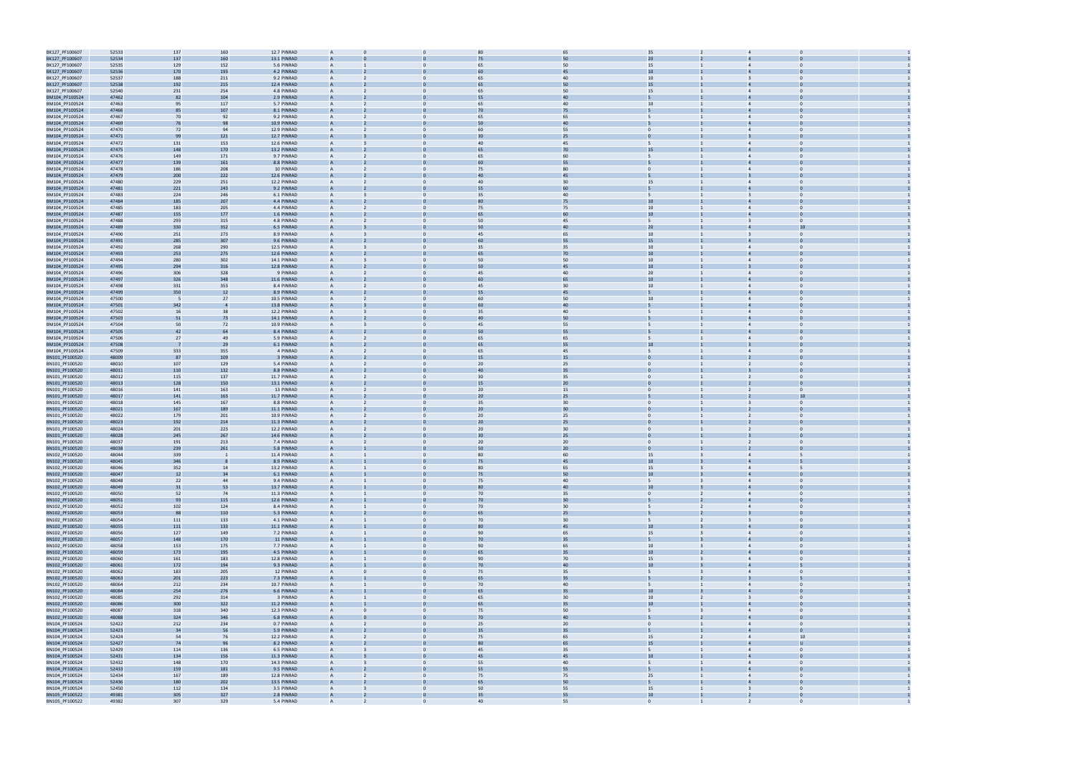| BK127_PF100607                   | 52533          | 137                      | 160 | 12.7 PINRAD | A              |              | 80 | 65 | 35                               |                                           |  |
|----------------------------------|----------------|--------------------------|-----|-------------|----------------|--------------|----|----|----------------------------------|-------------------------------------------|--|
| BK127_PF100607                   | 52534          | 137                      | 160 | 13.1 PINRAD |                |              | 75 | 50 | 20                               |                                           |  |
| BK127_PF100607                   | 52535          | 129                      | 152 | 5.6 PINRAD  | $\mathsf{A}$   |              | 65 | 50 | 15                               | $\Omega$                                  |  |
|                                  | 52536          |                          |     |             |                |              | 60 | 45 | 10                               |                                           |  |
| BK127_PF100607                   |                | 170                      | 193 | 4.2 PINRAD  |                |              |    |    |                                  |                                           |  |
| BK127_PF100607                   | 52537          | 188                      | 211 | 9.2 PINRAD  | A              |              | 65 | 40 | 10 <sup>1</sup>                  | 3                                         |  |
| BK127_PF100607                   | 52538          | 192                      | 215 | 12.4 PINRAD | A              |              |    | 50 | 15                               |                                           |  |
| BK127_PF100607                   | 52540          | 231                      | 254 | 4.8 PINRAD  |                |              | 65 | 50 | 15                               | $\overline{4}$                            |  |
| BM104_PF100524                   | 47462          | 82                       | 104 | 2.9 PINRAD  |                |              | 55 | 40 |                                  |                                           |  |
| BM104_PF100524                   | 47463          | 95                       | 117 | 5.7 PINRAD  | $\mathsf{A}$   | $\Omega$     | 65 | 40 | 10                               | $\overline{4}$                            |  |
| BM104_PF100524                   | 47466          | 85                       | 107 | 8.1 PINRAD  |                |              | 70 | 75 |                                  |                                           |  |
| BM104_PF100524                   | 47467          | 70                       | 92  | 9.2 PINRAD  | $\mathsf{A}$   | $\Omega$     | 65 | 65 | 5                                | $\overline{4}$<br>$\Omega$                |  |
|                                  | 47469          |                          | 98  | 10.9 PINRAD |                |              | 50 | 40 |                                  |                                           |  |
| BM104_PF100524                   |                | 76                       |     |             |                |              |    |    |                                  |                                           |  |
| BM104_PF100524                   | 47470          | 72                       | 94  | 12.9 PINRAD | $\mathsf{A}$   |              | 60 | 55 | $\mathbf{0}$                     | $\overline{4}$<br>$\Omega$                |  |
| BM104_PF100524                   | 47471          | 99                       | 121 | 12.7 PINRAD |                |              |    | 25 |                                  |                                           |  |
| BM104_PF100524                   | 47472          | 131                      | 153 | 12.6 PINRAD | $\mathsf{A}$   |              | 40 | 45 |                                  | $\overline{4}$                            |  |
| BM104_PF100524                   | 47475          | 148                      | 170 | 13.2 PINRAD | A              |              |    | 70 | 15                               |                                           |  |
| BM104_PF100524                   | 47476          | 149                      | 171 | 9.7 PINRAD  | A              |              | 65 | 60 |                                  |                                           |  |
| BM104_PF100524                   | 47477          | 139                      | 161 | 8.8 PINRAD  | A              |              |    | 55 |                                  |                                           |  |
| BM104_PF100524                   | 47478          | 186                      | 208 | 10 PINRAD   | $\mathsf{A}$   | $\Omega$     | 75 | 80 | $\overline{0}$                   | $\overline{4}$<br>$\Omega$                |  |
| BM104_PF100524                   | 47479          | 200                      | 222 | 12.6 PINRAD |                |              | 4( | 45 |                                  |                                           |  |
|                                  |                |                          |     |             |                | $\Omega$     |    |    |                                  | $\Omega$                                  |  |
| BM104_PF100524                   | 47480          | 229                      | 251 | 12.2 PINRAD | $\mathsf{A}$   |              | 40 | 30 | 15                               | $\overline{4}$                            |  |
| BM104_PF100524                   | 47481          | 221                      | 243 | 9.2 PINRAD  |                |              | 55 | 60 |                                  |                                           |  |
| BM104_PF100524                   | 47483          | 224                      | 246 | 6.1 PINRAD  | $\mathsf{A}$   |              | 35 | 40 |                                  | $\Omega$                                  |  |
| BM104_PF100524                   | 47484          | 185                      | 207 | 4.4 PINRAD  |                |              |    | 75 | 10                               |                                           |  |
| BM104_PF100524                   | 47485          | 183                      | 205 | 4.4 PINRAD  | A              |              | 75 | 75 | 10 <sup>1</sup>                  | $\overline{4}$                            |  |
| BM104_PF100524                   | 47487          | 155                      | 177 | 1.6 PINRAD  | A              |              |    | 60 | 10                               |                                           |  |
| BM104_PF100524                   | 47488          | 293                      | 315 | 4.8 PINRAD  |                |              | 50 | 45 | 5                                | $\overline{3}$                            |  |
| BM104_PF100524                   | 47489          | 330                      | 352 | 6.5 PINRAD  |                |              |    | 40 | 20 <sub>2</sub>                  | 1 <sup>1</sup>                            |  |
| BM104_PF100524                   | 47490          | 251                      | 273 | 8.9 PINRAD  | A              | $\mathbf{0}$ | 45 | 65 | 10                               | $\Omega$<br>3                             |  |
|                                  |                |                          |     |             |                |              |    |    |                                  |                                           |  |
| BM104_PF100524                   | 47491          | 285                      | 307 | 9.6 PINRAD  |                |              | 60 | 55 | 15                               |                                           |  |
| BM104_PF100524                   | 47492          | 268                      | 290 | 12.5 PINRAD | A              | $\Omega$     | 35 | 35 | 10 <sub>1</sub>                  | $\Omega$<br>$\overline{4}$                |  |
| BM104_PF100524                   | 47493          | 253                      | 275 | 12.6 PINRAD |                |              | 65 | 70 | 10                               |                                           |  |
| BM104_PF100524                   | 47494          | 280                      | 302 | 14.1 PINRAD | A              |              | 50 | 50 | 10 <sup>1</sup>                  | $\Omega$<br>$\overline{4}$                |  |
| BM104_PF100524                   | 47495          | 294                      | 316 | 12.8 PINRAD |                |              | 50 | 45 | 10                               |                                           |  |
| BM104_PF100524                   | 47496          | 306                      | 328 | 9 PINRAD    | A              |              | 45 | 40 | 20                               | $\overline{4}$                            |  |
| BM104_PF100524                   | 47497          | 326                      | 348 | 11.6 PINRAD | A              |              | 60 | 65 | 10 <sup>°</sup>                  | $\overline{a}$                            |  |
| BM104_PF100524                   | 47498          | 331                      | 353 | 8.4 PINRAD  |                |              | 45 | 30 | 10                               | $\overline{4}$                            |  |
| BM104_PF100524                   | 47499          | 350                      | 12  | 8.9 PINRAD  |                |              | 55 | 45 |                                  |                                           |  |
|                                  |                |                          |     |             |                |              |    |    |                                  |                                           |  |
| BM104_PF100524                   | 47500          | $\overline{\phantom{0}}$ | 27  | 10.5 PINRAD | A              | $\mathbf{0}$ | 60 | 50 | 10                               | $\Omega$<br>$\overline{4}$                |  |
| BM104_PF100524                   | 47501          | 342                      |     | 13.8 PINRAD |                |              | 60 | 40 |                                  |                                           |  |
| BM104_PF100524                   | 47502          | 16                       | 38  | 12.2 PINRAD | A              | $\Omega$     | 35 | 40 | 5                                | $\Omega$<br>$\overline{4}$                |  |
| BM104_PF100524                   | 47503          | 51                       | 73  | 14.1 PINRAD |                |              |    | 50 |                                  |                                           |  |
| BM104_PF100524                   | 47504          | 50                       | 72  | 10.9 PINRAD | A              |              | 45 | 55 |                                  | $\Omega$                                  |  |
| BM104_PF100524                   | 47505          | 42                       | 64  | 8.4 PINRAD  |                |              | 50 | 55 |                                  |                                           |  |
| BM104_PF100524                   | 47506          | 27                       | 4S  | 5.9 PINRAD  | A              |              | 65 | 65 |                                  | $\overline{4}$                            |  |
| BM104_PF100524                   | 47508          | -7                       | 29  | 6.1 PINRAD  | A              |              |    | 55 | 10                               |                                           |  |
|                                  |                |                          |     |             |                |              |    |    |                                  |                                           |  |
| BM104_PF100524                   | 47509          | 333                      | 355 | 4 PINRAD    |                |              | 65 | 45 |                                  |                                           |  |
| BN101_PF100520                   | 48009          | 87                       | 109 | 3 PINRAD    |                |              | 15 | 15 |                                  |                                           |  |
| BN101_PF100520                   | 48010          | 107                      | 129 | 5.4 PINRAD  | A              | $\Omega$     | 20 | 25 | $\mathbf{0}$                     | $\Omega$<br>2                             |  |
| BN101_PF100520                   | 48011          | 110                      | 132 | 8.8 PINRAD  |                |              | 4( | 35 |                                  |                                           |  |
| BN101_PF100520                   | 48012          | 115                      | 137 | 11.7 PINRAD | A              | $\Omega$     | 30 | 35 | $\Omega$                         | $\Omega$                                  |  |
| BN101_PF100520                   | 48013          | 128                      | 150 | 13.1 PINRAD |                |              | 15 | 20 |                                  |                                           |  |
| BN101_PF100520                   | 48016          | 141                      | 163 | 13 PINRAD   | A              |              | 20 | 15 | $\mathbf{0}$                     | $\Omega$                                  |  |
| BN101_PF100520                   | 48017          | 141                      | 163 | 11.7 PINRAD |                |              | 20 | 25 |                                  |                                           |  |
|                                  |                |                          |     |             |                |              |    |    |                                  |                                           |  |
| BN101_PF100520                   | 48018          | 145                      | 167 | 8.8 PINRAD  | A              |              | 35 | 30 | $\Omega$                         |                                           |  |
| BN101_PF100520                   | 48021          | 167                      | 189 | 11.1 PINRAD | A              |              | 20 | 30 |                                  |                                           |  |
| BN101_PF100520                   | 48022          | 179                      | 201 | 10.9 PINRAD |                |              | 20 | 25 |                                  |                                           |  |
| BN101_PF100520                   | 48023          | 192                      | 214 | 11.3 PINRAD |                |              | 20 | 25 |                                  |                                           |  |
| BN101_PF100520                   | 48024          | 201                      | 223 | 12.2 PINRAD | A              | $\Omega$     | 20 | 30 | $\mathbf{0}$                     | $\Omega$                                  |  |
| BN101_PF100520                   | 48028          | 245                      | 267 | 14.6 PINRAD |                |              |    | 25 |                                  |                                           |  |
| BN101_PF100520                   | 48037          | 191                      | 213 | 7.4 PINRAD  | A              | $\mathbf{0}$ | 20 | 20 | $\Omega$                         | $\overline{2}$<br>$\Omega$                |  |
|                                  | 48038          | 239                      | 261 | 5.8 PINRAD  |                |              | 50 | 20 |                                  |                                           |  |
| BN101_PF100520                   |                |                          |     |             |                |              |    |    |                                  |                                           |  |
| BN102_PF100520                   | 48044          | 339                      |     | 11.4 PINRAD |                |              |    | 60 | 15                               |                                           |  |
| BN102_PF100520                   | 48045          | 346                      |     | 8.9 PINRAD  |                |              |    | 45 | 10                               |                                           |  |
| BN102_PF100520                   | 48046          | 352                      | 14  | 13.2 PINRAD | $\overline{A}$ | $\Omega$     | 80 | 65 | 15                               | $\overline{4}$<br>5                       |  |
| BN102_PF100520                   | 48047          | 12                       | 34  | 6.1 PINRAD  | A              |              | 75 | 50 | 10                               | $\overline{4}$<br>$\Omega$                |  |
| BN102_PF100520                   | 48048          | 22                       | 44  | 9.4 PINRAD  | A              |              | 75 | 40 |                                  | $\overline{4}$<br>$\Omega$                |  |
| BN102_PF100520                   | 48049          | 31                       | 53  | 13.7 PINRAD | A              |              | 80 | 40 | 10 <sup>°</sup>                  | $\overline{4}$<br>$\mathbf 0$             |  |
| BN102_PF100520                   | 48050          | 52                       | 74  | 11.3 PINRAD | $\mathsf{A}$   | $\mathbf{0}$ | 70 | 35 | $\overline{0}$<br>$\overline{2}$ | $\overline{0}$<br>$\overline{4}$          |  |
| BN102_PF100520                   | 48051          | 93                       | 115 | 12.6 PINRAD | A              |              | 70 | 30 |                                  | $\Omega$<br>$\overline{4}$                |  |
| BN102_PF100520                   | 48052          | 102                      | 124 | 8.4 PINRAD  | $\overline{A}$ | $\mathbf{0}$ | 70 | 30 | 5 <sup>5</sup><br>$\overline{2}$ | $\overline{4}$<br>$\overline{0}$          |  |
| BN102_PF100520                   | 48053          | 88                       | 110 | 5.3 PINRAD  |                |              | 65 | 25 | $\overline{2}$                   | $\overline{z}$<br>$\Omega$                |  |
| BN102_PF100520                   | 48054          | 111                      | 133 | 4.1 PINRAD  | $\mathsf{A}$   | $\mathbf{0}$ | 70 | 30 | 5<br>$\overline{2}$              | $\overline{0}$<br>$\overline{3}$          |  |
| BN102_PF100520                   | 48055          | 111                      | 133 | 11.1 PINRAD |                |              | 80 | 45 | 10 <sup>°</sup>                  | $\Omega$                                  |  |
|                                  |                |                          |     |             |                |              |    |    |                                  |                                           |  |
| BN102_PF100520                   | 48056          | 127                      | 149 | 7.2 PINRAD  | $\overline{A}$ | $\Omega$     | 90 | 65 | 15<br>$\overline{3}$             | $\overline{0}$<br>$\overline{4}$          |  |
| BN102_PF100520                   | 48057          | 148                      | 170 | 11 PINRAD   | A              |              | 70 | 35 | 5                                | $\overline{4}$<br>$\Omega$                |  |
| BN102_PF100520                   | 48058          | 153                      | 175 | 7.7 PINRAD  | A              | $\Omega$     | 90 | 65 | 10 <sub>1</sub>                  | $\overline{4}$<br>$\Omega$                |  |
| BN102_PF100520                   | 48059          | 173                      | 195 | 4.5 PINRAD  | A              |              | 65 | 35 | 10 <sup>°</sup>                  | $\overline{4}$<br>$\mathbf 0$             |  |
| BN102_PF100520                   | 48060          | 161                      | 183 | 12.8 PINRAD | $\mathsf{A}$   | $\mathbf{0}$ | 90 | 70 | 15<br>$\overline{3}$             | $\overline{4}$<br>$\overline{0}$          |  |
| BN102_PF100520                   | 48061          | 172                      | 194 | 9.3 PINRAD  | A              |              | 70 | 40 | 10                               | $\overline{4}$                            |  |
| BN102_PF100520                   | 48062          | 183                      | 205 | 12 PINRAD   | $\overline{A}$ | $\mathbf{0}$ | 75 | 35 | 5 <sup>5</sup><br>$\overline{3}$ | $\overline{0}$<br>$\overline{4}$          |  |
| BN102_PF100520                   | 48063          | 201                      | 223 | 7.3 PINRAD  | A              |              | 65 | 35 | 5                                | $\overline{3}$<br>5                       |  |
| BN102_PF100520                   | 48064          | 212                      | 234 | 10.7 PINRAD | $\mathsf{A}$   | $\mathbf{0}$ | 70 | 40 | 5                                | $\overline{0}$<br>$\overline{4}$          |  |
|                                  |                |                          |     |             |                |              |    |    |                                  |                                           |  |
| BN102_PF100520                   | 48084          | 254                      | 276 | 6.6 PINRAD  |                |              | 65 | 35 | 10 <sup>°</sup>                  | $\Omega$                                  |  |
| BN102_PF100520                   | 48085          | 292                      | 314 | 3 PINRAD    | $\mathsf{A}$   | $\mathbf{0}$ | 65 | 30 | 10<br>$\overline{2}$             | $\overline{0}$<br>$\overline{\mathbf{3}}$ |  |
| BN102_PF100520                   | 48086          | 300                      | 322 | 11.2 PINRAD | A              |              | 65 | 35 | 10                               | $\overline{4}$<br>$\Omega$                |  |
| BN102_PF100520                   | 48087          | 318                      | 340 | 12.3 PINRAD |                | $\Omega$     | 75 | 50 | 5                                | $\overline{4}$<br>$\Omega$                |  |
| BN102_PF100520                   | 48088          | 324                      | 346 | 6.8 PINRAD  | A              |              | 70 | 40 |                                  | $\overline{4}$<br>$\mathbf 0$             |  |
| BN104_PF100524                   | 52422          | 212                      | 234 | 0.7 PINRAD  | $\mathsf{A}$   | $\mathbf{0}$ | 25 | 20 | $\overline{0}$                   | $\overline{4}$<br>$\overline{0}$          |  |
| BN104_PF100524                   | 52423          | 34                       | 56  | 5.9 PINRAD  | A              |              | 35 | 35 |                                  | $\Omega$<br>$\overline{4}$                |  |
|                                  | 52424          |                          |     | 12.2 PINRAD | $\overline{A}$ | $\mathbf{0}$ |    | 65 | $\overline{2}$                   | 10<br>$\overline{4}$                      |  |
| BN104_PF100524                   |                | 54                       | 76  |             |                |              | 75 |    | 15                               |                                           |  |
| BN104_PF100524                   | 52427          | 74                       | 96  | 8.2 PINRAD  |                |              | 80 | 65 | 15                               | $\overline{4}$<br>$\mathbf{U}$            |  |
| BN104_PF100524                   | 52429          | 114                      | 136 | 6.5 PINRAD  | $\mathsf{A}$   | $\mathbf{0}$ | 45 | 35 | 5                                | $\overline{0}$<br>$\overline{4}$          |  |
| BN104_PF100524                   | 52431          | 134                      | 156 | 11.3 PINRAD |                |              | 45 | 45 | 10 <sup>°</sup>                  | $\Omega$                                  |  |
| BN104_PF100524                   | 52432          | 148                      | 170 | 14.3 PINRAD | $\mathsf{A}$   | $\Omega$     | 55 | 40 | 5 <sup>5</sup>                   | $\Omega$<br>$\overline{4}$                |  |
| BN104_PF100524                   | 52433          | 159                      | 181 | 9.5 PINRAD  | A              |              | 55 | 55 | 5                                | $\overline{4}$<br>$\Omega$                |  |
| BN104_PF100524                   | 52434          | 167                      | 189 | 12.8 PINRAD |                |              | 75 | 75 | 25                               | $\overline{4}$<br>$\Omega$                |  |
| BN104_PF100524                   | 52436          | 180                      | 202 | 13.5 PINRAD |                |              | 65 | 50 | 5                                | $\overline{4}$                            |  |
| BN104_PF100524                   | 52450          | 112                      | 134 | 3.5 PINRAD  | $\mathsf{A}$   | $\mathbf{0}$ | 50 | 55 | 15                               | $\overline{\mathbf{3}}$<br>$\overline{0}$ |  |
|                                  |                |                          | 327 | 2.8 PINRAD  |                |              | 35 | 55 | 10 <sup>°</sup>                  | $\overline{0}$                            |  |
|                                  |                |                          |     |             |                |              |    |    |                                  |                                           |  |
| BN105_PF100522<br>BN105 PF100522 | 49381<br>49382 | 305<br>307               | 329 | 5.4 PINRAD  | $\Delta$       |              | 40 | 55 | $\Omega$                         | $\Omega$                                  |  |

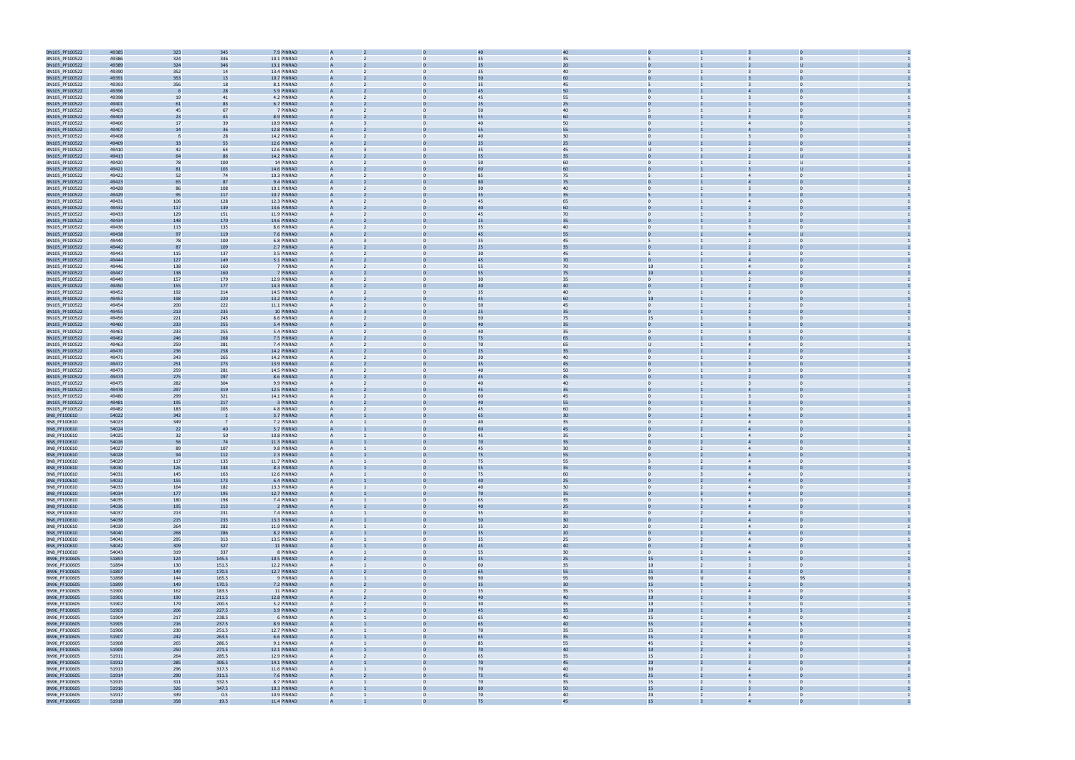

| BN105_PF100522                   | 49385          | 323        | 345            | 7.9 PINRAD                 |                   |                                | 4(             | 40       |                                                  |                                                                |  |
|----------------------------------|----------------|------------|----------------|----------------------------|-------------------|--------------------------------|----------------|----------|--------------------------------------------------|----------------------------------------------------------------|--|
| BN105_PF100522                   | 49386          | 324        | 346            | 10.1 PINRAD                |                   |                                | 35             | 35       |                                                  |                                                                |  |
| BN105_PF100522                   | 49389          | 324        | 346            | 13.1 PINRAD                |                   |                                | 35             | 20       |                                                  |                                                                |  |
| BN105_PF100522                   | 49390          | 352        | 14             | 13.4 PINRAD                | A                 | $\Omega$                       | 35             | 40       | $\Omega$                                         |                                                                |  |
| BN105_PF100522                   | 49391          | 353        | 15             | 10.7 PINRAD                |                   |                                | 50             | 60       |                                                  |                                                                |  |
| BN105_PF100522                   | 49393          | 356        | 18             | 8.1 PINRAD                 | A                 | $\mathbf{0}$                   | 35             | 45       | 5                                                | $\mathbf 0$<br>3                                               |  |
| BN105_PF100522                   | 49396          | -6         | 28             | 5.9 PINRAD                 |                   |                                | 45             | 50       |                                                  |                                                                |  |
| BN105_PF100522                   | 49398          | 19         | 41             | 4.2 PINRAD                 | A                 |                                | 45             | 55       | $\Omega$                                         | $\Omega$                                                       |  |
| BN105_PF100522                   | 49401          | 61         | 83             | 6.7 PINRAD                 |                   |                                | 25             | 25       |                                                  |                                                                |  |
| BN105_PF100522                   | 49403          | 45         | 67             | 7 PINRAD                   | $\mathsf{A}$      |                                | 50             | 40       | 5                                                | $\overline{2}$<br>$\Omega$                                     |  |
| BN105_PF100522                   | 49404          | 23         | 45             | 8.9 PINRAD                 |                   |                                | 55             | 60       |                                                  |                                                                |  |
| BN105_PF100522                   | 49406          | 17         | 39             | 10.9 PINRAD                |                   |                                | 40             | 50       |                                                  |                                                                |  |
| BN105_PF100522                   | 49407          | 14         | 36             | 12.8 PINRAD                |                   |                                | 55             | 55       |                                                  |                                                                |  |
| BN105_PF100522                   | 49408          | - 6        | 28             | 14.2 PINRAD                | A                 |                                | 40             | 30       | $\Omega$                                         | $\overline{3}$                                                 |  |
| BN105_PF100522                   | 49409          | 33         | 55             | 12.6 PINRAD                |                   |                                | 25             | 25       |                                                  |                                                                |  |
| BN105_PF100522                   | 49410          | 42         | 64             | 12.6 PINRAD                | А                 | $\mathbf{0}$                   | 35             | 45       | $\cup$                                           | $\mathbf 0$<br>$\overline{2}$                                  |  |
| BN105_PF100522                   | 49413          | 64         |                | 14.2 PINRAD                |                   |                                | 55             | 35       |                                                  |                                                                |  |
| BN105_PF100522                   | 49420          | 78         | 100            | 14 PINRAD                  | A                 |                                | 50             | 60       | $\Omega$                                         | υ                                                              |  |
| BN105_PF100522                   | 49421          | 81         | 103            | 14.6 PINRAD                |                   |                                |                | 60       |                                                  |                                                                |  |
| BN105_PF100522                   | 49422          | 52         | 74             | 10.3 PINRAD                | A                 |                                | 85             | 75       | 5                                                | $\Omega$<br>$\overline{4}$                                     |  |
| BN105_PF100522                   | 49423<br>49428 | 65         | 87<br>108      | 9.4 PINRAD<br>10.1 PINRAD  |                   |                                | $\overline{3}$ | 75<br>40 |                                                  |                                                                |  |
| BN105_PF100522<br>BN105_PF100522 | 49429          | 86<br>95   | 117            | 10.7 PINRAD                |                   |                                | 35             | 35       |                                                  |                                                                |  |
| BN105_PF100522                   | 49431          | 106        | 128            | 12.3 PINRAD                |                   |                                | 45             | 65       | $\Omega$                                         | $\overline{4}$                                                 |  |
| BN105_PF100522                   | 49432          | 117        | 139            | 13.6 PINRAD                |                   |                                | 40             | 60       |                                                  |                                                                |  |
| BN105_PF100522                   | 49433          | 129        | 151            | 11.9 PINRAD                | A                 | $\mathbf{0}$                   | 45             | 70       | $\mathbf{0}$                                     | $\Omega$                                                       |  |
| BN105_PF100522                   | 49434          | 148        | 170            | 14.6 PINRAD                |                   |                                | 25             | 35       |                                                  |                                                                |  |
| BN105_PF100522                   | 49436          | 113        | 135            | 8.6 PINRAD                 | A                 |                                | 35             | 40       | $\Omega$                                         | $\Omega$                                                       |  |
| BN105_PF100522                   | 49438          | 97         | 119            | 7.6 PINRAD                 |                   |                                |                | 55       |                                                  |                                                                |  |
| BN105_PF100522                   | 49440          | 78         | 100            | 6.8 PINRAD                 | $\mathsf{A}$      |                                | 35             | 45       | 5                                                | $\overline{2}$<br>$\Omega$                                     |  |
| BN105_PF100522                   | 49442          | 87         | 109            | 2.7 PINRAD                 |                   |                                | 25             | 35       |                                                  |                                                                |  |
| BN105_PF100522                   | 49443          | 115        | 137            | 3.5 PINRAD                 |                   |                                | 30             | 45       |                                                  |                                                                |  |
| BN105_PF100522                   | 49444          | 127        | 149            | 5.1 PINRAD                 |                   |                                | 45             | 70       |                                                  |                                                                |  |
| BN105_PF100522                   | 49446          | 138        | 160            | 7 PINRAD                   | A                 |                                | 55             | 70       | 10                                               | $\overline{4}$                                                 |  |
| BN105_PF100522                   | 49447          | 138        | 160            | 7 PINRAD                   |                   |                                | 55             | 75       | $10\,$                                           |                                                                |  |
| BN105_PF100522                   | 49449          | 157        | 179            | 12.9 PINRAD                | A                 | $\mathbf{0}$                   | 30             | 35       | $\overline{0}$                                   | $\overline{2}$<br>$\Omega$                                     |  |
| BN105_PF100522                   | 49450          | 155        | 177            | 14.3 PINRAD                |                   |                                | 4(             | 40       |                                                  |                                                                |  |
| BN105_PF100522                   | 49452          | 192        | 214            | 14.5 PINRAD                | $\mathsf{A}$      |                                | 35             | 40       | $\Omega$                                         | $\Omega$                                                       |  |
| BN105_PF100522                   | 49453          | 198        | 220            | 13.2 PINRAD                |                   |                                |                | 60       | 10                                               |                                                                |  |
| BN105_PF100522                   | 49454          | 200        | 222            | 11.1 PINRAD                | $\mathsf{A}$      |                                | 50             | 45       | $\mathbf{0}$                                     | $\overline{2}$<br>$\Omega$                                     |  |
| BN105_PF100522                   | 49455          | 213        | 235            | 10 PINRAD                  |                   |                                | 25             | 35       |                                                  |                                                                |  |
| BN105_PF100522                   | 49456          | 221        | 243            | 8.6 PINRAD                 |                   |                                | 50             | 75       | 15                                               |                                                                |  |
| BN105_PF100522                   | 49460          | 233        | 255            | 5.4 PINRAD                 |                   |                                | 40             | 35       |                                                  |                                                                |  |
| BN105_PF100522                   | 49461          | 233        | 255            | 5.4 PINRAD                 | A                 |                                | 40             | 35       | $\Omega$                                         |                                                                |  |
| BN105_PF100522                   | 49462          | 246        | 268            | 7.5 PINRAD                 |                   |                                | 75             | 65       |                                                  |                                                                |  |
| BN105_PF100522                   | 49463          | 259        | 281            | 7.4 PINRAD                 | A                 | $\mathbf{0}$                   | 70             | 65       | $\cup$                                           | $\mathbf 0$<br>$\overline{4}$                                  |  |
| BN105_PF100522                   | 49470          | 236        | 258            | 14.2 PINRAD                |                   |                                | 25             | 35       |                                                  |                                                                |  |
| BN105_PF100522                   | 49471          | 243        | 265            | 14.2 PINRAD                | A                 |                                | 30             | 40       | $\Omega$                                         | $\Omega$                                                       |  |
| BN105_PF100522                   | 49472<br>49473 | 251        | 273            | 13.9 PINRAD<br>14.5 PINRAD | $\mathsf{A}$      | $\Omega$                       | 40             | 45<br>50 | $\overline{0}$                                   | $\Omega$                                                       |  |
| BN105_PF100522<br>BN105_PF100522 | 49474          | 259<br>275 | 281<br>297     | 8.6 PINRAD                 |                   |                                | 45             | 45       |                                                  | 3                                                              |  |
| BN105_PF100522                   | 49475          | 282        | 304            | 9.9 PINRAD                 |                   |                                | 4(             | 40       |                                                  |                                                                |  |
| BN105_PF100522                   | 49478          | 297        | 319            | 12.5 PINRAD                |                   |                                | 45             | 35       |                                                  |                                                                |  |
| BN105_PF100522                   | 49480          | 299        | 321            | 14.1 PINRAD                | A                 |                                | 60             | 45       | $\Omega$                                         | $\overline{3}$                                                 |  |
| BN105_PF100522                   | 49481          | 195        | 217            | 3 PINRAD                   |                   |                                | 40             | 55       |                                                  |                                                                |  |
| BN105_PF100522                   | 49482          | 183        | 205            | 4.8 PINRAD                 | А                 | $\Omega$                       | 45             | 60       | $\overline{0}$                                   | 3<br>$\Omega$                                                  |  |
| BN8_PF100610                     | 54022          | 342        |                | 3.7 PINRAD                 |                   |                                |                | 30       |                                                  |                                                                |  |
| BN8_PF100610                     | 54023          | 349        | - 7            | 7.2 PINRAD                 | A                 | $\Omega$                       | 40             | 35       | $\Omega$                                         | $\Omega$                                                       |  |
| BN8_PF100610                     | 54024          | 22         | 40             | 5.7 PINRAD                 |                   |                                |                | 45       |                                                  |                                                                |  |
| BN8_PF100610                     | 54025          | 32         | 50             | 10.8 PINRAD                | A                 | $\Omega$                       | 45             | 35       | $\mathbf{0}$                                     | $\mathbf{0}$<br>$\overline{4}$                                 |  |
| BN8_PF100610                     | 54026          | 56         | 74             | 11.3 PINRAD                |                   |                                | 70             | 35       |                                                  |                                                                |  |
| BN8_PF100610                     | 54027          | 89         | 107            | 9.8 PINRAD                 |                   |                                | 45             | 30       | $\Omega$                                         | $\Delta$<br>$\Omega$                                           |  |
| BN8_PF100610                     | 54028          | 94         | 112            | 2.3 PINRAD                 |                   |                                | 75             | 55       |                                                  |                                                                |  |
| BN8_PF100610                     | 54029          | 117        | 135            | 11.7 PINRAD                |                   |                                | 75             | 55       |                                                  |                                                                |  |
| BN8_PF100610                     | 54030          | 126        | 144            | 8.3 PINRAD                 |                   |                                | 55             | 35       |                                                  |                                                                |  |
| BN8_PF100610                     | 54031          | 145        | 163            | 12.6 PINRAD                | $\mathsf{A}$      | $\mathbf{0}$                   | 75             | 60       | $\overline{0}$<br>$\overline{3}$                 | $\overline{4}$<br>$\overline{0}$                               |  |
| BN8_PF100610                     | 54032          | 155        | 173            | 6.4 PINRAD                 |                   |                                | 40             | 25       |                                                  | $\overline{4}$                                                 |  |
| BN8_PF100610                     | 54033          | 164        | 182            | 13.3 PINRAD                | $\mathsf{A}$      | $\mathbf{0}$                   | 40             | 30       | $\overline{0}$<br>$\overline{2}$                 | $\overline{4}$<br>$\Omega$                                     |  |
| BN8_PF100610                     | 54034          | 177        | 195            | 12.7 PINRAD                |                   |                                | 70             | 35       |                                                  |                                                                |  |
| BN8_PF100610<br>BN8_PF100610     | 54035<br>54036 | 180<br>195 | 198<br>213     | 7.4 PINRAD<br>2 PINRAD     | $\mathsf{A}$<br>A | $\mathbf{0}$                   | 65<br>40       | 35<br>25 | $\overline{0}$<br>$\overline{3}$<br>$\mathbf{0}$ | $\overline{0}$<br>$\overline{4}$<br>$\overline{4}$<br>$\Omega$ |  |
| BN8_PF100610                     | 54037          | 213        | 231            | 7.4 PINRAD                 | A                 | $\mathbf{0}$                   | 35             | $20\,$   | $\overline{0}$<br>$\overline{2}$                 | $\overline{4}$<br>$\Omega$                                     |  |
| BN8_PF100610                     | 54038          | 215        | 233            | 13.3 PINRAD                | A                 |                                | 50             | 30       | $\Omega$                                         | $\overline{4}$<br>$\Omega$                                     |  |
| BN8_PF100610                     | 54039          | 264        | 282            | 11.9 PINRAD                | $\mathsf{A}$      | $\mathbf{0}$                   | 35             | 20       | $\overline{0}$<br>$\overline{2}$                 | $\overline{4}$<br>$\Omega$                                     |  |
| BN8_PF100610                     | 54040          | 268        | 286            | 8.2 PINRAD                 | A                 |                                | 35             | $20\,$   | $\mathbf{0}$<br>$2^{\circ}$                      | $\overline{4}$                                                 |  |
| BN8_PF100610                     | 54041          | 295        | 313            | 13.5 PINRAD                | $\overline{A}$    | $\mathbf{0}$                   | 35             | 25       | $\overline{0}$<br>$\overline{2}$                 | $\overline{4}$<br>$\overline{0}$                               |  |
| BN8_PF100610                     | 54042          | 309        | 327            | 11 PINRAD                  | A                 |                                | 45             | $40\,$   | $\mathbf{0}$                                     | $\overline{4}$<br>$\Omega$                                     |  |
| BN8_PF100610                     | 54043          | 319        | 337            | 8 PINRAD                   | A                 | $\mathbf{0}$                   | 55             | 30       | $\overline{0}$<br>$\overline{2}$                 | $\overline{4}$<br>$\Omega$                                     |  |
| BN96_PF100605                    | 51893          | 124        | 145.5          | 10.5 PINRAD                |                   |                                | 35             | 25       | 15                                               |                                                                |  |
| BN96_PF100605                    | 51894          | 130        | 151.5          | 12.2 PINRAD                | $\mathsf{A}$      | $\mathbf{0}$                   | 60             | 35       | $10\,$<br>$\overline{2}$                         | $\overline{0}$<br>$\overline{\mathbf{3}}$                      |  |
| BN96_PF100605                    | 51897          | 149        | 170.5          | 12.7 PINRAD                | A                 |                                | 65             | 55       | 25                                               | $\overline{3}$<br>$\overline{0}$                               |  |
| BN96_PF100605                    | 51898          | 144        | 165.5          | 9 PINRAD                   | A                 | $\Omega$                       | 90             | 95       | 90<br>U                                          | 95<br>$\overline{4}$                                           |  |
| BN96_PF100605                    | 51899          | 149        | 170.5          | 7.2 PINRAD                 | A                 |                                | 35             | 30       | 15                                               | $\Omega$                                                       |  |
| BN96_PF100605                    | 51900          | 162        | 183.5          | 11 PINRAD                  | $\mathsf{A}$      | $\mathbf{0}$                   | 35             | 35       | 15                                               | $\Omega$<br>$\overline{4}$                                     |  |
| BN96_PF100605                    | 51901          | 190        | 211.5          | 12.8 PINRAD                | A                 | $\mathbf{0}$                   | 40             | 40       | 10                                               | $\overline{0}$<br>$\overline{3}$                               |  |
| BN96_PF100605                    | 51902          | 179        | 200.5          | 5.2 PINRAD                 | $\overline{A}$    | $\mathbf{0}$<br><sup>2</sup>   | 30             | 35       | 10                                               | $\overline{\mathbf{3}}$<br>$\overline{0}$                      |  |
| BN96_PF100605                    | 51903          | 206        | 227.5          | 3.9 PINRAD                 | A                 | $\Omega$                       | 45             | 35       | 20 <sub>2</sub>                                  |                                                                |  |
| BN96_PF100605                    | 51904          | 217        | 238.5          | 6 PINRAD                   | A                 | $\mathbf{0}$                   | 65             | 40       | 15                                               | $\overline{0}$<br>$\overline{4}$                               |  |
| BN96_PF100605                    | 51905          | 216        | 237.5          | 8.9 PINRAD                 |                   |                                | 65             | 40       | 55                                               |                                                                |  |
| BN96_PF100605                    | 51906          | 230        | 251.5          | 12.7 PINRAD                | $\mathsf{A}$      | $\mathbf{0}$                   | 70             | 35       | 25<br>$\overline{2}$                             | $\overline{4}$<br>$\overline{0}$                               |  |
| BN96_PF100605                    | 51907          | 242        | 263.5          | 6.6 PINRAD                 | A                 |                                | 65             | 35       | 15<br>$\overline{2}$                             | $\overline{3}$<br>$\Omega$                                     |  |
| BN96_PF100605                    | 51908          | 265        | 286.5          | 9.1 PINRAD                 | A                 |                                | 85             | 55       | 45                                               | $\overline{4}$<br>$\Omega$<br>$\Omega$                         |  |
| BN96_PF100605<br>BN96_PF100605   | 51909<br>51911 | 250<br>264 | 271.5<br>285.5 | 12.1 PINRAD<br>12.9 PINRAD | A<br>$\mathsf{A}$ | $\mathbf{0}$<br>$\overline{2}$ | 70<br>65       | 40<br>35 | 10 <sub>1</sub><br>15<br>$\overline{2}$          | $\overline{2}$<br>$\mathbf{0}$                                 |  |
| BN96_PF100605                    | 51912          | 285        | 306.5          | 14.1 PINRAD                | A                 |                                | 70             | 45       | 20<br>$\overline{2}$                             | $\overline{0}$<br>$\overline{3}$                               |  |
| BN96_PF100605                    | 51913          | 296        | 317.5          | 11.6 PINRAD                | $\overline{A}$    | $\mathbf{0}$                   | 70             | 40       | 30 <sup>°</sup><br>$\overline{2}$                | $\overline{0}$<br>$\overline{4}$                               |  |
| BN96_PF100605                    | 51914          | 290        | 311.5          | 7.6 PINRAD                 | A                 |                                | 75             | 45       | 25                                               | $\overline{4}$<br>$\Omega$                                     |  |
| BN96_PF100605                    | 51915          | 311        | 332.5          | 8.7 PINRAD                 | $\mathsf{A}$      | $\mathbf{0}$                   | 70             | 35       | 15<br>$\overline{2}$                             | $\overline{3}$<br>$\Omega$                                     |  |
| BN96_PF100605                    | 51916          | 326        | 347.5          | 10.3 PINRAD                |                   |                                | 80             | 50       | 15                                               |                                                                |  |
| BN96_PF100605                    | 51917          | 339        | 0.5            | 10.9 PINRAD                | $\mathsf{A}$      | $\mathbf{0}$<br>$\mathbf{1}$   | 70             | 40       | 20<br>$\overline{2}$                             | $\overline{0}$<br>$\overline{4}$                               |  |
|                                  | 51918          | 358        | 19.5           | 11.4 PINRAD                | $\Delta$          |                                | 75             | 45       | 15                                               |                                                                |  |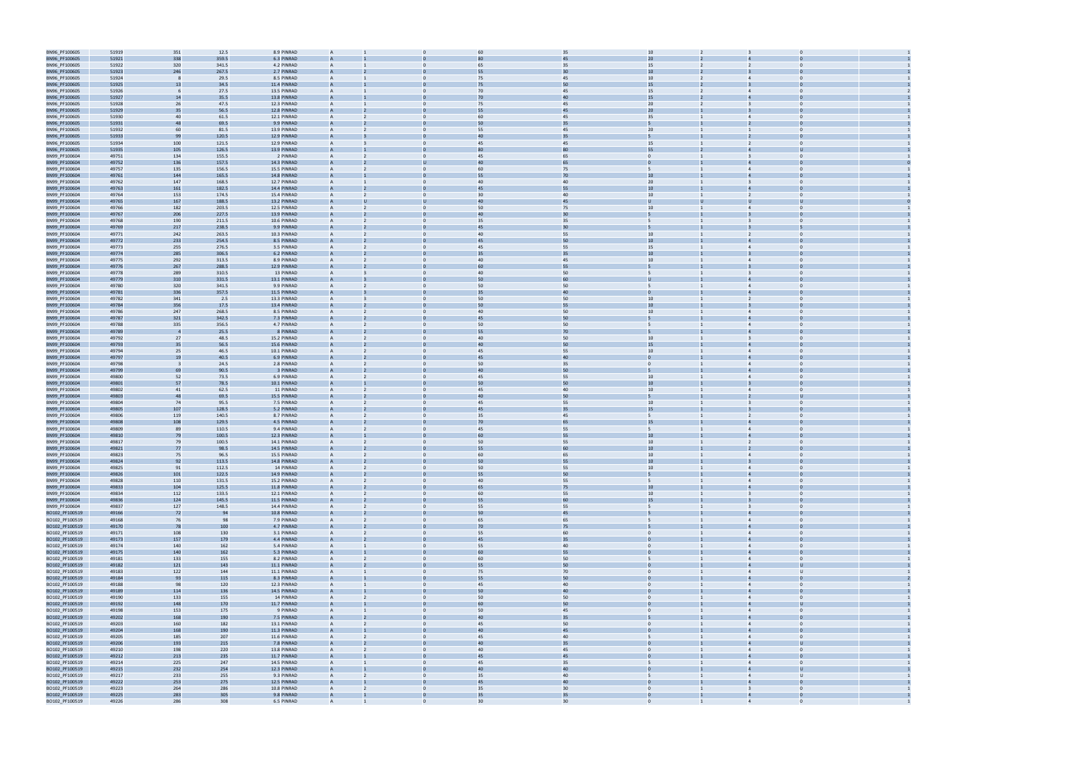| BN96_PF100605                    | 51919 | 351                     | 12.5  | 8.9 PINRAD  | A              |                | 60             | 35     | 10               |                         |                |  |
|----------------------------------|-------|-------------------------|-------|-------------|----------------|----------------|----------------|--------|------------------|-------------------------|----------------|--|
| BN96_PF100605                    | 51921 | 338                     | 359.5 | 6.3 PINRAD  |                |                |                | 45     | 20               |                         |                |  |
| BN96_PF100605                    | 51922 | 320                     | 341.5 | 4.2 PINRAD  | $\mathsf{A}$   |                | 65             | 35     | 15               |                         | $\Omega$       |  |
| BN96_PF100605                    | 51923 | 246                     | 267.5 | 2.7 PINRAD  |                |                |                | 30     | 10               |                         |                |  |
| BN96_PF100605                    | 51924 | -8                      | 29.5  | 8.5 PINRAD  | A              |                | 75             | 45     | 10 <sup>1</sup>  | $\overline{4}$          |                |  |
| BN96_PF100605                    | 51925 | 13                      | 34.5  | 11.4 PINRAD | A              |                | 75             | 50     |                  |                         |                |  |
|                                  |       |                         |       |             |                |                | 70             |        | 15               |                         |                |  |
| BN96_PF100605                    | 51926 |                         | 27.5  | 13.5 PINRAD |                |                |                | 45     | 15               |                         |                |  |
| BN96_PF100605                    | 51927 | 14                      | 35.5  | 13.8 PINRAD |                |                | 70             | 40     | 15               |                         |                |  |
| BN96_PF100605                    | 51928 | 26                      | 47.5  | 12.3 PINRAD | A              | $\Omega$       | 75             | 45     | 20               | $\overline{3}$          | $\Omega$       |  |
| BN96_PF100605                    | 51929 | 35                      | 56.5  | 12.8 PINRAD |                |                |                | 45     | 20 <sub>2</sub>  |                         |                |  |
| BN96_PF100605                    | 51930 | 40                      | 61.5  | 12.1 PINRAD | A              | $\Omega$       | 60             | 45     | 35               | $\overline{4}$          | $\Omega$       |  |
| BN96_PF100605                    | 51931 | 48                      | 69.5  | 9.9 PINRAD  |                |                | 50             | 35     |                  |                         |                |  |
| BN96_PF100605                    | 51932 | 60                      | 81.5  | 13.9 PINRAD | $\mathsf{A}$   |                | 55             | 45     | 20               |                         | $\Omega$       |  |
| BN96_PF100605                    | 51933 | 99                      | 120.5 | 12.9 PINRAD |                |                | 4(             | 35     |                  |                         |                |  |
| BN96_PF100605                    | 51934 | 100                     | 121.5 | 12.9 PINRAD | A              |                | 45             | 45     | 15               | $\overline{2}$          |                |  |
| BN96_PF100605                    | 51935 | 105                     | 126.5 | 13.9 PINRAD |                |                |                | 80     | 55               |                         |                |  |
| BN99_PF100604                    | 49751 | 134                     | 155.5 | 2 PINRAD    |                |                | 45             | 65     | $\mathbf{0}$     |                         |                |  |
| BN99_PF100604                    | 49752 | 136                     | 157.5 | 14.3 PINRAD |                |                | 40             | 65     |                  |                         |                |  |
| BN99_PF100604                    | 49757 | 135                     | 156.5 | 15.5 PINRAD | A              | $\Omega$       | 60             | 75     |                  | $\overline{4}$          | $\Omega$       |  |
| BN99_PF100604                    | 49761 |                         | 165.5 | 14.8 PINRAD |                |                | 55             | $70\,$ | 10               |                         |                |  |
|                                  |       | 144                     |       |             |                | $\Omega$       |                |        |                  | $\overline{3}$          | $\Omega$       |  |
| BN99_PF100604                    | 49762 | 147                     | 168.5 | 12.7 PINRAD | A              |                | 40             | 40     | 20               |                         |                |  |
| BN99_PF100604                    | 49763 | 161                     | 182.5 | 14.4 PINRAD |                |                | 45             | 55     | 10               |                         |                |  |
| BN99_PF100604                    | 49764 | 153                     | 174.5 | 15.4 PINRAD | $\mathsf{A}$   |                | 30             | 40     | 10 <sup>1</sup>  |                         | $\Omega$       |  |
| BN99_PF100604                    | 49765 | 167                     | 188.5 | 13.2 PINRAD |                |                | 4(             | 45     |                  |                         |                |  |
| BN99_PF100604                    | 49766 | 182                     | 203.5 | 12.5 PINRAD | A              |                | 50             | 75     | 10 <sup>1</sup>  | $\overline{4}$          |                |  |
| BN99_PF100604                    | 49767 | 206                     | 227.5 | 13.9 PINRAD |                |                | 40             | 30     |                  |                         |                |  |
| BN99_PF100604                    | 49768 | 190                     | 211.5 | 10.6 PINRAD |                |                | 35             | 35     | 5                | $\overline{3}$          |                |  |
| BN99_PF100604                    | 49769 | 217                     | 238.5 | 9.9 PINRAD  |                |                | 45             | 30     |                  |                         |                |  |
| BN99_PF100604                    | 49771 | 242                     | 263.5 | 10.3 PINRAD | A              | $\Omega$       | 40             | 55     | 10               |                         | $\mathbf 0$    |  |
| BN99_PF100604                    | 49772 | 233                     | 254.5 | 8.5 PINRAD  |                |                | 45             | 50     | 10               |                         |                |  |
| BN99_PF100604                    | 49773 | 255                     | 276.5 | 3.5 PINRAD  | A              | $\Omega$       | 45             | 55     | 15               | $\overline{4}$          | $\Omega$       |  |
| BN99_PF100604                    | 49774 | 285                     | 306.5 | 6.2 PINRAD  |                |                | 35             | 35     | 10               |                         |                |  |
| BN99_PF100604                    | 49775 | 292                     | 313.5 | 8.9 PINRAD  | A              |                | 40             | 45     | 10 <sup>1</sup>  | $\overline{4}$          | $\Omega$       |  |
| BN99_PF100604                    | 49776 | 267                     | 288.5 | 12.9 PINRAD |                |                | 60             | 55     |                  |                         |                |  |
| BN99_PF100604                    | 49778 | 289                     | 310.5 | 13 PINRAD   | A              |                | 40             | 50     | 5                | 3                       |                |  |
| BN99_PF100604                    | 49779 | 310                     | 331.5 | 13.1 PINRAD |                |                | 50             | 60     | $\mathbf{U}$     |                         |                |  |
| BN99_PF100604                    | 49780 | 320                     | 341.5 | 9.9 PINRAD  |                |                | 50             | 50     |                  | $\overline{4}$          |                |  |
| BN99_PF100604                    | 49781 | 336                     | 357.5 | 11.5 PINRAD |                |                | 35             | 40     |                  |                         |                |  |
|                                  |       |                         |       | 13.3 PINRAD | A              | $\mathbf{0}$   | 50             | 50     | 10               | 2                       | $\mathbf 0$    |  |
| BN99_PF100604                    | 49782 | 341                     | 2.5   |             |                |                | 5 <sub>0</sub> |        | 10               |                         |                |  |
| BN99_PF100604                    | 49784 | 356                     | 17.5  | 13.4 PINRAD |                |                |                | 55     |                  |                         |                |  |
| BN99_PF100604                    | 49786 | 247                     | 268.5 | 8.5 PINRAD  | A              | $\Omega$       | 40             | 50     | 10 <sup>1</sup>  | $\overline{4}$          | $\Omega$       |  |
| BN99_PF100604                    | 49787 | 321                     | 342.5 | 7.3 PINRAD  |                |                | 45             | 50     |                  |                         |                |  |
| BN99_PF100604                    | 49788 | 335                     | 356.5 | 4.7 PINRAD  | A              |                | 50             | 50     | 5                | $\overline{4}$          | $\Omega$       |  |
| BN99_PF100604                    | 49789 | $\overline{4}$          | 25.5  | 8 PINRAD    |                |                | 55             | 70     |                  |                         |                |  |
| BN99_PF100604                    | 49792 | 27                      | 48.5  | 15.2 PINRAD | A              |                | 40             | 50     | 10               | 3                       |                |  |
| BN99_PF100604                    | 49793 | 35                      | 56.5  | 15.6 PINRAD | A              |                | 40             | 50     | 15               |                         |                |  |
| BN99_PF100604                    | 49794 | 25                      | 46.5  | 10.1 PINRAD |                |                | 45             | 55     | 10               | $\Delta$                |                |  |
| BN99_PF100604                    | 49797 | 19                      | 40.5  | 6.9 PINRAD  |                |                | 45             | 40     | $\overline{0}$   |                         |                |  |
| BN99_PF100604                    | 49798 | $\overline{\mathbf{3}}$ | 24.5  | 2.8 PINRAD  | A              | $\Omega$       | 50             | 35     | $\overline{0}$   | $\overline{4}$          |                |  |
| BN99_PF100604                    | 49799 | 69                      | 90.5  | 3 PINRAD    |                |                | 4(             | 50     |                  |                         |                |  |
| BN99_PF100604                    | 49800 | 52                      | 73.5  | 6.9 PINRAD  | A              | $\Omega$       | 45             | 55     | 10               | $\overline{4}$          | $\Omega$       |  |
| BN99_PF100604                    | 49801 | 57                      | 78.5  | 10.1 PINRAD |                |                | 50             | 50     | 10               |                         |                |  |
| BN99_PF100604                    | 49802 | 41                      | 62.5  | 11 PINRAD   | A              |                | 45             | 40     | 10               | $\overline{4}$          | $\Omega$       |  |
| BN99_PF100604                    | 49803 | 48                      | 69.5  | 15.5 PINRAD |                |                | 4(             | 50     |                  |                         |                |  |
|                                  | 49804 | 74                      |       | 7.5 PINRAD  | A              |                | 45             |        | 10 <sup>1</sup>  |                         |                |  |
| BN99_PF100604                    |       |                         | 95.5  |             |                |                |                | 55     |                  |                         |                |  |
| BN99_PF100604                    | 49805 | 107                     | 128.5 | 5.2 PINRAD  | A              |                | 45             | 35     | 15               |                         |                |  |
| BN99_PF100604                    | 49806 | 119                     | 140.5 | 8.7 PINRAD  |                |                | 35             | 45     |                  |                         |                |  |
| BN99_PF100604                    | 49808 | 108                     | 129.5 | 4.5 PINRAD  |                |                | 70             | 65     | 15               |                         |                |  |
| BN99_PF100604                    | 49809 | 89                      | 110.5 | 9.4 PINRAD  | A              | $\Omega$       | 45             | 55     | $\overline{5}$   | $\overline{4}$          | $\Omega$       |  |
| BN99_PF100604                    | 49810 | 79                      | 100.5 | 12.3 PINRAD |                |                |                | 55     | 10               |                         |                |  |
| BN99_PF100604                    | 49817 | 79                      | 100.5 | 14.1 PINRAD | A              | $\mathbf{0}$   | 50             | 55     | 10 <sup>1</sup>  | 2                       | $\Omega$       |  |
| BN99_PF100604                    | 49821 | 77                      | 98.5  | 14.5 PINRAD |                |                | 55             | 60     | 10 <sup>10</sup> |                         |                |  |
| BN99_PF100604                    | 49823 | 75                      | 96.5  | 15.5 PINRAD |                |                | 60             | 65     | 10               |                         |                |  |
| BN99_PF100604                    | 49824 | 92                      | 113.5 | 14.8 PINRAD |                |                | 50             | 55     | 10               |                         |                |  |
| BN99_PF100604                    | 49825 | 91                      | 112.5 | 14 PINRAD   | $\mathsf{A}$   | $\overline{0}$ | 50             | 55     | 10               | $\overline{4}$          | $\Omega$       |  |
| BN99_PF100604                    | 49826 | 101                     | 122.5 | 14.9 PINRAD | A              |                | 55             | 50     | 5                | $\overline{4}$          | $\Omega$       |  |
| BN99_PF100604                    | 49828 | 110                     | 131.5 | 15.2 PINRAD | A              |                | 40             | 55     | 5                | $\overline{4}$          | $\Omega$       |  |
| BN99_PF100604                    | 49833 | 104                     | 125.5 | 11.8 PINRAD | A              |                | 65             | 75     | 10 <sup>°</sup>  | $\overline{4}$          | $\mathbf 0$    |  |
| BN99_PF100604                    | 49834 | 112                     | 133.5 | 12.1 PINRAD | $\mathsf{A}$   | $\mathbf{0}$   | 60             | 55     | 10               | $\overline{3}$          | $\overline{0}$ |  |
| BN99_PF100604                    | 49836 | 124                     | 145.5 | 11.5 PINRAD | A              |                | 55             | 60     | 15               |                         | $\Omega$       |  |
| BN99_PF100604                    | 49837 | 127                     | 148.5 | 14.4 PINRAD | A              | $\mathbf{0}$   | 55             | 55     | 5 <sup>5</sup>   | $\overline{\mathbf{3}}$ | $\overline{0}$ |  |
| BO102_PF100519                   | 49166 | 72                      | 94    | 10.8 PINRAD | A              |                | 50             | 45     |                  | $\overline{4}$          | $\Omega$       |  |
| BO102_PF100519                   | 49168 | 76                      | 98    | 7.9 PINRAD  | $\mathsf{A}$   | $\mathbf{0}$   | 65             | 65     | 5                | $\overline{4}$          | $\overline{0}$ |  |
| BO102_PF100519                   | 49170 | 78                      | 100   | 4.7 PINRAD  |                |                | 70             | 75     |                  |                         | $\Omega$       |  |
| BO102_PF100519                   | 49171 | 108                     | 130   | 3.1 PINRAD  | $\overline{A}$ | $\Omega$       | 55             | 60     | $\overline{0}$   | $\overline{4}$          | $\Omega$       |  |
| BO102_PF100519                   | 49173 | 157                     | 179   | 4.4 PINRAD  | A              |                | 45             | 35     | $\Omega$         | $\overline{4}$          | $\Omega$       |  |
| BO102_PF100519                   | 49174 | 140                     | 162   | 5.4 PINRAD  | A              | $\Omega$       | 55             | 40     | $\overline{0}$   | $\overline{4}$          | $\Omega$       |  |
| BO102_PF100519                   | 49175 | 140                     | 162   | 5.3 PINRAD  | A              |                | 60             | 55     | $\mathbf{0}$     | $\overline{4}$          | $\mathbf 0$    |  |
| BO102_PF100519                   | 49181 | 133                     | 155   | 8.2 PINRAD  | $\mathsf{A}$   | $\mathbf{0}$   | 60             | 50     | 5 <sup>5</sup>   | $\overline{4}$          | $\overline{0}$ |  |
| BO102_PF100519                   | 49182 | 121                     | 143   | 11.1 PINRAD | A              |                | 55             | 50     |                  | $\overline{4}$          | U              |  |
| BO102_PF100519                   | 49183 | 122                     | 144   | 11.1 PINRAD | $\overline{A}$ | $\mathbf{0}$   | 75             | 70     | $\overline{0}$   | $\overline{4}$          | $\cup$         |  |
|                                  |       | 93                      |       | 8.3 PINRAD  | A              |                | 55             | 50     | $\Omega$         | $\overline{4}$          | $\Omega$       |  |
| BO102_PF100519                   | 49184 |                         | 115   | 12.3 PINRAD | $\mathsf{A}$   | $\mathbf{0}$   |                | 40     | $\overline{0}$   | $\overline{4}$          | $\overline{0}$ |  |
| BO102_PF100519                   | 49188 | 98                      | 120   |             |                |                | 45             |        |                  |                         |                |  |
| BO102_PF100519                   | 49189 | 114                     | 136   | 14.5 PINRAD |                |                | 50             | 40     |                  |                         |                |  |
| BO102_PF100519                   | 49190 | 133                     | 155   | 14 PINRAD   | $\mathsf{A}$   | $\Omega$       | 50             | 50     | $\overline{0}$   | $\overline{4}$          | $\overline{0}$ |  |
| BO102_PF100519                   | 49192 | 148                     | 170   | 11.7 PINRAD | A              |                | 60             | 50     | $\Omega$         | $\overline{4}$          | π              |  |
| BO102_PF100519                   | 49198 | 153                     | 175   | 9 PINRAD    | A              | $\Omega$       | 50             | 45     | $\overline{0}$   | $\overline{4}$          | $\Omega$       |  |
| BO102_PF100519                   | 49202 | 168                     | 190   | 7.5 PINRAD  | A              |                | 40             | 35     |                  | $\overline{4}$          | $\mathbf 0$    |  |
| BO102_PF100519                   |       | 160                     | 182   | 13.1 PINRAD | $\mathsf{A}$   | $\mathbf{0}$   | 45             | 50     | $\overline{0}$   | $\overline{4}$          | $\overline{0}$ |  |
| BO102_PF100519                   | 49203 |                         | 190   | 11.3 PINRAD | A              |                | 40             | 45     |                  | $\overline{4}$          |                |  |
|                                  | 49204 | 168                     |       |             | $\overline{A}$ | $\mathbf{0}$   | 45             | 40     | 5 <sup>5</sup>   | $\overline{4}$          | $\overline{0}$ |  |
| BO102_PF100519                   | 49205 | 185                     | 207   | 11.6 PINRAD |                |                | 40             |        |                  |                         |                |  |
| BO102_PF100519                   | 49206 | 193                     | 215   | 7.8 PINRAD  | A              |                |                | 35     |                  | $\overline{4}$          | U              |  |
| BO102_PF100519                   | 49210 | 198                     | 220   | 13.8 PINRAD | $\mathsf{A}$   | $\mathbf{0}$   | 40             | 45     | $\overline{0}$   | $\overline{4}$          | $\overline{0}$ |  |
| BO102_PF100519                   | 49212 | 213                     | 235   | 11.7 PINRAD |                |                | 45             | 45     |                  |                         |                |  |
| BO102_PF100519                   | 49214 | 225                     | 247   | 14.5 PINRAD | $\overline{A}$ | $\mathbf{0}$   | 45             | 35     | 5                | $\overline{4}$          | $\Omega$       |  |
| BO102_PF100519                   | 49215 | 232                     | 254   | 12.3 PINRAD | A              |                | 40             | 40     | $\overline{0}$   | $\overline{4}$          | π              |  |
| BO102_PF100519                   | 49217 | 233                     | 255   | 9.3 PINRAD  |                |                | 35             | 40     |                  | $\overline{4}$          | U              |  |
| BO102_PF100519                   | 49222 | 253                     | 275   | 12.5 PINRAD | A              |                | 45             | 40     |                  | $\overline{4}$          |                |  |
|                                  | 49223 | 264                     | 286   | 10.8 PINRAD | $\mathsf{A}$   | $\mathbf{0}$   | 35             | 30     | $\overline{0}$   | $\overline{3}$          | $\overline{0}$ |  |
| BO102_PF100519<br>BO102_PF100519 | 49225 | 283                     | 305   | 9.8 PINRAD  | А              |                | 35             | 35     |                  | $\overline{4}$          | $\overline{0}$ |  |

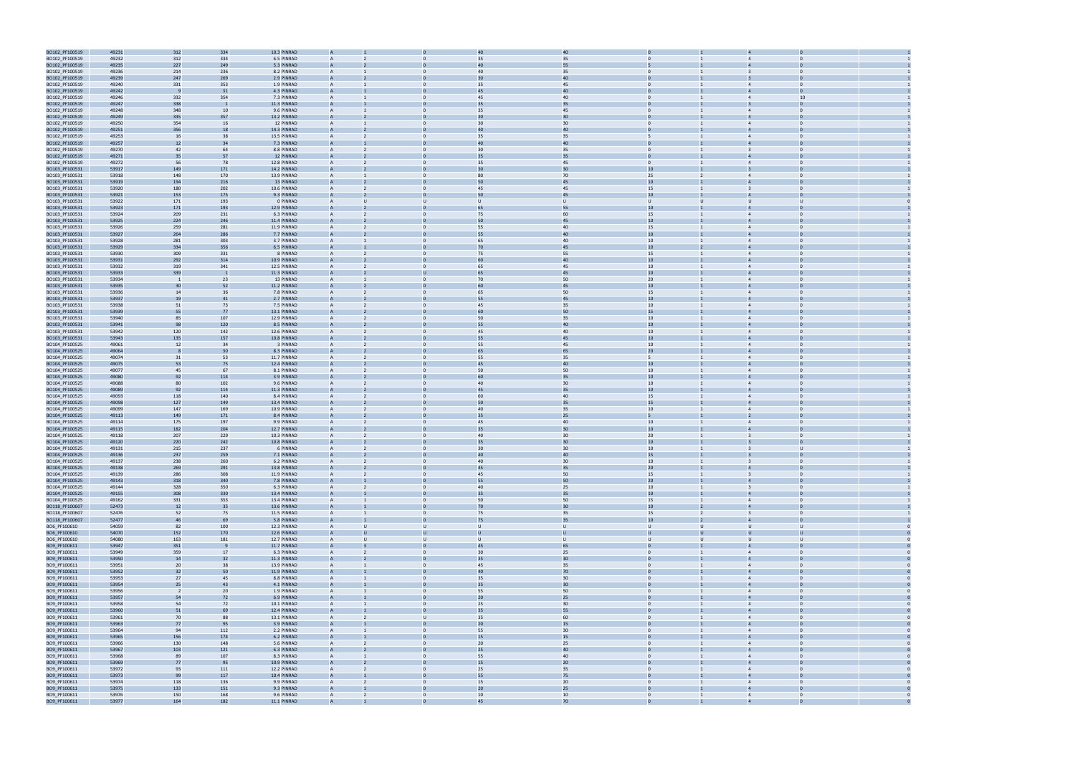

| BO102_PF100519 | 49231 | 312                     | 334          | 10.3 PINRAD |                                  |                                    | 40 |                                  |                |                |  |
|----------------|-------|-------------------------|--------------|-------------|----------------------------------|------------------------------------|----|----------------------------------|----------------|----------------|--|
| BO102_PF100519 | 49232 | 312                     | 334          | 6.5 PINRAD  |                                  | 35                                 | 35 |                                  |                |                |  |
| BO102_PF100519 | 49235 | 227                     | 249          | 5.3 PINRAD  |                                  | 40                                 | 55 |                                  |                |                |  |
| BO102_PF100519 | 49236 | 214                     | 236          | 8.2 PINRAD  | A                                | 40                                 | 35 |                                  |                |                |  |
|                |       |                         |              |             |                                  |                                    |    |                                  |                |                |  |
| BO102_PF100519 | 49239 | 247                     | 269          | 2.9 PINRAD  |                                  | 3C                                 | 40 |                                  |                |                |  |
| BO102_PF100519 | 49240 | 331                     | 353          | 1.9 PINRAD  | A                                | 35<br>0                            | 45 |                                  | $\overline{4}$ | $\Omega$       |  |
| BO102_PF100519 | 49242 |                         | 31           | 4.3 PINRAD  | A                                | 45                                 | 40 |                                  |                |                |  |
| BO102_PF100519 | 49246 | 332                     | 354          | 7.3 PINRAD  | A                                | 45                                 | 40 |                                  |                | 10             |  |
| BO102_PF100519 | 49247 | 338                     |              | 11.3 PINRAD |                                  |                                    | 35 |                                  |                |                |  |
| BO102_PF100519 | 49248 | 348                     | 10           | 9.6 PINRAD  | $\mathsf{A}$                     | 35<br>0                            | 45 |                                  | $\overline{4}$ | $\Omega$       |  |
| BO102_PF100519 | 49249 | 335                     | 357          | 13.2 PINRAD |                                  |                                    | 30 |                                  |                |                |  |
| BO102_PF100519 | 49250 | 354                     | 16           | 12 PINRAD   |                                  | 3C                                 | 30 |                                  |                |                |  |
| BO102_PF100519 | 49251 | 356                     | 18           | 14.3 PINRAD |                                  | 40                                 | 40 |                                  |                |                |  |
|                |       |                         |              |             |                                  |                                    |    |                                  |                |                |  |
| BO102_PF100519 | 49253 | 16                      | 38           | 13.5 PINRAD | A                                | 35                                 | 35 |                                  |                |                |  |
| BO102_PF100519 | 49257 | 12                      | 34           | 7.3 PINRAD  | A                                | 4C                                 | 40 |                                  |                |                |  |
| BO102_PF100519 | 49270 | 42                      | 64           | 8.8 PINRAD  | A                                | 3 <sub>C</sub><br>0                | 35 |                                  | $\overline{3}$ |                |  |
| BO102_PF100519 | 49271 | 35                      | 57           | 12 PINRAD   | A                                | 35                                 | 35 |                                  |                |                |  |
| BO102_PF100519 | 49272 | 56                      | 78           | 12.8 PINRAD | A                                | 35                                 | 45 |                                  |                |                |  |
| BO103_PF100531 | 53917 | 149                     | 171          | 14.2 PINRAD |                                  |                                    | 30 |                                  |                |                |  |
| BO103_PF100531 | 53918 | 148                     | 170          | 13.9 PINRAD | $\mathsf{A}$                     | 0<br>80                            | 70 | 25                               | $\overline{4}$ |                |  |
| BO103_PF100531 | 53919 | 194                     | 216          | 13 PINRAD   |                                  | 50                                 | 45 | 10                               |                |                |  |
|                |       |                         |              |             |                                  |                                    |    |                                  |                |                |  |
| BO103_PF100531 | 53920 | 180                     | 202          | 10.6 PINRAD |                                  | 45                                 | 45 | 15                               |                |                |  |
| BO103_PF100531 | 53921 | 153                     | 175          | 9.3 PINRAD  | A                                | 50                                 | 45 | 10                               |                |                |  |
| BO103_PF100531 | 53922 | 171                     | 193          | 0 PINRAD    | A                                | Ü<br>U                             | U  | $\mathbf{U}$<br>U                | $\mathbf{U}$   |                |  |
| BO103_PF100531 | 53923 | 171                     | 193          | 12.9 PINRAD | A                                | 65                                 | 55 | 10                               |                |                |  |
| BO103_PF100531 | 53924 | 209                     | 231          | 6.3 PINRAD  | A                                | 75<br>0                            | 60 | 15                               | $\overline{4}$ |                |  |
| BO103_PF100531 | 53925 | 224                     | 246          | 11.4 PINRAD |                                  | 50                                 | 45 | 10                               |                |                |  |
| BO103_PF100531 | 53926 | 259                     | 281          | 11.9 PINRAD | A                                | 55                                 | 40 | 15                               |                |                |  |
| BO103_PF100531 | 53927 | 264                     | 286          | 7.7 PINRAD  |                                  |                                    | 40 | 10                               |                |                |  |
|                |       |                         |              |             |                                  |                                    |    |                                  |                |                |  |
| BO103_PF100531 | 53928 | 281                     | 303          | 3.7 PINRAD  | A                                | 65<br>0                            | 40 | 10                               | $\overline{4}$ |                |  |
| BO103_PF100531 | 53929 | 334                     | 356          | 6.5 PINRAD  |                                  | 70                                 | 45 | $10\,$                           |                |                |  |
| BO103_PF100531 | 53930 | 309                     | 331          | 8 PINRAD    |                                  | 75                                 | 55 | 15                               |                |                |  |
| BO103_PF100531 | 53931 | 292                     | 314          | 10.9 PINRAD |                                  | 60                                 | 40 | 10                               |                |                |  |
| BO103_PF100531 | 53932 | 319                     | 341          | 12.5 PINRAD | A                                | 65                                 | 45 | 10                               | $\overline{4}$ |                |  |
| BO103_PF100531 | 53933 | 339                     | - 1          | 11.3 PINRAD | A                                | 65                                 | 45 | 10 <sup>°</sup>                  |                |                |  |
| BO103_PF100531 | 53934 | $\overline{1}$          | 23           | 13 PINRAD   | A                                | 70<br>0                            | 50 | 20                               | $\overline{4}$ |                |  |
|                | 53935 | 30                      | 52           | 11.2 PINRAD |                                  | 60                                 | 45 | 10                               |                |                |  |
| BO103_PF100531 |       |                         |              |             |                                  |                                    |    |                                  |                |                |  |
| BO103_PF100531 | 53936 | 14                      | 36           | 7.8 PINRAD  | A                                | 65                                 | 50 | 15                               |                |                |  |
| BO103_PF100531 | 53937 | 19                      | 41           | 2.7 PINRAD  |                                  | 55                                 | 45 | 10                               |                |                |  |
| BO103_PF100531 | 53938 | 51                      | 73           | 7.5 PINRAD  | A                                | 0<br>45                            | 35 | 10                               | $\overline{4}$ |                |  |
| BO103_PF100531 | 53939 | 55                      | 77           | 13.1 PINRAD | A                                | 60                                 | 50 | 15                               |                |                |  |
| BO103_PF100531 | 53940 | 85                      | 107          | 12.9 PINRAD |                                  | 50                                 | 35 | 10                               |                |                |  |
| BO103_PF100531 | 53941 | 98                      | 120          | 8.5 PINRAD  | A                                | 55                                 | 40 | 10                               |                |                |  |
| BO103_PF100531 | 53942 | 120                     | 142          | 12.6 PINRAD | A                                | 45                                 | 40 | 10                               |                |                |  |
|                |       |                         |              | 10.8 PINRAD |                                  | 55                                 | 45 |                                  |                |                |  |
| BO103_PF100531 | 53943 | 135                     | 157          |             |                                  |                                    |    | $10\,$                           |                |                |  |
| BO104_PF100525 | 49061 | 12                      | 34           | 3 PINRAD    | A                                | 55<br>0                            | 45 | 10                               | $\overline{4}$ |                |  |
| BO104_PF100525 | 49064 |                         | 30           | 8.3 PINRAD  |                                  | 65                                 | 65 | 20                               |                |                |  |
| BO104_PF100525 | 49074 | 31                      | 53           | 11.7 PINRAD | A                                | 55<br>0                            | 35 | 5                                | $\overline{4}$ | $\Omega$       |  |
| BO104_PF100525 | 49075 | 53                      | 75           | 12.4 PINRAD |                                  |                                    | 40 | 10                               |                |                |  |
| BO104_PF100525 | 49077 | 45                      | 67           | 8.1 PINRAD  | A                                | 50<br>0                            | 50 | 10                               | $\overline{4}$ |                |  |
| BO104_PF100525 | 49080 | 92                      | 114          | 3.9 PINRAD  |                                  |                                    | 35 | 10                               |                |                |  |
| BO104_PF100525 | 49088 | 80                      | 102          | 9.6 PINRAD  |                                  | 40                                 | 30 | 10                               |                |                |  |
|                |       |                         |              | 11.3 PINRAD | A                                | 45                                 | 35 | 10                               |                |                |  |
| BO104_PF100525 | 49089 | 92                      | 114          |             |                                  |                                    |    |                                  |                |                |  |
| BO104_PF100525 | 49093 | 118                     | 140          | 8.4 PINRAD  | A                                | 60                                 | 40 | 15                               |                |                |  |
| BO104_PF100525 | 49098 | 127                     | 149          | 13.4 PINRAD |                                  | 50                                 | 35 | 15                               |                |                |  |
| BO104_PF100525 | 49099 | 147                     | 169          | 10.9 PINRAD | A                                | 40<br>0                            | 35 | 10                               | $\overline{4}$ |                |  |
| BO104_PF100525 | 49113 | 149                     | 171          | 8.4 PINRAD  |                                  |                                    | 25 |                                  |                |                |  |
| BO104_PF100525 | 49114 | 175                     | 197          | 9.9 PINRAD  | A                                | 45<br>0                            | 40 | $10\,$                           |                | $\Omega$       |  |
| BO104_PF100525 | 49115 | 182                     | 204          | 12.7 PINRAD |                                  |                                    | 30 | 10                               |                |                |  |
| BO104_PF100525 | 49118 | 207                     | 229          | 10.3 PINRAD | A                                | 0<br>40                            | 30 | 20                               | 3              | $\Omega$       |  |
| BO104_PF100525 | 49120 | 220                     | 242          | 10.8 PINRAD |                                  | 35                                 | 30 | 10                               |                |                |  |
|                |       |                         |              |             | A                                |                                    |    |                                  |                |                |  |
| BO104_PF100525 | 49131 | 215                     | 237          | 6 PINRAD    | A                                | 30                                 | 30 | 10                               |                | $\mathbf{u}$   |  |
| BO104_PF100525 | 49136 | 237                     | 259          | 7.1 PINRAD  |                                  |                                    | 40 | 15                               |                |                |  |
| BO104_PF100525 | 49137 | 238                     | 260          | 6.2 PINRAD  |                                  | 40                                 | 30 | 10                               |                |                |  |
| BO104_PF100525 | 49138 | 269                     | 291          | 13.8 PINRAD | $\mathsf{A}$                     | 45                                 | 35 | 20                               |                |                |  |
| BO104_PF100525 | 49139 | 286                     | 308          | 11.9 PINRAD | A<br>2                           | 45<br>$\overline{0}$               | 50 | 15                               | $\overline{3}$ | $\overline{0}$ |  |
| BO104_PF100525 | 49143 | 318                     | 340          | 7.8 PINRAD  | $\overline{A}$                   | 55                                 | 50 | 20 <sub>2</sub>                  | $\overline{4}$ |                |  |
| BO104_PF100525 | 49144 | 328                     | 350          | 6.3 PINRAD  | $\mathsf{A}$<br>$\overline{2}$   | 40<br>$\mathbf{0}$                 | 25 | 10                               | $\overline{3}$ | $\overline{0}$ |  |
| BO104_PF100525 | 49155 | 308                     | 330          | 13.4 PINRAD | $\overline{A}$                   | 35                                 | 35 | 10 <sup>10</sup>                 |                |                |  |
|                |       | 331                     |              | 13.4 PINRAD |                                  | 50<br>$\mathbf{0}$                 |    | 15                               | $\overline{4}$ | $\overline{0}$ |  |
| BO104_PF100525 | 49162 |                         | 353          |             | A                                |                                    | 50 |                                  |                |                |  |
| BO118_PF100607 | 52473 | 12                      | 35           | 13.6 PINRAD | A                                | 70<br>$\Omega$                     | 30 | 10 <sup>10</sup>                 | $\overline{4}$ | $\Omega$       |  |
| BO118_PF100607 | 52476 | 52                      | 75           | 11.5 PINRAD | $\overline{A}$                   | $\overline{0}$<br>75               | 35 | 15                               | $\overline{3}$ | $\Omega$       |  |
| BO118_PF100607 | 52477 | 46                      | 69           | 5.8 PINRAD  | $\overline{A}$                   | $\Omega$<br>75                     | 35 | 10 <sup>10</sup>                 | $\overline{4}$ | $\Omega$       |  |
| BO6_PF100610   | 54059 | 82                      | 100          | 12.3 PINRAD | $\mathsf{A}$<br>$\cup$           | U<br>$\cup$                        | U. | $\cup$<br>U                      | $\cup$         | $\cup$         |  |
| BO6_PF100610   | 54070 | 152                     | 170          | 12.6 PINRAD | $\mathsf{A}$                     | U<br>U                             | U  | $\cup$<br>U                      | $\cup$         | U              |  |
| BO6_PF100610   | 54080 | 163                     | 181          | 12.7 PINRAD | $\overline{A}$<br>U              | U<br>$\cup$                        | U  | $\cup$<br>U                      | $\cup$         | U              |  |
| BO9_PF100611   | 53947 | 351                     | $\mathbf{S}$ | 11.7 PINRAD | A                                | $\overline{0}$<br>45               | 65 |                                  | $\overline{4}$ | $\Omega$       |  |
| BO9_PF100611   | 53949 | 359                     | 17           | 6.3 PINRAD  | $\mathsf{A}$<br>$\overline{2}$   | 30<br>$\overline{0}$               | 25 | $\overline{0}$                   | $\overline{4}$ | $\Omega$       |  |
| BO9_PF100611   | 53950 | 14                      | 32           | 11.3 PINRAD | $\overline{A}$                   | 35                                 | 30 |                                  |                |                |  |
|                |       |                         |              |             |                                  |                                    |    |                                  |                |                |  |
| BO9_PF100611   | 53951 | 20                      | 38           | 13.9 PINRAD | A                                | 45<br>$\mathbf{0}$                 | 35 | $\overline{0}$<br>$\mathbf{1}$   | $\overline{4}$ | $\overline{0}$ |  |
| BO9_PF100611   | 53952 | 32                      | 50           | 11.9 PINRAD | $\overline{A}$                   | 40<br>$\Omega$                     | 70 |                                  | $\overline{4}$ |                |  |
| BO9_PF100611   | 53953 | 27                      | 45           | 8.8 PINRAD  | $\overline{A}$                   | $\overline{0}$<br>35               | 30 | $\mathbf{0}$                     | $\overline{4}$ | $\Omega$       |  |
| BO9_PF100611   | 53954 | 25                      | 43           | 4.1 PINRAD  | $\mathsf{A}$                     | 35<br>$\Omega$                     | 30 |                                  | $\overline{4}$ |                |  |
| BO9_PF100611   | 53956 | $\overline{\mathbf{2}}$ | 20           | 1.9 PINRAD  | $\mathsf{A}$                     | $\overline{0}$<br>55               | 50 | $\mathbf{0}$                     | $\overline{4}$ | $\Omega$       |  |
| BO9_PF100611   | 53957 | 54                      | 72           | 6.9 PINRAD  | A                                | 20<br>0                            | 25 |                                  | $\overline{4}$ |                |  |
| BO9_PF100611   | 53958 | 54                      | 72           | 10.1 PINRAD | $\overline{A}$                   | 25<br>$\overline{0}$               | 30 | $\overline{0}$                   | $\overline{4}$ | $\overline{0}$ |  |
| BO9_PF100611   | 53960 | 51                      | 69           | 12.4 PINRAD | A                                | $\overline{0}$<br>35               | 55 |                                  | $\overline{4}$ | $\Omega$       |  |
|                |       |                         |              |             |                                  |                                    |    |                                  | $\overline{4}$ | $\Omega$       |  |
| BO9_PF100611   | 53961 | 70                      | 88           | 13.1 PINRAD | $\mathsf{A}$<br>$\overline{2}$   | U<br>35                            | 60 | $\overline{0}$                   |                |                |  |
| BO9_PF100611   | 53963 | 77                      | 95           | 3.9 PINRAD  | A                                | 20                                 | 15 |                                  |                |                |  |
| BO9_PF100611   | 53964 | 94                      | 112          | 2.2 PINRAD  | A                                | 55<br>$\mathbf{0}$                 | 30 | $\overline{0}$<br>$\mathbf{1}$   | $\overline{4}$ | $\overline{0}$ |  |
| BO9_PF100611   | 53965 | 156                     | 174          | 6.2 PINRAD  | $\overline{A}$                   | 15<br>$\Omega$                     | 15 |                                  | $\overline{4}$ |                |  |
| BO9_PF100611   | 53966 | 130                     | 148          | 5.6 PINRAD  | $\overline{A}$                   | $\overline{0}$<br>20               | 25 | $\mathbf{0}$                     | $\overline{4}$ | $\Omega$       |  |
| BO9_PF100611   | 53967 | 103                     | 121          | 6.3 PINRAD  | $\overline{A}$                   | 25<br>$\Omega$                     | 40 |                                  | $\overline{4}$ |                |  |
| BO9_PF100611   | 53968 | 89                      | 107          | 8.3 PINRAD  | $\mathsf{A}$                     | $\overline{0}$<br>55               | 40 | $\mathbf{0}$                     | $\overline{4}$ | $\Omega$       |  |
| BO9_PF100611   | 53969 | 77                      | 95           | 10.9 PINRAD | A                                | 15<br>0                            | 20 |                                  | $\overline{4}$ |                |  |
|                |       |                         |              |             |                                  |                                    |    |                                  |                |                |  |
| BO9_PF100611   | 53972 | 93                      | 111          | 12.2 PINRAD | $\overline{A}$<br>$\overline{2}$ | 25<br>$\overline{0}$               | 35 | $\overline{0}$                   | $\overline{4}$ | $\overline{0}$ |  |
| BO9_PF100611   | 53973 | 99                      | 117          | 10.4 PINRAD | A                                | $\Omega$<br>55                     | 75 |                                  | $\overline{4}$ |                |  |
| BO9_PF100611   | 53974 | 118                     | 136          | 9.9 PINRAD  | $\mathsf{A}$<br>$\overline{2}$   | $\overline{0}$<br>15               | 20 | $\overline{0}$                   | $\overline{4}$ | $\Omega$       |  |
| BO9_PF100611   | 53975 | 133                     | 151          | 9.3 PINRAD  |                                  | 20                                 | 25 |                                  |                |                |  |
| BO9_PF100611   | 53976 | 150                     | 168          | 9.6 PINRAD  | $\mathsf{A}$<br>2                | 10 <sup>10</sup><br>$\overline{0}$ | 10 | $\overline{0}$<br>$\overline{1}$ | $\overline{4}$ | $\overline{0}$ |  |
| BO9 PF100611   | 53977 | 164                     | 182          | 11.1 PINRAD | $\Delta$                         | 45                                 | 70 |                                  |                |                |  |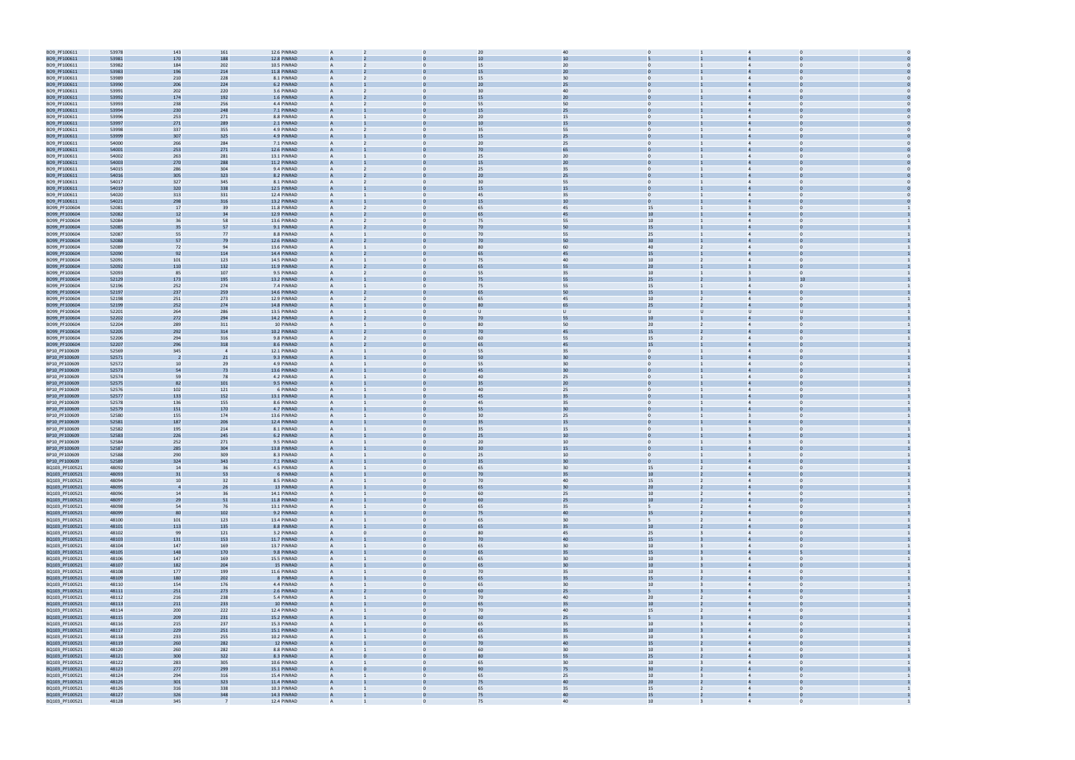| BO9_PF100611                     | 53978          | 143            | 161                      | 12.6 PINRAD                | $\overline{A}$                 |                | 2C             | 40       |                  |                         |                                  |  |
|----------------------------------|----------------|----------------|--------------------------|----------------------------|--------------------------------|----------------|----------------|----------|------------------|-------------------------|----------------------------------|--|
| BO9_PF100611                     | 53981          | 170            | 188                      | 12.8 PINRAD                |                                |                | 1 <sup>c</sup> | 10       |                  |                         |                                  |  |
| BO9_PF100611                     | 53982          | 184            | 202                      | 10.5 PINRAD                | A                              | 0              | 15             | 20       |                  |                         | $\Omega$                         |  |
| BO9_PF100611                     | 53983          | 196            | 214                      | 11.8 PINRAD                |                                |                |                | 20       |                  |                         |                                  |  |
|                                  |                |                |                          |                            |                                |                |                |          |                  |                         |                                  |  |
| BO9_PF100611                     | 53989          | 210            | 228                      | 8.1 PINRAD                 | $\mathsf{A}$                   | 0              | 15             | 30       |                  |                         | $\overline{4}$                   |  |
| BO9_PF100611                     | 53990          | 206            | 224                      | 6.2 PINRAD                 |                                |                | 2C             | 25       |                  |                         |                                  |  |
| BO9_PF100611                     | 53991          | 202            | 220                      | 3.6 PINRAD                 |                                |                | 3C             | 40       |                  |                         |                                  |  |
| BO9_PF100611                     | 53992          | 174            | 192                      | 1.6 PINRAD                 | A                              |                | 15             | 20       |                  |                         |                                  |  |
| BO9_PF100611                     | 53993          | 238            | 256                      | 4.4 PINRAD                 | A                              |                | 55             | 50       |                  |                         |                                  |  |
| BO9_PF100611                     | 53994          | 230            | 248                      | 7.1 PINRAD                 | A                              |                | 15             | 25       |                  |                         |                                  |  |
| BO9_PF100611                     | 53996          | 253            | 271                      | 8.8 PINRAD                 | A                              | 0              | 20             | 15       | $\mathbf{0}$     |                         | $\overline{4}$                   |  |
| BO9_PF100611                     | 53997          | 271            | 289                      | 2.1 PINRAD                 | A                              |                | 1 <sup>c</sup> | 15       |                  |                         |                                  |  |
| BO9_PF100611                     | 53998          | 337            | 355                      | 4.9 PINRAD                 | A                              |                | 35             | 55       |                  |                         |                                  |  |
|                                  |                |                |                          |                            |                                |                |                |          |                  |                         |                                  |  |
| BO9_PF100611                     | 53999          | 307            | 325                      | 4.9 PINRAD                 |                                |                | 15             | 25       |                  |                         |                                  |  |
| BO9_PF100611                     | 54000          | 266            | 284                      | 7.1 PINRAD                 | $\mathsf{A}$                   | 0              | 20             | 25       |                  |                         | $\Omega$<br>$\overline{4}$       |  |
| BO9_PF100611                     | 54001          | 253            | 271                      | 12.6 PINRAD                |                                |                | 70             | 65       |                  |                         |                                  |  |
| BO9_PF100611                     | 54002          | 263            | 281                      | 13.1 PINRAD                |                                |                | 25             | 20       |                  |                         |                                  |  |
| BO9_PF100611                     | 54003          | 270            | 288                      | 11.2 PINRAD                |                                |                | 15             | 20       |                  |                         |                                  |  |
| BO9_PF100611                     | 54015          | 286            | 304                      | 9.4 PINRAD                 | A                              |                | 25             | 35       |                  |                         |                                  |  |
| BO9_PF100611                     | 54016          | 305            | 323                      | 8.2 PINRAD                 | A                              |                | 2C             | 25       |                  |                         |                                  |  |
| BO9_PF100611                     | 54017          | 327            | 345                      | 8.1 PINRAD                 | A                              | 0              | 30             | 55       | $\mathbf{0}$     |                         | $\overline{4}$                   |  |
| BO9_PF100611                     | 54019          | 320            | 338                      | 12.5 PINRAD                | A                              |                | 15             | 15       |                  |                         |                                  |  |
|                                  |                |                |                          | 12.4 PINRAD                | A                              |                | 45             | 35       |                  |                         |                                  |  |
| BO9_PF100611                     | 54020          | 313            | 331                      |                            |                                |                |                |          |                  |                         |                                  |  |
| BO9_PF100611                     | 54021          | 298            | 316                      | 13.2 PINRAD                |                                |                | 15             | 10       |                  |                         |                                  |  |
| BO99_PF100604                    | 52081          | 17             | 39                       | 11.8 PINRAD                | A                              | 0              | 65             | 45       | 15               |                         | $\overline{3}$<br>$\Omega$       |  |
| BO99_PF100604                    | 52082          | 12             | 34                       | 12.9 PINRAD                |                                |                | 65             | 45       | $10\,$           |                         |                                  |  |
| BO99_PF100604                    | 52084          | 36             | 58                       | 13.6 PINRAD                |                                |                | 75             | 55       | 10               |                         |                                  |  |
| BO99_PF100604                    | 52085          | 35             | 57                       | 9.1 PINRAD                 |                                |                | 7 <sup>c</sup> | 50       | 15               |                         |                                  |  |
| BO99_PF100604                    | 52087          | 55             | 77                       | 8.8 PINRAD                 | A                              |                | 70             | 55       | 25               |                         |                                  |  |
| BO99_PF100604                    | 52088          | 57             | 79                       | 12.6 PINRAD                | A                              |                | 7 <sub>C</sub> | 50       | 30 <sub>2</sub>  |                         |                                  |  |
| BO99_PF100604                    | 52089          | 72             | 94                       | 13.6 PINRAD                | A                              | 0              | 80             | 60       | 40               |                         | $\overline{4}$                   |  |
| BO99_PF100604                    | 52090          | 92             | 114                      | 14.4 PINRAD                |                                |                | 65             | 45       | 15               |                         |                                  |  |
|                                  |                |                |                          |                            |                                |                |                |          |                  |                         |                                  |  |
| BO99_PF100604                    | 52091          | 101            | 123                      | 14.5 PINRAD                | A                              | 0              | 75             | 40       | 10               |                         | $\Omega$<br>$\Delta$             |  |
| BO99_PF100604                    | 52092          | 110            | 132                      | 11.9 PINRAD                |                                |                | 65             | 55       | 20               |                         |                                  |  |
| BO99_PF100604                    | 52093          | 85             | 107                      | 9.5 PINRAD                 | A                              | 0              | 55             | 35       | 10               |                         | $\Omega$<br>3                    |  |
| BO99_PF100604                    | 52129          | 173            | 195                      | 13.2 PINRAD                |                                |                | 75             | 55       | 25               |                         |                                  |  |
| BO99_PF100604                    | 52196          | 252            | 274                      | 7.4 PINRAD                 |                                |                | 75             | 55       | 15               |                         |                                  |  |
| BO99_PF100604                    | 52197          | 237            | 259                      | 14.6 PINRAD                |                                |                | 65             | 50       | 15               |                         |                                  |  |
| BO99_PF100604                    | 52198          | 251            | 273                      | 12.9 PINRAD                | A                              |                | 65             | 45       | 10               |                         |                                  |  |
|                                  |                |                |                          | 14.8 PINRAD                |                                |                | 8C             | 65       |                  |                         |                                  |  |
| BO99_PF100604                    | 52199          | 252            | 274                      |                            | A                              |                |                |          | 25               |                         |                                  |  |
| BO99_PF100604                    | 52201          | 264            | 286                      | 13.5 PINRAD                | A                              | 0              | U              | U        | $\cup$           | U                       | U                                |  |
| BO99_PF100604                    | 52202          | 272            | 294                      | 14.2 PINRAD                |                                |                |                | 55       | 10               |                         |                                  |  |
| BO99_PF100604                    | 52204          | 289            | 311                      | 10 PINRAD                  | A                              | 0              | 80             | 50       | 20               |                         | $\Omega$                         |  |
| BO99_PF100604                    | 52205          | 292            | 314                      | 10.2 PINRAD                |                                |                |                | 45       | 15               |                         |                                  |  |
| BO99_PF100604                    | 52206          | 294            | 316                      | 9.8 PINRAD                 | A                              | 0              | 60             | 55       | 15               |                         |                                  |  |
| BO99_PF100604                    | 52207          | 296            | 318                      | 8.6 PINRAD                 | A                              |                | 65             | 45       | 15               |                         |                                  |  |
| BP10_PF100609                    | 52569          | 345            | $\overline{\phantom{a}}$ | 12.1 PINRAD                |                                |                | 55             | 35       |                  |                         |                                  |  |
|                                  |                |                |                          |                            |                                |                |                | 30       |                  |                         |                                  |  |
| BP10_PF100609                    | 52571          | $\overline{2}$ | 21                       | 9.3 PINRAD                 | A                              |                | 50             |          |                  |                         |                                  |  |
| BP10_PF100609                    | 52572          | 10             | 29                       | 4.9 PINRAD                 | A                              |                | 55             | 30       |                  |                         |                                  |  |
| BP10_PF100609                    | 52573          | 54             | 73                       | 13.6 PINRAD                |                                |                | 45             | 30       |                  |                         |                                  |  |
| BP10_PF100609                    | 52574          | 59             | 78                       | 4.2 PINRAD                 | A                              | 0              | 40             | 25       |                  |                         | $\overline{a}$                   |  |
| BP10_PF100609                    | 52575          | 82             | 101                      | 9.5 PINRAD                 |                                |                | 35             | 20       |                  |                         |                                  |  |
| BP10_PF100609                    | 52576          | 102            | 121                      | 6 PINRAD                   | A                              | 0              | 40             | 25       |                  |                         | $\Omega$<br>$\overline{4}$       |  |
| BP10_PF100609                    | 52577          | 133            | 152                      | 13.1 PINRAD                |                                |                |                | 35       |                  |                         |                                  |  |
| BP10_PF100609                    | 52578          | 136            | 155                      | 8.6 PINRAD                 | A                              | 0              | 45             | 35       | $\Omega$         |                         |                                  |  |
| BP10_PF100609                    | 52579          | 151            | 170                      | 4.7 PINRAD                 |                                |                | 55             | 30       |                  |                         |                                  |  |
|                                  |                |                |                          |                            |                                |                | 3C             |          |                  |                         |                                  |  |
| BP10_PF100609                    | 52580          | 155            | 174                      | 13.6 PINRAD                |                                |                |                | 25       |                  |                         |                                  |  |
| BP10_PF100609                    | 52581          | 187            | 206                      | 12.4 PINRAD                |                                |                | 35             | 15       |                  |                         |                                  |  |
| BP10_PF100609                    | 52582          | 195            | 214                      | 8.1 PINRAD                 |                                |                | 35             | 15       |                  |                         | $\overline{3}$                   |  |
| BP10_PF100609                    | 52583          | 226            | 245                      | 6.2 PINRAD                 |                                |                | 25             | 10       |                  |                         |                                  |  |
| BP10_PF100609                    | 52584          | 252            | 271                      | 9.5 PINRAD                 | A                              | 0              | 20             | 10       | $\Omega$         |                         | $\overline{3}$<br>$\Omega$       |  |
| BP10_PF100609                    | 52587          | 285            | 304                      | 13.8 PINRAD                |                                |                | Зſ             | 15       |                  |                         |                                  |  |
| BP10_PF100609                    | 52588          | 290            | 309                      | 8.3 PINRAD                 |                                |                | 25             | 10       |                  |                         |                                  |  |
| BP10_PF100609                    | 52589          | 324            | 343                      | 7.1 PINRAD                 |                                |                |                | 30       |                  |                         |                                  |  |
|                                  |                | 14             |                          |                            |                                |                |                | 30       |                  |                         |                                  |  |
| BQ103_PF100521                   | 48092          |                | 36                       | 4.5 PINRAD                 | $\overline{A}$                 | $\mathbf{0}$   | 65             |          | 15               | 2                       | $\overline{4}$<br>$\mathbf{0}$   |  |
| BQ103_PF100521                   | 48093          | 31             | 53                       | 6 PINRAD                   | $\mathsf{A}$                   | <sup>n</sup>   | 70             | 35       | 10 <sup>°</sup>  |                         | $\overline{4}$                   |  |
| BQ103_PF100521                   | 48094          | 10             | 32                       | 8.5 PINRAD                 | A                              | $\Omega$       | 70             | 40       | 15               |                         | $\overline{4}$<br>$\Omega$       |  |
| BQ103_PF100521                   | 48095          | $\overline{4}$ | 26                       | 13 PINRAD                  | $\mathsf{A}$                   | $\Omega$       | 65             | 30       | 20 <sub>2</sub>  |                         | $\overline{4}$<br>$\Omega$       |  |
| BQ103_PF100521                   | 48096          | 14             | 36                       | 14.1 PINRAD                | $\mathsf{A}$                   | $\mathbf{0}$   | 60             | 25       | 10               | $\overline{2}$          | $\overline{4}$<br>$\Omega$       |  |
| BQ103_PF100521                   | 48097          | 29             | 51                       | 11.8 PINRAD                | A                              | 0              | 60             | 25       | 10 <sup>10</sup> |                         | $\overline{4}$                   |  |
| BQ103_PF100521                   | 48098          | 54             | 76                       | 13.1 PINRAD                | $\mathsf{A}$                   | $\mathbf{0}$   | 65             | 35       | 5                | $\overline{2}$          | $\overline{4}$<br>$\mathbf{0}$   |  |
| BQ103_PF100521                   | 48099          | 80             | 102                      | 9.2 PINRAD                 | $\overline{A}$                 |                | 75             | 40       | 15               |                         | $\overline{4}$                   |  |
| BQ103_PF100521                   | 48100          | 101            | 123                      | 13.4 PINRAD                | $\mathsf{A}$                   | $\overline{0}$ | 65             | 30       | 5                | $\overline{2}$          | $\overline{4}$<br>$\Omega$       |  |
| BQ103_PF100521                   | 48101          | 113            | 135                      | 8.8 PINRAD                 | $\mathsf{A}$                   |                | 65             | 35       | 10 <sup>°</sup>  |                         |                                  |  |
| BQ103_PF100521                   | 48102          | 99             | 121                      | 3.2 PINRAD                 | $\overline{A}$<br>$\mathbf{0}$ | $\mathbf{0}$   | 80             | 45       | 25               | $\overline{3}$          | $\overline{0}$<br>$\overline{4}$ |  |
|                                  |                |                |                          |                            |                                | $\Omega$       |                | 40       |                  |                         | $\overline{4}$                   |  |
| BQ103_PF100521                   | 48103          | 131            | 153                      | 11.7 PINRAD                | $\overline{A}$                 |                | 70             |          | 15               |                         |                                  |  |
| BQ103_PF100521                   | 48104          | 147            | 169                      | 13.7 PINRAD                | $\overline{A}$                 | 0              | 65             | 30       | 10               |                         | $\overline{4}$<br>$\Omega$       |  |
| BQ103_PF100521                   | 48105          | 148            | 170                      | 9.8 PINRAD                 | $\mathsf{A}$                   |                | 65             | 35       | 15               |                         | $\overline{4}$                   |  |
| BQ103_PF100521                   | 48106          | 147            | 169                      | 15.5 PINRAD                | $\mathsf{A}$                   | 0              | 65             | 30       | 10               |                         | $\overline{4}$<br>$\Omega$       |  |
| BQ103_PF100521                   | 48107          | 182            | 204                      | 15 PINRAD                  | A                              | 0              | 65             | 30       | 10 <sup>10</sup> |                         | $\overline{4}$                   |  |
| BQ103_PF100521                   | 48108          | 177            | 199                      | 11.6 PINRAD                | $\mathsf{A}$                   | $\overline{0}$ | 70             | 35       | 10               | $\overline{3}$          | $\overline{0}$<br>$\overline{4}$ |  |
| BQ103_PF100521                   |                |                |                          |                            | A                              | $\Omega$       | 65             | 35       | 15               |                         | $\overline{4}$<br>$\Omega$       |  |
| BQ103_PF100521                   |                |                |                          |                            |                                | $\overline{0}$ | 65             | 30       |                  |                         |                                  |  |
|                                  | 48109          | 180            | 202                      | 8 PINRAD                   |                                |                |                |          |                  |                         |                                  |  |
| BQ103_PF100521                   | 48110          | 154            | 176                      | 4.4 PINRAD                 | $\mathsf{A}$                   |                |                |          | 10               |                         | $\Omega$<br>$\overline{4}$       |  |
|                                  | 48111          | 251            | 273                      | 2.6 PINRAD                 | $\mathsf{A}$                   |                | 60             | 25       |                  |                         |                                  |  |
| BQ103_PF100521                   | 48112          | 216            | 238                      | 5.4 PINRAD                 | $\overline{A}$                 | $\mathbf{0}$   | 70             | 40       | 20               | $\overline{2}$          | $\overline{0}$<br>$\overline{4}$ |  |
| BQ103_PF100521                   | 48113          | 211            | 233                      | 10 PINRAD                  | $\mathsf{A}$                   | $\Omega$       | 65             | 35       | 10 <sup>°</sup>  |                         | $\overline{4}$                   |  |
| BQ103_PF100521                   | 48114          | 200            | 222                      | 12.4 PINRAD                | $\overline{A}$                 | 0              | 70             | 40       | 15               |                         | $\overline{4}$<br>$\Omega$       |  |
| BQ103_PF100521                   | 48115          | 209            | 231                      | 15.2 PINRAD                | $\mathsf{A}$                   |                | 60             | 25       |                  |                         | $\overline{4}$                   |  |
|                                  |                |                |                          | 15.3 PINRAD                | $\mathsf{A}$                   | 0              | 65             |          | 10               |                         | $\overline{4}$<br>$\Omega$       |  |
| BQ103_PF100521                   | 48116          | 215            | 237                      |                            | A                              | 0              | 65             | 35       |                  |                         | $\overline{4}$                   |  |
| BQ103_PF100521                   | 48117          | 229            | 251                      | 15.1 PINRAD                |                                |                |                | 35       | 10 <sup>10</sup> |                         |                                  |  |
| BQ103_PF100521                   | 48118          | 233            | 255                      | 10.2 PINRAD                | $\mathsf{A}$                   | $\overline{0}$ | 65             | 35       | 10               | $\overline{\mathbf{3}}$ | $\overline{0}$<br>$\overline{4}$ |  |
| BQ103_PF100521                   | 48119          | 260            | 282                      | 12 PINRAD                  | A                              | $\Omega$       | 70             | 40       | 15               |                         | $\overline{4}$<br>$\Omega$       |  |
| BQ103_PF100521                   | 48120          | 260            | 282                      | 8.8 PINRAD                 | $\mathsf{A}$                   | $\overline{0}$ | 60             | 30       | 10               |                         | $\Omega$<br>$\overline{4}$       |  |
| BQ103_PF100521                   | 48121          | 300            | 322                      | 8.3 PINRAD                 | A                              |                |                | 55       | 25               |                         |                                  |  |
| BQ103_PF100521                   | 48122          | 283            | 305                      | 10.6 PINRAD                | $\overline{A}$                 | $\mathbf{0}$   | 65             | 30       | 10               | $\overline{3}$          | $\overline{0}$<br>$\overline{4}$ |  |
| BQ103_PF100521                   | 48123          | 277            | 299                      | 15.1 PINRAD                | $\mathsf{A}$                   | $\Omega$       | 90             | 75       | 30 <sub>o</sub>  |                         | $\overline{4}$                   |  |
| BQ103_PF100521                   | 48124          | 294            | 316                      | 15.4 PINRAD                | A                              | 0              | 65             | 25       | 10               |                         | $\overline{4}$<br>$\Omega$       |  |
|                                  |                |                |                          |                            | $\mathsf{A}$                   | $\Omega$       | 75             | 40       |                  |                         | $\overline{4}$                   |  |
| BQ103_PF100521                   | 48125          | 301            | 323                      | 11.4 PINRAD                | A                              | $\mathbf{0}$   |                |          | 20 <sub>2</sub>  |                         | $\overline{4}$<br>$\Omega$       |  |
| BQ103_PF100521<br>BQ103_PF100521 | 48126<br>48127 | 316<br>326     | 338<br>348               | 10.3 PINRAD<br>14.3 PINRAD | $\mathsf{A}$                   | 0              | 65<br>75       | 35<br>40 | 15<br>15         |                         | $\overline{4}$<br>$\bf{0}$       |  |

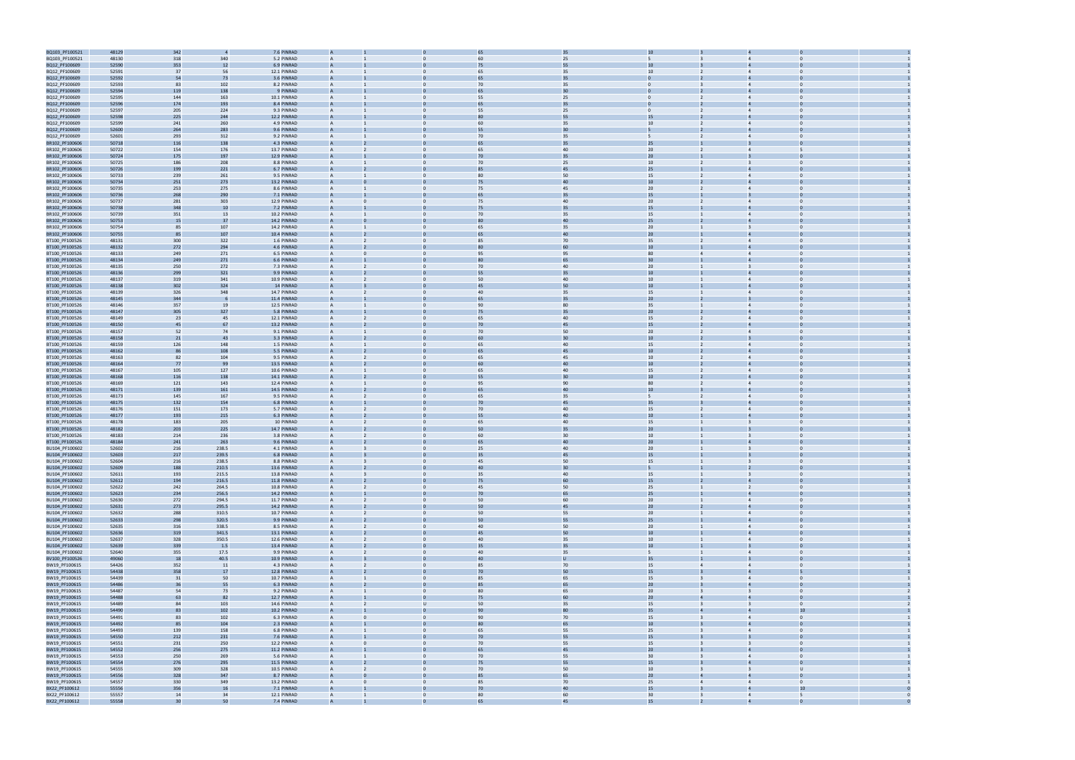

| BQ103_PF100521                   | 48129          | 342        |                | 7.6 PINRAD                 |                   |                |                                  |                      | 35       |                               |                                                                   |  |
|----------------------------------|----------------|------------|----------------|----------------------------|-------------------|----------------|----------------------------------|----------------------|----------|-------------------------------|-------------------------------------------------------------------|--|
| BQ103_PF100521                   | 48130          | 318        | 340            | 5.2 PINRAD                 |                   |                |                                  | 60                   | 25       |                               |                                                                   |  |
| BQ12_PF100609                    | 52590          | 353        | 12             | 6.9 PINRAD                 |                   |                |                                  | 75                   | 55       | 10                            |                                                                   |  |
| BQ12_PF100609                    | 52591          | 37         | 56             | 12.1 PINRAD                | $\mathsf{A}$      |                | $\Omega$                         | 65                   | 35       | 10                            |                                                                   |  |
| BQ12_PF100609                    | 52592          | 54         | 73             | 3.6 PINRAD                 | A                 |                |                                  | 65                   | 35       |                               |                                                                   |  |
| BQ12_PF100609<br>BQ12_PF100609   | 52593<br>52594 | 83<br>119  | 102<br>138     | 8.2 PINRAD<br>9 PINRAD     | A                 |                | $\mathbf{0}$                     | 70<br>65             | 35<br>30 | $\mathbf{0}$                  | $\overline{4}$                                                    |  |
| BQ12_PF100609                    | 52595          | 144        | 163            | 10.1 PINRAD                | $\mathsf{A}$      |                | $\Omega$                         | 55                   | 25       | $\Omega$                      | $\Omega$                                                          |  |
| BQ12_PF100609                    | 52596          | 174        | 193            | 8.4 PINRAD                 |                   |                |                                  |                      | 35       |                               |                                                                   |  |
| BQ12_PF100609                    | 52597          | 205        | 224            | 9.3 PINRAD                 | $\mathsf{A}$      |                | $\Omega$                         | 55                   | 25       | $\mathbf{0}$                  | $\Omega$<br>$\overline{4}$                                        |  |
| BQ12_PF100609                    | 52598          | 225        | 244            | 12.2 PINRAD                |                   |                |                                  |                      | 55       | 15                            |                                                                   |  |
| BQ12_PF100609                    | 52599          | 241        | 260            | 4.9 PINRAD                 |                   |                |                                  | 60                   | 35       | 10                            |                                                                   |  |
| BQ12_PF100609                    | 52600          | 264        | 283            | 9.6 PINRAD                 |                   |                |                                  | 55                   | 30       |                               |                                                                   |  |
| BQ12_PF100609                    | 52601          | 293        | 312            | 9.2 PINRAD                 | A                 |                | $\Omega$                         | 70                   | 35       | $5^{\circ}$                   | $\overline{4}$                                                    |  |
| BR102_PF100606                   | 50718          | 116        | 138            | 4.3 PINRAD                 | A                 |                |                                  | 65                   | 35       | 25                            |                                                                   |  |
| BR102_PF100606                   | 50722          | 154        | 176            | 13.7 PINRAD                | A                 |                | $\mathbf{0}$                     | 65<br>7 <sub>0</sub> | 40       | 20<br>20                      | $\overline{4}$                                                    |  |
| BR102_PF100606<br>BR102_PF100606 | 50724<br>50725 | 175<br>186 | 197<br>208     | 12.9 PINRAD<br>8.8 PINRAD  | $\mathsf{A}$      |                | $\Omega$                         | 70                   | 35<br>25 | 10 <sup>10</sup>              | $\Omega$                                                          |  |
| BR102_PF100606                   | 50726          | 199        | 221            | 6.7 PINRAD                 |                   |                |                                  |                      | 45       | 25                            |                                                                   |  |
| BR102_PF100606                   | 50733          | 239        | 261            | 9.5 PINRAD                 | $\mathsf{A}$      |                | $\Omega$                         | 80                   | 50       | 15                            | $\overline{4}$                                                    |  |
| BR102_PF100606                   | 50734          | 251        | 273            | 13.2 PINRAD                |                   |                |                                  | 75                   | 40       | $10\,$                        |                                                                   |  |
| BR102_PF100606                   | 50735          | 253        | 275            | 8.6 PINRAD                 |                   |                |                                  | 75                   | 45       | 20                            |                                                                   |  |
| BR102_PF100606                   | 50736          | 268        | 290            | 7.1 PINRAD                 |                   |                |                                  | 6 <sup>5</sup>       | 35       | 15                            |                                                                   |  |
| BR102_PF100606                   | 50737          | 281        | 303            | 12.9 PINRAD                |                   |                | $\Omega$                         | 75                   | 40       | 20                            | $\overline{4}$                                                    |  |
| BR102_PF100606                   | 50738          | 348        | 10             | 7.2 PINRAD                 | A                 |                |                                  | 75                   | 35       | 15                            |                                                                   |  |
| BR102_PF100606                   | 50739          | 351        | 13             | 10.2 PINRAD                | A                 |                | $\mathbf{0}$                     | 70                   | 35<br>40 | 15                            | $\overline{a}$                                                    |  |
| BR102_PF100606                   | 50753          | 15         | 37             | 14.2 PINRAD<br>14.2 PINRAD | $\mathsf{A}$      |                | $\Omega$                         | 65                   |          | 25                            | $\Omega$                                                          |  |
| BR102_PF100606<br>BR102_PF100606 | 50754<br>50755 | 85<br>85   | 107<br>107     | 10.4 PINRAD                |                   |                |                                  |                      | 35       | 20<br>20                      |                                                                   |  |
| BT100_PF100526                   | 48131          | 300        | 322            | 1.6 PINRAD                 | $\mathsf{A}$      |                | 0                                | 85                   | 70       | 35                            | $\overline{4}$                                                    |  |
| BT100_PF100526                   | 48132          | 272        | 294            | 4.6 PINRAD                 |                   |                |                                  |                      | 60       | 10                            |                                                                   |  |
| BT100_PF100526                   | 48133          | 249        | 271            | 6.5 PINRAD                 |                   |                |                                  | 95                   | 95       | 80                            |                                                                   |  |
| BT100_PF100526                   | 48134          | 249        | 271            | 6.6 PINRAD                 | A                 |                |                                  |                      | 65       | 30                            |                                                                   |  |
| BT100_PF100526                   | 48135          | 250        | 272            | 7.3 PINRAD                 | A                 |                |                                  | 70                   | 40       | 20                            |                                                                   |  |
| BT100_PF100526                   | 48136          | 299        | 321            | 9.9 PINRAD                 |                   |                |                                  | 55                   | 35       | $10\,$                        |                                                                   |  |
| BT100_PF100526                   | 48137          | 319        | 341            | 10.9 PINRAD                | $\mathsf{A}$      |                | $\mathbf{0}$                     | 50                   | 40       | 10                            | $\overline{4}$<br>$\Omega$                                        |  |
| BT100_PF100526                   | 48138          | 302        | 324            | 14 PINRAD                  |                   |                |                                  | 45                   | 50       | 10                            | $\Omega$                                                          |  |
| BT100_PF100526<br>BT100_PF100526 | 48139<br>48145 | 326<br>344 | 348            | 14.7 PINRAD<br>11.4 PINRAD | $\mathsf{A}$      |                | $\Omega$                         | 40                   | 35       | 15<br>20                      | $\overline{4}$                                                    |  |
| BT100_PF100526                   | 48146          | 357        | 19             | 12.5 PINRAD                | $\mathsf{A}$      |                | $\Omega$                         | 90                   | 80       | 35                            | $\Omega$<br>$\overline{4}$                                        |  |
| BT100_PF100526                   | 48147          | 305        | 327            | 5.8 PINRAD                 |                   |                |                                  | 75                   | 35       | 20 <sub>2</sub>               |                                                                   |  |
| BT100_PF100526                   | 48149          | 23         | 45             | 12.1 PINRAD                |                   |                |                                  | 65                   | 40       | 15                            |                                                                   |  |
| BT100_PF100526                   | 48150          | 45         | 67             | 13.2 PINRAD                | A                 |                |                                  | 70                   | 45       | 15                            |                                                                   |  |
| BT100_PF100526                   | 48157          | 52         | 74             | 9.1 PINRAD                 | $\mathsf{A}$      |                | $\Omega$                         | 70                   | 50       | 20                            |                                                                   |  |
| BT100_PF100526                   | 48158          | 21         | 43             | 3.3 PINRAD                 |                   |                |                                  | 60                   | 30       | $10\,$                        |                                                                   |  |
| BT100_PF100526                   | 48159          | 126        | 148            | 1.5 PINRAD                 | A                 |                | $\mathbf{0}$                     | 65                   | 40       | 15                            | $\Omega$<br>$\overline{4}$                                        |  |
| BT100_PF100526                   | 48162          | 86         | 108            | 5.5 PINRAD                 |                   |                | $\Omega$                         |                      | 45       | 10                            | $\Omega$                                                          |  |
| BT100_PF100526<br>BT100_PF100526 | 48163<br>48164 | 82<br>77   | 104<br>99      | 9.5 PINRAD<br>13.5 PINRAD  | $\mathsf{A}$      |                |                                  | 65                   | 45<br>40 | $10\,$<br>10                  |                                                                   |  |
| BT100_PF100526                   | 48167          | 105        | 127            | 10.6 PINRAD                | $\mathsf{A}$      |                | $\Omega$                         | 65                   | 40       | 15                            | $\Omega$<br>$\overline{4}$                                        |  |
| BT100_PF100526                   | 48168          | 116        | 138            | 14.1 PINRAD                |                   |                |                                  | 55                   | 30       | 10                            |                                                                   |  |
| BT100_PF100526                   | 48169          | 121        | 143            | 12.4 PINRAD                |                   |                |                                  | 95                   | 90       | 80                            |                                                                   |  |
| BT100_PF100526                   | 48171          | 139        | 161            | 14.5 PINRAD                | A                 |                |                                  | 65                   | 40       | 10                            |                                                                   |  |
| BT100_PF100526                   | 48173          | 145        | 167            | 9.5 PINRAD                 | A                 |                | $\Omega$                         | 65                   | 35       |                               |                                                                   |  |
| BT100_PF100526                   | 48175          | 132        | 154            | 6.8 PINRAD                 |                   |                |                                  | 70                   | 45       | 35                            |                                                                   |  |
| BT100_PF100526                   | 48176          | 151        | 173            | 5.7 PINRAD                 | А                 |                | 0                                | 70                   | 40       | 15                            | $\overline{4}$                                                    |  |
| BT100_PF100526                   | 48177          | 193        | 215            | 6.3 PINRAD                 |                   |                |                                  |                      | 40       | 10                            |                                                                   |  |
| BT100_PF100526                   | 48178          | 183        | 205            | 10 PINRAD<br>14.7 PINRAD   | A                 |                | $\Omega$                         | 65                   | 40<br>35 | 15<br>20                      | $\Omega$                                                          |  |
| BT100_PF100526<br>BT100_PF100526 | 48182<br>48183 | 203<br>214 | 225<br>236     | 3.8 PINRAD                 | $\mathsf{A}$      |                | 0                                | 60                   | 30       | 10                            | $\overline{3}$<br>$\mathbf 0$                                     |  |
| BT100_PF100526                   | 48184          | 241        | 263            | 9.6 PINRAD                 | А                 |                |                                  | 65                   | 40       | 20 <sub>2</sub>               |                                                                   |  |
| BU104_PF100602                   | 52602          | 216        | 238.5          | 4.1 PINRAD                 | A                 |                |                                  | 25                   | 40       | 20                            | $\overline{3}$<br>$\Omega$                                        |  |
| BU104_PF100602                   | 52603          | 217        | 239.5          | 6.8 PINRAD                 |                   |                |                                  |                      | 45       | 15                            |                                                                   |  |
| BU104_PF100602                   | 52604          | 216        | 238.5          | 8.8 PINRAD                 |                   |                |                                  | 45                   | 50       | 15                            |                                                                   |  |
| BU104_PF100602                   | 52609          | 188        | 210.5          | 13.6 PINRAD                | $\overline{A}$    |                |                                  | 40                   | 30       | 5                             |                                                                   |  |
| BU104_PF100602                   | 52611          | 193        | 215.5          | 13.8 PINRAD                | $\mathsf{A}$      |                | $\mathbf{0}$                     | 35                   | 40       | 15                            | $\mathbf{0}$<br>$\overline{\mathbf{3}}$                           |  |
| BU104_PF100602                   | 52612          | 194        | 216.5          | 11.8 PINRAD                |                   |                |                                  | 75                   | 60       | 15                            | $\overline{4}$<br>$\Omega$                                        |  |
| BU104_PF100602<br>BU104_PF100602 | 52622<br>52623 | 242<br>234 | 264.5<br>256.5 | 10.8 PINRAD<br>14.2 PINRAD | Α                 |                | $\mathbf{0}$                     | 45<br>70             | 50<br>65 | 25<br>25                      | $\overline{2}$                                                    |  |
| BU104_PF100602                   | 52630          | 272        | 294.5          | 11.7 PINRAD                | $\overline{A}$    |                | $\mathbf{0}$                     | 50                   | 60       | 20                            | $\overline{0}$<br>$\overline{4}$                                  |  |
| BU104_PF100602                   | 52631          | 273        | 295.5          | 14.2 PINRAD                | A                 |                | $\Omega$                         | 50                   | 45       | 20                            | $\overline{4}$                                                    |  |
| BU104_PF100602                   | 52632          | 288        | 310.5          | 10.7 PINRAD                | $\overline{A}$    |                | $\overline{0}$                   | 50                   | 55       | 20                            | $\overline{4}$<br>$\Omega$                                        |  |
| BU104_PF100602                   | 52633          | 298        | 320.5          | 9.9 PINRAD                 | A                 |                |                                  | 50                   | 55       | 25                            | $\overline{4}$<br>$\Omega$                                        |  |
| BU104_PF100602                   | 52635          | 316        | 338.5          | 8.5 PINRAD                 | $\mathsf{A}$      | $\overline{2}$ | $\mathbf{0}$                     | 40                   | 50       | 20                            | $\overline{4}$<br>$\Omega$                                        |  |
| BU104_PF100602                   | 52636          | 319        | 341.5          | 13.1 PINRAD                | A                 |                | $\mathbf{0}$                     | 45                   | 50       | 10                            | $\overline{4}$                                                    |  |
| BU104_PF100602<br>BU104_PF100602 | 52637<br>52639 | 328<br>339 | 350.5<br>1.5   | 12.6 PINRAD<br>13.4 PINRAD | $\mathsf{A}$<br>A | $\overline{2}$ | $\overline{0}$<br>$\overline{0}$ | 40<br>35             | 35<br>35 | 10<br>$10$                    | $\overline{0}$<br>$\overline{4}$<br>$\overline{3}$                |  |
| BU104_PF100602                   | 52640          | 355        | 17.5           | 9.9 PINRAD                 | A                 |                | $\mathbf{0}$                     | 40                   | 35       | 5 <sup>5</sup>                | $\Omega$<br>$\overline{4}$                                        |  |
| BV100_PF100526                   | 49060          | 18         | 40.5           | 10.9 PINRAD                |                   |                |                                  | 4(                   |          | 35                            |                                                                   |  |
| BW19_PF100615                    | 54426          | 352        | 11             | 4.3 PINRAD                 | $\mathsf{A}$      |                | $\overline{0}$                   | 85                   | 70       | 15<br>$\overline{4}$          | $\overline{0}$<br>$\overline{4}$                                  |  |
| BW19_PF100615                    | 54438          | 358        | 17             | 12.8 PINRAD                | A                 |                | $\Omega$                         | 70                   | 50       | 15                            | $\overline{4}$                                                    |  |
| BW19_PF100615                    | 54439          | 31         | 50             | 10.7 PINRAD                | $\overline{A}$    |                | $\overline{0}$                   | 85                   | 65       | 15                            | $\overline{4}$<br>$\Omega$                                        |  |
| BW19_PF100615                    | 54486          | 36         | 55             | 6.3 PINRAD                 | $\mathsf{A}$      |                | $\Omega$                         | 85                   | 65       | 20                            | $\overline{a}$<br>$\Omega$                                        |  |
| BW19_PF100615                    | 54487          | 54         | 73             | 9.2 PINRAD                 | $\mathsf{A}$      |                | $\overline{0}$                   | 80                   | 65       | 20                            | $\Omega$<br>$\overline{3}$                                        |  |
| BW19_PF100615                    | 54488          | 63         | 82             | 12.7 PINRAD                | A                 |                | $\mathbf{0}$                     | 75                   | 60       | 20 <sub>2</sub>               | $\overline{4}$                                                    |  |
| BW19_PF100615                    | 54489          | 84         | 103            | 14.6 PINRAD                | $\overline{A}$    | $\overline{2}$ | U<br>$\overline{0}$              | 50<br>90             | 35       | 15<br>$\overline{3}$<br>35    | $\overline{\mathbf{3}}$<br>$\overline{0}$<br>10<br>$\overline{4}$ |  |
| BW19_PF100615<br>BW19_PF100615   | 54490<br>54491 | 83<br>83   | 102<br>102     | 10.2 PINRAD<br>6.3 PINRAD  | A<br>A            | $\Omega$       | $\mathbf{0}$                     | 90                   | 80<br>70 | 15                            | $\overline{4}$<br>$\Omega$                                        |  |
| BW19_PF100615                    | 54492          | 85         | 104            | 2.3 PINRAD                 |                   |                |                                  | 80                   | 65       | 10                            |                                                                   |  |
| BW19_PF100615                    | 54493          | 139        | 158            | 6.8 PINRAD                 | $\overline{A}$    |                | $\mathbf{0}$                     | 65                   | 55       | 25<br>$\overline{\mathbf{3}}$ | $\overline{0}$<br>$\overline{4}$                                  |  |
| BW19_PF100615                    | 54550          | 212        | 231            | 7.6 PINRAD                 | $\overline{A}$    |                | $\Omega$                         | 70                   | 55       | 15                            | $\Omega$                                                          |  |
| BW19_PF100615                    | 54551          | 231        | 250            | 12.2 PINRAD                | $\mathsf{A}$      |                | $\mathbf{0}$                     | 70                   | 55       | 15                            | $\Omega$                                                          |  |
| BW19_PF100615                    | 54552          | 256        | 275            | 11.2 PINRAD                | A                 |                |                                  | 65                   | 45       | 20 <sub>2</sub>               | $\overline{4}$<br>$\Omega$                                        |  |
| BW19_PF100615                    | 54553          | 250        | 269            | 5.6 PINRAD                 | $\mathsf{A}$      |                | $\overline{0}$                   | 70                   | 55       | 30                            | $\Omega$<br>$\overline{4}$                                        |  |
| BW19_PF100615                    | 54554          | 276        | 295            | 11.5 PINRAD                | A                 |                | $\mathbf{0}$                     | 75                   | 55       | 15                            | $\overline{4}$                                                    |  |
| BW19_PF100615                    | 54555          | 309        | 328            | 10.5 PINRAD                | $\mathsf{A}$      | $\overline{2}$ | $\overline{0}$                   | 70                   | 50       | 10<br>$\overline{3}$          | $\overline{\mathbf{3}}$<br>U                                      |  |
| BW19_PF100615                    | 54556          | 328        | 347            | 8.7 PINRAD                 | A                 |                | $\overline{0}$                   | 85                   | 65       | 20<br>4                       | $\overline{4}$<br>$\Omega$<br>$\Omega$                            |  |
| BW19_PF100615<br>BX22_PF100612   | 54557<br>55556 | 330<br>356 | 349<br>16      | 13.2 PINRAD<br>7.1 PINRAD  | A                 | $\Omega$       | $\mathbf{0}$                     | 85<br>70             | 70<br>40 | 25<br>$\overline{4}$<br>15    | $\overline{4}$<br>10                                              |  |
| BX22_PF100612                    | 55557          | 14         | 34             | 12.1 PINRAD                | $\mathsf{A}$      | 1              | $\overline{0}$                   | 80                   | 60       | 30<br>$\overline{\mathbf{3}}$ | 5<br>$\overline{4}$                                               |  |
| BX22 PF100612                    | 55558          | 30         | 50             | 7.4 PINRAD                 | $\overline{A}$    |                |                                  | 65                   | 45       | 15                            |                                                                   |  |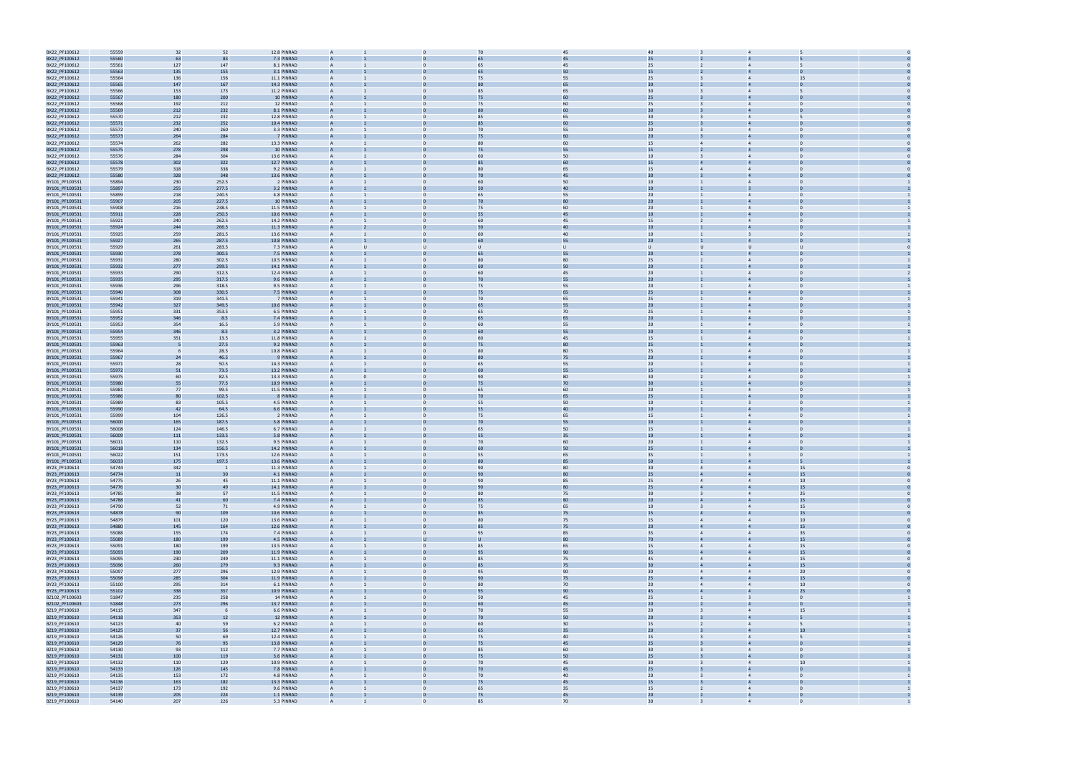

| BX22_PF100612                  | 55559          | 32         | 52             | 12.8 PINRAD              |                |              | 70             | 45           | 40                                 |                |                                     |  |
|--------------------------------|----------------|------------|----------------|--------------------------|----------------|--------------|----------------|--------------|------------------------------------|----------------|-------------------------------------|--|
| BX22_PF100612                  | 55560          | 63         | 83             | 7.3 PINRAD               |                |              |                | 45           | 25                                 |                |                                     |  |
| BX22_PF100612                  | 55561          | 127        | 147            | 8.1 PINRAD               | A              |              | 65             | 45           | 25                                 |                |                                     |  |
|                                |                |            |                |                          |                |              |                | 50           | 15                                 |                |                                     |  |
| BX22_PF100612                  | 55563          | 135        | 155            | 3.1 PINRAD               |                |              |                |              |                                    |                |                                     |  |
| BX22_PF100612                  | 55564          | 136        | 156            | 11.1 PINRAD              | A              |              | 75             | 55           | 25                                 |                | 15<br>$\overline{4}$                |  |
| BX22_PF100612                  | 55565          | 147        | 167            | 14.3 PINRAD              | $\overline{A}$ |              |                | 65           | 30                                 |                | $\Delta$                            |  |
| BX22_PF100612                  | 55566          | 153        | 173            | 11.2 PINRAD              |                |              | 85             | 65           | 30                                 |                |                                     |  |
| BX22_PF100612                  | 55567          | 180        | 200            | 10 PINRAD                |                |              | 75             | 60           | 25                                 |                |                                     |  |
| BX22_PF100612                  | 55568          | 192        | 212            | 12 PINRAD                | A              |              | 75             | 60           | 25                                 |                |                                     |  |
| BX22_PF100612                  | 55569          | 212        | 232            | 8.1 PINRAD               |                |              |                | 60           | 30                                 |                |                                     |  |
| BX22_PF100612                  | 55570          | 212        | 232            | 12.8 PINRAD              | A              | $\Omega$     | 85             | 65           | 30                                 |                | $\overline{4}$                      |  |
|                                | 55571          |            |                | 10.4 PINRAD              |                |              |                | 60           | 25                                 |                |                                     |  |
| BX22_PF100612                  |                | 232        | 252            |                          |                |              |                |              |                                    |                |                                     |  |
| BX22_PF100612                  | 55572          | 240        | 260            | 3.3 PINRAD               | A              |              | 70             | 55           | 20                                 |                | $\overline{4}$                      |  |
| BX22_PF100612                  | 55573          | 264        | 284            | 7 PINRAD                 |                |              |                |              | 20                                 |                |                                     |  |
| BX22_PF100612                  | 55574          | 262        | 282            | 13.3 PINRAD              | A              |              | 80             | 60           | 15                                 |                | $\overline{4}$                      |  |
| BX22_PF100612                  | 55575          | 278        | 298            | 10 PINRAD                | A              |              | 75             | 55           | 15                                 |                |                                     |  |
| BX22_PF100612                  | 55576          | 284        | 304            | 13.6 PINRAD              |                |              | 60             | 50           | 10                                 |                |                                     |  |
| BX22_PF100612                  | 55578          | 302        | 322            | 12.7 PINRAD              |                |              |                | 60           | 15                                 |                |                                     |  |
| BX22_PF100612                  | 55579          | 318        | 338            | 9.2 PINRAD               | A              |              | 80             | 65           | 15                                 |                |                                     |  |
|                                |                |            |                | 13.6 PINRAD              |                |              | 7 <sub>0</sub> | 45           | 30                                 |                |                                     |  |
| BX22_PF100612                  | 55580          | 328        | 348            |                          |                |              |                |              |                                    |                |                                     |  |
| BY101_PF100531                 | 55894          | 230        | 252.5          | 2 PINRAD                 | A              | $\Omega$     | 60             | 50           | $10\,$                             |                | $\overline{4}$<br>$\Omega$          |  |
| BY101_PF100531                 | 55897          | 255        | 277.5          | 3.2 PINRAD               |                |              | 50             | 40           | 10                                 |                |                                     |  |
| BY101_PF100531                 | 55899          | 218        | 240.5          | 4.8 PINRAD               | A              |              | 65             | 55           | 20                                 |                |                                     |  |
| BY101_PF100531                 | 55907          | 205        | 227.5          | 10 PINRAD                |                |              | 70             |              | 20                                 |                |                                     |  |
| BY101_PF100531                 | 55908          | 216        | 238.5          | 11.5 PINRAD              | A              |              | 75             | 60           | 20                                 |                | $\overline{4}$                      |  |
| BY101_PF100531                 | 55911          | 228        | 250.5          | 10.6 PINRAD              |                |              | 55             | 45           | $10\,$                             |                |                                     |  |
| BY101_PF100531                 | 55921          | 240        | 262.5          | 14.2 PINRAD              |                |              | 60             | 45           | 15                                 |                |                                     |  |
|                                |                |            |                |                          |                |              |                | 40           | 10                                 |                |                                     |  |
| BY101_PF100531                 | 55924          | 244        | 266.5          | 11.3 PINRAD              |                |              |                |              |                                    |                |                                     |  |
| BY101_PF100531                 | 55925          | 259        | 281.5          | 13.6 PINRAD              | A              | $\Omega$     | 60             | 40           | 10 <sup>10</sup>                   |                |                                     |  |
| BY101_PF100531                 | 55927          | 265        | 287.5          | 10.8 PINRAD              |                |              | 60             | 55           | 20 <sub>2</sub>                    |                |                                     |  |
| BY101_PF100531                 | 55929          | 261        | 283.5          | 7.3 PINRAD               | A              | $\mathbf{U}$ | U              | $\mathbf{U}$ | $\cup$<br>U                        |                | $\mathbf{U}$                        |  |
| BY101_PF100531                 | 55930          | 278        | 300.5          | 7.5 PINRAD               |                |              |                | 55           | 20 <sub>2</sub>                    |                |                                     |  |
| BY101_PF100531                 | 55931          | 280        | 302.5          | 10.5 PINRAD              | A              |              | 80             | 80           | 25                                 |                |                                     |  |
| BY101_PF100531                 | 55932          | 277        | 299.5          | 14.1 PINRAD              |                |              | 60             | 50           | 20                                 |                |                                     |  |
|                                |                |            |                |                          |                |              | 60             |              |                                    |                |                                     |  |
| BY101_PF100531                 | 55933          | 290        | 312.5          | 12.4 PINRAD              | A              |              |                | 45           | 20                                 |                | $\overline{4}$                      |  |
| BY101_PF100531                 | 55935          | 295        | 317.5          | 9.6 PINRAD               |                |              | 70             | 55           | 20 <sub>2</sub>                    |                | $\Delta$                            |  |
| BY101_PF100531                 | 55936          | 296        | 318.5          | 9.5 PINRAD               |                |              | 75             | 55           | 20                                 |                |                                     |  |
| BY101_PF100531                 | 55940          | 308        | 330.5          | 7.5 PINRAD               |                |              | 75             | 65           | 25                                 |                |                                     |  |
| BY101_PF100531                 | 55941          | 319        | 341.5          | 7 PINRAD                 | A              | $\mathbf{0}$ | 70             | 65           | 25                                 |                | $\overline{4}$                      |  |
| BY101_PF100531                 | 55942          | 327        | 349.5          | 10.6 PINRAD              |                |              | 65             | 55           | 20 <sub>2</sub>                    |                |                                     |  |
| BY101_PF100531                 | 55951          | 331        | 353.5          | 6.5 PINRAD               | A              | $\Omega$     | 65             | 70           | 25                                 |                | $\overline{4}$                      |  |
|                                |                |            |                |                          |                |              |                |              |                                    |                |                                     |  |
| BY101_PF100531                 | 55952          | 346        | 8.5            | 7.4 PINRAD               |                |              |                | 65           | 20                                 |                |                                     |  |
| BY101_PF100531                 | 55953          | 354        | 16.5           | 5.9 PINRAD               |                |              | 60             | 55           | 20                                 |                |                                     |  |
| BY101_PF100531                 | 55954          | 346        | 8.5            | 3.2 PINRAD               |                |              | 60             | 55           | 20                                 |                |                                     |  |
| BY101_PF100531                 | 55955          | 351        | 13.5           | 11.8 PINRAD              | A              |              | 60             | 45           | 15                                 |                | $\overline{4}$                      |  |
| BY101_PF100531                 | 55963          | . F        | 27.5           | 9.2 PINRAD               | A              |              | 75             | 80           | 25                                 |                | $\Delta$                            |  |
| BY101_PF100531                 | 55964          |            | 28.5           | 10.8 PINRAD              |                |              | 80             | 80           | 25                                 |                | $\Delta$                            |  |
| BY101_PF100531                 | 55967          | 24         | 46.5           | 9 PINRAD                 |                |              |                | 75           | 20 <sub>2</sub>                    |                |                                     |  |
| BY101_PF100531                 | 55971          | 28         | 50.5           | 14.3 PINRAD              | A              |              | 65             | 55           | 20                                 |                |                                     |  |
|                                |                |            |                |                          |                |              | 60             |              |                                    |                |                                     |  |
| BY101_PF100531                 | 55972          | 51         | 73.5           | 13.2 PINRAD              |                |              |                | 55           | 15                                 |                |                                     |  |
| BY101_PF100531                 | 55975          | 60         | 82.5           | 13.3 PINRAD              | A              | $\Omega$     | 90             | 80           | 30                                 |                | $\overline{4}$                      |  |
| BY101_PF100531                 | 55980          | 55         | 77.5           | 10.9 PINRAD              |                |              | 75             | 70           | 30                                 |                |                                     |  |
| BY101_PF100531                 | 55981          | 77         | 99.5           | 11.5 PINRAD              | A              |              | 65             | 60           | 20                                 |                |                                     |  |
| BY101_PF100531                 | 55986          | 80         | 102.5          | 8 PINRAD                 |                |              | 70             | 65           | 25                                 |                |                                     |  |
| BY101_PF100531                 | 55989          | 83         | 105.5          | 4.5 PINRAD               | A              |              | 55             | 50           | 10                                 |                |                                     |  |
| BY101_PF100531                 | 55990          | 42         | 64.5           | 6.6 PINRAD               |                |              | 55             | 40           | 10 <sup>°</sup>                    |                |                                     |  |
|                                |                |            |                | 2 PINRAD                 |                |              | 75             | 65           | 15                                 |                | $\Delta$                            |  |
| BY101_PF100531                 | 55999          | 104        | 126.5          |                          |                |              |                |              |                                    |                |                                     |  |
| BY101_PF100531                 | 56000          | 165        | 187.5          | 5.8 PINRAD               |                |              | 70             | 55           | 10                                 |                |                                     |  |
| BY101_PF100531                 | 56008          | 124        | 146.5          | 6.7 PINRAD               | A              |              | 65             | 50           | 15                                 |                |                                     |  |
| BY101_PF100531                 | 56009          | 111        | 133.5          | 5.8 PINRAD               |                |              |                | 35           | 10                                 |                |                                     |  |
| BY101_PF100531                 | 56011          | 110        | 132.5          | 9.5 PINRAD               | A              | $\Omega$     | 70             | 60           | 20                                 |                | $\overline{4}$<br>$\Omega$          |  |
| BY101_PF100531                 | 56018          | 134        | 156.5          | 14.2 PINRAD              |                |              |                | 50           | 25                                 |                |                                     |  |
| BY101_PF100531                 | 56022          | 151        | 173.5          | 12.6 PINRAD              |                |              | 55             | 65           | 35                                 |                |                                     |  |
| BY101_PF100531                 | 56033          | 175        | 197.5          | 13.6 PINRAD              |                |              |                |              | 50                                 |                |                                     |  |
| BY23_PF100613                  | 54744          | 342        | $\overline{1}$ | 11.3 PINRAD              | $\overline{A}$ | $\Omega$     | 90             | 80           | 30 <sup>°</sup><br>$\overline{4}$  |                | 15<br>$\overline{4}$                |  |
| BY23_PF100613                  | 54774          | 11         | 30             | 4.1 PINRAD               | A              |              | 90             | 80           | 25                                 |                | 15<br>$\overline{4}$                |  |
|                                |                |            |                |                          |                |              |                |              |                                    |                |                                     |  |
| BY23_PF100613                  | 54775          | 26         | 45             | 11.1 PINRAD              | A              |              | 90             | 85           | 25                                 |                | 10<br>$\overline{4}$                |  |
| BY23_PF100613                  | 54776          | 30         | 49             | 14.1 PINRAD              | A              |              | 90             | 80           | 25                                 |                | 15<br>$\overline{a}$                |  |
| BY23_PF100613                  | 54785          | 38         | 57             | 11.5 PINRAD              | $\mathsf{A}$   | $\mathbf{0}$ | 80             | 75           | 30                                 |                | 25<br>$\overline{4}$                |  |
| BY23_PF100613                  | 54788          | 41         | 60             | 7.4 PINRAD               | А              |              | 85             | 80           | 20 <sub>2</sub>                    | 4              | 15<br>$\overline{4}$                |  |
| BY23_PF100613                  | 54790          | 52         | 71             | 4.9 PINRAD               | $\overline{A}$ | $\mathbf{0}$ | 75             | 65           | 10<br>$\overline{3}$               |                | 15<br>$\overline{4}$                |  |
| BY23_PF100613                  | 54878          | 90         | 109            | 10.6 PINRAD              | $\overline{A}$ |              | 85             | 75           | 15                                 |                | 15<br>$\overline{4}$                |  |
| BY23_PF100613                  | 54879          | 101        | 120            | 13.6 PINRAD              | $\overline{A}$ | $\mathbf{0}$ | 80             | 75           | 15<br>$\overline{4}$               |                | 10<br>$\overline{4}$                |  |
| BY23_PF100613                  | 54880          | 145        | 164            | 12.6 PINRAD              |                |              | 85             | 75           | 20 <sub>2</sub>                    |                | 15                                  |  |
| BY23_PF100613                  | 55088          | 155        | 174            | 7.4 PINRAD               | $\overline{A}$ | $\Omega$     | 95             | 85           | 35<br>$\overline{4}$               |                | 35<br>$\overline{4}$                |  |
|                                |                |            |                |                          |                |              |                |              |                                    |                |                                     |  |
| BY23_PF100613                  | 55089          | 180        | 199            | 4.5 PINRAD               | $\overline{A}$ |              | U              | 80           | 70                                 | $\overline{4}$ | 15<br>$\overline{4}$                |  |
| BY23_PF100613                  | 55091          | 180        | 199            | 13.5 PINRAD              | A              |              | 85             | 65           | 15                                 |                | 15<br>$\overline{a}$                |  |
| BY23_PF100613                  | 55093          | 190        | 209            | 11.9 PINRAD              |                |              | 95             | 90           | 35                                 |                | 15<br>$\overline{a}$                |  |
| BY23_PF100613                  | 55095          | 230        | 249            | 11.1 PINRAD              | $\mathsf{A}$   | $\mathbf{0}$ | 85             | 75           | 45<br>$\overline{4}$               |                | 15<br>$\overline{4}$                |  |
| BY23_PF100613                  | 55096          | 260        | 279            | 9.3 PINRAD               | А              |              | 85             | 75           | 30 <sub>2</sub>                    |                | 15<br>$\overline{4}$                |  |
| BY23_PF100613                  | 55097          | 277        | 296            | 12.9 PINRAD              | $\overline{A}$ | $\mathbf{0}$ | 95             | 90           | 30<br>$\overline{4}$               |                | 20<br>$\overline{4}$                |  |
| BY23_PF100613                  | 55098          | 285        | 304            | 11.9 PINRAD              |                |              | 90             | 75           | 25                                 |                | 15<br>$\overline{4}$                |  |
|                                |                |            |                |                          |                |              |                |              | $\overline{4}$                     |                | 10<br>$\overline{a}$                |  |
| BY23_PF100613                  | 55100          | 295        | 314            | 6.1 PINRAD               | A              | $\mathbf{0}$ | 80             | 70           | 20                                 |                |                                     |  |
| BY23_PF100613                  | 55102          | 338        | 357            | 10.9 PINRAD              |                |              | 95             | 90           | 45                                 |                | 25                                  |  |
| BZ102_PF100603                 | 51847          | 235        | 258            | 14 PINRAD                | $\overline{A}$ | $\Omega$     | 50             | 45           | 25                                 |                | $\Omega$<br>$\overline{\mathbf{3}}$ |  |
| BZ102_PF100603                 | 51848          | 273        | 296            | 13.7 PINRAD              | $\overline{A}$ |              | 60             | 45           | 20 <sub>2</sub>                    |                | $\overline{4}$                      |  |
| BZ19_PF100610                  | 54115          | 347        |                | 6.6 PINRAD               |                |              | 70             | 55           | 20                                 |                | 15<br>$\overline{4}$                |  |
| BZ19_PF100610                  | 54118          | 353        | 12             | 12 PINRAD                | A              |              | 70             | 50           | 20 <sup>°</sup>                    |                | 5<br>$\overline{a}$                 |  |
| BZ19_PF100610                  | 54123          | 40         | 59             | 6.2 PINRAD               | $\mathsf{A}$   | $\mathbf{0}$ | 60             | 30           | 15                                 |                | $\overline{4}$<br>5                 |  |
| BZ19_PF100610                  | 54125          | 37         | 56             | 12.7 PINRAD              | A              |              | 65             | 35           | 20 <sub>2</sub>                    |                | 10<br>$\overline{4}$                |  |
| BZ19_PF100610                  | 54126          | 50         | 69             | 12.4 PINRAD              | $\overline{A}$ | $\mathbf{0}$ | 75             | 40           | 15<br>$\overline{\mathbf{3}}$      |                | 5<br>$\overline{4}$                 |  |
|                                |                |            |                |                          |                |              |                |              |                                    |                |                                     |  |
| BZ19_PF100610                  |                | 76         | 95             | 13.8 PINRAD              |                |              | 75             | 45           | 25                                 |                | $\overline{4}$                      |  |
| BZ19_PF100610                  | 54129          |            | 112            | 7.7 PINRAD               | A              | $\mathbf{0}$ | 85             | 60           | 30 <sup>°</sup>                    |                | $\mathbf{0}$<br>$\overline{4}$      |  |
|                                | 54130          | 93         |                |                          |                |              | 75             | 50           | 25                                 |                |                                     |  |
| BZ19_PF100610                  | 54131          | 100        | 119            | 3.6 PINRAD               |                |              |                |              |                                    |                |                                     |  |
| BZ19_PF100610                  | 54132          | 110        | 129            | 10.9 PINRAD              | $\overline{A}$ | $\Omega$     | 70             | 45           | 30 <sup>°</sup>                    |                | 10<br>$\overline{4}$                |  |
| BZ19_PF100610                  | 54133          | 126        | 145            | 7.8 PINRAD               | $\overline{A}$ |              | 70             | 45           | 25                                 |                | $\overline{4}$                      |  |
|                                |                |            |                |                          |                |              |                |              |                                    |                | $\overline{4}$                      |  |
| BZ19_PF100610                  | 54135          | 153        | 172            | 4.8 PINRAD               |                |              | 70             | 40           | 20                                 |                | $\overline{4}$                      |  |
| BZ19_PF100610                  | 54136          | 163        | 182            | 13.3 PINRAD              |                |              | 75             | 45           | 15                                 |                |                                     |  |
| BZ19_PF100610                  | 54137          | 173        | 192            | 9.6 PINRAD               | $\overline{A}$ | $\mathbf{0}$ | 65             | 35           | 15                                 |                | $\overline{4}$<br>$\Omega$          |  |
| BZ19_PF100610<br>BZ19 PF100610 | 54139<br>54140 | 205<br>207 | 224<br>226     | 1.1 PINRAD<br>5.3 PINRAD | $\Lambda$      |              | 75<br>85       | 45<br>70     | 20 <sub>2</sub><br>30 <sup>°</sup> |                | $\overline{4}$<br>$\Delta$          |  |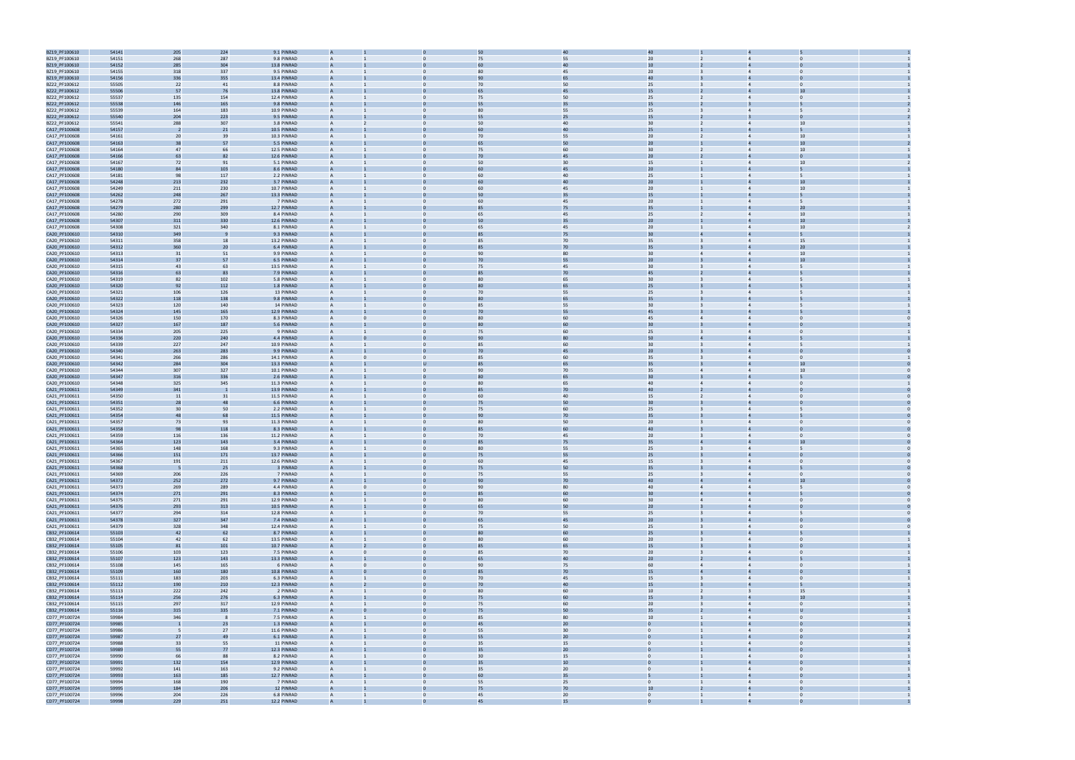

| BZ19_PF100610 | 54141 | 205 | 224 | 9.1 PINRAD  |                |                | 50              | 40     | 40              |                |                                  |              |  |
|---------------|-------|-----|-----|-------------|----------------|----------------|-----------------|--------|-----------------|----------------|----------------------------------|--------------|--|
| BZ19_PF100610 | 54151 | 268 | 287 | 9.8 PINRAD  |                |                | 75              | 55     | 20 <sub>2</sub> |                |                                  |              |  |
|               |       |     |     |             |                |                |                 |        |                 |                |                                  |              |  |
| BZ19_PF100610 | 54152 | 285 | 304 | 13.8 PINRAD |                |                |                 | 40     | 10              |                |                                  |              |  |
| BZ19_PF100610 | 54155 | 318 | 337 | 9.5 PINRAD  | A              | $\mathbf{0}$   | 80              | 45     | 20              |                | $\overline{4}$<br>$\Omega$       |              |  |
| BZ19_PF100610 | 54156 | 336 | 355 | 13.4 PINRAD |                |                | 90              | 65     | 40              |                |                                  |              |  |
| BZ22_PF100612 | 55505 | 22  | 41  | 8.8 PINRAD  | A              | $\Omega$       | 70              | 50     | 25              |                | $\Omega$<br>$\overline{4}$       |              |  |
| BZ22_PF100612 | 55506 | 57  | 76  | 13.8 PINRAD |                |                |                 | 45     | 15              |                |                                  |              |  |
|               |       |     |     |             |                |                |                 |        |                 |                |                                  |              |  |
| BZ22_PF100612 | 55537 | 135 | 154 | 12.4 PINRAD | A              | $\Omega$       | 75              | 50     | 25              |                | $\overline{4}$                   | $\Omega$     |  |
| BZ22_PF100612 | 55538 | 146 | 165 | 9.8 PINRAD  |                |                |                 | 35     | 15              |                |                                  |              |  |
| BZ22_PF100612 | 55539 | 164 | 183 | 10.9 PINRAD | A              |                | 80              | 55     | 25              |                | $\overline{4}$                   |              |  |
| BZ22_PF100612 | 55540 | 204 | 223 | 9.5 PINRAD  | $\overline{A}$ |                | 55              | 25     | 15              |                |                                  |              |  |
|               |       |     |     | 3.8 PINRAD  |                |                | 50              |        |                 |                |                                  | 10           |  |
| BZ22_PF100612 | 55541 | 288 | 307 |             |                |                |                 | 40     | 30 <sub>o</sub> |                |                                  |              |  |
| CA17_PF100608 | 54157 | - 2 | 21  | 10.5 PINRAD |                |                | 60              | 40     | 25 <sub>2</sub> |                |                                  |              |  |
| CA17_PF100608 | 54161 | 20  | 39  | 10.3 PINRAD | A              |                | 70              | 55     | 20 <sub>2</sub> |                | $\overline{4}$                   | 10           |  |
| CA17_PF100608 | 54163 | 38  | 57  | 5.5 PINRAD  |                |                |                 | 50     | 20              |                |                                  | 10           |  |
| CA17_PF100608 | 54164 | 47  | 66  | 12.5 PINRAD | A              | $\Omega$       | 75              | 60     | 30 <sub>o</sub> | $\overline{2}$ | $\overline{4}$                   | 10           |  |
|               |       |     |     |             |                |                |                 | 45     |                 |                |                                  |              |  |
| CA17_PF100608 | 54166 | 63  | 82  | 12.6 PINRAD |                |                | 70              |        | 20              |                |                                  |              |  |
| CA17_PF100608 | 54167 | 72  | 91  | 5.1 PINRAD  | A              |                | 50              | 30     | 15              |                | $\overline{4}$                   | 10           |  |
| CA17_PF100608 | 54180 | 84  | 103 | 8.6 PINRAD  |                |                |                 |        | 20              |                |                                  |              |  |
| CA17_PF100608 | 54181 | 98  | 117 | 2.2 PINRAD  | A              |                | 60              | 40     | 25              |                | $\overline{4}$                   |              |  |
| CA17_PF100608 | 54248 | 213 | 232 | 3.7 PINRAD  | $\overline{A}$ |                |                 | 40     | 20 <sub>2</sub> |                |                                  | 10           |  |
|               |       |     |     |             |                |                |                 |        |                 |                |                                  |              |  |
| CA17_PF100608 | 54249 | 211 | 230 | 10.7 PINRAD |                |                | 60              | 45     | 20 <sub>2</sub> |                |                                  | 10           |  |
| CA17_PF100608 | 54262 | 248 | 267 | 13.3 PINRAD |                |                |                 | 35     | 15              |                |                                  |              |  |
| CA17_PF100608 | 54278 | 272 | 291 | 7 PINRAD    | A              | $\Omega$       | 60              | 45     | 20 <sub>2</sub> |                | $\overline{4}$                   |              |  |
| CA17_PF100608 | 54279 | 280 | 299 | 12.7 PINRAD |                |                | 85              | 75     | 35              |                |                                  | 20           |  |
| CA17_PF100608 | 54280 | 290 | 309 | 8.4 PINRAD  | A              | $\Omega$       | 65              | 45     | 25              | $\overline{2}$ | $\overline{4}$                   | 10           |  |
|               |       |     |     |             |                |                |                 |        |                 |                |                                  | 10           |  |
| CA17_PF100608 | 54307 | 311 | 330 | 12.6 PINRAD |                |                | 50              | 35     | 20              |                |                                  |              |  |
| CA17_PF100608 | 54308 | 321 | 340 | 8.1 PINRAD  | A              |                | 65              | 45     | 20 <sub>2</sub> |                |                                  | 10           |  |
| CA20_PF100610 | 54310 | 349 |     | 9.3 PINRAD  |                |                |                 | 75     | 30              |                |                                  |              |  |
| CA20_PF100610 | 54311 | 358 | 18  | 13.2 PINRAD | A              |                | 85              | 70     | 35              |                | $\overline{4}$                   | 15           |  |
| CA20_PF100610 | 54312 | 360 | 20  | 6.4 PINRAD  |                |                |                 | 70     | 35              |                |                                  | 20           |  |
|               |       |     |     |             |                |                | 90              |        |                 |                |                                  | 10           |  |
| CA20_PF100610 | 54313 | 31  | 51  | 9.9 PINRAD  |                |                |                 | 80     | 30 <sub>o</sub> |                |                                  |              |  |
| CA20_PF100610 | 54314 | 37  | 57  | 6.5 PINRAD  |                |                | 70              | 55     | 20 <sub>2</sub> |                |                                  | 10           |  |
| CA20_PF100610 | 54315 | 43  | 63  | 13.5 PINRAD | A              | $\mathbf{0}$   | 75              | 45     | 30 <sub>o</sub> |                | $\overline{4}$                   |              |  |
| CA20_PF100610 | 54316 | 63  | 83  | 7.9 PINRAD  |                |                | 85              | $70\,$ | 45              |                |                                  |              |  |
| CA20_PF100610 | 54319 | 82  | 102 | 5.8 PINRAD  | A              | $\Omega$       | 80              | 65     | 30 <sub>o</sub> |                | 5<br>$\overline{4}$              |              |  |
|               | 54320 |     |     | 1.8 PINRAD  |                |                |                 | 65     | 25              |                |                                  |              |  |
| CA20_PF100610 |       | 92  | 112 |             |                |                |                 |        |                 |                |                                  |              |  |
| CA20_PF100610 | 54321 | 106 | 126 | 13 PINRAD   | A              |                | 70              | 55     | 25              |                |                                  |              |  |
| CA20_PF100610 | 54322 | 118 | 138 | 9.8 PINRAD  |                |                |                 | 65     | 35              |                |                                  |              |  |
| CA20_PF100610 | 54323 | 120 | 140 | 14 PINRAD   | A              |                | 85              | 55     | 30 <sup>°</sup> |                | $\overline{4}$                   |              |  |
| CA20_PF100610 | 54324 | 145 | 165 | 12.9 PINRAD | $\overline{A}$ |                | 70              | 55     | 45              |                |                                  |              |  |
|               |       |     |     |             |                |                | 80              |        |                 |                |                                  |              |  |
| CA20_PF100610 | 54326 | 150 | 170 | 8.3 PINRAD  |                |                |                 | 60     | 45              |                |                                  |              |  |
| CA20_PF100610 | 54327 | 167 | 187 | 5.6 PINRAD  |                |                | 80              | 60     | 30 <sub>o</sub> |                |                                  |              |  |
| CA20_PF100610 | 54334 | 205 | 225 | 9 PINRAD    | A              | $\mathbf{0}$   | 75              | 60     | 25              |                | $\Omega$                         |              |  |
| CA20_PF100610 | 54336 | 220 | 240 | 4.4 PINRAD  |                |                | 90              | 80     | 50              |                |                                  |              |  |
| CA20_PF100610 | 54339 | 227 | 247 | 10.9 PINRAD | A              | $\Omega$       | 85              | 60     | 30 <sub>o</sub> |                | $\overline{4}$                   |              |  |
|               |       |     |     |             |                |                |                 |        |                 |                |                                  |              |  |
| CA20_PF100610 | 54340 | 263 | 283 | 9.9 PINRAD  |                |                | 70              |        | 20              |                |                                  |              |  |
| CA20_PF100610 | 54341 | 266 | 286 | 14.1 PINRAD | A              | $\Omega$       | 85              | 60     | 35              |                | $\Omega$<br>$\overline{4}$       |              |  |
| CA20_PF100610 | 54342 | 284 | 304 | 13.3 PINRAD |                |                |                 | 65     | 35              |                |                                  | 10           |  |
| CA20_PF100610 | 54344 | 307 | 327 | 10.1 PINRAD | A              |                | 90              | 70     | 35              | 4              | $\overline{4}$                   | 10           |  |
| CA20_PF100610 | 54347 | 316 | 336 | 2.6 PINRAD  | $\overline{A}$ |                |                 | 65     | 30              |                |                                  |              |  |
|               |       |     |     |             |                |                |                 |        |                 |                |                                  |              |  |
| CA20_PF100610 | 54348 | 325 | 345 | 11.3 PINRAD |                |                | 80              | 65     | 40              |                |                                  |              |  |
| CA21_PF100611 | 54349 | 341 |     | 13.9 PINRAD |                |                | 85              | 70     | 40              |                |                                  |              |  |
| CA21_PF100611 | 54350 | 11  | 31  | 11.5 PINRAD | A              |                | 60              | 40     | 15              |                | $\overline{4}$<br>$\Omega$       |              |  |
| CA21_PF100611 | 54351 | 28  | 48  | 6.6 PINRAD  |                |                | 75              | 50     | 30              |                |                                  |              |  |
| CA21_PF100611 | 54352 | 30  | 50  | 2.2 PINRAD  | A              | $\Omega$       | 75              | 60     | 25              |                | $\overline{4}$                   |              |  |
|               |       |     |     |             |                |                |                 |        |                 |                |                                  |              |  |
| CA21_PF100611 | 54354 | 48  | 68  | 11.5 PINRAD |                |                | 90              | 70     | 35              |                |                                  |              |  |
| CA21_PF100611 | 54357 | 73  | 93  | 11.3 PINRAD | A              |                | 80              | 50     | 20              |                |                                  |              |  |
| CA21_PF100611 | 54358 | 98  | 118 | 8.3 PINRAD  |                |                |                 |        | 40              |                |                                  |              |  |
| CA21_PF100611 | 54359 | 116 | 136 | 11.2 PINRAD | A              |                | 70              | 45     | 20 <sub>2</sub> |                | $\Omega$<br>$\overline{4}$       |              |  |
| CA21_PF100611 | 54364 | 123 | 143 | 3.4 PINRAD  | A              |                | 85              | 75     | 35              | $\overline{a}$ |                                  | 10           |  |
|               |       |     |     |             |                |                |                 |        |                 |                |                                  |              |  |
| CA21_PF100611 | 54365 | 148 | 168 | 9.3 PINRAD  |                |                | 80              | 55     | 25              |                |                                  |              |  |
| CA21_PF100611 | 54366 | 151 | 171 | 13.7 PINRAD |                |                |                 |        | 25              |                |                                  |              |  |
| CA21_PF100611 | 54367 | 191 | 211 | 12.6 PINRAD |                |                | 60              | 45     | 15              |                |                                  |              |  |
| CA21_PF100611 | 54368 | -5  | 25  | 3 PINRAD    |                |                | 75              | 50     | 35              |                |                                  |              |  |
| CA21_PF100611 | 54369 | 206 | 226 | 7 PINRAD    | $\overline{A}$ | $\mathbf{0}$   | 75              | 55     | 25              | $\overline{3}$ | $\overline{4}$<br>$\overline{0}$ |              |  |
|               |       |     |     |             |                |                |                 |        |                 |                |                                  | 10           |  |
| CA21_PF100611 | 54372 | 252 | 272 | 9.7 PINRAD  |                |                | 90              | 70     | 40              |                |                                  |              |  |
| CA21_PF100611 | 54373 | 269 | 289 | 4.4 PINRAD  | A              | $\mathbf{0}$   | 90              | 80     | 40              | $\overline{4}$ | $\overline{4}$                   | 5            |  |
| CA21_PF100611 | 54374 | 271 | 291 | 8.3 PINRAD  |                |                | 85              | 60     | 30              | 4              |                                  |              |  |
| CA21_PF100611 | 54375 | 271 | 291 | 12.9 PINRAD | $\overline{A}$ | $\Omega$       | 80              | 60     | 30 <sup>°</sup> | $\overline{4}$ | $\Omega$<br>$\overline{4}$       |              |  |
| CA21_PF100611 | 54376 | 293 | 313 | 10.5 PINRAD | A              |                | 65              | 50     | 20 <sub>2</sub> |                | $\overline{4}$<br>$\Omega$       |              |  |
| CA21_PF100611 | 54377 | 294 | 314 | 12.8 PINRAD | $\overline{A}$ | $\Omega$       | 70              | 55     | 25              |                | $\overline{4}$<br>5              |              |  |
| CA21_PF100611 | 54378 | 327 | 347 | 7.4 PINRAD  | A              |                | 65              | 45     | 20 <sup>°</sup> |                | $\overline{0}$<br>$\overline{4}$ |              |  |
| CA21_PF100611 |       | 328 | 348 | 12.4 PINRAD | $\mathsf{A}$   | $\mathbf{0}$   |                 | 50     | 25              | $\overline{3}$ | $\overline{0}$<br>$\overline{4}$ |              |  |
|               | 54379 |     |     |             |                |                | 75              |        |                 |                |                                  |              |  |
| CB32_PF100614 | 55103 | 42  | 62  | 8.7 PINRAD  | А              |                | 80              | 60     | 25              |                | $\overline{4}$                   |              |  |
| CB32_PF100614 | 55104 | 42  | 62  | 13.5 PINRAD | $\overline{A}$ | $\mathbf{0}$   | 80              | 60     | 20              | $\overline{3}$ | $\overline{4}$<br>$\overline{0}$ |              |  |
| CB32_PF100614 | 55105 | 81  | 101 | 10.7 PINRAD | $\overline{A}$ |                | 85              | 65     | 15              |                | $\overline{3}$<br>$\Omega$       |              |  |
| CB32_PF100614 | 55106 | 103 | 123 | 7.5 PINRAD  | A              | $\mathbf{0}$   | 85              | 70     | 20              | $\overline{3}$ | $\overline{0}$<br>$\overline{4}$ |              |  |
| CB32_PF100614 | 55107 | 123 | 143 | 13.3 PINRAD |                |                | 65              | 40     | 20 <sub>2</sub> |                |                                  |              |  |
|               |       |     |     |             |                |                |                 |        |                 |                |                                  |              |  |
| CB32_PF100614 | 55108 | 145 | 165 | 6 PINRAD    | A              | $\mathbf{0}$   | 90              | 75     | 60              | $\overline{4}$ | $\overline{0}$<br>$\overline{4}$ |              |  |
| CB32_PF100614 | 55109 | 160 | 180 | 10.8 PINRAD | $\overline{A}$ |                | 85              | 70     | 15              | $\overline{4}$ | $\overline{4}$<br>$\Omega$       |              |  |
| CB32_PF100614 | 55111 | 183 | 203 | 6.3 PINRAD  |                | $\Omega$       | 70              | 45     | 15              | $\overline{3}$ | $\overline{4}$                   | $\mathbf{0}$ |  |
| CB32_PF100614 | 55112 | 190 | 210 | 12.3 PINRAD |                |                | 70              | 40     | 15              |                | $\overline{4}$<br>5              |              |  |
| CB32_PF100614 | 55113 | 222 | 242 | 2 PINRAD    | $\mathsf{A}$   | $\mathbf{0}$   | 80              | 60     | 10              | $\overline{2}$ | $\overline{\mathbf{3}}$          | 15           |  |
|               |       |     |     |             |                |                |                 |        |                 |                |                                  | 10           |  |
| CB32_PF100614 | 55114 | 256 | 276 | 6.3 PINRAD  | А              |                | 75              | 60     | 15              |                | $\overline{4}$                   |              |  |
| CB32_PF100614 | 55115 | 297 | 317 | 12.9 PINRAD | $\overline{A}$ | $\mathbf{0}$   | 75              | 60     | 20              | $\overline{3}$ | $\overline{0}$<br>$\overline{4}$ |              |  |
| CB32_PF100614 | 55116 | 315 | 335 | 7.1 PINRAD  |                |                | 75              | 50     | 35 <sub>2</sub> |                | $\overline{4}$                   | $\mathbf{U}$ |  |
| CD77_PF100724 | 59984 | 346 |     | 7.5 PINRAD  | A              | $\mathbf{0}$   | 85              | 80     | 10              |                | $\overline{0}$<br>$\overline{4}$ |              |  |
| CD77_PF100724 | 59985 |     | 23  | 1.3 PINRAD  |                |                | 45              | 20     |                 |                |                                  |              |  |
| CD77_PF100724 | 59986 | - 5 | 27  | 11.6 PINRAD | A              | $\mathbf{0}$   | 55              | 30     | $\overline{0}$  |                | $\overline{0}$<br>$\overline{4}$ |              |  |
|               |       |     |     |             |                |                |                 |        |                 |                |                                  |              |  |
| CD77_PF100724 | 59987 | 27  | 49  | 6.1 PINRAD  | $\overline{A}$ |                | 55              | 20     | $\overline{0}$  |                | $\overline{4}$<br>$\Omega$       |              |  |
| CD77_PF100724 | 59988 | 33  | 55  | 11 PINRAD   |                |                | 35              | 15     | $\overline{0}$  |                | $\overline{4}$<br>$\Omega$       |              |  |
| CD77_PF100724 | 59989 | 55  | 77  | 12.3 PINRAD |                |                | 35              | 20     | $\mathbf{0}$    |                | $\overline{4}$<br>$\Omega$       |              |  |
| CD77_PF100724 | 59990 | 66  | 88  | 8.2 PINRAD  | $\mathsf{A}$   | $\mathbf{0}$   | 30 <sup>°</sup> | 15     | $\overline{0}$  |                | $\overline{4}$<br>$\overline{0}$ |              |  |
| CD77_PF100724 | 59991 | 132 | 154 | 12.9 PINRAD | A              |                | 35              | $10\,$ |                 |                | $\overline{4}$                   |              |  |
|               |       |     |     |             |                |                |                 |        |                 |                |                                  |              |  |
| CD77_PF100724 | 59992 | 141 | 163 | 9.2 PINRAD  | $\overline{A}$ | $\overline{0}$ | 35              | 20     | $\overline{0}$  |                | $\overline{4}$<br>$\overline{0}$ |              |  |
| CD77_PF100724 | 59993 | 163 | 185 | 12.7 PINRAD |                |                | 60              | 35     |                 |                | $\overline{4}$                   |              |  |
| CD77_PF100724 | 59994 | 168 | 190 | 7 PINRAD    | $\overline{A}$ | $\mathbf{0}$   | 55              | 25     | $\overline{0}$  |                | $\overline{4}$                   | $\Omega$     |  |
| CD77_PF100724 | 59995 | 184 | 206 | 12 PINRAD   |                |                | 75              | 70     | 10              |                |                                  |              |  |
| CD77_PF100724 | 59996 | 204 | 226 | 6.8 PINRAD  | A              | $\Omega$       | 45              | 20     | $\overline{0}$  | $\overline{1}$ | $\overline{4}$<br>$\Omega$       |              |  |
| CD77 PF100724 | 59998 | 229 | 251 | 12.2 PINRAD | $\Delta$       |                | 45              | 15     |                 |                | $\overline{a}$                   |              |  |
|               |       |     |     |             |                |                |                 |        |                 |                |                                  |              |  |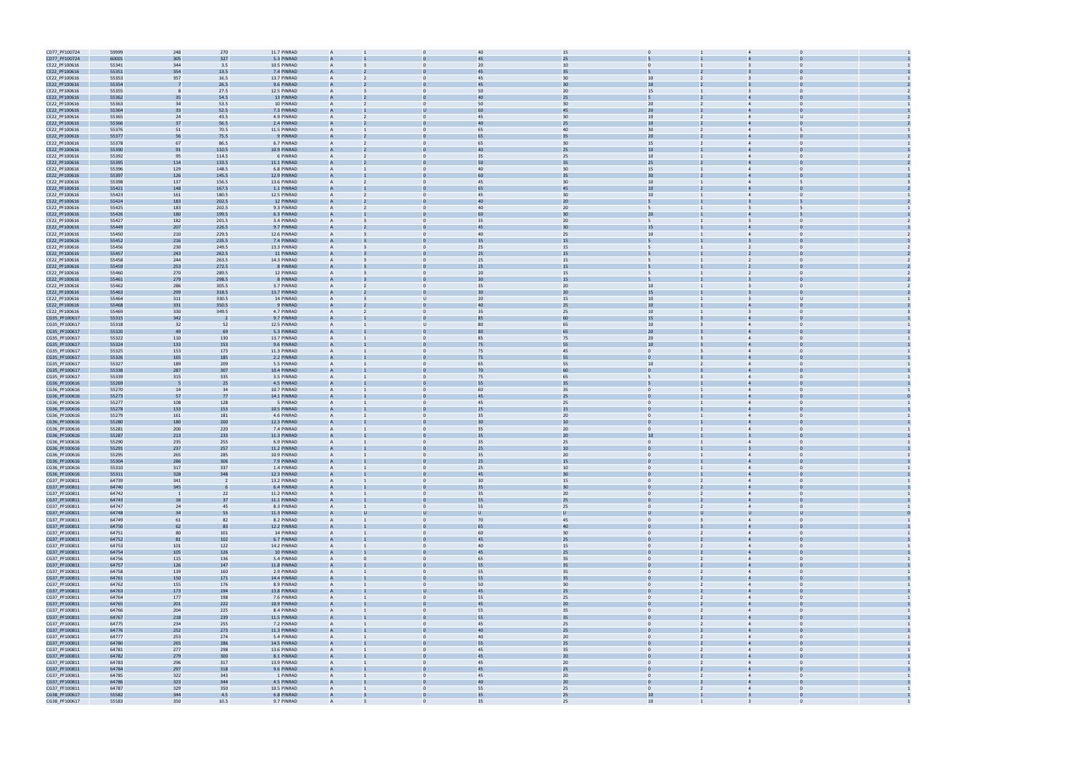| CD77_PF100724                  | 59999          | 248                      | 270            | 11.7 PINRAD              | $\overline{A}$ |                | 40             | 15       |                  |                |                                  |                |  |
|--------------------------------|----------------|--------------------------|----------------|--------------------------|----------------|----------------|----------------|----------|------------------|----------------|----------------------------------|----------------|--|
| CD77_PF100724                  | 60001          | 305                      | 327            | 5.3 PINRAD               |                |                | 4 <sup>5</sup> | 25       |                  |                |                                  |                |  |
| CE22_PF100616                  | 55341          | 344                      | 3.5            | 10.5 PINRAD              | $\overline{A}$ | $\mathbf 0$    | 20             | 10       | $\mathbf{0}$     |                | $\mathbf 0$                      |                |  |
| CE22_PF100616                  | 55351          | 354                      | 13.5           | 7.4 PINRAD               |                |                | 45             | 35       |                  |                |                                  |                |  |
|                                |                |                          |                |                          |                |                |                |          |                  |                |                                  |                |  |
| CE22_PF100616                  | 55353          | 357                      | 16.5           | 13.7 PINRAD              | $\overline{A}$ | $\Omega$       | 45             | 30       | 10               |                | $\overline{3}$                   |                |  |
| CE22_PF100616                  | 55354          |                          | 26.5           | 9.6 PINRAD               | $\overline{A}$ |                | 45             | 30       | 10               |                |                                  |                |  |
| CE22_PF100616                  | 55355          |                          | 27.5           | 12.5 PINRAD              | $\overline{A}$ |                | 50             | 20       | 15               |                |                                  |                |  |
| CE22_PF100616                  | 55362          | 35                       | 54.5           | 13 PINRAD                |                |                | 40             | 25       | 5                |                |                                  |                |  |
| CE22_PF100616                  | 55363          | 34                       | 53.5           | 10 PINRAD                | $\overline{A}$ | $\mathbf{0}$   | 50             | 30       | 20               |                | $\Omega$<br>$\overline{4}$       |                |  |
| CE22_PF100616                  | 55364          | 33                       | 52.5           | 7.3 PINRAD               |                |                | 60             | 45       | 20               |                |                                  |                |  |
| CE22_PF100616                  | 55365          | 24                       | 43.5           | 4.9 PINRAD               | $\overline{A}$ | $\Omega$       | 45             | 30       | 10 <sub>1</sub>  | $\overline{2}$ | $\overline{4}$<br>$\mathbf{u}$   |                |  |
|                                |                |                          |                |                          |                |                |                |          |                  |                |                                  |                |  |
| CE22_PF100616                  | 55366          | 37                       | 56.5           | 2.4 PINRAD               |                |                |                | 25       | 10 <sup>10</sup> |                |                                  |                |  |
| CE22_PF100616                  | 55376          | 51                       | 70.5           | 11.5 PINRAD              | $\overline{A}$ | $\Omega$       | 65             | 40       | 30 <sup>°</sup>  |                | $\overline{4}$                   |                |  |
| CE22_PF100616                  | 55377          | 56                       | 75.5           | 9 PINRAD                 |                |                |                | 35       | 20               |                |                                  |                |  |
| CE22_PF100616                  | 55378          | 67                       | 86.5           | 6.7 PINRAD               | $\overline{A}$ | $\Omega$       | 65             | 30       | 15               |                | $\overline{4}$                   |                |  |
| CE22_PF100616                  | 55390          | 91                       | 110.5          | 10.9 PINRAD              | $\overline{A}$ |                | 40             | 25       | $10\,$           |                |                                  |                |  |
|                                | 55392          |                          | 114.5          | 6 PINRAD                 | $\overline{A}$ |                | 35             | 25       | 10 <sup>10</sup> |                |                                  |                |  |
| CE22_PF100616                  |                | 95                       |                |                          |                |                |                |          |                  |                |                                  |                |  |
| CE22_PF100616                  | 55395          | 114                      | 133.5          | 11.1 PINRAD              | $\overline{A}$ |                | 50             | 35       | 25 <sub>2</sub>  |                |                                  |                |  |
| CE22_PF100616                  | 55396          | 129                      | 148.5          | 6.8 PINRAD               | $\overline{A}$ | $\mathbf{0}$   | 40             | 30       | 15               |                | $\overline{4}$<br>$\Omega$       |                |  |
| CE22_PF100616                  | 55397          | 126                      | 145.5          | 12.9 PINRAD              |                |                | 60             | 35       | 30               |                |                                  |                |  |
| CE22_PF100616                  | 55398          | 137                      | 156.5          | 13.6 PINRAD              | $\overline{A}$ | $\Omega$       | 45             | 30       | 10 <sup>10</sup> |                | 5<br>$\overline{4}$              |                |  |
| CE22_PF100616                  | 55421          | 148                      | 167.5          | 1.1 PINRAD               |                |                | 65             | 45       | 10               |                |                                  |                |  |
| CE22_PF100616                  | 55423          | 161                      | 180.5          | 12.5 PINRAD              | $\overline{A}$ | $\Omega$       | 45             | 30       | 10 <sup>10</sup> |                | $\Omega$                         |                |  |
|                                |                |                          |                |                          |                |                |                |          |                  |                |                                  |                |  |
| CE22_PF100616                  | 55424          | 183                      | 202.5          | 12 PINRAD                |                |                |                | 20       |                  |                |                                  |                |  |
| CE22_PF100616                  | 55425          | 183                      | 202.5          | 9.3 PINRAD               | $\overline{A}$ | $\Omega$       | 40             | 20       | $5^{\circ}$      |                |                                  |                |  |
| CE22_PF100616                  | 55426          | 180                      | 199.5          | 6.3 PINRAD               |                |                | 60             | 30       | 20               |                |                                  |                |  |
| CE22_PF100616                  | 55427          | 182                      | 201.5          | 3.4 PINRAD               |                |                | 35             | 20       | 5                |                | $\overline{3}$<br>$\Omega$       |                |  |
| CE22_PF100616                  | 55449          | 207                      | 226.5          | 9.7 PINRAD               |                |                | 45             | 30       | 15               |                |                                  |                |  |
| CE22_PF100616                  | 55450          | 210                      | 229.5          | 12.6 PINRAD              | $\overline{A}$ | $\mathbf{0}$   | 40             | 25       | 10               |                | $\overline{4}$<br>$\mathbf 0$    |                |  |
| CE22_PF100616                  | 55452          | 216                      | 235.5          | 7.4 PINRAD               |                |                | 35             | 15       |                  |                |                                  |                |  |
|                                |                |                          |                |                          |                |                |                |          |                  |                |                                  |                |  |
| CE22_PF100616                  | 55456          | 230                      | 249.5          | 13.3 PINRAD              | $\overline{A}$ | $\mathbf{0}$   | 25             | 15       | 5                |                | $\Omega$<br>2                    |                |  |
| CE22_PF100616                  | 55457          | 243                      | 262.5          | 11 PINRAD                |                |                | 25             | 15       |                  |                |                                  |                |  |
| CE22_PF100616                  | 55458          | 244                      | 263.5          | 14.3 PINRAD              | $\overline{A}$ | $\Omega$       | 25             | 15       | 5.               |                | $\Omega$                         |                |  |
| CE22_PF100616                  | 55459          | 253                      | 272.5          | 8 PINRAD                 |                |                | 25             | 15       |                  |                |                                  |                |  |
| CE22_PF100616                  | 55460          | 270                      | 289.5          | 12 PINRAD                | $\overline{A}$ |                | 20             | 15       | 5                |                | $\Omega$<br><sup>2</sup>         |                |  |
| CE22_PF100616                  | 55461          | 279                      | 298.5          | 8 PINRAD                 |                |                | 30             | 15       | 5                |                |                                  |                |  |
|                                | 55462          | 286                      | 305.5          | 3.7 PINRAD               |                |                | 35             | 20       |                  |                |                                  |                |  |
| CE22_PF100616                  |                |                          |                |                          |                |                |                |          | 10               |                |                                  |                |  |
| CE22_PF100616                  | 55463          | 299                      | 318.5          | 13.7 PINRAD              |                |                | 30             | 20       | 15               |                |                                  |                |  |
| CE22_PF100616                  | 55464          | 311                      | 330.5          | 14 PINRAD                | $\overline{A}$ | U              | 20             | 15       | 10               |                | U<br>$\overline{\mathbf{3}}$     |                |  |
| CE22_PF100616                  | 55468          | 331                      | 350.5          | 9 PINRAD                 |                |                | 40             | 25       | 10               |                |                                  |                |  |
| CE22_PF100616                  | 55469          | 330                      | 349.5          | 4.7 PINRAD               | $\overline{A}$ | $\mathbf{0}$   | 35             | 25       | 10               |                | $\Omega$<br>$\overline{3}$       |                |  |
| CG35_PF100617                  | 55315          | 342                      |                | 9.7 PINRAD               |                |                |                | 60       | 15               |                |                                  |                |  |
| CG35_PF100617                  | 55318          | 32                       | 52             | 12.5 PINRAD              | $\overline{A}$ | U              | 80             | 65       | 10               |                | $\Omega$                         |                |  |
|                                | 55320          | 49                       | 69             | 5.3 PINRAD               |                |                |                | 65       | 20               |                |                                  |                |  |
| CG35_PF100617                  |                |                          |                |                          |                |                |                |          |                  |                |                                  |                |  |
| CG35_PF100617                  | 55322          | 110                      | 130            | 13.7 PINRAD              | $\overline{A}$ |                | 85             | 75       | 20 <sub>2</sub>  |                | $\overline{4}$                   |                |  |
| CG35_PF100617                  | 55324          | 133                      | 153            | 9.6 PINRAD               |                |                | 75             | 55       | 10               |                |                                  |                |  |
| CG35_PF100617                  | 55325          | 153                      | 173            | 11.3 PINRAD              |                |                | 75             | 45       | $\Omega$         |                |                                  |                |  |
| CG35_PF100617                  | 55326          | 165                      | 185            | 2.2 PINRAD               |                |                | 75             | 55       | $\mathbf{0}$     |                |                                  |                |  |
| CG35_PF100617                  | 55327          | 189                      | 209            | 5.5 PINRAD               | $\overline{A}$ | $\mathbf{0}$   | 65             | 55       | 10               |                | $\overline{4}$<br>$\Omega$       |                |  |
| CG35_PF100617                  | 55338          | 287                      | 307            | 10.4 PINRAD              |                |                | 70             | 60       |                  |                |                                  |                |  |
| CG35_PF100617                  | 55339          | 315                      | 335            | 3.5 PINRAD               | $\overline{A}$ | $\Omega$       | 75             | 65       | 5                |                | $\Omega$<br>$\overline{4}$       |                |  |
|                                |                |                          |                |                          |                |                |                |          |                  |                |                                  |                |  |
| CG36_PF100616                  | 55269          |                          | 25             | 4.5 PINRAD               |                |                | 55             | 35       |                  |                |                                  |                |  |
| CG36_PF100616                  | 55270          | 14                       | 34             | 10.7 PINRAD              | $\overline{A}$ | $\Omega$       | 60             | 35       | $\mathbf{0}$     |                | $\Omega$<br>$\overline{4}$       |                |  |
| CG36_PF100616                  | 55273          | 57                       | 77             | 14.1 PINRAD              |                |                | 45             | 25       |                  |                |                                  |                |  |
| CG36_PF100616                  | 55277          | 108                      | 128            | 5 PINRAD                 | $\overline{A}$ |                | 45             | 25       | $\Omega$         |                | $\overline{4}$                   |                |  |
| CG36_PF100616                  | 55278          | 133                      | 153            | 10.5 PINRAD              |                |                | 25             | 15       |                  |                |                                  |                |  |
| CG36_PF100616                  | 55279          | 161                      | 181            | 4.6 PINRAD               |                |                | 35             | 20       |                  | $\Delta$       |                                  |                |  |
|                                | 55280          |                          |                | 12.3 PINRAD              |                |                | 30             | 10       |                  |                |                                  |                |  |
| CG36_PF100616                  |                | 180                      | 200            |                          |                |                |                |          |                  |                |                                  |                |  |
| CG36_PF100616                  | 55281          | 200                      | 220            | 7.4 PINRAD               | $\overline{A}$ | $\mathbf{0}$   | 35             | 20       | $\mathbf{0}$     |                | $\Omega$<br>$\overline{4}$       |                |  |
| CG36_PF100616                  | 55287          | 213                      | 233            | 11.3 PINRAD              |                |                | 35             | 20       | 10               |                |                                  |                |  |
| CG36_PF100616                  | 55290          | 235                      | 255            | 6.9 PINRAD               | A              | $\mathbf{0}$   | 35             | 25       | $\Omega$         |                | $\overline{4}$                   | $\Omega$       |  |
| CG36_PF100616                  | 55291          | 237                      | 257            | 11.2 PINRAD              |                |                | 25             | 10       |                  |                |                                  |                |  |
| CG36_PF100616                  | 55295          | 265                      | 285            | 10.9 PINRAD              |                |                | 35             | 20       |                  |                |                                  |                |  |
| CG36_PF100616                  | 55304          | 286                      | 306            | 7.9 PINRAD               |                |                | 25             | 15       |                  |                |                                  |                |  |
| CG36_PF100616                  | 55310          | 317                      | 337            | 1.4 PINRAD               | $\overline{A}$ | $\mathbf{0}$   | 25             | $10\,$   | $\mathbf{0}$     | $\mathbf{1}$   | $\overline{4}$                   | $\Omega$       |  |
|                                |                |                          |                |                          |                |                |                |          |                  |                |                                  |                |  |
| CG36_PF100616                  | 55311          | 328                      | 348            | 12.3 PINRAD              | $\overline{A}$ |                | 45             | 30       | $\overline{0}$   |                | $\overline{4}$<br>$\Omega$       |                |  |
| CG37_PF100811                  | 64739          | 341                      | $\overline{2}$ | 13.2 PINRAD              | $\overline{A}$ | $\Omega$       | 30             | 15       | $\overline{0}$   | $\overline{2}$ | $\overline{4}$<br>$\Omega$       |                |  |
| CG37_PF100811                  | 64740          | 345                      |                | 6.4 PINRAD               | $\overline{A}$ |                | 35             | 30       | $\overline{0}$   | $\overline{2}$ | $\overline{0}$                   |                |  |
| CG37_PF100811                  | 64742          | $\overline{\phantom{0}}$ | 22             | 11.2 PINRAD              | $\overline{A}$ | $\mathbf{0}$   | 35             | 20       | $\overline{0}$   | $\overline{2}$ | $\overline{0}$<br>$\overline{4}$ |                |  |
| CG37_PF100811                  | 64743          | 16                       | 37             | 11.1 PINRAD              | A              |                | 55             | 25       | $\mathbf{0}$     |                | $\Omega$<br>$\overline{4}$       |                |  |
| CG37_PF100811                  | 64747          | 24                       | 45             | 8.3 PINRAD               | $\overline{A}$ | $\mathbf{0}$   | 55             | 25       | $\overline{0}$   | $\overline{2}$ | $\overline{4}$<br>$\overline{0}$ |                |  |
| CG37_PF100811                  | 64748          | 34                       | 55             | 11.3 PINRAD              | $\overline{A}$ | $\mathbf{U}$   | U              | <b>U</b> | $\cup$           | $\mathbf{U}$   | $\mathbf{U}$                     | $\mathbf{U}$   |  |
| CG37_PF100811                  | 64749          | 61                       | 82             | 8.2 PINRAD               | $\mathsf{A}$   | $\overline{0}$ | 70             | 45       | $\overline{0}$   | $\overline{3}$ | $\overline{0}$<br>$\overline{4}$ |                |  |
| CG37_PF100811                  | 64750          | 62                       | 83             | 12.2 PINRAD              |                |                | 65             | 40       | $\Omega$         |                | $\Omega$                         |                |  |
|                                |                |                          |                |                          |                |                |                |          |                  | $\overline{2}$ | $\overline{0}$                   |                |  |
| CG37_PF100811                  | 64751          | 80                       | 101            | 14 PINRAD                | $\overline{A}$ | $\mathbf{0}$   | 60             | 30       | $\mathbf{0}$     |                | $\overline{4}$                   |                |  |
| CG37_PF100811                  | 64752          | 81                       | 102            | 6.7 PINRAD               | $\overline{A}$ |                | 45             | 25       | $\overline{0}$   | $\overline{2}$ | $\overline{4}$<br>$\Omega$       |                |  |
| CG37_PF100811                  | 64753          | 101                      | 122            | 14.2 PINRAD              | $\overline{A}$ | $\mathbf{0}$   | 40             | 15       | $\mathbf{0}$     | $\overline{2}$ | $\overline{4}$<br>$\Omega$       |                |  |
| CG37_PF100811                  | 64754          | 105                      | 126            | 10 PINRAD                | $\overline{A}$ |                | 45             | 25       | $\overline{0}$   | $\overline{2}$ | $\mathbf 0$                      |                |  |
| CG37_PF100811                  | 64756          | 115                      | 136            | 5.4 PINRAD               | $\mathsf{A}$   | $\mathbf{0}$   | 65             | 35       | $\overline{0}$   | $\overline{2}$ | $\overline{0}$<br>$\overline{4}$ |                |  |
| CG37_PF100811                  | 64757          | 126                      | 147            | 11.8 PINRAD              | $\overline{A}$ |                | 55             | 35       | $\mathbf{0}$     |                | $\Omega$<br>$\overline{4}$       |                |  |
| CG37_PF100811                  | 64758          |                          |                | 2.9 PINRAD               | $\overline{A}$ | $\mathbf{0}$   | 55             | 35       | $\overline{0}$   | $\overline{2}$ | $\overline{4}$                   |                |  |
| CG37_PF100811                  |                |                          |                |                          |                |                |                |          |                  |                |                                  |                |  |
|                                |                | 139                      | 160            |                          |                |                |                |          |                  |                |                                  | $\overline{0}$ |  |
| CG37_PF100811                  | 64761          | 150                      | 171            | 14.4 PINRAD              | $\overline{A}$ |                | 55             | 35       | $\mathbf{0}$     | $2^{\circ}$    | $\overline{4}$<br>$\Omega$       |                |  |
| CG37_PF100811                  | 64762          | 155                      | 176            | 8.9 PINRAD               | $\mathsf{A}$   | $\overline{0}$ | 50             | 30       | $\overline{0}$   | $\overline{2}$ | $\overline{0}$<br>$\overline{4}$ |                |  |
| CG37_PF100811                  | 64763          | 173                      | 194            | 13.8 PINRAD              |                |                | 45             | 25       | $\Omega$         |                |                                  |                |  |
| CG37_PF100811                  | 64764          | 177                      | 198            | 7.6 PINRAD               | $\overline{A}$ | $\overline{0}$ | 55             | 25       | $\mathbf{0}$     | $\overline{2}$ | $\overline{0}$<br>$\overline{4}$ |                |  |
|                                | 64765          | 201                      | 222            | 10.9 PINRAD              | $\overline{A}$ |                | 45             | 20       | $\overline{0}$   | $\overline{2}$ | $\overline{4}$<br>$\Omega$       |                |  |
|                                |                |                          |                | 8.4 PINRAD               | $\overline{A}$ | $\Omega$       |                |          | $\mathbf{0}$     | $\overline{2}$ | $\overline{4}$<br>$\Omega$       |                |  |
| CG37_PF100811                  | 64766          | 204                      | 225            |                          |                |                | 55             | 35       | $\mathbf{0}$     | $\overline{2}$ | $\overline{4}$<br>$\mathbf 0$    |                |  |
| CG37_PF100811                  | 64767          | 218                      | 239            | 11.5 PINRAD              |                |                | 55             | 35       |                  |                |                                  |                |  |
| CG37_PF100811                  | 64775          | 234                      | 255            | 7.2 PINRAD               | $\mathsf{A}$   | $\mathbf{0}$   | 45             | 25       | $\overline{0}$   | $\overline{2}$ | $\overline{4}$<br>$\overline{0}$ |                |  |
| CG37_PF100811                  | 64776          | 252                      | 273            | 11.3 PINRAD              | A              |                | 40             | 25       | $\mathbf{0}$     |                | $\Omega$<br>$\overline{4}$       |                |  |
| CG37_PF100811                  | 64777          | 253                      | 274            | 5.4 PINRAD               | $\overline{A}$ | $\mathbf{0}$   | 40             | 20       | $\overline{0}$   | $\overline{2}$ | $\overline{4}$<br>$\overline{0}$ |                |  |
| CG37_PF100811                  | 64780          | 265                      | 286            | 14.5 PINRAD              | $\overline{A}$ |                | 55             | 25       | $\overline{0}$   | $\overline{2}$ | $\overline{4}$<br>$\Omega$       |                |  |
| CG37_PF100811                  | 64781          | 277                      | 298            | 13.6 PINRAD              | $\mathsf{A}$   | $\mathbf{0}$   | 45             | 35       | $\overline{0}$   | $\overline{2}$ | $\overline{0}$<br>$\overline{4}$ |                |  |
| CG37_PF100811                  | 64782          | 279                      | 300            | 8.1 PINRAD               |                |                | 45             | 20       |                  |                |                                  |                |  |
| CG37_PF100811                  | 64783          | 296                      | 317            | 13.9 PINRAD              | $\overline{A}$ | $\mathbf{0}$   | 45             | 20       | $\mathbf{0}$     | $\overline{2}$ | $\Omega$<br>$\overline{4}$       |                |  |
| CG37_PF100811                  | 64784          | 297                      | 318            | 9.6 PINRAD               | $\overline{A}$ |                | 45             | 25       | $\mathbf{0}$     |                | $\overline{4}$<br>$\Omega$       |                |  |
|                                |                |                          |                | 1 PINRAD                 |                | $\Omega$       | 45             |          | $\overline{0}$   | $\overline{2}$ | $\overline{4}$<br>$\Omega$       |                |  |
| CG37_PF100811                  | 64785          | 322                      | 343            | 4.5 PINRAD               |                |                | 40             | 20<br>20 | $\mathbf{0}$     |                | $\overline{4}$                   |                |  |
| CG37_PF100811                  | 64786          | 323                      | 344            |                          | $\mathsf{A}$   | $\mathbf{0}$   |                |          |                  | $\overline{2}$ | $\overline{4}$<br>$\overline{0}$ |                |  |
| CG37_PF100811                  | 64787          | 329                      | 350            | 10.5 PINRAD              |                |                | 55             | 25       | $\overline{0}$   |                |                                  |                |  |
| CG38_PF100617<br>CG38 PF100617 | 55582<br>55583 | 344<br>350               | 4.5<br>10.5    | 6.8 PINRAD<br>9.7 PINRAD | $\Delta$       | $\Omega$       | 35<br>35       | 25<br>25 | 10<br>10         |                | $\overline{0}$<br>$\Omega$       |                |  |

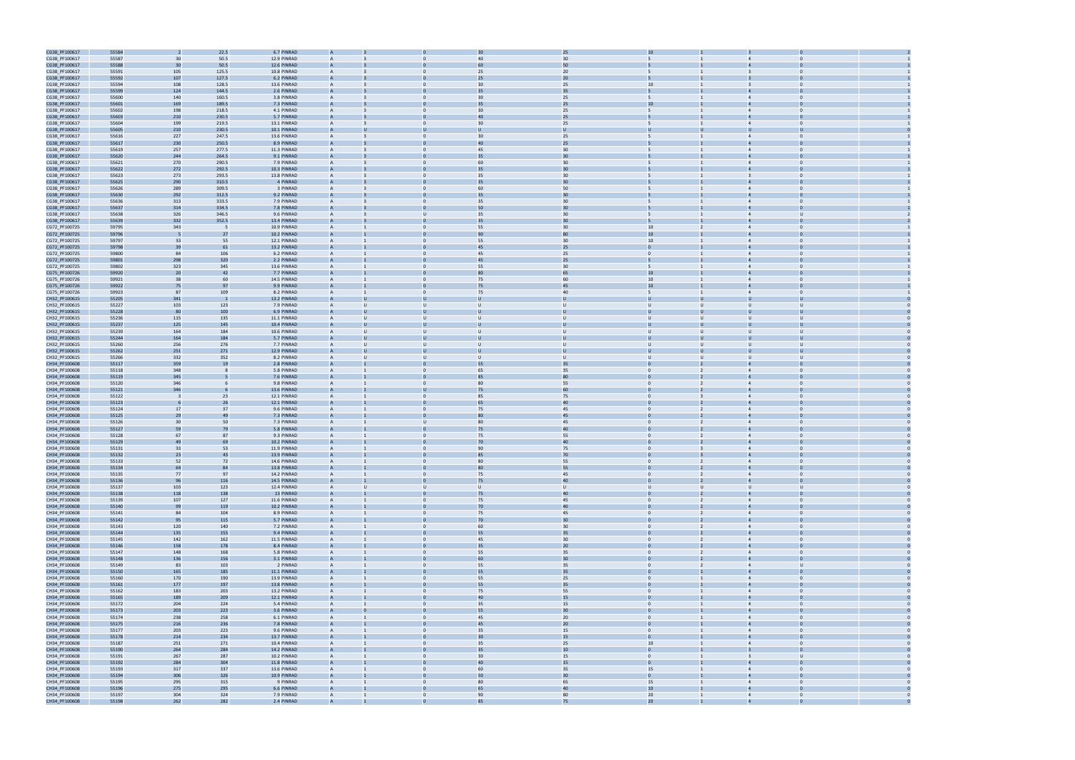

| CG38_PF100617 | 55584 |     | 22.5           | 6.7 PINRAD  |                |                  |                |        |                                  |   |                                  |  |
|---------------|-------|-----|----------------|-------------|----------------|------------------|----------------|--------|----------------------------------|---|----------------------------------|--|
|               |       |     |                |             |                |                  | 40             |        |                                  |   |                                  |  |
| CG38_PF100617 | 55587 | 30  | 50.5           | 12.9 PINRAD |                |                  |                | 30     |                                  |   |                                  |  |
| CG38_PF100617 | 55588 | 30  | 50.5           | 12.6 PINRAD |                |                  | 60             | 50     |                                  |   |                                  |  |
| CG38_PF100617 | 55591 | 105 | 125.5          | 10.8 PINRAD | A              |                  | 25             | 20     |                                  |   |                                  |  |
| CG38_PF100617 | 55592 | 107 | 127.5          | 6.2 PINRAD  | $\overline{A}$ |                  | 25             | 20     |                                  |   |                                  |  |
| CG38_PF100617 | 55594 | 108 | 128.5          | 13.6 PINRAD | A              |                  | 30             | 25     | 10 <sup>10</sup>                 |   | $\bf{0}$                         |  |
|               |       |     |                |             |                |                  |                |        |                                  |   |                                  |  |
| CG38_PF100617 | 55599 | 124 | 144.5          | 2.6 PINRAD  |                |                  |                | 35     |                                  |   |                                  |  |
| CG38_PF100617 | 55600 | 140 | 160.5          | 3.8 PINRAD  | $\overline{A}$ | $\Omega$         | 30             | 25     | 5                                |   | $\Omega$<br>$\overline{4}$       |  |
| CG38_PF100617 | 55601 | 169 | 189.5          | 7.3 PINRAD  |                |                  |                | 25     |                                  |   |                                  |  |
| CG38_PF100617 | 55602 | 198 | 218.5          | 4.1 PINRAD  | A              | $\Omega$         | 30             | 25     | 5                                |   | $\overline{4}$<br>$\Omega$       |  |
|               |       |     |                |             |                |                  |                |        |                                  |   |                                  |  |
| CG38_PF100617 | 55603 | 210 | 230.5          | 5.7 PINRAD  |                |                  | 4 <sup>c</sup> | 25     |                                  |   |                                  |  |
| CG38_PF100617 | 55604 | 199 | 219.5          | 13.1 PINRAD |                |                  | 3C             | 25     |                                  |   | $\overline{4}$                   |  |
| CG38_PF100617 | 55605 | 210 | 230.5          | 10.1 PINRAD |                |                  |                |        |                                  |   |                                  |  |
| CG38_PF100617 | 55616 | 227 | 247.5          | 13.6 PINRAD |                |                  | 30             | 25     |                                  |   | $\overline{4}$                   |  |
|               |       |     |                |             |                |                  |                |        |                                  |   |                                  |  |
| CG38_PF100617 | 55617 | 230 | 250.5          | 8.9 PINRAD  |                |                  | 4 <sub>0</sub> | 25     |                                  |   |                                  |  |
| CG38_PF100617 | 55619 | 257 | 277.5          | 11.3 PINRAD | A              |                  | 45             | 30     |                                  |   | $\overline{4}$<br>$\bf{0}$       |  |
| CG38_PF100617 | 55620 | 244 | 264.5          | 9.1 PINRAD  |                |                  | 35             | 30     |                                  |   |                                  |  |
| CG38_PF100617 | 55621 | 270 | 290.5          | 7.9 PINRAD  | A              |                  | 60             | 30     |                                  |   | $\Omega$<br>$\overline{4}$       |  |
|               |       |     |                |             |                |                  |                | 30     |                                  |   |                                  |  |
| CG38_PF100617 | 55622 | 272 | 292.5          | 10.3 PINRAD |                |                  |                |        |                                  |   |                                  |  |
| CG38_PF100617 | 55623 | 273 | 293.5          | 13.8 PINRAD | A              |                  | 35             | 30     |                                  |   | $\Omega$                         |  |
| CG38_PF100617 | 55625 | 290 | 310.5          | 4 PINRAD    |                |                  | 3!             | 30     |                                  |   |                                  |  |
| CG38_PF100617 | 55626 | 289 | 309.5          | 3 PINRAD    |                |                  | 60             | 50     |                                  |   |                                  |  |
| CG38_PF100617 | 55630 | 292 | 312.5          | 9.2 PINRAD  |                |                  |                | 30     |                                  |   |                                  |  |
|               |       |     |                |             |                |                  |                |        |                                  |   |                                  |  |
| CG38_PF100617 | 55636 | 313 | 333.5          | 7.9 PINRAD  |                |                  | 35             | 30     |                                  |   | $\overline{4}$                   |  |
| CG38_PF100617 | 55637 | 314 | 334.5          | 7.8 PINRAD  |                |                  | 50             | 30     |                                  |   |                                  |  |
| CG38_PF100617 | 55638 | 326 | 346.5          | 9.6 PINRAD  |                |                  | 35             | 30     | 5                                |   | $\overline{4}$                   |  |
| CG38_PF100617 | 55639 | 332 | 352.5          | 13.4 PINRAD |                |                  | 35             | 30     |                                  |   |                                  |  |
|               | 59795 | 343 | - 5            | 10.9 PINRAD | A              |                  | 55             | 30     | 10 <sup>10</sup>                 |   |                                  |  |
| CG72_PF100725 |       |     |                |             |                |                  |                |        |                                  |   |                                  |  |
| CG72_PF100725 | 59796 |     | 27             | 10.2 PINRAD |                |                  | 90             |        | 10                               |   |                                  |  |
| CG72_PF100725 | 59797 | 33  | 55             | 12.1 PINRAD | A              | $\Omega$         | 55             | 30     | 10                               |   | $\overline{4}$<br>$\Omega$       |  |
| CG72_PF100725 | 59798 | 39  | 61             | 13.2 PINRAD |                |                  | 45             | 25     |                                  |   |                                  |  |
| CG72_PF100725 | 59800 | 84  | 106            | 6.2 PINRAD  |                |                  | 45             | 25     | $\Omega$                         |   |                                  |  |
|               | 59801 | 298 | 320            | 2.2 PINRAD  |                |                  | 45             | 25     |                                  |   |                                  |  |
| CG72_PF100725 |       |     |                |             |                |                  |                |        |                                  |   |                                  |  |
| CG72_PF100725 | 59802 | 323 | 345            | 13.6 PINRAD |                |                  | 55             | 30     |                                  |   | $\overline{4}$                   |  |
| CG75_PF100726 | 59920 | 20  | 42             | 7.7 PINRAD  | A              |                  | 80             | 65     | 10                               |   |                                  |  |
| CG75_PF100726 | 59921 | 38  | 60             | 14.5 PINRAD | A              |                  | 75             | 60     | 10 <sup>10</sup>                 |   | $\overline{4}$                   |  |
| CG75_PF100726 | 59922 | 75  | 97             | 9.9 PINRAD  |                |                  | 75             | 45     | 10                               |   |                                  |  |
|               |       |     |                |             |                |                  |                |        |                                  |   |                                  |  |
| CG75_PF100726 | 59923 | 87  | 109            | 8.2 PINRAD  | A              | $\mathbf{0}$     | 75             | 40     | 5                                |   | $\Omega$<br>$\overline{4}$       |  |
| CH32_PF100615 | 55205 | 341 |                | 13.2 PINRAD |                |                  |                |        |                                  |   |                                  |  |
| CH32_PF100615 | 55227 | 103 | 123            | 7.9 PINRAD  | A              | $\mathbf{U}$     |                | $\cup$ | $\cup$                           |   | υ                                |  |
| CH32_PF100615 | 55228 | 80  | 100            | 6.9 PINRAD  |                |                  |                |        | U                                |   |                                  |  |
|               |       |     |                |             |                |                  |                |        |                                  |   |                                  |  |
| CH32_PF100615 | 55236 | 115 | 135            | 11.1 PINRAD |                | $\mathbf{U}$     |                |        | $\cup$                           |   | υ                                |  |
| CH32_PF100615 | 55237 | 125 | 145            | 10.4 PINRAD |                |                  |                |        | $\mathbf{U}$                     |   |                                  |  |
| CH32_PF100615 | 55239 | 164 | 184            | 10.6 PINRAD |                |                  |                |        | $\cup$                           |   |                                  |  |
| CH32_PF100615 | 55244 | 164 | 184            | 5.7 PINRAD  | $\overline{A}$ |                  |                |        | U                                |   |                                  |  |
| CH32_PF100615 | 55260 | 256 | 276            | 7.7 PINRAD  | A              |                  |                |        | $\cup$                           |   | U                                |  |
|               |       |     |                |             |                |                  |                |        |                                  |   |                                  |  |
| CH32_PF100615 | 55262 | 251 | 271            | 12.9 PINRAD |                |                  |                |        | U                                |   |                                  |  |
| CH32_PF100615 | 55266 | 332 | 352            | 8.2 PINRAD  | A              | U                | U              | $\cup$ | $\cup$<br>U                      |   | U                                |  |
| CH34_PF100608 | 55117 | 359 | 1 <sup>c</sup> | 2.8 PINRAD  |                |                  |                | 35     |                                  |   |                                  |  |
| CH34_PF100608 | 55118 | 348 |                | 5.8 PINRAD  | A              | $\Omega$         | 65             | 35     | $\mathbf{0}$<br>$\overline{2}$   |   | $\overline{4}$<br>$\Omega$       |  |
|               | 55119 | 345 |                | 7.6 PINRAD  |                |                  |                | 80     |                                  |   |                                  |  |
| CH34_PF100608 |       |     |                |             |                |                  |                |        |                                  |   |                                  |  |
| CH34_PF100608 | 55120 | 346 |                | 9.8 PINRAD  |                |                  | 80             | 55     | $\mathbf{0}$                     |   |                                  |  |
| CH34_PF100608 | 55121 | 346 |                | 13.6 PINRAD |                |                  | 75             | 60     |                                  |   |                                  |  |
| CH34_PF100608 | 55122 |     | 23             | 12.1 PINRAD | A              |                  | 85             | 75     | $\Omega$                         |   | $\overline{4}$                   |  |
| CH34_PF100608 | 55123 |     | 26             | 12.1 PINRAD |                |                  |                | 40     | $\mathbf{0}$                     |   |                                  |  |
|               |       |     |                |             |                |                  |                |        |                                  |   |                                  |  |
| CH34_PF100608 | 55124 | 17  | 37             | 9.6 PINRAD  | A              |                  | 75             | 45     | $\mathbf{0}$                     |   | $\overline{4}$<br>$\Omega$       |  |
| CH34_PF100608 | 55125 | 29  | 49             | 7.3 PINRAD  |                |                  |                | 45     |                                  |   |                                  |  |
| CH34_PF100608 | 55126 | 30  | 50             | 7.3 PINRAD  | A              | $\cup$           | 80             | 45     | $\mathbf{0}$                     |   | $\overline{4}$<br>$\Omega$       |  |
| CH34_PF100608 | 55127 | 59  | 79             | 5.8 PINRAD  |                |                  | 75             | 40     |                                  |   |                                  |  |
| CH34_PF100608 | 55128 | 67  | 87             | 9.3 PINRAD  | A              | $\Omega$         | 75             | 55     | $\mathbf{0}$                     |   | $\overline{4}$<br>$\mathbf{0}$   |  |
|               |       |     |                |             |                |                  |                |        |                                  |   |                                  |  |
| CH34_PF100608 | 55129 | 49  | 69             | 10.2 PINRAD |                |                  | 70             | 40     |                                  |   |                                  |  |
| CH34_PF100608 | 55131 | 33  | 53             | 11.9 PINRAD | A              |                  | 90             | 75     | $\Omega$                         |   | $\Omega$<br>$\overline{4}$       |  |
| CH34_PF100608 | 55132 | 23  | 43             | 13.9 PINRAD |                |                  |                | 70     |                                  |   |                                  |  |
| CH34_PF100608 | 55133 | 52  | 72             | 14.6 PINRAD |                |                  | 80             | 55     | $\Omega$                         |   |                                  |  |
| CH34_PF100608 | 55134 | 64  | 84             | 13.8 PINRAD |                |                  | 80             | 55     | $\overline{0}$                   |   |                                  |  |
|               |       |     |                |             |                |                  |                |        |                                  |   |                                  |  |
| CH34_PF100608 | 55135 | 77  | 97             | 14.2 PINRAD | A              | $\mathbf{0}$     | 75             | 45     | $\overline{0}$<br>$\overline{2}$ |   | $\overline{4}$<br>$\overline{0}$ |  |
| CH34_PF100608 | 55136 | 96  | 116            | 14.5 PINRAD | $\overline{A}$ |                  | 75             | 40     | $\mathbf{0}$                     |   | $\overline{0}$                   |  |
| CH34_PF100608 | 55137 | 103 | 123            | 12.4 PINRAD | A              | $\cup$<br>$\cup$ | $\cup$         | $\cup$ | $\cup$                           | U | U<br>$\cup$                      |  |
| CH34_PF100608 | 55138 | 118 | 138            | 13 PINRAD   | A              |                  | 75             | 40     | $\overline{0}$                   |   | $\Omega$                         |  |
| CH34_PF100608 | 55139 | 107 | 127            | 11.6 PINRAD | $\overline{A}$ | $\mathbf{0}$     | 75             | 45     | $\overline{0}$<br>$\overline{2}$ |   | $\overline{4}$<br>$\overline{0}$ |  |
|               |       |     |                |             |                | $\Omega$         |                | 40     | $\mathbf{0}$<br>$2^{\circ}$      |   | $\overline{4}$<br>$\mathbf 0$    |  |
| CH34_PF100608 | 55140 | 99  | 119            | 10.2 PINRAD | A              |                  | 70             |        |                                  |   |                                  |  |
| CH34_PF100608 | 55141 | 84  | 104            | 8.9 PINRAD  | A              | $\mathbf{0}$     | 75             | 45     | $\overline{0}$<br>$\overline{2}$ |   | $\overline{0}$<br>$\overline{4}$ |  |
| CH34_PF100608 | 55142 | 95  | 115            | 5.7 PINRAD  | $\overline{A}$ |                  | 70             | 30     | $\overline{0}$                   |   | $\overline{a}$<br>$\Omega$       |  |
| CH34_PF100608 | 55143 | 120 | 140            | 7.2 PINRAD  | A              | $\Omega$         | 60             | 30     | $\overline{0}$<br>$\overline{2}$ |   | $\overline{4}$<br>$\Omega$       |  |
| CH34_PF100608 | 55144 | 135 | 155            | 9.4 PINRAD  | A              |                  | 55             | 35     | $\overline{0}$<br>$\overline{2}$ |   | $\overline{4}$<br>$\mathbf 0$    |  |
|               |       |     |                |             |                |                  |                |        |                                  |   |                                  |  |
| CH34_PF100608 | 55145 | 142 | 162            | 11.5 PINRAD | A              | $\mathbf{0}$     | 45             | 30     | $\overline{0}$<br>$\overline{2}$ |   | $\overline{4}$<br>$\overline{0}$ |  |
| CH34_PF100608 | 55146 | 158 | 178            | 8.4 PINRAD  | $\overline{A}$ | $\Omega$         | 35             | $20\,$ | $\mathbf{0}$<br>$2^{\circ}$      |   | $\overline{0}$<br>$\overline{4}$ |  |
| CH34_PF100608 | 55147 | 148 | 168            | 5.8 PINRAD  | A              | $\overline{0}$   | 55             | 35     | $\overline{0}$<br>$\overline{2}$ |   | $\overline{0}$<br>$\overline{4}$ |  |
| CH34_PF100608 | 55148 | 136 | 156            | 3.1 PINRAD  | A              |                  | 60             | 30     | $\overline{0}$                   |   |                                  |  |
| CH34_PF100608 | 55149 | 83  | 103            | 2 PINRAD    | $\overline{A}$ | $\mathbf{0}$     | 55             | 35     | $\overline{0}$<br>$\overline{2}$ |   | $\overline{4}$<br>U              |  |
|               |       |     |                |             | $\overline{A}$ |                  | 55             | 35     | $\mathbf{0}$                     |   | $\overline{a}$<br>$\Omega$       |  |
| CH34_PF100608 | 55150 | 165 | 185            | 11.1 PINRAD |                |                  |                |        |                                  |   |                                  |  |
| CH34_PF100608 | 55160 | 170 | 190            | 13.9 PINRAD | A              | $\mathbf{0}$     | 55             | 25     | $\overline{0}$                   |   | $\overline{0}$<br>$\overline{4}$ |  |
| CH34_PF100608 | 55161 | 177 | 197            | 13.8 PINRAD | $\overline{A}$ |                  | 55             | 35     | $\Omega$                         |   | $\overline{4}$                   |  |
| CH34_PF100608 | 55162 | 183 | 203            | 13.2 PINRAD | A              | $\Omega$         | 75             | 55     | $\overline{0}$                   |   | $\overline{4}$<br>$\Omega$       |  |
| CH34_PF100608 | 55165 | 189 | 209            | 12.1 PINRAD | A              |                  | 40             | 15     | $\mathbf{0}$                     |   | $\overline{4}$<br>$\Omega$       |  |
|               |       |     |                |             |                |                  |                |        |                                  |   |                                  |  |
| CH34_PF100608 | 55172 | 204 | 224            | 5.4 PINRAD  | A              | $\mathbf{0}$     | 35             | 15     | $\overline{0}$                   |   | $\overline{4}$<br>$\overline{0}$ |  |
| CH34_PF100608 | 55173 | 203 | 223            | 3.6 PINRAD  | $\overline{A}$ |                  | 55             | 30     | $\mathbf{0}$                     |   | $\overline{4}$<br>$\overline{0}$ |  |
| CH34_PF100608 | 55174 | 238 | 258            | 6.1 PINRAD  | $\overline{A}$ | $\overline{0}$   | 45             | 20     | $\overline{0}$                   |   | $\overline{4}$<br>$\overline{0}$ |  |
| CH34_PF100608 | 55175 | 216 | 236            | 7.8 PINRAD  |                |                  | 45             | 20     |                                  |   |                                  |  |
|               |       |     |                |             |                |                  |                |        |                                  |   | $\overline{0}$                   |  |
| CH34_PF100608 | 55177 | 203 | 223            | 9.6 PINRAD  | $\overline{A}$ | $\mathbf{0}$     | 35             | 15     | $\overline{0}$<br>$\mathbf{1}$   |   | $\overline{4}$                   |  |
| CH34_PF100608 | 55178 | 214 | 234            | 13.7 PINRAD |                |                  | 30             | 15     | $\overline{0}$                   |   | $\overline{a}$<br>$\Omega$       |  |
| CH34_PF100608 | 55187 | 251 | 271            | 10.4 PINRAD | A              | $\mathbf{0}$     | 35             | 25     | $10$                             |   | $\overline{0}$<br>$\overline{4}$ |  |
| CH34_PF100608 | 55190 | 264 | 284            | 14.2 PINRAD | $\overline{A}$ |                  | 35             | 10     | $\Omega$                         |   | $\Omega$                         |  |
| CH34_PF100608 | 55191 | 267 | 287            | 10.2 PINRAD | A              | $\Omega$         | 30             | 15     | $\overline{0}$                   |   | $\overline{3}$<br>$\mathbf{U}$   |  |
|               |       |     |                |             |                |                  |                |        |                                  |   |                                  |  |
| CH34_PF100608 | 55192 | 284 | 304            | 11.8 PINRAD | A              |                  | 40             | 15     | $\overline{0}$                   |   | $\overline{4}$<br>$\mathbf 0$    |  |
| CH34_PF100608 | 55193 | 317 | 337            | 13.6 PINRAD | $\overline{A}$ | $\mathbf{0}$     | 60             | 35     | 15                               |   | $\overline{4}$<br>$\overline{0}$ |  |
| CH34_PF100608 | 55194 | 306 | 326            | 10.9 PINRAD | $\overline{A}$ |                  | 50             | 30     | $\mathbf{0}$                     |   | $\overline{4}$                   |  |
| CH34_PF100608 | 55195 | 295 | 315            | 9 PINRAD    | A              | $\overline{0}$   | 80             | 65     | 15                               |   | $\overline{4}$<br>$\overline{0}$ |  |
| CH34_PF100608 | 55196 | 275 | 295            | 6.6 PINRAD  |                |                  | 65             | 40     | $10\,$                           |   |                                  |  |
|               |       |     |                |             |                |                  |                |        |                                  |   |                                  |  |
| CH34_PF100608 | 55197 | 304 | 324            | 7.9 PINRAD  | $\overline{A}$ | $\mathbf{0}$     | 90             | 80     | 20<br>$\mathbf{1}$               |   | $\overline{4}$<br>$\overline{0}$ |  |
| CH34 PF100608 | 55198 | 262 | 282            | 2.4 PINRAD  |                |                  |                | 75     | 20                               |   |                                  |  |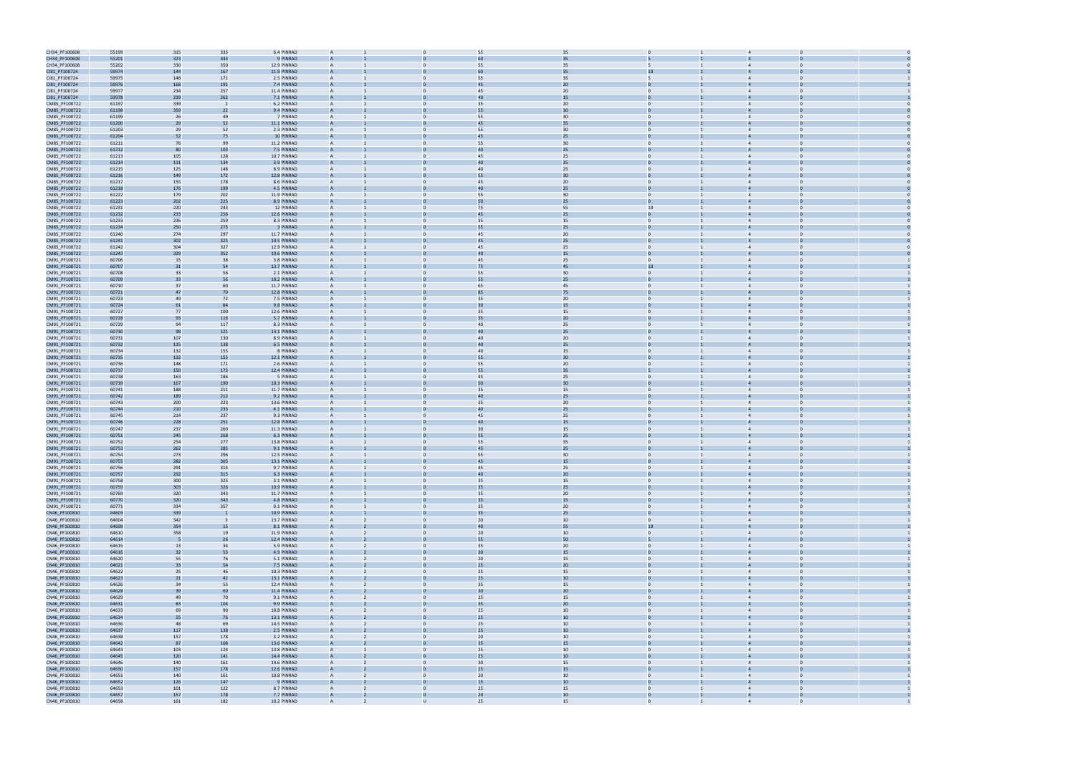| CH34_PF100608                  | 55199          | 315        | 335        | 6.4 PINRAD                 | $\overline{A}$                                   |                                | 35<br>55             |                                |                                                  |                                  |  |
|--------------------------------|----------------|------------|------------|----------------------------|--------------------------------------------------|--------------------------------|----------------------|--------------------------------|--------------------------------------------------|----------------------------------|--|
| CH34_PF100608                  | 55201          | 323        | 343        | 9 PINRAD                   |                                                  |                                |                      |                                |                                                  |                                  |  |
| CH34_PF100608                  | 55202          | 330        | 350        | 12.9 PINRAD                | $\overline{A}$                                   | $\Omega$                       | 35<br>55             | 5                              |                                                  | $\Omega$                         |  |
| CI81_PF100724                  | 59974          | 144        | 167        | 11.9 PINRAD                |                                                  |                                | 35                   | 10                             |                                                  |                                  |  |
| CI81_PF100724                  | 59975          | 148        | 171        | 2.5 PINRAD                 | A                                                | $\Omega$                       | 35<br>55             | 5                              | $\overline{4}$                                   |                                  |  |
| CI81_PF100724                  | 59976          | 168        | 191        | 7.4 PINRAD                 | $\overline{A}$                                   |                                | 20<br>45             |                                |                                                  |                                  |  |
|                                |                |            |            |                            |                                                  |                                |                      |                                |                                                  |                                  |  |
| CI81_PF100724                  | 59977          | 234        | 257        | 11.4 PINRAD                | $\overline{A}$                                   |                                | 20<br>45             | $\mathbf{0}$                   |                                                  |                                  |  |
| CI81_PF100724                  | 59978          | 239        | 262        | 7.1 PINRAD                 | $\overline{A}$                                   |                                | 15<br>40             |                                |                                                  |                                  |  |
| CM85_PF100722                  | 61197          | 339        |            | 6.2 PINRAD                 | $\overline{A}$                                   | $\mathbf{0}$                   | 20<br>35             | $\mathbf{0}$                   |                                                  |                                  |  |
| CM85_PF100722                  | 61198          | 359        | 22         | 9.4 PINRAD                 |                                                  |                                | 30<br>55             |                                |                                                  |                                  |  |
| CM85_PF100722                  | 61199          | 26         | 49         | 7 PINRAD                   | $\overline{A}$                                   | $\Omega$                       | 55<br>30             | $\mathbf{0}$                   | $\mathbf{1}$<br>$\overline{4}$                   | $\Omega$                         |  |
| CM85_PF100722                  | 61200          | 29         | 52         | 11.1 PINRAD                |                                                  |                                | 35<br>45             |                                |                                                  |                                  |  |
| CM85_PF100722                  | 61203          | 29         | 52         | 2.3 PINRAD                 | $\overline{A}$                                   | $\Omega$                       | 55<br>30             | $\mathbf{0}$                   |                                                  |                                  |  |
| CM85_PF100722                  | 61204          | 52         |            | 10 PINRAD                  |                                                  |                                |                      |                                |                                                  |                                  |  |
| CM85_PF100722                  | 61211          | 76         | 99         | 11.2 PINRAD                | $\overline{A}$                                   | $\Omega$                       | 30<br>55             | $\mathbf{0}$                   | $\mathbf{1}$<br>$\overline{4}$                   |                                  |  |
| CM85_PF100722                  | 61212          | 80         | 103        | 7.5 PINRAD                 | $\overline{A}$                                   |                                | 25<br>40             | $\Omega$                       |                                                  |                                  |  |
| CM85_PF100722                  | 61213          | 105        | 128        | 10.7 PINRAD                | $\overline{A}$                                   |                                | 25<br>45             | $\mathbf{0}$                   |                                                  |                                  |  |
| CM85_PF100722                  | 61214          | 111        | 134        | 3.9 PINRAD                 |                                                  |                                | 25<br>40             |                                |                                                  |                                  |  |
| CM85_PF100722                  | 61215          | 125        | 148        | 8.9 PINRAD                 | $\overline{A}$                                   | $\mathbf{0}$                   | 25<br>40             | $\mathbf{0}$                   |                                                  | $\Omega$                         |  |
| CM85_PF100722                  | 61216          | 149        | 172        | 12.8 PINRAD                | $\overline{A}$                                   |                                | 30<br>55             |                                |                                                  |                                  |  |
| CM85_PF100722                  | 61217          | 155        | 178        | 8.6 PINRAD                 | $\overline{A}$                                   | $\mathbf{0}$                   | 45<br>20             | $\mathbf{0}$                   | $\overline{4}$                                   | $\Omega$                         |  |
| CM85_PF100722                  | 61218          | 176        | 199        | 4.5 PINRAD                 |                                                  |                                | 25<br>40             |                                |                                                  |                                  |  |
| CM85_PF100722                  | 61222          | 179        | 202        | 11.9 PINRAD                | $\overline{A}$                                   | $\Omega$                       | 55<br>30             | $\mathbf{0}$                   |                                                  | $\Omega$                         |  |
| CM85_PF100722                  | 61223          | 202        | 225        | 8.9 PINRAD                 |                                                  |                                | 25<br>50             |                                |                                                  |                                  |  |
| CM85_PF100722                  | 61231          | 220        | 243        | 12 PINRAD                  | $\overline{A}$                                   | $\Omega$                       | 55<br>75             | 10                             | $\overline{4}$                                   |                                  |  |
| CM85_PF100722                  | 61232          | 233        | 256        | 12.6 PINRAD                | $\overline{A}$                                   |                                | 25<br>45             | $\Omega$                       |                                                  |                                  |  |
| CM85_PF100722                  | 61233          | 236        | 259        | 8.3 PINRAD                 | $\overline{A}$                                   |                                | 15<br>35             | 0                              |                                                  |                                  |  |
| CM85_PF100722                  | 61234          | 250        | 273        | 3 PINRAD                   |                                                  |                                | 25<br>55             |                                |                                                  |                                  |  |
| CM85_PF100722                  | 61240          | 274        | 297        | 11.7 PINRAD                | $\overline{A}$                                   | $\mathbf{0}$                   | 20<br>45             | $\mathbf{0}$                   |                                                  | $\Omega$                         |  |
| CM85_PF100722                  | 61241          | 302        | 325        | 10.5 PINRAD                |                                                  |                                | 25<br>45             |                                |                                                  |                                  |  |
| CM85_PF100722                  | 61242          | 304        | 327        | 12.9 PINRAD                | A                                                | $\Omega$                       | 45<br>25             | $\mathbf{0}$                   | $\mathbf{1}$<br>$\overline{4}$                   | $\Omega$                         |  |
| CM85_PF100722                  | 61243          | 329        | 352        | 10.6 PINRAD                |                                                  |                                | 15                   |                                |                                                  |                                  |  |
| CM91_PF100721                  | 60706          | 15         | 38         | 3.8 PINRAD                 | $\overline{A}$                                   | $\Omega$                       | 25<br>45             | $\mathbf{0}$                   |                                                  | $\Omega$                         |  |
| CM91_PF100721                  | 60707          | 31         | 54         | 13.7 PINRAD                |                                                  |                                | 45                   | 10                             |                                                  |                                  |  |
| CM91_PF100721                  | 60708          | 33         | 56         | 2.1 PINRAD                 | $\overline{A}$                                   | $\Omega$                       | 30<br>55             | $\mathbf{0}$                   | 1<br>$\overline{4}$                              |                                  |  |
| CM91_PF100721                  |                | 33         |            | 10.2 PINRAD                | $\overline{A}$                                   |                                | 25                   | $\Omega$                       |                                                  |                                  |  |
|                                | 60709          |            | 56         |                            |                                                  |                                | 55                   |                                |                                                  |                                  |  |
| CM91_PF100721                  | 60710          | 37         | 60         | 11.7 PINRAD                | $\overline{A}$                                   |                                | 45<br>65             | $\mathbf{0}$                   |                                                  |                                  |  |
| CM91_PF100721                  | 60721<br>60723 | 47         | 70         | 12.8 PINRAD                | $\overline{A}$                                   |                                | 75                   | $\mathbf{0}$                   |                                                  |                                  |  |
| CM91_PF100721                  |                | 49         | 72         | 7.5 PINRAD                 | $\overline{A}$                                   | $\mathbf{0}$                   | 20<br>35             |                                |                                                  | $\Omega$                         |  |
| CM91_PF100721                  | 60724          | 61         | 84         | 9.8 PINRAD                 | $\overline{A}$                                   |                                | 15                   |                                |                                                  |                                  |  |
| CM91_PF100721                  | 60727          | 77         | 100        | 12.6 PINRAD                | $\overline{A}$                                   | $\Omega$                       | 35<br>15             | $\mathbf{0}$                   | $\mathbf{1}$<br>$\overline{4}$                   | $\Omega$                         |  |
| CM91_PF100721                  | 60728          | 93         | 116        | 5.7 PINRAD                 | $\overline{A}$                                   |                                | 20                   |                                |                                                  |                                  |  |
| CM91_PF100721                  | 60729          | 94         | 117        | 8.3 PINRAD                 | $\overline{A}$                                   | $\Omega$                       | 25<br>40             | $\mathbf{0}$                   |                                                  |                                  |  |
| CM91_PF100721                  | 60730          | 98         | 121        | 13.1 PINRAD                |                                                  |                                | 25                   |                                |                                                  |                                  |  |
| CM91_PF100721                  | 60731          | 107        | 130        | 8.9 PINRAD                 | $\overline{A}$                                   | $\Omega$                       | 20<br>40             | $\mathbf{0}$                   | $\overline{4}$                                   |                                  |  |
| CM91_PF100721                  | 60732          | 115        | 138        | 6.5 PINRAD                 | $\overline{A}$                                   |                                | 25<br>40             | $\Omega$                       |                                                  |                                  |  |
| CM91_PF100721                  | 60734          | 132        | 155        | 8 PINRAD                   | $\overline{A}$                                   |                                | 15<br>40             | $\Omega$                       |                                                  |                                  |  |
| CM91_PF100721                  | 60735          | 132        | 155        | 12.1 PINRAD                | $\overline{A}$                                   |                                | 30<br>55             | 0                              |                                                  |                                  |  |
| CM91_PF100721                  | 60736          | 148        | 171        | 2.6 PINRAD                 | $\overline{A}$                                   | $\mathbf{0}$                   | 20<br>55             | $\mathbf{0}$                   |                                                  | $\Omega$                         |  |
| CM91_PF100721                  | 60737          | 150        | 173        | 12.4 PINRAD                |                                                  |                                | 35<br>55             |                                |                                                  |                                  |  |
| CM91_PF100721                  | 60738          | 163        | 186        | 5 PINRAD                   | $\overline{A}$                                   | $\Omega$                       | 25<br>45             | $\mathbf{0}$                   | $\overline{4}$                                   | $\Omega$                         |  |
| CM91_PF100721                  | 60739          | 167        | 190        | 10.3 PINRAD                |                                                  |                                | 30                   |                                |                                                  |                                  |  |
| CM91_PF100721                  | 60741          | 188        | 211        | 11.7 PINRAD                | $\overline{A}$                                   | $\Omega$                       | 35<br>15             | $\mathbf{0}$                   |                                                  | $\Omega$                         |  |
| CM91_PF100721                  | 60742          | 189        | 212        | 9.2 PINRAD                 |                                                  |                                | 25                   |                                |                                                  |                                  |  |
| CM91_PF100721                  | 60743          | 200        | 223        | 13.6 PINRAD                | $\overline{A}$                                   | $\Omega$                       | 20<br>35             | $\mathbf{0}$                   | $\overline{4}$                                   |                                  |  |
| CM91_PF100721                  | 60744          | 210        | 233        | 4.1 PINRAD                 | $\overline{A}$                                   |                                | 25<br>40             | $\Omega$                       |                                                  |                                  |  |
| CM91_PF100721                  | 60745          | 214        | 237        | 9.3 PINRAD                 |                                                  |                                | 25<br>45             | $\Omega$                       |                                                  |                                  |  |
| CM91_PF100721                  | 60746          | 228        | 251        | 12.8 PINRAD                |                                                  |                                | 15<br>40             |                                |                                                  |                                  |  |
| CM91_PF100721                  | 60747          | 237        | 260        | 11.3 PINRAD                | $\overline{A}$                                   | $\mathbf{0}$                   | 15<br>30             | $\mathbf{0}$                   |                                                  | $\Omega$                         |  |
| CM91_PF100721                  | 60751          | 245        | 268        | 6.3 PINRAD                 |                                                  |                                | 55<br>25             |                                |                                                  |                                  |  |
| CM91_PF100721                  | 60752          | 254        | 277        | 13.8 PINRAD                | $\overline{A}$                                   | $\Omega$                       | 55<br>35             | $\mathbf{0}$                   | $\mathbf{1}$<br>$\overline{4}$                   | $\Omega$                         |  |
| CM91_PF100721                  | 60753          | 262        | 285        | 9.1 PINRAD                 |                                                  |                                | 25                   |                                |                                                  |                                  |  |
| CM91_PF100721                  | 60754          | 273        | 296        | 12.5 PINRAD                |                                                  |                                | 55<br>30             |                                |                                                  |                                  |  |
| CM91_PF100721                  | 60755          | 282        | 305        | 13.1 PINRAD                |                                                  |                                | 15<br>45             |                                |                                                  |                                  |  |
| CM91_PF100721                  | 60756          | 291        | 314        | 9.7 PINRAD                 | A                                                | $\mathbf{0}$                   | 25<br>45             | $\overline{0}$                 |                                                  | $\Omega$                         |  |
| CM91_PF100721                  | 60757          | 292        | 315        | 6.3 PINRAD                 | $\overline{A}$                                   | $\Omega$                       |                      |                                | $\mathbf{1}$<br>$\overline{4}$                   |                                  |  |
| CM91_PF100721                  | 60758          | 300        | 323        | 3.1 PINRAD                 | $\overline{A}$                                   |                                | 20<br>40             | $\mathbf{0}$                   |                                                  | $\Omega$                         |  |
| CM91_PF100721                  | 60759          | 303        | 326        |                            |                                                  | $\Omega$                       | 35<br>15             | $\mathbf{0}$                   | $\mathbf{1}$<br>$\overline{4}$                   | $\Omega$                         |  |
| CM91_PF100721                  | 60769          |            |            | 10.9 PINRAD                | $\overline{A}$                                   | $\overline{0}$                 | 25<br>35             | $\overline{0}$                 | $\mathbf{1}$                                     | $\overline{0}$                   |  |
| CM91_PF100721                  | 60770          | 320        | 343        | 11.7 PINRAD                | $\mathsf{A}$                                     | $\mathbf{0}$                   | 20<br>35             | $\mathbf{0}$                   | $\mathbf{1}$<br>$\overline{4}$                   | $\overline{0}$                   |  |
| CM91_PF100721                  |                | 320        | 343        | 4.8 PINRAD                 | $\overline{A}$                                   | $\overline{0}$                 | 35<br>15             | $\mathbf 0$                    |                                                  | $\overline{0}$                   |  |
|                                | 60771          | 334        | 357        | 9.1 PINRAD                 | A                                                | $\overline{0}$                 | 20<br>35             | $\mathbf{0}$                   | $\mathbf{1}$<br>$\overline{4}$                   | $\overline{0}$                   |  |
| CN46_PF100810                  | 64603          | 339        |            | 10.9 PINRAD                | $\overline{A}$                                   | $\Omega$                       | 35<br>25             | $\Omega$                       |                                                  | $\Omega$                         |  |
| CN46_PF100810                  | 64604          | 342        |            | 13.7 PINRAD                | $\overline{A}$                                   | $\mathbf{0}$                   | 20<br>10             | $\mathbf{0}$                   | $\mathbf{1}$<br>$\overline{4}$                   | $\overline{0}$                   |  |
| CN46_PF100810                  | 64609          | 354        | 15         | 8.1 PINRAD                 | $\overline{A}$                                   |                                | 55<br>40             | 10 <sup>10</sup>               |                                                  | $\Omega$                         |  |
| CN46_PF100810                  | 64610          | 358        | 19         | 11.9 PINRAD                | $\overline{A}$                                   | $\mathbf{0}$                   | 20<br>$10\,$         | $\mathbf{0}$                   | $\overline{1}$<br>$\overline{4}$                 | $\overline{0}$                   |  |
| CN46_PF100810                  | 64614          | -5         | 26         | 12.4 PINRAD                | $\overline{A}$                                   | $\Omega$                       | 50<br>55             | 5                              | $\overline{4}$                                   | $\Omega$                         |  |
| CN46_PF100810                  | 64615          | 13         | 34         | 5.9 PINRAD                 | $\overline{A}$                                   | $\mathbf{0}$                   | 35<br>20             | $\overline{0}$                 | $\mathbf{1}$<br>$\overline{4}$                   | $\Omega$                         |  |
| CN46_PF100810                  | 64616          | 32         | 53         | 4.9 PINRAD                 | $\overline{A}$                                   |                                | 30<br>15             | $\mathbf{0}$                   | $\overline{4}$                                   | $\mathbf 0$                      |  |
| CN46_PF100810                  | 64620          | 55         | 76         | 5.1 PINRAD                 | $\mathsf{A}$<br>$\overline{2}$                   | $\mathbf{0}$                   | 20<br>15             | $\mathbf{0}$                   | $\mathbf{1}$<br>$\overline{4}$                   | $\overline{0}$                   |  |
| CN46_PF100810                  | 64621          | 33         | 54         | 7.5 PINRAD                 | A                                                | $\overline{0}$                 | 25<br>20             | $\mathbf 0$                    | $\overline{4}$                                   | $\Omega$                         |  |
|                                |                |            |            |                            | $\overline{A}$<br>$\overline{2}$                 | $\mathbf{0}$                   |                      | $\mathbf{0}$                   | $\mathbf{1}$<br>$\overline{4}$                   | $\overline{0}$                   |  |
| CN46_PF100810<br>CN46_PF100810 | 64622<br>64623 | 25<br>21   | 46<br>42   | 10.3 PINRAD<br>13.1 PINRAD | $\overline{A}$                                   | $\Omega$                       | 25<br>15<br>10<br>25 | $\overline{0}$                 | $\overline{4}$                                   | $\Omega$                         |  |
| CN46_PF100810                  | 64626          | 34         | 55         | 12.4 PINRAD                | $\mathsf{A}$<br>$\overline{2}$                   | $\mathbf{0}$                   | 15<br>35             | $\mathbf{0}$                   | $\mathbf{1}$<br>$\overline{4}$                   | $\overline{0}$                   |  |
| CN46_PF100810                  | 64628          | 39         | 60         | 11.4 PINRAD                | $\overline{A}$                                   |                                | 30<br>20             | $\Omega$                       |                                                  | $\Omega$                         |  |
|                                |                | 49         |            | 9.1 PINRAD                 | $\overline{A}$                                   | $\mathbf{0}$                   | 25                   | $\mathbf{0}$                   | $\mathbf{1}$<br>$\overline{4}$                   | $\overline{0}$                   |  |
| CN46_PF100810                  | 64629          |            | 70         |                            | $\overline{A}$                                   | $\Omega$                       | 15                   |                                | $\overline{4}$                                   | $\Omega$                         |  |
| CN46_PF100810                  | 64631          | 83         | 104        | 9.9 PINRAD                 | $\overline{A}$                                   | $\Omega$                       | 35<br>20             | $\mathbf{0}$                   | $\overline{4}$                                   | $\Omega$                         |  |
| CN46_PF100810                  | 64633          | 69         | 90         | 10.8 PINRAD                | $\overline{A}$                                   |                                | 25<br>10             | $\overline{0}$<br>$\mathbf{0}$ |                                                  | $\Omega$                         |  |
| CN46_PF100810                  | 64634          | 55         | 76         | 13.1 PINRAD                | $\overline{2}$                                   |                                | 10<br>25             |                                |                                                  |                                  |  |
| CN46_PF100810                  | 64636          | 48         | 69         | 14.5 PINRAD                | $\mathsf{A}$                                     | $\mathbf{0}$                   | 25<br>10             | $\mathbf{0}$                   | $\mathbf{1}$<br>$\overline{4}$                   | $\overline{0}$                   |  |
| CN46_PF100810                  | 64637          | 117        | 138        | 2.5 PINRAD                 | A                                                | $\overline{0}$                 | 25<br>10             | $\mathbf 0$                    | $\overline{4}$                                   | $\overline{0}$                   |  |
| CN46_PF100810                  | 64638          | 157        | 178        | 3.2 PINRAD                 | $\overline{A}$                                   | $\mathbf{0}$<br>$\Omega$       | 20<br>10             | $\mathbf{0}$                   | $\mathbf{1}$<br>$\overline{4}$                   | $\overline{0}$<br>$\Omega$       |  |
| CN46_PF100810                  | 64642          | 87         | 108        | 13.6 PINRAD                | $\overline{A}$                                   |                                | 15<br>35             | $\overline{0}$                 | $\overline{4}$                                   |                                  |  |
| CN46_PF100810                  | 64643          | 103        | 124        | 13.8 PINRAD                | $\overline{A}$                                   | $\mathbf{0}$                   | 25<br>10             | $\mathbf{0}$                   | $\mathbf{1}$                                     | $\overline{0}$<br>$\Omega$       |  |
| CN46_PF100810                  | 64645          | 120        | 141        | 14.4 PINRAD                |                                                  |                                | 25<br>10             | 0                              |                                                  |                                  |  |
| CN46_PF100810                  | 64646          | 140        | 161        | 14.6 PINRAD                | $\overline{A}$<br>$\overline{2}$                 | $\overline{0}$                 | 30<br>15             | $\mathbf{0}$                   | $\overline{4}$<br>$\mathbf{1}$                   | $\overline{0}$                   |  |
| CN46_PF100810                  | 64650          | 157        | 178        | 12.6 PINRAD                | $\overline{A}$                                   | $\Omega$                       | 25<br>15             | $\overline{0}$                 | $\overline{a}$                                   | $\Omega$                         |  |
| CN46_PF100810                  | 64651          | 140        | 161        | 10.8 PINRAD                | $\overline{A}$                                   | $\Omega$                       | 20<br>$10\,$         | $\overline{0}$                 | $\mathbf{1}$<br>$\overline{4}$                   | $\Omega$                         |  |
| CN46_PF100810                  | 64652          | 126        | 147        | 9 PINRAD                   | $\overline{A}$                                   | $\Omega$                       | 10<br>15             | $\mathbf{0}$                   | 1                                                | $\Omega$                         |  |
| CN46_PF100810<br>CN46_PF100810 | 64653<br>64657 | 101<br>157 | 122<br>178 | 8.7 PINRAD<br>7.7 PINRAD   | $\mathsf{A}$<br>$\overline{2}$<br>$\overline{A}$ | $\mathbf{0}$<br>$\overline{0}$ | 15<br>25<br>20<br>10 | $\mathbf{0}$<br>$\mathbf{0}$   | $\mathbf{1}$<br>$\overline{4}$<br>$\overline{4}$ | $\overline{0}$<br>$\overline{0}$ |  |

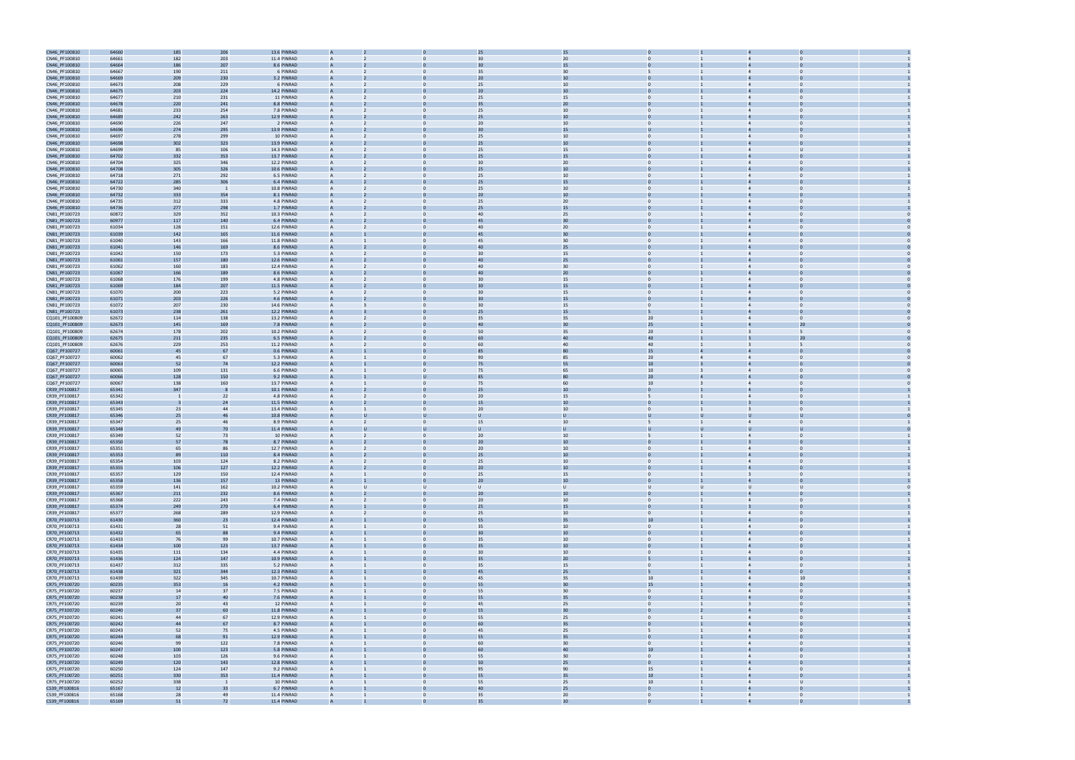

|                                | 64660          | 185                      | 206            | 13.6 PINRAD                                  |                  | 25              | 15              |                 |                |                         |                |  |
|--------------------------------|----------------|--------------------------|----------------|----------------------------------------------|------------------|-----------------|-----------------|-----------------|----------------|-------------------------|----------------|--|
| CN46_PF100810<br>CN46_PF100810 | 64661          | 182                      | 203            | 11.4 PINRAD                                  |                  | 30              | 20              |                 |                |                         |                |  |
| CN46_PF100810                  | 64664          | 186                      | 207            | 8.6 PINRAD                                   |                  | 30              | 15              |                 |                |                         |                |  |
| CN46_PF100810                  | 64667          | 190                      | 211            | 6 PINRAD<br>A                                |                  | 35              | 30              |                 |                | $\overline{4}$          |                |  |
| CN46_PF100810                  | 64669          | 209                      | 230            | 3.2 PINRAD<br>A                              |                  | 20              | 10              |                 |                |                         |                |  |
|                                | 64673          |                          | 229            | 6 PINRAD<br>A                                |                  |                 |                 | $\mathbf{0}$    |                | $\overline{4}$          |                |  |
| CN46_PF100810                  |                | 208                      |                |                                              |                  | 25              | 10              |                 |                |                         | $\bf{0}$       |  |
| CN46_PF100810                  | 64675          | 203                      | 224            | 14.2 PINRAD                                  |                  | 20              | 10              |                 |                |                         |                |  |
| CN46_PF100810                  | 64677          | 210                      | 231            | 11 PINRAD<br>$\overline{A}$                  | $\Omega$         | 25              | 15              | $\Omega$        |                | $\overline{4}$          | $\Omega$       |  |
| CN46_PF100810                  | 64678          | 220                      | 241            | 8.8 PINRAD                                   |                  |                 | 20              |                 |                |                         |                |  |
| CN46_PF100810                  | 64681          | 233                      | 254            | 7.8 PINRAD<br>A                              | $\Omega$         | 25              | 10              | $\mathbf{0}$    |                | $\overline{4}$          | $\Omega$       |  |
| CN46_PF100810                  | 64689          | 242                      | 263            | 12.9 PINRAD                                  |                  | 25              | 10              |                 |                |                         |                |  |
| CN46_PF100810                  | 64690          | 226                      | 247            | 2 PINRAD                                     |                  | 20              | 10              | $\Omega$        |                | $\overline{4}$          |                |  |
| CN46_PF100810                  | 64696          | 274                      | 295            | 13.9 PINRAD                                  |                  | 30              | 15              |                 |                |                         |                |  |
| CN46_PF100810                  | 64697          | 278                      | 299            | 10 PINRAD                                    |                  | 25              | 10              |                 |                | $\overline{4}$          |                |  |
| CN46_PF100810                  | 64698          | 302                      | 323            | 13.9 PINRAD<br>$\overline{A}$                |                  | 25              | 10              |                 |                |                         |                |  |
| CN46_PF100810                  | 64699          | 85                       | 106            | 14.3 PINRAD<br>A                             | $\Omega$         | 25              | 15              | $\mathbf{0}$    |                | $\overline{4}$          |                |  |
| CN46_PF100810                  | 64702          | 332                      | 353            | 13.7 PINRAD                                  |                  | 25              | 15              |                 |                |                         |                |  |
| CN46_PF100810                  | 64704          | 325                      | 346            | 12.2 PINRAD<br>A                             | $\Omega$         | 30              | 20              | $\Omega$        |                | $\overline{4}$          | $\Omega$       |  |
|                                |                |                          |                |                                              |                  |                 |                 |                 |                |                         |                |  |
| CN46_PF100810                  | 64708          | 305                      | 326            | 10.6 PINRAD                                  |                  | 25              | 10              |                 |                |                         |                |  |
| CN46_PF100810                  | 64718          | 271                      | 292            | 6.5 PINRAD<br>A                              | $\Omega$         | 25              | 10              | $\mathbf{0}$    |                | $\overline{4}$          | $\Omega$       |  |
| CN46_PF100810                  | 64722          | 285                      | 306            | 6.4 PINRAD                                   |                  | 25              | 15              |                 |                |                         |                |  |
| CN46_PF100810                  | 64730          | 340                      | $\blacksquare$ | 10.8 PINRAD                                  |                  | 25              | 10              | $\Omega$        |                |                         |                |  |
| CN46_PF100810                  | 64732          | 333                      | 354            | 8.1 PINRAD                                   |                  | 2C              | 10              |                 |                |                         |                |  |
| CN46_PF100810                  | 64735          | 312                      | 333            | 4.8 PINRAD<br>A                              |                  | 25              | 20              | $\Omega$        |                | $\overline{4}$          |                |  |
| CN46_PF100810                  | 64736          | 277                      | 298            | 1.7 PINRAD<br>A                              |                  | 25              | 15              | $\mathbf{0}$    |                |                         |                |  |
| CN81_PF100723                  | 60872          | 329                      | 352            | 10.3 PINRAD                                  |                  | 40              | 25              | $\mathbf{0}$    |                | $\overline{4}$          | $\bf{0}$       |  |
| CN81_PF100723                  | 60977          | 117                      | 140            | 6.4 PINRAD                                   |                  | 45              | 30              |                 |                |                         |                |  |
| CN81_PF100723                  | 61034          | 128                      | 151            | 12.6 PINRAD<br>A                             |                  | 40              | 20              | $\Omega$        |                | $\overline{4}$          | $\Omega$       |  |
| CN81_PF100723                  | 61039          | 142                      | 165            | 11.6 PINRAD                                  |                  | 45              | 30              |                 |                |                         |                |  |
| CN81_PF100723                  | 61040          | 143                      | 166            | 11.8 PINRAD<br>A                             | $\Omega$         | 45              | 30              | $\overline{0}$  |                | $\overline{4}$          | $\Omega$       |  |
| CN81_PF100723                  | 61041          | 146                      | 169            | 8.6 PINRAD                                   |                  | 4 <sub>0</sub>  | 25              |                 |                |                         |                |  |
| CN81_PF100723                  | 61042          | 150                      | 173            | 5.3 PINRAD                                   |                  | 3C              | 15              | $\Omega$        |                |                         |                |  |
| CN81_PF100723                  | 61061          | 157                      | 180            | 12.6 PINRAD                                  |                  | 40              | 25              |                 |                |                         |                |  |
| CN81_PF100723                  | 61062          | 160                      | 183            | 12.4 PINRAD                                  |                  | 40              | 30              | $\Omega$        |                | $\overline{4}$          |                |  |
| CN81_PF100723                  | 61067          | 166                      | 189            | 8.6 PINRAD<br>A                              |                  | 40              | 20              | $\mathbf{0}$    |                |                         |                |  |
|                                |                |                          |                |                                              |                  |                 |                 |                 |                |                         |                |  |
| CN81_PF100723                  | 61068          | 176                      | 199            | 4.8 PINRAD                                   |                  | 30              | 15              | $\mathbf{0}$    |                | $\overline{4}$          | $\Omega$       |  |
| CN81_PF100723                  | 61069          | 184                      | 207            | 11.5 PINRAD                                  |                  | $\overline{30}$ | 15              |                 |                |                         |                |  |
| CN81_PF100723                  | 61070          | 200                      | 223            | 5.2 PINRAD<br>A                              | $\Omega$         | 30 <sup>°</sup> | 15              | $\overline{0}$  |                | $\overline{4}$          | $\Omega$       |  |
| CN81_PF100723                  | 61071          | 203                      | 226            | 4.6 PINRAD                                   |                  | $\overline{30}$ | 15              |                 |                |                         |                |  |
| CN81_PF100723                  | 61072          | 207                      | 230            | 14.6 PINRAD<br>A                             | $\Omega$         | 30              | 15              | $\mathbf{0}$    |                | $\overline{4}$          | $\Omega$       |  |
| CN81_PF100723                  | 61073          | 238                      | 261            | 12.2 PINRAD                                  |                  | 25              | 15              |                 |                |                         |                |  |
| CQ101_PF100809                 | 62672          | 114                      | 138            | 13.2 PINRAD                                  |                  | 35              | 35              | 20              |                |                         | $\Omega$       |  |
| CQ101_PF100809                 | 62673          | 145                      | 169            | 7.8 PINRAD                                   |                  | 40              | 30              | 25              |                |                         | 20             |  |
| CQ101_PF100809                 | 62674          | 178                      | 202            | 10.2 PINRAD                                  |                  | 50              | 35              | 20 <sub>2</sub> |                | $\overline{3}$          |                |  |
| CQ101_PF100809                 | 62675          | 211                      | 235            | 6.5 PINRAD                                   |                  | 60              | 40              | 40              |                |                         | 20             |  |
| CQ101_PF100809                 | 62676          | 229                      | 253            | 11.2 PINRAD<br>A                             |                  | 60              | 40              | 40              |                |                         |                |  |
| CQ67_PF100727                  | 60061          | 45                       | 67             | 0.6 PINRAD                                   |                  | 85              | 80              | 15              |                |                         |                |  |
| CQ67_PF100727                  | 60062          | 45                       | 67             | 5.3 PINRAD<br>A                              | $\mathbf{0}$     | 90              | 85              | 20              | $\overline{4}$ | $\overline{4}$          | $\Omega$       |  |
| CQ67_PF100727                  | 60063          | 52                       | 74             | 12.2 PINRAD                                  |                  | 75              | 55              | 10              |                |                         |                |  |
|                                |                | 109                      |                | 6.6 PINRAD<br>A                              | $\mathbf{0}$     | 75              | 65              |                 |                | $\overline{4}$          | $\Omega$       |  |
| CQ67_PF100727                  | 60065          |                          | 131<br>150     |                                              |                  |                 | 80              | 10<br>20        |                |                         |                |  |
| CQ67_PF100727                  | 60066          | 128                      |                | 9.2 PINRAD                                   |                  |                 |                 |                 |                |                         |                |  |
| CQ67_PF100727                  | 60067          | 138                      | 160            | 13.7 PINRAD                                  |                  | 75              | 60              | 10              |                |                         | $\Omega$       |  |
|                                |                |                          |                |                                              |                  |                 |                 |                 |                |                         |                |  |
| CR39_PF100817                  | 65341          | 347                      |                | 10.1 PINRAD                                  |                  | 25              | 10              |                 |                |                         |                |  |
| CR39_PF100817                  | 65342          | $\overline{\phantom{0}}$ | 22             | 4.8 PINRAD<br>A                              |                  | 20              | 15              |                 |                | $\overline{4}$          |                |  |
| CR39_PF100817                  | 65343          |                          | 24             | 11.5 PINRAD<br>$\overline{A}$                |                  | 15              | 10              | $\mathbf{0}$    |                |                         |                |  |
| CR39_PF100817                  | 65345          | 23                       | 44             | 13.4 PINRAD<br>A                             | $\Omega$         | 20              | 10              | $\mathbf{0}$    |                |                         | $\mathbf 0$    |  |
| CR39_PF100817                  | 65346          | 25                       | 46             | 10.8 PINRAD                                  |                  |                 |                 |                 |                |                         |                |  |
| CR39_PF100817                  | 65347          | 25                       | 46             | 8.9 PINRAD<br>A                              | $\mathbf{0}$     | 15              | 10              |                 |                | $\overline{4}$          | $\Omega$       |  |
| CR39_PF100817                  | 65348          | 49                       | 7 <sup>0</sup> | 11.4 PINRAD                                  |                  |                 |                 |                 |                |                         |                |  |
| CR39_PF100817                  | 65349          | 52                       | 73             | 10 PINRAD<br>A                               | $\Omega$         | 20              | 10              | $\overline{5}$  |                | $\overline{4}$          | $\mathbf{0}$   |  |
|                                | 65350          | 57                       | 78             | 8.7 PINRAD                                   |                  | 20              | 10              |                 |                |                         |                |  |
| CR39_PF100817                  |                | 65                       | 86             | A                                            |                  | 20 <sub>2</sub> | 10              | $\Omega$        |                | $\overline{4}$          | $\Omega$       |  |
| CR39_PF100817                  | 65351          |                          |                | 12.7 PINRAD                                  |                  | 25              |                 |                 |                |                         |                |  |
| CR39_PF100817                  | 65353          | 89                       | 110            | 8.4 PINRAD                                   |                  |                 | 10              | $\Omega$        |                |                         |                |  |
| CR39_PF100817                  | 65354          | 103                      | 124            | 8.2 PINRAD                                   |                  | 25              | 10              | $\overline{0}$  |                |                         |                |  |
| CR39_PF100817                  | 65355          | 106                      | 127            | 12.2 PINRAD                                  |                  | 20 <sub>2</sub> | $10\,$          |                 |                |                         |                |  |
| CR39_PF100817                  | 65357          | 129                      | 150            | 12.4 PINRAD<br>A                             | $\mathbf{0}$     | 25              | 15              | $\overline{0}$  |                | $\overline{3}$          | $\overline{0}$ |  |
| CR39_PF100817                  | 65358          | 136                      | 157            | 13 PINRAD<br>$\overline{A}$                  |                  | 20 <sub>2</sub> | 10              | $\mathbf{0}$    |                |                         | $\overline{0}$ |  |
| CR39_PF100817                  | 65359          | 141                      | 162            | 10.2 PINRAD<br>A                             | $\cup$<br>$\cup$ | $\cup$          | $\cup$          | $\cup$          | U              | $\cup$                  | U              |  |
| CR39_PF100817                  | 65367          | 211                      | 232            | 8.6 PINRAD<br>A                              |                  | 20              | 10              | $\overline{0}$  |                |                         | $\Omega$       |  |
| CR39_PF100817                  | 65368          | 222                      | 243            | 7.4 PINRAD<br>$\overline{A}$                 | $\mathbf{0}$     | 20              | $10\,$          | $\overline{0}$  | $\mathbf{1}$   | $\overline{4}$          | $\overline{0}$ |  |
| CR39_PF100817                  | 65374          | 249                      | 270            | 6.4 PINRAD<br>A                              | $\Omega$         | 25              | 15              | $\mathbf{0}$    |                | $\overline{3}$          | $\mathbf 0$    |  |
| CR39_PF100817                  | 65377          | 268                      | 289            | 12.9 PINRAD<br>A                             | $\mathbf{0}$     | 25              | $10\,$          | $\overline{0}$  |                | $\overline{4}$          | $\overline{0}$ |  |
| CR70_PF100713                  | 61430          | 360                      | 23             | 12.4 PINRAD<br>$\overline{A}$                |                  | 55              | 35              | 10 <sup>°</sup> |                | $\overline{a}$          | $\Omega$       |  |
| CR70_PF100713                  | 61431          | 28                       | 51             | 9.4 PINRAD<br>A                              | $\Omega$         | 35              | 10              | $\overline{0}$  |                | $\overline{4}$          | $\Omega$       |  |
| CR70_PF100713                  | 61432          | 65                       | 88             | 9.4 PINRAD<br>A                              |                  | 30              | 10 <sup>°</sup> | $\overline{0}$  |                | $\overline{4}$          | $\mathbf 0$    |  |
| CR70_PF100713                  | 61433          | 76                       | 99             | 10.7 PINRAD<br>A                             | $\mathbf{0}$     | 35              | 10              | $\overline{0}$  | $\overline{1}$ | $\overline{4}$          | $\overline{0}$ |  |
| CR70_PF100713                  | 61434          | 100                      | 123            | 13.7 PINRAD<br>$\overline{A}$                |                  | 35              | $10\,$          | $\mathbf{0}$    |                | $\overline{4}$          | $\overline{0}$ |  |
| CR70_PF100713                  | 61435          | 111                      | 134            | 4.4 PINRAD<br>A                              | $\overline{0}$   | 30 <sup>°</sup> | 10              | $\overline{0}$  |                | $\overline{4}$          | $\overline{0}$ |  |
| CR70_PF100713                  | 61436          | 124                      | 147            | 10.9 PINRAD<br>A                             |                  | 35              | $20\,$          |                 |                |                         |                |  |
| CR70_PF100713                  | 61437          | 312                      | 335            | 5.2 PINRAD<br>$\overline{A}$                 | $\mathbf{0}$     | 35              | 15              | $\overline{0}$  | $\mathbf{1}$   | $\overline{4}$          | $\overline{0}$ |  |
| CR70_PF100713                  | 61438          | 321                      | 344            | 12.3 PINRAD<br>$\overline{A}$                |                  | 45              | 25              | $\overline{5}$  |                | $\overline{a}$          | $\Omega$       |  |
| CR70_PF100713                  | 61439          | 322                      | 345            | 10.7 PINRAD<br>A                             | $\mathbf{0}$     | 45              | 35              | $10$            |                | $\overline{4}$          | 10             |  |
| CR75_PF100720                  | 60235          | 353                      | 16             | 4.2 PINRAD                                   |                  | 55              | 30              | 15              |                | $\overline{4}$          | $\Omega$       |  |
| CR75_PF100720                  | 60237          | 14                       | 37             | 7.5 PINRAD<br>A                              | $\Omega$         | 55              | 30              | $\overline{0}$  |                | $\overline{4}$          | $\Omega$       |  |
|                                | 60238          | 17                       | 40             | 7.6 PINRAD<br>A                              |                  | 55              | 35              | $\overline{0}$  |                | $\overline{4}$          | $\Omega$       |  |
| CR75_PF100720                  |                |                          |                | $\overline{A}$                               | $\mathbf{0}$     | 45              |                 | $\overline{0}$  |                | $\overline{\mathbf{3}}$ | $\overline{0}$ |  |
| CR75_PF100720                  | 60239          | 20                       | 43             | 12 PINRAD<br>$\overline{A}$                  |                  |                 | 25              | $\mathbf{0}$    |                | $\overline{4}$          | $\overline{0}$ |  |
| CR75_PF100720                  | 60240          | 37                       | 60             | 11.8 PINRAD<br>$\mathsf{A}$                  |                  | 55              | 30              |                 |                |                         | $\overline{0}$ |  |
| CR75_PF100720                  | 60241          | 44                       | 67             | 12.9 PINRAD                                  | $\mathbf{0}$     | 55              | 25              | $\overline{0}$  |                | $\overline{4}$          |                |  |
| CR75_PF100720                  | 60242          | 44                       | 67             | 8.7 PINRAD                                   |                  | 60              | 35              |                 |                |                         |                |  |
| CR75_PF100720                  | 60243          | 52                       | 75             | 4.5 PINRAD<br>$\overline{A}$                 | $\mathbf{0}$     | 45              | 25              | 5 <sup>5</sup>  | $\mathbf{1}$   | $\overline{4}$          | $\overline{0}$ |  |
| CR75_PF100720                  | 60244          | 68                       | 91             | 12.9 PINRAD                                  |                  | 55              | 35              | $\overline{0}$  |                | $\overline{4}$          |                |  |
| CR75_PF100720                  | 60246          | 99                       | 122            | 7.8 PINRAD<br>A                              | $\mathbf{0}$     | 60              | 30              | $\overline{0}$  |                | $\overline{4}$          | $\overline{0}$ |  |
| CR75_PF100720                  | 60247          | 100                      | 123            | 5.8 PINRAD<br>$\overline{A}$                 |                  | 60              | 40              | 10 <sup>°</sup> |                | $\Delta$                |                |  |
| CR75_PF100720                  | 60248          | 103                      | 126            | 9.6 PINRAD<br>A                              | $\Omega$         | 55              | 30              | $\overline{0}$  |                | $\overline{4}$          | $\Omega$       |  |
| CR75_PF100720                  | 60249          | 120                      | 143            | 12.8 PINRAD<br>A                             |                  | 50              | 25              | $\overline{0}$  |                | $\overline{4}$          | $\Omega$       |  |
| CR75_PF100720                  | 60250          | 124                      | 147            | 9.2 PINRAD<br>$\overline{A}$                 | $\mathbf{0}$     | 95              | 90              | 15              |                | $\overline{4}$          | $\overline{0}$ |  |
| CR75_PF100720                  | 60251          | 330                      | 353            | 11.4 PINRAD<br>$\overline{A}$                |                  | 55              | 35              | $10\,$          |                | $\overline{4}$          |                |  |
| CR75_PF100720                  | 60252          | 338                      | - 1            | 10 PINRAD<br>A                               | $\mathbf{0}$     | 55              | 25              | 10              |                | $\overline{4}$          | U              |  |
| CS39_PF100816                  | 65167          | 12                       | 33             | 6.7 PINRAD                                   |                  | 40              | 25              |                 |                |                         |                |  |
| CS39_PF100816<br>CS39 PF100816 | 65168<br>65169 | 28<br>51                 | 49<br>72       | 11.4 PINRAD<br>$\overline{A}$<br>11.4 PINRAD | $\mathbf{0}$     | 35              | 20<br>10        | $\overline{0}$  | $\mathbf{1}$   | $\overline{4}$          | $\overline{0}$ |  |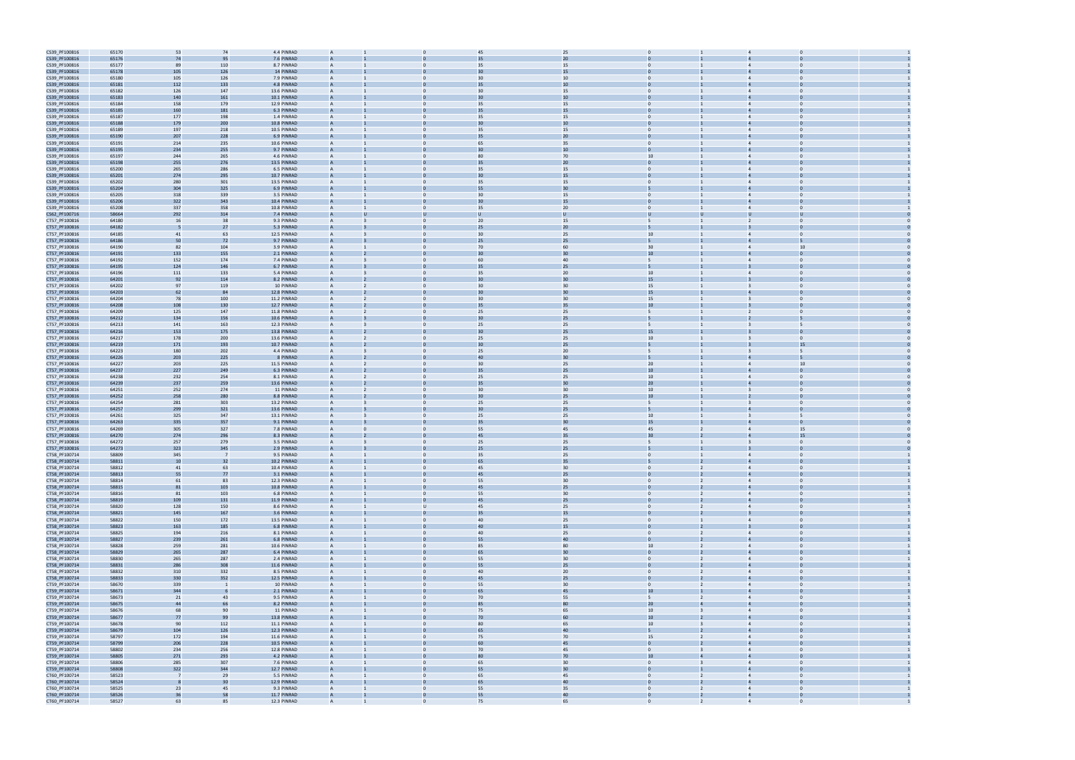| CS39_PF100816                  | 65170          | 53             | 74       | 4.4 PINRAD                 | $\overline{A}$ |                | 45             | 25       |                          |                |                                  |                            |  |
|--------------------------------|----------------|----------------|----------|----------------------------|----------------|----------------|----------------|----------|--------------------------|----------------|----------------------------------|----------------------------|--|
|                                |                |                | 95       | 7.6 PINRAD                 |                |                |                | 20       |                          |                |                                  |                            |  |
| CS39_PF100816                  | 65176          | 74             |          |                            |                |                | 35             |          |                          |                |                                  |                            |  |
| CS39_PF100816                  | 65177          | 89             | 110      | 8.7 PINRAD                 | $\overline{A}$ | $\mathbf{0}$   | 35             | 15       | $\mathbf{0}$             |                | $\overline{4}$                   | $\Omega$                   |  |
| CS39_PF100816                  | 65178          | 105            | 126      | 14 PINRAD                  |                |                |                | 15       |                          |                |                                  |                            |  |
| CS39_PF100816                  | 65180          | 105            | 126      | 7.9 PINRAD                 | $\overline{A}$ | $\Omega$       | 30             | 10       | $\Omega$                 |                | $\overline{4}$                   |                            |  |
|                                |                |                |          |                            |                |                |                |          |                          |                |                                  |                            |  |
| CS39_PF100816                  | 65181          | 112            | 133      | 4.8 PINRAD                 | $\overline{A}$ |                | 35             | 10       | $\Omega$                 |                |                                  |                            |  |
| CS39_PF100816                  | 65182          | 126            | 147      | 13.6 PINRAD                | $\overline{A}$ |                | 30             | 15       | $\Omega$                 |                | $\overline{4}$                   |                            |  |
| CS39_PF100816                  | 65183          | 140            | 161      | 10.1 PINRAD                |                |                | 30             | 10       |                          |                |                                  |                            |  |
| CS39_PF100816                  | 65184          | 158            | 179      | 12.9 PINRAD                | $\mathsf{A}$   | $\mathbf{0}$   | 35             | 15       | $\mathbf{0}$             |                | $\overline{4}$                   | $\Omega$                   |  |
|                                |                |                |          |                            |                |                |                |          |                          |                |                                  |                            |  |
| CS39_PF100816                  | 65185          | 160            | 181      | 6.3 PINRAD                 |                |                | 35             | 15       |                          |                |                                  |                            |  |
| CS39_PF100816                  | 65187          | 177            | 198      | 1.4 PINRAD                 | $\overline{A}$ | $\Omega$       | 35             | 15       | $\overline{0}$           |                | $\overline{4}$                   | $\Omega$                   |  |
| CS39_PF100816                  | 65188          | 179            | 200      | 10.8 PINRAD                |                |                |                | 10       |                          |                |                                  |                            |  |
|                                |                |                |          |                            |                |                |                |          |                          |                |                                  |                            |  |
| CS39_PF100816                  | 65189          | 197            | 218      | 10.5 PINRAD                | $\mathsf{A}$   | $\Omega$       | 35             | 15       | $\overline{0}$           |                | $\overline{4}$                   | $\Omega$                   |  |
| CS39_PF100816                  | 65190          | 207            | 228      | 6.9 PINRAD                 |                |                |                | 20       |                          |                |                                  |                            |  |
| CS39_PF100816                  | 65191          | 214            | 235      | 10.6 PINRAD                | $\overline{A}$ | $\Omega$       | 65             | 35       | $\Omega$                 |                | $\overline{4}$                   |                            |  |
| CS39_PF100816                  | 65195          | 234            | 255      | 9.7 PINRAD                 | $\overline{A}$ |                | 30             | 10       | $\Omega$                 |                |                                  |                            |  |
|                                |                |                |          |                            |                |                |                |          |                          |                |                                  |                            |  |
| CS39_PF100816                  | 65197          | 244            | 265      | 4.6 PINRAD                 | $\overline{A}$ |                | 80             | 70       | 10 <sup>10</sup>         |                |                                  |                            |  |
| CS39_PF100816                  | 65198          | 255            | 276      | 13.5 PINRAD                | $\overline{A}$ |                | 35             | 20       | $\Omega$                 |                |                                  |                            |  |
| CS39_PF100816                  | 65200          | 265            | 286      | 6.5 PINRAD                 | $\mathsf{A}$   | $\mathbf{0}$   | 35             | 15       | $\mathbf{0}$             |                | $\overline{4}$                   | $\Omega$                   |  |
|                                |                |                |          |                            |                |                | 30             |          |                          |                |                                  |                            |  |
| CS39_PF100816                  | 65201          | 274            | 295      | 10.7 PINRAD                |                |                |                | 15       |                          |                |                                  |                            |  |
| CS39_PF100816                  | 65202          | 280            | 301      | 13.5 PINRAD                | $\overline{A}$ | $\Omega$       | 35             | 15       | $\mathbf{0}$             |                | $\overline{4}$                   | $\Omega$                   |  |
| CS39_PF100816                  | 65204          | 304            | 325      | 6.9 PINRAD                 |                |                | 55             | 30       |                          |                |                                  |                            |  |
| CS39_PF100816                  | 65205          | 318            | 339      | 3.5 PINRAD                 | $\overline{A}$ | $\Omega$       | 30             | 15       | $\mathbf{0}$             |                |                                  | $\Omega$                   |  |
|                                |                |                |          |                            |                |                |                |          |                          |                |                                  |                            |  |
| CS39_PF100816                  | 65206          | 322            | 343      | 10.4 PINRAD                |                |                |                | 15       |                          |                |                                  |                            |  |
| CS39_PF100816                  | 65208          | 337            | 358      | 10.8 PINRAD                | $\overline{A}$ | $\Omega$       | 35             | 20       | $\Omega$                 |                | $\overline{4}$                   |                            |  |
| CS62_PF100716                  | 58664          | 292            | 314      | 7.4 PINRAD                 | $\overline{A}$ |                |                |          | U                        |                |                                  |                            |  |
| CT57_PF100816                  | 64180          | 16             | 38       | 9.3 PINRAD                 |                |                | 20             | 15       | 5                        |                | 2                                |                            |  |
|                                |                |                |          |                            |                |                |                |          |                          |                |                                  |                            |  |
| CT57_PF100816                  | 64182          |                | 27       | 5.3 PINRAD                 |                |                | 25             | 20       |                          |                |                                  |                            |  |
| CT57_PF100816                  | 64185          | 41             | 63       | 12.5 PINRAD                | $\overline{A}$ | $\mathbf{0}$   | 30             | 25       | 10 <sup>10</sup>         |                | $\overline{4}$                   | $\mathbf 0$                |  |
| CT57_PF100816                  | 64186          | 50             | 72       | 9.7 PINRAD                 |                |                | 25             | 25       |                          |                |                                  |                            |  |
| CT57_PF100816                  | 64190          | 82             | 104      | 3.9 PINRAD                 | $\overline{A}$ | $\Omega$       | 70             | 60       | 30 <sub>o</sub>          |                | $\overline{4}$                   | 10                         |  |
|                                |                |                |          |                            |                |                |                |          |                          |                |                                  |                            |  |
| CT57_PF100816                  | 64191          | 133            | 155      | 2.1 PINRAD                 |                |                | 30             | 30       | 10                       |                |                                  |                            |  |
| CT57_PF100816                  | 64192          | 152            | 174      | 7.4 PINRAD                 | $\overline{A}$ | $\Omega$       | 60             | 40       | $5^{\circ}$              |                | $\overline{4}$                   | $\Omega$                   |  |
| CT57_PF100816                  | 64195          | 124            | 146      | 6.7 PINRAD                 |                |                | 35             | 25       |                          |                |                                  |                            |  |
|                                | 64196          |                |          | 5.4 PINRAD                 | $\overline{A}$ | $\Omega$       |                | 20       | 10                       |                | $\overline{4}$                   | $\Omega$                   |  |
| CT57_PF100816                  |                | 111            | 133      |                            |                |                | 35             |          |                          |                |                                  |                            |  |
| CT57_PF100816                  | 64201          | 92             | 114      | 8.2 PINRAD                 |                |                | 30             | 30       | 15                       |                |                                  |                            |  |
| CT57_PF100816                  | 64202          | 97             | 119      | 10 PINRAD                  |                |                | 30             | 30       | 15                       |                |                                  |                            |  |
| CT57_PF100816                  | 64203          | 62             | 84       | 12.8 PINRAD                |                |                | 30             | 30       | 15                       |                |                                  |                            |  |
| CT57_PF100816                  | 64204          | 78             | 100      | 11.2 PINRAD                | $\overline{A}$ | $\mathbf{0}$   | 30             | 30       | 15                       |                | $\overline{3}$                   | $\mathbf 0$                |  |
|                                |                |                |          |                            |                |                |                |          |                          |                |                                  |                            |  |
| CT57_PF100816                  | 64208          | 108            | 130      | 12.7 PINRAD                |                |                | 35             | 35       | 10                       |                |                                  |                            |  |
| CT57_PF100816                  | 64209          | 125            | 147      | 11.8 PINRAD                | $\overline{A}$ | $\Omega$       | 25             | 25       | 5                        |                | 2                                | $\Omega$                   |  |
| CT57_PF100816                  | 64212          | 134            | 156      | 10.6 PINRAD                |                |                |                | 25       |                          |                |                                  |                            |  |
| CT57_PF100816                  | 64213          | 141            | 163      | 12.3 PINRAD                | $\overline{A}$ | $\Omega$       | 25             | 25       | 5                        |                | $\mathbf{B}$                     | 5                          |  |
|                                |                |                |          |                            |                |                |                |          |                          |                |                                  |                            |  |
| CT57_PF100816                  | 64216          | 153            | 175      | 13.8 PINRAD                |                |                | 3 <sub>C</sub> | 25       | 15                       |                |                                  |                            |  |
| CT57_PF100816                  | 64217          | 178            | 200      | 13.6 PINRAD                | $\overline{A}$ | $\Omega$       | 25             | 25       | 10 <sup>10</sup>         |                | $\overline{3}$                   | $\Omega$                   |  |
| CT57_PF100816                  | 64219          | 171            | 193      | 10.7 PINRAD                | $\overline{A}$ |                | 30             | 25       |                          |                |                                  | 15                         |  |
| CT57_PF100816                  | 64223          | 180            | 202      | 4.4 PINRAD                 |                |                | 25             | 20       |                          |                |                                  |                            |  |
|                                |                |                |          |                            |                |                |                |          |                          |                |                                  |                            |  |
| CT57_PF100816                  | 64226          | 203            | 225      | 8 PINRAD                   |                |                | 40             | 30       | 5                        |                |                                  |                            |  |
| CT57_PF100816                  | 64227          | 203            | 225      | 11.5 PINRAD                | $\overline{A}$ | $\mathbf{0}$   | 30             | 25       | 20                       |                | $\overline{4}$                   | 10                         |  |
| CT57_PF100816                  | 64237          | 227            | 249      | 6.3 PINRAD                 |                |                | 35             | 25       | $10\,$                   |                |                                  |                            |  |
| CT57_PF100816                  | 64238          | 232            | 254      | 8.1 PINRAD                 | $\overline{A}$ | $\Omega$       | 25             | 25       | 10 <sub>1</sub>          |                | $\overline{4}$                   | $\Omega$                   |  |
|                                |                |                |          |                            |                |                |                |          |                          |                |                                  |                            |  |
| CT57_PF100816                  | 64239          | 237            | 259      | 13.6 PINRAD                |                |                | 35             | 30       | 20                       |                |                                  |                            |  |
| CT57_PF100816                  | 64251          | 252            | 274      | 11 PINRAD                  | $\overline{A}$ | $\Omega$       | 30             | 30       | 10 <sup>10</sup>         |                |                                  | $\Omega$                   |  |
| CT57_PF100816                  | 64252          | 258            | 280      | 8.8 PINRAD                 |                |                |                | 25       | 10                       |                |                                  |                            |  |
| CT57_PF100816                  | 64254          | 281            | 303      | 13.2 PINRAD                | $\overline{A}$ | $\Omega$       | 25             | 25       | 5                        |                |                                  |                            |  |
|                                |                |                |          |                            |                |                |                |          |                          |                |                                  |                            |  |
| CT57_PF100816                  | 64257          | 299            | 321      | 13.6 PINRAD                |                |                | 30             | 25       | 5                        |                |                                  |                            |  |
| CT57_PF100816                  | 64261          | 325            | 347      | 13.1 PINRAD                |                |                | 25             | 25       | $10\,$                   |                |                                  |                            |  |
| CT57_PF100816                  | 64263          | 335            | 357      | 9.1 PINRAD                 |                |                | 35             | 30       | 15                       |                |                                  |                            |  |
| CT57_PF100816                  | 64269          | 305            | 327      | 7.8 PINRAD                 | $\overline{A}$ | $\mathbf{0}$   | 55             | 45       | 45                       |                |                                  | 15                         |  |
|                                |                |                |          |                            |                |                |                |          |                          |                |                                  |                            |  |
| CT57_PF100816                  | 64270          | 274            | 296      | 8.3 PINRAD                 |                |                | 45             | 35       | 30                       |                |                                  | 15                         |  |
| CT57_PF100816                  | 64272          | 257            | 279      | 3.5 PINRAD                 | $\overline{A}$ | $\mathbf{0}$   | 25             | 25       | 5                        | $\mathbf{1}$   | $\overline{3}$                   | $\overline{0}$             |  |
| CT57_PF100816                  | 64273          | 323            | 345      | 2.9 PINRAD                 |                |                | 25             | 25       |                          |                |                                  |                            |  |
|                                |                |                |          | 9.5 PINRAD                 |                |                | 35             |          |                          |                |                                  |                            |  |
| CT58_PF100714                  | 58809          | 345            |          |                            |                |                |                | 25       |                          |                |                                  |                            |  |
| CT58_PF100714                  | 58811          | 10             |          | 10.2 PINRAD                |                |                |                | 35       |                          |                |                                  |                            |  |
| CT58_PF100714                  | 58812          | 41             | 63       | 10.4 PINRAD                | $\overline{A}$ | $\mathbf{0}$   | 45             | 30       | $\mathbf{0}$             | $\overline{2}$ | $\overline{4}$                   | $\Omega$                   |  |
| CT58_PF100714                  | 58813          | 55             | 77       | 3.1 PINRAD                 | $\overline{A}$ |                | 45             | 25       | $\overline{0}$           | $\overline{2}$ | $\overline{4}$                   | $\Omega$                   |  |
| CT58_PF100714                  | 58814          | 61             | 83       | 12.3 PINRAD                | $\overline{A}$ | $\Omega$       | 55             | 30       | $\overline{0}$           | $\overline{2}$ | $\overline{4}$                   | $\Omega$                   |  |
|                                |                |                |          |                            |                |                |                |          |                          |                |                                  |                            |  |
| CT58_PF100714                  | 58815          | 81             | 103      | 10.8 PINRAD                | $\overline{A}$ |                | 45             | 25       | $\overline{0}$           | $\overline{2}$ |                                  | $\overline{0}$             |  |
| CT58_PF100714                  | 58816          | 81             | 103      | 6.8 PINRAD                 | $\overline{A}$ | $\mathbf{0}$   | 55             | 30       | $\overline{0}$           | $\overline{2}$ | $\overline{4}$                   | $\overline{0}$             |  |
| CT58_PF100714                  | 58819          | 109            | 131      | 11.9 PINRAD                | A              |                | 45             | 25       | $\mathbf{0}$             |                | $\overline{4}$                   | $\Omega$                   |  |
| CT58_PF100714                  | 58820          | 128            | 150      | 8.6 PINRAD                 | $\overline{A}$ | U              | 45             | 25       | $\overline{0}$           | $\overline{2}$ | $\overline{4}$                   | $\overline{0}$             |  |
| CT58_PF100714                  | 58821          | 145            | 167      | 3.6 PINRAD                 | $\overline{A}$ | $\Omega$       | 35             | 15       | $\Omega$                 | $\overline{2}$ | $\overline{z}$                   | $\Omega$                   |  |
|                                |                |                |          |                            |                |                |                |          |                          |                |                                  |                            |  |
| CT58_PF100714                  | 58822          | 150            | 172      | 13.5 PINRAD                | $\mathsf{A}$   | $\overline{0}$ | 40             | 25       | $\overline{0}$           | $\mathbf{1}$   | $\overline{4}$                   | $\overline{0}$             |  |
| CT58_PF100714                  | 58823          | 163            | 185      | 6.8 PINRAD                 |                |                | 40             | 15       | $\mathbf{0}$             |                |                                  | $\Omega$                   |  |
| CT58_PF100714                  | 58825          | 194            | 216      | 8.1 PINRAD                 | $\overline{A}$ | $\mathbf{0}$   | 40             | 25       | $\mathbf{0}$             | $\overline{2}$ | $\overline{4}$                   | $\overline{0}$             |  |
| CT58_PF100714                  | 58827          | 239            | 261      | 6.8 PINRAD                 | $\overline{A}$ |                | 55             | 40       | $\mathbf{0}$             | $\overline{2}$ | $\overline{4}$                   | $\Omega$                   |  |
|                                |                |                |          |                            |                | $\Omega$       |                |          |                          | $\overline{2}$ | $\overline{4}$                   | $\Omega$                   |  |
| CT58_PF100714                  | 58828          | 259            | 281      | 10.6 PINRAD                | $\overline{A}$ |                | 85             | 80       | 10 <sub>1</sub>          |                |                                  |                            |  |
| CT58_PF100714                  | 58829          | 265            | 287      | 6.4 PINRAD                 | $\overline{A}$ |                | 65             | 30       | $\overline{0}$           | $\overline{2}$ |                                  | $\mathbf 0$                |  |
| CT58_PF100714                  | 58830          | 265            | 287      | 2.4 PINRAD                 | $\mathsf{A}$   | $\mathbf{0}$   | 55             | 30       | $\overline{0}$           | $\overline{2}$ | $\overline{4}$                   | $\overline{0}$             |  |
| CT58_PF100714                  |                |                |          |                            |                |                | 55             | 25       | $\mathbf{0}$             |                |                                  |                            |  |
| CT58_PF100714                  |                |                |          |                            | A              |                |                |          |                          |                | $\overline{4}$                   | $\Omega$                   |  |
|                                | 58831          | 286            | 308      | 11.6 PINRAD                |                |                |                |          |                          |                |                                  |                            |  |
| CT58_PF100714                  | 58832          | 310            | 332      | 8.5 PINRAD                 | $\overline{A}$ | $\mathbf{0}$   | 40             | 20       | $\overline{0}$           | $\overline{2}$ | $\overline{4}$                   | $\overline{0}$             |  |
| CT59_PF100714                  | 58833          | 330            | 352      | 12.5 PINRAD                | $\overline{A}$ |                | 45             | 25       | $\mathbf{0}$             | $2^{\circ}$    |                                  | $\Omega$                   |  |
| CT59_PF100714                  | 58670          | 339            |          | 10 PINRAD                  | $\mathsf{A}$   | $\overline{0}$ | 55             | 30       | $\overline{0}$           | $\overline{2}$ | $\overline{4}$                   | $\overline{0}$             |  |
|                                |                |                |          | 2.1 PINRAD                 |                |                | 65             | 45       | 10 <sup>10</sup>         |                |                                  | $\Omega$                   |  |
|                                | 58671          | 344            |          |                            |                |                |                |          |                          |                |                                  |                            |  |
| CT59_PF100714                  | 58673          | 21             | 43       | 9.5 PINRAD                 | $\overline{A}$ | $\mathbf{0}$   | 70             | 55       | 5                        | $\overline{2}$ | $\overline{4}$                   | $\overline{0}$             |  |
| CT59_PF100714                  | 58675          | 44             | 66       | 8.2 PINRAD                 | $\overline{A}$ |                | 85             | 80       | 20                       | $\overline{4}$ | $\overline{4}$                   | $\Omega$                   |  |
| CT59_PF100714                  | 58676          | 68             | 90       | 11 PINRAD                  | $\overline{A}$ | $\Omega$       | 75             | 65       | 10 <sub>1</sub>          | $\overline{3}$ | $\overline{4}$                   | $\Omega$                   |  |
| CT59_PF100714                  | 58677          | 77             | 99       | 13.8 PINRAD                | $\overline{A}$ |                | 70             | 60       | 10 <sup>10</sup>         | 2              | $\overline{4}$                   | $\mathbf 0$                |  |
|                                |                |                |          |                            | $\mathsf{A}$   | $\mathbf{0}$   |                |          |                          | $\overline{3}$ | $\overline{4}$                   | $\overline{0}$             |  |
| CT59_PF100714                  | 58678          | 90             | 112      | 11.1 PINRAD                |                |                | 80             | 65       | 10                       |                |                                  |                            |  |
| CT59_PF100714                  | 58679          | 104            | 126      | 12.3 PINRAD                | A              |                | 65             | 40       | 5                        |                | $\overline{4}$                   |                            |  |
| CT59_PF100714                  | 58797          | 172            | 194      | 11.6 PINRAD                | $\overline{A}$ | $\mathbf{0}$   | 75             | 70       | 15                       | $\overline{2}$ | $\overline{4}$                   | $\overline{0}$             |  |
| CT59_PF100714                  | 58799          | 206            | 228      | 10.5 PINRAD                | $\overline{A}$ |                | 60             | 45       | $\overline{0}$           |                | $\overline{4}$                   | $\Omega$                   |  |
|                                |                | 234            |          | 12.8 PINRAD                | $\mathsf{A}$   | $\mathbf{0}$   | 70             |          | $\overline{0}$           | $\overline{3}$ | $\overline{4}$                   | $\overline{0}$             |  |
| CT59_PF100714                  | 58802          |                | 256      |                            |                |                |                | 45       |                          | 4              |                                  |                            |  |
| CT59_PF100714                  | 58805          | 271            | 293      | 4.2 PINRAD                 |                |                | 80             | 70       | 10                       |                |                                  |                            |  |
| CT59_PF100714                  | 58806          | 285            | 307      | 7.6 PINRAD                 | $\mathsf{A}$   | $\mathbf{0}$   | 65             | 30       | $\mathbf{0}$             | $\overline{3}$ | $\overline{4}$                   | $\Omega$                   |  |
| CT59_PF100714                  | 58808          | 322            | 344      | 12.7 PINRAD                | $\overline{A}$ |                | 55             | 30       | $\overline{0}$           |                | $\overline{4}$                   | $\Omega$                   |  |
| CT60_PF100714                  | 58523          | $\overline{7}$ | 29       | 5.5 PINRAD                 |                | $\Omega$       | 65             | 45       | $\overline{0}$           | $\overline{2}$ | $\overline{4}$                   | $\Omega$                   |  |
|                                |                |                | 30       |                            |                |                |                |          | $\mathbf{0}$             |                | $\overline{4}$                   |                            |  |
| CT60_PF100714                  | 58524          |                |          | 12.9 PINRAD                |                |                | 65             | 40       |                          |                |                                  |                            |  |
| CT60_PF100714                  | 58525          | 23             | 45       | 9.3 PINRAD                 | $\mathsf{A}$   | $\mathbf{0}$   | 55             | 35       | $\overline{0}$           | $\overline{2}$ | $\overline{4}$                   | $\overline{0}$             |  |
| CT60_PF100714<br>CT60 PF100714 | 58526<br>58527 | 36<br>63       | 58<br>85 | 11.7 PINRAD<br>12.3 PINRAD | $\Lambda$      | $\Omega$       | 55<br>75       | 40<br>65 | $\mathbf{0}$<br>$\Omega$ |                | $\overline{4}$<br>$\overline{4}$ | $\overline{0}$<br>$\Omega$ |  |

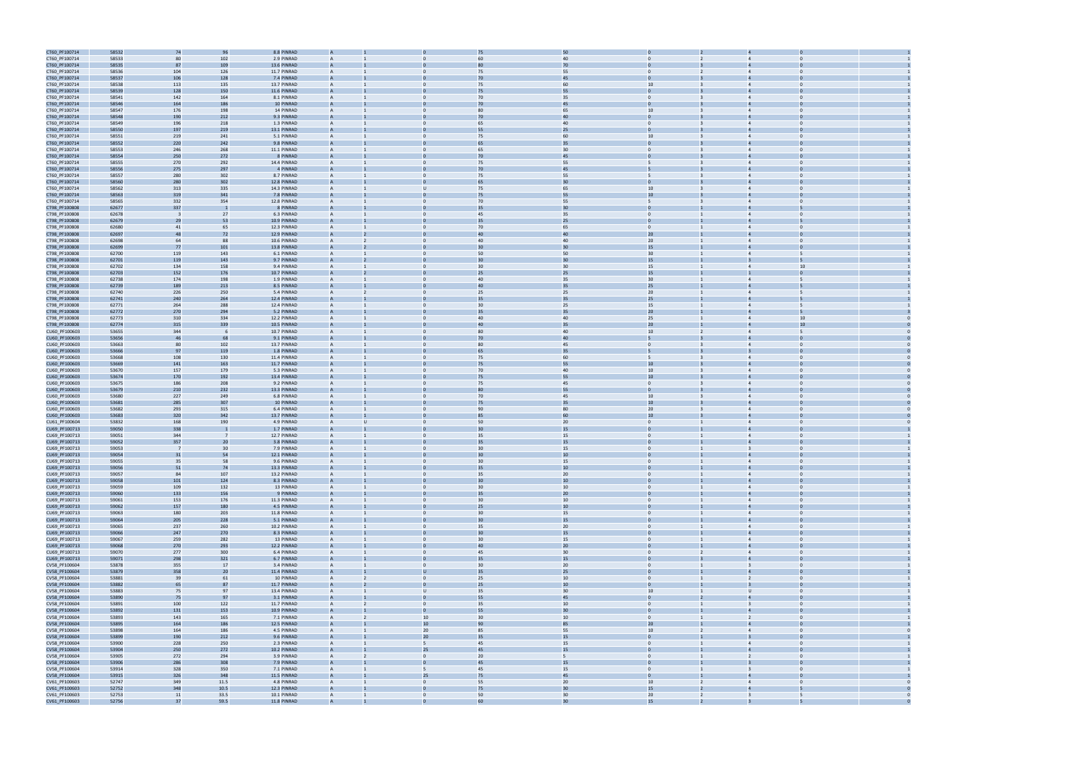

| CT60_PF100714                  | 58532          | 74                       | 96             | 8.8 PINRAD                 |                          |                              | 75              | 50                    |                                  |                         |                                           |  |
|--------------------------------|----------------|--------------------------|----------------|----------------------------|--------------------------|------------------------------|-----------------|-----------------------|----------------------------------|-------------------------|-------------------------------------------|--|
| CT60_PF100714                  | 58533          | 80                       | 102            | 2.9 PINRAD                 |                          |                              | 60              | 40                    |                                  |                         |                                           |  |
| CT60_PF100714                  | 58535          | 87                       | 109            | 13.6 PINRAD                |                          |                              | 80              | 70                    |                                  |                         |                                           |  |
| CT60_PF100714                  | 58536          | 104                      | 126            | 11.7 PINRAD                | A                        |                              | 75              | 55                    | $\Omega$                         |                         |                                           |  |
| CT60_PF100714                  | 58537          | 106                      | 128            | 7.4 PINRAD                 |                          |                              | 70              | 45                    |                                  |                         |                                           |  |
|                                |                |                          |                | 13.7 PINRAD                | A                        | $\mathbf{0}$                 |                 | 60                    | 10                               |                         | $\mathbf 0$                               |  |
| CT60_PF100714                  | 58538          | 113                      | 135            |                            |                          |                              | 75              |                       |                                  | $\overline{4}$          |                                           |  |
| CT60_PF100714                  | 58539          | 128                      | 150            | 11.6 PINRAD                |                          |                              | 75              | 55                    |                                  |                         |                                           |  |
| CT60_PF100714                  | 58541          | 142                      | 164            | 8.1 PINRAD                 | A                        |                              | 70              | 35                    | $\Omega$                         |                         | $\Omega$                                  |  |
| CT60_PF100714                  | 58546          | 164                      | 186            | 10 PINRAD                  |                          |                              | 70              | 45                    |                                  |                         |                                           |  |
| CT60_PF100714                  | 58547          | 176                      | 198            | 14 PINRAD                  | $\mathsf{A}$             |                              | 80              | 65                    | 10                               |                         | $\Omega$                                  |  |
| CT60_PF100714                  | 58548          | 190                      | 212            | 9.3 PINRAD                 |                          |                              | 70              | 40                    |                                  |                         |                                           |  |
| CT60_PF100714                  | 58549          | 196                      | 218            | 1.3 PINRAD                 |                          |                              | 65              | 40                    |                                  |                         |                                           |  |
| CT60_PF100714                  | 58550          | 197                      | 219            | 13.1 PINRAD                |                          |                              | 55              | 25                    |                                  |                         |                                           |  |
| CT60_PF100714                  | 58551          | 219                      | 241            | 5.1 PINRAD                 | A                        |                              | 75              | 60                    | 10 <sup>1</sup>                  |                         |                                           |  |
| CT60_PF100714                  | 58552          | 220                      | 242            | 9.8 PINRAD                 |                          |                              | 65              | 35                    |                                  |                         |                                           |  |
| CT60_PF100714                  | 58553          | 246                      | 268            | 11.1 PINRAD                | A                        | $\mathbf 0$                  | 65              | 30                    | $\overline{0}$                   | $\overline{4}$          | $\Omega$                                  |  |
| CT60_PF100714                  | 58554          | 250                      | 272            | 8 PINRAD                   |                          |                              | 70              | 45                    |                                  |                         |                                           |  |
| CT60_PF100714                  | 58555          | 270                      | 292            | 14.4 PINRAD                | A                        |                              | 75              | 55                    | 5                                |                         | $\Omega$                                  |  |
| CT60_PF100714                  | 58556          | 275                      | 297            | 4 PINRAD                   |                          |                              | 70              | 45                    |                                  |                         |                                           |  |
| CT60_PF100714                  | 58557          | 280                      | 302            | 8.7 PINRAD                 | A                        |                              | 75              | 55                    | 5                                |                         | $\Omega$                                  |  |
| CT60_PF100714                  | 58560          | 280                      | 302            | 12.8 PINRAD                |                          |                              |                 | 30                    |                                  |                         |                                           |  |
| CT60_PF100714                  | 58562          | 313                      | 335            | 14.3 PINRAD                |                          |                              | 75              | 65                    | 10                               |                         |                                           |  |
|                                | 58563          | 319                      | 341            | 7.8 PINRAD                 |                          |                              | 75              | 55                    | 10                               |                         |                                           |  |
| CT60_PF100714                  |                |                          |                |                            | A                        |                              |                 |                       |                                  | $\overline{4}$          |                                           |  |
| CT60_PF100714                  | 58565          | 332                      | 354            | 12.8 PINRAD                |                          |                              | 70              | 55                    |                                  |                         |                                           |  |
| CT98_PF100808                  | 62677          | 337                      |                | 8 PINRAD                   |                          |                              | 35              | 30                    |                                  |                         |                                           |  |
| CT98_PF100808                  | 62678          | $\overline{\phantom{a}}$ | 27             | 6.3 PINRAD                 | A                        | $\mathbf{0}$                 | 45              | 35                    | $\overline{0}$                   | $\overline{4}$          | $\mathbf 0$                               |  |
| CT98_PF100808                  | 62679          | 29                       | 53             | 10.9 PINRAD                |                          |                              |                 | 25                    |                                  |                         |                                           |  |
| CT98_PF100808                  | 62680          | 41                       | 65             | 12.3 PINRAD                | A                        |                              | 70              | 65                    | $\Omega$                         | $\overline{4}$          | $\Omega$                                  |  |
| CT98_PF100808                  | 62697          | 48                       | 72             | 12.9 PINRAD                |                          |                              |                 | 40                    | 20                               |                         |                                           |  |
| CT98_PF100808                  | 62698          | 64                       | 88             | 10.6 PINRAD                | $\mathsf{A}$             |                              | 40              | 40                    | 20                               | $\overline{4}$          | $\Omega$                                  |  |
| CT98_PF100808                  | 62699          | 77                       | 101            | 13.8 PINRAD                |                          |                              | $\overline{30}$ | 30                    | 15                               |                         |                                           |  |
| CT98_PF100808                  | 62700          | 119                      | 143            | 6.1 PINRAD                 |                          |                              | 50              | 50                    | 30                               |                         |                                           |  |
| CT98_PF100808                  | 62701          | 119                      | 143            | 9.7 PINRAD                 |                          |                              | $\overline{3}$  | 30                    | 15                               |                         |                                           |  |
| CT98_PF100808                  | 62702          | 134                      | 158            | 9.4 PINRAD                 |                          |                              | 30              | 30                    | 15                               | $\overline{4}$          | 10                                        |  |
| CT98_PF100808                  | 62703          | 152                      | 176            | 10.7 PINRAD                |                          |                              | 25              | 25                    | 15                               |                         |                                           |  |
| CT98_PF100808                  | 62738          | 174                      | 198            | 1.9 PINRAD                 | A                        | $\Omega$                     | 40              | 35                    | 30 <sub>o</sub>                  | $\overline{4}$          | 5                                         |  |
| CT98_PF100808                  | 62739          | 189                      | 213            | 8.5 PINRAD                 |                          |                              | 4(              | 35                    | 25                               |                         |                                           |  |
| CT98_PF100808                  | 62740          | 226                      | 250            | 5.4 PINRAD                 | $\mathsf{A}$             |                              | 25              | 25                    | 20 <sub>2</sub>                  | $\overline{4}$          |                                           |  |
| CT98_PF100808                  | 62741          | 240                      | 264            | 12.4 PINRAD                |                          |                              |                 | 35                    | 25                               |                         |                                           |  |
| CT98_PF100808                  | 62771          | 264                      | 288            | 12.4 PINRAD                | $\mathsf{A}$             |                              | 30              | 25                    | 15                               | $\overline{4}$          |                                           |  |
| CT98_PF100808                  | 62772          | 270                      | 294            | 5.2 PINRAD                 |                          |                              | 35              | 35                    | 20 <sub>2</sub>                  |                         |                                           |  |
| CT98_PF100808                  | 62773          | 310                      | 334            | 12.2 PINRAD                |                          |                              | 40              | 40                    | 25                               |                         | 10                                        |  |
| CT98_PF100808                  | 62774          | 315                      | 339            | 10.5 PINRAD                |                          |                              | 40              | 35                    | 20 <sub>2</sub>                  |                         | 10                                        |  |
| CU60_PF100603                  | 53655          | 344                      |                | 10.7 PINRAD                | A                        |                              | 80              | 40                    | 10 <sup>10</sup>                 |                         |                                           |  |
|                                |                |                          |                |                            |                          |                              |                 | 40                    |                                  |                         |                                           |  |
| CU60_PF100603                  | 53656          | 46                       | 68             | 9.1 PINRAD                 |                          |                              | 70              |                       |                                  |                         |                                           |  |
| CU60_PF100603                  | 53663          | 80                       | 102            | 13.7 PINRAD                | A                        | $\Omega$                     | 80              | 45                    | $\overline{0}$                   | $\overline{4}$          | $\mathbf 0$                               |  |
| CU60_PF100603                  | 53666          | 97                       | 119            | 1.8 PINRAD                 |                          |                              |                 | 35                    |                                  |                         |                                           |  |
| CU60_PF100603                  | 53668          | 108                      | 130            | 11.4 PINRAD                | A                        |                              | 75              | 60                    | 5                                |                         | $\Omega$                                  |  |
| CU60_PF100603                  | 53669          | ${\bf 141}$              | 163            | 11.7 PINRAD                |                          |                              | 75              | 55                    | 10                               |                         |                                           |  |
| CU60_PF100603                  | 53670          | 157                      | 179            | 5.3 PINRAD                 | $\mathsf{A}$             |                              | 70              | 40                    | 10                               | $\overline{4}$          | $\Omega$                                  |  |
| CU60_PF100603                  | 53674          | 170                      | 192            | 13.4 PINRAD                |                          |                              | 75              | 55                    | 10                               |                         |                                           |  |
| CU60_PF100603                  | 53675          | 186                      | 208            | 9.2 PINRAD                 |                          |                              | 75              | 45                    |                                  |                         |                                           |  |
| CU60_PF100603                  | 53679          | 210                      | 232            | 13.3 PINRAD                |                          |                              | 80              | 55                    | $\Omega$                         |                         |                                           |  |
| CU60_PF100603                  | 53680          | 227                      | 249            | 6.8 PINRAD                 | A                        |                              | 70              | 45                    | 10                               |                         |                                           |  |
| CU60_PF100603                  | 53681          | 285                      | 307            | 10 PINRAD                  |                          |                              | 75              | 35                    | 10                               |                         |                                           |  |
| CU60_PF100603                  | 53682          | 293                      | 315            | 6.4 PINRAD                 | А                        |                              | 90              | 80                    | 20                               | $\overline{4}$          | $\Omega$                                  |  |
| CU60_PF100603                  | 53683          | 320                      | 342            | 13.7 PINRAD                |                          |                              |                 | 60                    | 10                               |                         |                                           |  |
| CU61_PF100604                  | 53832          | 168                      | 190            | 4.9 PINRAD                 | A                        |                              | 50              | 20                    | $\Omega$                         |                         | $\Omega$                                  |  |
| CU69_PF100713                  | 59050          | 338                      |                | 1.7 PINRAD                 |                          |                              |                 | 15                    |                                  |                         |                                           |  |
| CU69_PF100713                  | 59051          | 344                      | - 7            | 12.7 PINRAD                | A                        |                              | 35              | 15                    | $\mathbf{0}$                     |                         | $\mathbf{0}$                              |  |
| CU69_PF100713                  | 59052          | 357                      | 20             | 3.8 PINRAD                 |                          |                              | 35              | 15                    |                                  |                         |                                           |  |
| CU69_PF100713                  | 59053          | $\overline{7}$           | 3 <sup>c</sup> | 7.9 PINRAD                 |                          |                              | 30              | 15                    |                                  | $\overline{3}$          | $\Omega$                                  |  |
|                                |                |                          |                |                            |                          |                              |                 | 10                    |                                  |                         |                                           |  |
| CU69_PF100713                  | 59054          | 31                       | 54             | 12.1 PINRAD                |                          |                              |                 |                       |                                  |                         |                                           |  |
| CU69_PF100713                  | 59055          | 35                       | 58             | 9.6 PINRAD                 |                          |                              | 30              | 15                    |                                  |                         |                                           |  |
| CU69_PF100713                  | 59056          | 51                       | 74             | 13.3 PINRAD                |                          |                              | 35              | $10\,$                |                                  |                         |                                           |  |
| CU69_PF100713                  | 59057          | 84                       | 107            | 13.2 PINRAD                | $\mathsf{A}$             | $\mathbf{0}$                 | 35              | 20                    | $\overline{0}$                   |                         | $\overline{4}$<br>$\mathbf{0}$            |  |
| CU69_PF100713                  | 59058          | 101                      | 124            | 8.3 PINRAD                 |                          |                              | 30              | 10                    |                                  | $\overline{4}$          |                                           |  |
| CU69_PF100713                  | 59059          | 109                      | 132            | 13 PINRAD                  | Α                        | $\mathbf{0}$                 | 30              | 10                    | $\overline{0}$                   |                         | $\overline{4}$<br>$\Omega$                |  |
| CU69_PF100713                  | 59060          | 133                      | 156            | 9 PINRAD                   |                          |                              | 35              | 20                    |                                  |                         |                                           |  |
| CU69_PF100713                  | 59061          | 153                      | 176            | 11.3 PINRAD                | $\mathsf{A}$             | $\mathbf{0}$                 | 30              | $10\,$                | $\overline{0}$                   |                         | $\overline{0}$<br>$\overline{4}$          |  |
| CU69_PF100713                  | 59062          | 157                      | 180            | 4.5 PINRAD                 | A                        |                              | 25              | 10                    | $\overline{0}$                   | $\overline{4}$          | $\Omega$                                  |  |
| CU69_PF100713                  | 59063          | 180                      | 203            | 11.8 PINRAD                | A                        | $\overline{0}$               | 30              | 15                    | $\overline{0}$                   |                         | $\overline{4}$<br>$\Omega$                |  |
| CU69_PF100713                  | 59064          | 205                      | 228            | 5.1 PINRAD                 | A                        |                              | 30              | 15                    | $\Omega$                         |                         | $\overline{4}$<br>$\Omega$                |  |
| CU69_PF100713                  | 59065          | 237                      | 260            | 10.2 PINRAD                | $\mathsf{A}$             | $\mathbf{0}$                 | 35              | 20                    | $\overline{0}$                   |                         | $\overline{4}$<br>$\Omega$                |  |
| CU69_PF100713                  | 59066          | 247                      | 270            | 8.3 PINRAD                 | A                        |                              | 30              | 15                    | $\overline{0}$                   |                         | $\overline{4}$                            |  |
| CU69_PF100713                  | 59067          | 259                      | 282            | 13 PINRAD                  | $\overline{A}$           | $\mathbf{0}$                 | 30              | 15                    | $\overline{0}$                   |                         | $\overline{4}$<br>$\overline{0}$          |  |
| CU69_PF100713                  | 59068          | 270                      | 293            | 12.2 PINRAD                | A                        |                              | 40              | $20\,$                | $\mathbf{0}$                     |                         | $\overline{4}$<br>$\Omega$                |  |
| CU69_PF100713                  | 59070          | 277                      | 300            | 6.4 PINRAD                 | A                        | $\mathbf{0}$                 | 45              | 30                    | $\overline{0}$<br>$\overline{2}$ | $\overline{4}$          | $\Omega$                                  |  |
| CU69_PF100713                  |                |                          |                |                            |                          |                              | 35              | 15                    |                                  |                         |                                           |  |
| CV58_PF100604                  | 59071          | 298                      | 321            | 6.7 PINRAD                 |                          | $\mathbf{0}$                 | 30              |                       |                                  |                         |                                           |  |
|                                | 53878          | 355                      | 17             | 3.4 PINRAD                 | $\mathsf{A}$             |                              |                 | $20\,$                | $\overline{0}$<br>$\mathbf{1}$   |                         | $\overline{\mathbf{3}}$<br>$\overline{0}$ |  |
| CV58_PF100604                  | 53879          | 358                      | 20             | 11.4 PINRAD                | A                        | ū                            | 35              | 25                    | $\overline{0}$                   | $\overline{4}$          | $\Omega$                                  |  |
| CV58_PF100604                  | 53881          | 39                       | 61             | 10 PINRAD                  | A                        |                              | 25              | $10\,$                | $\mathbf{0}$                     |                         | $\overline{2}$<br>$\Omega$                |  |
| CV58_PF100604                  | 53882          | 65                       | 87             | 11.7 PINRAD                | A                        |                              | 25              | 10                    | $\Omega$                         |                         | $\Omega$                                  |  |
| CV58_PF100604                  | 53883          | 75                       | 97             | 13.4 PINRAD                | $\mathsf{A}$             | U                            | 35              | 30                    | 10                               |                         | $\Omega$<br>$\cup$                        |  |
| CV58_PF100604                  | 53890          | 75                       | 97             | 3.1 PINRAD                 | A                        | $\mathbf{0}$                 | 55              | 45                    | $\mathbf{0}$                     | $\overline{4}$          | $\overline{0}$                            |  |
|                                |                |                          |                |                            | $\overline{A}$           | $\mathbf{0}$<br>2            |                 |                       |                                  | $\overline{\mathbf{3}}$ | $\overline{0}$                            |  |
| CV58_PF100604                  | 53891          | 100                      | 122            | 11.7 PINRAD                | A                        | $\overline{0}$               | 35              | 10                    | $\overline{0}$<br>$\mathbf{0}$   | $\overline{4}$          | $\Omega$                                  |  |
| CV58_PF100604                  | 53892          | 131                      | 153            | 10.9 PINRAD                | A                        |                              | 55              | 30                    | $\overline{0}$                   |                         | $\overline{2}$<br>$\overline{0}$          |  |
| CV58_PF100604                  | 53893          | 143                      | 165            | 7.1 PINRAD                 |                          | 10                           | 30<br>90        | 10                    |                                  |                         |                                           |  |
| CV58_PF100604                  | 53895          | 164                      | 186            | 12.5 PINRAD                | $\mathsf{A}$             | 10 <sup>°</sup>              |                 | 85                    | 20 <sub>2</sub>                  |                         | $\overline{0}$                            |  |
| CV58_PF100604                  | 53898          | 164                      | 186            | 4.5 PINRAD                 |                          | 20 <sub>2</sub>              | 85              | 55                    | 10<br>$\overline{2}$             |                         | $\overline{4}$                            |  |
| CV58_PF100604                  | 53899          | 190                      | 212            | 9.6 PINRAD                 | A                        | 20 <sub>2</sub>              | 35              | 15                    | $\overline{0}$                   | $\overline{3}$          | $\Omega$                                  |  |
| CV58_PF100604                  | 53900          | 228                      | 250            | 2.3 PINRAD                 | A                        | 5                            | 45              | 15                    | $\mathbf{0}$                     | $\overline{4}$          | $\Omega$                                  |  |
| CV58_PF100604                  | 53904          | 250                      | 272            | 10.2 PINRAD                | A                        | 25                           | 45              | 15                    | $\Omega$                         |                         | $\overline{4}$<br>$\Omega$                |  |
| CV58_PF100604                  | 53905          | 272                      | 294            | 3.9 PINRAD                 | $\mathsf{A}$             | $\overline{0}$               | 20              | 5                     | $\overline{0}$                   |                         | $\overline{2}$<br>$\Omega$                |  |
| CV58_PF100604                  | 53906          | 286                      | 308            | 7.9 PINRAD                 | A                        | $\mathbf{0}$                 | 45              | 15                    | $\mathbf{0}$                     |                         | $\overline{0}$<br>$\overline{\mathbf{3}}$ |  |
| CV58_PF100604                  | 53914          | 328                      | 350            | 7.1 PINRAD                 | $\overline{A}$           | 5                            | 45              | 15                    | $\overline{0}$                   | $\overline{3}$          | $\overline{0}$                            |  |
| CV58_PF100604                  | 53915          | 326                      | 348            | 11.5 PINRAD                | A                        | 25                           | 75              | 45                    | $\mathbf{0}$                     | $\overline{4}$          | $\Omega$                                  |  |
| CV61_PF100603                  | 52747          | 349                      | 11.5           | 4.8 PINRAD                 | $\mathsf{A}$             | $\overline{0}$               | 55              | 20                    | 10<br>$\overline{2}$             | $\overline{4}$          | $\Omega$                                  |  |
| CV61_PF100603                  | 52752          | 348                      | 10.5           | 12.3 PINRAD                |                          |                              | 75              | 30                    | 15                               |                         |                                           |  |
| CV61_PF100603<br>CV61 PF100603 | 52753<br>52756 | 11<br>37                 | 33.5<br>59.5   | 10.1 PINRAD<br>11.8 PINRAD | $\mathsf{A}$<br>$\Delta$ | $\mathbf{0}$<br>$\mathbf{1}$ | 50<br>60        | 30 <sup>°</sup><br>30 | 20<br>$\overline{2}$<br>15       |                         | $\overline{\mathbf{3}}$<br>5              |  |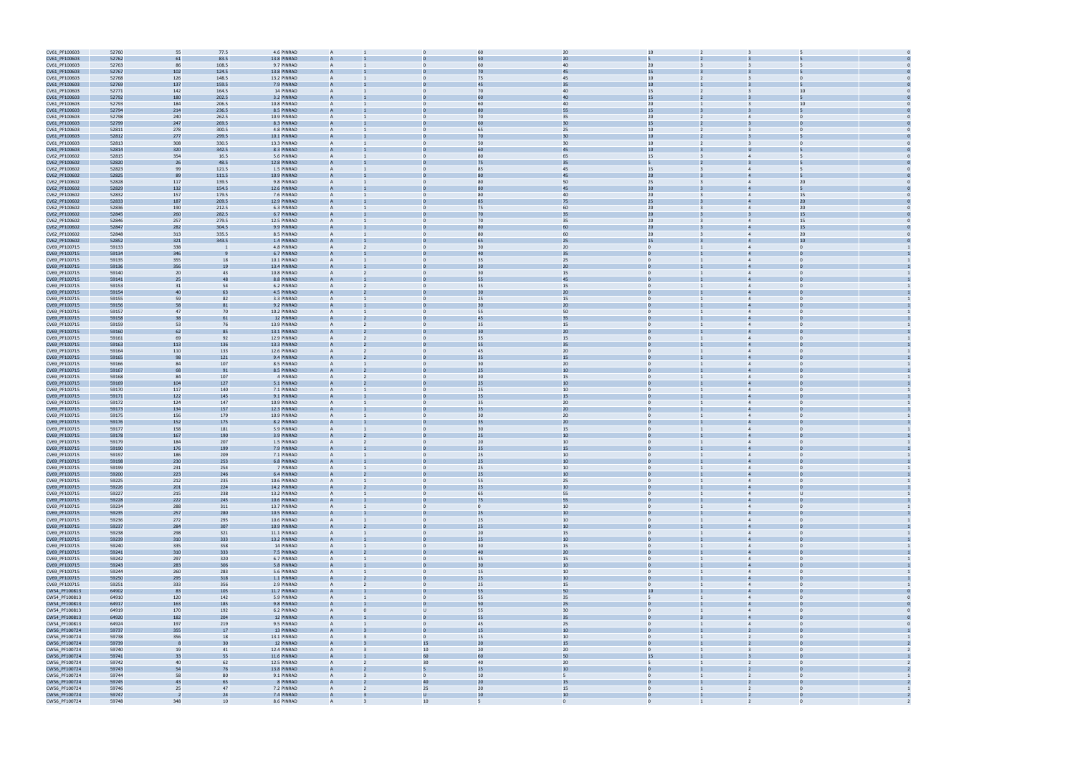| CV61_PF100603 | 52760 | 55             | 77.5           | 4.6 PINRAD  | $\overline{A}$ |                 | 60               | 20       | 10                               |                                |  |
|---------------|-------|----------------|----------------|-------------|----------------|-----------------|------------------|----------|----------------------------------|--------------------------------|--|
| CV61_PF100603 | 52762 | 61             | 83.5           | 13.8 PINRAD |                |                 | 50               | 20       |                                  |                                |  |
| CV61_PF100603 | 52763 | 86             | 108.5          | 9.7 PINRAD  | $\overline{A}$ | $\Omega$        | 60               | 40       | 20                               | 5                              |  |
|               |       |                |                |             |                |                 |                  | 45       | 15                               |                                |  |
| CV61_PF100603 | 52767 | 102            | 124.5          | 13.8 PINRAD |                |                 |                  |          |                                  |                                |  |
| CV61_PF100603 | 52768 | 126            | 148.5          | 13.2 PINRAD | A              | $\mathbf{0}$    | 75               | 45       | 10 <sup>1</sup>                  | $\Omega$                       |  |
| CV61_PF100603 | 52769 | 137            | 159.5          | 7.9 PINRAD  |                |                 | 45               | 35       | $10\,$                           |                                |  |
| CV61_PF100603 | 52771 | 142            | 164.5          | 14 PINRAD   |                |                 | 70               | 40       | 15                               | 10                             |  |
| CV61_PF100603 | 52792 | 180            | 202.5          | 3.2 PINRAD  |                |                 |                  | 40       | 15                               |                                |  |
| CV61_PF100603 | 52793 | 184            | 206.5          | 10.8 PINRAD |                | $\Omega$        | 60               | 40       | 20                               | 10                             |  |
| CV61_PF100603 | 52794 | 214            | 236.5          | 8.5 PINRAD  |                |                 |                  | 55       | 15                               |                                |  |
|               |       | 240            |                | 10.9 PINRAD |                |                 | 70               |          |                                  | $\mathbf{0}$<br>$\overline{4}$ |  |
| CV61_PF100603 | 52798 |                | 262.5          |             | A              | $\mathbf{0}$    |                  | 35       | 20                               |                                |  |
| CV61_PF100603 | 52799 | 247            | 269.5          | 8.3 PINRAD  |                |                 |                  | 30       | 15                               |                                |  |
| CV61_PF100603 | 52811 | 278            | 300.5          | 4.8 PINRAD  | $\overline{A}$ | $\Omega$        | 65               | 25       | 10 <sup>10</sup>                 | $\Omega$                       |  |
| CV61_PF100603 | 52812 | 277            | 299.5          | 10.1 PINRAD |                |                 |                  |          | 10                               |                                |  |
| CV61_PF100603 | 52813 | 308            | 330.5          | 13.3 PINRAD | A              | $\Omega$        | 50               | 30       | 10                               | $\Omega$                       |  |
| CV61_PF100603 | 52814 | 320            | 342.5          | 8.3 PINRAD  |                |                 |                  | 45       | $10\,$                           |                                |  |
|               |       |                |                |             |                |                 |                  |          |                                  |                                |  |
| CV62_PF100602 | 52815 | 354            | 16.5           | 5.6 PINRAD  |                |                 | 80               | 65       | 15                               |                                |  |
| CV62_PF100602 | 52820 | 26             | 48.5           | 12.8 PINRAD |                |                 | 75               | 35       |                                  |                                |  |
| CV62_PF100602 | 52823 | 99             | 121.5          | 1.5 PINRAD  | $\overline{A}$ |                 | 85               | 45       | 15                               | $\overline{4}$                 |  |
| CV62_PF100602 | 52825 | 89             | 111.5          | 10.9 PINRAD |                |                 |                  | 45       | 20 <sub>2</sub>                  |                                |  |
| CV62_PF100602 | 52828 | 117            | 139.5          | 9.8 PINRAD  | A              | $\mathbf 0$     | 80               | 50       | 25                               | 20<br>$\overline{4}$           |  |
| CV62_PF100602 | 52829 | 132            | 154.5          | 12.6 PINRAD |                |                 |                  | 45       | 30                               |                                |  |
|               |       |                |                |             |                |                 |                  |          |                                  |                                |  |
| CV62_PF100602 | 52832 | 157            | 179.5          | 7.6 PINRAD  | $\overline{A}$ | $\Omega$        | 80               | 40       | 20 <sub>2</sub>                  | 15<br>$\Delta$                 |  |
| CV62_PF100602 | 52833 | 187            | 209.5          | 12.9 PINRAD |                |                 |                  |          | 25                               | 2 <sub>0</sub>                 |  |
| CV62_PF100602 | 52836 | 190            | 212.5          | 6.3 PINRAD  | $\overline{A}$ | $\mathbf{0}$    | 75               | 60       | 20                               | 20<br>$\overline{4}$           |  |
| CV62_PF100602 | 52845 | 260            | 282.5          | 6.7 PINRAD  |                |                 | 70               | 35       | 20                               | 15                             |  |
| CV62_PF100602 | 52846 | 257            | 279.5          | 12.5 PINRAD |                |                 | 70               | 35       | 20 <sub>2</sub>                  | 15                             |  |
| CV62_PF100602 | 52847 | 282            | 304.5          | 9.9 PINRAD  |                |                 |                  | 60       | 20                               | 15                             |  |
|               |       |                |                |             |                |                 |                  |          |                                  |                                |  |
| CV62_PF100602 | 52848 | 313            | 335.5          | 8.5 PINRAD  | $\mathbf{A}$   | $\Omega$        | 80               | 60       | 20 <sub>2</sub>                  | 20                             |  |
| CV62_PF100602 | 52852 | 321            | 343.5          | 1.4 PINRAD  |                |                 | 65               | 25       | 15                               | 10                             |  |
| CV69_PF100715 | 59133 | 338            |                | 4.8 PINRAD  | A              | $\mathbf{0}$    | 30               | 20       | $\overline{0}$                   | $\Omega$<br>$\overline{4}$     |  |
| CV69_PF100715 | 59134 | 346            |                | 6.7 PINRAD  |                |                 | 4 <sub>0</sub>   | 35       |                                  |                                |  |
| CV69_PF100715 | 59135 | 355            | 18             | 10.1 PINRAD | $\overline{A}$ | $\Omega$        | 35               | 25       | $\Omega$                         |                                |  |
| CV69_PF100715 | 59136 | 356            | 1 <sup>g</sup> | 13.4 PINRAD |                |                 |                  | 20       |                                  |                                |  |
|               |       |                |                |             |                |                 |                  |          |                                  |                                |  |
| CV69_PF100715 | 59140 | 20             | 43             | 10.8 PINRAD | $\mathbf{A}$   | $\Omega$        | 30               | 15       | $\mathbf{0}$                     | $\overline{4}$                 |  |
| CV69_PF100715 | 59141 | 25             | 48             | 8.8 PINRAD  |                |                 | 55               | 45       |                                  |                                |  |
| CV69_PF100715 | 59153 | 31             | 54             | 6.2 PINRAD  |                |                 | 35               | 15       |                                  |                                |  |
| CV69_PF100715 | 59154 | 40             | 63             | 4.5 PINRAD  |                |                 | 30               | 20       |                                  |                                |  |
| CV69_PF100715 | 59155 | 59             | 82             | 3.3 PINRAD  | $\mathbf{A}$   | $\Omega$        | 25               | 15       | $\Omega$                         | $\overline{4}$                 |  |
| CV69_PF100715 | 59156 | 58             | 81             | 9.2 PINRAD  |                |                 | 30               | 20       |                                  |                                |  |
|               |       |                |                |             |                |                 |                  |          |                                  |                                |  |
| CV69_PF100715 | 59157 | 47             | 70             | 10.2 PINRAD | A              | $\mathbf 0$     | 55               | 50       | $\mathbf{0}$                     | $\overline{4}$                 |  |
| CV69_PF100715 | 59158 | 38             | 61             | 12 PINRAD   |                |                 | 45               | 35       |                                  |                                |  |
| CV69_PF100715 | 59159 | 53             | 76             | 13.9 PINRAD | $\overline{A}$ | $\Omega$        | 35               | 15       | $\Omega$                         | $\overline{4}$                 |  |
| CV69_PF100715 | 59160 | 62             | 85             | 13.1 PINRAD |                |                 |                  | 20       |                                  |                                |  |
| CV69_PF100715 | 59161 | 69             | 92             | 12.9 PINRAD | $\overline{A}$ | $\mathbf{0}$    | 35               | 15       | $\mathbf{0}$                     | $\overline{4}$                 |  |
| CV69_PF100715 | 59163 | 113            | 136            | 13.3 PINRAD |                |                 | 55               | 35       |                                  |                                |  |
|               |       |                |                |             |                |                 |                  |          |                                  |                                |  |
| CV69_PF100715 | 59164 | 110            | 133            | 12.6 PINRAD |                |                 | 45               | 20       |                                  |                                |  |
| CV69_PF100715 | 59165 | 98             | 121            | 9.4 PINRAD  |                |                 | 35               | 15       |                                  |                                |  |
| CV69_PF100715 | 59166 | 84             | 107            | 8.5 PINRAD  | $\overline{A}$ |                 | 30               | 20       | $\Omega$                         |                                |  |
| CV69_PF100715 | 59167 | 68             | 91             | 8.5 PINRAD  |                |                 | 25               | 10       |                                  |                                |  |
| CV69_PF100715 | 59168 | 84             | 107            | 4 PINRAD    | A              | $\Omega$        | 30               | 15       | $\overline{0}$                   | $\overline{4}$                 |  |
|               |       |                |                | 5.1 PINRAD  |                |                 |                  | 10       |                                  |                                |  |
| CV69_PF100715 | 59169 | 104            | 127            |             |                |                 | 25               |          |                                  |                                |  |
| CV69_PF100715 | 59170 | 117            | 140            | 7.1 PINRAD  | $\overline{A}$ | $\Omega$        | 25               | 10       | $\Omega$                         |                                |  |
| CV69_PF100715 | 59171 | 122            | 145            | 9.1 PINRAD  |                |                 |                  | 15       |                                  |                                |  |
| CV69_PF100715 | 59172 | 124            | 147            | 10.9 PINRAD | $\overline{A}$ | $\Omega$        | 35               | 20       | $\mathbf{0}$                     | $\overline{4}$                 |  |
| CV69_PF100715 | 59173 | 134            | 157            | 12.3 PINRAD |                |                 | 35               | 20       |                                  |                                |  |
| CV69_PF100715 | 59175 | 156            | 179            | 10.9 PINRAD |                |                 | 30               | 20       |                                  |                                |  |
|               |       |                |                |             |                |                 |                  | 20       |                                  |                                |  |
| CV69_PF100715 | 59176 | 152            | 175            | 8.2 PINRAD  |                |                 | 35               |          |                                  |                                |  |
| CV69_PF100715 | 59177 | 158            | 181            | 5.9 PINRAD  |                |                 | 30               | 15       | $\Omega$                         |                                |  |
| CV69_PF100715 | 59178 | 167            | 190            | 3.9 PINRAD  |                |                 | 25               | 10       |                                  |                                |  |
| CV69_PF100715 | 59179 | 184            | 207            | 1.5 PINRAD  |                | $\mathbf{0}$    | 20               | 10       | $\overline{0}$                   | $\overline{4}$                 |  |
| CV69_PF100715 | 59190 | 176            | 199            | 7.9 PINRAD  |                |                 | 35               | 15       |                                  |                                |  |
| CV69_PF100715 |       | 186            |                |             |                |                 |                  | 10       |                                  |                                |  |
|               | 59197 |                | 209            | 7.1 PINRAD  |                |                 | 25               |          |                                  |                                |  |
| CV69_PF100715 | 59198 | 230            | 253            | 6.8 PINRAD  |                |                 | 25               | 10       |                                  |                                |  |
| CV69_PF100715 | 59199 | 231            | 254            | 7 PINRAD    | $\overline{A}$ | $\mathbf{0}$    | 25               | $10$     | $\mathbf{0}$                     | $\overline{4}$<br>$\mathbf{0}$ |  |
| CV69_PF100715 | 59200 | 223            | 246            | 6.4 PINRAD  |                |                 | 25               | 10       | $\overline{0}$                   | $\overline{4}$                 |  |
| CV69_PF100715 | 59225 | 212            | 235            | 10.6 PINRAD | $\overline{A}$ | $\Omega$        | 55               | 25       | $\overline{0}$                   | $\overline{4}$<br>$\Omega$     |  |
| CV69_PF100715 | 59226 | 201            | 224            | 14.2 PINRAD | $\overline{A}$ |                 | 25               | 10       | $\Omega$                         | $\overline{4}$<br>$\Omega$     |  |
| CV69_PF100715 | 59227 | 215            | 238            | 13.2 PINRAD | $\mathsf{A}$   | $\mathbf{0}$    | 65               | 55       | $\mathbf{0}$                     | $\overline{4}$<br>$\mathbf{U}$ |  |
| CV69_PF100715 | 59228 | 222            | 245            | 10.6 PINRAD | $\mathsf{A}$   |                 | 75               | 55       | $\mathbf{0}$                     | $\overline{4}$                 |  |
| CV69_PF100715 | 59234 | 288            | 311            | 13.7 PINRAD | $\mathsf{A}$   | $\mathbf{0}$    | $\mathbf{0}$     | 10       | $\overline{0}$                   | $\overline{4}$<br>$\mathbf{0}$ |  |
|               |       |                |                |             |                | $\Omega$        |                  |          |                                  | $\overline{4}$                 |  |
| CV69_PF100715 | 59235 | 257            | 280            | 10.5 PINRAD | $\overline{A}$ |                 | 25               | 10       | $\overline{0}$                   |                                |  |
| CV69_PF100715 | 59236 | 272            | 295            | 10.6 PINRAD | $\mathsf{A}$   | $\mathbf{0}$    | 25               | 10       | $\mathbf{0}$                     | $\overline{4}$<br>$\Omega$     |  |
| CV69_PF100715 | 59237 | 284            | 307            | 10.9 PINRAD |                |                 | 25               | 10       |                                  |                                |  |
| CV69_PF100715 | 59238 | 298            | 321            | 11.1 PINRAD | $\mathsf{A}$   | $\mathbf{0}$    | 20               | 15       | $\overline{0}$<br>$\mathbf{1}$   | $\mathbf{0}$<br>$\overline{4}$ |  |
| CV69_PF100715 | 59239 | 310            | 333            | 13.2 PINRAD | $\overline{A}$ | $\Omega$        | 25               | $10$     | $\overline{0}$                   | $\overline{4}$                 |  |
| CV69_PF100715 | 59240 | 335            | 358            | 14 PINRAD   | $\overline{A}$ | $\mathbf{0}$    | 30               | 15       | $\overline{0}$                   | $\overline{4}$<br>$\Omega$     |  |
| CV69_PF100715 | 59241 | 310            | 333            | 7.5 PINRAD  | $\overline{A}$ |                 | 40               | 20       | $\Omega$                         | $\overline{4}$<br>$\Omega$     |  |
|               |       |                |                |             |                |                 |                  |          |                                  |                                |  |
| CV69_PF100715 | 59242 | 297            | 320            | 6.7 PINRAD  | $\mathsf{A}$   | $\overline{0}$  | 35               | 15       | $\mathbf{0}$                     | $\Omega$<br>$\overline{4}$     |  |
| CV69_PF100715 | 59243 | 283            | 306            | 5.8 PINRAD  | $\overline{A}$ |                 | 30               | 10       | $\overline{0}$                   | $\overline{4}$                 |  |
| CV69_PF100715 | 59244 | 260            | 283            | 5.6 PINRAD  | $\overline{A}$ | $\mathbf{0}$    | 15               | 10       | $\overline{0}$<br>$\overline{1}$ | $\mathbf{0}$<br>$\overline{4}$ |  |
| CV69_PF100715 | 59250 | 295            | 318            | 1.1 PINRAD  | A              | $\Omega$        | 25               | $10\,$   | $\mathbf{0}$                     | $\overline{4}$<br>$\Omega$     |  |
| CV69_PF100715 | 59251 | 333            | 356            | 2.9 PINRAD  | $\overline{A}$ | $\mathbf{0}$    | 25               | 15       | $\mathbf{0}$                     | $\overline{4}$<br>$\Omega$     |  |
| CW54_PF100813 | 64902 | 83             | 105            | 11.7 PINRAD |                |                 | 55               | 50       | 10 <sup>°</sup>                  |                                |  |
|               |       |                |                |             |                |                 |                  |          |                                  |                                |  |
| CW54_PF100813 | 64910 | 120            | 142            | 5.9 PINRAD  | $\mathsf{A}$   | $\mathbf{0}$    | 55               | 35       | 5 <sup>5</sup>                   | $\mathbf{0}$<br>$\overline{4}$ |  |
| CW54_PF100813 | 64917 | 163            | 185            | 9.8 PINRAD  | $\overline{A}$ | $\Omega$        | 50               | 25       | $\overline{0}$                   | $\overline{4}$                 |  |
| CW54_PF100813 | 64919 | 170            | 192            | 6.2 PINRAD  | $\overline{A}$ | U               | 55               | 30       | $\overline{0}$                   | $\overline{4}$<br>$\Omega$     |  |
| CW54_PF100813 | 64920 | 182            | 204            | 12 PINRAD   | $\overline{A}$ | $\Omega$        | 55               | 35       | $\Omega$                         | $\overline{a}$                 |  |
| CW54_PF100813 | 64924 | 197            | 219            | 9.5 PINRAD  | $\mathsf{A}$   | $\overline{0}$  | 45               | 25       | $\mathbf{0}$                     | $\overline{4}$<br>$\Omega$     |  |
| CW56_PF100724 | 59737 | 355            | 17             | 13 PINRAD   | $\overline{A}$ | $\mathbf 0$     | 15               | 10       | $\overline{0}$                   | $\overline{2}$                 |  |
|               |       |                |                |             |                |                 |                  |          |                                  |                                |  |
| CW56_PF100724 | 59738 | 356            | 18             | 13.1 PINRAD | $\mathsf{A}$   | $\mathbf{0}$    | 15               | 10       | $\mathbf{0}$                     | $\overline{2}$<br>$\mathbf{0}$ |  |
| CW56_PF100724 | 59739 |                | 30             | 12 PINRAD   | $\overline{A}$ | 15              | $20\,$           | 15       | $\overline{0}$                   | $\overline{2}$<br>$\Omega$     |  |
| CW56_PF100724 | 59740 | 19             | 41             | 12.4 PINRAD | $\mathsf{A}$   | $10$            | 20               | 20       | $\mathbf{0}$                     | $\Omega$<br>$\overline{3}$     |  |
| CW56_PF100724 | 59741 | 33             | 55             | 11.6 PINRAD |                | 60              | 60               | 50       | 15                               |                                |  |
| CW56_PF100724 | 59742 | 40             | 62             | 12.5 PINRAD | $\mathsf{A}$   | 30 <sup>°</sup> | 40               | 20       | 5                                | $\mathbf{0}$<br>$\overline{2}$ |  |
| CW56_PF100724 | 59743 | 54             | 76             | 13.8 PINRAD |                | $5\overline{5}$ | 15               | 10       | $\mathbf{0}$                     |                                |  |
| CW56_PF100724 | 59744 | 58             | 80             | 9.1 PINRAD  | $\overline{A}$ | $\mathbf{0}$    | 10               | 5        | $\overline{0}$                   | $\Omega$<br>$\overline{2}$     |  |
|               |       |                |                | 8 PINRAD    | $\overline{A}$ | 40              | 20               |          | $\Omega$                         |                                |  |
| CW56_PF100724 | 59745 | 43             | 65             |             |                |                 |                  | 15       |                                  |                                |  |
| CW56_PF100724 | 59746 | 25             | 47             | 7.2 PINRAD  | $\mathsf{A}$   | 25              | 20               | 15       | $\mathbf{0}$                     | $\Omega$<br>$\overline{2}$     |  |
| CW56_PF100724 | 59747 | $\overline{2}$ | 24             | 7.4 PINRAD  |                | U.              | 10 <sup>10</sup> | 10       | $\mathbf{0}$                     | $\overline{2}$<br>$\mathbf{0}$ |  |
| CW56 PF100724 | 59748 | 348            | 10             | 8.6 PINRAD  |                | 10              |                  | $\Omega$ | $\Omega$                         |                                |  |

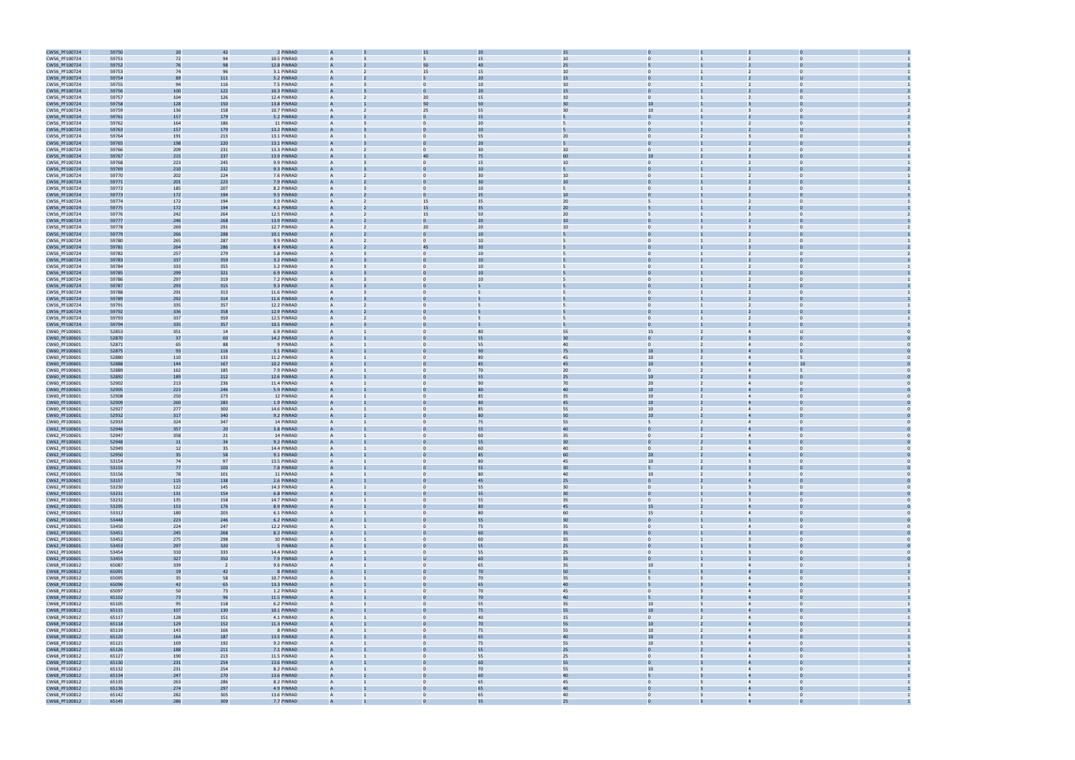

| CW56_PF100724                  | 59750          | 20         | 42             | 2 PINRAD    |                | 15             |   | 20             | 15 |                  |                |                |                |  |
|--------------------------------|----------------|------------|----------------|-------------|----------------|----------------|---|----------------|----|------------------|----------------|----------------|----------------|--|
| CW56_PF100724                  | 59751          | 72         | 94             | 10.5 PINRAD |                | 5              |   | 15             | 10 |                  |                |                |                |  |
| CW56_PF100724                  | 59752          | 76         | 98             | 12.8 PINRAD |                | 50             |   | 40             | 25 |                  |                |                |                |  |
|                                |                |            |                |             |                |                |   |                |    |                  |                |                |                |  |
| CW56_PF100724                  | 59753          | 74         | 96             | 3.1 PINRAD  | $\overline{A}$ | 15             |   | 15             | 10 |                  |                | $\overline{2}$ |                |  |
| CW56_PF100724                  | 59754          | 89         | $111\,$        | 5.2 PINRAD  | $\mathbf{A}$   |                |   | 20             | 15 |                  |                |                |                |  |
| CW56_PF100724                  | 59755          | 94         | 116            | 7.5 PINRAD  | A              | $\mathbf{0}$   |   | 10             | 10 | $\mathbf{0}$     |                |                | $\bf{0}$       |  |
| CW56_PF100724                  | 59756          | 100        | 122            | 10.3 PINRAD |                |                |   | 20             | 15 |                  |                |                |                |  |
| CW56_PF100724                  | 59757          | 104        | 126            | 12.4 PINRAD | $\mathsf{A}$   | 20             |   | 15             | 10 | $\overline{0}$   |                |                | $\Omega$       |  |
| CW56_PF100724                  | 59758          | 128        | 150            | 13.8 PINRAD |                | 50             |   |                |    |                  |                |                |                |  |
| CW56_PF100724                  | 59759          | 136        | 158            | 10.7 PINRAD | $\overline{A}$ | 25             |   | 55             | 30 | 10               |                |                | $\Omega$       |  |
|                                | 59761          | 157        | 179            | 5.2 PINRAD  |                |                |   | 15             |    |                  |                |                |                |  |
| CW56_PF100724                  |                |            |                |             |                |                |   |                |    |                  |                |                |                |  |
| CW56_PF100724                  | 59762          | 164        | 186            | 11 PINRAD   |                |                |   | 20             |    |                  |                |                |                |  |
| CW56_PF100724                  | 59763          | 157        | 179            | 13.2 PINRAD |                |                |   | 1 <sup>c</sup> |    |                  |                |                |                |  |
| CW56_PF100724                  | 59764          | 191        | 213            | 13.1 PINRAD | $\overline{A}$ |                |   | 55             | 20 |                  |                |                |                |  |
| CW56_PF100724                  | 59765          | 198        | 220            | 13.1 PINRAD |                |                |   | 20             |    |                  |                |                |                |  |
| CW56_PF100724                  | 59766          | 209        | 231            | 13.3 PINRAD | $\overline{A}$ | $\mathbf{0}$   |   | 30             | 10 | $\mathbf{0}$     |                |                | $\bf{0}$       |  |
| CW56_PF100724                  | 59767          | 215        | 237            | 13.9 PINRAD |                | 40             |   | 75             | 60 | 10               |                |                |                |  |
| CW56_PF100724                  | 59768          | 223        | 245            | 9.9 PINRAD  | $\overline{A}$ | $\Omega$       |   | 15             | 10 | $\Omega$         |                |                | $\Omega$       |  |
|                                |                |            |                |             |                |                |   |                |    |                  |                |                |                |  |
| CW56_PF100724                  | 59769          | 210        | 232            | 9.3 PINRAD  |                |                |   |                |    |                  |                |                |                |  |
| CW56_PF100724                  | 59770          | 202        | 224            | 7.6 PINRAD  | $\overline{A}$ | $\mathbf{0}$   |   | 30             | 10 | $\mathbf{0}$     |                |                | $\Omega$       |  |
| CW56_PF100724                  | 59771          | 201        | 223            | 7.9 PINRAD  |                |                |   |                | 10 |                  |                |                |                |  |
| CW56_PF100724                  | 59772          | 185        | 207            | 8.2 PINRAD  |                | $\Omega$       |   | 10             | 5  |                  |                |                |                |  |
| CW56_PF100724                  | 59773          | 172        | 194            | 9.5 PINRAD  |                |                |   | 25             | 10 |                  |                |                |                |  |
| CW56_PF100724                  | 59774          | 172        | 194            | 3.9 PINRAD  | $\overline{A}$ | 15             |   | 35             | 20 |                  |                | $\overline{2}$ |                |  |
|                                |                |            | 194            | 4.1 PINRAD  |                | 15             |   | 35             |    |                  |                |                |                |  |
| CW56_PF100724                  | 59775          | 172        |                |             |                |                |   |                | 20 |                  |                |                |                |  |
| CW56_PF100724                  | 59776          | 242        | 264            | 12.5 PINRAD |                | 15             |   | 50             | 20 | 5                |                | 3              | $\bf{0}$       |  |
| CW56_PF100724                  | 59777          | 246        | 268            | 13.9 PINRAD |                |                |   | 20             | 10 |                  |                |                |                |  |
| CW56_PF100724                  | 59778          | 269        | 291            | 12.7 PINRAD | $\overline{A}$ | 20             |   | 20             | 10 | $\Omega$         |                |                | $\Omega$       |  |
| CW56_PF100724                  | 59779          | 266        | 288            | 10.1 PINRAD |                |                |   |                |    |                  |                |                |                |  |
| CW56_PF100724                  | 59780          | 265        | 287            | 9.9 PINRAD  | $\overline{A}$ | $\mathbf{0}$   |   | 10             | 5  | $\mathbf{0}$     |                | 2              | $\Omega$       |  |
| CW56_PF100724                  | 59781          | 264        | 286            | 8.4 PINRAD  |                | 45             |   | 3 <sub>C</sub> |    |                  |                |                |                |  |
| CW56_PF100724                  | 59782          | 257        | 279            | 5.8 PINRAD  |                |                |   | 10             |    |                  |                |                |                |  |
|                                |                |            |                |             |                |                |   |                |    |                  |                |                |                |  |
| CW56_PF100724                  | 59783          | 337        | 359            | 3.2 PINRAD  |                |                |   |                |    |                  |                |                |                |  |
| CW56_PF100724                  | 59784          | 333        | 355            | 3.2 PINRAD  |                | $\Omega$       |   | 10             | 5  | $\Omega$         |                | $\overline{2}$ |                |  |
| CW56_PF100724                  | 59785          | 299        | 321            | 6.9 PINRAD  |                |                |   | 10             |    |                  |                |                |                |  |
| CW56_PF100724                  | 59786          | 297        | 319            | 7.2 PINRAD  |                |                |   | 10             |    | $\mathbf{0}$     |                | 2              | $\bf{0}$       |  |
| CW56_PF100724                  | 59787          | 293        | 315            | 9.3 PINRAD  |                |                |   |                |    |                  |                |                |                |  |
| CW56_PF100724                  | 59788          | 291        | 313            | 11.6 PINRAD | $\overline{A}$ | $\Omega$       | 5 |                |    | $\Omega$         |                |                | $\Omega$       |  |
| CW56_PF100724                  | 59789          | 292        | 314            | 11.6 PINRAD |                |                |   |                |    |                  |                |                |                |  |
| CW56_PF100724                  | 59791          | 335        | 357            | 12.2 PINRAD | $\overline{A}$ | $\Omega$       |   |                | 5  | $\mathbf{0}$     |                | 2              | $\Omega$       |  |
|                                |                |            |                |             |                |                |   |                |    |                  |                |                |                |  |
| CW56_PF100724                  | 59792          | 336        | 358            | 12.9 PINRAD |                |                |   |                |    |                  |                |                |                |  |
| CW56_PF100724                  | 59793          | 337        | 359            | 12.5 PINRAD |                |                |   |                |    | $\mathbf{0}$     |                |                | $\Omega$       |  |
| CW56_PF100724                  | 59794          | 335        | 357            | 10.5 PINRAD |                |                |   |                |    |                  |                |                |                |  |
| CW60_PF100601                  | 52853          | 351        | 14             | 6.9 PINRAD  |                |                |   | 80             | 55 | 15               |                | $\overline{4}$ |                |  |
| CW60_PF100601                  | 52870          | 37         | 60             | 14.2 PINRAD |                |                |   | 55             | 30 | $\mathbf{0}$     |                |                |                |  |
| CW60_PF100601                  | 52871          | 65         | 88             | 9 PINRAD    |                |                |   | 55             | 40 | $\mathbf{0}$     |                | $\overline{4}$ | $\Omega$       |  |
| CW60_PF100601                  | 52875          | 93         | 116            | 3.1 PINRAD  |                |                |   | 90             | 75 | 10               |                |                |                |  |
| CW60_PF100601                  | 52880          | 110        | 133            | 11.2 PINRAD | $\overline{A}$ | $\mathbf{0}$   |   | 80             | 45 | 10 <sup>10</sup> |                | $\overline{4}$ |                |  |
|                                |                |            |                |             |                |                |   |                |    |                  |                |                |                |  |
| CW60_PF100601                  | 52888          | 144        | 167            | 10.2 PINRAD |                |                |   |                | 45 | 10               |                |                |                |  |
| CW60_PF100601                  | 52889          | 162        | 185            | 7.9 PINRAD  | $\overline{A}$ | $\mathbf{0}$   |   | 70             | 20 | $\mathbf{0}$     | $\overline{2}$ | $\overline{4}$ |                |  |
| CW60_PF100601                  | 52892          | 189        | 212            | 12.6 PINRAD |                |                |   | 55             | 25 | 10               |                |                |                |  |
| CW60_PF100601                  | 52902          | 213        | 236            | 11.4 PINRAD |                |                |   | 90             | 70 | 20 <sub>2</sub>  |                |                | $\Omega$       |  |
| CW60_PF100601                  | 52905          | 223        | 246            | 5.9 PINRAD  |                |                |   |                | 40 | 10               |                |                |                |  |
| CW60_PF100601                  | 52908          | 250        | 273            | 12 PINRAD   | $\overline{A}$ |                |   | 85             | 35 | 10 <sup>10</sup> |                | $\overline{4}$ |                |  |
| CW60_PF100601                  | 52909          | 260        | 283            | 1.9 PINRAD  |                |                |   |                | 45 | 10 <sup>10</sup> |                |                |                |  |
|                                |                |            |                |             |                |                |   |                |    |                  |                |                |                |  |
| CW60_PF100601                  | 52927          | 277        | 300            | 14.6 PINRAD |                | $\Omega$       |   | 85             | 55 | 10 <sup>10</sup> | $\overline{2}$ | $\overline{4}$ | $\Omega$       |  |
| CW60_PF100601                  | 52932          | 317        | 340            | 9.2 PINRAD  |                |                |   |                | 50 | 10               |                |                |                |  |
| CW60_PF100601                  | 52933          | 324        | 347            | 14 PINRAD   | $\overline{A}$ | $\Omega$       |   | 75             | 55 | 5                |                | $\overline{4}$ | $\Omega$       |  |
| CW62_PF100601                  | 52946          | 357        | 20             | 3.8 PINRAD  |                |                |   |                | 40 |                  |                |                |                |  |
| CW62_PF100601                  | 52947          | 358        | 21             | 14 PINRAD   | $\overline{A}$ | $\Omega$       |   | 60             | 35 | $\overline{0}$   |                | $\overline{4}$ | $\mathbf{0}$   |  |
| CW62_PF100601                  | 52948          | 11         | 34             | 9.2 PINRAD  |                |                |   | 55             | 30 |                  |                |                |                |  |
| CW62_PF100601                  | 52949          | 12         | 35             | 14.4 PINRAD | $\mathsf{A}$   | $\Omega$       |   | 60             | 40 | $\Omega$         | $\overline{2}$ | $\overline{4}$ | $\Omega$       |  |
|                                |                |            |                |             |                |                |   |                |    |                  |                |                |                |  |
| CW62_PF100601                  | 52950          | 35         | 58             | 9.1 PINRAD  |                |                |   |                | 60 | 20               |                |                |                |  |
| CW62_PF100601                  | 53154          | 74         | 97             | 13.5 PINRAD |                |                |   | 80             | 45 | 10 <sup>10</sup> |                |                |                |  |
| CW62_PF100601                  | 53155          | 77         | 100            | 7.8 PINRAD  |                |                |   | 55             | 30 | 5                |                |                |                |  |
| CW62_PF100601                  | 53156          | 78         | 101            | 11 PINRAD   | $\overline{A}$ | $\mathbf{0}$   |   | 80             | 40 | 10               | $\overline{2}$ | $\overline{3}$ | $\overline{0}$ |  |
| CW62_PF100601                  | 53157          | 115        | 138            | 2.6 PINRAD  | $\overline{A}$ |                |   | 45             | 25 | $\overline{0}$   |                |                | $\overline{0}$ |  |
| CW62_PF100601                  | 53230          | 122        | 145            | 14.3 PINRAD | A              | $\overline{0}$ |   | 55             | 30 | $\overline{0}$   | $\mathbf{1}$   | $\overline{3}$ | $\overline{0}$ |  |
| CW62_PF100601                  | 53231          | 131        | 154            | 6.8 PINRAD  |                |                |   | 55             | 30 | $\mathbf{0}$     |                |                |                |  |
| CW62_PF100601                  | 53232          | 135        | 158            | 14.7 PINRAD | $\mathsf{A}$   | $\overline{0}$ |   | 55             | 35 | $\overline{0}$   | $\mathbf{1}$   | $\overline{3}$ | $\overline{0}$ |  |
|                                | 53295          | 153        | 176            | 8.9 PINRAD  |                | $\mathbf 0$    |   | 80             | 45 |                  | $\overline{2}$ | $\overline{4}$ | $\overline{0}$ |  |
| CW62_PF100601                  |                |            |                |             | A              |                |   |                |    | 15               |                |                |                |  |
| CW62_PF100601                  | 53312          | 180        | 203            | 6.1 PINRAD  | $\mathsf{A}$   | $\mathbf{0}$   |   | 80             | 60 | 15               | $\overline{2}$ | $\overline{4}$ | $\overline{0}$ |  |
| CW62_PF100601                  | 53448          | 223        | 246            | 6.2 PINRAD  |                |                |   | 55             | 30 | $\Omega$         |                |                | $\Omega$       |  |
| CW62_PF100601                  | 53450          | 224        | 247            | 12.2 PINRAD | $\overline{A}$ | $\overline{0}$ |   | 75             | 35 | $\Omega$         |                | $\overline{4}$ | $\Omega$       |  |
| CW62_PF100601                  | 53451          | 245        | 268            | 8.2 PINRAD  | $\overline{A}$ | $\mathbf 0$    |   | 60             | 35 | $\overline{0}$   |                | $\overline{3}$ | $\mathbf 0$    |  |
| CW62_PF100601                  | 53452          | 275        | 298            | 10 PINRAD   | $\overline{A}$ | $\overline{0}$ |   | 60             | 35 | $\overline{0}$   | 1              | $\overline{3}$ | $\overline{0}$ |  |
| CW62_PF100601                  | 53453          | 297        | 320            | 5 PINRAD    | $\overline{A}$ | $\overline{0}$ |   | 55             | 25 | $\mathbf{0}$     |                |                | $\overline{0}$ |  |
| CW62_PF100601                  | 53454          | 310        | 333            | 14.4 PINRAD | A              | $\mathbf{0}$   |   | 55             | 25 | $\overline{0}$   | $\mathbf{1}$   | $\overline{3}$ | $\overline{0}$ |  |
|                                |                |            |                |             |                |                |   |                |    |                  |                |                |                |  |
| CW62_PF100601                  | 53455          | 327        | 350            | 7.9 PINRAD  |                |                |   | 60             | 35 | $\mathbf{0}$     |                |                |                |  |
| CW68_PF100812                  | 65087          | 339        | $\overline{2}$ | 9.6 PINRAD  | $\mathsf{A}$   | $\overline{0}$ |   | 65             | 35 | 10               | $\overline{3}$ | $\overline{4}$ | $\overline{0}$ |  |
| CW68_PF100812                  | 65091          | 19         | 42             | 8 PINRAD    |                |                |   | 70             | 50 |                  |                |                |                |  |
| CW68_PF100812                  | 65095          | 35         | 58             | 10.7 PINRAD | $\overline{A}$ | $\mathbf{0}$   |   | 70             | 35 | 5                | 3              | $\overline{4}$ | $\overline{0}$ |  |
| CW68_PF100812                  | 65096          | 42         | 65             | 13.3 PINRAD |                |                |   | 65             | 40 |                  |                |                |                |  |
| CW68_PF100812                  | 65097          | 50         | 73             | 1.2 PINRAD  | $\overline{A}$ | $\Omega$       |   | 70             | 45 | $\Omega$         |                | $\overline{4}$ | $\Omega$       |  |
| CW68_PF100812                  | 65102          | 73         | 96             | 11.5 PINRAD | $\overline{A}$ |                |   | 70             | 40 | 5                |                | $\overline{4}$ |                |  |
| CW68_PF100812                  | 65105          | 95         | 118            | 6.2 PINRAD  | $\overline{A}$ | $\overline{0}$ |   | 55             | 35 | 10               | $\overline{3}$ | $\overline{4}$ | $\overline{0}$ |  |
|                                |                |            |                |             |                |                |   |                |    |                  |                |                |                |  |
| CW68_PF100812                  | 65115          | 107        | 130            | 10.1 PINRAD |                |                |   | 75             | 55 | 10 <sub>10</sub> |                | $\overline{4}$ | $\overline{0}$ |  |
| CW68_PF100812                  | 65117          | 128        | 151            | 4.1 PINRAD  | $\mathsf{A}$   | $\mathbf{0}$   |   | 40             | 15 | $\overline{0}$   | $\overline{2}$ | $\overline{4}$ | $\overline{0}$ |  |
| CW68_PF100812                  | 65118          | 129        | 152            | 11.3 PINRAD |                |                |   | 70             | 55 | 10 <sub>1</sub>  |                |                |                |  |
| CW68_PF100812                  | 65119          | 143        | 166            | 8 PINRAD    | $\mathsf{A}$   | $\mathbf{0}$   |   | 75             | 55 | 10               | $\overline{2}$ | $\overline{4}$ | $\overline{0}$ |  |
| CW68_PF100812                  | 65120          | 164        | 187            | 13.5 PINRAD |                |                |   | 65             | 40 | 10 <sup>°</sup>  |                |                |                |  |
| CW68_PF100812                  | 65121          | 169        | 192            | 9.2 PINRAD  | $\overline{A}$ | $\mathbf{0}$   |   | 75             | 55 | 10 <sup>10</sup> |                | $\overline{4}$ | $\mathbf{0}$   |  |
| CW68_PF100812                  | 65126          | 188        | 211            | 7.1 PINRAD  |                |                |   | 55             | 25 | $\Omega$         |                |                |                |  |
| CW68_PF100812                  | 65127          | 190        | 213            | 11.5 PINRAD | $\overline{A}$ | $\Omega$       |   | 55             | 25 | $\Omega$         |                | $\overline{4}$ | $\Omega$       |  |
| CW68_PF100812                  | 65130          | 231        | 254            | 13.6 PINRAD | $\overline{A}$ |                |   | 60             | 55 | $\overline{0}$   |                | $\overline{4}$ | $\Omega$       |  |
| CW68_PF100812                  | 65132          | 231        | 254            | 8.2 PINRAD  | $\overline{A}$ | $\mathbf{0}$   |   | 70             | 55 | 10               | $\overline{3}$ | $\overline{4}$ | $\overline{0}$ |  |
| CW68_PF100812                  | 65134          | 247        | 270            | 13.6 PINRAD | $\overline{A}$ |                |   | 60             | 40 | 5                |                | $\overline{4}$ |                |  |
| CW68_PF100812                  | 65135          | 263        | 286            | 8.2 PINRAD  | $\mathsf{A}$   | $\mathbf{0}$   |   | 65             | 45 | $\overline{0}$   | $\overline{3}$ | $\overline{4}$ | $\overline{0}$ |  |
|                                |                |            |                |             |                |                |   |                |    |                  |                |                |                |  |
| CW68_PF100812                  | 65136          | 274        | 297            | 4.9 PINRAD  |                |                |   | 65             | 40 |                  |                |                |                |  |
|                                |                |            |                | 13.6 PINRAD | $\mathsf{A}$   | $\mathbf{0}$   |   | 65             | 40 | $\overline{0}$   | $\overline{3}$ | $\overline{4}$ | $\overline{0}$ |  |
| CW68_PF100812<br>CW68 PF100812 | 65142<br>65145 | 282<br>286 | 305<br>309     | 7.7 PINRAD  |                |                |   | 55             | 25 |                  |                |                |                |  |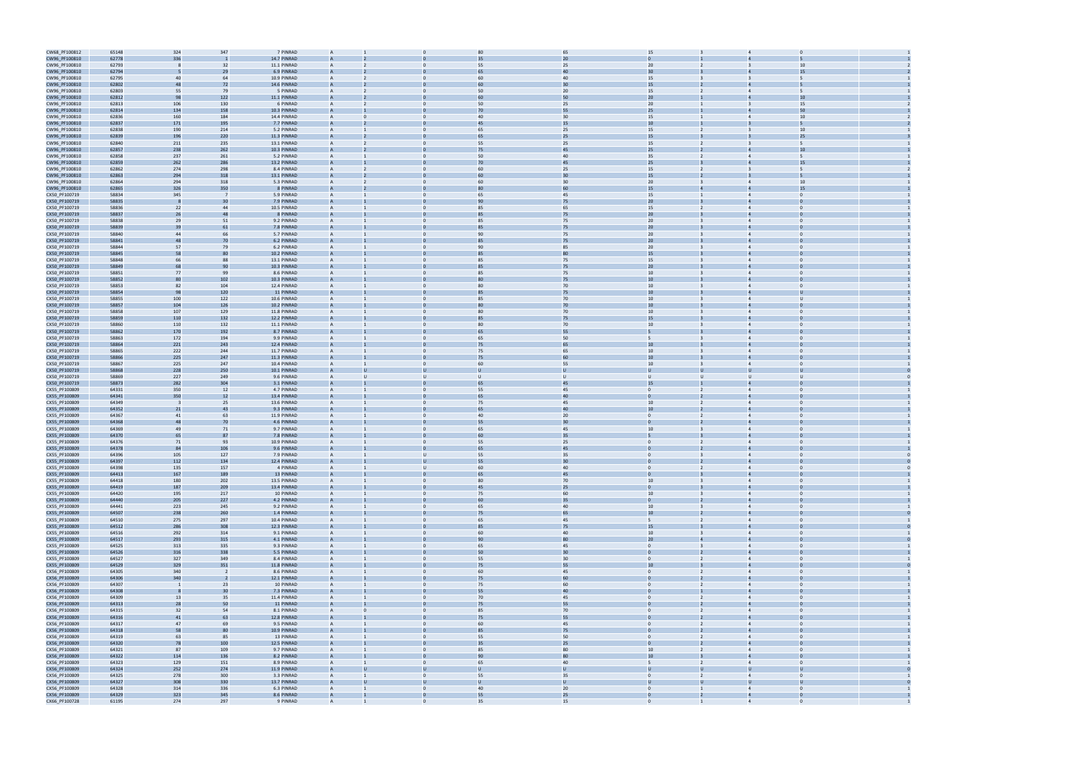| CW68_PF100812                  | 65148          | 324            | 347            | 7 PINRAD               | $\overline{A}$ |                      | 80             | 65           | 15                         |                         |                                  |                            |  |
|--------------------------------|----------------|----------------|----------------|------------------------|----------------|----------------------|----------------|--------------|----------------------------|-------------------------|----------------------------------|----------------------------|--|
| CW96_PF100810                  | 62778          | 336            |                | 14.7 PINRAD            |                |                      |                | 20           |                            |                         |                                  |                            |  |
| CW96_PF100810                  | 62793          |                | 32             | 11.1 PINRAD            | $\overline{A}$ | $\Omega$             | 55             | 25           | 20 <sub>2</sub>            |                         |                                  | 10                         |  |
|                                |                |                |                | 6.9 PINRAD             |                |                      |                | 40           | 30                         |                         |                                  | 15                         |  |
| CW96_PF100810                  | 62794          |                | 29             |                        |                |                      |                |              |                            |                         |                                  |                            |  |
| CW96_PF100810                  | 62795          | 40             | 64             | 10.9 PINRAD            | $\overline{A}$ | $\Omega$             | 60             | 40           | 15                         |                         | $\overline{\mathbf{3}}$          |                            |  |
| CW96_PF100810                  | 62802          | 48             | 72             | 14.6 PINRAD            | $\overline{A}$ |                      | 60             | 30           | 15                         |                         |                                  |                            |  |
| CW96_PF100810                  | 62803          | 55             | 79             | 5 PINRAD               | $\overline{A}$ |                      | 50             | 20           | 15                         |                         |                                  |                            |  |
| CW96_PF100810                  | 62812          | 98             | 122            | 11.1 PINRAD            | $\overline{A}$ |                      | 60             | 50           | 20 <sub>2</sub>            |                         |                                  | 10                         |  |
| CW96_PF100810                  | 62813          | 106            | 130            | 6 PINRAD               | $\mathsf{A}$   | $\mathbf{0}$         | 50             | 25           | 20 <sub>2</sub>            |                         | $\overline{\mathbf{3}}$          | 15                         |  |
| CW96_PF100810                  | 62814          | 134            | 158            | 10.3 PINRAD            |                |                      | 70             | 55           | 25                         |                         |                                  | 50                         |  |
| CW96_PF100810                  | 62836          | 160            | 184            | 14.4 PINRAD            | $\overline{A}$ | $\Omega$             | 40             | 30           | 15                         |                         | $\overline{4}$                   | 10                         |  |
|                                |                |                | 195            | 7.7 PINRAD             |                |                      | 45             | 15           | 10                         |                         |                                  |                            |  |
| CW96_PF100810                  | 62837          | 171            |                |                        |                |                      |                |              |                            |                         |                                  |                            |  |
| CW96_PF100810                  | 62838          | 190            | 214            | 5.2 PINRAD             | $\overline{A}$ | $\Omega$             | 65             | 25           | 15                         |                         |                                  | 10                         |  |
| CW96_PF100810                  | 62839          | 196            | 220            | 11.3 PINRAD            |                |                      |                | 25           | 15                         |                         |                                  | 25                         |  |
| CW96_PF100810                  | 62840          | 211            | 235            | 13.1 PINRAD            | $\overline{A}$ | $\Omega$             | 55             | 25           | 15                         |                         |                                  |                            |  |
| CW96_PF100810                  | 62857          | 238            | 262            | 10.3 PINRAD            | $\overline{A}$ |                      | 75             | 45           | 25                         |                         |                                  | 10                         |  |
| CW96_PF100810                  | 62858          | 237            | 261            | 5.2 PINRAD             | $\overline{A}$ |                      | 50             | 40           | 35 <sub>5</sub>            |                         |                                  |                            |  |
| CW96_PF100810                  | 62859          | 262            | 286            | 13.2 PINRAD            | $\overline{A}$ |                      | 70             | 45           | 25 <sub>2</sub>            |                         |                                  | 15                         |  |
|                                |                |                |                |                        |                |                      |                |              |                            |                         |                                  |                            |  |
| CW96_PF100810                  | 62862          | 274            | 298            | 8.4 PINRAD             | $\mathsf{A}$   | $\mathbf{0}$         | 60             | 25           | 15                         |                         |                                  |                            |  |
| CW96_PF100810                  | 62863          | 294            | 318            | 13.1 PINRAD            |                |                      | 60             | 30           | 15                         |                         |                                  |                            |  |
| CW96_PF100810                  | 62864          | 294            | 318            | 5.3 PINRAD             | $\overline{A}$ | $\Omega$             | 60             | 30           | 20 <sub>2</sub>            | $\overline{3}$          | $\overline{4}$                   | 10                         |  |
| CW96_PF100810                  | 62865          | 326            | 350            | 8 PINRAD               |                |                      |                | 60           | 15                         |                         |                                  | 15                         |  |
| CX50_PF100719                  | 58834          | 345            | $\overline{7}$ | 5.9 PINRAD             | $\overline{A}$ | $\Omega$             | 65             | 45           | 15                         |                         |                                  | $\Omega$                   |  |
| CX50_PF100719                  | 58835          |                | $\overline{3}$ | 7.9 PINRAD             |                |                      | 90             | 75           | 20                         |                         |                                  |                            |  |
| CX50_PF100719                  | 58836          | 22             | 44             | 10.5 PINRAD            | $\overline{A}$ | $\Omega$             | 85             | 65           | 15                         | $\overline{2}$          | $\overline{4}$                   | $\Omega$                   |  |
|                                | 58837          | 26             | 48             | 8 PINRAD               | $\overline{A}$ |                      | 85             |              |                            |                         |                                  |                            |  |
| CX50_PF100719                  |                |                |                |                        |                |                      |                | 75           | 20 <sub>2</sub>            |                         |                                  |                            |  |
| CX50_PF100719                  | 58838          | 29             | 51             | 9.2 PINRAD             |                |                      | 85             | 75           | 20 <sub>2</sub>            |                         |                                  |                            |  |
| CX50_PF100719                  | 58839          | 39             | 61             | 7.8 PINRAD             |                |                      |                | 75           | 20 <sub>2</sub>            |                         |                                  |                            |  |
| CX50_PF100719                  | 58840          | 44             | 66             | 5.7 PINRAD             | $\overline{A}$ | $\mathbf{0}$         | 90             | 75           | 20 <sub>2</sub>            |                         |                                  | $\Omega$                   |  |
| CX50_PF100719                  | 58841          | 48             | 70             | 6.2 PINRAD             |                |                      | 85             | 75           | 20 <sub>2</sub>            |                         |                                  |                            |  |
| CX50_PF100719                  | 58844          | 57             | 79             | 6.2 PINRAD             | $\overline{A}$ | $\mathbf{0}$         | 90             | 85           | 20 <sub>2</sub>            | 3                       | $\overline{4}$                   | $\Omega$                   |  |
| CX50_PF100719                  | 58845          | 58             | 80             | 10.2 PINRAD            |                |                      | 85             | 80           | 15                         |                         |                                  |                            |  |
| CX50_PF100719                  | 58848          | 66             | 88             | 13.1 PINRAD            | $\overline{A}$ | $\Omega$             | 85             | 75           | 15                         |                         |                                  | $\Omega$                   |  |
|                                |                |                |                |                        |                |                      |                |              | 20                         |                         |                                  |                            |  |
| CX50_PF100719                  | 58849          | 68             | 90             | 10.3 PINRAD            |                |                      |                | 75           |                            |                         |                                  |                            |  |
| CX50_PF100719                  | 58851          | 77             | 99             | 8.6 PINRAD             | $\overline{A}$ | $\Omega$             | 85             | 75           | 10 <sup>10</sup>           |                         | $\overline{4}$                   |                            |  |
| CX50_PF100719                  | 58852          | 80             | 102            | 10.3 PINRAD            | $\overline{A}$ |                      |                | 75           | 10 <sup>°</sup>            |                         |                                  |                            |  |
| CX50_PF100719                  | 58853          | 82             | 104            | 12.4 PINRAD            |                |                      | 80             | 70           | 10                         |                         | $\overline{4}$                   |                            |  |
| CX50_PF100719                  | 58854          | 98             | 120            | 11 PINRAD              |                |                      | 85             | 75           | 10                         |                         |                                  |                            |  |
| CX50_PF100719                  | 58855          | 100            | 122            | 10.6 PINRAD            | $\overline{A}$ | $\mathbf{0}$         | 85             | 70           | 10 <sup>10</sup>           |                         | $\overline{4}$                   | υ                          |  |
| CX50_PF100719                  | 58857          | 104            | 126            | 10.2 PINRAD            |                |                      |                | 70           | $10\,$                     |                         |                                  |                            |  |
|                                |                |                |                |                        | $\overline{A}$ | $\Omega$             | 80             |              |                            |                         | $\overline{4}$                   | $\Omega$                   |  |
| CX50_PF100719                  | 58858          | 107            | 129            | 11.8 PINRAD            |                |                      |                | 70           | 10 <sub>1</sub>            |                         |                                  |                            |  |
| CX50_PF100719                  | 58859          | 110            | 132            | 12.2 PINRAD            |                |                      |                | 75           | 15                         |                         |                                  |                            |  |
| CX50_PF100719                  | 58860          | 110            | 132            | 11.1 PINRAD            | $\overline{A}$ | $\Omega$             | 80             | 70           | 10                         |                         |                                  | $\Omega$                   |  |
| CX50_PF100719                  | 58862          | 170            | 192            | 8.7 PINRAD             |                |                      |                | 55           |                            |                         |                                  |                            |  |
| CX50_PF100719                  | 58863          | 172            | 194            | 9.9 PINRAD             | $\overline{A}$ | $\Omega$             | 65             | 50           | 5                          |                         | $\overline{4}$                   |                            |  |
| CX50_PF100719                  | 58864          | 221            | 243            | 12.4 PINRAD            | $\overline{A}$ |                      | 75             | 65           | 10                         |                         |                                  |                            |  |
| CX50_PF100719                  | 58865          | 222            | 244            | 11.7 PINRAD            |                |                      | 75             | 65           | $10\,$                     |                         |                                  |                            |  |
| CX50_PF100719                  | 58866          | 225            | 247            | 11.3 PINRAD            |                |                      | 75             | 60           | 10                         |                         |                                  |                            |  |
| CX50_PF100719                  | 58867          | 225            | 247            | 10.4 PINRAD            | $\overline{A}$ | $\mathbf{0}$         | 60             | 55           | 10 <sup>10</sup>           |                         | $\overline{4}$                   | $\Omega$                   |  |
| CX50_PF100719                  | 58868          | 228            | 250            | 10.1 PINRAD            |                |                      |                |              | U                          |                         |                                  |                            |  |
|                                |                |                |                |                        |                |                      |                |              |                            |                         |                                  | $\mathbf{u}$               |  |
| CX50_PF100719                  | 58869          | 227            | 249            | 9.6 PINRAD             | $\overline{A}$ | $\mathbf{U}$<br>U    | $\mathbf{U}$   | $\cup$       | $\cup$                     | U                       |                                  |                            |  |
| CX50_PF100719                  | 58873          | 282            | 304            | 3.1 PINRAD             |                |                      | 6 <sup>5</sup> | 45           | 15                         |                         |                                  |                            |  |
| CX55_PF100809                  | 64331          | 350            | 12             | 4.7 PINRAD             | $\overline{A}$ | $\Omega$             | 55             | 45           | $\mathbf{0}$               | $\overline{2}$          |                                  |                            |  |
| CX55_PF100809                  | 64341          | 350            | 12             | 13.4 PINRAD            |                |                      |                | 40           |                            |                         |                                  |                            |  |
| CX55_PF100809                  | 64349          |                | 25             | 13.6 PINRAD            | $\overline{A}$ | $\Omega$             | 75             | 45           | 10 <sup>10</sup>           |                         | $\overline{4}$                   |                            |  |
| CX55_PF100809                  | 64352          | 21             | 43             | 9.3 PINRAD             | $\overline{A}$ |                      | 65             | 40           | 10                         |                         |                                  |                            |  |
| CX55_PF100809                  | 64367          | 41             | 63             | 11.9 PINRAD            |                |                      | 40             | 20           | $\Omega$                   |                         | $\Delta$                         |                            |  |
|                                | 64368          | 48             | 70             | 4.6 PINRAD             |                |                      | 55             | 30           | $\mathbf{0}$               |                         |                                  |                            |  |
| CX55_PF100809                  |                |                |                |                        |                |                      |                |              |                            |                         |                                  |                            |  |
| CX55_PF100809                  | 64369          | 49             | 71             | 9.7 PINRAD             | $\overline{A}$ | $\mathbf{0}$         | 65             | 45           | 10 <sup>10</sup>           |                         |                                  | $\Omega$                   |  |
| CX55_PF100809                  | 64370          | 65             | 87             | 7.8 PINRAD             |                |                      | 60             | 35           |                            |                         |                                  |                            |  |
| CX55_PF100809                  | 64376          | 71             | 93             | 10.9 PINRAD            | A              | $\mathbf{0}$         | 55             | 25           | $\Omega$                   | $\overline{2}$          | $\overline{4}$                   | $\Omega$                   |  |
| CX55_PF100809                  | 64378          | 84             | 106            | 9.6 PINRAD             |                |                      |                | 45           |                            |                         |                                  |                            |  |
| CX55_PF100809                  | 64396          | 105            | 127            | 7.9 PINRAD             |                |                      | 55             | 35           |                            |                         |                                  |                            |  |
| CX55_PF100809                  | 64397          | 112            | 134            | 12.4 PINRAD            |                |                      |                | 30           |                            |                         |                                  |                            |  |
| CX55_PF100809                  | 64398          | 135            | 157            | 4 PINRAD               | $\overline{A}$ | $\cup$               | 60             | 40           | $\mathbf{0}$               | $\overline{2}$          | $\overline{4}$                   | $\Omega$                   |  |
|                                |                | 167            |                | 13 PINRAD              | $\overline{A}$ | $\Omega$             |                | 45           | $\mathbf{0}$               |                         | $\overline{4}$                   | $\Omega$                   |  |
| CX55_PF100809                  | 64413          |                | 189            |                        |                |                      | 65             |              |                            |                         |                                  |                            |  |
| CX55_PF100809                  | 64418          | 180            | 202            | 13.5 PINRAD            | $\overline{A}$ | $\Omega$             | 80             | 70           | 10                         |                         | $\overline{4}$                   | $\Omega$                   |  |
| CX55_PF100809                  | 64419          | 187            | 209            | 13.4 PINRAD            | $\overline{A}$ | $\Omega$             | 45             | 25           | $\mathbf{0}$               |                         | $\overline{4}$                   | $\overline{0}$             |  |
| CX55_PF100809                  | 64420          | 195            | 217            | 10 PINRAD              | $\overline{A}$ | $\mathbf{0}$         | 75             | 60           | 10                         | $\overline{3}$          | $\overline{4}$                   | $\overline{0}$             |  |
| CX55_PF100809                  | 64440          | 205            | 227            | 4.2 PINRAD             | A              |                      | 60             | 35           | $\overline{0}$             |                         | $\overline{4}$                   | $\overline{0}$             |  |
| CX55_PF100809                  | 64441          | 223            | 245            | 9.2 PINRAD             | $\overline{A}$ | $\mathbf{0}$         | 65             | 40           | 10                         | $\overline{\mathbf{3}}$ | $\overline{4}$                   | $\overline{0}$             |  |
| CX55_PF100809                  | 64507          | 238            | 260            | 1.4 PINRAD             | $\overline{A}$ | $\Omega$             | 75             | 65           | 10 <sup>°</sup>            | $\overline{2}$          | $\overline{a}$                   | $\Omega$                   |  |
| CX55_PF100809                  | 64510          | 275            | 297            | 10.4 PINRAD            | $\mathsf{A}$   | $\overline{0}$       | 65             | 45           | 5                          | $\overline{2}$          | $\overline{4}$                   | $\overline{0}$             |  |
| CX55_PF100809                  | 64512          | 286            | 308            | 12.3 PINRAD            |                |                      | 85             | 75           | 15                         |                         |                                  | $\Omega$                   |  |
| CX55_PF100809                  | 64516          | 292            | 314            | 9.1 PINRAD             | $\mathsf{A}$   | $\mathbf{0}$         | 60             | 40           | 10                         | $\overline{3}$          | $\overline{4}$                   | $\overline{0}$             |  |
|                                |                |                |                |                        |                |                      |                |              |                            |                         |                                  |                            |  |
| CX55_PF100809                  | 64517          | 293            | 315            | 4.1 PINRAD             | $\overline{A}$ |                      | 90             | 80           | 20 <sub>2</sub>            | $\overline{4}$          | $\overline{4}$                   | $\Omega$                   |  |
| CX55_PF100809                  | 64525          | 313            | 335            | 9.3 PINRAD             | $\overline{A}$ | $\mathbf{0}$         | 65             | 45           | $\mathbf{0}$               |                         | $\overline{4}$                   | $\Omega$                   |  |
| CX55_PF100809                  | 64526          | 316            | 338            | 5.5 PINRAD             | $\overline{A}$ |                      | 50             | 30           | $\overline{0}$             | $\overline{2}$          | $\overline{4}$                   | $\mathbf 0$                |  |
| CX55_PF100809                  | 64527          | 327            | 349            | 8.4 PINRAD             | $\mathsf{A}$   | $\mathbf{0}$         | 55             | 30           | $\overline{0}$             | $\overline{2}$          | $\overline{4}$                   | $\overline{0}$             |  |
| CX55_PF100809                  | 64529          | 329            | 351            | 11.8 PINRAD            | A              |                      | 75             | 55           | $10\,$                     |                         | $\overline{4}$                   | $\Omega$                   |  |
| CX56_PF100809                  | 64305          |                |                | 8.6 PINRAD             | $\overline{A}$ | $\mathbf{0}$         | 60             | 45           | $\overline{0}$             | $\overline{2}$          | $\overline{4}$                   | $\overline{0}$             |  |
| CX56_PF100809                  |                |                | $\overline{2}$ |                        |                | $\Omega$             |                |              |                            |                         |                                  |                            |  |
| CX56_PF100809                  |                | 340            |                |                        | $\overline{A}$ |                      |                |              | $\mathbf{0}$               | $2^{\circ}$             | $\overline{4}$                   | $\Omega$                   |  |
| CX56_PF100809                  | 64306          | 340            |                | 12.1 PINRAD            |                |                      | 75             | 60           |                            |                         |                                  |                            |  |
| CX56_PF100809                  | 64307          | $\overline{1}$ | 23             | 10 PINRAD              | $\mathsf{A}$   | $\overline{0}$       | 75             | 60           | $\overline{0}$             | $\overline{2}$          | $\overline{4}$                   | $\overline{0}$             |  |
|                                | 64308          |                | 30             | 7.3 PINRAD             |                |                      | 55             | 40           | $\Omega$                   |                         |                                  | $\Omega$                   |  |
|                                | 64309          | 13             | 35             | 11.4 PINRAD            | $\overline{A}$ | $\overline{0}$       | 70             | 45           | $\overline{0}$             | $\overline{2}$          | $\overline{4}$                   | $\overline{0}$             |  |
| CX56_PF100809                  | 64313          | 28             | 50             | 11 PINRAD              | $\overline{A}$ |                      | 75             | 55           | $\mathbf{0}$               | $\overline{2}$          | $\overline{4}$                   | $\Omega$                   |  |
| CX56_PF100809                  | 64315          | 32             | 54             | 8.1 PINRAD             | $\overline{A}$ | $\Omega$             | 85             | 70           | $\mathbf{0}$               | $\overline{2}$          | $\overline{4}$                   | $\Omega$                   |  |
| CX56_PF100809                  | 64316          | 41             | 63             | 12.8 PINRAD            | $\overline{A}$ |                      | 75             | 55           | $\overline{0}$             | $\overline{2}$          | $\overline{4}$                   | $\mathbf 0$                |  |
| CX56_PF100809                  | 64317          | 47             | 69             | 9.5 PINRAD             | $\mathsf{A}$   | $\mathbf{0}$         | 60             | 45           | $\overline{0}$             | $\overline{2}$          | $\overline{4}$                   | $\overline{0}$             |  |
| CX56_PF100809                  | 64318          | 58             | 80             | 10.9 PINRAD            | A              |                      | 85             | 75           | $\mathbf{0}$               |                         | $\overline{4}$                   | $\Omega$                   |  |
| CX56_PF100809                  | 64319          | 63             | 85             | 13 PINRAD              | $\overline{A}$ | $\mathbf{0}$         | 55             | 50           | $\overline{0}$             | $\overline{2}$          | $\overline{4}$                   | $\overline{0}$             |  |
| CX56_PF100809                  | 64320          | 78             | 100            | 12.5 PINRAD            | $\overline{A}$ |                      | 35             | 25           | $\mathbf{0}$               | $2^{\circ}$             | $\overline{4}$                   | $\Omega$                   |  |
|                                |                | 87             |                | 9.7 PINRAD             | $\mathsf{A}$   | $\overline{0}$       | 85             | 80           |                            | $\overline{2}$          | $\overline{4}$                   | $\overline{0}$             |  |
| CX56_PF100809                  | 64321          |                | 109            |                        |                |                      |                | 80           | 10                         |                         |                                  | $\Omega$                   |  |
| CX56_PF100809                  | 64322          | 114            | 136            | 8.2 PINRAD             |                |                      | 90             |              | 10 <sup>1</sup>            |                         |                                  |                            |  |
| CX56_PF100809                  | 64323          | 129            | 151            | 8.9 PINRAD             | $\overline{A}$ | $\mathbf{0}$         | 65             | 40           | 5                          | $\overline{2}$          | $\overline{4}$                   | $\overline{0}$             |  |
| CX56_PF100809                  | 64324          | 252            | 274            | 11.9 PINRAD            | $\overline{A}$ | $\mathbf{U}$         | U              | $\mathbf{U}$ | $\cup$                     | U                       | $\cup$                           | π                          |  |
| CX56_PF100809                  | 64325          | 278            | 300            | 3.3 PINRAD             | $\overline{A}$ | $\mathbf{0}$         | 55             | 35           | $\overline{0}$             | $\overline{2}$          | $\overline{4}$                   | $\Omega$                   |  |
| CX56_PF100809                  | 64327          | 308            | 330            | 13.7 PINRAD            |                |                      |                | U            | U                          | U                       | $\cup$                           |                            |  |
| CX56_PF100809                  | 64328          | 314            | 336            | 6.3 PINRAD             | $\mathsf{A}$   | $\mathbf{0}$         | 40             | 20           | $\overline{0}$             |                         | $\overline{4}$                   | $\overline{0}$             |  |
| CX56_PF100809<br>CX66 PF100728 | 64329<br>61195 | 323<br>274     | 345<br>297     | 8.6 PINRAD<br>9 PINRAD | $\Lambda$      | $\Omega$<br>$\Omega$ | 55<br>35       | 25<br>15     | $\overline{0}$<br>$\Omega$ |                         | $\overline{4}$<br>$\overline{4}$ | $\overline{0}$<br>$\Omega$ |  |

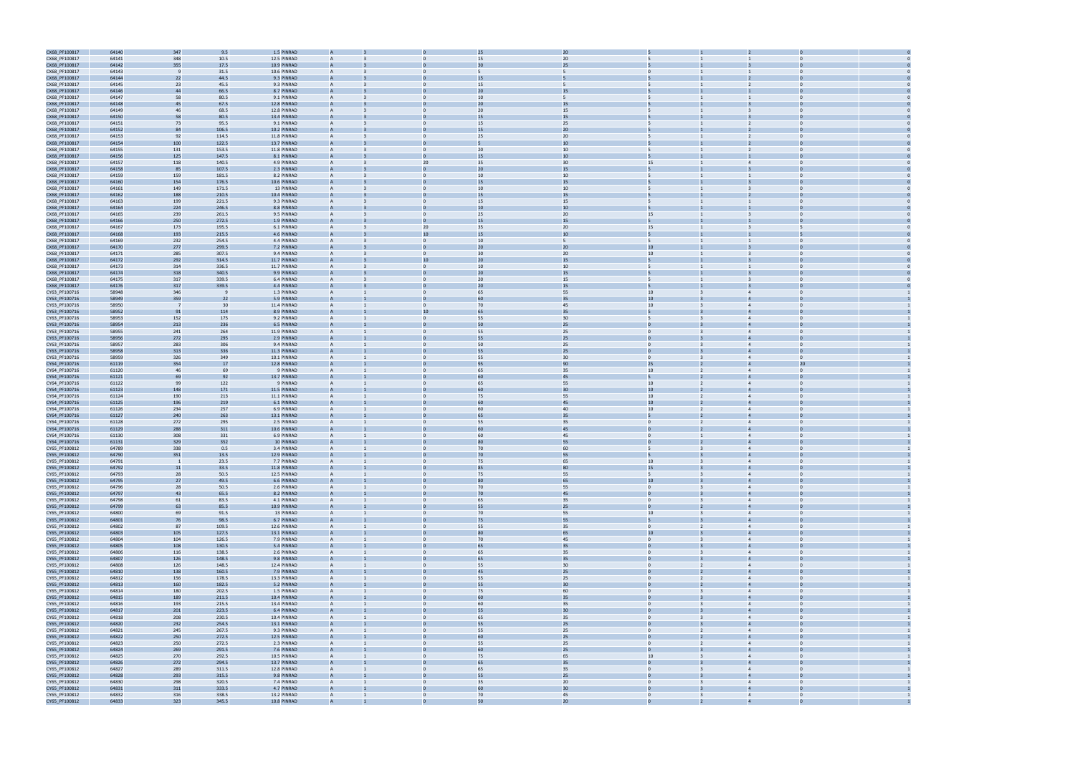

| CX68_PF100817                  | 64140          | 347            | 9.5                      | 1.5 PINRAD                |                |              | 25       | 20       |                                           |                |                                  |              |  |
|--------------------------------|----------------|----------------|--------------------------|---------------------------|----------------|--------------|----------|----------|-------------------------------------------|----------------|----------------------------------|--------------|--|
| CX68_PF100817                  | 64141          | 348            | 10.5                     | 12.5 PINRAD               |                |              | 15       | 20       |                                           |                |                                  |              |  |
| CX68_PF100817                  | 64142          | 355            | 17.5                     | 10.9 PINRAD               |                |              | 30       | 25       |                                           |                |                                  |              |  |
| CX68_PF100817                  | 64143          |                | 31.5                     | 10.6 PINRAD               | A              |              |          | 5        | $\Omega$                                  |                |                                  |              |  |
| CX68_PF100817                  | 64144          | 22             | 44.5                     | 9.3 PINRAD                |                |              | 15       |          |                                           |                |                                  |              |  |
| CX68_PF100817                  | 64145          | 23             | 45.5                     | 9.3 PINRAD                | A              | $\mathbf{0}$ | 15       | 5        | 5                                         | $\overline{2}$ | $\mathbf 0$                      |              |  |
|                                |                |                |                          |                           |                |              | 2C       |          |                                           |                |                                  |              |  |
| CX68_PF100817                  | 64146          | 44             | 66.5                     | 8.7 PINRAD                |                |              |          | 15       |                                           |                |                                  |              |  |
| CX68_PF100817                  | 64147          | 58             | 80.5                     | 9.1 PINRAD                | A              |              | 10       | 5        |                                           |                | $\Omega$                         |              |  |
| CX68_PF100817                  | 64148          | 45             | 67.5                     | 12.8 PINRAD               |                |              | 20       | 15       |                                           |                |                                  |              |  |
| CX68_PF100817                  | 64149          | 46             | 68.5                     | 12.8 PINRAD               | A              |              | 20       | 15       | 5                                         | 3              | $\Omega$                         |              |  |
| CX68_PF100817                  | 64150          | 58             | 80.5                     | 13.4 PINRAD               |                |              | 15       | 15       |                                           |                |                                  |              |  |
| CX68_PF100817                  | 64151          | 73             | 95.5                     | 9.1 PINRAD                |                |              | 15       | 25       |                                           |                |                                  |              |  |
| CX68_PF100817                  | 64152          | 84             | 106.5                    | 10.2 PINRAD               |                |              | 15       | 20       |                                           |                |                                  |              |  |
| CX68_PF100817                  | 64153          | 92             | 114.5                    | 11.8 PINRAD               | A              | $\Omega$     | 25       | 20       |                                           | $\overline{2}$ | $\Omega$                         |              |  |
| CX68_PF100817                  | 64154          | 100            | 122.5                    | 13.7 PINRAD               |                |              |          | 10       |                                           |                |                                  |              |  |
| CX68_PF100817                  | 64155          | 131            | 153.5                    | 11.8 PINRAD               | A              | $\mathbf{0}$ | 20       | 10       | 5                                         | $\overline{2}$ | $\mathbf 0$                      |              |  |
| CX68_PF100817                  | 64156          | 125            | 147.5                    | 8.1 PINRAD                |                |              | 15       | 10       |                                           |                |                                  |              |  |
| CX68_PF100817                  | 64157          | 118            | 140.5                    | 4.9 PINRAD                | A              | 20           | 35       | 30       | 15                                        |                | $\Omega$                         |              |  |
| CX68_PF100817                  | 64158          | 85             | 107.5                    | 2.3 PINRAD                |                |              | 20       | 15       |                                           |                |                                  |              |  |
| CX68_PF100817                  | 64159          | 159            | 181.5                    | 8.2 PINRAD                | A              | $\Omega$     | 10       | 10       | 5                                         |                | $\Omega$                         |              |  |
| CX68_PF100817                  | 64160          | 154            | 176.5                    | 10.6 PINRAD               |                |              | 15       | 15       |                                           |                |                                  |              |  |
| CX68_PF100817                  | 64161          | 149            | 171.5                    | 13 PINRAD                 |                |              | 10       | 10       |                                           |                |                                  |              |  |
| CX68_PF100817                  | 64162          | 188            | 210.5                    | 10.4 PINRAD               |                |              | 15       | 15       |                                           |                |                                  |              |  |
| CX68_PF100817                  | 64163          | 199            | 221.5                    | 9.3 PINRAD                |                |              | 15       | 15       |                                           |                |                                  |              |  |
| CX68_PF100817                  | 64164          | 224            | 246.5                    | 8.8 PINRAD                |                |              | 10       | 10       |                                           |                |                                  |              |  |
| CX68_PF100817                  | 64165          | 239            | 261.5                    | 9.5 PINRAD                | A              | $\mathbf{0}$ | 25       | 20       | 15                                        |                | $\bf{0}$                         |              |  |
| CX68_PF100817                  | 64166          | 250            | 272.5                    | 1.9 PINRAD                |                |              | 15       | 15       |                                           |                |                                  |              |  |
| CX68_PF100817                  | 64167          | 173            | 195.5                    | 6.1 PINRAD                | A              | 20           | 35       | 20       | 15                                        |                | 5                                |              |  |
| CX68_PF100817                  | 64168          | 193            | 215.5                    | 4.6 PINRAD                |                |              |          | 10       |                                           |                |                                  |              |  |
| CX68_PF100817                  | 64169          | 232            | 254.5                    | 4.4 PINRAD                | A              | $\mathbf{0}$ | 10       | 5        | 5                                         |                | $\mathbf 0$                      |              |  |
| CX68_PF100817                  | 64170          | 277            | 299.5                    | 7.2 PINRAD                |                |              | 2C       | 20       | 10                                        |                |                                  |              |  |
| CX68_PF100817                  | 64171          | 285            | 307.5                    | 9.4 PINRAD                |                |              | 30       | 20       | 10                                        |                |                                  |              |  |
|                                |                |                |                          |                           |                | 10           | 20       |          |                                           |                |                                  |              |  |
| CX68_PF100817                  | 64172          | 292            | 314.5                    | 11.7 PINRAD               |                |              |          | 15       |                                           |                |                                  |              |  |
| CX68_PF100817                  | 64173          | 314            | 336.5                    | 11.7 PINRAD               |                |              | 10       | 10       |                                           |                |                                  |              |  |
| CX68_PF100817                  | 64174          | 318            | 340.5                    | 9.9 PINRAD                |                |              | 20       | 15       |                                           |                |                                  |              |  |
| CX68_PF100817                  | 64175          | 317            | 339.5                    | 6.4 PINRAD                | A              | $\mathbf{0}$ | 20       | 15       | 5                                         |                | $\mathbf 0$                      |              |  |
| CX68_PF100817                  | 64176          | 317            | 339.5                    | 4.4 PINRAD                |                |              | 2C       | 15       |                                           |                |                                  |              |  |
| CY63_PF100716                  | 58948          | 346            | $\overline{\phantom{a}}$ | 1.3 PINRAD                | A              |              | 65       | 55       | 10                                        |                | $\Omega$                         |              |  |
| CY63_PF100716                  | 58949          | 359            | 22                       | 5.9 PINRAD                |                |              |          |          |                                           |                |                                  |              |  |
| CY63_PF100716                  | 58950          | $\overline{7}$ | 30                       | 11.4 PINRAD               | A              | $\Omega$     | 70       | 45       | 10 <sup>10</sup>                          | $\overline{4}$ | $\Omega$                         |              |  |
| CY63_PF100716                  | 58952          | 91             | 114                      | 8.9 PINRAD                |                | 10           | 65       | 35       |                                           |                |                                  |              |  |
| CY63_PF100716                  | 58953          | 152            | 175                      | 9.2 PINRAD                |                |              | 55       | 30       |                                           |                |                                  |              |  |
| CY63_PF100716                  | 58954          | 213            | 236                      | 6.5 PINRAD                |                |              | 50       | 25       |                                           |                |                                  |              |  |
| CY63_PF100716                  | 58955          | 241            | 264                      | 11.9 PINRAD               | A              |              | 55       | 25       | $\Omega$                                  |                |                                  |              |  |
| CY63_PF100716                  | 58956          | 272            | 295                      | 2.9 PINRAD                |                |              | 55       | 25       |                                           |                |                                  |              |  |
| CY63_PF100716                  | 58957          | 283            | 306                      | 9.4 PINRAD                | A              | $\Omega$     | 50       | 25       | $\overline{0}$                            | $\overline{4}$ | $\mathbf 0$                      |              |  |
| CY63_PF100716                  | 58958          | 313            | 336                      | 11.3 PINRAD               |                |              | 55       | 25       |                                           |                |                                  |              |  |
| CY63_PF100716                  | 58959          | 326            | 349                      | 10.1 PINRAD               | A              |              | 55       | 30       | $\Omega$                                  |                | $\Omega$                         |              |  |
| CY64_PF100716                  | 61119          | 354            | 17                       | 12.8 PINRAD               |                |              |          | 90       | 25                                        |                |                                  |              |  |
| CY64_PF100716                  | 61120          | 46             | 69                       | 9 PINRAD                  | A              | $\Omega$     | 65       | 35       | 10                                        | $\overline{4}$ | $\Omega$                         |              |  |
| CY64_PF100716                  | 61121          | 69             | 92                       | 13.7 PINRAD               |                |              | 60       | 45       |                                           |                |                                  |              |  |
| CY64_PF100716                  | 61122          | 99             | 122                      | 9 PINRAD                  |                |              | 65       | 55       | 10                                        |                |                                  |              |  |
| CY64_PF100716                  | 61123          | 148            | 171                      | 11.5 PINRAD               |                |              | 60       | 30       | 10                                        |                |                                  |              |  |
| CY64_PF100716                  | 61124          | 190            | 213                      | 11.1 PINRAD               |                | $\Omega$     | 75       | 55       | 10 <sup>10</sup>                          |                |                                  |              |  |
| CY64_PF100716                  | 61125          | 196            | 219                      | 6.1 PINRAD                |                |              | 60       | 45       | 10                                        |                |                                  |              |  |
| CY64_PF100716                  | 61126          | 234            | 257                      | 6.9 PINRAD                | A              | $\Omega$     | 60       | 40       | 10 <sup>10</sup>                          | $\overline{4}$ | $\Omega$                         |              |  |
| CY64_PF100716                  | 61127          | 240            | 263                      | 13.1 PINRAD               |                |              |          | 35       |                                           |                |                                  |              |  |
|                                |                |                |                          |                           | A              |              |          |          | $\Omega$                                  |                | $\Omega$                         |              |  |
| CY64_PF100716                  | 61128          | 272            | 295                      | 2.5 PINRAD                |                | $\Omega$     | 55       | 35<br>45 |                                           |                |                                  |              |  |
| CY64_PF100716                  | 61129          | 288            | 311<br>331               | 10.6 PINRAD               |                | $\Omega$     | 60       |          | $\mathbf{0}$                              |                |                                  |              |  |
| CY64_PF100716                  | 61130          |                |                          | 6.9 PINRAD                |                |              |          |          |                                           |                |                                  |              |  |
| CY64_PF100716                  | 61131          | 308            |                          |                           |                |              |          | 45       |                                           |                |                                  | $\mathbf{0}$ |  |
| CY65_PF100812                  |                | 329            | 352                      | 10 PINRAD                 |                |              | 80       | 55       |                                           |                |                                  |              |  |
| CY65_PF100812                  | 64789          | 338            | 0.5                      | 3.4 PINRAD                |                |              | 70       | 60       |                                           | $\Delta$       | $\Omega$                         |              |  |
| CY65_PF100812                  | 64790          | 351            | 13.5                     | 12.9 PINRAD               |                |              | 70       | 55       |                                           |                |                                  |              |  |
|                                | 64791          | $\overline{1}$ | 23.5                     | 7.7 PINRAD                |                |              | 75       | 65       | 10                                        |                |                                  |              |  |
| CY65_PF100812                  | 64792          | 11             | 33.5                     | 11.8 PINRAD               |                |              | 85       | 80       | 15                                        |                |                                  |              |  |
| CY65_PF100812                  | 64793          | 28             | 50.5                     | 12.5 PINRAD               | $\overline{A}$ | $\mathbf{0}$ | 75       | 55       | 5 <sup>5</sup><br>$\overline{3}$          |                | $\overline{4}$<br>$\overline{0}$ |              |  |
| CY65_PF100812                  | 64795          | 27             | 49.5                     | 6.6 PINRAD                |                |              | 8C       | 65       | 10 <sup>°</sup>                           | $\overline{4}$ |                                  |              |  |
| CY65_PF100812                  | 64796          | 28             | 50.5                     | 2.6 PINRAD                | A              | $\mathbf{0}$ | 70       | 55       | $\overline{0}$<br>$\overline{3}$          |                | $\overline{4}$<br>$\Omega$       |              |  |
| CY65_PF100812                  | 64797          | 43             | 65.5                     | 8.2 PINRAD                |                |              | 70       | 45       |                                           |                |                                  |              |  |
| CY65_PF100812                  | 64798          | 61             | 83.5                     | 4.1 PINRAD                | $\overline{A}$ | $\mathbf{0}$ | 65       | 35       | $\overline{0}$<br>$\overline{3}$          |                | $\overline{0}$<br>$\overline{4}$ |              |  |
| CY65_PF100812                  | 64799          | 63             | 85.5                     | 10.9 PINRAD               | A              |              | 55       | 25       | $\mathbf{0}$                              | $\overline{4}$ | $\Omega$                         |              |  |
| CY65_PF100812                  | 64800          | 69             | 91.5                     | 13 PINRAD                 |                | $\mathbf{0}$ | 70       | 55       | 10                                        | $\overline{4}$ | $\Omega$                         |              |  |
| CY65_PF100812                  | 64801          | 76             | 98.5                     | 6.7 PINRAD                | $\mathsf{A}$   |              | 75       | 55       |                                           | $\overline{4}$ | $\Omega$                         |              |  |
| CY65_PF100812                  | 64802          | 87             | 109.5                    | 12.6 PINRAD               | A              | $\mathbf{0}$ | 55       | 35       | $\overline{0}$<br>$\overline{2}$          |                | $\overline{4}$                   | $\Omega$     |  |
| CY65_PF100812                  | 64803          | 105            | 127.5                    | 13.1 PINRAD               | A              |              | 80       | 65       | 10                                        | $\overline{4}$ |                                  |              |  |
| CY65_PF100812                  | 64804          | 104            | 126.5                    | 7.9 PINRAD                | $\overline{A}$ | $\mathbf{0}$ | 70       | 45       | $\overline{0}$<br>$\overline{\mathbf{3}}$ |                | $\overline{4}$<br>$\overline{0}$ |              |  |
| CY65_PF100812                  | 64805          | 108            | 130.5                    | 5.4 PINRAD                | $\overline{A}$ |              | 65       | 35       | $\mathbf{0}$                              | $\overline{4}$ | $\Omega$                         |              |  |
| CY65_PF100812                  | 64806          | 116            | 138.5                    | 2.6 PINRAD                | $\mathsf{A}$   | $\mathbf{0}$ | 65       | 35       | $\overline{0}$<br>$\mathbf{B}$            |                | $\overline{4}$<br>$\Omega$       |              |  |
| CY65_PF100812                  | 64807          | 126            | 148.5                    | 9.8 PINRAD                |                |              | 65       | 35       |                                           |                |                                  |              |  |
| CY65_PF100812                  | 64808          | 126            | 148.5                    | 12.4 PINRAD               | $\overline{A}$ | $\mathbf{0}$ | 55       | 30       | $\overline{0}$<br>$\overline{2}$          |                | $\overline{0}$<br>$\overline{4}$ |              |  |
| CY65_PF100812                  | 64810          | 138            | 160.5                    | 7.9 PINRAD                | $\overline{A}$ |              | 45       | 25       | $\overline{0}$                            | $\overline{4}$ | $\Omega$                         |              |  |
| CY65_PF100812                  | 64812          | 156            | 178.5                    | 13.3 PINRAD               | A              |              | 55       | 25       | $\mathbf{0}$                              | $\overline{4}$ | $\Omega$                         |              |  |
| CY65_PF100812                  | 64813          | 160            | 182.5                    | 5.2 PINRAD                | $\mathsf{A}$   |              | 55       | 30       | $\Omega$                                  | $\overline{4}$ | $\Omega$                         |              |  |
| CY65_PF100812                  | 64814          | 180            | 202.5                    | 1.5 PINRAD                | A              | $\mathbf{0}$ | 75       | 60       | $\mathbf{0}$                              | $\overline{4}$ |                                  | $\Omega$     |  |
| CY65_PF100812                  | 64815          | 189            | 211.5                    | 10.4 PINRAD               | A              |              | 60       | 35       | $\overline{0}$                            | $\overline{4}$ |                                  |              |  |
| CY65_PF100812                  | 64816          | 193            | 215.5                    | 13.4 PINRAD               | $\overline{A}$ | $\mathbf{0}$ | 60       | 35       | $\overline{0}$<br>$\overline{3}$          |                | $\overline{4}$<br>$\overline{0}$ |              |  |
| CY65_PF100812                  | 64817          | 201            | 223.5                    | 6.4 PINRAD                | $\overline{A}$ |              | 55       | 30       | $\mathbf{0}$                              | $\overline{4}$ | $\Omega$                         |              |  |
| CY65_PF100812                  | 64818          | 208            | 230.5                    | 10.4 PINRAD               | $\overline{A}$ | $\mathbf{0}$ | 65       | 35       | $\overline{0}$<br>$\overline{3}$          |                | $\overline{4}$<br>$\Omega$       |              |  |
| CY65_PF100812                  | 64820          | 232            | 254.5                    | 13.1 PINRAD               |                |              | 55       | 25       |                                           |                |                                  |              |  |
| CY65_PF100812                  | 64821          | 245            | 267.5                    | 9.3 PINRAD                | $\overline{A}$ | $\mathbf{0}$ | 55       | 25       | $\overline{0}$<br>$\overline{2}$          |                | $\overline{0}$<br>$\overline{4}$ |              |  |
|                                | 64822          |                |                          | 12.5 PINRAD               | $\overline{A}$ |              | 60       | 25       | $\overline{0}$                            | $\overline{a}$ | $\Omega$                         |              |  |
| CY65_PF100812                  |                | 250            | 272.5                    | 2.3 PINRAD                | A              |              | 55       |          | $\mathbf{0}$                              | $\overline{4}$ | $\Omega$                         |              |  |
| CY65_PF100812                  | 64823          | 250            | 272.5                    | 7.6 PINRAD                | $\mathsf{A}$   |              | 60       | 25<br>25 | $\Omega$                                  | $\overline{4}$ | $\Omega$                         |              |  |
| CY65_PF100812                  | 64824<br>64825 | 269            | 291.5                    | 10.5 PINRAD               | A              | $\mathbf{0}$ | 75       | 65       | 10                                        | $\overline{4}$ |                                  | $\Omega$     |  |
| CY65_PF100812                  |                | 270            | 292.5                    |                           | A              |              | 65       |          | $\mathbf{0}$                              | $\overline{4}$ |                                  |              |  |
| CY65_PF100812                  | 64826          | 272            | 294.5                    | 13.7 PINRAD               | $\overline{A}$ | $\mathbf{0}$ |          | 35       | $\overline{0}$<br>$\overline{3}$          |                | $\overline{4}$<br>$\overline{0}$ |              |  |
| CY65_PF100812                  | 64827          | 289            | 311.5                    | 12.8 PINRAD               | $\overline{A}$ |              | 65<br>55 | 35       | $\mathbf{0}$                              | $\overline{4}$ | $\Omega$                         |              |  |
| CY65_PF100812                  | 64828          | 293            | 315.5                    | 9.8 PINRAD                | $\mathsf{A}$   | $\mathbf{0}$ |          | 25       | $\overline{0}$<br>$\overline{3}$          | $\overline{4}$ | $\Omega$                         |              |  |
| CY65_PF100812                  | 64830          | 298            | 320.5                    | 7.4 PINRAD                |                |              | 35       | 20       |                                           |                |                                  |              |  |
| CY65_PF100812<br>CY65_PF100812 | 64831<br>64832 | 311<br>316     | 333.5<br>338.5           | 4.7 PINRAD<br>13.2 PINRAD | $\overline{A}$ | $\mathbf{0}$ | 60<br>70 | 30<br>45 | $\overline{0}$<br>$\overline{3}$          |                | $\overline{0}$<br>$\overline{4}$ |              |  |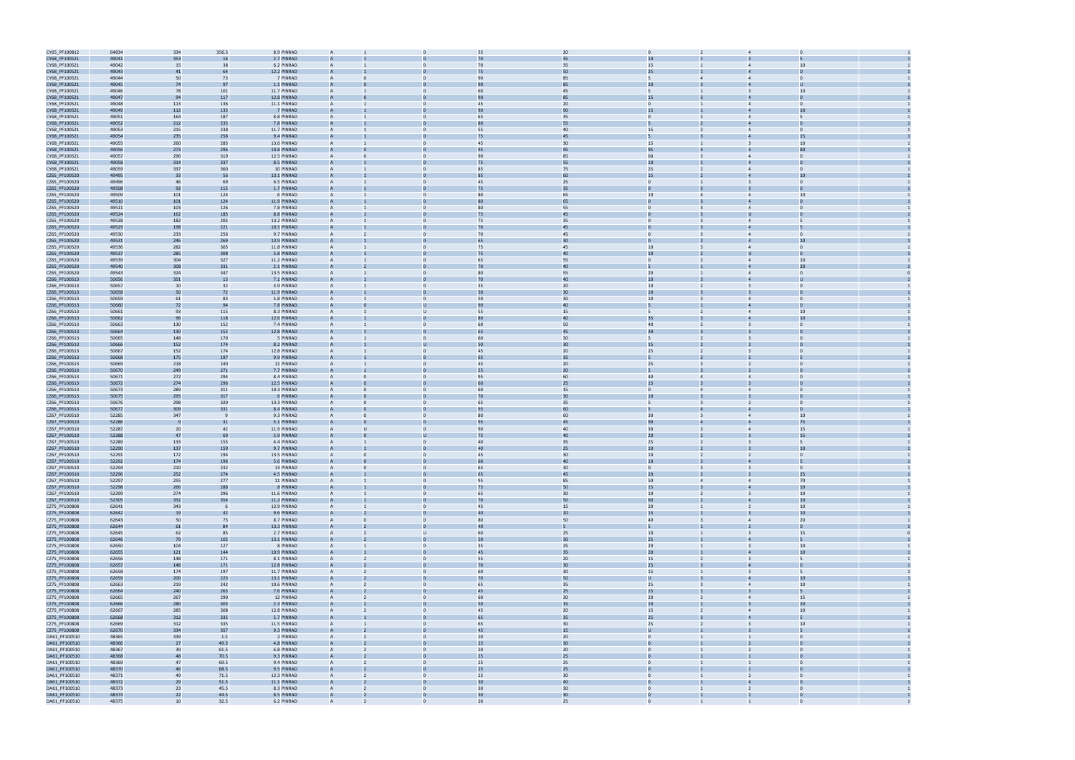| CY65_PF100812                  | 64834          | 334        | 356.5        | 8.9 PINRAD                | $\overline{A}$ |          |                         | 55<br>20             | $\Omega$                 |                       |                                  |                         |                |  |
|--------------------------------|----------------|------------|--------------|---------------------------|----------------|----------|-------------------------|----------------------|--------------------------|-----------------------|----------------------------------|-------------------------|----------------|--|
| CY68_PF100521                  | 49041          | 353        | 16           | 2.7 PINRAD                |                |          |                         |                      |                          | 10                    |                                  |                         |                |  |
| CY68_PF100521                  | 49042          | 15         | 38           | 6.2 PINRAD                | $\mathsf{A}$   |          | $\mathbf{0}$            | 35<br>70             |                          | 15                    |                                  |                         | 10             |  |
| CY68_PF100521                  | 49043          | 41         | 64           | 12.2 PINRAD               |                |          |                         | 50                   |                          | 25                    |                                  |                         |                |  |
| CY68_PF100521                  | 49044          | 50         | 73           | 7 PINRAD                  | $\overline{A}$ |          | $\Omega$                | 90<br>85             | 5                        |                       | $\overline{a}$<br>$\Delta$       |                         |                |  |
| CY68_PF100521                  | 49045          | 74         | 97           | 1.1 PINRAD                | $\overline{A}$ |          |                         | 90<br>85             |                          | 10                    |                                  |                         |                |  |
| CY68_PF100521                  | 49046          | 78         | 101          | 11.7 PINRAD               | $\overline{A}$ |          |                         | 45<br>60             |                          |                       |                                  |                         | 10             |  |
| CY68_PF100521                  | 49047          | 94         | 117          | 12.8 PINRAD               |                |          |                         | 85<br>90             |                          | 15                    |                                  |                         |                |  |
| CY68_PF100521                  | 49048          | 113        | 136          | 11.1 PINRAD               | $\mathsf{A}$   |          | $\mathbf{0}$            | 20<br>45             | $\mathbf{0}$             |                       |                                  |                         | $\Omega$       |  |
| CY68_PF100521                  | 49049          | 112        | 135          | 7 PINRAD                  |                |          |                         | 90                   | 15                       |                       |                                  |                         | 10             |  |
| CY68_PF100521                  | 49051          | 164        | 187          | 8.8 PINRAD                | $\mathsf{A}$   |          | $\Omega$                | 65<br>35             | $\mathbf{0}$             |                       | $\overline{2}$                   | $\overline{4}$          |                |  |
| CY68_PF100521                  | 49052          | 212        | 235          | 7.8 PINRAD                |                |          |                         | 55                   |                          |                       |                                  |                         |                |  |
| CY68_PF100521                  | 49053          | 215        | 238          | 11.7 PINRAD               | $\mathsf{A}$   |          | $\Omega$                | 55<br>40             |                          | 15                    | $\overline{2}$<br>$\overline{4}$ |                         | $\Omega$       |  |
| CY68_PF100521                  | 49054          | 235        | 258          | 9.4 PINRAD                |                |          |                         | 45                   |                          |                       |                                  |                         |                |  |
| CY68_PF100521                  | 49055          | 260        | 283          | 13.6 PINRAD               | $\mathsf{A}$   |          | $\Omega$                | 30<br>45             |                          | 15                    |                                  |                         | 10             |  |
| CY68_PF100521                  | 49056          | 273        | 296          | 10.8 PINRAD               | $\overline{A}$ |          | 95                      | 95                   |                          | 95                    |                                  |                         |                |  |
| CY68_PF100521                  | 49057          | 296        | 319          | 12.5 PINRAD               | $\overline{A}$ |          |                         | 85<br>90             |                          | 60                    |                                  |                         |                |  |
| CY68_PF100521                  | 49058          | 314        | 337          | 8.5 PINRAD                | $\overline{A}$ |          |                         | 55<br>75             |                          | 10 <sup>10</sup>      |                                  |                         |                |  |
| CY68_PF100521                  | 49059          | 337        | 360          | 10 PINRAD                 | $\mathsf{A}$   |          | $\mathbf{0}$            | 75<br>85             |                          | 25                    |                                  |                         | $\Omega$       |  |
| CZ65_PF100520                  | 49495          | 33         | 56           | 13.1 PINRAD               |                |          |                         | 60                   |                          | 15                    |                                  |                         | 10             |  |
| CZ65_PF100520                  | 49496          | 46         | 69           | 6.5 PINRAD                | $\overline{A}$ |          | $\mathbf{0}$            | 45<br>25             | $\mathbf{0}$             |                       | $\mathbf{1}$                     |                         | $\Omega$       |  |
| CZ65_PF100520                  | 49508          | 92         | 115          | 1.7 PINRAD                |                |          |                         | 35<br>75             | $\Omega$                 |                       |                                  |                         |                |  |
| CZ65_PF100520                  | 49509          | 101        | 124          | 6 PINRAD                  | $\overline{A}$ |          | $\Omega$                | 65<br>80             |                          | 10 <sup>10</sup>      |                                  |                         | 10             |  |
| CZ65_PF100520                  | 49510          | 101        | 124          | 11.9 PINRAD               |                |          |                         |                      |                          |                       |                                  |                         |                |  |
| CZ65_PF100520                  | 49511          | 103        | 126          | 7.8 PINRAD                | $\mathsf{A}$   |          | $\Omega$                | 55<br>80             | $\Omega$                 |                       | $\overline{4}$                   |                         |                |  |
| CZ65_PF100520                  | 49524          | 162        | 185          | 8.8 PINRAD                |                |          |                         | 45<br>75             | $\Omega$                 |                       |                                  |                         |                |  |
| CZ65_PF100520                  | 49528          | 182        | 205          | 13.2 PINRAD               |                |          |                         | 35<br>75             | $\mathbf{0}$             |                       |                                  |                         |                |  |
| CZ65_PF100520                  | 49529          | 198        | 221          | 10.5 PINRAD               |                |          |                         | 45<br>70             |                          |                       |                                  |                         |                |  |
| CZ65_PF100520                  | 49530          | 233        | 256          | 9.7 PINRAD                | $\mathsf{A}$   |          | $\mathbf{0}$            | 45<br>70             | $\mathbf{0}$             |                       |                                  |                         | $\mathbf 0$    |  |
| CZ65_PF100520                  | 49531          | 246        | 269          | 13.9 PINRAD               |                |          |                         | 30<br>65             |                          |                       |                                  |                         | 10             |  |
| CZ65_PF100520                  | 49536          | 282        | 305          | 11.8 PINRAD               | $\overline{A}$ |          | $\mathbf{0}$            | 75<br>45             |                          | 10 <sup>10</sup>      | 3<br>$\overline{4}$              |                         | $\Omega$       |  |
| CZ65_PF100520                  | 49537          | 285        | 308          | 5.8 PINRAD                |                |          |                         | 40<br>75             |                          | 10                    |                                  |                         |                |  |
| CZ65_PF100520                  | 49539          | 304        | 327          | 11.2 PINRAD               | $\overline{A}$ |          | $\Omega$                | 55<br>65             | $\mathbf{0}$             |                       |                                  |                         | 10             |  |
| CZ65_PF100520                  | 49540          | 308        | 331          | 2.1 PINRAD                |                |          |                         | 40                   |                          |                       |                                  |                         | 20             |  |
| CZ65_PF100520                  | 49543          | 324        | 347          | 13.5 PINRAD               | $\overline{A}$ |          | $\Omega$                | 55<br>80             |                          | 20 <sub>2</sub>       | $\Delta$                         |                         | $\Omega$       |  |
| CZ66_PF100513                  | 50656          | 351        | 13           | 7.1 PINRAD                |                |          |                         | 40<br>70             |                          | 10                    |                                  |                         |                |  |
| CZ66_PF100513                  | 50657          | 10         | 32           | 3.9 PINRAD                |                |          |                         | 20<br>35             |                          | 10 <sup>10</sup>      |                                  |                         |                |  |
| CZ66_PF100513                  | 50658          | 50         | 72           | 11.9 PINRAD               |                |          |                         | 30<br>50             |                          | 10                    |                                  |                         |                |  |
| CZ66_PF100513                  | 50659          | 61         | 83           | 5.8 PINRAD                | $\mathsf{A}$   |          | $\mathbf{0}$            | 30<br>50             |                          | 10 <sup>10</sup>      |                                  |                         | $\mathbf 0$    |  |
| CZ66_PF100513                  | 50660          | 72         | 94           | 7.8 PINRAD                |                |          |                         | 40<br>90             |                          |                       |                                  |                         |                |  |
| CZ66_PF100513                  | 50661          | 93         | 115          | 8.3 PINRAD                | $\overline{A}$ |          | $\mathbf{U}$            | 55<br>15             | 5                        |                       | $\overline{2}$<br>$\overline{4}$ |                         | 10             |  |
| CZ66_PF100513                  | 50662          | 96         | 118          | 12.6 PINRAD               |                |          |                         | 40                   | 35                       |                       |                                  |                         |                |  |
| CZ66_PF100513                  | 50663          | 130        | 152          | 7.4 PINRAD                | $\overline{A}$ |          | $\Omega$                | 60<br>50             |                          | 40                    |                                  |                         | $\Omega$       |  |
| CZ66_PF100513                  | 50664          | 130        | 152          | 12.8 PINRAD               |                |          |                         | 45                   |                          | 30                    |                                  |                         |                |  |
| CZ66_PF100513                  | 50665          | 148        | 170          | 5 PINRAD                  | $\overline{A}$ |          | $\Omega$                | 30<br>60             | 5                        |                       |                                  |                         |                |  |
| CZ66_PF100513                  | 50666          | 152        | 174          | 8.2 PINRAD                | $\overline{A}$ |          |                         | 50<br>30             |                          | 15                    |                                  |                         |                |  |
| CZ66_PF100513                  | 50667          | 152        | 174          | 12.8 PINRAD               |                |          |                         | 20<br>45             |                          | 25                    |                                  |                         |                |  |
| CZ66_PF100513                  | 50668          | 175        | 197          | 9.9 PINRAD                |                |          |                         | 35<br>65             | 5                        |                       |                                  |                         |                |  |
| CZ66_PF100513                  | 50669          | 218        | 240          | 11 PINRAD                 | $\mathsf{A}$   |          | $\mathbf{0}$            | 20<br>45             |                          | 25                    |                                  |                         | $\Omega$       |  |
| CZ66_PF100513                  | 50670          | 249        | 271          | 7.7 PINRAD                |                |          |                         | 20<br>55             |                          |                       |                                  |                         |                |  |
| CZ66_PF100513                  | 50671          | 272        | 294          | 8.4 PINRAD                | $\overline{A}$ |          | $\Omega$                | 95<br>60             |                          | 40                    | $\overline{4}$<br>4              |                         | $\Omega$       |  |
| CZ66_PF100513                  | 50672          | 274        | 296          | 12.5 PINRAD               |                |          |                         | 25                   |                          | 15                    |                                  |                         |                |  |
| CZ66_PF100513                  | 50673          | 289        | 311          | 10.3 PINRAD               | $\overline{A}$ |          | $\Omega$                | 60<br>15             | $\mathbf{0}$             |                       | $\overline{a}$                   |                         | $\Omega$       |  |
| CZ66_PF100513                  | 50675          | 295        | 317          | 6 PINRAD                  |                |          |                         | 30                   |                          | 10                    |                                  |                         |                |  |
| CZ66_PF100513                  | 50676          | 298        | 320          | 13.3 PINRAD               | $\overline{A}$ |          | $\Omega$                | 35<br>65             | 5                        |                       |                                  |                         |                |  |
| CZ66_PF100513                  | 50677          | 309        | 331          | 8.4 PINRAD                | $\overline{A}$ |          |                         | 60<br>95             | 5                        |                       |                                  |                         |                |  |
| CZ67_PF100510                  | 52285          | 347        |              | 9.3 PINRAD                |                |          | 80                      | 60                   |                          | 30                    |                                  |                         | 10             |  |
| CZ67_PF100510                  | 52286          |            | 31           | 5.1 PINRAD                |                |          |                         | 45<br>95             |                          | 90                    |                                  |                         | 75             |  |
| CZ67_PF100510                  | 52287          | 20         | 42           | 11.9 PINRAD               | A              |          | $\mathbf{0}$            | 40<br>90             |                          | 30 <sup>°</sup>       |                                  |                         | 15             |  |
| CZ67_PF100510                  | 52288          | 47         | <b>69</b>    | 5.9 PINRAD                |                |          |                         | 40                   |                          | 20                    |                                  |                         | 15             |  |
| CZ67_PF100510                  | 52289          | 133        | 155          | 4.4 PINRAD                | A              |          | $\mathbf{0}$            | 40<br>35             |                          | 25                    | $\overline{2}$                   |                         | 5<br>10        |  |
| CZ67_PF100510                  | 52290          | 137        | 159          | 9.7 PINRAD                |                |          |                         | 25                   |                          | 10 <sup>1</sup>       |                                  |                         |                |  |
| CZ67_PF100510                  | 52291<br>52292 | 172        | 194          | 13.5 PINRAD<br>5.6 PINRAD |                |          |                         | 45<br>30<br>40       |                          | 10<br>10              |                                  |                         |                |  |
| CZ67_PF100510<br>CZ67_PF100510 | 52294          | 174<br>210 | 196<br>232   | 13 PINRAD                 | $\overline{A}$ | $\Omega$ | $\mathbf{0}$            | 65<br>30             | $\mathbf{0}$             |                       | 3                                | $\overline{3}$          | $\overline{0}$ |  |
|                                |                |            |              | 4.5 PINRAD                | $\overline{A}$ |          | $\Omega$                | 45                   |                          |                       |                                  |                         |                |  |
| CZ67_PF100510<br>CZ67_PF100510 | 52296<br>52297 | 252<br>255 | 274<br>277   | 11 PINRAD                 | $\overline{A}$ |          | $\Omega$                | 65<br>95<br>85       |                          | 20 <sub>2</sub><br>50 | $\overline{4}$                   | $\overline{4}$          | 25<br>70       |  |
|                                | 52298          | 266        | 288          | 8 PINRAD                  | $\overline{A}$ |          | $\mathbf 0$             | 50<br>75             |                          | 15                    |                                  |                         | 10             |  |
| CZ67_PF100510<br>CZ67_PF100510 | 52299          | 274        | 296          | 11.6 PINRAD               | $\mathsf{A}$   |          | $\mathbf{0}$            | 65<br>30             |                          | 10 <sup>10</sup>      | $\overline{2}$                   | $\overline{3}$          | 10             |  |
| CZ67_PF100510                  | 52305          | 332        | 354          | 11.2 PINRAD               | A              |          | $\mathbf 0$             | 70<br>50             |                          | 60                    |                                  | $\overline{4}$          | 10             |  |
| CZ75_PF100808                  | 62641          | 343        | 6            | 12.9 PINRAD               | $\mathsf{A}$   |          | $\mathbf{0}$            | 45<br>15             |                          | 20                    | $\mathbf{1}$                     | $\overline{2}$          | $10$           |  |
| CZ75_PF100808                  | 62642          | 19         | 42           | 9.6 PINRAD                | $\overline{A}$ |          | $\Omega$                | 40<br>20             |                          | 15                    |                                  | $\overline{z}$          | 10             |  |
| CZ75_PF100808                  | 62643          | 50         | 73           | 8.7 PINRAD                | $\mathsf{A}$   | $\Omega$ | $\mathbf{0}$            | 50<br>80             |                          | 40                    | 3                                | $\overline{4}$          | 20             |  |
| CZ75_PF100808                  | 62644          | 61         | 84           | 13.3 PINRAD               |                |          |                         | 40                   | 5                        |                       |                                  |                         | $\overline{0}$ |  |
| CZ75_PF100808                  | 62645          | 62         | 85           | 2.7 PINRAD                | $\overline{A}$ |          | U                       | 60<br>25             |                          | 10                    | $\mathbf{1}$                     | $\overline{\mathbf{3}}$ | 15             |  |
| CZ75_PF100808                  | 62646          | 79         | 102          | 13.1 PINRAD               | $\overline{A}$ |          | $\Omega$                | 50<br>30             |                          | 25                    |                                  | $\overline{4}$          | 5              |  |
| CZ75_PF100808                  | 62650          | 104        | 127          | 8 PINRAD                  | $\mathsf{A}$   |          | $\overline{0}$          | 35<br>25             |                          | 20 <sub>2</sub>       | $\mathbf{1}$                     | $\overline{3}$          | 10             |  |
| CZ75_PF100808                  | 62655          | 121        | 144          | 10.9 PINRAD               | $\mathsf{A}$   |          | $\mathbf 0$             | 45<br>35             |                          | 20 <sub>2</sub>       |                                  |                         | 10             |  |
| CZ75_PF100808                  | 62656          | 148        | 171          | 8.1 PINRAD                | $\mathsf{A}$   | 2        | $\mathbf{0}$            | 55<br>20             |                          | 15                    | $\overline{2}$                   | $\overline{3}$          | 5              |  |
| CZ75_PF100808                  | 62657          | 148        | 171          | 12.8 PINRAD               | A              |          | $\mathbf 0$             | 70<br>30             |                          | 25                    |                                  | $\overline{4}$          | $\mathbf 0$    |  |
| CZ75_PF100808                  | 62658          | 174        | 197          | 11.7 PINRAD               | $\overline{A}$ |          | $\mathbf{0}$            | 60<br>30             |                          | 15                    | $\mathbf{1}$                     | $\overline{3}$          | 5              |  |
| CZ75_PF100808                  | 62659          | 200        | 223          | 13.1 PINRAD               | A              |          | $\Omega$                | 70<br>50             | U                        |                       |                                  |                         | 10             |  |
| CZ75_PF100808                  | 62663          | 219        | 242          | 10.6 PINRAD               | $\mathsf{A}$   |          | $\mathbf{0}$            | 35<br>65             | 25                       |                       | $\overline{3}$                   | $\overline{4}$          | 10             |  |
| CZ75_PF100808                  | 62664          | 240        | 263          | 7.6 PINRAD                |                |          |                         | 45<br>25             |                          | 15                    |                                  |                         | 5              |  |
| CZ75_PF100808                  | 62665          | 267        | 290          | 12 PINRAD                 | $\overline{A}$ |          | $\mathbf{0}$            | 60<br>30             |                          | 20<br>$\overline{2}$  |                                  | $\overline{4}$          | 15             |  |
| CZ75_PF100808                  | 62666          | 280        | 303          | 2.3 PINRAD                | $\overline{A}$ |          | $\Omega$                | 50<br>15             |                          | 10 <sup>°</sup>       |                                  | $\overline{3}$          | 20             |  |
| CZ75_PF100808                  | 62667          | 285        | 308          | 12.8 PINRAD               | $\overline{A}$ |          | $\mathbf{0}$            | 20<br>45             |                          | 15                    | $\overline{2}$                   | $\overline{4}$          | 10             |  |
| CZ75_PF100808                  | 62668          | 312        | 335          | 5.7 PINRAD                | $\mathsf{A}$   |          | $\mathbf 0$             | 65<br>35             |                          | 25                    |                                  | $\overline{4}$          | 5              |  |
| CZ75_PF100808                  | 62669          | 312        | 335          | 11.5 PINRAD               | $\mathsf{A}$   |          | $\mathbf{0}$            | 30<br>65             | 25                       | $\overline{2}$        |                                  | $\overline{\mathbf{3}}$ | 10             |  |
| CZ75_PF100808                  | 62670          | 334        | 357          | 9.3 PINRAD                | A              |          | 45<br>$\mathbf 0$       | 15                   | U                        |                       |                                  |                         | 5              |  |
| DA61_PF100510                  | 48365          | 339        | 1.5          | 2 PINRAD                  | $\overline{A}$ |          | $\mathbf{0}$            | 20<br>20             | $\overline{0}$           |                       | $\mathbf{1}$                     | $\mathbf{1}$            | $\overline{0}$ |  |
| DA61_PF100510                  | 48366          | 27         | 49.5         | 4.8 PINRAD                | A              |          | $\Omega$                | 25<br>30             | $\overline{0}$           |                       |                                  | $\overline{2}$          | $\Omega$       |  |
| DA61_PF100510                  | 48367          | 39         | 61.5         | 6.8 PINRAD                | $\mathsf{A}$   |          | $\mathbf{0}$            | 20<br>20             | $\overline{0}$           |                       | $\mathbf{1}$                     | $\overline{2}$          | $\overline{0}$ |  |
| DA61_PF100510                  | 48368          | 48         | 70.5         | 9.3 PINRAD                |                |          |                         | 25<br>25             | $\Omega$                 |                       |                                  |                         | $\Omega$       |  |
| DA61_PF100510                  | 48369          | 47         | 69.5         | 9.4 PINRAD                | $\mathsf{A}$   |          | $\mathbf{0}$            | 25<br>25             | $\mathbf{0}$             |                       | $\mathbf{1}$                     | $\mathbf{1}$            | $\overline{0}$ |  |
| DA61_PF100510                  | 48370          | 46         | 68.5         | 9.5 PINRAD                | $\overline{A}$ |          | $\Omega$                | 25<br>25             | $\overline{0}$           |                       |                                  |                         | $\Omega$       |  |
| DA61_PF100510                  | 48371          | 49         | 71.5         | 12.3 PINRAD               | $\overline{A}$ |          | $\mathbf{0}$            | 25<br>30             | $\mathbf{0}$             |                       |                                  | $\overline{2}$          | $\Omega$       |  |
| DA61_PF100510                  |                | 29         | 51.5         | 11.1 PINRAD               |                |          | $\Omega$                | 40<br>30             | $\mathbf{0}$             |                       |                                  | $\overline{4}$          | $\Omega$       |  |
|                                | 48372          |            |              |                           |                |          |                         |                      |                          |                       |                                  |                         |                |  |
| DA61_PF100510                  | 48373          | 23         | 45.5         | 8.3 PINRAD                | $\mathsf{A}$   |          | $\mathbf{0}$            | 30<br>30             | $\mathbf{0}$             |                       |                                  | $\overline{2}$          | $\overline{0}$ |  |
| DA61_PF100510<br>DA61 PF100510 | 48374<br>48375 | 22<br>10   | 44.5<br>32.5 | 8.5 PINRAD<br>6.2 PINRAD  | A<br>$\Lambda$ |          | $\mathbf 0$<br>$\Omega$ | 30<br>30<br>20<br>25 | $\mathbf{0}$<br>$\Omega$ |                       |                                  | $\Omega$                | $\overline{0}$ |  |

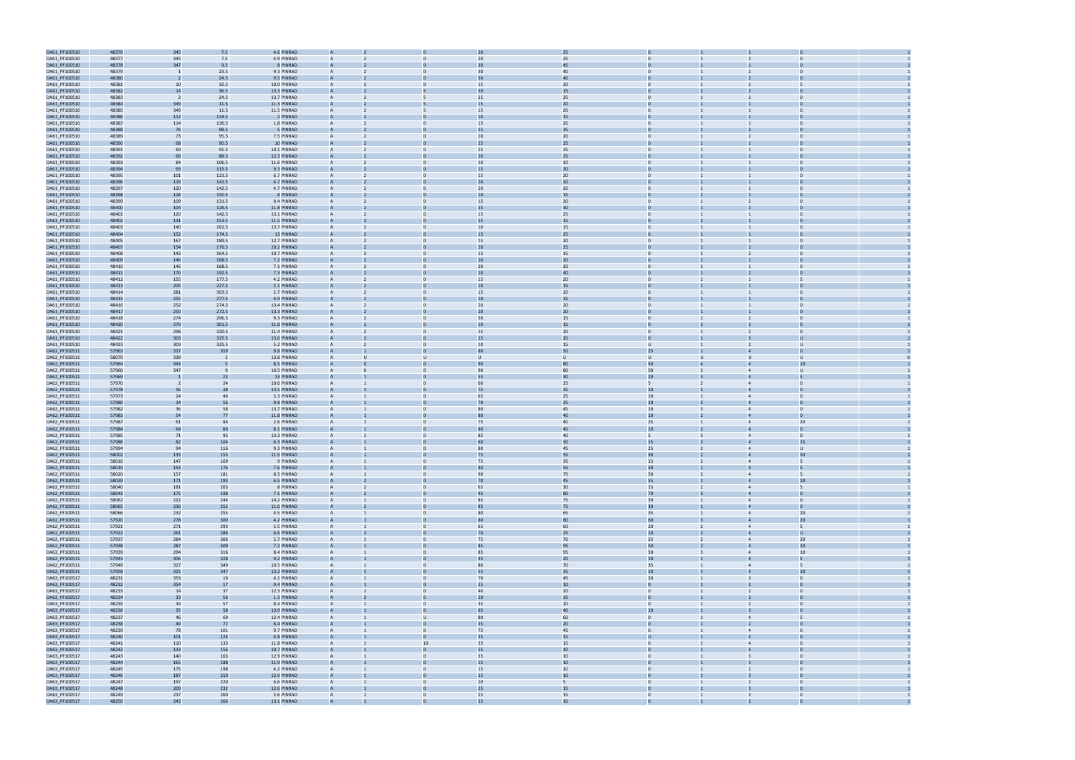

| DA61_PF100510                  | 48376 | 345            | 7.5      | 4.6 PINRAD  |                |                |                 | 25       |                  |                |                |                |  |
|--------------------------------|-------|----------------|----------|-------------|----------------|----------------|-----------------|----------|------------------|----------------|----------------|----------------|--|
| DA61_PF100510                  | 48377 | 345            | 7.5      | 4.9 PINRAD  |                |                | 20              | 25       |                  |                |                |                |  |
| DA61_PF100510                  | 48378 | 347            | 9.5      | 8 PINRAD    |                |                | 30              | 45       |                  |                |                |                |  |
| DA61_PF100510                  | 48379 |                | 23.5     | 9.3 PINRAD  | $\overline{A}$ |                | 30              | 40       |                  |                | $\overline{2}$ |                |  |
|                                | 48380 |                |          | 9.5 PINRAD  | $\mathbf{A}$   |                | 30              | 40       |                  |                |                |                |  |
| DA61_PF100510                  |       |                | 24.5     |             |                |                |                 |          |                  |                |                |                |  |
| DA61_PF100510                  | 48381 | 10             | 32.5     | 10.9 PINRAD | $\overline{A}$ | $\mathbf{0}$   | 15              | 20       | $\mathbf{0}$     |                |                |                |  |
| DA61_PF100510                  | 48382 | 14             | 36.5     | 13.3 PINRAD |                |                |                 | 15       |                  |                |                |                |  |
| DA61_PF100510                  | 48383 | $\overline{2}$ | 24.5     | 13.7 PINRAD | $\overline{A}$ | 5              | 25              | 25       | $\Omega$         |                | $\overline{2}$ | $\Omega$       |  |
| DA61_PF100510                  | 48384 | 349            | $11.5\,$ | 11.3 PINRAD |                |                |                 | 20       |                  |                |                |                |  |
| DA61_PF100510                  | 48385 | 349            | 11.5     | 11.5 PINRAD | $\overline{A}$ | 5              | 15              | 20       | $\mathbf{0}$     |                |                | $\Omega$       |  |
| DA61_PF100510                  | 48386 | 112            | 134.5    | 2 PINRAD    |                |                | 10              | 15       |                  |                |                |                |  |
| DA61_PF100510                  | 48387 | 114            | 136.5    | 1.8 PINRAD  | A              |                | 15              | 20       | $\Omega$         |                |                |                |  |
| DA61_PF100510                  | 48388 | 76             | 98.5     | 5 PINRAD    |                |                | 15              | 25       |                  |                |                |                |  |
|                                |       |                |          |             |                |                |                 |          |                  |                |                |                |  |
| DA61_PF100510                  | 48389 | 73             | 95.5     | 7.5 PINRAD  | $\overline{A}$ |                | 20              | 20       |                  |                | $\overline{2}$ |                |  |
| DA61_PF100510                  | 48390 | 68             | 90.5     | 10 PINRAD   |                |                | 25              | 25       |                  |                |                |                |  |
| DA61_PF100510                  | 48391 | 69             | 91.5     | 10.1 PINRAD | $\overline{A}$ | $\mathbf{0}$   | 25              | 25       | $\mathbf{0}$     |                |                | $\bf{0}$       |  |
| DA61_PF100510                  | 48392 | 66             | 88.5     | 12.3 PINRAD |                |                | 20              | 25       |                  |                |                |                |  |
| DA61_PF100510                  | 48393 | 84             | 106.5    | 11.6 PINRAD | $\overline{A}$ | $\Omega$       | 10              | 10       | $\Omega$         |                |                | $\Omega$       |  |
| DA61_PF100510                  | 48394 | 93             | 115.5    | 9.3 PINRAD  |                |                |                 | 20       |                  |                |                |                |  |
| DA61_PF100510                  | 48395 | 101            | 123.5    | 6.7 PINRAD  | $\overline{A}$ | $\Omega$       | 15              | 20       | $\mathbf{0}$     |                |                | $\Omega$       |  |
| DA61_PF100510                  | 48396 | 119            | 141.5    | 4.7 PINRAD  |                |                | 20              | 20       |                  |                |                |                |  |
| DA61_PF100510                  | 48397 | 120            | 142.5    | 4.7 PINRAD  |                |                | 20              | 20       | $\Omega$         |                |                |                |  |
| DA61_PF100510                  | 48398 | 128            | 150.5    | 8 PINRAD    |                |                | 10              | 15       |                  |                |                |                |  |
|                                |       |                |          |             | $\overline{A}$ | $\Omega$       | 15              |          | $\Omega$         |                | $\overline{2}$ |                |  |
| DA61_PF100510                  | 48399 | 109            | 131.5    | 9.4 PINRAD  |                |                |                 | 20       |                  |                |                |                |  |
| DA61_PF100510                  | 48400 | 104            | 126.5    | 11.8 PINRAD |                |                | 35              | 30       |                  |                |                |                |  |
| DA61_PF100510                  | 48401 | 120            | 142.5    | 13.1 PINRAD |                | $\mathbf 0$    | 15              | 25       | $\mathbf{0}$     |                |                | $\bf{0}$       |  |
| DA61_PF100510                  | 48402 | 131            | 153.5    | 11.5 PINRAD |                |                | 15              | 15       |                  |                |                |                |  |
| DA61_PF100510                  | 48403 | 140            | 162.5    | 13.7 PINRAD | $\overline{A}$ | $\Omega$       | 10              | 15       | $\Omega$         |                |                | $\Omega$       |  |
| DA61_PF100510                  | 48404 | 152            | 174.5    | 13 PINRAD   |                |                | 15              | 25       |                  |                |                |                |  |
| DA61_PF100510                  | 48405 | 167            | 189.5    | 12.7 PINRAD | $\overline{A}$ | $\mathbf{0}$   | 15              | 20       | $\mathbf{0}$     |                |                | $\Omega$       |  |
| DA61_PF100510                  | 48407 | 154            | 176.5    | 10.2 PINRAD |                |                | 20              | 25       |                  |                |                |                |  |
| DA61_PF100510                  | 48408 | 142            | 164.5    | 10.7 PINRAD |                |                | 15              | 15       | $\mathbf{0}$     |                |                |                |  |
| DA61_PF100510                  | 48409 | 146            | 168.5    | 7.2 PINRAD  |                |                | 20              | 20       |                  |                |                |                |  |
| DA61_PF100510                  | 48410 | 146            | 168.5    | 7.1 PINRAD  | $\overline{A}$ | $\Omega$       | 20              | 20       | $\Omega$         |                | $\overline{1}$ | $\Omega$       |  |
|                                |       |                |          |             |                |                |                 |          |                  |                |                |                |  |
| DA61_PF100510                  | 48411 | 170            | 192.5    | 7.3 PINRAD  | $\overline{A}$ |                | 20              | 40       |                  |                |                |                |  |
| DA61_PF100510                  | 48412 | 155            | 177.5    | 4.2 PINRAD  |                |                | 15              | 20       | $\mathbf{0}$     |                |                |                |  |
| DA61_PF100510                  | 48413 | 205            | 227.5    | 2.1 PINRAD  |                |                | 10              | 15       |                  |                |                |                |  |
| DA61_PF100510                  | 48414 | 281            | 303.5    | 2.7 PINRAD  | $\overline{A}$ | $\Omega$       | 15              | 20       | $\mathbf{0}$     |                |                | $\Omega$       |  |
| DA61_PF100510                  | 48415 | 255            | 277.5    | 4.9 PINRAD  |                |                |                 | 15       |                  |                |                |                |  |
| DA61_PF100510                  | 48416 | 252            | 274.5    | 13.4 PINRAD | $\overline{A}$ | $\mathbf{0}$   | 20              | 20       | $\mathbf{0}$     |                |                | $\Omega$       |  |
| DA61_PF100510                  | 48417 | 250            | 272.5    | 13.3 PINRAD |                |                | 20              | 20       |                  |                |                |                |  |
| DA61_PF100510                  | 48418 | 274            | 296.5    | 9.3 PINRAD  |                |                | 30              | 15       | $\mathbf{0}$     |                |                | $\Omega$       |  |
| DA61_PF100510                  | 48420 | 279            | 301.5    | 11.8 PINRAD |                |                | 10              | 15       |                  |                |                |                |  |
| DA61_PF100510                  | 48421 | 298            | 320.5    | 11.4 PINRAD | $\overline{A}$ | $\Omega$       | 15              | 20       | $\Omega$         |                | 2              |                |  |
|                                |       |                |          |             |                |                |                 |          |                  |                |                |                |  |
| DA61_PF100510                  | 48422 | 303            | 325.5    | 13.6 PINRAD |                |                | 25              | 20       | $\mathbf{0}$     |                |                |                |  |
| DA61_PF100510                  | 48423 | 303            | 325.5    | 5.2 PINRAD  | $\overline{A}$ | $\mathbf 0$    | 10              | 15       | $\cup$           |                |                | υ              |  |
| DA62_PF100511                  | 57963 | 337            | 359      | 9.8 PINRAD  |                |                |                 | 50       | 25               |                |                |                |  |
| DA62_PF100511                  | 58070 | 339            | - 2      | 13.8 PINRAD | $\overline{A}$ | U              |                 | U        | U                | U              | $\cup$         | υ              |  |
| DA62_PF100511                  | 57964 | 343            |          | 8.5 PINRAD  |                |                |                 |          | 50               |                |                |                |  |
| DA62_PF100511                  | 57960 | 347            |          | 10.5 PINRAD | $\overline{A}$ | $\mathbf{0}$   | 90              | 80       | 50               |                | $\overline{4}$ | υ              |  |
|                                |       |                |          |             |                |                |                 |          |                  |                |                |                |  |
|                                |       |                |          |             |                |                |                 |          |                  |                |                |                |  |
| DA62_PF100511                  | 57969 |                | 23       | 13 PINRAD   |                |                | 55              | 30       | 10               |                |                |                |  |
| DA62_PF100511                  | 57970 | $\overline{2}$ | 24       | 10.6 PINRAD |                |                | 60              | 25       | 5                |                |                | $\Omega$       |  |
| DA62_PF100511                  | 57978 | 16             | 38       | 13.5 PINRAD |                |                | 75              | 25       | 10               |                |                |                |  |
| DA62_PF100511                  | 57973 | 24             | 46       | 5.3 PINRAD  | $\overline{A}$ | $\Omega$       | 65              | 25       | 10 <sup>10</sup> |                | $\overline{4}$ |                |  |
| DA62_PF100511                  | 57980 | 34             | 56       | 9.8 PINRAD  |                |                | 70              | 25       | 10 <sup>10</sup> |                |                |                |  |
| DA62_PF100511                  | 57982 | 36             | 58       | 13.7 PINRAD | $\mathsf{A}$   | $\Omega$       | 80              | 45       | 10 <sup>10</sup> |                | $\overline{4}$ | $\bf{0}$       |  |
|                                |       | 54             | 77       | 11.8 PINRAD |                |                |                 | 40       | 10               |                |                |                |  |
| DA62_PF100511                  | 57983 |                |          |             | $\overline{A}$ | $\mathbf{0}$   | 75              |          |                  |                | $\overline{4}$ | 20             |  |
| DA62_PF100511                  | 57987 | 61             | 84<br>86 | 2.6 PINRAD  |                |                |                 | 40<br>40 | 25<br>10         |                |                |                |  |
| DA62_PF100511                  | 57984 | 64             |          | 8.1 PINRAD  |                |                |                 |          |                  |                |                |                |  |
| DA62_PF100511                  | 57985 | 71             | 95       | 13.3 PINRAD | $\overline{A}$ | $\Omega$       | 85              | 40       | 5                |                | $\overline{4}$ | $\mathbf{0}$   |  |
| DA62_PF100511                  | 57986 | 82             | 104      | 6.3 PINRAD  |                |                | 60              | 30       | 15               |                |                | 15             |  |
| DA62_PF100511                  | 57994 | 94             | 116      | 9.3 PINRAD  | $\mathsf{A}$   | $\Omega$       | 80              | 45       | 25               |                | $\overline{4}$ | $\mathbf{U}$   |  |
| DA62_PF100511                  | 58002 | 133            | 155      | 11.5 PINRAD |                |                | 75              | 55       | 30               |                |                |                |  |
| DA62_PF100511                  | 58016 | 147            | 169      | 9 PINRAD    |                |                | 75              | 35       | 15               |                |                |                |  |
| DA62_PF100511                  | 58019 | 154            | 176      | 7.6 PINRAD  |                |                | 80              | 55       | 50               |                |                |                |  |
| DA62_PF100511                  | 58020 | 157            | 181      | 8.5 PINRAD  | $\overline{A}$ | $\mathbf{0}$   | 90              | 75       | 50               | $\overline{2}$ | $\overline{4}$ | 5              |  |
| DA62_PF100511                  | 58039 | 171            | 193      | 6.5 PINRAD  | $\overline{A}$ |                | 70              | 45       | 55               |                |                | 10             |  |
| DA62_PF100511                  | 58040 | 181            | 203      | 8 PINRAD    | A              | $\mathbf{0}$   | 65              | 30       | 15               | $\overline{2}$ | $\overline{4}$ | 5              |  |
| DA62_PF100511                  | 58041 | 175            | 198      | 7.1 PINRAD  | $\overline{A}$ |                | 95              | 80       | 70               |                |                | $\Omega$       |  |
|                                | 58062 | 222            | 244      | 14.2 PINRAD | $\mathsf{A}$   | $\overline{0}$ | 85              | 75       | 30 <sup>°</sup>  | $\mathbf{1}$   | $\overline{4}$ | $\overline{0}$ |  |
| DA62_PF100511<br>DA62_PF100511 | 58065 | 230            | 252      | 11.6 PINRAD | $\overline{A}$ | $\mathbf 0$    | 85              | 75       | 30 <sub>2</sub>  |                | $\overline{4}$ | $\mathbf 0$    |  |
|                                |       |                |          |             | $\mathsf{A}$   | $\mathbf{0}$   |                 |          |                  | $\mathbf{1}$   | $\overline{4}$ |                |  |
| DA62_PF100511                  | 58066 | 232            | 255      | 4.5 PINRAD  |                |                | 80<br>80        | 65<br>80 | 35               |                |                | 20             |  |
| DA62_PF100511                  | 57920 | 278            | 300      | 4.2 PINRAD  |                | $\Omega$       |                 |          | 60               |                | $\overline{4}$ | 20<br>5        |  |
| DA62_PF100511                  | 57921 | 271            | 293      | 5.5 PINRAD  | $\overline{A}$ |                | 65              | 60       | 20               | $\overline{2}$ |                |                |  |
| DA62_PF100511                  | 57922 | 261            | 286      | 6.6 PINRAD  | $\overline{A}$ | $\mathbf 0$    | 70              | 25       | 10               | $\overline{2}$ | $\overline{4}$ | U              |  |
| DA62_PF100511                  | 57937 | 284            | 306      | 5.7 PINRAD  | $\overline{A}$ | $\overline{0}$ | 75              | 70       | 25               | $\overline{2}$ | $\overline{4}$ | 20             |  |
| DA62_PF100511                  | 57938 | 287            | 309      | 7.2 PINRAD  | $\overline{A}$ | $\overline{0}$ | 85              | 95       | 50               | 2 <sup>2</sup> | $\overline{4}$ | 10             |  |
| DA62_PF100511                  | 57939 | 294            | 316      | 8.4 PINRAD  | A              | $\mathbf{0}$   | 85              | 95       | 50               | $\overline{3}$ | $\overline{4}$ | 10             |  |
| DA62_PF100511                  | 57943 | 306            | 328      | 9.2 PINRAD  |                |                | 45              | 20       | 10 <sub>1</sub>  |                |                | 5              |  |
| DA62_PF100511                  | 57949 | 327            | 349      | 10.5 PINRAD | $\mathsf{A}$   | $\overline{0}$ | 80              | 70       | 35               | $\mathbf{1}$   | $\overline{4}$ | 5              |  |
| DA62_PF100511                  | 57958 | 325            | 347      | 13.2 PINRAD |                |                | 55              | 35       | 10 <sup>°</sup>  |                | $\overline{a}$ | 10             |  |
|                                | 48231 |                | 16       | 4.1 PINRAD  | $\overline{A}$ | $\mathbf{0}$   | 70              |          | 20               |                | $\overline{3}$ | $\overline{0}$ |  |
| DA63_PF100517                  |       | 353            |          |             |                |                |                 | 45       | $\Omega$         |                |                | $\Omega$       |  |
| DA63_PF100517                  | 48232 | 354            | 17       | 9.4 PINRAD  |                |                | 25              | 10       |                  |                |                |                |  |
| DA63_PF100517                  | 48233 | 14             | 37       | 12.3 PINRAD | $\overline{A}$ | $\Omega$       | 40              | 20       | $\Omega$         |                | $\overline{2}$ | $\Omega$       |  |
| DA63_PF100517                  | 48234 | 33             | 56       | 1.3 PINRAD  | $\overline{A}$ | $\Omega$       | 20              | 15       | $\mathbf{0}$     |                | $\overline{2}$ | $\mathbf 0$    |  |
| DA63_PF100517                  | 48235 | 34             | 57       | 8.4 PINRAD  | $\overline{A}$ | $\mathbf{0}$   | 35              | 20       | $\overline{0}$   |                | $\overline{2}$ | $\overline{0}$ |  |
| DA63_PF100517                  | 48236 | 35             | 58       | 13.9 PINRAD |                | $\overline{0}$ | 65              | $40\,$   | $10\,$           |                | $\overline{3}$ | $\overline{0}$ |  |
| DA63_PF100517                  | 48237 | 46             | 69       | 12.4 PINRAD | $\mathsf{A}$   | $\cup$         | 80              | 60       | $\overline{0}$   |                | $\overline{4}$ | 5              |  |
| DA63_PF100517                  | 48238 | 49             | 72       | 6.4 PINRAD  |                |                | 35              | 20       |                  |                |                |                |  |
| DA63_PF100517                  | 48239 | 78             | 101      | 9.7 PINRAD  | $\mathsf{A}$   | $\mathbf{0}$   | 75              | 45       | $\overline{0}$   | $\mathbf{1}$   | $\overline{4}$ | $\overline{0}$ |  |
|                                | 48240 | 101            | 124      | 4.8 PINRAD  |                | $\Omega$       | 35              | 15       | U                |                | $\overline{a}$ |                |  |
| DA63_PF100517                  |       |                |          |             | $\overline{A}$ |                |                 |          |                  |                | $\overline{4}$ | $\overline{0}$ |  |
| DA63_PF100517                  | 48241 | 110            | 133      | 11.8 PINRAD |                | 10             | 35              | 15       | $\mathbf{0}$     |                |                |                |  |
| DA63_PF100517                  | 48242 | 133            | 156      | 10.7 PINRAD |                |                | 55              | 10       |                  |                |                |                |  |
| DA63_PF100517                  | 48243 | 140            | 163      | 12.9 PINRAD | $\overline{A}$ | $\Omega$       | 35              | 10       | $\Omega$         |                | $\overline{3}$ | $\Omega$       |  |
| DA63_PF100517                  | 48244 | 165            | 188      | 11.9 PINRAD | $\overline{A}$ |                | 15              | 10       | $\overline{0}$   |                |                | $\Omega$       |  |
| DA63_PF100517                  | 48245 | 175            | 198      | 4.2 PINRAD  | $\overline{A}$ | $\mathbf{0}$   | 15              | 10       | $\mathbf{0}$     |                | $\overline{2}$ | $\overline{0}$ |  |
| DA63_PF100517                  | 48246 | 187            | 210      | 12.9 PINRAD | $\overline{A}$ |                | 25              | $10\,$   | $\overline{0}$   |                |                |                |  |
| DA63_PF100517                  | 48247 | 197            | 220      | 6.6 PINRAD  | $\mathsf{A}$   | $\mathbf{0}$   | 20 <sub>2</sub> | 5        | $\overline{0}$   |                | $\overline{2}$ | $\overline{0}$ |  |
| DA63_PF100517                  | 48248 | 209            | 232      | 12.6 PINRAD |                |                | 25              | 15       |                  |                |                |                |  |
| DA63_PF100517                  | 48249 | 237            | 260      | 3.6 PINRAD  | $\mathsf{A}$   | $\mathbf{0}$   | 25              | 15       | $\overline{0}$   | $\mathbf{1}$   | $\overline{3}$ | $\overline{0}$ |  |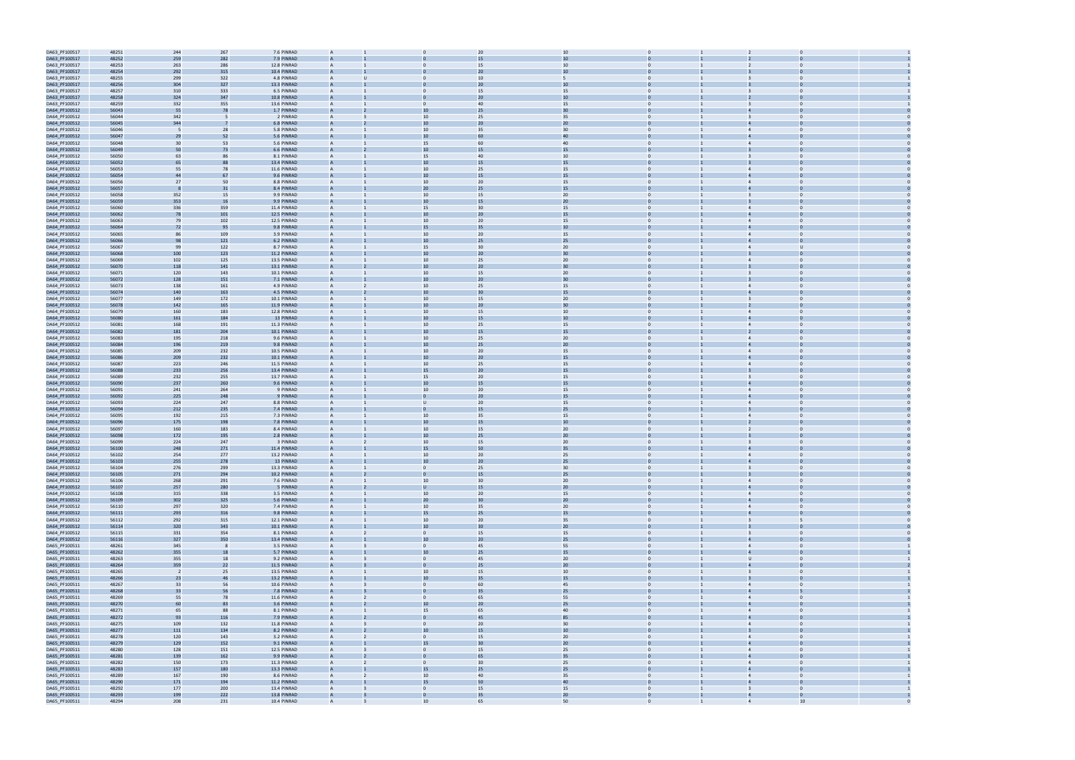

| DA63_PF100517                  | 48251          | 244                      | 267        | 7.6 PINRAD                 | A              |                  | 20              | 10           |                |                                                    |    |  |
|--------------------------------|----------------|--------------------------|------------|----------------------------|----------------|------------------|-----------------|--------------|----------------|----------------------------------------------------|----|--|
| DA63_PF100517                  | 48252          | 259                      | 282        | 7.9 PINRAD                 |                |                  |                 | 10           |                |                                                    |    |  |
|                                |                |                          |            |                            |                |                  |                 |              |                |                                                    |    |  |
| DA63_PF100517                  | 48253          | 263                      | 286        | 12.8 PINRAD                | A              |                  | 15              | 10           | $\mathbf{0}$   | $\mathbf 0$                                        |    |  |
| DA63_PF100517                  | 48254          | 292                      | 315        | 10.4 PINRAD                |                |                  | 20              | 10           |                |                                                    |    |  |
| DA63_PF100517                  | 48255          | 299                      | 322        | 4.8 PINRAD                 | $\mathsf{A}$   |                  | 10              | 5            | $\Omega$       |                                                    |    |  |
| DA63_PF100517                  | 48256          | 304                      | 327        | 13.3 PINRAD                | $\mathsf{A}$   |                  | 20              | 10           |                |                                                    |    |  |
|                                |                |                          |            |                            |                |                  |                 |              |                |                                                    |    |  |
| DA63_PF100517                  | 48257          | 310                      | 333        | 6.5 PINRAD                 |                |                  | 15              | 15           |                |                                                    |    |  |
| DA63_PF100517                  | 48258          | 324                      | 347        | 10.8 PINRAD                |                |                  | 20              | 10           |                |                                                    |    |  |
| DA63_PF100517                  | 48259          | 332                      | 355        | 13.6 PINRAD                | A              | $\mathbf{0}$     | 40              | 15           | $\mathbf{0}$   | $\Omega$                                           |    |  |
| DA64_PF100512                  | 56043          | 55                       | 78         | 1.7 PINRAD                 |                | 10               | 25              | 30           |                |                                                    |    |  |
|                                |                |                          |            |                            |                |                  |                 |              | $\Omega$       | $\Omega$                                           |    |  |
| DA64_PF100512                  | 56044          | 342                      |            | 2 PINRAD                   | A              | 10               | 25              | 35           |                | $\mathbf{B}$                                       |    |  |
| DA64_PF100512                  | 56045          | 344                      |            | 6.8 PINRAD                 |                | 10               | 20              | 20           |                |                                                    |    |  |
| DA64_PF100512                  | 56046          | - 5                      | 28         | 5.8 PINRAD                 | A              | 10               | 35              | 30           | $\mathbf{0}$   | $\overline{4}$<br>$\Omega$                         |    |  |
| DA64_PF100512                  | 56047          | 29                       | 52         | 5.6 PINRAD                 |                | 10               |                 | 40           |                |                                                    |    |  |
| DA64_PF100512                  | 56048          | 30                       | 53         | 5.6 PINRAD                 | A              | 15               | 60              | 40           | $\Omega$       | $\overline{4}$                                     |    |  |
|                                |                |                          |            |                            |                |                  |                 |              |                |                                                    |    |  |
| DA64_PF100512                  | 56049          | 50                       | 73         | 6.6 PINRAD                 |                | 10               | 15              | 15           |                |                                                    |    |  |
| DA64_PF100512                  | 56050          | 63                       | 86         | 8.1 PINRAD                 |                | 15               | 40              | 10           | $\Omega$       |                                                    |    |  |
| DA64_PF100512                  | 56052          | 65                       |            | 13.4 PINRAD                |                | 10               | 15              | 15           |                |                                                    |    |  |
| DA64_PF100512                  | 56053          | 55                       | 78         | 11.6 PINRAD                | A              | 10 <sup>1</sup>  | 25              | 15           | $\mathbf{0}$   | $\Omega$                                           |    |  |
|                                |                |                          | 67         |                            |                | 10               |                 |              |                |                                                    |    |  |
| DA64_PF100512                  | 56054          | 44                       |            | 9.6 PINRAD                 |                |                  | 15              | 15           |                |                                                    |    |  |
| DA64_PF100512                  | 56056          | 27                       | 50         | 8.8 PINRAD                 | A              | 10               | 20              | 15           | $\Omega$       | $\Omega$<br>$\overline{4}$                         |    |  |
| DA64_PF100512                  | 56057          |                          | 31         | 8.4 PINRAD                 |                | 20               | 25              | 15           |                |                                                    |    |  |
| DA64_PF100512                  | 56058          | 352                      | 15         | 9.9 PINRAD                 | A              | 10               | 15              | 20           | $\Omega$       |                                                    |    |  |
| DA64_PF100512                  | 56059          | 353                      | 16         | 9.9 PINRAD                 |                | 10               |                 | 20           |                |                                                    |    |  |
|                                |                |                          |            |                            |                |                  | 30              |              | $\Omega$       |                                                    |    |  |
| DA64_PF100512                  | 56060          | 336                      | 359        | 11.4 PINRAD                | A              | 15               |                 | 15           |                | $\overline{4}$                                     |    |  |
| DA64_PF100512                  | 56062          | 78                       | 101        | 12.5 PINRAD                |                | 10               | 20              | 15           |                |                                                    |    |  |
| DA64_PF100512                  | 56063          | 79                       | 102        | 12.5 PINRAD                |                | 10               | 20              | 15           | $\Omega$       |                                                    |    |  |
| DA64_PF100512                  | 56064          | 72                       | 95         | 9.8 PINRAD                 |                | 15               | 35              | 10           |                |                                                    |    |  |
| DA64_PF100512                  | 56065          | 86                       | 109        | 3.9 PINRAD                 | A              | 10 <sup>1</sup>  | 20              | 15           | $\mathbf{0}$   | $\Omega$<br>$\overline{4}$                         |    |  |
|                                |                |                          |            |                            |                |                  |                 |              |                |                                                    |    |  |
| DA64_PF100512                  | 56066          | 98                       | 121        | 6.2 PINRAD                 |                | 10               | 25              | 25           |                |                                                    |    |  |
| DA64_PF100512                  | 56067          | 99                       | 122        | 8.7 PINRAD                 | A              | 15               | 30 <sup>°</sup> | 20           | $\Omega$       | $\overline{4}$                                     |    |  |
| DA64_PF100512                  | 56068          | 100                      | 123        | 11.2 PINRAD                |                | 10               | 20              | 30           |                |                                                    |    |  |
| DA64_PF100512                  | 56069          | 102                      | 125        | 13.5 PINRAD                | A              | 10               | 25              | 20           | $\Omega$       | $\Omega$                                           |    |  |
|                                | 56070          |                          |            | 13.1 PINRAD                |                | 10               | 2C              | 30           |                |                                                    |    |  |
| DA64_PF100512                  |                | 118                      | 141        |                            |                |                  |                 |              |                |                                                    |    |  |
| DA64_PF100512                  | 56071          | 120                      | 143        | 10.1 PINRAD                | A              | 10               | 15              | 20           | $\Omega$       | $\mathbf{B}$                                       |    |  |
| DA64_PF100512                  | 56072          | 128                      | 151        | 7.1 PINRAD                 | $\overline{A}$ | 10               | 20              | 30           |                |                                                    |    |  |
| DA64_PF100512                  | 56073          | 138                      | 161        | 4.9 PINRAD                 |                | 10               | 25              | 15           |                |                                                    |    |  |
| DA64_PF100512                  | 56074          | 140                      | 163        | 4.5 PINRAD                 |                | 10               | 30              | 15           |                |                                                    |    |  |
|                                |                |                          |            |                            |                |                  |                 |              |                |                                                    |    |  |
| DA64_PF100512                  | 56077          | 149                      | 172        | 10.1 PINRAD                | A              | 10 <sup>1</sup>  | 15              | 20           | $\mathbf{0}$   | $\overline{3}$<br>$\mathbf 0$                      |    |  |
| DA64_PF100512                  | 56078          | 142                      | 165        | 11.9 PINRAD                |                | 10               | 2C              | 30           |                |                                                    |    |  |
| DA64_PF100512                  | 56079          | 160                      | 183        | 12.8 PINRAD                | A              | 10               | 15              | 10           | $\Omega$       | $\Omega$<br>$\overline{4}$                         |    |  |
| DA64_PF100512                  | 56080          | 161                      | 184        | 13 PINRAD                  |                | 10               | 1 <sup>5</sup>  | 10           |                |                                                    |    |  |
|                                |                |                          |            |                            |                |                  |                 |              |                |                                                    |    |  |
| DA64_PF100512                  | 56081          | 168                      | 191        | 11.3 PINRAD                | A              | 10               | 25              | 15           | $\mathbf{0}$   | $\Omega$<br>$\overline{4}$                         |    |  |
| DA64_PF100512                  | 56082          | 181                      | 204        | 10.1 PINRAD                |                | 10               | 15              | 15           |                |                                                    |    |  |
| DA64_PF100512                  | 56083          | 195                      | 218        | 9.6 PINRAD                 | A              | 10               | 25              | 20           | $\Omega$       | $\overline{4}$                                     |    |  |
| DA64_PF100512                  | 56084          | 196                      | 219        | 9.8 PINRAD                 | $\overline{A}$ | 10               | 25              | 20           |                |                                                    |    |  |
| DA64_PF100512                  | 56085          | 209                      | 232        | 10.5 PINRAD                |                | 10               | 20              |              |                |                                                    |    |  |
|                                |                |                          |            |                            |                |                  |                 | 15           |                |                                                    |    |  |
| DA64_PF100512                  | 56086          | 209                      | 232        | 10.1 PINRAD                |                | 10               | 20              | 15           |                |                                                    |    |  |
| DA64_PF100512                  | 56087          | 223                      | 246        | 11.5 PINRAD                | A              | 10 <sup>1</sup>  | 25              | 15           | $\mathbf{0}$   | $\overline{4}$<br>$\Omega$                         |    |  |
| DA64_PF100512                  | 56088          | 233                      | 256        | 13.4 PINRAD                |                | 15               | 20              | 15           |                |                                                    |    |  |
| DA64_PF100512                  | 56089          | 232                      | 255        | 13.7 PINRAD                | A              | 15               | 20              | 15           | $\Omega$       | $\Omega$                                           |    |  |
|                                | 56090          | 237                      | 260        | 9.6 PINRAD                 |                | 10               | 1 <sup>5</sup>  | 15           |                |                                                    |    |  |
| DA64_PF100512                  |                |                          |            |                            |                |                  |                 |              |                |                                                    |    |  |
| DA64_PF100512                  | 56091          | 241                      | 264        | 9 PINRAD                   | A              | 10               | 20              | 15           | $\mathbf{0}$   | $\Omega$                                           |    |  |
| DA64_PF100512                  | 56092          | 225                      | 248        | 9 PINRAD                   |                |                  | 20              | 15           |                |                                                    |    |  |
| DA64_PF100512                  | 56093          | 224                      | 247        | 8.8 PINRAD                 | A              | $\mathbf{U}$     | 20              | 15           | $\Omega$       | $\overline{4}$                                     |    |  |
| DA64_PF100512                  | 56094          | 212                      | 235        | 7.4 PINRAD                 |                |                  | 15              | 25           |                |                                                    |    |  |
|                                |                |                          |            |                            |                |                  |                 |              |                |                                                    |    |  |
| DA64_PF100512                  | 56095          | 192                      | 215        | 7.3 PINRAD                 |                | 10               | 35              | 15           |                | $\Delta$                                           |    |  |
| DA64_PF100512                  | 56096          | 175                      | 198        | 7.8 PINRAD                 |                | 10               | 15              | 10           |                |                                                    |    |  |
| DA64_PF100512                  | 56097          | 160                      | 183        | 8.4 PINRAD                 | A              | 10 <sup>1</sup>  | 15              | 20           | $\mathbf{0}$   | $\Omega$                                           |    |  |
| DA64_PF100512                  | 56098          | 172                      | 195        | 2.8 PINRAD                 |                | 10               | 25              | 20           |                |                                                    |    |  |
| DA64_PF100512                  | 56099          | 224                      | 247        | 3 PINRAD                   | A              | 10               | 15              | 20           | $\Omega$       | $\Omega$                                           |    |  |
|                                |                |                          |            |                            |                |                  |                 |              |                |                                                    |    |  |
| DA64_PF100512                  | 56100          | 248                      | 271        | 11.4 PINRAD                |                | 15 <sup>15</sup> | 50              | 35           |                |                                                    |    |  |
| DA64_PF100512                  | 56102          | 254                      | 277        | 13.2 PINRAD                |                | 10               | 20              | 25           |                |                                                    |    |  |
| DA64_PF100512                  | 56103          | 255                      | 278        | 13 PINRAD                  |                | 10               | 20              | 25           |                |                                                    |    |  |
| DA64_PF100512                  | 56104          | 276                      | 299        | 13.3 PINRAD                | $\overline{A}$ | $\mathbf{0}$     | 25              | 30           | $\Omega$       | $\overline{3}$<br>$\Omega$                         |    |  |
| DA64_PF100512                  | 56105          | 271                      | 294        | 10.2 PINRAD                | $\overline{A}$ | $\Omega$         | 15              | 25           | $\overline{0}$ | $\Omega$                                           |    |  |
|                                |                |                          |            |                            |                |                  |                 |              |                |                                                    |    |  |
| DA64_PF100512                  | 56106          | 268                      | 291        | 7.6 PINRAD                 | $\overline{A}$ | 10 <sup>1</sup>  | 30 <sup>°</sup> | 20           | $\overline{0}$ | $\overline{4}$<br>$\Omega$                         |    |  |
| DA64_PF100512                  | 56107          | 257                      | 280        | 5 PINRAD                   | A              | U.               | 15              | 20           | $\mathbf{0}$   | $\overline{0}$<br>$\overline{4}$                   |    |  |
| DA64_PF100512                  | 56108          | 315                      | 338        | 3.5 PINRAD                 | $\mathsf{A}$   | 10 <sup>1</sup>  | 20              | 15           | $\overline{0}$ | $\overline{0}$<br>$\overline{4}$                   |    |  |
| DA64_PF100512                  | 56109          | 302                      | 325        | 5.6 PINRAD                 | A              | 20 <sub>2</sub>  | 30              | $20\,$       |                | $\Omega$<br>$\overline{4}$                         |    |  |
| DA64_PF100512                  | 56110          | 297                      | 320        | 7.4 PINRAD                 | $\overline{A}$ | 10               | 35              | 20           | $\overline{0}$ | $\overline{4}$<br>$\overline{0}$                   |    |  |
|                                |                |                          | 316        | 9.8 PINRAD                 | $\overline{A}$ | 15               | 25              | 15           | $\Omega$       | $\overline{4}$<br>$\Omega$                         |    |  |
| DA64_PF100512                  | 56111          | 293                      |            |                            |                |                  |                 |              |                |                                                    |    |  |
| DA64_PF100512                  | 56112          | 292                      | 315        | 12.1 PINRAD                | A              | 10 <sup>1</sup>  | 20              | 35           | $\overline{0}$ | 5<br>$\overline{3}$                                |    |  |
| DA64_PF100512                  | 56114          | 320                      | 343        | 10.1 PINRAD                |                | 10 <sup>°</sup>  | 30 <sub>2</sub> | 20           |                | $\Omega$                                           |    |  |
| DA64_PF100512                  | 56115          | 331                      | 354        | 8.1 PINRAD                 | $\overline{A}$ | $\overline{0}$   | 15              | 15           | $\overline{0}$ | $\overline{0}$<br>$\overline{\mathbf{3}}$          |    |  |
| DA64_PF100512                  | 56116          | 327                      | 350        | 13.4 PINRAD                | $\overline{A}$ | 10 <sup>10</sup> | 20 <sub>2</sub> | 25           | $\overline{0}$ | $\Omega$<br>$\overline{4}$                         |    |  |
| DA65_PF100511                  |                |                          |            |                            | A              | $\mathbf{0}$     |                 |              | $\overline{0}$ | $\overline{4}$<br>$\Omega$                         |    |  |
|                                | 48261          | 345                      |            | 3.5 PINRAD                 |                |                  | 45              | 55           |                |                                                    |    |  |
| DA65_PF100511                  | 48262          | 355                      | 18         | 5.7 PINRAD                 |                | 10 <sup>10</sup> | 25              | 15           | $\mathbf{0}$   | $\overline{4}$<br>$\mathbf 0$                      |    |  |
| DA65_PF100511                  | 48263          | 355                      | 18         | 9.2 PINRAD                 | A              | $\overline{0}$   | 45              | 20           | $\overline{0}$ | $\cup$<br>$\overline{0}$                           |    |  |
| DA65_PF100511                  | 48264          | 359                      | 22         | 11.5 PINRAD                | А              | $\overline{0}$   | 25              | $20\,$       |                | $\overline{4}$<br>$\Omega$                         |    |  |
| DA65_PF100511                  | 48265          | $\overline{\phantom{0}}$ | 25         | 13.5 PINRAD                | $\overline{A}$ | 10 <sup>1</sup>  | 15              | 10           | $\overline{0}$ | $\overline{0}$<br>$\overline{3}$                   |    |  |
|                                |                |                          | 46         |                            |                | 10 <sup>°</sup>  |                 |              | $\overline{0}$ | $\overline{3}$<br>$\Omega$                         |    |  |
| DA65_PF100511                  | 48266          | 23                       |            | 13.2 PINRAD                |                |                  | 35              | 15           |                |                                                    |    |  |
| DA65_PF100511                  | 48267          | 33                       | 56         | 10.6 PINRAD                | A              | $\overline{0}$   | 60              | 45           | $\overline{0}$ | $\overline{0}$<br>$\overline{4}$                   |    |  |
| DA65_PF100511                  | 48268          | 33                       | 56         | 7.8 PINRAD                 |                |                  | 35              | 25           |                |                                                    |    |  |
| DA65_PF100511                  | 48269          | 55                       | 78         | 11.6 PINRAD                | A              | $\mathbf{0}$     | 65              | 55           | $\overline{0}$ | $\overline{0}$<br>$\overline{4}$                   |    |  |
| DA65_PF100511                  | 48270          | 60                       | 83         | 3.6 PINRAD                 | $\overline{A}$ | 10               | 20 <sub>2</sub> | 25           | $\Omega$       | $\overline{4}$<br>$\Omega$                         |    |  |
|                                |                |                          |            |                            |                |                  |                 |              |                |                                                    |    |  |
| DA65_PF100511                  | 48271          | 65                       | 88         | 8.1 PINRAD                 |                | 15               | 65              | 40           | $\overline{0}$ | $\overline{4}$<br>$\Omega$                         |    |  |
| DA65_PF100511                  | 48272          | 93                       | 116        | 7.9 PINRAD                 |                | $\overline{0}$   | 45              | 85           | $\Omega$       | $\overline{4}$<br>$\mathbf 0$                      |    |  |
| DA65_PF100511                  | 48275          | 109                      | 132        | 11.8 PINRAD                | $\overline{A}$ | $\mathbf{0}$     | 20              | 30           | $\overline{0}$ | $\overline{4}$<br>$\overline{0}$                   |    |  |
| DA65_PF100511                  | 48277          | 111                      | 134        | 8.2 PINRAD                 | A              | 10 <sup>10</sup> | 15              | $10\,$       |                | $\Omega$                                           |    |  |
|                                | 48278          | 120                      | 143        | 3.2 PINRAD                 | $\overline{A}$ | $\mathbf{0}$     | 15              | 20           | $\overline{0}$ | $\overline{4}$<br>$\overline{0}$                   |    |  |
| DA65_PF100511                  |                |                          |            |                            |                |                  |                 |              |                |                                                    |    |  |
| DA65_PF100511                  | 48279          | 129                      | 152        | 9.1 PINRAD                 |                | 15               | 30              | 20           | $\Omega$       | $\overline{4}$<br>$\Omega$                         |    |  |
| DA65_PF100511                  | 48280          | 128                      | 151        | 12.5 PINRAD                | A              | $\mathbf{0}$     | 15              | 25           | $\overline{0}$ | $\overline{0}$<br>$\overline{4}$                   |    |  |
| DA65_PF100511                  | 48281          | 139                      | 162        | 9.9 PINRAD                 |                |                  | 65              | 35           |                |                                                    |    |  |
| DA65_PF100511                  | 48282          | 150                      | 173        | 11.3 PINRAD                | $\overline{A}$ | $\mathbf{0}$     | 30 <sub>o</sub> | 25           | $\overline{0}$ | $\Omega$<br>$\overline{4}$                         |    |  |
|                                | 48283          |                          |            | 13.3 PINRAD                | $\overline{A}$ |                  |                 |              |                | $\overline{4}$<br>$\Omega$                         |    |  |
| DA65_PF100511                  |                | 157                      | 180        |                            |                | 15               | 25              | 25           | $\overline{0}$ |                                                    |    |  |
| DA65_PF100511                  |                |                          | 190        | 8.6 PINRAD                 |                | 10               | 40              | 35           | $\overline{0}$ | $\overline{4}$<br>$\Omega$                         |    |  |
|                                | 48289          | 167                      |            |                            |                |                  |                 |              |                |                                                    |    |  |
| DA65_PF100511                  | 48290          | 171                      | 194        | 11.2 PINRAD                |                | 15               | 50              | 40           | $\Omega$       | $\overline{4}$                                     |    |  |
|                                |                |                          |            |                            | $\overline{A}$ | $\overline{0}$   |                 |              | $\overline{0}$ | $\overline{\mathbf{3}}$<br>$\overline{0}$          |    |  |
| DA65_PF100511                  | 48292          | 177                      | 200        | 13.4 PINRAD                |                |                  | 15              | 15           |                |                                                    |    |  |
| DA65_PF100511<br>DA65 PF100511 | 48293<br>48294 | 199<br>208               | 222<br>231 | 13.8 PINRAD<br>10.4 PINRAD | $\Lambda$      | 10               | 35<br>65        | $20\,$<br>50 | $\Omega$       | $\overline{4}$<br>$\overline{0}$<br>$\overline{4}$ | 10 |  |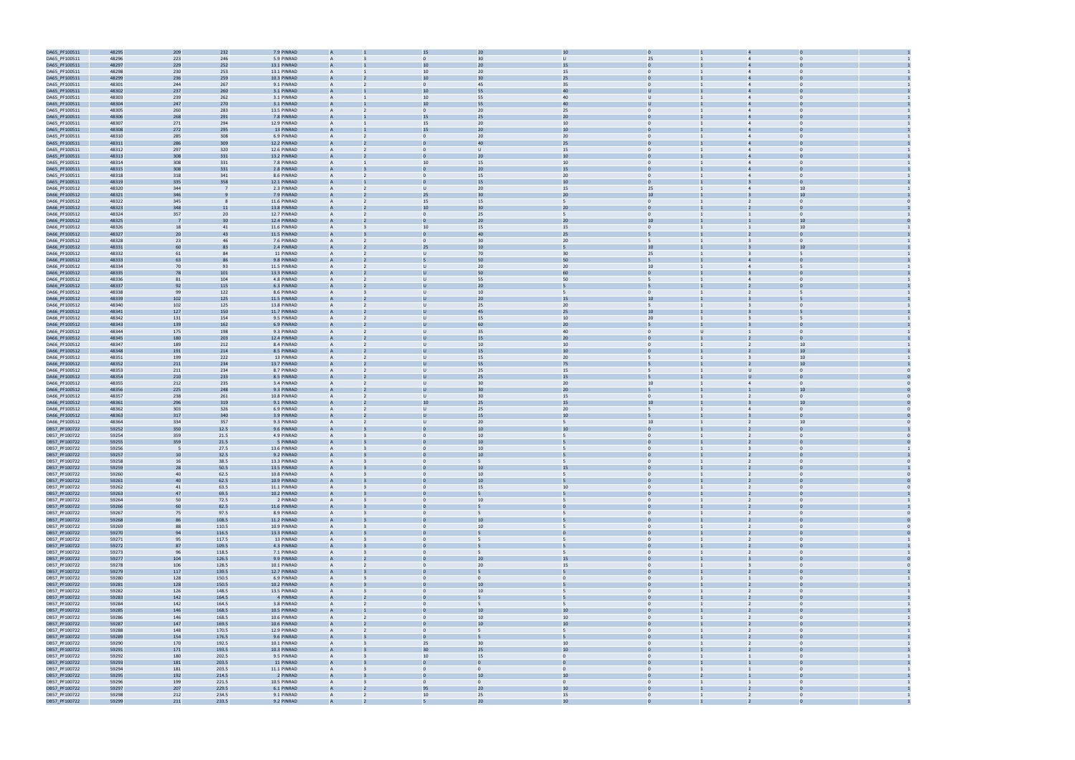

| DA65_PF100511<br>DA65_PF100511<br>DA65_PF100511 | 48295          | 209        | 232            | 7.9 PINRAD               |                | 15                         |                 | 10                 |                                |                |                |  |
|-------------------------------------------------|----------------|------------|----------------|--------------------------|----------------|----------------------------|-----------------|--------------------|--------------------------------|----------------|----------------|--|
|                                                 | 48296          | 223        | 246            | 5.9 PINRAD               |                | $\Omega$                   | 30              | $\cup$             | 25                             |                |                |  |
|                                                 | 48297          | 229        | 252            | 13.1 PINRAD              |                | 10                         | 20              | 15                 |                                |                |                |  |
| DA65_PF100511                                   | 48298          | 230        | 253            | 13.1 PINRAD              | A              | 10                         | 20              | 15                 |                                |                |                |  |
| DA65_PF100511                                   | 48299          | 236        | 259            | 10.3 PINRAD              |                | 10                         | 30              | 25                 |                                |                |                |  |
|                                                 |                |            |                |                          |                |                            |                 |                    | $\overline{0}$                 |                |                |  |
| DA65_PF100511                                   | 48301          | 244        | 267            | 9.1 PINRAD               | A              | 0                          | 45              | 35                 |                                | $\overline{4}$ | $\mathbf 0$    |  |
| DA65_PF100511                                   | 48302          | 237        | 260            | 3.1 PINRAD               |                | 10                         | 55              | 40                 |                                |                |                |  |
| DA65_PF100511                                   | 48303          | 239        | 262            | 3.1 PINRAD               | A              | 10                         | 55              | 40                 | $\mathbf{U}$                   |                | $\Omega$       |  |
| DA65_PF100511                                   | 48304          | 247        | 270            | 3.1 PINRAD               |                | 10                         | 55              | 40                 |                                |                |                |  |
| DA65_PF100511                                   | 48305          | 260        | 283            | 13.5 PINRAD              | $\mathsf{A}$   | $\mathbf{0}$               | 20              | 25                 | $\mathbf{0}$                   |                | $\Omega$       |  |
| DA65_PF100511                                   | 48306          | 268        | 291            | 7.8 PINRAD               |                | 15                         | 25              | 20                 |                                |                |                |  |
| DA65_PF100511                                   | 48307          | 271        | 294            | 12.9 PINRAD              |                | 15                         | 20              | 10                 |                                |                |                |  |
| DA65_PF100511                                   | 48308          | 272        | 295            | 13 PINRAD                |                | 15                         | 20              | 10                 |                                |                |                |  |
| DA65_PF100511                                   | 48310          | 285        | 308            | 6.9 PINRAD               | A              | $\mathbf{0}$               | 20              | 20                 | $\Omega$                       |                |                |  |
| DA65_PF100511                                   | 48311          | 286        | 309            | 12.2 PINRAD              |                |                            | 40              | 25                 |                                |                |                |  |
| DA65_PF100511                                   | 48312          | 297        | 320            | 12.6 PINRAD              | A              | $\mathbf{0}$               | U               | 15                 | $\mathbf{0}$                   | $\overline{4}$ | $\Omega$       |  |
|                                                 |                |            |                |                          |                |                            | $\overline{2}$  | 10                 |                                |                |                |  |
| DA65_PF100511                                   | 48313          | 308        | 331            | 13.2 PINRAD              |                |                            |                 |                    |                                |                |                |  |
| DA65_PF100511                                   | 48314          | 308        | 331            | 7.8 PINRAD               | A              | 10                         | 15              | 10                 | $\Omega$                       |                | $\Omega$       |  |
| DA65_PF100511                                   | 48315          | 308        | 331            | 2.8 PINRAD               |                |                            | 20              | 15                 |                                |                |                |  |
| DA65_PF100511                                   | 48318          | 318        | 341            | 8.6 PINRAD               | A              | $\Omega$                   | 15              | 20                 | $\mathbf{0}$                   |                | $\Omega$       |  |
| DA65_PF100511                                   | 48319          | 335        | 358            | 12.1 PINRAD              |                |                            | 15              | 10                 |                                |                |                |  |
| DA66_PF100512                                   | 48320          | 344        |                | 2.3 PINRAD               |                | U                          | 20              | 15                 | 25                             |                | 10             |  |
| DA66_PF100512                                   | 48321          | 346        |                | 7.9 PINRAD               |                | 25                         | $\overline{3}$  | 20                 | 10                             |                | 10             |  |
| DA66_PF100512                                   | 48322          | 345        |                | 11.6 PINRAD              |                | 15                         | 15              | 5                  | $\Omega$                       | 2              | $\Omega$       |  |
| DA66_PF100512                                   | 48323          | 348        | 11             | 13.8 PINRAD              |                | 10                         | 30              | 20                 |                                |                |                |  |
| DA66_PF100512                                   | 48324          | 357        | 20             | 12.7 PINRAD              | A              | $\mathbf{0}$               | 25              | 5                  | $\overline{0}$                 |                | $\mathbf 0$    |  |
| DA66_PF100512                                   | 48325          | -7         | 30             | 12.4 PINRAD              |                |                            | $\overline{2}$  | 20                 | 10                             |                | 10             |  |
| DA66_PF100512                                   | 48326          | 18         | 41             | 11.6 PINRAD              | A              | 10                         | 15              | 15                 | $\Omega$                       |                | 10             |  |
| DA66_PF100512                                   | 48327          | 20         | 43             | 11.5 PINRAD              |                |                            |                 | 25                 |                                |                |                |  |
| DA66_PF100512                                   |                |            |                |                          |                | $\Omega$                   | 30              |                    |                                |                | $\Omega$       |  |
|                                                 | 48328          | 23         | 46             | 7.6 PINRAD               | $\mathsf{A}$   |                            |                 | 20                 | 5                              |                |                |  |
| DA66_PF100512                                   | 48331          | 60         | 83             | 2.4 PINRAD               |                | 25                         | 10              |                    | 10                             |                |                |  |
| DA66_PF100512                                   | 48332          | 61         | 84             | 11 PINRAD                |                | $\mathbf{U}$               | 70              | 30                 | 25                             |                |                |  |
| DA66_PF100512                                   | 48333          | 63         |                | 9.8 PINRAD               |                |                            | 50              | 50                 |                                |                |                |  |
| DA66_PF100512                                   | 48334          | 70         | 93             | 11.5 PINRAD              |                | U                          | 20              | 20                 | 10                             | $\overline{4}$ |                |  |
| DA66_PF100512                                   | 48335          | 78         | 101            | 13.3 PINRAD              |                |                            | 50              | 60                 |                                |                |                |  |
| DA66_PF100512                                   | 48336          | 81         | 104            | 4.8 PINRAD               | A              | U                          | 55              | 50                 | 5                              | $\overline{4}$ | $\Omega$       |  |
| DA66_PF100512                                   | 48337          | 92         | 115            | 6.3 PINRAD               |                |                            | 20              |                    |                                |                |                |  |
| DA66_PF100512                                   | 48338          | 99         | 122            | 8.6 PINRAD               | $\mathsf{A}$   | $\mathbf{U}$               | 10              | 5                  | $\Omega$                       |                |                |  |
| DA66_PF100512                                   | 48339          | 102        | 125            | 11.5 PINRAD              |                |                            |                 |                    | 10                             |                |                |  |
| DA66_PF100512                                   | 48340          | 102        | 125            | 13.8 PINRAD              | $\mathsf{A}$   | U                          | 25              | 20                 | 5                              |                | $\Omega$       |  |
|                                                 |                |            | 150            |                          |                |                            | 45              | 25                 | 10                             |                |                |  |
| DA66_PF100512                                   | 48341          | 127        |                | 11.7 PINRAD              |                |                            |                 |                    |                                |                |                |  |
| DA66_PF100512                                   | 48342          | 131        | 154            | 9.5 PINRAD               |                | U                          | 15              | 10                 | 20                             |                |                |  |
| DA66_PF100512                                   | 48343          | 139        | 162            | 6.9 PINRAD               |                |                            | 60              | 20                 |                                |                |                |  |
| DA66_PF100512                                   | 48344          | 175        | 198            | 9.3 PINRAD               | A              | U                          | 35              | 40                 | $\Omega$                       |                | $\Omega$       |  |
| DA66_PF100512                                   | 48345          | 180        | 203            | 12.4 PINRAD              |                |                            | 15              | 20                 |                                |                |                |  |
| DA66_PF100512                                   | 48347          | 189        | 212            | 8.4 PINRAD               | A              | U                          | 10              | 10                 | $\overline{0}$                 | $\overline{2}$ | 10             |  |
| DA66_PF100512                                   | 48348          | 191        | 214            | 8.5 PINRAD               |                |                            | 15              | 10                 |                                |                | 10             |  |
| DA66_PF100512                                   | 48351          | 199        | 222            | 13 PINRAD                | A              | U                          | 15              | 20                 |                                |                | 10             |  |
| DA66_PF100512                                   | 48352          | 211        | 234            | 13.7 PINRAD              |                |                            | 55              | 75                 |                                |                | 10             |  |
| DA66_PF100512                                   | 48353          | 211        | 234            | 8.7 PINRAD               | $\mathsf{A}$   | U                          | 25              | 15                 | 5                              |                | $\Omega$       |  |
| DA66_PF100512                                   | 48354          | 210        | 233            | 8.5 PINRAD               |                |                            | 25              | 15                 |                                |                |                |  |
|                                                 |                |            |                |                          |                |                            |                 |                    |                                |                |                |  |
| DA66_PF100512                                   | 48355          | 212        | 235            | 3.4 PINRAD               |                | U                          | $\overline{3}$  | 20                 | 10                             |                |                |  |
| DA66_PF100512                                   | 48356          | 225        | 248            | 9.3 PINRAD               |                |                            | 30              | 20                 |                                |                | 10             |  |
| DA66_PF100512                                   | 48357          | 238        | 261            | 10.8 PINRAD              |                | U                          | 30              | 15                 | $\Omega$                       | $\overline{2}$ | $\Omega$       |  |
| DA66_PF100512                                   | 48361          | 296        | 319            | 9.1 PINRAD               |                | 10                         | 25              | 15                 | 10                             |                | 10             |  |
| DA66_PF100512                                   |                |            |                |                          |                | U                          | 25              | 20                 | 5                              | $\overline{4}$ | $\mathbf 0$    |  |
|                                                 |                |            |                | 6.9 PINRAD               | А              |                            |                 |                    |                                |                |                |  |
|                                                 | 48362          | 303        | 326            |                          |                |                            |                 |                    |                                |                |                |  |
| DA66_PF100512                                   | 48363          | 317        | 340            | 3.9 PINRAD               |                |                            | 15              | 10                 |                                |                |                |  |
| DA66_PF100512                                   | 48364          | 334        | 357            | 9.3 PINRAD               | A              | $\mathbf{U}$               | 20 <sub>2</sub> | 5                  | 10                             |                | 10             |  |
| DB57_PF100722                                   | 59252          | 350        | 12.5           | 9.6 PINRAD               |                |                            |                 | 10                 |                                |                |                |  |
| DB57_PF100722                                   | 59254          | 359        | 21.5           | 4.9 PINRAD               | А              |                            | 10              | 5                  | $\mathbf{0}$                   |                | $\mathbf{0}$   |  |
| DB57_PF100722                                   | 59255          | 359        | 21.5           | 5 PINRAD                 |                |                            | 10              |                    |                                |                |                |  |
| DB57_PF100722                                   | 59256          | 5          | 27.5           | 13.6 PINRAD              |                |                            | 10              |                    |                                |                | $\Omega$       |  |
| DB57_PF100722                                   | 59257          | 10         | 32.5           | 9.2 PINRAD               |                |                            |                 |                    |                                |                |                |  |
| DB57_PF100722                                   | 59258          | 16         | 38.5           | 13.3 PINRAD              |                |                            |                 | 5                  |                                |                |                |  |
| DB57_PF100722                                   | 59259          | 28         | 50.5           | 13.5 PINRAD              |                |                            | 10              | 15                 |                                |                |                |  |
| DB57_PF100722                                   | 59260          | 40         | 62.5           | 10.8 PINRAD              | $\mathsf{A}$   | $\mathbf{0}$               | 10              | 5                  | $\overline{0}$                 | $\overline{2}$ | $\overline{0}$ |  |
| DB57_PF100722                                   | 59261          | 40         | 62.5           | 10.9 PINRAD              |                |                            | 10              |                    |                                |                | $\Omega$       |  |
| DB57_PF100722                                   | 59262          | 41         | 63.5           | 11.1 PINRAD              | $\mathsf{A}$   | $\mathbf{0}$               | 15              | 10                 | $\overline{0}$                 | $\overline{2}$ | $\overline{0}$ |  |
| DB57_PF100722                                   | 59263          | 47         | 69.5           | 10.2 PINRAD              |                |                            |                 |                    |                                |                |                |  |
| DB57_PF100722                                   | 59264          | 50         | 72.5           | 2 PINRAD                 | $\mathsf{A}$   | $\mathbf{0}$               | 10              | 5 <sup>5</sup>     | $\overline{0}$                 | $\overline{2}$ | $\overline{0}$ |  |
| DB57_PF100722                                   | 59266          | 60         | 82.5           | 11.6 PINRAD              | A              |                            |                 |                    | $\overline{0}$                 |                | $\Omega$       |  |
|                                                 |                |            |                |                          | A              | $\Omega$                   | 5               | 5                  | $\overline{0}$                 | $\overline{2}$ | $\overline{0}$ |  |
| DB57_PF100722                                   | 59267          | 75         | 97.5           | 8.9 PINRAD               | A              |                            | 10              |                    | $\Omega$                       |                | $\Omega$       |  |
| DB57_PF100722                                   | 59268          | 86         | 108.5          | 11.2 PINRAD              | $\mathsf{A}$   | $\mathbf{0}$               |                 | 5                  | $\Omega$                       | $\overline{2}$ | $\Omega$       |  |
| DB57_PF100722                                   | 59269          | 88         | 110.5          | 10.9 PINRAD              |                |                            | 10              |                    |                                |                |                |  |
| DB57_PF100722                                   | 59270          | 94         | 116.5          | 13.3 PINRAD              | A              |                            |                 |                    |                                | <sup>2</sup>   | $\overline{0}$ |  |
| DB57_PF100722                                   | 59271          | 95         | 117.5          | 13 PINRAD                | $\overline{A}$ | $\mathbf{0}$               | 5               | 5                  | $\overline{0}$                 | $\overline{2}$ | $\overline{0}$ |  |
| DB57_PF100722                                   | 59272          | 87         | 109.5          | 4.3 PINRAD               | A              |                            |                 |                    |                                | $\overline{2}$ | $\Omega$       |  |
| DB57_PF100722                                   | 59273          | 96         | 118.5          | 7.1 PINRAD               | A              | $\mathbf{0}$               | 5               | 5                  | $\overline{0}$                 | $\overline{2}$ | $\overline{0}$ |  |
| DB57_PF100722                                   | 59277          | 104        | 126.5          | 9.9 PINRAD               |                |                            | 20              | 15                 |                                |                |                |  |
| DB57_PF100722                                   | 59278          | 106        | 128.5          | 10.1 PINRAD              | $\overline{A}$ | $\mathbf{0}$               | 20 <sub>2</sub> | 15                 | $\overline{0}$                 | $\overline{3}$ | $\overline{0}$ |  |
| DB57_PF100722                                   | 59279          | 117        | 139.5          | 12.7 PINRAD              | A              |                            |                 |                    | $\overline{0}$                 |                | $\Omega$       |  |
| DB57_PF100722                                   | 59280          | 128        | 150.5          | 6.9 PINRAD               | A              |                            | $\overline{0}$  | $\mathbf{0}$       | $\overline{0}$                 |                | $\Omega$       |  |
| DB57_PF100722                                   | 59281          | 128        | 150.5          | 10.2 PINRAD              | A              |                            | 10              |                    | $\Omega$                       |                | $\Omega$       |  |
| DB57_PF100722                                   | 59282          | 126        | 148.5          | 13.5 PINRAD              | $\mathsf{A}$   | $\mathbf{0}$               | 10              | 5                  | $\overline{0}$                 | $\overline{2}$ | $\Omega$       |  |
|                                                 |                |            |                |                          | A              |                            |                 |                    | $\overline{0}$                 | $\overline{2}$ | $\overline{0}$ |  |
| DB57_PF100722                                   | 59283          | 142        | 164.5          | 4 PINRAD                 | $\overline{A}$ | $\mathbf{0}$<br>2          | 5               |                    |                                |                | $\overline{0}$ |  |
| DB57_PF100722                                   | 59284          | 142        | 164.5          | 3.8 PINRAD               |                |                            |                 | 5                  | $\overline{0}$                 | $\overline{2}$ | $\Omega$       |  |
| DB57_PF100722                                   | 59285          | 146        | 168.5          | 10.5 PINRAD              | A              |                            | 10              | 10                 | $\overline{0}$                 | $\overline{2}$ |                |  |
| DB57_PF100722                                   | 59286          | 146        | 168.5          | 10.6 PINRAD              | A              | $\mathbf{0}$               | 10              | 10                 | $\overline{0}$                 | $\overline{2}$ | $\overline{0}$ |  |
| DB57_PF100722                                   | 59287          | 147        | 169.5          | 10.6 PINRAD              |                |                            | 10              | 10                 |                                |                |                |  |
| DB57_PF100722                                   | 59288          | 148        | 170.5          | 12.9 PINRAD              | $\overline{A}$ | $\mathbf{0}$               | 5               | 5                  | $\overline{0}$<br>$\mathbf{1}$ | $\overline{2}$ | $\overline{0}$ |  |
| DB57_PF100722                                   | 59289          | 154        | 176.5          | 9.6 PINRAD               | A              | $\Omega$                   |                 |                    | $\overline{0}$                 | $\overline{2}$ | $\Omega$       |  |
| DB57_PF100722                                   | 59290          | 170        | 192.5          | 10.1 PINRAD              | A              | 25                         | 30              | 10                 | $\overline{0}$                 | $\overline{2}$ | $\Omega$       |  |
| DB57_PF100722                                   | 59291          | 171        | 193.5          | 10.3 PINRAD              | A              | 30                         | 25              | 10                 | $\Omega$                       |                | $\Omega$       |  |
| DB57_PF100722                                   | 59292          | 180        | 202.5          | 9.5 PINRAD               | $\mathsf{A}$   | 10                         | 15              | $\mathbf{0}$       | $\overline{0}$                 | $\mathbf{1}$   | $\overline{0}$ |  |
| DB57_PF100722                                   | 59293          | 181        | 203.5          | 11 PINRAD                | A              | $\overline{0}$             |                 |                    | $\overline{0}$                 |                | $\overline{0}$ |  |
| DB57_PF100722                                   | 59294          | 181        | 203.5          | 11.1 PINRAD              | $\overline{A}$ | $\mathbf{0}$               | $\mathbf{0}$    | $\mathbf{0}$       | $\overline{0}$                 | $\mathbf{1}$   | $\overline{0}$ |  |
|                                                 |                |            |                |                          | A              | $\Omega$                   | 10              |                    | $\overline{0}$                 |                | $\Omega$       |  |
| DB57_PF100722                                   | 59295          | 192        | 214.5          | 2 PINRAD                 | Α              | $\mathbf{0}$               | $\overline{0}$  | 10<br>$\mathbf{0}$ | $\overline{0}$                 | $\overline{1}$ | $\Omega$       |  |
| DB57_PF100722                                   | 59296          | 199        | 221.5          | 10.5 PINRAD              |                |                            | 20              |                    |                                |                |                |  |
| DB57_PF100722<br>DB57_PF100722                  | 59297<br>59298 | 207<br>212 | 229.5<br>234.5 | 6.1 PINRAD<br>9.1 PINRAD | $\mathsf{A}$   | 95<br>10<br>$\overline{2}$ | 25              | 10<br>15           | $\overline{0}$<br>$\mathbf{1}$ | $\overline{2}$ | $\overline{0}$ |  |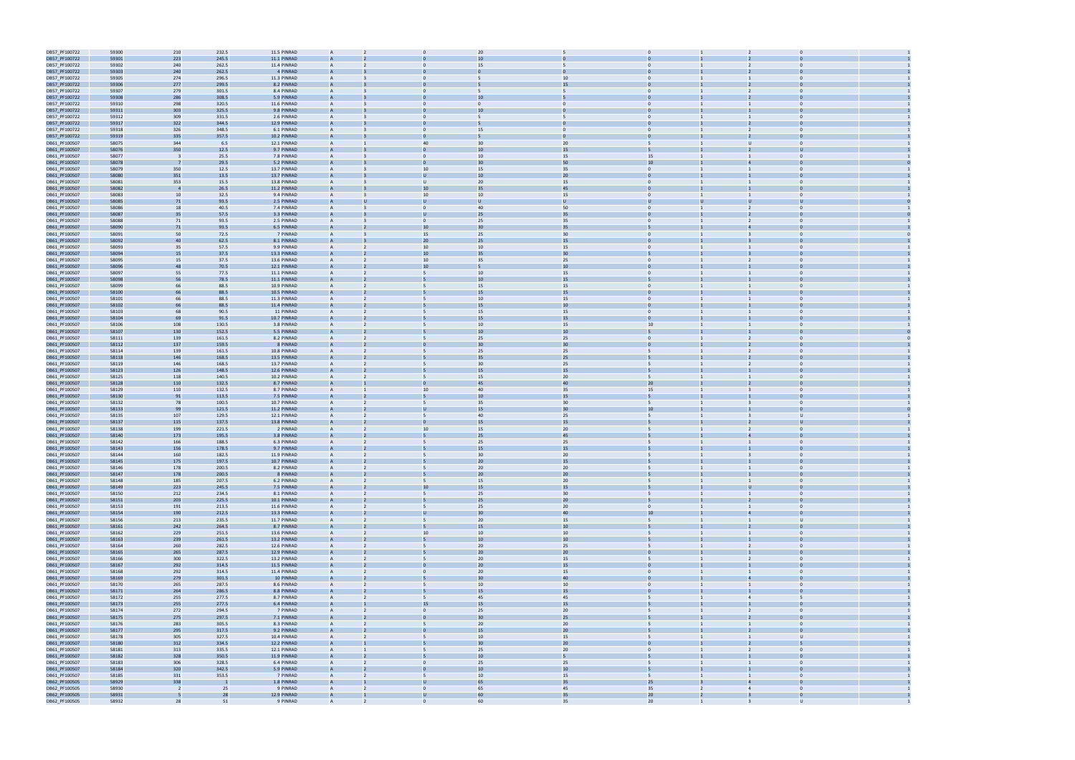| DB57_PF100722 |                |                          | 232.5 | 11.5 PINRAD | A              |                                | 20              |              |                      |                                  |  |
|---------------|----------------|--------------------------|-------|-------------|----------------|--------------------------------|-----------------|--------------|----------------------|----------------------------------|--|
|               | 59300<br>59301 | 210<br>223               | 245.5 | 11.1 PINRAD |                |                                |                 |              |                      |                                  |  |
| DB57_PF100722 |                |                          |       |             |                |                                |                 |              |                      |                                  |  |
| DB57_PF100722 | 59302          | 240                      | 262.5 | 11.4 PINRAD | $\mathsf{A}$   |                                | 15              |              | $\mathbf{0}$         | $\mathbf 0$                      |  |
| DB57_PF100722 | 59303          | 240                      | 262.5 | 4 PINRAD    |                |                                |                 |              |                      |                                  |  |
| DB57_PF100722 | 59305          | 274                      | 296.5 | 11.3 PINRAD | A              |                                |                 | 10           | $\Omega$             |                                  |  |
| DB57_PF100722 | 59306          | 277                      | 299.5 | 8.2 PINRAD  |                |                                |                 | 15           |                      |                                  |  |
|               |                |                          |       | 8.4 PINRAD  |                |                                |                 |              |                      |                                  |  |
| DB57_PF100722 | 59307          | 279                      | 301.5 |             |                |                                |                 |              |                      |                                  |  |
| DB57_PF100722 | 59308          | 286                      | 308.5 | 5.9 PINRAD  |                |                                |                 |              |                      |                                  |  |
| DB57_PF100722 | 59310          | 298                      | 320.5 | 11.6 PINRAD | A              |                                | 0               | $\mathbf{0}$ | $\mathbf{0}$         | $\Omega$                         |  |
| DB57_PF100722 | 59311          | 303                      | 325.5 | 9.8 PINRAD  |                |                                | 1 <sub>0</sub>  |              |                      |                                  |  |
|               |                |                          |       |             | A              | $\Omega$                       |                 |              | $\Omega$             | $\Omega$                         |  |
| DB57_PF100722 | 59312          | 309                      | 331.5 | 2.6 PINRAD  |                |                                |                 |              |                      |                                  |  |
| DB57_PF100722 | 59317          | 322                      | 344.5 | 12.9 PINRAD |                |                                |                 |              |                      |                                  |  |
| DB57_PF100722 | 59318          | 326                      | 348.5 | 6.1 PINRAD  | $\mathsf{A}$   |                                | 15              | $\Omega$     | $\Omega$             | $\Omega$<br>$\overline{2}$       |  |
| DB57_PF100722 | 59319          | 335                      | 357.5 | 10.2 PINRAD |                |                                |                 |              |                      |                                  |  |
| DB61_PF100507 | 58075          | 344                      | 6.5   | 12.1 PINRAD | $\mathsf{A}$   | 40                             | 30              | 20           |                      | <b>U</b>                         |  |
|               |                |                          |       |             |                |                                |                 |              |                      |                                  |  |
| DB61_PF100507 | 58076          | 350                      | 12.5  | 9.7 PINRAD  |                |                                | 1 <sub>1</sub>  | 15           |                      |                                  |  |
| DB61_PF100507 | 58077          | $\overline{\mathbf{3}}$  | 25.5  | 7.8 PINRAD  |                |                                | 10              | 15           | 15                   |                                  |  |
| DB61_PF100507 | 58078          | -7                       | 29.5  | 5.2 PINRAD  |                |                                |                 | 50           | 10                   |                                  |  |
| DB61_PF100507 | 58079          | 350                      | 12.5  | 13.7 PINRAD | A              | 10                             | 15              | 35           | $\overline{0}$       | $\Omega$                         |  |
|               |                |                          |       |             |                |                                |                 |              |                      |                                  |  |
| DB61_PF100507 | 58080          | 351                      | 13.5  | 13.7 PINRAD |                | U                              | 10              | $20\,$       |                      |                                  |  |
| DB61_PF100507 | 58081          | 353                      | 15.5  | 13.8 PINRAD | A              | $\cup$                         | 20              | 15           | $\Omega$             | $\Omega$                         |  |
| DB61_PF100507 | 58082          | $\overline{4}$           | 26.5  | 11.2 PINRAD |                | 10                             | 35              | 45           |                      |                                  |  |
| DB61_PF100507 | 58083          | 10                       | 32.5  | 9.4 PINRAD  | $\mathsf{A}$   | 10                             | 10              | 15           | $\mathbf{0}$         | $\Omega$                         |  |
| DB61_PF100507 | 58085          | 71                       | 93.5  | 2.5 PINRAD  |                |                                |                 |              |                      |                                  |  |
|               |                |                          |       |             |                |                                |                 |              |                      |                                  |  |
| DB61_PF100507 | 58086          | 18                       | 40.5  | 7.4 PINRAD  | A              | $\Omega$                       | 40              | 50           | $\Omega$             | $\overline{2}$                   |  |
| DB61_PF100507 | 58087          | 35                       | 57.5  | 3.3 PINRAD  |                |                                | 25              | 35           |                      |                                  |  |
| DB61_PF100507 | 58088          | 71                       | 93.5  | 2.5 PINRAD  |                | $\Omega$                       | 25              | 35           | $\Omega$             | $\overline{2}$                   |  |
| DB61_PF100507 | 58090          | 71                       | 93.5  | 6.5 PINRAD  |                | 10                             | 30              | 35           |                      |                                  |  |
|               |                |                          |       |             |                |                                |                 |              |                      |                                  |  |
| DB61_PF100507 | 58091          | 50                       | 72.5  | 7 PINRAD    | A              | 15                             | 25              | 30           | $\overline{0}$       | $\overline{3}$<br>$\mathbf 0$    |  |
| DB61_PF100507 | 58092          | 40                       | 62.5  | 8.1 PINRAD  |                | 20 <sub>2</sub>                | 25              | 15           |                      |                                  |  |
| DB61_PF100507 | 58093          | 35                       | 57.5  | 9.9 PINRAD  | A              | 10                             | 10              | 15           | $\Omega$             | $\Omega$                         |  |
| DB61_PF100507 | 58094          | 15                       | 37.5  | 13.3 PINRAD |                | 10                             | 35              | 30           |                      |                                  |  |
|               |                |                          |       |             | A              |                                | 35              |              | $\Omega$             | $\Omega$                         |  |
| DB61_PF100507 | 58095          | 15                       | 37.5  | 13.6 PINRAD |                | 10                             |                 | 25           |                      |                                  |  |
| DB61_PF100507 | 58096          | 48                       | 70.5  | 12.1 PINRAD |                | 10                             |                 | 10           |                      |                                  |  |
| DB61_PF100507 | 58097          | 55                       | 77.5  | 11.1 PINRAD | A              | 5                              | 10              | 15           | $\Omega$             |                                  |  |
| DB61_PF100507 | 58098          | 56                       | 78.5  | 11.1 PINRAD |                |                                | 10              | 15           |                      |                                  |  |
| DB61_PF100507 | 58099          | 66                       | 88.5  | 10.9 PINRAD |                |                                | 15              | 15           |                      |                                  |  |
|               |                |                          |       |             |                |                                |                 |              |                      |                                  |  |
| DB61_PF100507 | 58100          | 66                       | 88.5  | 10.5 PINRAD |                |                                | 15              | 15           |                      |                                  |  |
| DB61_PF100507 | 58101          | 66                       | 88.5  | 11.3 PINRAD | A              | 5                              | 10              | 15           | $\mathbf{0}$         | $\mathbf 0$                      |  |
| DB61_PF100507 | 58102          | 66                       | 88.5  | 11.4 PINRAD |                |                                | 15              | $10\,$       |                      |                                  |  |
| DB61_PF100507 | 58103          | 68                       | 90.5  | 11 PINRAD   | A              | 5                              | 15              | 15           | $\Omega$             | $\Omega$                         |  |
|               |                |                          |       |             |                |                                |                 |              |                      |                                  |  |
| DB61_PF100507 | 58104          | 69                       | 91.5  | 10.7 PINRAD |                |                                | 15              | 15           |                      |                                  |  |
| DB61_PF100507 | 58106          | 108                      | 130.5 | 3.8 PINRAD  | A              | 5                              | 10              | 15           | 10                   | $\Omega$                         |  |
| DB61_PF100507 | 58107          | 130                      | 152.5 | 5.5 PINRAD  |                |                                | 10              | 10           |                      |                                  |  |
| DB61_PF100507 | 58111          | 139                      | 161.5 | 8.2 PINRAD  | A              | 5                              | 25              | 25           | $\Omega$             | 2                                |  |
|               |                |                          |       |             | A              |                                | 30              |              |                      |                                  |  |
| DB61_PF100507 | 58112          | 137                      | 159.5 | 8 PINRAD    |                |                                |                 | 30           |                      |                                  |  |
| DB61_PF100507 | 58114          | 139                      | 161.5 | 10.8 PINRAD |                |                                | 25              | 25           |                      |                                  |  |
| DB61_PF100507 | 58118          | 146                      | 168.5 | 13.5 PINRAD |                |                                | 35              | 25           |                      |                                  |  |
| DB61_PF100507 | 58119          | 146                      | 168.5 | 13.7 PINRAD | A              | 5                              | 30              | 25           | 5                    | $\Omega$<br>2                    |  |
| DB61_PF100507 | 58123          | 126                      | 148.5 | 12.6 PINRAD |                |                                | 15              | 15           |                      |                                  |  |
|               |                |                          |       |             |                |                                |                 |              |                      |                                  |  |
| DB61_PF100507 | 58125          | 118                      | 140.5 | 10.2 PINRAD | $\mathsf{A}$   | 5                              | 15              | 20           | 5                    | $\Omega$                         |  |
| DB61_PF100507 | 58128          | 110                      | 132.5 | 8.7 PINRAD  |                |                                | 4 <sup>5</sup>  | 40           | 20                   |                                  |  |
| DB61_PF100507 | 58129          | 110                      | 132.5 | 8.7 PINRAD  | A              | 10                             | 40              | 35           | 15                   | $\Omega$                         |  |
| DB61_PF100507 | 58130          | 91                       | 113.5 | 7.5 PINRAD  |                |                                | 10              | 15           |                      |                                  |  |
|               |                |                          |       |             |                | 5                              |                 |              |                      |                                  |  |
| DB61_PF100507 | 58132          | 78                       | 100.5 | 10.7 PINRAD | A              |                                | 35              | 30           |                      |                                  |  |
| DB61_PF100507 | 58133          | 99                       | 121.5 | 11.2 PINRAD |                |                                | 15              | 30           | 10                   |                                  |  |
| DB61_PF100507 | 58135          | 107                      | 129.5 | 12.1 PINRAD |                |                                | 40              | 25           |                      |                                  |  |
| DB61_PF100507 | 58137          | 115                      | 137.5 | 13.8 PINRAD |                |                                | 15              | 15           |                      |                                  |  |
|               |                |                          | 221.5 |             |                |                                |                 |              |                      | $\Omega$                         |  |
| DB61_PF100507 | 58138          | 199                      |       | 2 PINRAD    | A              | 10                             | 15              | 20           |                      |                                  |  |
| DB61_PF100507 | 58140          |                          |       |             |                |                                |                 |              |                      |                                  |  |
| DB61_PF100507 | 58142          | 173                      | 195.5 | 3.8 PINRAD  |                |                                | 25              | 45           |                      |                                  |  |
| DB61_PF100507 |                | 166                      | 188.5 | 6.3 PINRAD  | A              | 5                              | 25              | 25           | 5                    | $\Omega$                         |  |
|               |                |                          |       |             |                |                                | 15              |              |                      |                                  |  |
| DB61_PF100507 | 58143          | 156                      | 178.5 | 9.7 PINRAD  |                |                                |                 | 15           |                      |                                  |  |
| DB61_PF100507 | 58144          | 160                      | 182.5 | 11.9 PINRAD |                |                                |                 | 20           |                      |                                  |  |
|               | 58145          | 175                      | 197.5 | 10.7 PINRAD |                |                                | 20              | 15           |                      |                                  |  |
| DB61_PF100507 | 58146          | 178                      | 200.5 | 8.2 PINRAD  | $\overline{A}$ | 5                              | 20 <sub>2</sub> | 20           | 5                    | $\mathbf{1}$<br>$\Omega$         |  |
| DB61_PF100507 | 58147          | 178                      | 200.5 | 8 PINRAD    | A              | 5                              | 20 <sub>2</sub> | 20           |                      | $\Omega$                         |  |
|               |                |                          |       |             | A              | 5                              |                 |              |                      | $\overline{1}$<br>$\Omega$       |  |
| DB61_PF100507 | 58148          | 185                      | 207.5 | 6.2 PINRAD  |                |                                | 15              | 20           |                      |                                  |  |
| DB61_PF100507 | 58149          | 223                      | 245.5 | 7.5 PINRAD  | A              | 10 <sup>10</sup>               | 15              | 15           |                      | $\overline{0}$<br>U              |  |
| DB61 PF100507 | 58150          | 212                      | 234.5 | 8.1 PINRAD  | $\mathsf{A}$   | 5 <sub>1</sub>                 | 25              | 30           | 5 <sup>5</sup>       | $\overline{0}$<br>$\mathbf{1}$   |  |
| DB61_PF100507 | 58151          | 203                      | 225.5 | 10.1 PINRAD | A              | 5                              | 25              | $20\,$       |                      | $\overline{0}$                   |  |
| DB61_PF100507 | 58153          | 191                      | 213.5 | 11.6 PINRAD | $\overline{A}$ | 5<br><sup>2</sup>              | 25              | 20           | $\overline{0}$       | $\overline{0}$<br>$\mathbf{1}$   |  |
| DB61_PF100507 | 58154          | 190                      | 212.5 | 13.3 PINRAD | A              | $\mathbf{U}$                   | 30              | 40           | 10                   | $\overline{4}$<br>$\Omega$       |  |
|               |                |                          |       |             | $\mathsf{A}$   | 5                              |                 |              |                      | U<br>$\mathbf{1}$                |  |
| DB61_PF100507 | 58156          | 213                      | 235.5 | 11.7 PINRAD |                |                                | 20 <sub>2</sub> | 15           | 5 <sup>5</sup>       |                                  |  |
| DB61_PF100507 | 58161          | 242                      | 264.5 | 8.7 PINRAD  |                |                                | 15              | 10           |                      | $\Omega$                         |  |
| DB61_PF100507 | 58162          | 229                      | 251.5 | 13.6 PINRAD | $\overline{A}$ | 10                             | 10              | 10           | 5 <sup>5</sup>       | $\overline{0}$<br>$\mathbf{1}$   |  |
| DB61_PF100507 | 58163          | 239                      | 261.5 | 13.2 PINRAD | A              | 5                              | 10              | 10           |                      | $\Omega$                         |  |
| DB61_PF100507 | 58164          | 260                      | 282.5 | 12.6 PINRAD | A              | 5                              | 20 <sub>2</sub> | 25           | 5                    | $\overline{2}$<br>$\Omega$       |  |
|               |                |                          |       |             |                |                                |                 |              |                      |                                  |  |
| DB61_PF100507 | 58165          | 265                      | 287.5 | 12.9 PINRAD | A              | 5                              | 20 <sub>2</sub> | 20           | $\mathbf{0}$         | $\mathbf 0$                      |  |
| DB61_PF100507 | 58166          | 300                      | 322.5 | 13.2 PINRAD | $\mathsf{A}$   | 5                              | 20 <sub>2</sub> | 15           | 5 <sup>5</sup>       | $\overline{0}$<br>$\overline{2}$ |  |
| DB61_PF100507 | 58167          | 292                      | 314.5 | 11.5 PINRAD | A              |                                | 20              | 15           |                      | $\Omega$                         |  |
| DB61_PF100507 | 58168          | 292                      | 314.5 | 11.4 PINRAD | $\overline{A}$ | $\mathbf{0}$                   | 20 <sub>2</sub> | 15           | $\overline{0}$       | $\overline{1}$<br>$\overline{0}$ |  |
|               |                |                          |       | 10 PINRAD   | A              | 5                              | 30              | 40           | $\overline{0}$       | $\overline{4}$<br>$\Omega$       |  |
| DB61_PF100507 | 58169          | 279                      | 301.5 |             |                |                                |                 |              |                      |                                  |  |
| DB61_PF100507 | 58170          | 265                      | 287.5 | 8.6 PINRAD  | $\mathsf{A}$   | 5                              | 10              | 10           | $\overline{0}$       | $\overline{0}$<br>$\mathbf{1}$   |  |
| DB61_PF100507 | 58171          | 264                      | 286.5 | 8.8 PINRAD  |                |                                | 15              | 15           |                      | $\Omega$                         |  |
| DB61_PF100507 | 58172          | 255                      | 277.5 | 8.7 PINRAD  | $\mathsf{A}$   | 5                              | 45              | 45           | 5 <sup>5</sup>       | $\overline{4}$<br>5              |  |
|               |                |                          |       | 6.4 PINRAD  | A              | 15                             | 15              | 15           |                      | $\Omega$                         |  |
| DB61_PF100507 | 58173          | 255                      | 277.5 |             |                |                                |                 |              |                      | $\Omega$                         |  |
| DB61_PF100507 | 58174          | 272                      | 294.5 | 7 PINRAD    | A              | $\mathbf{0}$                   | 25              | $20\,$       | 5                    | $\overline{2}$                   |  |
| DB61_PF100507 | 58175          | 275                      | 297.5 | 7.1 PINRAD  | A              |                                | 30 <sub>2</sub> | 25           |                      | $\overline{2}$<br>$\mathbf 0$    |  |
| DB61_PF100507 | 58176          | 283                      | 305.5 | 8.3 PINRAD  | $\mathsf{A}$   | 5                              | 20              | 20           | 5 <sup>5</sup>       | $\mathbf{1}$<br>$\overline{0}$   |  |
| DB61_PF100507 | 58177          | 295                      | 317.5 | 9.2 PINRAD  | A              |                                | 15              | $20\,$       |                      | $\Omega$                         |  |
|               |                |                          |       |             | $\overline{A}$ | 5<br>2                         |                 |              |                      | U<br>$\mathbf{1}$                |  |
| DB61_PF100507 | 58178          | 305                      | 327.5 | 10.4 PINRAD |                |                                | 10              | 15           | 5 <sup>5</sup>       |                                  |  |
| DB61_PF100507 | 58180          | 312                      | 334.5 | 12.2 PINRAD | A              | 5                              | 30              | 20           |                      | $\overline{2}$<br>5              |  |
| DB61_PF100507 | 58181          | 313                      | 335.5 | 12.1 PINRAD | $\mathsf{A}$   | 5                              | 25              | 20           | $\overline{0}$       | $\overline{0}$<br>$\overline{2}$ |  |
| DB61_PF100507 | 58182          | 328                      | 350.5 | 11.9 PINRAD |                |                                | 10              |              |                      | $\Omega$                         |  |
|               |                |                          |       | 6.4 PINRAD  | $\overline{A}$ | $\mathbf{0}$                   | 25              |              | 5 <sup>5</sup>       | $\Omega$<br>$\mathbf{1}$         |  |
| DB61_PF100507 | 58183          | 306                      | 328.5 |             |                |                                |                 | 25           |                      |                                  |  |
| DB61_PF100507 | 58184          | 320                      | 342.5 | 5.9 PINRAD  | A              |                                | 10              | 10           | 5                    | $\Omega$                         |  |
| DB61_PF100507 | 58185          | 331                      | 353.5 | 7 PINRAD    | A              | 5                              | 10              | 15           |                      | $\Omega$<br>$\overline{1}$       |  |
| DB62_PF100505 | 58929          | 338                      |       | 1.8 PINRAD  | A              | U                              | 65              | 35           | 25                   | $\overline{4}$<br>$\Omega$       |  |
| DB62_PF100505 | 58930          | $\overline{\phantom{0}}$ | 25    | 9 PINRAD    | $\mathsf{A}$   | $\mathbf{0}$<br>$\overline{2}$ | 65              | 45           | 35<br>$\overline{2}$ | $\overline{4}$<br>$\overline{0}$ |  |
| DB62_PF100505 | 58931          | - 5                      | 28    | 12.9 PINRAD | А              | U                              | 60              | 35           | 20                   | $\overline{0}$                   |  |

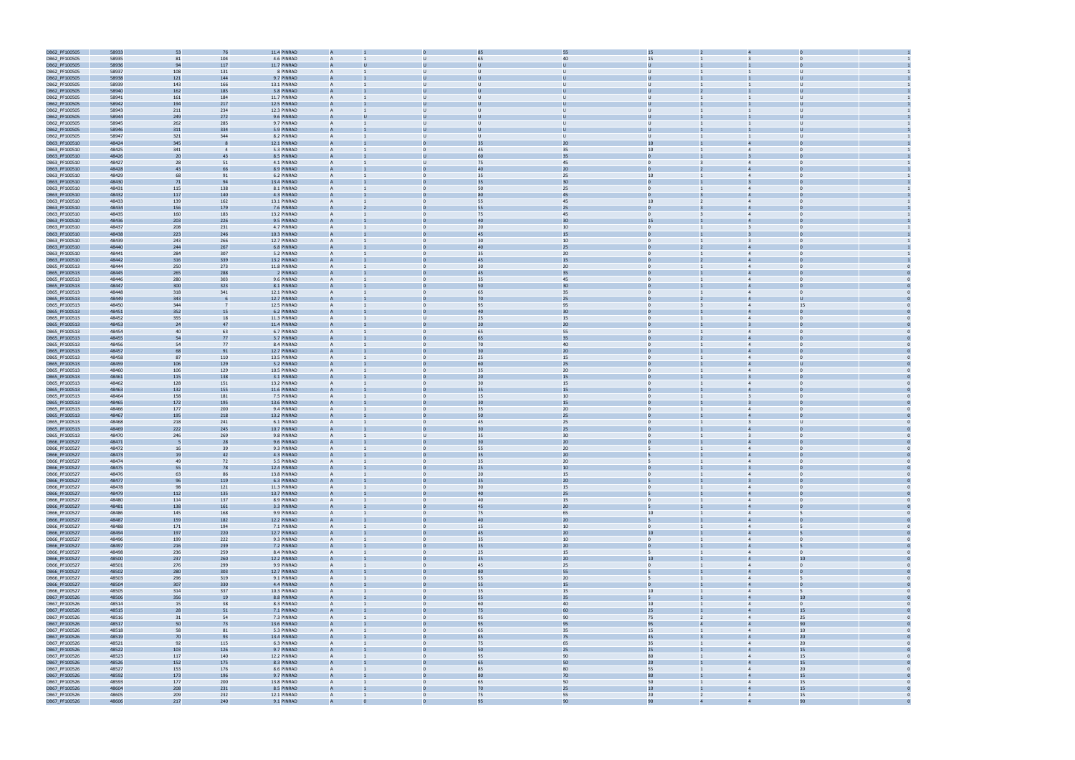

| DB62_PF100505 | 58933 | 53  | 76             | 11.4 PINRAD |                |                |                 | 55           | 15                   |                                |  |
|---------------|-------|-----|----------------|-------------|----------------|----------------|-----------------|--------------|----------------------|--------------------------------|--|
|               |       |     |                |             |                |                |                 |              |                      |                                |  |
| DB62_PF100505 | 58935 | 81  | 104            | 4.6 PINRAD  | A              | U              | 65              | 40           | 15                   |                                |  |
| DB62_PF100505 | 58936 | 94  | 117            | 11.7 PINRAD |                |                |                 |              |                      |                                |  |
| DB62_PF100505 | 58937 | 108 | 131            | 8 PINRAD    | A              | $\mathbf{U}$   | U               | $\mathbf{U}$ | $\cup$               | $\overline{1}$                 |  |
| DB62_PF100505 | 58938 | 121 | 144            | 9.7 PINRAD  |                |                |                 |              | U                    |                                |  |
|               |       |     |                |             |                |                |                 |              |                      |                                |  |
| DB62_PF100505 | 58939 | 143 | 166            | 13.1 PINRAD |                |                |                 |              | $\cup$               |                                |  |
| DB62_PF100505 | 58940 | 162 | 185            | 3.8 PINRAD  |                |                |                 |              | U                    |                                |  |
| DB62_PF100505 | 58941 | 161 | 184            | 11.7 PINRAD | A              | U              | $\mathbf{U}$    | $\mathbf{U}$ | $\cup$               | $\cup$                         |  |
| DB62_PF100505 | 58942 | 194 | 217            | 12.5 PINRAD |                |                |                 |              |                      |                                |  |
|               |       |     |                |             |                |                |                 |              |                      |                                |  |
| DB62_PF100505 | 58943 | 211 | 234            | 12.3 PINRAD | A              | $\mathbf{U}$   | $\mathbf{U}$    | U            | $\cup$               | $\cup$                         |  |
| DB62_PF100505 | 58944 | 249 | 272            | 9.6 PINRAD  |                |                |                 |              | Ü                    |                                |  |
| DB62_PF100505 | 58945 | 262 | 285            | 9.7 PINRAD  |                | U              | U               | U            | $\cup$               | U                              |  |
|               | 58946 |     | 334            | 5.9 PINRAD  |                |                |                 |              |                      |                                |  |
| DB62_PF100505 |       | 311 |                |             |                |                |                 |              |                      |                                |  |
| DB62_PF100505 | 58947 | 321 | 344            | 8.2 PINRAD  | A              | $\mathbf{U}$   | U               | $\cup$       | $\cup$               |                                |  |
| DB63_PF100510 | 48424 | 345 |                | 12.1 PINRAD |                |                | 35              | 20           | 10                   |                                |  |
| DB63_PF100510 | 48425 | 341 |                | 5.3 PINRAD  |                |                | 45              | 35           | 10                   | $\overline{4}$                 |  |
|               |       |     |                |             |                |                | 60              |              |                      |                                |  |
| DB63_PF100510 | 48426 | 20  | 43             | 8.5 PINRAD  |                |                |                 | 35           |                      |                                |  |
| DB63_PF100510 | 48427 | 28  | 51             | 4.1 PINRAD  | A              | U              | 75              | 45           | $\overline{0}$       | $\Omega$<br>$\overline{4}$     |  |
| DB63_PF100510 | 48428 | 43  | 66             | 8.9 PINRAD  |                |                | 40              | $20\,$       |                      |                                |  |
| DB63_PF100510 | 48429 | 68  | 91             | 6.2 PINRAD  | A              | $\Omega$       | 35              | 25           | 10                   | $\overline{4}$                 |  |
|               |       |     |                |             |                |                |                 |              |                      |                                |  |
| DB63_PF100510 | 48430 | 71  | 94             | 13.4 PINRAD |                |                | 35              | 30           |                      |                                |  |
| DB63_PF100510 | 48431 | 115 | 138            | 8.1 PINRAD  | A              |                | 50              | 25           | $\mathbf{0}$         | $\Omega$                       |  |
| DB63_PF100510 | 48432 | 117 | 140            | 4.3 PINRAD  |                |                |                 | 45           |                      |                                |  |
| DB63_PF100510 | 48433 | 139 | 162            | 13.1 PINRAD | A              |                | 55              | 45           | 10 <sup>1</sup>      | $\overline{4}$                 |  |
|               |       |     |                |             |                |                |                 |              |                      |                                |  |
| DB63_PF100510 | 48434 | 156 | 179            | 7.6 PINRAD  |                |                | 55              | 25           | $\Omega$             | $\Delta$                       |  |
| DB63_PF100510 | 48435 | 160 | 183            | 13.2 PINRAD |                |                | 75              | 45           | $\Omega$             | $\overline{4}$                 |  |
| DB63_PF100510 | 48436 | 203 | 226            | 9.5 PINRAD  |                |                | 40              | 30           | 15                   |                                |  |
| DB63_PF100510 | 48437 | 208 | 231            | 4.7 PINRAD  | A              | $\mathbf{0}$   | 20              | 10           | $\overline{0}$       | $\overline{3}$<br>$\Omega$     |  |
|               |       |     |                |             |                |                | 45              |              |                      |                                |  |
| DB63_PF100510 | 48438 | 223 | 246            | 10.3 PINRAD |                |                |                 | 15           |                      |                                |  |
| DB63_PF100510 | 48439 | 243 | 266            | 12.7 PINRAD | A              | $\Omega$       | 30              | 10           | $\Omega$             | $\Omega$                       |  |
| DB63_PF100510 | 48440 | 244 | 267            | 6.8 PINRAD  |                |                | 4 <sub>0</sub>  | 25           |                      |                                |  |
| DB63_PF100510 | 48441 | 284 | 307            | 5.2 PINRAD  | A              |                | 35              | 20           | $\mathbf{0}$         | $\Omega$                       |  |
|               |       |     |                |             |                |                |                 |              |                      |                                |  |
| DB63_PF100510 | 48442 | 316 | 339            | 13.2 PINRAD |                |                | 45              | 15           |                      |                                |  |
| DB65_PF100513 | 48444 | 250 | 273            | 11.8 PINRAD | A              |                | 30              | 20           | $\Omega$             | $\overline{4}$                 |  |
| DB65_PF100513 | 48445 | 265 | 288            | 2 PINRAD    |                |                | 45              | 35           |                      |                                |  |
| DB65_PF100513 | 48446 | 280 | 303            | 9.6 PINRAD  |                |                | 35              | 45           |                      |                                |  |
|               |       |     |                |             |                |                |                 |              |                      |                                |  |
| DB65_PF100513 | 48447 | 300 | 323            | 8.1 PINRAD  |                |                | 50              | 30           |                      |                                |  |
| DB65_PF100513 | 48448 | 318 | 341            | 12.1 PINRAD | A              | $\Omega$       | 65              | 35           | $\overline{0}$       | $\Omega$<br>$\overline{4}$     |  |
| DB65_PF100513 | 48449 | 343 |                | 12.7 PINRAD |                |                | 70              | 25           |                      |                                |  |
| DB65_PF100513 | 48450 | 344 | $\overline{7}$ | 12.5 PINRAD | A              | $\mathbf{0}$   | 95              | 95           | $\Omega$             | 15<br>$\overline{4}$           |  |
|               |       |     |                |             |                |                | 4 <sub>0</sub>  |              |                      |                                |  |
| DB65_PF100513 | 48451 | 352 | 15             | 6.2 PINRAD  |                |                |                 | 30           |                      |                                |  |
| DB65_PF100513 | 48452 | 355 | 18             | 11.3 PINRAD | A              | $\mathbf{U}$   | 25              | 15           | $\Omega$             | $\overline{4}$<br>$\Omega$     |  |
| DB65_PF100513 | 48453 | 24  | 47             | 11.4 PINRAD |                |                | 20              | 20           |                      |                                |  |
| DB65_PF100513 | 48454 | 40  | 63             | 6.7 PINRAD  | A              | $\Omega$       | 65              | 55           | $\Omega$             | $\overline{4}$                 |  |
|               |       |     |                |             |                |                |                 |              |                      |                                |  |
| DB65_PF100513 | 48455 | 54  | 77             | 3.7 PINRAD  |                |                | 65              | 35           |                      |                                |  |
| DB65_PF100513 | 48456 | 54  | 77             | 8.4 PINRAD  |                |                | 70              | 40           |                      |                                |  |
| DB65_PF100513 | 48457 | 68  | 91             | 12.7 PINRAD |                |                |                 | 20           |                      |                                |  |
| DB65_PF100513 | 48458 | 87  | 110            | 13.5 PINRAD | A              | $\mathbf{0}$   | 25              | 15           | $\mathbf{0}$         | $\Omega$<br>$\overline{4}$     |  |
|               |       |     |                |             |                |                |                 |              |                      |                                |  |
| DB65_PF100513 | 48459 | 106 | 129            | 5.2 PINRAD  |                |                | <b>60</b>       | 25           |                      |                                |  |
| DB65_PF100513 | 48460 | 106 | 129            | 10.5 PINRAD | A              | $\mathbf{0}$   | 35              | 20           | $\mathbf{0}$         | $\Omega$<br>$\overline{4}$     |  |
| DB65_PF100513 | 48461 | 115 | 138            | 3.1 PINRAD  |                |                | 20              | 15           |                      |                                |  |
| DB65_PF100513 | 48462 | 128 | 151            | 13.2 PINRAD | A              | $\Omega$       | 30              | 15           | $\Omega$             |                                |  |
|               |       |     |                |             |                |                |                 |              |                      |                                |  |
| DB65_PF100513 | 48463 | 132 | 155            | 11.6 PINRAD |                |                |                 | 15           |                      |                                |  |
| DB65_PF100513 | 48464 | 158 | 181            | 7.5 PINRAD  | A              |                | 15              | 10           | $\Omega$             | $\overline{3}$                 |  |
| DB65_PF100513 | 48465 | 172 | 195            | 13.6 PINRAD |                |                | 30              | 15           |                      |                                |  |
| DB65_PF100513 | 48466 | 177 | 200            | 9.4 PINRAD  |                |                | 35              | $20\,$       |                      |                                |  |
|               |       |     |                |             |                |                |                 |              |                      |                                |  |
| DB65_PF100513 | 48467 | 195 | 218            | 13.2 PINRAD |                |                | 50              | 25           |                      |                                |  |
| DB65_PF100513 | 48468 | 218 | 241            | 6.1 PINRAD  | A              | $\mathbf{0}$   | 45              | 25           | $\mathbf{0}$         | 3                              |  |
| DB65_PF100513 | 48469 | 222 | 245            | 10.7 PINRAD |                |                | 3 <sub>0</sub>  | 25           |                      | $\overline{4}$                 |  |
| DB65_PF100513 | 48470 | 246 | 269            | 9.8 PINRAD  | A              | $\mathbf{U}$   |                 | 30           | $\overline{0}$       | $\overline{3}$<br>$\Omega$     |  |
|               |       |     |                |             |                |                | 35              |              |                      |                                |  |
| DB66_PF100527 | 48471 |     | 28             | 9.6 PINRAD  |                |                |                 | 20           |                      |                                |  |
| DB66_PF100527 | 48472 | 16  | 39             | 9.3 PINRAD  | A              | $\Omega$       | 55              | 20           | 5                    | $\Omega$<br>$\overline{4}$     |  |
| DB66_PF100527 | 48473 | 19  | 42             | 4.3 PINRAD  |                |                | 35              | 20           |                      |                                |  |
|               |       |     |                |             |                |                |                 |              |                      |                                |  |
| DB66_PF100527 | 48474 | 49  | 72             | 5.5 PINRAD  |                |                | 35              | $20\,$       |                      | $\overline{4}$                 |  |
| DB66_PF100527 | 48475 | 55  | 78             | 12.4 PINRAD |                |                | 25              | 10           |                      |                                |  |
| DB66_PF100527 | 48476 | 63  | 86             | 13.8 PINRAD | A              | $\mathbf{0}$   | 20              | 15           | $\mathbf{0}$         | $\overline{4}$<br>$\Omega$     |  |
| DB66_PF100527 | 48477 | 96  | 119            | 6.3 PINRAD  |                |                | 35              | 20           |                      | $\overline{3}$                 |  |
| DB66_PF100527 | 48478 | 98  | 121            | 11.3 PINRAD | A              | $\mathbf{0}$   | 30 <sup>°</sup> | 15           | $\overline{0}$       | $\mathbf{0}$<br>$\overline{4}$ |  |
|               |       |     |                |             |                |                |                 |              |                      |                                |  |
| DB66_PF100527 | 48479 | 112 | 135            | 13.7 PINRAD | А              |                | 40              | 25           |                      | $\overline{4}$                 |  |
| DB66_PF100527 | 48480 | 114 | 137            | 8.9 PINRAD  | $\overline{A}$ | $\mathbf{0}$   | 40              | 15           | $\overline{0}$       | $\overline{4}$<br>$\mathbf{0}$ |  |
| DB66_PF100527 | 48481 | 138 | 161            | 3.3 PINRAD  | A              |                | 45              | 20           |                      | $\overline{a}$                 |  |
| DB66_PF100527 | 48486 | 145 | 168            | 9.9 PINRAD  | $\overline{A}$ | $\mathbf{0}$   | 75              | 65           | 10                   | $\overline{4}$<br>5            |  |
| DB66_PF100527 | 48487 | 159 | 182            | 12.2 PINRAD |                |                | 40              | 20           |                      |                                |  |
|               |       |     |                |             |                |                |                 |              |                      |                                |  |
| DB66_PF100527 | 48488 | 171 | 194            | 7.1 PINRAD  | $\overline{A}$ | $\mathbf{0}$   | 15              | 10           | $\overline{0}$       | $\overline{4}$<br>5            |  |
| DB66_PF100527 | 48494 | 197 | 220            | 12.7 PINRAD | A              |                | 45              | 20           | 10                   | $\overline{4}$                 |  |
| DB66_PF100527 | 48496 | 199 | 222            | 9.3 PINRAD  | $\overline{A}$ | $\Omega$       | 35              | 10           | $\overline{0}$       | $\overline{4}$<br>$\Omega$     |  |
|               | 48497 | 216 | 239            | 7.2 PINRAD  | A              |                | 35              | 20           | $\overline{0}$       | $\overline{4}$                 |  |
| DB66_PF100527 |       |     |                |             |                |                |                 |              |                      |                                |  |
| DB66_PF100527 | 48498 | 236 | 259            | 8.4 PINRAD  | $\mathsf{A}$   | $\mathbf{0}$   | 25              | 15           | 5                    | $\mathbf{0}$<br>$\overline{4}$ |  |
| DB66_PF100527 | 48500 | 237 | 260            | 12.2 PINRAD | А              |                | 35              | $20\,$       | 10                   | 10<br>$\overline{4}$           |  |
| DB66_PF100527 | 48501 | 276 | 299            | 9.9 PINRAD  | $\overline{A}$ | $\overline{0}$ | 45              | 25           | $\overline{0}$       | $\overline{4}$<br>$\mathbf{0}$ |  |
|               |       |     |                |             |                |                | 80              |              |                      | $\overline{4}$                 |  |
| DB66_PF100527 | 48502 | 280 | 303            | 12.7 PINRAD |                |                |                 | 55           |                      |                                |  |
| DB66_PF100527 | 48503 | 296 | 319            | 9.1 PINRAD  | A              | $\mathbf{0}$   | 55              | $20\,$       | 5                    | $\overline{4}$<br>5            |  |
| DB66_PF100527 | 48504 | 307 | 330            | 4.4 PINRAD  |                |                | 55              | 15           |                      |                                |  |
| DB66_PF100527 | 48505 | 314 | 337            | 10.3 PINRAD | A              | $\mathbf{0}$   | 35              | 15           | 10                   | 5<br>$\overline{4}$            |  |
|               |       |     |                |             | A              |                |                 |              | 5                    | $\overline{4}$<br>10           |  |
| DB67_PF100526 | 48506 | 356 | 1 <sup>c</sup> | 8.8 PINRAD  |                |                | 55              | 35           |                      |                                |  |
| DB67_PF100526 | 48514 | 15  | 38             | 8.3 PINRAD  | A              | $\Omega$       | 60              | 40           | 10                   | $\overline{4}$<br>$\mathbf{0}$ |  |
| DB67_PF100526 | 48515 | 28  | 51             | 7.1 PINRAD  | A              |                | 75              | 60           | 25                   | 15<br>$\overline{4}$           |  |
| DB67_PF100526 | 48516 | 31  | 54             | 7.3 PINRAD  | $\mathsf{A}$   | $\mathbf{0}$   | 95              | 90           | 75<br>$\overline{2}$ | 25<br>$\overline{4}$           |  |
| DB67_PF100526 |       |     |                |             |                |                | 95              |              | 4                    | 90<br>$\overline{4}$           |  |
|               | 48517 | 50  | 73             | 13.6 PINRAD | А              |                |                 | 95           | 95                   |                                |  |
| DB67_PF100526 | 48518 | 58  | 81             | 5.3 PINRAD  | $\overline{A}$ | $\mathbf{0}$   | 65              | 35           | 15                   | 10<br>$\overline{4}$           |  |
| DB67_PF100526 | 48519 | 70  | 93             | 13.4 PINRAD | $\overline{A}$ |                | 85              | 75           | 45                   | 20<br>$\overline{4}$           |  |
| DB67_PF100526 | 48521 | 92  | 115            | 6.3 PINRAD  | A              | $\mathbf{0}$   | 75              | 65           | 35                   | 20<br>$\overline{4}$           |  |
| DB67_PF100526 | 48522 | 103 | 126            | 9.7 PINRAD  |                |                | 50              | 25           | 25                   | 15                             |  |
|               |       |     |                |             |                |                |                 |              |                      |                                |  |
| DB67_PF100526 | 48523 | 117 | 140            | 12.2 PINRAD | $\overline{A}$ | $\mathbf{0}$   | 95              | 90           | 80                   | 15<br>$\overline{4}$           |  |
| DB67_PF100526 | 48526 | 152 | 175            | 8.3 PINRAD  | A              |                | 65              | 50           | 20                   | 15<br>$\overline{4}$           |  |
| DB67_PF100526 | 48527 | 153 | 176            | 8.6 PINRAD  | A              | $\Omega$       | 85              | 80           | 55                   | 20<br>$\overline{4}$           |  |
| DB67_PF100526 | 48592 |     |                | 9.7 PINRAD  | A              | $\Omega$       | 80              | 70           | 80                   | 15<br>$\overline{4}$           |  |
|               |       | 173 | 196            |             |                |                |                 |              |                      |                                |  |
| DB67_PF100526 | 48593 | 177 | 200            | 13.8 PINRAD | A              | $\mathbf{0}$   | 65              | 50           | 50                   | 15<br>$\overline{4}$           |  |
| DB67_PF100526 | 48604 | 208 | 231            | 8.5 PINRAD  |                |                | 70              | 25           | 10 <sup>10</sup>     | 15<br>$\overline{4}$           |  |
| DB67_PF100526 | 48605 | 209 | 232            | 12.1 PINRAD | A              | $\overline{0}$ | 75              | 55           | 20<br>$\overline{2}$ | 15<br>$\overline{4}$           |  |
| DB67 PF100526 | 48606 | 217 | 240            | 9.1 PINRAD  | $\Delta$       |                | 95              | 90           | 90                   | 90<br>$\overline{A}$           |  |
|               |       |     |                |             |                |                |                 |              |                      |                                |  |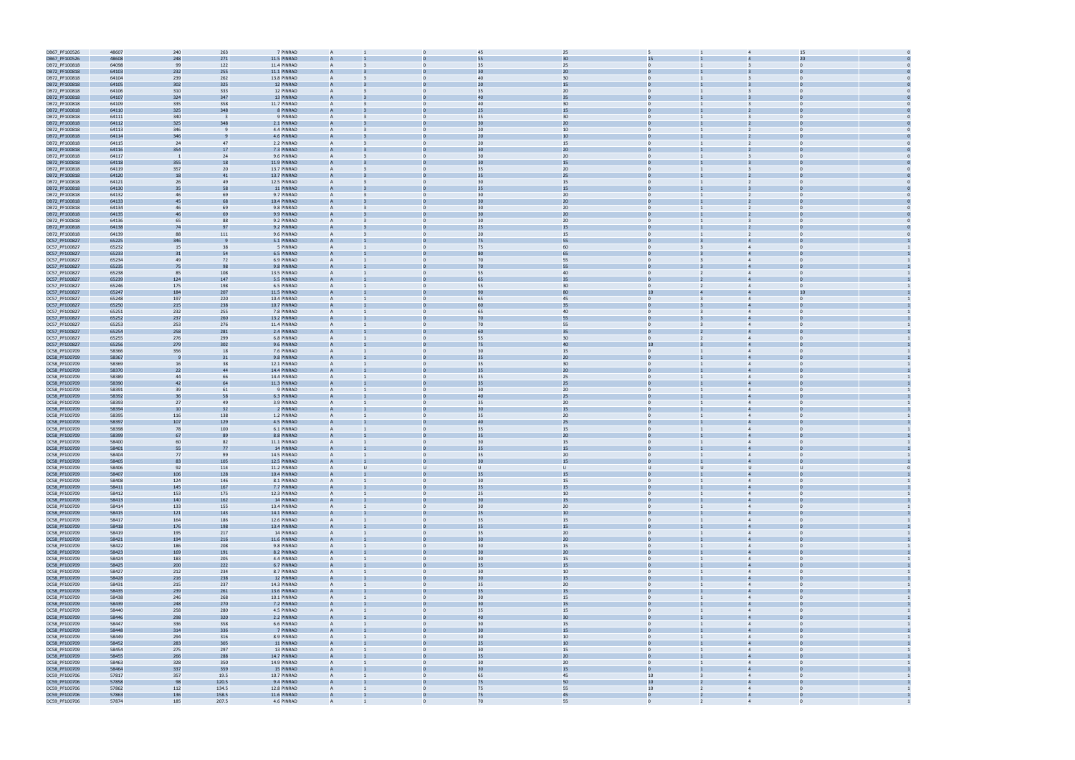| DB67_PF100526 | 48607 | 240                      | 263   | 7 PINRAD    | A              |                | 45              | 25     |                                |                | 15             |  |
|---------------|-------|--------------------------|-------|-------------|----------------|----------------|-----------------|--------|--------------------------------|----------------|----------------|--|
| DB67_PF100526 | 48608 | 248                      | 271   | 11.5 PINRAD |                |                | 55              | 30     | 15                             |                | 20             |  |
| DB72_PF100818 | 64098 | 99                       | 122   | 11.4 PINRAD |                |                | 35              | 25     | $\mathbf{0}$                   |                | $\Omega$       |  |
| DB72_PF100818 | 64103 | 232                      |       | 11.1 PINRAD |                |                | 30              | 20     |                                |                |                |  |
|               |       |                          | 255   |             |                |                | 40              |        | $\Omega$                       |                |                |  |
| DB72_PF100818 | 64104 | 239                      | 262   | 13.8 PINRAD | A              |                |                 | 30     |                                |                |                |  |
| DB72_PF100818 | 64105 | 302                      | 325   | 12 PINRAD   | A              |                | 20              | 15     | $\mathbf{0}$                   |                |                |  |
| DB72_PF100818 | 64106 | 310                      | 333   | 12 PINRAD   | A              |                | 35              | 20     | $\mathbf{0}$                   | 3              | $\mathbf 0$    |  |
| DB72_PF100818 | 64107 | 324                      | 347   | 13 PINRAD   |                |                | 40              | 35     |                                |                |                |  |
| DB72_PF100818 | 64109 | 335                      | 358   | 11.7 PINRAD | A              | $\Omega$       | 40              | 30     | $\mathbf{0}$                   |                | $\Omega$       |  |
| DB72_PF100818 | 64110 | 325                      | 348   | 8 PINRAD    |                |                | 25              | 15     |                                |                |                |  |
| DB72_PF100818 | 64111 | 340                      |       | 9 PINRAD    | A              | $\Omega$       | 35              | 30     | $\mathbf{0}$                   | $\overline{3}$ | $\Omega$       |  |
| DB72_PF100818 | 64112 | 325                      | 348   | 2.1 PINRAD  |                |                | 3 <sub>C</sub>  | 20     |                                |                |                |  |
|               |       |                          |       |             |                |                |                 |        |                                |                |                |  |
| DB72_PF100818 | 64113 | 346                      |       | 4.4 PINRAD  |                |                | 20              | 10     | $\mathbf{0}$                   |                | $\Omega$       |  |
| DB72_PF100818 | 64114 | 346                      |       | 4.6 PINRAD  |                |                | 2C              | 10     |                                |                |                |  |
| DB72_PF100818 | 64115 | 24                       | 47    | 2.2 PINRAD  |                |                | 20              | 15     | $\Omega$                       | $\overline{2}$ |                |  |
| DB72_PF100818 | 64116 | 354                      | 17    | 7.3 PINRAD  | A              |                | 30              | 20     | $\mathbf{0}$                   |                |                |  |
| DB72_PF100818 | 64117 | $\overline{\phantom{0}}$ | 24    | 9.6 PINRAD  | A              |                | 30              | 20     | $\mathbf{0}$                   | $\overline{3}$ | $\bf{0}$       |  |
| DB72_PF100818 | 64118 | 355                      | 18    | 11.9 PINRAD |                |                | 30              | 15     |                                |                |                |  |
| DB72_PF100818 | 64119 | 357                      | 20    | 13.7 PINRAD | A              | $\mathbf{0}$   | 35              | 20     | $\mathbf{0}$                   | 3              | $\overline{0}$ |  |
|               |       |                          | 41    |             |                |                | 3!              |        |                                |                |                |  |
| DB72_PF100818 | 64120 | 18                       |       | 13.7 PINRAD |                |                |                 | 25     |                                |                |                |  |
| DB72_PF100818 | 64121 | 26                       | 49    | 12.5 PINRAD | A              | $\mathbf{0}$   | 30              | 15     | $\mathbf{0}$                   | 2              | $\Omega$       |  |
| DB72_PF100818 | 64130 | 35                       | 58    | 11 PINRAD   |                |                | 35              | 15     |                                |                |                |  |
| DB72_PF100818 | 64132 | 46                       | 69    | 9.7 PINRAD  |                |                | 30              | 20     | $\mathbf{0}$                   |                | $\Omega$       |  |
| DB72_PF100818 | 64133 | 45                       | 68    | 10.4 PINRAD |                |                | 3 <sub>C</sub>  | 20     |                                |                |                |  |
| DB72_PF100818 | 64134 | 46                       | 69    | 9.8 PINRAD  |                |                | 30              | 20     | $\Omega$                       | $\overline{2}$ |                |  |
| DB72_PF100818 | 64135 | 46                       | 69    | 9.9 PINRAD  | $\overline{A}$ |                |                 | 20     |                                |                |                |  |
|               | 64136 | 65                       | 88    | 9.2 PINRAD  | A              |                | 30              |        | $\mathbf{0}$                   |                |                |  |
| DB72_PF100818 |       |                          |       |             |                |                |                 | 20     |                                |                | $\bf{0}$       |  |
| DB72_PF100818 | 64138 | 74                       | 97    | 9.2 PINRAD  |                |                | 25              | 15     |                                |                |                |  |
| DB72_PF100818 | 64139 | 88                       | 111   | 9.6 PINRAD  | A              | $\mathbf{0}$   | 20              | 15     | $\overline{0}$                 | $\overline{2}$ | $\Omega$       |  |
| DC57_PF100827 | 65225 | 346                      |       | 5.1 PINRAD  |                |                | 75              | 55     |                                |                |                |  |
| DC57_PF100827 | 65232 | 15                       | 38    | 5 PINRAD    | A              | $\Omega$       | 75              | 60     | $\mathbf{0}$                   | $\overline{4}$ | $\Omega$       |  |
| DC57_PF100827 | 65233 | 31                       | 54    | 6.5 PINRAD  |                |                | 80              | 65     |                                |                |                |  |
| DC57_PF100827 | 65234 | 49                       | 72    | 6.9 PINRAD  | A              |                | 70              | 55     | $\mathbf{0}$                   |                | $\Omega$       |  |
| DC57_PF100827 | 65235 | 75                       | 98    | 9.8 PINRAD  |                |                | 70              | 55     |                                |                |                |  |
|               |       |                          |       |             |                |                |                 |        | $\Omega$                       |                |                |  |
| DC57_PF100827 | 65238 | 85                       | 108   | 13.5 PINRAD | A              |                | 55              | 40     |                                | $\overline{4}$ |                |  |
| DC57_PF100827 | 65239 | 124                      | 147   | 5.5 PINRAD  | A              |                |                 | 35     | $\mathbf{0}$                   |                |                |  |
| DC57_PF100827 | 65246 | 175                      | 198   | 6.5 PINRAD  | A              |                | 55              | 30     | $\mathbf{0}$                   | $\overline{4}$ | $\mathbf 0$    |  |
| DC57_PF100827 | 65247 | 184                      | 207   | 11.5 PINRAD |                |                | 90              | 80     | 10                             |                | 10             |  |
| DC57_PF100827 | 65248 | 197                      | 220   | 10.4 PINRAD | A              | $\Omega$       | 65              | 45     | $\mathbf{0}$                   | $\overline{4}$ | $\Omega$       |  |
| DC57_PF100827 | 65250 | 215                      | 238   | 10.7 PINRAD |                |                |                 |        |                                |                |                |  |
| DC57_PF100827 | 65251 | 232                      | 255   | 7.8 PINRAD  | A              | $\Omega$       | 65              | 40     | $\mathbf{0}$                   | $\overline{4}$ | $\Omega$       |  |
|               |       |                          |       |             |                |                |                 | 55     |                                |                |                |  |
| DC57_PF100827 | 65252 | 237                      | 260   | 13.2 PINRAD |                |                | 70              |        |                                |                |                |  |
| DC57_PF100827 | 65253 | 253                      | 276   | 11.4 PINRAD | A              |                | 70              | 55     | $\mathbf{0}$                   |                |                |  |
| DC57_PF100827 | 65254 | 258                      | 281   | 2.4 PINRAD  |                |                | 60              | 35     |                                |                |                |  |
| DC57_PF100827 | 65255 | 276                      | 299   | 6.8 PINRAD  | A              |                | 55              | 30     | $\Omega$                       | $\overline{4}$ |                |  |
| DC57_PF100827 | 65256 | 279                      | 302   | 9.6 PINRAD  | A              |                | 75              | 40     | 10                             |                |                |  |
| DC58_PF100709 | 58366 | 356                      | 18    | 7.6 PINRAD  | A              |                | 30              | 15     | $\overline{0}$                 | $\overline{4}$ | $\Omega$       |  |
| DC58_PF100709 | 58367 |                          | 31    | 9.8 PINRAD  | A              |                | 35              | 20     |                                |                |                |  |
| DC58_PF100709 | 58369 | 16                       | 38    | 12.1 PINRAD | $\overline{A}$ | $\mathbf{0}$   | 35              | 30     | $\mathbf{0}$                   | $\overline{4}$ | $\Omega$       |  |
| DC58_PF100709 | 58370 | 22                       | 44    | 14.4 PINRAD |                |                | 35              | 20     |                                |                |                |  |
| DC58_PF100709 | 58389 | 44                       | 66    | 14.4 PINRAD | A              | $\Omega$       | 35              | 25     | $\mathbf{0}$                   | $\overline{4}$ | $\Omega$       |  |
|               |       |                          |       |             |                |                |                 |        |                                |                |                |  |
| DC58_PF100709 | 58390 | 42                       | 64    | 11.3 PINRAD |                |                |                 | 25     |                                |                |                |  |
| DC58_PF100709 | 58391 | 39                       | 61    | 9 PINRAD    | A              |                | 30              | 20     | $\mathbf{0}$                   |                | $\Omega$       |  |
| DC58_PF100709 | 58392 | 36                       | 58    | 6.3 PINRAD  |                |                | 40              | 25     |                                |                |                |  |
| DC58_PF100709 | 58393 | 27                       | 49    | 3.9 PINRAD  | A              |                | 35              | 20     | $\Omega$                       | $\overline{4}$ |                |  |
| DC58_PF100709 | 58394 | 10                       | 32    | 2 PINRAD    | A              |                | 30              | 15     | $\mathbf{0}$                   |                |                |  |
| DC58_PF100709 | 58395 | 116                      | 138   | 1.2 PINRAD  | A              |                | 35              | 20     | $\overline{0}$                 | $\overline{4}$ | $\Omega$       |  |
| DC58_PF100709 | 58397 | 107                      | 129   | 4.5 PINRAD  |                |                | 40              | 25     |                                |                |                |  |
|               |       |                          |       |             |                |                |                 |        |                                |                |                |  |
| DC58_PF100709 | 58398 | 78                       | 100   | 6.1 PINRAD  | A              | $\mathbf{0}$   | 35              | 15     | $\overline{0}$                 | $\overline{4}$ | $\Omega$       |  |
| DC58_PF100709 | 58399 | 67                       | 89    | 8.8 PINRAD  |                |                | 35              | 20     |                                |                |                |  |
| DC58_PF100709 | 58400 | 60                       | 82    | 11.1 PINRAD | A              | $\mathbf{0}$   | 30              | 15     | $\overline{0}$                 | $\overline{4}$ | $\mathbf{0}$   |  |
| DC58_PF100709 | 58401 | 55                       | 77    | 14 PINRAD   |                |                |                 | 15     |                                |                |                |  |
| DC58_PF100709 | 58404 | 77                       | - 99  | 14.5 PINRAD |                |                | 35              | 20     |                                |                |                |  |
| DC58_PF100709 | 58405 | 83                       | 105   | 12.5 PINRAD |                |                | 30              | 15     |                                |                |                |  |
| DC58_PF100709 | 58406 | 92                       | 114   | 11.2 PINRAD |                |                | $\cup$          | $\cup$ | $\cup$<br>U                    | U              | $\mathbf{U}$   |  |
|               |       |                          |       |             |                |                |                 |        |                                |                |                |  |
| DC58_PF100709 | 58407 | 106                      | 128   | 10.4 PINRAD | $\mathsf{A}$   |                | 35              | 15     | $\mathbf{0}$                   | $\overline{4}$ | $\Omega$       |  |
| DC58_PF100709 | 58408 | 124                      | 146   | 8.1 PINRAD  | $\overline{A}$ | $\Omega$       | 30              | 15     | $\overline{0}$                 | $\overline{4}$ | $\overline{0}$ |  |
| DC58_PF100709 | 58411 | 145                      | 167   | 7.7 PINRAD  |                |                | 35              | 15     | $\overline{0}$                 | $\overline{4}$ | $\overline{0}$ |  |
| DC58_PF100709 | 58412 | 153                      | 175   | 12.3 PINRAD | $\overline{A}$ | $\overline{0}$ | 25              | 10     | $\overline{0}$                 | $\overline{4}$ | $\overline{0}$ |  |
| DC58_PF100709 | 58413 | 140                      | 162   | 14 PINRAD   |                |                | 30              | 15     |                                |                |                |  |
| DC58_PF100709 | 58414 | 133                      | 155   | 13.4 PINRAD | $\overline{A}$ | $\mathbf{0}$   | 30 <sup>°</sup> | $20\,$ | $\overline{0}$<br>$\mathbf{1}$ | $\overline{4}$ | $\overline{0}$ |  |
| DC58_PF100709 | 58415 | 121                      | 143   | 14.1 PINRAD | $\overline{A}$ |                | 25              | 10     | $\overline{0}$                 | $\overline{4}$ | $\Omega$       |  |
| DC58_PF100709 | 58417 | 164                      | 186   | 12.6 PINRAD | A              | $\mathbf{0}$   | 35              | 15     | $\overline{0}$                 | $\overline{4}$ | $\overline{0}$ |  |
| DC58_PF100709 | 58418 | 176                      | 198   | 13.4 PINRAD | $\overline{A}$ |                | 35              | 15     | $\Omega$                       | $\overline{4}$ | $\Omega$       |  |
|               |       |                          |       |             |                | $\Omega$       |                 |        |                                |                | $\Omega$       |  |
| DC58_PF100709 | 58419 | 195                      | 217   | 14 PINRAD   | $\overline{A}$ |                | 35              | 20     | $\overline{0}$                 | $\overline{4}$ |                |  |
| DC58_PF100709 | 58421 | 194                      | 216   | 11.6 PINRAD | $\overline{A}$ |                | 30 <sup>°</sup> | 20     | $\overline{0}$                 | $\overline{4}$ | $\Omega$       |  |
| DC58_PF100709 | 58422 | 186                      | 208   | 9.8 PINRAD  | A              | $\mathbf{0}$   | 30 <sup>°</sup> | 15     | $\overline{0}$                 | $\overline{4}$ | $\mathbf{0}$   |  |
| DC58_PF100709 | 58423 | 169                      | 191   | 8.2 PINRAD  | A              |                | 30              | 20     | $\overline{0}$                 | $\overline{4}$ | $\Omega$       |  |
| DC58_PF100709 | 58424 | 183                      | 205   | 4.4 PINRAD  | $\mathsf{A}$   | $\mathbf{0}$   | 30 <sup>°</sup> | 15     | $\overline{0}$                 | $\overline{4}$ | $\overline{0}$ |  |
| DC58_PF100709 | 58425 | 200                      | 222   | 6.7 PINRAD  | A              |                | 35              | 15     |                                |                |                |  |
| DC58_PF100709 | 58427 | 212                      | 234   | 8.7 PINRAD  | $\overline{A}$ | $\mathbf{0}$   | 30 <sub>o</sub> | 10     | $\overline{0}$<br>$\mathbf{1}$ | $\overline{4}$ | $\overline{0}$ |  |
| DC58_PF100709 | 58428 | 216                      | 238   | 12 PINRAD   | A              |                | 30              | 15     | $\overline{0}$                 | $\overline{4}$ | $\Omega$       |  |
|               |       | 215                      | 237   | 14.3 PINRAD | $\overline{A}$ | $\mathbf{0}$   | 35              | 20     |                                | $\overline{4}$ | $\overline{0}$ |  |
| DC58_PF100709 | 58431 |                          |       |             |                |                |                 |        | $\overline{0}$                 | $\overline{a}$ |                |  |
| DC58_PF100709 | 58435 | 239                      | 261   | 13.6 PINRAD | $\overline{A}$ |                | 35              | 15     | $\Omega$                       |                | $\Omega$       |  |
| DC58_PF100709 | 58438 | 246                      | 268   | 10.1 PINRAD | $\overline{A}$ | $\mathbf{0}$   | 30 <sup>°</sup> | 15     | $\overline{0}$<br>$\mathbf{1}$ | $\overline{4}$ | $\Omega$       |  |
| DC58_PF100709 | 58439 | 248                      | 270   | 7.2 PINRAD  | $\overline{A}$ |                | 30 <sub>2</sub> | 15     | $\overline{0}$                 | $\overline{4}$ | $\Omega$       |  |
| DC58_PF100709 | 58440 | 258                      | 280   | 4.5 PINRAD  | A              | $\mathbf{0}$   | 35              | 15     | $\overline{0}$                 | $\overline{4}$ | $\mathbf{0}$   |  |
| DC58_PF100709 | 58446 | 298                      | 320   | 2.2 PINRAD  | A              |                | 40              | 30     | $\mathbf{0}$                   | $\overline{4}$ | $\overline{0}$ |  |
| DC58_PF100709 | 58447 | 336                      | 358   | 6.6 PINRAD  | $\mathsf{A}$   | $\mathbf{0}$   | 30 <sup>°</sup> | 15     | $\overline{0}$                 | $\overline{4}$ | $\overline{0}$ |  |
| DC58_PF100709 | 58448 | 314                      | 336   | 7 PINRAD    | A              |                | 30              | 15     |                                | $\overline{4}$ |                |  |
| DC58_PF100709 | 58449 | 294                      | 316   | 8.9 PINRAD  | $\overline{A}$ | $\mathbf{0}$   | 30 <sup>°</sup> | 10     | $\overline{0}$<br>$\mathbf{1}$ | $\overline{4}$ | $\overline{0}$ |  |
| DC58_PF100709 | 58452 | 283                      | 305   | 11 PINRAD   | A              |                | 25              | 10     | $\overline{0}$                 | $\overline{4}$ | $\Omega$       |  |
| DC58_PF100709 | 58454 | 275                      | 297   | 13 PINRAD   | $\overline{A}$ | $\mathbf{0}$   | 30 <sup>°</sup> | 15     | $\overline{0}$<br>$\mathbf{1}$ | $\overline{4}$ | $\overline{0}$ |  |
|               |       |                          |       |             |                |                |                 |        |                                |                |                |  |
| DC58_PF100709 | 58455 | 266                      | 288   | 14.7 PINRAD | A              |                | 35              | 20     | $\overline{0}$                 | $\overline{4}$ | $\Omega$       |  |
| DC58_PF100709 | 58463 | 328                      | 350   | 14.9 PINRAD | A              | $\mathbf{0}$   | 30 <sup>°</sup> | 20     | $\overline{0}$<br>$\mathbf{1}$ | $\overline{4}$ | $\Omega$       |  |
| DC58_PF100709 | 58464 | 337                      | 359   | 15 PINRAD   | $\overline{A}$ |                | 30 <sub>2</sub> | 15     | $\overline{0}$                 | $\overline{4}$ | $\Omega$       |  |
| DC59_PF100706 | 57817 | 357                      | 19.5  | 10.7 PINRAD | A              | $\mathbf{0}$   | 65              | 45     | 10<br>$\overline{3}$           | $\overline{4}$ | $\mathbf{0}$   |  |
| DC59_PF100706 | 57858 | 98                       | 120.5 | 9.4 PINRAD  | A              | $\Omega$       | 75              | 50     | 10<br>$\overline{2}$           | $\overline{4}$ | $\overline{0}$ |  |
| DC59_PF100706 | 57862 | 112                      | 134.5 | 12.8 PINRAD | $\mathsf{A}$   | $\mathbf{0}$   | 75              | 55     | $10\,$<br>$\overline{2}$       | $\overline{4}$ | $\overline{0}$ |  |
| DC59_PF100706 | 57863 | 136                      | 158.5 | 11.6 PINRAD |                |                | 75              | 45     | $\mathbf{0}$                   | $\overline{4}$ | $\Omega$       |  |
| DC59 PF100706 | 57874 | 185                      | 207.5 | 4.6 PINRAD  | $\overline{A}$ | $\Omega$       | 70              | 55     | $\overline{0}$                 | $\overline{4}$ | $\Omega$       |  |

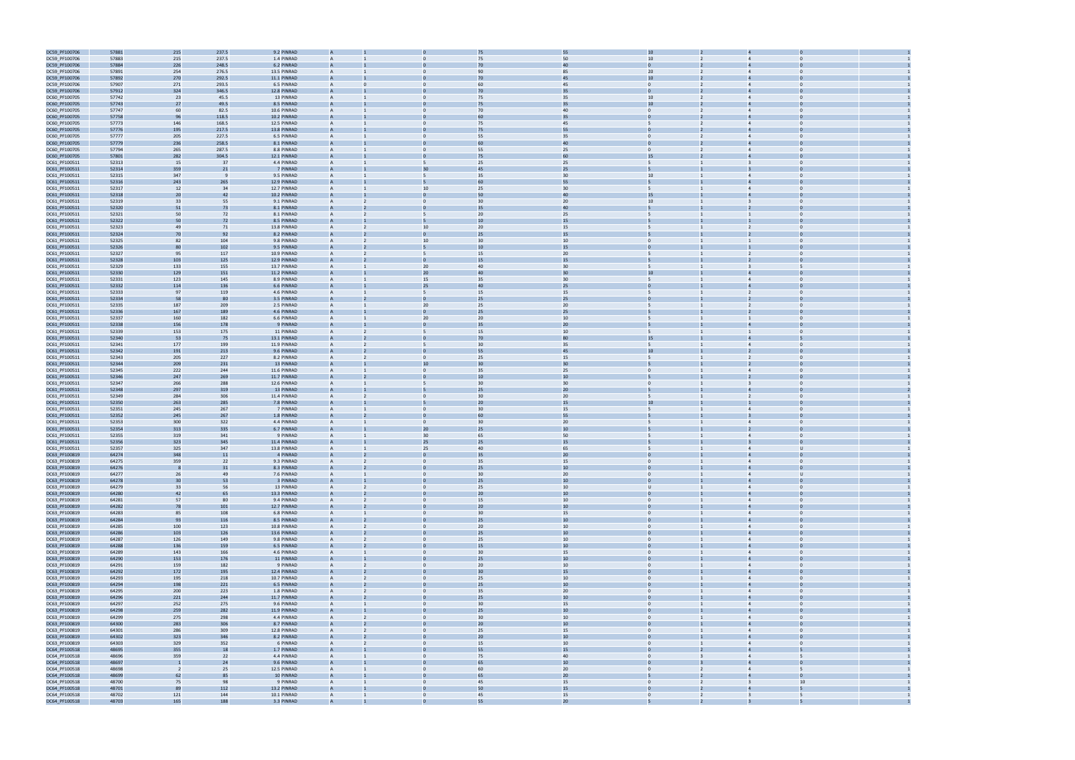

| DC59_PF100706 | 57881 | 215                     | 237.5      | 9.2 PINRAD  |                |                                | 75              | 55     |                                  |                         |                |
|---------------|-------|-------------------------|------------|-------------|----------------|--------------------------------|-----------------|--------|----------------------------------|-------------------------|----------------|
| DC59_PF100706 | 57883 | 215                     | 237.5      | 1.4 PINRAD  |                |                                | 75              | 50     | 10                               |                         |                |
| DC59_PF100706 | 57884 | 226                     | 248.5      | 6.2 PINRAD  |                |                                | 70              | 40     |                                  |                         |                |
|               |       |                         |            |             |                |                                |                 |        |                                  |                         |                |
| DC59_PF100706 | 57891 | 254                     | 276.5      | 13.5 PINRAD | A              |                                | 90              | 85     | 20 <sub>2</sub>                  | $\overline{4}$          |                |
| DC59_PF100706 | 57892 | 270                     | 292.5      | 11.1 PINRAD | A              |                                | 70              | 45     | 10                               |                         |                |
| DC59_PF100706 | 57907 | 271                     | 293.5      | 6.5 PINRAD  | A              |                                | 60              | 45     | $\mathbf{0}$                     | $\overline{4}$          |                |
| DC59_PF100706 | 57912 | 324                     | 346.5      | 12.8 PINRAD |                |                                | 70              | 35     |                                  |                         |                |
| DC60_PF100705 | 57742 | 23                      | 45.5       | 13 PINRAD   | $\overline{A}$ | $\Omega$                       | 75              | 35     | 10                               | $\overline{4}$          | $\Omega$       |
| DC60_PF100705 | 57743 | 27                      | 49.5       | 8.5 PINRAD  |                |                                | 75              | 35     | 10                               |                         |                |
| DC60_PF100705 | 57747 | 60                      | 82.5       | 10.6 PINRAD | $\mathsf{A}$   |                                | 70              | 40     | $\mathbf{0}$<br>$\overline{2}$   | $\overline{4}$          | $\Omega$       |
| DC60_PF100705 | 57758 |                         | 118.5      | 10.2 PINRAD |                |                                | 60              | 35     |                                  |                         |                |
|               |       | 96                      |            |             |                |                                |                 |        |                                  |                         |                |
| DC60_PF100705 | 57773 | 146                     | 168.5      | 12.5 PINRAD |                |                                | 75              | 45     |                                  |                         |                |
| DC60_PF100705 | 57776 | 195                     | 217.5      | 13.8 PINRAD |                |                                | 75              | 55     |                                  |                         |                |
| DC60_PF100705 | 57777 | 205                     | 227.5      | 6.5 PINRAD  | A              |                                | 55              | 35     |                                  |                         |                |
| DC60_PF100705 | 57779 | 236                     | 258.5      | 8.1 PINRAD  |                |                                | 60              | 40     |                                  |                         |                |
| DC60_PF100705 | 57794 | 265                     | 287.5      | 8.8 PINRAD  | A              | $\Omega$                       | 55              | 25     | $\mathbf{0}$                     | $\overline{4}$          | $\Omega$       |
| DC60_PF100705 | 57801 | 282                     | 304.5      | 12.1 PINRAD |                |                                | 75              | 60     | 15                               |                         |                |
| DC61_PF100511 | 52313 | 15                      | 37         | 4.4 PINRAD  | $\mathsf{A}$   | 5                              | 25              | 25     | 5                                |                         | $\Omega$       |
|               |       |                         |            |             |                |                                |                 |        |                                  |                         |                |
| DC61_PF100511 | 52314 | 359                     | 21         | 7 PINRAD    |                |                                | 45              | 25     |                                  |                         |                |
| DC61_PF100511 | 52315 | 347                     |            | 9.5 PINRAD  | A              | 5                              | 35              | 30     | 10                               | $\overline{4}$          | $\Omega$       |
| DC61_PF100511 | 52316 | 243                     | 265        | 12.9 PINRAD |                |                                | 60              | 55     |                                  |                         |                |
| DC61_PF100511 | 52317 | 12                      | 34         | 12.7 PINRAD |                | 10                             | 25              | 30     |                                  |                         |                |
| DC61_PF100511 | 52318 | 20                      | 42         | 10.2 PINRAD |                |                                | 50              | 40     | 15                               |                         |                |
| DC61_PF100511 | 52319 | 33                      | 55         | 9.1 PINRAD  | A              |                                | 30              | 20     | 10 <sup>1</sup>                  |                         |                |
| DC61_PF100511 | 52320 | 51                      | 73         | 8.1 PINRAD  | А              |                                | 35              | 40     |                                  |                         |                |
| DC61_PF100511 | 52321 | 50                      | 72         | 8.1 PINRAD  | А              | 5                              | 20              | 25     |                                  |                         | $\mathbf 0$    |
|               | 52322 |                         |            | 8.5 PINRAD  |                |                                | 10              |        |                                  |                         |                |
| DC61_PF100511 |       | 50                      | 72         |             |                |                                |                 | 15     |                                  |                         |                |
| DC61_PF100511 | 52323 | 49                      | 71         | 13.8 PINRAD | A              | 10                             | 20              | 15     |                                  |                         | $\Omega$       |
| DC61_PF100511 | 52324 | 70                      | 92         | 8.2 PINRAD  |                |                                | 25              | 15     |                                  |                         |                |
| DC61_PF100511 | 52325 | 82                      | 104        | 9.8 PINRAD  | A              | 10                             | 30              | 10     | $\overline{0}$                   |                         | $\Omega$       |
| DC61_PF100511 | 52326 | 80                      | 102        | 9.5 PINRAD  |                | 5                              | 10              | 15     |                                  |                         |                |
| DC61_PF100511 | 52327 | 95                      | 117        | 10.9 PINRAD |                |                                | 15              | 20     |                                  |                         |                |
| DC61_PF100511 | 52328 | 103                     | 125        | 12.9 PINRAD |                |                                | 15              | 15     |                                  |                         |                |
| DC61_PF100511 | 52329 | 133                     | 155        | 13.7 PINRAD |                | 20 <sub>2</sub>                | 40              | 30     |                                  | $\overline{3}$          |                |
|               |       |                         |            |             |                |                                |                 |        |                                  |                         |                |
| DC61_PF100511 | 52330 | 129                     | 151        | 11.2 PINRAD | A              | 20 <sub>2</sub>                | 40              | 30     | 10                               |                         |                |
| DC61_PF100511 | 52331 | 123                     | 145        | 8.9 PINRAD  | А              | 15                             | 35              | 30     |                                  | $\overline{4}$          | $\Omega$       |
| DC61_PF100511 | 52332 | 114                     | 136        | 6.6 PINRAD  |                | 25                             | 40              | 25     |                                  |                         |                |
| DC61_PF100511 | 52333 | 97                      | 119        | 4.6 PINRAD  | A              | 5                              | 15              | 15     |                                  | $\overline{2}$          | $\Omega$       |
| DC61_PF100511 | 52334 | 58                      | 80         | 3.5 PINRAD  |                |                                | 25              | 25     |                                  |                         |                |
| DC61_PF100511 | 52335 | 187                     | 209        | 2.5 PINRAD  | A              | 20                             | 25              | 20     | 5                                | 2                       | $\Omega$       |
| DC61_PF100511 | 52336 | 167                     | 189        | 4.6 PINRAD  |                |                                | 25              | 25     |                                  |                         |                |
| DC61_PF100511 | 52337 | 160                     | 182        | 6.6 PINRAD  | A              | 20                             | 20              | 10     |                                  |                         |                |
| DC61_PF100511 | 52338 | 156                     | 178        | 9 PINRAD    |                |                                | 35              | 20     |                                  |                         |                |
|               |       |                         |            |             |                | 5                              |                 |        |                                  |                         |                |
| DC61_PF100511 | 52339 | 153                     | 175        | 11 PINRAD   |                |                                | 15              | 10     |                                  |                         |                |
| DC61_PF100511 | 52340 | 53                      | 75         | 13.1 PINRAD |                |                                | 70              | 80     | 15                               |                         |                |
| DC61_PF100511 | 52341 | 177                     | 199        | 11.9 PINRAD | A              |                                | 30              | 35     |                                  | $\overline{4}$          | $\bf{0}$       |
| DC61_PF100511 | 52342 | 191                     | 213        | 9.6 PINRAD  |                |                                | 55              | 45     | 10                               |                         |                |
| DC61_PF100511 | 52343 | 205                     | 227        | 8.2 PINRAD  | $\mathsf{A}$   | $\mathbf{0}$                   | 25              | 15     | 5                                | 2                       | $\Omega$       |
| DC61_PF100511 | 52344 | 209                     | 231        | 13 PINRAD   |                | 10                             |                 | 30     |                                  |                         |                |
| DC61_PF100511 | 52345 | 222                     | 244        | 11.6 PINRAD | $\mathsf{A}$   | $\mathbf{0}$                   | 35              | 25     | $\mathbf{0}$                     | $\overline{4}$          | $\Omega$       |
| DC61_PF100511 | 52346 | 247                     | 269        | 11.7 PINRAD |                |                                | 10              | 10     |                                  |                         |                |
| DC61_PF100511 | 52347 | 266                     | 288        | 12.6 PINRAD | A              | 5                              | 30              | 30     | $\mathbf{0}$                     |                         |                |
| DC61_PF100511 | 52348 | 297                     | 319        | 13 PINRAD   |                |                                | 25              | 20     |                                  |                         |                |
|               |       |                         |            |             |                |                                | 30              |        |                                  |                         |                |
| DC61_PF100511 | 52349 | 284                     | 306        | 11.4 PINRAD | A              |                                |                 | 20     |                                  | $\overline{2}$          |                |
| DC61_PF100511 | 52350 | 263                     | 285        | 7.8 PINRAD  |                |                                | 20              | 15     | 10                               |                         |                |
| DC61_PF100511 | 52351 | 245                     | 267        | 7 PINRAD    | A              | $\mathbf{0}$                   | 30              | 15     |                                  | $\overline{4}$          | $\bf{0}$       |
| DC61_PF100511 | 52352 | 245                     | 267        | 1.8 PINRAD  |                |                                | 60              | 55     |                                  |                         |                |
| DC61_PF100511 | 52353 | 300                     | 322        | 4.4 PINRAD  | A              | $\mathbf{0}$                   | 30              | 20     |                                  | $\overline{4}$          | $\Omega$       |
| DC61_PF100511 | 52354 | 313                     | 335        | 6.7 PINRAD  |                | 20                             | 25              | 10     |                                  |                         |                |
| DC61_PF100511 | 52355 | 319                     | 341        | 9 PINRAD    | A              | 30                             | 65              | 50     | 5                                | $\overline{4}$          | $\mathbf{0}$   |
| DC61_PF100511 | 52356 | 323                     | 345        | 11.4 PINRAD |                | 25                             | 25              | 15     |                                  |                         |                |
| DC61_PF100511 | 52357 | 325                     | 347        | 13.8 PINRAD | A              | 25                             | 40              | 65     |                                  | $\overline{4}$          | $\mathbf{U}$   |
|               |       |                         |            |             |                |                                |                 |        |                                  |                         |                |
| DC63_PF100819 | 64274 | 348                     | 11         | 4 PINRAD    |                |                                | 35              | 20     |                                  |                         |                |
| DC63_PF100819 | 64275 | 359                     | 22         | 9.3 PINRAD  |                |                                | 35              | 15     | $\Omega$                         |                         |                |
| DC63_PF100819 | 64276 | -8                      | 31         | 8.3 PINRAD  |                |                                | 25              | $10\,$ | $\overline{0}$                   |                         |                |
| DC63_PF100819 | 64277 | 26                      | 49         | 7.6 PINRAD  | $\mathsf{A}$   | $\mathbf{0}$                   | 30              | 20     | $\overline{0}$                   | $\overline{4}$          | U              |
| DC63_PF100819 | 64278 | 30                      | 53         | 3 PINRAD    | A              |                                | 25              | 10     | $\mathbf{0}$                     | $\overline{4}$          | $\Omega$       |
| DC63_PF100819 | 64279 | 33                      | 56         | 13 PINRAD   | A              | $\mathbf{0}$                   | 25              | 10     | $\cup$                           | $\overline{4}$          | $\overline{0}$ |
| DC63_PF100819 | 64280 | 42                      | 65         | 13.3 PINRAD | A              |                                | 20              | $10\,$ |                                  |                         |                |
| DC63_PF100819 | 64281 | 57                      | 80         | 9.4 PINRAD  | $\mathsf{A}$   | $\mathbf{0}$<br>$\overline{2}$ | 15              | $10\,$ | $\overline{0}$<br>$\mathbf{1}$   | $\overline{4}$          | $\overline{0}$ |
| DC63_PF100819 | 64282 | 78                      | 101        | 12.7 PINRAD | A              | $\mathbf{0}$                   | 20              | 10     | $\mathbf{0}$                     | $\overline{4}$          | $\overline{0}$ |
|               |       |                         |            |             |                |                                | 30              |        |                                  |                         |                |
| DC63_PF100819 | 64283 | 85                      | 108        | 6.8 PINRAD  | $\mathsf{A}$   | $\mathbf{0}$                   |                 | 15     | $\overline{0}$                   | $\overline{4}$          | $\mathbf{0}$   |
| DC63_PF100819 | 64284 | 93                      | 116        | 8.5 PINRAD  | A              |                                | 25              | 10     | $\Omega$                         | $\overline{a}$          | $\Omega$       |
| DC63_PF100819 | 64285 | 100                     | 123        | 10.8 PINRAD | $\overline{A}$ | $\Omega$                       | 20              | 10     | $\overline{0}$                   | $\overline{4}$          | $\Omega$       |
| DC63_PF100819 | 64286 | 103                     | 126        | 13.6 PINRAD | A              |                                | 25              | 10     | $\overline{0}$                   | $\overline{4}$          | $\mathbf 0$    |
| DC63_PF100819 | 64287 | 126                     | 149        | 9.8 PINRAD  | $\overline{A}$ | $\mathbf{0}$                   | 25              | 10     | $\overline{0}$                   | $\overline{4}$          | $\overline{0}$ |
| DC63_PF100819 | 64288 | 136                     | 159        | 6.5 PINRAD  | A              | $\Omega$                       | 15              | $10\,$ | $\mathbf{0}$                     | $\overline{4}$          | $\overline{0}$ |
| DC63_PF100819 | 64289 | 143                     | 166        | 4.6 PINRAD  | A              | $\overline{0}$                 | 30              | 15     | $\overline{0}$                   | $\overline{4}$          | $\overline{0}$ |
| DC63_PF100819 | 64290 | 153                     | 176        | 11 PINRAD   | A              |                                | 25              | $10\,$ |                                  |                         |                |
|               | 64291 | 159                     | 182        |             | $\mathsf{A}$   | $\mathbf{0}$                   | 20 <sub>2</sub> | $10\,$ | $\overline{0}$                   | $\overline{4}$          | $\overline{0}$ |
| DC63_PF100819 |       |                         |            | 9 PINRAD    |                |                                |                 |        |                                  |                         |                |
| DC63_PF100819 | 64292 | 172                     | 195        | 12.4 PINRAD | A              |                                | 30              | 15     | $\Omega$                         | $\overline{4}$          |                |
| DC63_PF100819 | 64293 | 195                     | 218        | 10.7 PINRAD | $\mathsf{A}$   | $\mathbf{0}$                   | 25              | $10\,$ | $\overline{0}$                   | $\overline{4}$          | $\overline{0}$ |
| DC63_PF100819 | 64294 | 198                     | 221        | 6.5 PINRAD  | A              |                                | 25              | 10     |                                  | $\overline{4}$          |                |
| DC63_PF100819 | 64295 | 200                     | 223        | 1.8 PINRAD  | A              | $\Omega$                       | 35              | $20\,$ | $\Omega$                         | $\overline{4}$          | $\Omega$       |
| DC63_PF100819 | 64296 | 221                     | 244        | 11.7 PINRAD | A              |                                | 25              | 10     | $\mathbf{0}$                     | $\overline{4}$          |                |
| DC63_PF100819 | 64297 | 252                     | 275        | 9.6 PINRAD  | $\overline{A}$ | $\mathbf{0}$                   | 30              | 15     | $\overline{0}$                   | $\overline{4}$          | $\overline{0}$ |
| DC63_PF100819 | 64298 | 259                     | 282        | 11.9 PINRAD | A              |                                | 25              | $10\,$ | $\mathbf{0}$                     | $\overline{4}$          | $\overline{0}$ |
| DC63_PF100819 | 64299 | 275                     | 298        | 4.4 PINRAD  | A              | $\mathbf{0}$                   | 30              | 10     | $\overline{0}$                   | $\overline{4}$          | $\overline{0}$ |
| DC63_PF100819 | 64300 | 283                     | 306        | 8.7 PINRAD  |                |                                | 20              | 10     |                                  |                         |                |
| DC63_PF100819 | 64301 | 286                     | 309        | 12.8 PINRAD | $\mathsf{A}$   | $\mathbf{0}$                   | 25              | 15     | $\overline{0}$                   | $\overline{4}$          | $\overline{0}$ |
| DC63_PF100819 | 64302 | 323                     | 346        | 8.2 PINRAD  |                |                                | 20              | 10     | $\Omega$                         | $\overline{4}$          |                |
| DC63_PF100819 | 64303 | 329                     | 352        | 6 PINRAD    | $\mathsf{A}$   | $\mathbf{0}$                   | 15              | 10     | $\overline{0}$                   | $\overline{4}$          | $\mathbf{0}$   |
| DC64_PF100518 | 48695 | 355                     | 18         | 1.7 PINRAD  | A              |                                | 55              | 15     |                                  | $\Delta$                |                |
|               |       |                         |            |             |                | $\Omega$                       |                 |        | $\Omega$                         |                         |                |
| DC64_PF100518 | 48696 | 359                     | 22         | 4.4 PINRAD  | $\overline{A}$ |                                | 75              | 40     |                                  | $\overline{4}$          |                |
| DC64_PF100518 | 48697 | $\overline{1}$          | 24         | 9.6 PINRAD  | A              |                                | 65              | 10     | $\mathbf{0}$                     | $\overline{4}$          | $\Omega$       |
| DC64_PF100518 | 48698 | $\overline{\mathbf{2}}$ | 25         | 12.5 PINRAD | $\overline{A}$ | $\mathbf{0}$                   | 60              | 20     | $\overline{0}$<br>$\overline{2}$ | $\overline{4}$          | 5              |
|               |       |                         |            |             | A              |                                | 65              | $20\,$ |                                  | $\overline{4}$          | $\overline{0}$ |
| DC64_PF100518 | 48699 | 62                      | 85         | 10 PINRAD   |                |                                |                 |        |                                  |                         |                |
| DC64_PF100518 | 48700 | 75                      | 98         | 9 PINRAD    | $\mathsf{A}$   | $\mathbf{0}$                   | 45              | 15     | $\overline{0}$<br>$\overline{2}$ | $\overline{\mathbf{3}}$ | 10             |
| DC64_PF100518 | 48701 | 89                      |            | 13.2 PINRAD | A              |                                | 50              | 15     |                                  |                         |                |
| DC64_PF100518 | 48702 | 121                     | 112<br>144 | 10.1 PINRAD | $\mathsf{A}$   | $\mathbf{0}$<br>$\mathbf{1}$   | 45              | 15     | $\overline{0}$<br>$2^{\circ}$    | $\overline{\mathbf{3}}$ | 5              |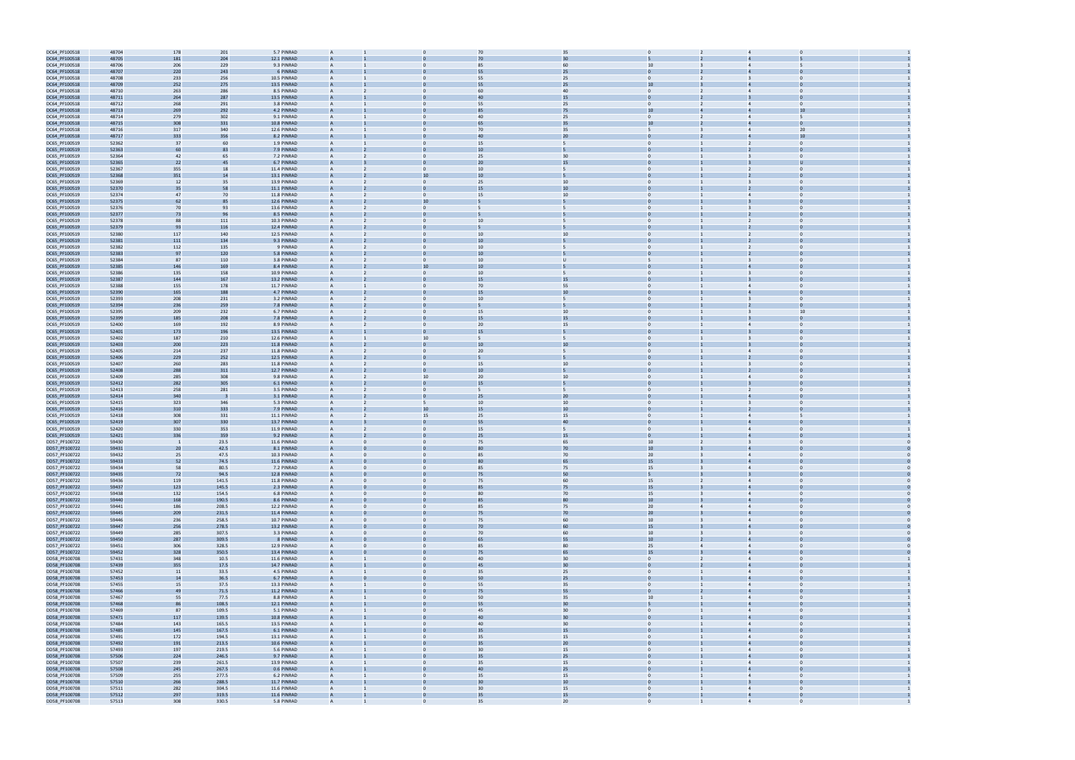| DC64_PF100518                  | 48704          | 178        | 201            | 5.7 PINRAD                | $\overline{A}$ |                | 70       |              | 35                   | $\Omega$         |                |                                              |                |  |
|--------------------------------|----------------|------------|----------------|---------------------------|----------------|----------------|----------|--------------|----------------------|------------------|----------------|----------------------------------------------|----------------|--|
| DC64_PF100518                  | 48705          | 181        | 204            | 12.1 PINRAD               |                |                | 70       |              | 30                   |                  |                |                                              |                |  |
| DC64_PF100518                  | 48706          | 206        | 229            | 9.3 PINRAD                | $\overline{A}$ | $\Omega$       | 85       |              | 60                   | 10 <sup>10</sup> |                |                                              |                |  |
|                                | 48707          | 220        |                | 6 PINRAD                  |                |                | 55       |              | 25                   |                  |                |                                              |                |  |
| DC64_PF100518                  |                |            | 243            |                           |                |                |          |              |                      |                  |                |                                              |                |  |
| DC64_PF100518                  | 48708          | 233        | 256            | 10.5 PINRAD               | $\overline{A}$ | $\Omega$       | 55       |              | 25                   | $\Omega$         |                | $\overline{3}$                               |                |  |
| DC64_PF100518                  | 48709          | 252        | 275            | 13.5 PINRAD               | $\overline{A}$ |                | 55       |              | 25                   | 10               |                |                                              |                |  |
| DC64_PF100518                  | 48710          | 263        | 286            | 8.5 PINRAD                | $\overline{A}$ |                | 60       |              | 40                   | $\mathbf{0}$     |                |                                              |                |  |
| DC64_PF100518                  | 48711          | 264        | 287            | 13.5 PINRAD               |                |                | 40       |              | 15                   | $\mathbf{0}$     |                |                                              |                |  |
| DC64_PF100518                  | 48712          | 268        | 291            | 3.8 PINRAD                | $\overline{A}$ | $\mathbf{0}$   | 55       |              | 25                   | $\mathbf{0}$     |                |                                              | $\Omega$       |  |
| DC64_PF100518                  | 48713          | 269        | 292            | 4.2 PINRAD                |                |                |          |              | 75                   | 10               |                |                                              | 10             |  |
| DC64_PF100518                  | 48714          | 279        | 302            | 9.1 PINRAD                | $\overline{A}$ | $\Omega$       | 40       |              | 25                   | $\mathbf{0}$     | $\overline{2}$ | $\overline{4}$                               | 5              |  |
|                                | 48715          | 308        | 331            | 10.8 PINRAD               |                |                |          |              | 35                   | 10               |                |                                              |                |  |
| DC64_PF100518                  |                |            |                |                           |                |                |          |              |                      |                  |                |                                              |                |  |
| DC64_PF100518                  | 48716          | 317        | 340            | 12.6 PINRAD               | $\overline{A}$ | $\Omega$       | 70       |              | 35                   | 5                |                | $\overline{4}$                               | 20             |  |
| DC64_PF100518                  | 48717          | 333        | 356            | 8.2 PINRAD                |                |                |          |              | 20                   |                  |                |                                              | 10             |  |
| DC65_PF100519                  | 52362          | 37         | 60             | 1.9 PINRAD                | $\overline{A}$ | $\Omega$       | 15       | 5            |                      | $\Omega$         |                | $\overline{2}$                               | $\Omega$       |  |
| DC65_PF100519                  | 52363          | 60         | 83             | 7.9 PINRAD                | $\overline{A}$ |                | 10       |              |                      | $\Omega$         |                |                                              |                |  |
| DC65_PF100519                  | 52364          | 42         | 65             | 7.2 PINRAD                | $\overline{A}$ |                | 25       |              | 30                   | $\mathbf{0}$     |                |                                              |                |  |
| DC65_PF100519                  | 52365          | 22         | 45             | 6.7 PINRAD                | $\overline{A}$ |                | 20       |              | 15                   |                  |                |                                              |                |  |
| DC65_PF100519                  | 52367          | 355        | 18             | 11.4 PINRAD               | $\mathsf{A}$   | $\mathbf{0}$   | 10       |              |                      | $\mathbf{0}$     |                |                                              | $\Omega$       |  |
|                                |                |            | 14             |                           |                | 10             | 10       |              |                      |                  |                |                                              |                |  |
| DC65_PF100519                  | 52368          | 351        |                | 13.1 PINRAD               |                |                |          |              |                      |                  |                |                                              |                |  |
| DC65_PF100519                  | 52369          | 12         | 35             | 13.9 PINRAD               | $\overline{A}$ | $\mathbf{0}$   | 25       |              | 10                   | $\Omega$         |                |                                              | $\Omega$       |  |
| DC65_PF100519                  | 52370          | 35         | 58             | 11.1 PINRAD               |                |                | 15       |              | 10                   |                  |                |                                              |                |  |
| DC65_PF100519                  | 52374          | 47         | 70             | 11.8 PINRAD               | $\overline{A}$ | $\Omega$       | 15       |              | 10                   | $\mathbf{0}$     |                |                                              | $\Omega$       |  |
| DC65_PF100519                  | 52375          | 62         | 85             | 12.6 PINRAD               |                | 10             |          |              |                      |                  |                |                                              |                |  |
| DC65_PF100519                  | 52376          | 70         | 93             | 13.6 PINRAD               | $\overline{A}$ | $\Omega$       |          | 5            |                      | $\Omega$         |                |                                              | $\Omega$       |  |
| DC65_PF100519                  | 52377          | 73         | 96             | 8.5 PINRAD                | $\overline{A}$ |                |          |              |                      | $\Omega$         |                |                                              |                |  |
| DC65_PF100519                  | 52378          | 88         | 111            | 10.3 PINRAD               |                |                | 10       | 5            |                      | $\Omega$         |                | 2                                            |                |  |
|                                |                |            |                |                           |                |                |          |              |                      |                  |                |                                              |                |  |
| DC65_PF100519                  | 52379          | 93         | 116            | 12.4 PINRAD               |                |                |          |              |                      |                  |                |                                              |                |  |
| DC65_PF100519                  | 52380          | 117        | 140            | 12.5 PINRAD               | $\overline{A}$ | $\mathbf{0}$   | 10       |              | 10                   | $\mathbf{0}$     |                | 2                                            | $\mathbf 0$    |  |
| DC65_PF100519                  | 52381          | 111        | 134            | 9.3 PINRAD                |                |                | 10       |              |                      |                  |                |                                              |                |  |
| DC65_PF100519                  | 52382          | 112        | 135            | 9 PINRAD                  | $\overline{A}$ | $\mathbf{0}$   | 10       | 5            |                      | $\Omega$         |                | $\overline{2}$                               | $\Omega$       |  |
| DC65_PF100519                  | 52383          | 97         | 120            | 5.8 PINRAD                |                |                |          |              |                      |                  |                |                                              |                |  |
| DC65_PF100519                  | 52384          | 87         | 110            | 3.8 PINRAD                | $\overline{A}$ | $\Omega$       | 10       | $\mathbf{U}$ |                      |                  |                |                                              | $\Omega$       |  |
| DC65_PF100519                  | 52385          | 146        | 169            | 8.4 PINRAD                |                | 10             |          |              |                      |                  |                |                                              |                |  |
| DC65_PF100519                  | 52386          | 135        | 158            | 10.9 PINRAD               | $\overline{A}$ | $\Omega$       | 10       | 5            |                      | $\Omega$         |                | $\overline{3}$                               | $\Omega$       |  |
|                                |                |            |                |                           |                |                |          |              |                      |                  |                |                                              |                |  |
| DC65_PF100519                  | 52387          | 144        | 167            | 13.2 PINRAD               | $\overline{A}$ |                | 15       |              | 15                   | $\Omega$         |                |                                              |                |  |
| DC65_PF100519                  | 52388          | 155        | 178            | 11.7 PINRAD               |                |                | 70       |              | 55                   | $\Omega$         |                |                                              |                |  |
| DC65_PF100519                  | 52390          | 165        | 188            | 4.7 PINRAD                |                |                | 15       |              | 10                   |                  |                |                                              |                |  |
| DC65_PF100519                  | 52393          | 208        | 231            | 3.2 PINRAD                | $\overline{A}$ | $\mathbf{0}$   | 10       | 5            |                      | $\mathbf{0}$     |                | $\overline{3}$                               | $\mathbf 0$    |  |
| DC65_PF100519                  | 52394          | 236        | 259            | 7.8 PINRAD                |                |                |          |              |                      |                  |                |                                              |                |  |
| DC65_PF100519                  | 52395          | 209        | 232            | 6.7 PINRAD                | $\overline{A}$ | $\Omega$       | 15       |              | 10                   | $\Omega$         |                | $\mathbf{B}$                                 | 10             |  |
| DC65_PF100519                  | 52399          | 185        | 208            | 7.8 PINRAD                |                |                |          |              | 15                   |                  |                |                                              |                |  |
| DC65_PF100519                  | 52400          | 169        | 192            | 8.9 PINRAD                | $\overline{A}$ | $\mathbf{0}$   | 20       |              | 15                   | $\mathbf{0}$     |                | $\overline{4}$                               | $\Omega$       |  |
| DC65_PF100519                  | 52401          | 173        | 196            | 13.5 PINRAD               |                |                |          |              |                      |                  |                |                                              |                |  |
|                                |                |            |                |                           |                |                |          |              |                      | $\Omega$         |                |                                              |                |  |
| DC65_PF100519                  | 52402          | 187        | 210            | 12.6 PINRAD               | $\overline{A}$ | 10             |          | 5            |                      |                  |                | $\overline{\mathbf{3}}$                      |                |  |
| DC65_PF100519                  | 52403          | 200        | 223            | 11.8 PINRAD               | $\overline{A}$ |                | 10       |              | 10                   | $\Omega$         |                |                                              |                |  |
| DC65_PF100519                  | 52405          | 214        | 237            | 11.8 PINRAD               |                |                | 20       |              |                      |                  |                |                                              |                |  |
| DC65_PF100519                  | 52406          | 229        | 252            | 12.5 PINRAD               |                |                |          |              |                      |                  |                |                                              |                |  |
| DC65_PF100519                  | 52407          | 260        | 283            | 11.8 PINRAD               | $\overline{A}$ | $\mathbf{0}$   | 15       |              | 10                   | $\mathbf{0}$     |                | $\overline{\mathbf{3}}$                      | $\Omega$       |  |
| DC65_PF100519                  | 52408          | 288        | 311            | 12.7 PINRAD               |                |                | 10       |              |                      |                  |                |                                              |                |  |
| DC65_PF100519                  | 52409          | 285        | 308            | 9.8 PINRAD                | $\overline{A}$ | 10             | 20       |              | 10                   | $\Omega$         |                | $\overline{4}$                               | $\Omega$       |  |
|                                |                |            |                |                           |                |                | 15       |              |                      |                  |                |                                              |                |  |
| DC65_PF100519                  | 52412          | 282        | 305            | 6.1 PINRAD                |                |                |          |              |                      |                  |                |                                              |                |  |
| DC65_PF100519                  | 52413          | 258        | 281            | 3.5 PINRAD                | $\overline{A}$ | $\Omega$       | 5        | -5           |                      | $\mathbf{0}$     |                |                                              | $\Omega$       |  |
| DC65_PF100519                  | 52414          | 340        |                | 3.1 PINRAD                |                |                | 25       |              | 20                   |                  |                |                                              |                |  |
| DC65_PF100519                  | 52415          | 323        | 346            | 5.3 PINRAD                | $\overline{A}$ | 5              | 10       |              | 10                   | $\Omega$         |                |                                              |                |  |
| DC65_PF100519                  | 52416          | 310        | 333            | 7.9 PINRAD                |                | 10             | 15       |              | 10                   | $\Omega$         |                |                                              |                |  |
| DC65_PF100519                  | 52418          | 308        | 331            | 11.1 PINRAD               |                | 15             | 25       |              | 15                   | $\Omega$         |                | $\Delta$                                     |                |  |
| DC65_PF100519                  | 52419          | 307        | 330            | 13.7 PINRAD               |                |                | 55       |              | 40                   |                  |                |                                              |                |  |
| DC65_PF100519                  | 52420          | 330        | 353            | 11.9 PINRAD               | $\overline{A}$ | $\mathbf{0}$   | 15       |              |                      | $\mathbf{0}$     |                |                                              | $\Omega$       |  |
| DC65_PF100519                  | 52421          | 336        | 359            | 9.2 PINRAD                |                |                | 25       |              | 15                   |                  |                |                                              |                |  |
| DD57_PF100722                  | 59430          | - 1        | 23.5           | 11.6 PINRAD               | $\overline{A}$ | $\mathbf{0}$   | 75       |              | 65                   | 10               | $\overline{2}$ | $\overline{3}$                               | $\Omega$       |  |
|                                |                |            |                |                           |                |                |          |              |                      |                  |                |                                              |                |  |
| DD57_PF100722                  | 59431          | 20         | 42.5           | 8.1 PINRAD                |                |                |          |              | 70                   | 10 <sup>10</sup> |                |                                              |                |  |
| DD57_PF100722                  | 59432          | 25         | 47.5           | 10.3 PINRAD               |                |                |          | 70           |                      | 20               |                |                                              |                |  |
| DD57_PF100722                  | 59433          | 52         | 74.5           | 11.6 PINRAD               |                |                |          |              | 65                   | 15               |                |                                              |                |  |
| DD57_PF100722                  | 59434          | 58         | 80.5           | 7.2 PINRAD                | $\overline{A}$ | $\mathbf{0}$   | 85       |              | 75                   | 15               | 3              | $\overline{4}$                               | $\Omega$       |  |
| DD57_PF100722                  | 59435          | 72         | 94.5           | 12.8 PINRAD               | $\overline{A}$ |                | 75       |              | 50                   | 5                |                |                                              | $\Omega$       |  |
| DD57_PF100722                  | 59436          | 119        | 141.5          | 11.8 PINRAD               | $\overline{A}$ | $\Omega$       | 75       |              | 60                   | 15               | $\overline{2}$ | $\overline{4}$                               | $\Omega$       |  |
| DD57_PF100722                  | 59437          | 123        | 145.5          | 2.3 PINRAD                | $\overline{A}$ |                | 85       |              | 75                   | 15               |                | $\overline{4}$                               | $\overline{0}$ |  |
| DD57_PF100722                  | 59438          | 132        | 154.5          | 6.8 PINRAD                | $\mathsf{A}$   | $\mathbf{0}$   | 80       |              | 70                   | 15               | $\overline{3}$ | $\overline{4}$                               | $\overline{0}$ |  |
|                                |                |            |                |                           |                |                |          |              |                      |                  |                |                                              |                |  |
| DD57_PF100722                  | 59440          | 168        | 190.5          | 8.6 PINRAD                | A              |                | 85       |              | 80                   | 10 <sup>°</sup>  |                | $\overline{4}$                               | $\Omega$       |  |
| DD57_PF100722                  | 59441          | 186        | 208.5          | 12.2 PINRAD               | $\overline{A}$ | $\mathbf{0}$   | 85       |              | 75                   | 20               | $\overline{4}$ | $\overline{4}$                               | $\overline{0}$ |  |
| DD57_PF100722                  | 59445          | 209        | 231.5          | 11.4 PINRAD               |                | $\Omega$       | 75       |              | 70                   | 20 <sub>2</sub>  | $\overline{z}$ | $\overline{a}$                               | $\Omega$       |  |
| DD57_PF100722                  | 59446          | 236        | 258.5          | 10.7 PINRAD               | $\mathsf{A}$   | $\overline{0}$ | 75       |              | 60                   | 10               | 3              | $\overline{4}$                               | $\overline{0}$ |  |
| DD57_PF100722                  | 59447          | 256        | 278.5          | 13.2 PINRAD               |                |                | 70       |              | 60                   | 15               |                |                                              | $\Omega$       |  |
| DD57_PF100722                  | 59449          | 285        | 307.5          | 3.3 PINRAD                | $\overline{A}$ | $\overline{0}$ | 70       |              | 60                   | 10               | $\overline{3}$ | $\overline{\mathbf{3}}$                      | $\overline{0}$ |  |
| DD57_PF100722                  | 59450          | 287        | 309.5          | 8 PINRAD                  | $\overline{A}$ | $\Omega$       | 65       |              | 55                   | 10 <sup>°</sup>  |                | $\overline{4}$                               | $\Omega$       |  |
| DD57_PF100722                  | 59451          | 306        | 328.5          | 12.9 PINRAD               | $\overline{A}$ | $\mathbf{0}$   | 85       |              | 80                   | 25               | $\overline{4}$ | $\overline{4}$                               | $\Omega$       |  |
|                                |                |            |                | 13.4 PINRAD               |                |                |          |              |                      |                  |                |                                              |                |  |
| DD57_PF100722                  | 59452          | 328        | 350.5          |                           |                |                | 75       |              | 65                   | 15               |                |                                              | $\mathbf 0$    |  |
| DD58_PF100708                  | 57431          | 348        | 10.5           | 11.6 PINRAD               | $\mathsf{A}$   | $\mathbf{0}$   | 40       |              | 30                   | $\mathbf{0}$     | $\overline{2}$ | $\overline{4}$                               | $\overline{0}$ |  |
| DD58_PF100708                  | 57439          | 355        | 17.5           | 14.7 PINRAD               | $\overline{A}$ |                | 45       |              | 30                   | $\mathbf{0}$     |                | $\overline{4}$                               | $\Omega$       |  |
| DD58_PF100708                  | 57452          | 11         | 33.5           | 4.5 PINRAD                | $\overline{A}$ | $\mathbf{0}$   | 35       |              | 25                   | $\overline{0}$   | $\mathbf{1}$   | $\overline{4}$                               | $\overline{0}$ |  |
| DD58_PF100708                  | 57453          | 14         | 36.5           | 6.7 PINRAD                | A              | $\Omega$       | 50       |              | 25                   | $\mathbf{0}$     |                | $\overline{4}$                               | $\Omega$       |  |
| DD58_PF100708                  | 57455          | 15         | 37.5           | 13.3 PINRAD               | $\mathsf{A}$   | $\overline{0}$ | 55       |              | 35                   | $\overline{0}$   | 1              | $\overline{4}$                               | $\overline{0}$ |  |
| DD58_PF100708                  | 57466          | 49         | 71.5           | 11.2 PINRAD               |                |                | 75       |              | 55                   |                  |                |                                              |                |  |
| DD58_PF100708                  | 57467          | 55         | 77.5           | 8.8 PINRAD                | $\overline{A}$ | $\mathbf{0}$   | 50       |              | 35                   | 10               | $\mathbf{1}$   | $\overline{4}$                               | $\overline{0}$ |  |
| DD58_PF100708                  | 57468          | 86         | 108.5          | 12.1 PINRAD               | $\overline{A}$ |                | 55       |              | 30                   | 5                |                | $\overline{4}$                               | $\Omega$       |  |
| DD58_PF100708                  | 57469          | 87         | 109.5          | 5.1 PINRAD                | $\overline{A}$ | $\mathbf{0}$   | 45       |              | 30                   | $\overline{0}$   |                | $\overline{4}$                               | $\Omega$       |  |
|                                |                |            |                |                           |                |                | 40       |              | 30                   |                  |                | $\overline{4}$                               |                |  |
| DD58_PF100708                  | 57471          | 117        | 139.5          | 10.8 PINRAD               |                |                |          |              |                      | $\mathbf{0}$     |                |                                              | $\mathbf 0$    |  |
| DD58_PF100708                  | 57484          | 143        | 165.5          | 13.5 PINRAD               | $\mathsf{A}$   | $\mathbf{0}$   | 40       |              | 30                   | $\overline{0}$   |                | $\overline{4}$                               | $\overline{0}$ |  |
| DD58_PF100708                  | 57485          | 145        | 167.5          | 6.1 PINRAD                | $\overline{A}$ |                | 35       |              | 15                   |                  |                | $\overline{4}$                               | $\Omega$       |  |
| DD58_PF100708                  | 57491          | 172        | 194.5          | 13.1 PINRAD               | $\overline{A}$ | $\mathbf{0}$   | 35       |              | 15                   | $\overline{0}$   | $\mathbf{1}$   | $\overline{4}$                               | $\overline{0}$ |  |
| DD58_PF100708                  | 57492          | 191        | 213.5          | 10.6 PINRAD               | A              |                | 35       |              | 20                   | $\overline{0}$   |                | $\overline{4}$                               | $\Omega$       |  |
| DD58_PF100708                  | 57493          | 197        | 219.5          | 5.6 PINRAD                | $\mathsf{A}$   | $\overline{0}$ | 30       |              | 15                   | $\overline{0}$   |                | $\overline{4}$                               | $\overline{0}$ |  |
| DD58_PF100708                  | 57506          | 224        | 246.5          | 9.7 PINRAD                |                |                | 35       |              | 25                   |                  |                |                                              |                |  |
| DD58_PF100708                  | 57507          | 239        | 261.5          | 13.9 PINRAD               | $\overline{A}$ | $\mathbf{0}$   | 35       |              | 15                   | $\mathbf{0}$     | $\mathbf{1}$   | $\overline{4}$                               | $\Omega$       |  |
| DD58_PF100708                  | 57508          | 245        | 267.5          | 0.6 PINRAD                | $\overline{A}$ | $\Omega$       | 40       |              | 25                   | $\overline{0}$   |                | $\overline{4}$                               | $\Omega$       |  |
| DD58_PF100708                  | 57509          | 255        | 277.5          | 6.2 PINRAD                |                | $\Omega$       | 35       |              | 15                   | $\overline{0}$   |                | $\overline{4}$                               | $\Omega$       |  |
| DD58_PF100708                  | 57510          | 266        | 288.5          | 11.7 PINRAD               |                |                | 30       |              | 10                   | $\mathbf{0}$     |                |                                              |                |  |
|                                |                |            |                | 11.6 PINRAD               |                |                |          |              |                      |                  |                |                                              |                |  |
|                                |                |            |                |                           | $\mathsf{A}$   | $\mathbf{0}$   | 30       |              | 15                   | $\mathbf{0}$     |                | $\overline{4}$                               | $\overline{0}$ |  |
| DD58_PF100708                  | 57511          | 282        | 304.5          |                           |                |                |          |              |                      |                  |                |                                              |                |  |
| DD58_PF100708<br>DD58 PF100708 | 57512<br>57513 | 297<br>308 | 319.5<br>330.5 | 11.6 PINRAD<br>5.8 PINRAD | $\Lambda$      | $\Omega$       | 35<br>35 |              | 15<br>20<br>$\Omega$ |                  |                | $\overline{4}$<br>$\overline{4}$<br>$\Omega$ | $\overline{0}$ |  |

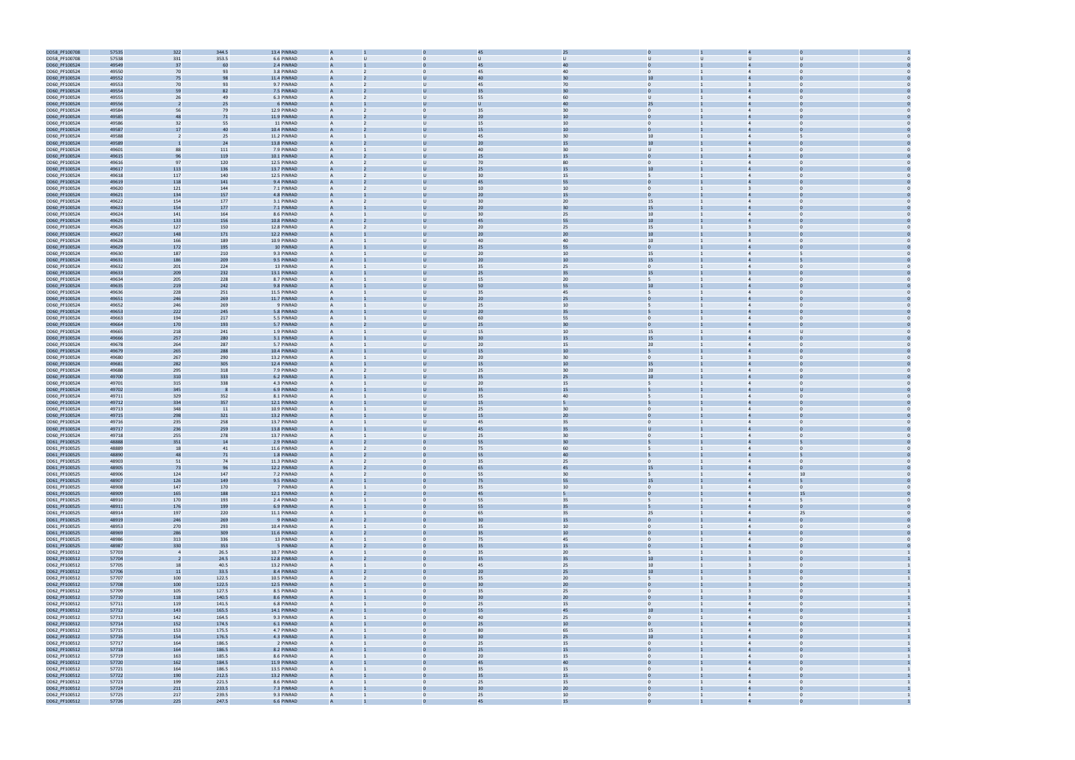

| DD58_PF100708 | 57535 | 322            | 344.5 | 13.4 PINRAD |                |                |                 |                 |                                 |                                           |    |  |
|---------------|-------|----------------|-------|-------------|----------------|----------------|-----------------|-----------------|---------------------------------|-------------------------------------------|----|--|
| DD58_PF100708 | 57538 | 331            | 353.5 | 6.6 PINRAD  |                |                | U               | U               | U                               |                                           |    |  |
| DD60_PF100524 | 49549 | 37             | 60    | 2.4 PINRAD  |                |                | 45              | 40              |                                 |                                           |    |  |
|               |       |                |       |             |                |                |                 |                 |                                 |                                           |    |  |
| DD60_PF100524 | 49550 | 70             | 93    | 3.8 PINRAD  | A              |                | 45              | 40              |                                 | $\overline{4}$                            |    |  |
| DD60_PF100524 | 49552 | 75             | 98    | 11.4 PINRAD | A              |                | 4 <sub>0</sub>  | 30              | 10                              |                                           |    |  |
| DD60_PF100524 | 49553 | 70             | 93    | 9.7 PINRAD  | A              | U              | 45              | 70              | $\mathbf{0}$                    | $\overline{3}$                            |    |  |
| DD60_PF100524 | 49554 | 59             | 82    | 7.5 PINRAD  |                |                |                 | 30              |                                 |                                           |    |  |
| DD60_PF100524 | 49555 | 26             | 49    | 6.3 PINRAD  | $\overline{A}$ | U              | 55              | 60              | $\cup$                          | $\overline{4}$<br>$\Omega$                |    |  |
| DD60_PF100524 | 49556 |                | 25    | 6 PINRAD    |                |                |                 | 40              | 25                              |                                           |    |  |
| DD60_PF100524 | 49584 | 56             | 79    | 12.9 PINRAD | A              | $\mathbf{0}$   | 35              | 30              | $\mathbf{0}$                    | $\overline{4}$<br>$\Omega$                |    |  |
|               | 49585 | 48             | 71    | 11.9 PINRAD |                |                | 20              | 10              |                                 |                                           |    |  |
| DD60_PF100524 |       |                |       |             |                |                |                 |                 |                                 |                                           |    |  |
| DD60_PF100524 | 49586 | 32             | 55    | 11 PINRAD   |                |                | 15              | 10              | $\mathbf{0}$                    |                                           |    |  |
| DD60_PF100524 | 49587 | 17             | 40    | 10.4 PINRAD |                |                | 15              | 10              |                                 |                                           |    |  |
| DD60_PF100524 | 49588 | -2             | 25    | 11.2 PINRAD |                |                | 45              | 30              | 10                              | $\overline{4}$                            |    |  |
| DD60_PF100524 | 49589 |                | 24    | 13.8 PINRAD |                |                | 20              | 15              | 10                              |                                           |    |  |
| DD60_PF100524 | 49601 | 88             | 111   | 7.9 PINRAD  | A              | $\cup$         | 40              | 30              | U                               | $\mathbf{B}$<br>$\bf{0}$                  |    |  |
| DD60_PF100524 | 49615 | 96             | 119   | 10.1 PINRAD |                |                | 25              | 15              |                                 |                                           |    |  |
| DD60_PF100524 | 49616 | 97             | 120   | 12.5 PINRAD | A              | $\mathbf{U}$   | 70              | 80              | $\Omega$                        | $\Omega$<br>$\overline{4}$                |    |  |
|               |       |                | 136   |             |                |                | 25              |                 | 10                              |                                           |    |  |
| DD60_PF100524 | 49617 | 113            |       | 13.7 PINRAD |                |                |                 | 15              |                                 |                                           |    |  |
| DD60_PF100524 | 49618 | 117            | 140   | 12.5 PINRAD | A              | U              | 30              | 15              | $\overline{5}$                  | $\Omega$<br>$\overline{4}$                |    |  |
| DD60_PF100524 | 49619 | 118            | 141   | 9.4 PINRAD  |                |                | 45              | 55              |                                 |                                           |    |  |
| DD60_PF100524 | 49620 | 121            | 144   | 7.1 PINRAD  |                |                | 10              | 10              | $\mathbf{0}$                    |                                           |    |  |
| DD60_PF100524 | 49621 | 134            | 157   | 4.8 PINRAD  |                |                | 2C              | 15              |                                 |                                           |    |  |
| DD60_PF100524 | 49622 | 154            | 177   | 3.1 PINRAD  |                |                | 30              | 20              | 15                              | $\overline{4}$                            |    |  |
| DD60_PF100524 | 49623 | 154            | 177   | 7.1 PINRAD  |                |                | 20              | 30              | 15                              |                                           |    |  |
| DD60_PF100524 | 49624 | 141            | 164   | 8.6 PINRAD  |                | $\cup$         | 30              | 25              | 10 <sup>10</sup>                | $\overline{4}$<br>$\bf{0}$                |    |  |
| DD60_PF100524 | 49625 | 133            | 156   | 10.8 PINRAD |                |                | 45              | 55              | 10                              |                                           |    |  |
|               |       |                |       |             |                |                |                 |                 |                                 |                                           |    |  |
| DD60_PF100524 | 49626 | 127            | 150   | 12.8 PINRAD | A              | $\mathbf{U}$   | 20              | 25              | 15                              | $\Omega$                                  |    |  |
| DD60_PF100524 | 49627 | 148            | 171   | 12.2 PINRAD |                |                | 2 <sub>0</sub>  | 20              | 10                              |                                           |    |  |
| DD60_PF100524 | 49628 | 166            | 189   | 10.9 PINRAD | A              | U              | 40              | 40              | 10                              | $\Omega$<br>$\overline{4}$                |    |  |
| DD60_PF100524 | 49629 | 172            | 195   | 10 PINRAD   |                |                | 25              | 55              | $\mathbf{0}$                    |                                           |    |  |
| DD60_PF100524 | 49630 | 187            | 210   | 9.3 PINRAD  |                |                | 20              | 10              | 15                              |                                           |    |  |
| DD60_PF100524 | 49631 | 186            | 209   | 9.5 PINRAD  |                |                | 2C              | 10              | 15                              |                                           |    |  |
| DD60_PF100524 | 49632 | 201            | 224   | 13 PINRAD   |                |                | 35              | 25              | $\Omega$                        | $\overline{4}$                            |    |  |
|               |       |                | 232   | 13.1 PINRAD | $\overline{A}$ |                |                 |                 |                                 |                                           |    |  |
| DD60_PF100524 | 49633 | 209            |       |             |                |                | 25              | 35              | 15                              |                                           |    |  |
| DD60_PF100524 | 49634 | 205            | 228   | 8.7 PINRAD  |                |                | 15              | 20              | 5                               | $\overline{4}$                            |    |  |
| DD60_PF100524 | 49635 | 219            | 242   | 9.8 PINRAD  |                |                | 50              | 55              | 10                              |                                           |    |  |
| DD60_PF100524 | 49636 | 228            | 251   | 11.5 PINRAD | A              | U              | 35              | 45              | 5                               | $\Omega$<br>$\overline{4}$                |    |  |
| DD60_PF100524 | 49651 | 246            | 269   | 11.7 PINRAD |                |                | 20              | 25              |                                 |                                           |    |  |
| DD60_PF100524 | 49652 | 246            | 269   | 9 PINRAD    | A              | U              | 25              | 10              | 5                               | $\overline{4}$<br>$\Omega$                |    |  |
| DD60_PF100524 | 49653 | 222            | 245   | 5.8 PINRAD  |                |                | 2C              | 35              |                                 |                                           |    |  |
| DD60_PF100524 | 49663 | 194            | 217   | 5.5 PINRAD  |                | $\mathbf{U}$   | 60              | 55              | $\mathbf{0}$                    |                                           |    |  |
|               | 49664 |                |       |             |                |                | 25              | 30              |                                 |                                           |    |  |
| DD60_PF100524 |       | 170            | 193   | 5.7 PINRAD  |                |                |                 |                 |                                 |                                           |    |  |
| DD60_PF100524 | 49665 | 218            | 241   | 1.9 PINRAD  |                |                | 15              | 10              | 15                              | $\overline{4}$                            |    |  |
| DD60_PF100524 | 49666 | 257            | 280   | 3.1 PINRAD  |                |                | 30              | 15              | 15                              |                                           |    |  |
| DD60_PF100524 | 49678 | 264            | 287   | 5.7 PINRAD  | A              |                | 20              | 15              | 20 <sub>2</sub>                 | $\overline{4}$                            |    |  |
| DD60_PF100524 | 49679 | 265            | 288   | 10.4 PINRAD |                |                | 15              | 10              |                                 |                                           |    |  |
| DD60_PF100524 | 49680 | 267            | 290   | 13.2 PINRAD | A              | U              | 20              | 30              | $\overline{0}$                  | $\Omega$<br>3                             |    |  |
| DD60_PF100524 | 49681 | 282            | 305   | 12.4 PINRAD |                |                | 1 <sup>5</sup>  | 10              | 15                              |                                           |    |  |
| DD60_PF100524 | 49688 | 295            | 318   | 7.9 PINRAD  | A              | U              | 25              | 30              | 20                              | $\overline{4}$<br>$\Omega$                |    |  |
|               | 49700 | 310            | 333   | 6.2 PINRAD  |                |                |                 | 25              | 10                              |                                           |    |  |
| DD60_PF100524 |       |                |       |             |                |                |                 |                 |                                 |                                           |    |  |
| DD60_PF100524 | 49701 | 315            | 338   | 4.3 PINRAD  |                | U              | 20              | 15              |                                 | $\Omega$                                  |    |  |
| DD60_PF100524 | 49702 | 345            |       | 6.9 PINRAD  |                |                | 35              | 15              |                                 |                                           |    |  |
| DD60_PF100524 | 49711 | 329            | 352   | 8.1 PINRAD  |                |                | 35              | 40              |                                 | $\overline{4}$                            |    |  |
| DD60_PF100524 | 49712 | 334            | 357   | 12.1 PINRAD |                |                | 15              |                 |                                 |                                           |    |  |
| DD60_PF100524 | 49713 | 348            | 11    | 10.9 PINRAD | A              | $\mathbf{U}$   | 25              | 30              | $\mathbf{0}$                    | $\overline{4}$<br>$\Omega$                |    |  |
| DD60_PF100524 | 49715 | 298            | 321   | 13.2 PINRAD |                |                | 15              | 20              |                                 |                                           |    |  |
| DD60_PF100524 | 49716 | 235            | 258   | 13.7 PINRAD | A              | U              | 45              | 35              | $\Omega$                        | $\overline{4}$<br>$\Omega$                |    |  |
|               |       |                |       | 13.8 PINRAD |                |                |                 | 35              |                                 |                                           |    |  |
| DD60_PF100524 | 49717 | 236            | 259   |             |                |                |                 |                 |                                 |                                           |    |  |
| DD60_PF100524 | 49718 | 255            | 278   | 13.7 PINRAD | A              | $\mathbf{U}$   | 25              | 30              | $\mathbf{0}$                    | $\mathbf{0}$<br>$\overline{4}$            |    |  |
| DD61_PF100525 | 48888 | 351            | 14    | 2.9 PINRAD  |                |                | 55              | 30              |                                 |                                           |    |  |
| DD61_PF100525 | 48889 | 18             | 41    | 11.6 PINRAD | A              |                | 75              | 60              |                                 | $\Omega$<br>$\overline{4}$                |    |  |
| DD61_PF100525 | 48890 | 48             | 71    | 1.8 PINRAD  |                |                | 55              | 40              |                                 |                                           |    |  |
| DD61_PF100525 | 48903 | 51             | 74    | 11.3 PINRAD |                |                | 35              | 25              | $\Omega$                        |                                           |    |  |
| DD61_PF100525 | 48905 | 73             | 96    | 12.2 PINRAD |                |                | 65              | 45              | 15                              |                                           |    |  |
| DD61_PF100525 | 48906 | 124            | 147   | 7.2 PINRAD  | A              | $\mathbf{0}$   | 55              | 30              | $5\overline{5}$                 | $\overline{4}$                            | 10 |  |
| DD61_PF100525 | 48907 | 126            | 149   | 9.5 PINRAD  | A              |                | 75              | 55              | 15                              | $\overline{4}$                            |    |  |
| DD61_PF100525 | 48908 | 147            | 170   | 7 PINRAD    | $\overline{A}$ | $\mathbf{0}$   | 35              | 10              | $\overline{0}$                  | $\overline{0}$<br>$\overline{4}$          |    |  |
|               |       |                |       |             |                |                |                 |                 |                                 |                                           |    |  |
| DD61_PF100525 | 48909 | 165            | 188   | 12.1 PINRAD |                |                | 45              |                 |                                 |                                           | 15 |  |
| DD61_PF100525 | 48910 | 170            | 193   | 2.4 PINRAD  | $\overline{A}$ | $\mathbf{0}$   | 55              | 35              | $5\overline{5}$<br>$\mathbf{1}$ | $\overline{4}$<br>5                       |    |  |
| DD61_PF100525 | 48911 | 176            | 199   | 6.9 PINRAD  | A              | $\Omega$       | 55              | 35              | 5                               | $\mathbf 0$<br>$\overline{4}$             |    |  |
| DD61_PF100525 | 48914 | 197            | 220   | 11.1 PINRAD | A              | $\mathbf{0}$   | 65              | 35              | 25                              | $\overline{4}$                            | 25 |  |
| DD61_PF100525 | 48919 | 246            | 269   | 9 PINRAD    |                |                | 30              | 15              | $\Omega$                        | $\Omega$<br>$\overline{a}$                |    |  |
| DD61_PF100525 | 48953 | 270            | 293   | 10.4 PINRAD | A              | $\Omega$       | 35              | 10              | $\overline{0}$                  | $\overline{4}$<br>$\Omega$                |    |  |
| DD61_PF100525 | 48969 | 286            | 309   | 11.6 PINRAD | A              |                | 35              | 10 <sup>°</sup> | $\mathbf{0}$                    | $\overline{4}$<br>$\mathbf 0$             |    |  |
| DD61 PF100525 | 48986 | 313            | 336   | 13 PINRAD   | A              | $\mathbf{0}$   | 75              | 45              | $\overline{0}$                  | $\overline{4}$<br>$\overline{0}$          |    |  |
| DD61_PF100525 | 48987 | 330            | 353   | 5 PINRAD    | $\overline{A}$ |                | 35              | $15\,$          | $\mathbf{0}$                    | $\overline{0}$<br>$\overline{4}$          |    |  |
| DD62_PF100512 | 57703 | $\overline{4}$ | 26.5  | 10.7 PINRAD | $\mathsf{A}$   | $\overline{0}$ | 35              | 20              | 5 <sup>5</sup>                  | $\overline{\mathbf{3}}$<br>$\overline{0}$ |    |  |
|               |       |                |       |             |                |                |                 |                 |                                 |                                           |    |  |
| DD62_PF100512 | 57704 | -2             | 24.5  | 12.8 PINRAD |                |                | 35              | 35              | 10 <sup>°</sup>                 |                                           |    |  |
| DD62_PF100512 | 57705 | 18             | 40.5  | 13.2 PINRAD | A              | $\mathbf{0}$   | 45              | 25              | 10                              | $\overline{0}$<br>$\overline{\mathbf{3}}$ |    |  |
| DD62_PF100512 | 57706 | 11             | 33.5  | 8.4 PINRAD  |                |                | 20 <sub>2</sub> | 25              | 10 <sup>10</sup>                | $\Omega$                                  |    |  |
| DD62_PF100512 | 57707 | 100            | 122.5 | 10.5 PINRAD | A              | $\mathbf{0}$   | 35              | 20              | 5                               | $\overline{0}$<br>$\overline{3}$          |    |  |
| DD62_PF100512 | 57708 | 100            | 122.5 | 12.5 PINRAD |                |                | 30              | 20              |                                 |                                           |    |  |
| DD62_PF100512 | 57709 | 105            | 127.5 | 8.5 PINRAD  | A              | $\Omega$       | 35              | 25              | $\Omega$                        | $\overline{\mathbf{3}}$<br>$\Omega$       |    |  |
| DD62_PF100512 | 57710 | 118            | 140.5 | 8.6 PINRAD  | A              |                | 30              | 20              | $\mathbf{0}$                    | $\overline{3}$<br>$\mathbf 0$             |    |  |
| DD62_PF100512 | 57711 | 119            | 141.5 | 6.8 PINRAD  | $\overline{A}$ | $\mathbf{0}$   | 25              | 15              | $\overline{0}$                  | $\overline{4}$<br>$\overline{0}$          |    |  |
|               |       |                |       |             |                |                |                 |                 |                                 |                                           |    |  |
| DD62_PF100512 | 57712 | 143            | 165.5 | 14.1 PINRAD |                |                | 55              | 45              | $10\,$                          | $\overline{4}$<br>$\overline{0}$          |    |  |
| DD62_PF100512 | 57713 | 142            | 164.5 | 9.3 PINRAD  | $\mathsf{A}$   | $\mathbf{0}$   | 40              | 25              | $\overline{0}$                  | $\overline{0}$<br>$\overline{4}$          |    |  |
| DD62_PF100512 | 57714 | 152            | 174.5 | 6.1 PINRAD  |                |                | 25              | 10              |                                 |                                           |    |  |
| DD62_PF100512 | 57715 | 153            | 175.5 | 4.7 PINRAD  | $\overline{A}$ | $\mathbf{0}$   | 80              | 65              | 15<br>$\mathbf{1}$              | $\overline{0}$<br>$\overline{4}$          |    |  |
| DD62_PF100512 | 57716 | 154            | 176.5 | 4.3 PINRAD  |                |                | 30              | 25              | 10                              | $\overline{4}$                            |    |  |
| DD62_PF100512 | 57717 | 164            | 186.5 | 2 PINRAD    | A              | $\mathbf{0}$   | 25              | 15              | $\mathbf{0}$                    | $\overline{4}$<br>$\mathbf{0}$            |    |  |
| DD62_PF100512 | 57718 | 164            | 186.5 | 8.2 PINRAD  |                |                | 25              | 15              |                                 | $\Delta$                                  |    |  |
| DD62_PF100512 | 57719 | 163            | 185.5 | 8.6 PINRAD  | A              | $\Omega$       | 20              | 15              | $\Omega$                        | $\overline{4}$<br>$\Omega$                |    |  |
| DD62_PF100512 | 57720 | 162            | 184.5 | 11.9 PINRAD | A              |                | 45              | 40              | $\mathbf{0}$                    | $\overline{4}$                            |    |  |
|               |       |                |       |             |                |                |                 |                 |                                 |                                           |    |  |
| DD62_PF100512 | 57721 | 164            | 186.5 | 13.5 PINRAD | $\overline{A}$ | $\mathbf{0}$   | 35              | 15              | $\overline{0}$                  | $\overline{4}$<br>$\overline{0}$          |    |  |
| DD62_PF100512 | 57722 | 190            | 212.5 | 13.2 PINRAD | A              |                | 35              | $15\,$          |                                 | $\overline{4}$                            |    |  |
| DD62_PF100512 | 57723 | 199            | 221.5 | 8.6 PINRAD  | $\mathsf{A}$   | $\overline{0}$ | 25              | 15              | $\overline{0}$                  | $\overline{4}$<br>$\overline{0}$          |    |  |
| DD62_PF100512 | 57724 | 211            | 233.5 | 7.3 PINRAD  |                |                | 30              | $20\,$          |                                 |                                           |    |  |
|               |       |                |       |             | $\overline{A}$ | $\mathbf{0}$   | 25              | 10              | $\overline{0}$<br>$\mathbf{1}$  | $\overline{4}$<br>$\overline{0}$          |    |  |
| DD62_PF100512 | 57725 | 217            | 239.5 | 9.3 PINRAD  |                |                |                 |                 |                                 |                                           |    |  |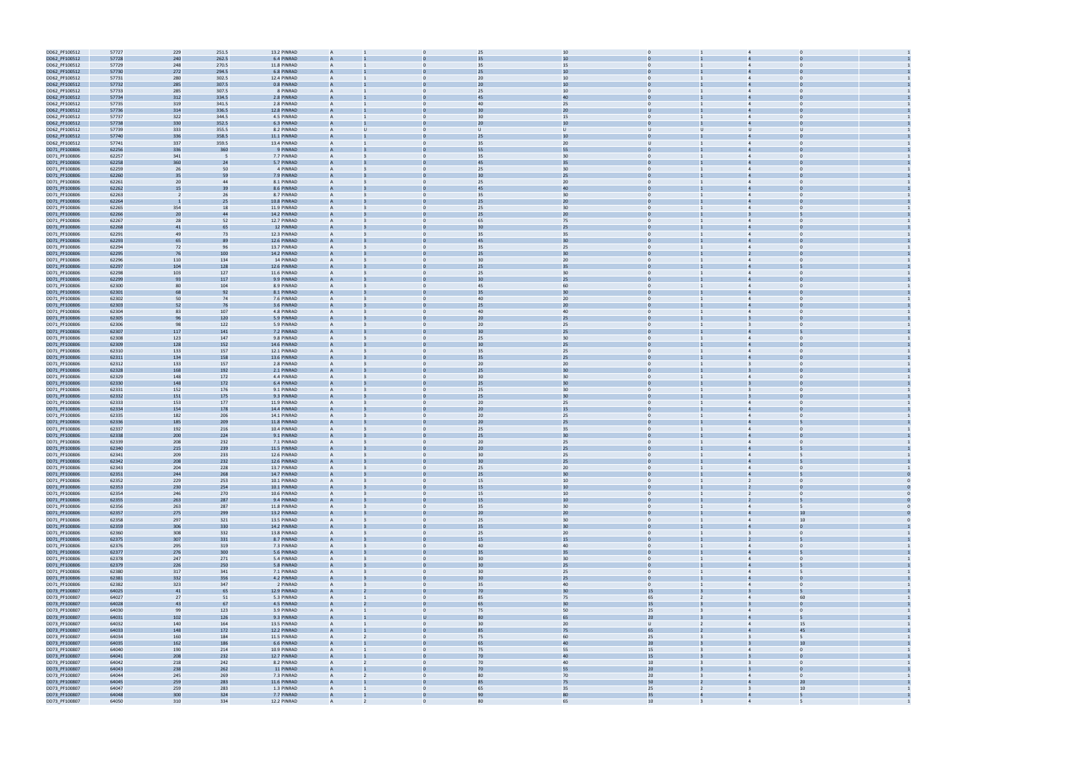

| DD62_PF100512                  | 57727          | 229            | 251.5      | 13.2 PINRAD                |                |                          | 25              | 10       |                                  |                         |                                  |  |
|--------------------------------|----------------|----------------|------------|----------------------------|----------------|--------------------------|-----------------|----------|----------------------------------|-------------------------|----------------------------------|--|
| DD62_PF100512                  | 57728          | 240            | 262.5      | 6.4 PINRAD                 |                |                          |                 | 10       |                                  |                         |                                  |  |
| DD62_PF100512                  | 57729          | 248            | 270.5      | 11.8 PINRAD                | $\overline{A}$ | $\Omega$                 | 35              | 15       | $\Omega$                         |                         | $\overline{4}$<br>$\Omega$       |  |
|                                |                |                |            | 6.8 PINRAD                 |                |                          | 25              | 10       |                                  |                         |                                  |  |
| DD62_PF100512                  | 57730          | 272            | 294.5      |                            |                |                          |                 |          |                                  |                         |                                  |  |
| DD62_PF100512                  | 57731          | 280            | 302.5      | 12.4 PINRAD                | A              | $\Omega$                 | 20              | 10       | $\mathbf{0}$                     |                         | $\overline{4}$                   |  |
| DD62_PF100512                  | 57732          | 285            | 307.5      | 0.8 PINRAD                 |                |                          | 20              | 10       |                                  |                         |                                  |  |
| DD62_PF100512                  | 57733          | 285            | 307.5      | 8 PINRAD                   |                |                          | 25              | 10       | $\Omega$                         |                         |                                  |  |
| DD62_PF100512                  | 57734          | 312            | 334.5      | 2.8 PINRAD                 |                |                          | 45              | 40       |                                  |                         |                                  |  |
| DD62_PF100512                  | 57735          | 319            | 341.5      | 2.8 PINRAD                 |                |                          | 40              | 25       |                                  |                         | $\overline{4}$                   |  |
| DD62_PF100512                  | 57736          | 314            | 336.5      | 12.8 PINRAD                |                |                          |                 | 20       |                                  |                         |                                  |  |
| DD62_PF100512                  | 57737          | 322            | 344.5      | 4.5 PINRAD                 | A              |                          | 30              | 15       | $\mathbf{0}$                     |                         | $\overline{4}$<br>$\bf{0}$       |  |
| DD62_PF100512                  | 57738          | 330            | 352.5      | 6.3 PINRAD                 |                |                          | 2C              | 10       |                                  |                         |                                  |  |
| DD62_PF100512                  | 57739          | 333            | 355.5      | 8.2 PINRAD                 | A              |                          | U               | $\cup$   | $\cup$                           | U                       | $\cup$<br>$\mathbf{u}$           |  |
| DD62_PF100512                  | 57740          | 336            | 358.5      | 11.1 PINRAD                |                |                          | 25              | 10       |                                  |                         |                                  |  |
| DD62_PF100512                  | 57741          | 337            | 359.5      | 13.4 PINRAD                | A              |                          | 35              | 20       | $\cup$                           |                         | $\overline{4}$<br>$\Omega$       |  |
| DD71_PF100806                  | 62256          | 336            | 360        | 9 PINRAD                   |                |                          | 55              | 55       |                                  |                         |                                  |  |
| DD71_PF100806                  | 62257          | 341            | - 5        | 7.7 PINRAD                 |                |                          | 35              | 30       | $\Omega$                         |                         |                                  |  |
| DD71_PF100806                  | 62258          | 360            | 24         | 5.7 PINRAD                 |                |                          | 45              | 35       |                                  |                         |                                  |  |
| DD71_PF100806                  | 62259          | 26             | 50         | 4 PINRAD                   |                |                          | 25              | 30       |                                  |                         |                                  |  |
| DD71_PF100806                  | 62260          | 35             | 59         | 7.9 PINRAD                 |                |                          | 30              | 25       |                                  |                         |                                  |  |
| DD71_PF100806                  | 62261          | 20             | 44         | 8.1 PINRAD                 |                |                          | 25              | 20       | $\mathbf{0}$                     |                         | $\overline{4}$<br>$\bf{0}$       |  |
| DD71_PF100806                  | 62262          | 15             | 39         | 8.6 PINRAD                 |                |                          | 45              | 40       |                                  |                         |                                  |  |
| DD71_PF100806                  | 62263          | $\overline{2}$ | 26         | 8.7 PINRAD                 | A              |                          | 35              | 30       | $\Omega$                         |                         | $\Omega$<br>$\Delta$             |  |
| DD71_PF100806                  | 62264          |                | 25         | 10.8 PINRAD                |                |                          | 25              | 20       |                                  |                         |                                  |  |
| DD71_PF100806                  | 62265          | 354            | 18         | 11.9 PINRAD                | A              |                          | 25              | 30       | $\mathbf{0}$                     |                         | $\overline{4}$<br>$\Omega$       |  |
| DD71_PF100806                  | 62266          | 20             | 44         | 14.2 PINRAD                |                |                          | 25              | 20       |                                  |                         |                                  |  |
| DD71_PF100806                  | 62267          | 28             | 52         | 12.7 PINRAD                |                |                          | 65              | 75       | $\Omega$                         |                         |                                  |  |
| DD71_PF100806                  | 62268          | 41             | 65         | 12 PINRAD                  |                |                          | 30              | 25       |                                  |                         |                                  |  |
| DD71_PF100806                  | 62291          | 49             | 73         | 12.3 PINRAD                |                |                          | 35              | 35       | $\Omega$                         |                         | $\Delta$                         |  |
| DD71_PF100806                  | 62293          | 65             | 89         | 12.6 PINRAD                |                |                          | 45              | 30       | $\mathbf{0}$                     |                         |                                  |  |
| DD71_PF100806                  | 62294          | 72             | 96         | 13.7 PINRAD                |                |                          | 35              | 25       | $\mathbf{0}$                     |                         | $\overline{4}$<br>$\bf{0}$       |  |
| DD71_PF100806                  | 62295          | 76             | 100        | 14.2 PINRAD                |                |                          | 25              | 30       |                                  |                         |                                  |  |
| DD71_PF100806                  |                |                | 134        | 14 PINRAD                  | A              |                          | 30              | 20       | $\Omega$                         |                         | $\Omega$                         |  |
|                                | 62296          | 110            |            |                            |                |                          |                 |          |                                  |                         |                                  |  |
| DD71_PF100806                  | 62297          | 104            | 128        | 12.6 PINRAD                |                |                          | 25              | 35       |                                  |                         |                                  |  |
| DD71_PF100806                  | 62298          | 103            | 127        | 11.6 PINRAD                | A              | $\Omega$                 | 25              | 30       | $\mathbf{0}$                     |                         | $\overline{4}$<br>$\Omega$       |  |
| DD71_PF100806                  | 62299          | 93             | 117        | 9.9 PINRAD                 |                |                          | 3 <sub>C</sub>  | 25       |                                  |                         |                                  |  |
| DD71_PF100806                  | 62300          | 80             | 104        | 8.9 PINRAD                 |                |                          | 45              | 60       |                                  |                         |                                  |  |
| DD71_PF100806                  | 62301          | 68             | 92         | 8.1 PINRAD                 |                |                          | 35              | 30       |                                  |                         |                                  |  |
| DD71_PF100806                  | 62302          | 50             | 74         | 7.6 PINRAD                 |                |                          | 40              | 20       | $\Omega$                         |                         | $\overline{4}$                   |  |
| DD71_PF100806                  | 62303          | 52             | 76         | 3.6 PINRAD                 |                |                          | 25              | 20       |                                  |                         |                                  |  |
| DD71_PF100806                  | 62304          | 83             | 107        | 4.8 PINRAD                 |                |                          | 40              | 40       | $\mathbf{0}$                     |                         | $\overline{4}$<br>$\Omega$       |  |
| DD71_PF100806                  | 62305          | 96             | 120        | 5.9 PINRAD                 |                |                          | 20              | 25       |                                  |                         |                                  |  |
| DD71_PF100806                  | 62306          | 98             | 122        | 5.9 PINRAD                 | A              | $\mathbf{0}$             | 20              | 25       | $\mathbf{0}$                     |                         | $\mathbf 0$<br>3                 |  |
| DD71_PF100806                  | 62307          | 117            | 141        | 7.2 PINRAD                 |                |                          |                 | 25       |                                  |                         |                                  |  |
| DD71_PF100806                  | 62308          | 123            | 147        | 9.8 PINRAD                 | A              | $\mathbf{0}$             | 25              | 30       | $\mathbf{0}$                     |                         | $\overline{4}$<br>$\Omega$       |  |
| DD71_PF100806                  | 62309          | 128            | 152        | 14.6 PINRAD                |                |                          |                 | 25       |                                  |                         |                                  |  |
| DD71_PF100806                  | 62310          | 133            | 157        | 12.1 PINRAD                |                |                          | 35              | 25       | $\mathbf{0}$                     |                         |                                  |  |
| DD71_PF100806                  | 62311          | 134            | 158        | 13.6 PINRAD                |                |                          | 35              | 25       |                                  |                         |                                  |  |
| DD71_PF100806                  | 62312          | 133            | 157        | 2.8 PINRAD                 |                |                          | 20              | 20       | $\Omega$                         |                         | $\overline{3}$                   |  |
| DD71_PF100806                  | 62328          | 168            | 192        | 2.1 PINRAD                 |                |                          | 25              | 30       |                                  |                         |                                  |  |
| DD71_PF100806                  | 62329          | 148            | 172        | 4.4 PINRAD                 |                |                          | 30              | 30       | $\mathbf{0}$                     |                         | $\overline{4}$<br>$\bf{0}$       |  |
| DD71_PF100806                  | 62330          | 148            | 172        | 6.4 PINRAD                 |                |                          | 25              | 30       |                                  |                         |                                  |  |
| DD71_PF100806                  | 62331          | 152            | 176        | 9.1 PINRAD                 | A              | $\Omega$                 | 25              | 30       | $\mathbf{0}$                     |                         | $\Omega$                         |  |
| DD71_PF100806                  | 62332          | 151            | 175        | 9.3 PINRAD                 |                |                          | 25              | 30       |                                  |                         |                                  |  |
| DD71_PF100806                  | 62333          | 153            | 177        | 11.9 PINRAD                | A              | $\Omega$                 | 20              | 25       | $\mathbf{0}$                     |                         | $\overline{4}$<br>$\Omega$       |  |
| DD71_PF100806                  | 62334          | 154            | 178        | 14.4 PINRAD                |                |                          | 2C              | 15       |                                  |                         |                                  |  |
| DD71_PF100806                  | 62335          | 182            | 206        | 14.1 PINRAD                |                |                          | 20              | 25       | $\mathbf{0}$                     |                         | $\Omega$                         |  |
| DD71_PF100806                  | 62336          | 185            | 209        | 11.8 PINRAD                |                |                          | 2C              | 25       |                                  |                         |                                  |  |
| DD71_PF100806                  | 62337          | 192            | 216        | 10.4 PINRAD                |                |                          | 25              | 35       | $\Omega$                         |                         | $\overline{4}$                   |  |
| DD71_PF100806                  | 62338          | 200            | 224        | 9.1 PINRAD                 |                |                          | 25              | 30       | $\mathbf{0}$                     |                         |                                  |  |
| DD71_PF100806                  | 62339          | 208            | 232        | 7.1 PINRAD                 |                |                          | 20              | 25       | $\mathbf{0}$                     |                         | $\mathbf 0$<br>$\overline{4}$    |  |
| DD71_PF100806                  | 62340          | 215            | 239        | 11.5 PINRAD                |                |                          | 20              | 25       |                                  |                         |                                  |  |
| DD71_PF100806                  | 62341          | 209            | 233        | 12.6 PINRAD                |                |                          | 30              | 25       |                                  |                         |                                  |  |
|                                |                | 208            | 232        |                            |                |                          | 30              |          |                                  |                         |                                  |  |
| DD71_PF100806<br>DD71_PF100806 | 62342<br>62343 | 204            | 228        | 12.6 PINRAD<br>13.7 PINRAD | $\overline{A}$ | $\mathbf{0}$             | 25              | 25<br>20 | $\overline{0}$                   | $\mathbf{1}$            | $\overline{4}$<br>$\overline{0}$ |  |
| DD71_PF100806                  | 62351          | 244            | 268        | 14.7 PINRAD                | $\overline{A}$ |                          | 25              | 30       | $\mathbf{0}$                     |                         | $\overline{4}$<br>5              |  |
|                                | 62352          | 229            | 253        | 10.1 PINRAD                | $\overline{A}$ | $\mathbf{0}$             | 15              | $10\,$   | $\overline{0}$                   |                         | $\overline{0}$<br>$\overline{2}$ |  |
| DD71_PF100806                  | 62353          |                |            |                            | $\overline{A}$ |                          | 15              | 10       | $\Omega$                         |                         | $\Omega$                         |  |
| DD71_PF100806                  |                | 230<br>246     | 254        | 10.1 PINRAD<br>10.6 PINRAD | $\overline{A}$ | $\Omega$                 | 15              | 10       | $\overline{0}$                   |                         | $\overline{2}$<br>$\Omega$       |  |
| DD71_PF100806                  | 62354<br>62355 | 263            | 270<br>287 | 9.4 PINRAD                 | A              |                          | 15              | $10\,$   |                                  |                         | $\overline{2}$<br>5              |  |
| DD71_PF100806<br>DD71_PF100806 | 62356          | 263            | 287        | 11.8 PINRAD                | $\overline{A}$ | $\mathbf{0}$             | 35              | 30       | $\overline{0}$<br>$\overline{0}$ |                         | 5<br>$\overline{4}$              |  |
|                                |                |                |            | 13.2 PINRAD                | $\overline{A}$ |                          | 20 <sub>2</sub> | 20       | $\mathbf{0}$                     |                         | 10<br>$\overline{4}$             |  |
| DD71_PF100806                  | 62357          | 275            | 299        |                            |                |                          |                 |          |                                  |                         |                                  |  |
| DD71_PF100806                  | 62358          | 297            | 321        | 13.5 PINRAD                | A              | $\overline{0}$           | 25              | 30       | $\overline{0}$<br>$\overline{0}$ | $\mathbf{1}$            | 10<br>$\overline{4}$<br>$\Omega$ |  |
| DD71_PF100806                  | 62359          | 306            | 330        | 14.2 PINRAD                | A              |                          | 35              | 30       |                                  |                         | $\overline{0}$                   |  |
| DD71_PF100806                  | 62360          | 308            | 332        | 13.8 PINRAD                | $\overline{A}$ | $\mathbf{0}$             | 25              | 20       | $\overline{0}$                   | $\mathbf{1}$            | $\overline{\mathbf{3}}$          |  |
| DD71_PF100806                  | 62375          | 307            | 331        | 8.7 PINRAD                 | $\overline{A}$ |                          | 15              | 15       | $\mathbf{0}$                     |                         | $\overline{2}$                   |  |
| DD71_PF100806                  | 62376          | 295            | 319        | 7.3 PINRAD                 | A              | $\mathbf{0}$             | 40              | 40       | $\overline{0}$                   |                         | $\overline{0}$<br>$\overline{4}$ |  |
| DD71_PF100806                  | 62377          | 276            | 300        | 5.6 PINRAD                 | $\overline{A}$ |                          | 35              | 35       | $\Omega$                         |                         | $\overline{4}$                   |  |
| DD71_PF100806                  | 62378          | 247            | 271        | 5.4 PINRAD                 | A              | $\Omega$                 | 30 <sup>°</sup> | 30       | $\overline{0}$                   |                         | $\overline{4}$<br>$\Omega$       |  |
| DD71_PF100806                  | 62379          | 226            | 250        | 5.8 PINRAD                 | A              |                          | 30              | 25       | $\overline{0}$                   |                         | $\overline{4}$<br>5              |  |
| DD71_PF100806                  | 62380          | 317            | 341        | 7.1 PINRAD                 | A              | $\mathbf{0}$             | 30              | 25       | $\overline{0}$                   |                         | $\overline{4}$<br>5              |  |
| DD71_PF100806                  | 62381          | 332            | 356        | 4.2 PINRAD                 | $\overline{A}$ |                          | 30              | 25       | $\mathbf{0}$                     |                         | $\bf{0}$<br>$\overline{4}$       |  |
| DD71_PF100806                  | 62382          | 323            | 347        | 2 PINRAD                   | $\overline{A}$ | $\overline{0}$           | 35              | 40       | $\overline{0}$                   | 1                       | $\overline{0}$<br>$\overline{4}$ |  |
| DD73_PF100807                  | 64025          | 41             | 65         | 12.9 PINRAD                | A              |                          | 70              | 30       | 15                               |                         | 5                                |  |
| DD73_PF100807                  | 64027          | 27             | 51         | 5.3 PINRAD                 | $\overline{A}$ | $\mathbf{0}$             | 85              | 75       | 65                               | $\overline{2}$          | 60<br>$\overline{4}$             |  |
| DD73_PF100807                  | 64028          | 43             | 67         | 4.5 PINRAD                 | $\overline{A}$ |                          | 65              | 30       | 15                               |                         | $\overline{3}$<br>$\Omega$       |  |
| DD73_PF100807                  | 64030          | 99             | 123        | 3.9 PINRAD                 | A              | $\mathbf{0}$             | 75              | 50       | 25                               | $\overline{3}$          | $\overline{0}$<br>$\overline{4}$ |  |
| DD73_PF100807                  | 64031          | 102            | 126        | 9.3 PINRAD                 | $\overline{A}$ |                          | 80              | 65       | 20 <sub>2</sub>                  |                         | 5<br>$\overline{4}$              |  |
| DD73_PF100807                  | 64032          | 140            | 164        | 13.5 PINRAD                | A              | $\Omega$                 | 30 <sup>°</sup> | 20       | $\cup$                           | $\overline{2}$          | 15<br>$\overline{4}$             |  |
| DD73_PF100807                  | 64033          | 148            | 172        | 12.2 PINRAD                | A              |                          | 85              | 75       | 65                               | $\overline{2}$          | 45<br>$\overline{4}$             |  |
| DD73_PF100807                  | 64034          | 160            | 184        | 11.5 PINRAD                | $\overline{A}$ | $\mathbf{0}$             | 75              | 60       | 25                               | $\overline{3}$          | $\overline{\mathbf{3}}$<br>5     |  |
| DD73_PF100807                  | 64035          | 162            | 186        | 6.6 PINRAD                 | $\overline{A}$ |                          | 65              | $40\,$   | 20 <sub>2</sub>                  |                         | 10<br>$\overline{3}$             |  |
| DD73_PF100807                  | 64040          | 190            | 214        | 10.9 PINRAD                | $\mathsf{A}$   | $\overline{0}$           | 75              | 55       | 15                               | $\overline{\mathbf{3}}$ | $\overline{0}$<br>$\overline{4}$ |  |
| DD73_PF100807                  | 64041          | 208            | 232        | 12.7 PINRAD                | A              |                          | 70              | 40       | 15                               |                         |                                  |  |
| DD73_PF100807                  | 64042          | 218            | 242        | 8.2 PINRAD                 | $\overline{A}$ | $\mathbf{0}$             | 70              | 40       | 10                               | $\overline{3}$          | $\overline{0}$<br>$\overline{3}$ |  |
| DD73_PF100807                  | 64043          | 238            | 262        | 11 PINRAD                  |                |                          | 70              | 55       | 20 <sub>2</sub>                  |                         | $\Omega$                         |  |
| DD73_PF100807                  | 64044          | 245            | 269        | 7.3 PINRAD                 | A              | $\mathbf{0}$             | 80              | 70       | 20                               |                         | $\overline{0}$<br>$\overline{4}$ |  |
| DD73_PF100807                  | 64045          | 259            | 283        | 11.6 PINRAD                |                |                          | 85              | 75       | 50                               |                         | 20                               |  |
| DD73_PF100807                  | 64047          | 259            | 283        | 1.3 PINRAD                 | $\overline{A}$ | $\Omega$                 | 65              | 35       | 25                               | $\overline{2}$          | 10<br>$\overline{3}$             |  |
| DD73_PF100807                  | 64048          | 300            | 324        | 7.7 PINRAD                 | A              | $\Omega$                 | 90              | 80       | 35 <sub>2</sub>                  | $\overline{4}$          | 5<br>$\overline{4}$              |  |
|                                | 64050          | 310            | 334        | 12.2 PINRAD                |                | $\overline{\phantom{a}}$ | 80              | 65       | 10                               |                         | $\sqrt{ }$                       |  |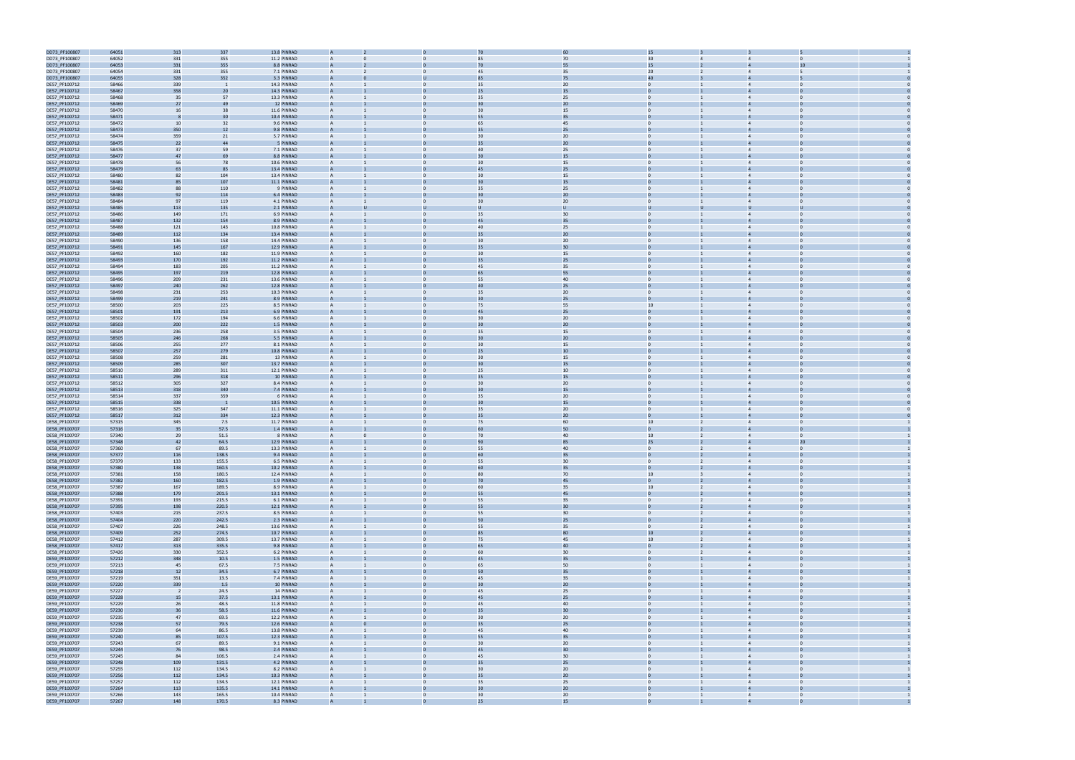

| DD73_PF100807                  | 64051          | 313            | 337            | 13.8 PINRAD                |                |                |                 |          | 15               |                |                                  |  |
|--------------------------------|----------------|----------------|----------------|----------------------------|----------------|----------------|-----------------|----------|------------------|----------------|----------------------------------|--|
| DD73_PF100807                  | 64052          | 331            | 355            | 11.2 PINRAD                |                |                | 85              | 70       | 30               |                |                                  |  |
| DD73_PF100807                  | 64053          | 331            | 355            | 8.8 PINRAD                 |                |                | 70              | 55       | 15               |                | 10                               |  |
|                                |                |                |                |                            |                |                |                 |          |                  |                |                                  |  |
| DD73_PF100807                  | 64054          | 331            | 355            | 7.1 PINRAD                 | A              |                | 45              | 35       | 20               |                | $\Delta$                         |  |
| DD73_PF100807                  | 64055          | 328            | 352            | 3.3 PINRAD                 | A              |                | 85              | 75       | 40               |                |                                  |  |
| DE57_PF100712                  | 58466          | 339            |                | 14.3 PINRAD                | A              |                | 35              | 20       | $\overline{0}$   |                | $\overline{4}$<br>$\bf{0}$       |  |
| DE57_PF100712                  | 58467          | 358            | 20             | 14.3 PINRAD                |                |                | 25              | 15       |                  |                |                                  |  |
| DE57_PF100712                  | 58468          | 35             | 57             | 13.3 PINRAD                | $\overline{A}$ | $\Omega$       | 35              | 25       | $\Omega$         |                | $\overline{4}$<br>$\Omega$       |  |
| DE57_PF100712                  | 58469          | 27             | 4 <sup>c</sup> | 12 PINRAD                  |                |                |                 | 20       |                  |                |                                  |  |
| DE57_PF100712                  | 58470          | 16             | 38             | 11.6 PINRAD                | A              | $\Omega$       | 30              | 15       | $\mathbf{0}$     |                | $\overline{4}$<br>$\Omega$       |  |
| DE57_PF100712                  | 58471          |                | 3 <sup>1</sup> | 10.4 PINRAD                |                |                |                 | 35       |                  |                |                                  |  |
|                                |                |                |                |                            |                |                |                 |          |                  |                |                                  |  |
| DE57_PF100712                  | 58472          | 10             | 32             | 9.6 PINRAD                 |                |                | 65              | 45       | $\Omega$         |                | $\overline{4}$                   |  |
| DE57_PF100712                  | 58473          | 350            | 12             | 9.8 PINRAD                 |                |                |                 | 25       |                  |                |                                  |  |
| DE57_PF100712                  | 58474          | 359            | 21             | 5.7 PINRAD                 |                |                | 30              | 20       |                  |                | $\overline{4}$                   |  |
| DE57_PF100712                  | 58475          | 22             | 44             | 5 PINRAD                   |                |                | 35              | 20       |                  |                |                                  |  |
| DE57_PF100712                  | 58476          | 37             | 59             | 7.1 PINRAD                 | A              |                | 40              | 25       | $\mathbf{0}$     |                | $\overline{4}$<br>$\Omega$       |  |
| DE57_PF100712                  | 58477          | 47             | 69             | 8.8 PINRAD                 |                |                | 30              | 15       |                  |                |                                  |  |
| DE57_PF100712                  | 58478          | 56             | 78             | 10.6 PINRAD                | A              |                | 30              | 15       | $\Omega$         |                | $\Omega$<br>$\overline{4}$       |  |
| DE57_PF100712                  | 58479          | 63             | 85             | 13.4 PINRAD                |                |                | 45              | 25       |                  |                |                                  |  |
|                                |                |                |                |                            |                |                |                 |          |                  |                |                                  |  |
| DE57_PF100712                  | 58480          | 82             | 104            | 13.4 PINRAD                | A              |                | 30              | 15       | $\mathbf{0}$     |                | $\overline{4}$<br>$\Omega$       |  |
| DE57_PF100712                  | 58481          | 85             | 107            | 11.1 PINRAD                |                |                | $\overline{30}$ | 15       |                  |                |                                  |  |
| DE57_PF100712                  | 58482          | 88             | 110            | 9 PINRAD                   |                |                | 35              | 25       | $\Omega$         |                |                                  |  |
| DE57_PF100712                  | 58483          | 92             | 114            | 6.4 PINRAD                 |                |                | 30              | 20       |                  |                |                                  |  |
| DE57_PF100712                  | 58484          | 97             | 119            | 4.1 PINRAD                 | A              |                | 30              | 20       | $\Omega$         |                | $\overline{4}$                   |  |
| DE57_PF100712                  | 58485          | 113            | 135            | 2.1 PINRAD                 | $\overline{A}$ |                |                 | U        | U                |                |                                  |  |
| DE57_PF100712                  | 58486          | 149            | 171            | 6.9 PINRAD                 |                |                | 35              | 30       | $\mathbf{0}$     |                | $\bf{0}$                         |  |
|                                |                |                |                |                            |                |                | 45              | 35       |                  |                |                                  |  |
| DE57_PF100712                  | 58487          | 132            | 154            | 8.9 PINRAD                 |                |                |                 |          |                  |                |                                  |  |
| DE57_PF100712                  | 58488          | 121            | 143            | 10.8 PINRAD                | A              |                | 40              | 25       | $\Omega$         |                | $\Delta$                         |  |
| DE57_PF100712                  | 58489          | 112            | 134            | 13.4 PINRAD                |                |                | 35              | 20       |                  |                |                                  |  |
| DE57_PF100712                  | 58490          | 136            | 158            | 14.4 PINRAD                | A              | $\Omega$       | 30              | 20       | $\mathbf{0}$     |                | $\overline{4}$<br>$\Omega$       |  |
| DE57_PF100712                  | 58491          | 145            | 167            | 12.9 PINRAD                |                |                | 35              | 30       |                  |                |                                  |  |
| DE57_PF100712                  | 58492          | 160            | 182            | 11.9 PINRAD                |                |                | 30              | 15       | $\Omega$         |                |                                  |  |
| DE57_PF100712                  | 58493          | 170            | 192            | 11.2 PINRAD                |                |                | 35              | 25       |                  |                |                                  |  |
|                                |                |                |                |                            |                |                |                 |          |                  |                |                                  |  |
| DE57_PF100712                  | 58494          | 183            | 205            | 11.2 PINRAD                | A              |                | 45              | 35       | $\Omega$         |                | $\overline{4}$                   |  |
| DE57_PF100712                  | 58495          | 197            | 219            | 12.8 PINRAD                | A              |                | 65              | 55       | $\mathbf{0}$     |                |                                  |  |
| DE57_PF100712                  | 58496          | 209            | 231            | 13.6 PINRAD                | A              |                | 55              | 40       | $\mathbf{0}$     |                | $\overline{4}$                   |  |
| DE57_PF100712                  | 58497          | 240            | 262            | 12.8 PINRAD                |                |                | 40              | 25       |                  |                |                                  |  |
| DE57_PF100712                  | 58498          | 231            | 253            | 10.3 PINRAD                | A              | $\Omega$       | 35              | 20       | $\Omega$         |                | $\Omega$<br>$\overline{4}$       |  |
| DE57_PF100712                  | 58499          | 219            | 241            | 8.9 PINRAD                 |                |                | $\overline{30}$ | 25       |                  |                |                                  |  |
|                                |                |                |                |                            |                |                |                 |          |                  |                |                                  |  |
| DE57_PF100712                  | 58500          | 203            | 225            | 8.5 PINRAD                 | A              | $\Omega$       | 75              | 55       | 10               |                | $\overline{4}$<br>$\Omega$       |  |
| DE57_PF100712                  | 58501          | 191            | 213            | 6.9 PINRAD                 |                |                | 45              | 25       |                  |                |                                  |  |
| DE57_PF100712                  | 58502          | 172            | 194            | 6.6 PINRAD                 |                |                | 30              | 20       | $\mathbf{0}$     |                |                                  |  |
| DE57_PF100712                  | 58503          | 200            | 222            | 1.5 PINRAD                 |                |                | 30              | 20       |                  |                |                                  |  |
| DE57_PF100712                  | 58504          | 236            | 258            | 3.5 PINRAD                 |                |                | 35              | 15       | $\Omega$         |                | $\overline{4}$                   |  |
| DE57_PF100712                  | 58505          | 246            | 268            | 5.5 PINRAD                 |                |                | 30              | 20       |                  |                |                                  |  |
|                                |                |                |                |                            |                |                |                 |          |                  |                |                                  |  |
| DE57_PF100712                  | 58506          | 255            | 277            | 8.1 PINRAD                 | A              |                | 30              | 15       | $\mathbf{0}$     |                | $\overline{4}$                   |  |
| DE57_PF100712                  | 58507          | 257            | 279            | 10.8 PINRAD                |                |                | 25              | 10       |                  |                |                                  |  |
| DE57_PF100712                  | 58508          | 259            | 281            | 13 PINRAD                  | A              | $\mathbf{0}$   | 30 <sup>°</sup> | 15       | $\mathbf{0}$     |                | $\overline{4}$<br>$\Omega$       |  |
| DE57_PF100712                  | 58509          | 285            | 307            | 13.7 PINRAD                |                |                |                 | 15       |                  |                |                                  |  |
| DE57_PF100712                  | 58510          | 289            | 311            | 12.1 PINRAD                | A              | $\Omega$       | 25              | 10       | $\mathbf{0}$     |                | $\overline{4}$<br>$\Omega$       |  |
| DE57_PF100712                  | 58511          | 296            | 318            | 10 PINRAD                  |                |                |                 | 15       |                  |                |                                  |  |
| DE57_PF100712                  | 58512          | 305            | 327            | 8.4 PINRAD                 |                |                | 30              | 20       | $\mathbf{0}$     |                |                                  |  |
|                                |                |                |                |                            |                |                |                 |          |                  |                |                                  |  |
| DE57_PF100712                  | 58513          | 318            | 340            | 7.4 PINRAD                 |                |                | 3 <sub>C</sub>  | 15       |                  |                |                                  |  |
| DE57_PF100712                  | 58514          | 337            | 359            | 6 PINRAD                   | A              |                | 35              | 20       | $\Omega$         |                | $\overline{4}$                   |  |
| DE57_PF100712                  | 58515          | 338            |                | 10.5 PINRAD                |                |                |                 | 15       | $\mathbf{0}$     |                |                                  |  |
| DE57_PF100712                  | 58516          | 325            | 347            | 11.1 PINRAD                | A              |                | 35              | 20       | $\mathbf{0}$     |                | $\overline{4}$<br>$\Omega$       |  |
| DE57_PF100712                  | 58517          | 312            | 334            | 12.3 PINRAD                |                |                | 35              | 20       |                  |                |                                  |  |
| DE58_PF100707                  | 57315          | 345            | 7.5            | 11.7 PINRAD                | A              | $\Omega$       | 75              | 60       | 10 <sup>10</sup> |                | $\overline{4}$<br>$\Omega$       |  |
| DE58_PF100707                  | 57316          | 35             | 57.5           | 1.4 PINRAD                 |                |                |                 | 50       |                  |                |                                  |  |
|                                |                |                |                |                            |                |                |                 |          |                  |                | $\overline{4}$                   |  |
| DE58_PF100707                  | 57340          | 29             | 51.5           | 8 PINRAD                   | A              |                | 70              | 40       | 10               |                | $\mathbf{0}$                     |  |
| DE58_PF100707                  | 57348          | 42             | 64.5           | 12.9 PINRAD                |                |                | 90              | 85       | 25               |                | 20                               |  |
| DE58_PF100707                  | 57360          | 67             | 89.5           | 13.3 PINRAD                | A              |                | 55              | 40       | $\Omega$         | $\overline{2}$ | $\Omega$<br>$\overline{4}$       |  |
| DE58_PF100707                  | 57377          | 116            | 138.5          | 9.4 PINRAD                 |                |                | 60              | 35       |                  |                |                                  |  |
| DE58_PF100707                  | 57379          | 133            | 155.5          | 6.5 PINRAD                 |                |                | 55              | 30       | $\Omega$         |                |                                  |  |
| DE58_PF100707                  | 57380          | 138            | 160.5          | 10.2 PINRAD                |                |                | 60              | 35       | $\mathbf{0}$     |                |                                  |  |
| DE58_PF100707                  | 57381          | 158            | 180.5          | 12.4 PINRAD                | A              | $\mathbf{0}$   | 80              | 70       | 10               | $\overline{3}$ | $\overline{4}$<br>$\overline{0}$ |  |
| DE58_PF100707                  | 57382          | 160            | 182.5          | 1.9 PINRAD                 | $\overline{A}$ |                | 70              | 45       | $\mathbf{0}$     | $\overline{2}$ | $\Omega$<br>$\overline{4}$       |  |
|                                |                |                |                |                            |                |                |                 |          |                  |                |                                  |  |
| DE58_PF100707                  | 57387          | 167            | 189.5          | 8.9 PINRAD                 | A              | $\mathbf{0}$   | 60              | 35       | 10               | $\overline{2}$ | $\overline{0}$<br>$\overline{4}$ |  |
| DE58_PF100707                  | 57388          | 179            | 201.5          | 13.1 PINRAD                | A              |                | 55              | 45       | $\mathbf{0}$     |                |                                  |  |
| DE58_PF100707                  | 57391          | 193            | 215.5          | 6.1 PINRAD                 | $\overline{A}$ | $\mathbf{0}$   | 55              | 35       | $\overline{0}$   | $\overline{2}$ | $\overline{4}$<br>$\overline{0}$ |  |
| DE58_PF100707                  | 57395          | 198            | 220.5          | 12.1 PINRAD                | A              | $\Omega$       | 55              | 30       | $\mathbf{0}$     | $2^{\circ}$    | $\overline{4}$<br>$\mathbf 0$    |  |
| DE58_PF100707                  | 57403          | 215            | 237.5          | 8.5 PINRAD                 | $\overline{A}$ | $\mathbf{0}$   | 55              | 30       | $\overline{0}$   | $\overline{2}$ | $\overline{4}$<br>$\overline{0}$ |  |
| DE58_PF100707                  | 57404          | 220            | 242.5          | 2.3 PINRAD                 | $\overline{A}$ |                | 50              | 25       | $\overline{0}$   |                | $\overline{a}$<br>$\Omega$       |  |
| DE58_PF100707                  | 57407          | 226            | 248.5          | 13.6 PINRAD                | A              | $\Omega$       | 55              | 35       | $\overline{0}$   | $\overline{2}$ | $\overline{4}$<br>$\Omega$       |  |
|                                |                |                |                |                            |                |                |                 |          |                  |                |                                  |  |
| DE58_PF100707                  | 57409          | 252            | 274.5          | 10.7 PINRAD                | A              |                | 85              | 80       | 10               | $\overline{2}$ | $\overline{4}$<br>$\mathbf 0$    |  |
| DE58_PF100707                  | 57412          | 287            | 309.5          | 13.7 PINRAD                | A              | $\mathbf{0}$   | 75              | 45       | 10               | $\overline{2}$ | $\overline{4}$<br>$\overline{0}$ |  |
| DE58_PF100707                  | 57417          | 313            | 335.5          | 9.8 PINRAD                 | $\overline{A}$ | $\Omega$       | 65              | $40\,$   | $\mathbf{0}$     | $2^{\circ}$    | $\overline{0}$<br>$\overline{4}$ |  |
| DE58_PF100707                  | 57426          | 330            | 352.5          | 6.2 PINRAD                 | A              | $\overline{0}$ | 60              | 30       | $\overline{0}$   | $\overline{2}$ | $\overline{0}$<br>$\overline{4}$ |  |
| DE59_PF100707                  | 57212          | 348            | 10.5           | 1.5 PINRAD                 | A              |                | 45              | 35       | $\overline{0}$   |                |                                  |  |
| DE59_PF100707                  | 57213          | 45             | 67.5           | 7.5 PINRAD                 | $\overline{A}$ | $\mathbf{0}$   | 65              | 50       | $\overline{0}$   | $\mathbf{1}$   | $\overline{4}$<br>$\overline{0}$ |  |
| DE59_PF100707                  | 57218          | 12             | 34.5           | 6.7 PINRAD                 | $\overline{A}$ |                | 50              | 35       | $\overline{0}$   |                | $\overline{a}$<br>$\Omega$       |  |
| DE59_PF100707                  | 57219          | 351            | 13.5           | 7.4 PINRAD                 | A              | $\mathbf{0}$   | 45              | 35       | $\overline{0}$   |                | $\overline{0}$<br>$\overline{4}$ |  |
|                                |                |                |                |                            |                |                |                 |          |                  |                |                                  |  |
| DE59_PF100707                  | 57220          | 339            | 1.5            | 10 PINRAD                  | $\overline{A}$ |                | 30              | 20       | $\Omega$         |                | $\overline{4}$                   |  |
| DE59_PF100707                  | 57227          | $\overline{2}$ | 24.5           | 14 PINRAD                  | A              | $\Omega$       | 45              | 25       | $\overline{0}$   |                | $\overline{4}$<br>$\Omega$       |  |
| DE59_PF100707                  | 57228          | 15             | 37.5           | 13.1 PINRAD                | A              |                | 45              | 25       | $\mathbf{0}$     |                | $\overline{4}$<br>$\Omega$       |  |
| DE59_PF100707                  | 57229          | 26             | 48.5           | 11.8 PINRAD                | $\overline{A}$ | $\mathbf{0}$   | 45              | 40       | $\mathbf{0}$     |                | $\overline{4}$<br>$\overline{0}$ |  |
| DE59_PF100707                  | 57230          | 36             | 58.5           | 11.6 PINRAD                | $\overline{A}$ |                | 35              | 30       | $\mathbf{0}$     |                | $\overline{0}$<br>$\overline{4}$ |  |
| DE59_PF100707                  | 57235          | 47             | 69.5           | 12.2 PINRAD                | $\mathsf{A}$   | $\overline{0}$ | 30 <sup>°</sup> | 20       | $\overline{0}$   |                | $\overline{4}$<br>$\overline{0}$ |  |
|                                |                |                |                |                            |                |                |                 |          |                  |                |                                  |  |
| DE59_PF100707                  | 57238          | 57             | 79.5           | 12.6 PINRAD                |                |                | 35              | 25       |                  |                |                                  |  |
| DE59_PF100707                  | 57239          | 64             | 86.5           | 13.8 PINRAD                | $\overline{A}$ | $\mathbf{0}$   | 45              | 40       | $\overline{0}$   | $\mathbf{1}$   | $\overline{4}$<br>$\overline{0}$ |  |
| DE59_PF100707                  | 57240          | 85             | 107.5          | 12.3 PINRAD                |                |                | 55              | 35       | $\Omega$         |                | $\overline{4}$<br>$\Omega$       |  |
| DE59_PF100707                  | 57243          | 67             | 89.5           | 9.1 PINRAD                 | A              | $\mathbf{0}$   | 30 <sup>°</sup> | 20       | $\overline{0}$   |                | $\overline{0}$<br>$\overline{4}$ |  |
| DE59_PF100707                  | 57244          | 76             | 98.5           | 2.4 PINRAD                 | $\overline{A}$ |                | 45              | 30       |                  |                | $\overline{a}$                   |  |
| DE59_PF100707                  | 57245          | 84             | 106.5          | 2.4 PINRAD                 | A              | $\Omega$       | 45              | 30       | $\overline{0}$   |                | $\overline{4}$<br>$\Omega$       |  |
|                                |                |                |                |                            |                |                |                 |          |                  |                |                                  |  |
| DE59_PF100707                  | 57248          | 109            | 131.5          | 4.2 PINRAD                 | A              |                | 35              | 25       | $\mathbf{0}$     |                | $\overline{4}$                   |  |
|                                |                | 112            | 134.5          | 8.2 PINRAD                 | $\overline{A}$ | $\mathbf{0}$   | 30              | 20       | $\overline{0}$   |                | $\overline{4}$<br>$\overline{0}$ |  |
| DE59_PF100707                  | 57255          |                |                |                            |                |                | 35              | 20       | $\overline{0}$   |                |                                  |  |
| DE59_PF100707                  | 57256          | 112            | 134.5          | 10.3 PINRAD                | $\overline{A}$ |                |                 |          |                  |                | $\overline{4}$                   |  |
| DE59_PF100707                  | 57257          | 112            | 134.5          | 12.1 PINRAD                | $\overline{A}$ | $\overline{0}$ | 35              | 25       | $\overline{0}$   |                | $\overline{4}$<br>$\overline{0}$ |  |
|                                |                |                |                |                            |                |                | 30              |          |                  |                |                                  |  |
| DE59_PF100707<br>DE59_PF100707 | 57264<br>57266 | 113<br>143     | 135.5<br>165.5 | 14.1 PINRAD<br>10.4 PINRAD | $\overline{A}$ | $\mathbf{0}$   | 30 <sup>°</sup> | 20<br>20 | $\overline{0}$   | $\mathbf{1}$   | $\overline{4}$<br>$\overline{0}$ |  |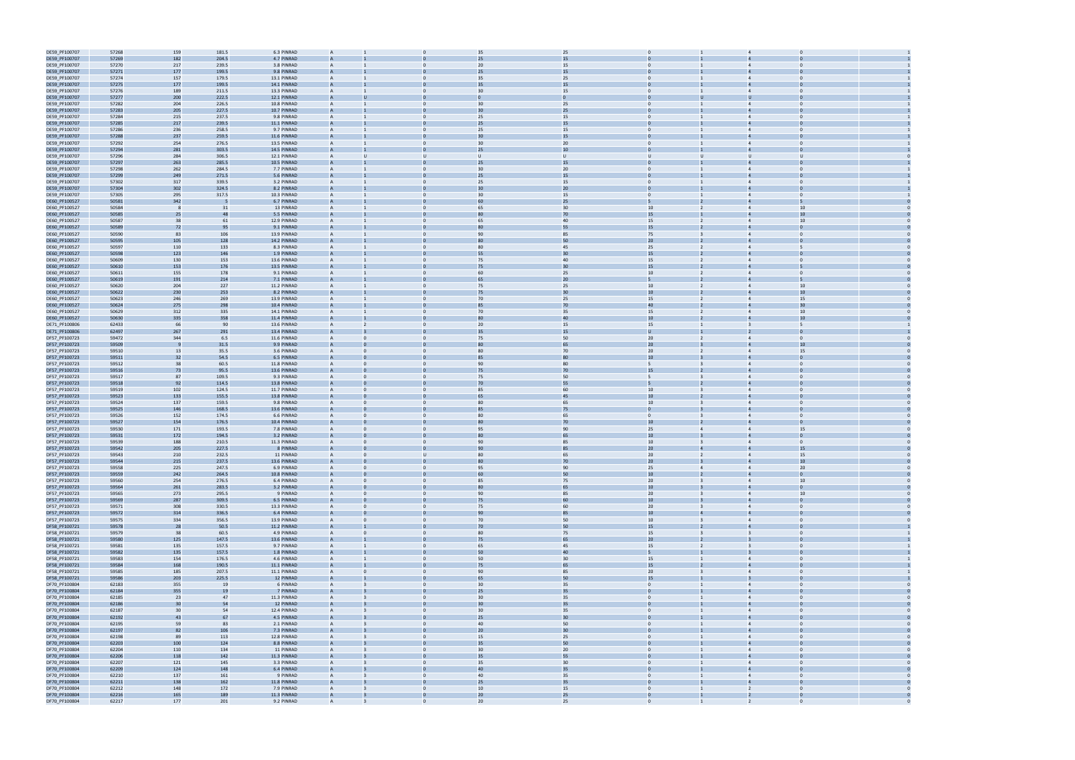| DE59_PF100707                  | 57268 | 159 | 181.5          | 6.3 PINRAD  | $\overline{A}$ |              |                | 35<br>25     |                |                  |                         |                         |                |  |
|--------------------------------|-------|-----|----------------|-------------|----------------|--------------|----------------|--------------|----------------|------------------|-------------------------|-------------------------|----------------|--|
| DE59_PF100707                  | 57269 | 182 | 204.5          | 4.7 PINRAD  |                |              | 25             | 15           |                |                  |                         |                         |                |  |
| DE59_PF100707                  | 57270 | 217 | 239.5          | 3.8 PINRAD  | $\mathsf{A}$   |              | $\mathbf{0}$   | 15<br>20     | $\mathbf{0}$   |                  |                         | $\overline{4}$          | $\Omega$       |  |
|                                |       |     |                |             |                |              |                | 15           |                |                  |                         |                         |                |  |
| DE59_PF100707                  | 57271 | 177 | 199.5          | 9.8 PINRAD  |                |              |                |              |                |                  |                         |                         |                |  |
| DE59_PF100707                  | 57274 | 157 | 179.5          | 13.1 PINRAD | $\mathsf{A}$   |              | $\Omega$       | 25<br>35     | $\Omega$       |                  |                         | $\overline{4}$          |                |  |
| DE59_PF100707                  | 57275 | 177 | 199.5          | 14.1 PINRAD |                |              |                | 15<br>35     | $\Omega$       |                  |                         |                         |                |  |
| DE59_PF100707                  | 57276 | 189 | 211.5          | 13.3 PINRAD | $\overline{A}$ |              |                | 15<br>30     | $\mathbf{0}$   |                  |                         |                         |                |  |
| DE59_PF100707                  | 57277 | 200 | 222.5          | 12.1 PINRAD |                |              |                |              |                |                  |                         |                         |                |  |
| DE59_PF100707                  | 57282 | 204 | 226.5          | 10.8 PINRAD | $\mathsf{A}$   |              | $\mathbf{0}$   | 25<br>30     | $\mathbf{0}$   |                  |                         | $\overline{4}$          | $\Omega$       |  |
| DE59_PF100707                  | 57283 | 205 | 227.5          | 10.7 PINRAD |                |              |                | 25           |                |                  |                         |                         |                |  |
| DE59_PF100707                  | 57284 | 215 | 237.5          | 9.8 PINRAD  | $\mathsf{A}$   |              | $\mathbf{0}$   | 25<br>15     | $\mathbf{0}$   |                  | $\mathbf{1}$            | $\overline{4}$          | $\Omega$       |  |
|                                | 57285 | 217 | 239.5          | 11.1 PINRAD |                |              |                | 15<br>25     |                |                  |                         |                         |                |  |
| DE59_PF100707                  |       |     |                |             |                |              |                |              |                |                  |                         |                         |                |  |
| DE59_PF100707                  | 57286 | 236 | 258.5          | 9.7 PINRAD  | $\mathsf{A}$   |              | $\Omega$       | 15<br>25     | $\mathbf{0}$   |                  |                         | $\overline{4}$          | $\Omega$       |  |
| DE59_PF100707                  | 57288 | 237 | 259.5          | 11.6 PINRAD |                |              |                | 15           |                |                  |                         |                         |                |  |
| DE59_PF100707                  | 57292 | 254 | 276.5          | 13.5 PINRAD | $\overline{A}$ |              | $\Omega$       | 20<br>30     | $\Omega$       |                  |                         | $\overline{4}$          |                |  |
| DE59_PF100707                  | 57294 | 281 | 303.5          | 14.5 PINRAD | $\overline{A}$ |              |                | 10<br>25     | $\Omega$       |                  |                         |                         |                |  |
| DE59_PF100707                  | 57296 | 284 | 306.5          | 12.1 PINRAD | $\overline{A}$ |              | $\mathbf{U}$   | $\mathbf{U}$ | U              |                  |                         |                         |                |  |
| DE59_PF100707                  | 57297 | 263 | 285.5          | 10.5 PINRAD | $\overline{A}$ |              |                | 15<br>25     |                |                  |                         |                         |                |  |
| DE59_PF100707                  | 57298 | 262 | 284.5          | 7.7 PINRAD  | $\mathsf{A}$   |              | $\mathbf{0}$   | 20<br>30     | $\mathbf{0}$   |                  |                         | $\overline{4}$          |                |  |
|                                |       |     |                | 5.6 PINRAD  |                |              |                | 25           |                |                  |                         |                         |                |  |
| DE59_PF100707                  | 57299 | 249 | 271.5          |             |                |              |                | 15           |                |                  |                         |                         |                |  |
| DE59_PF100707                  | 57302 | 317 | 339.5          | 3.2 PINRAD  | $\mathsf{A}$   |              | $\mathbf{0}$   | 25<br>15     | $\mathbf{0}$   |                  | $\mathbf{1}$            | $\overline{4}$          | $\Omega$       |  |
| DE59_PF100707                  | 57304 | 302 | 324.5          | 8.2 PINRAD  |                |              |                | 30<br>20     |                |                  |                         |                         |                |  |
| DE59_PF100707                  | 57305 | 295 | 317.5          | 10.3 PINRAD | $\mathsf{A}$   |              | $\Omega$       | 30<br>15     | $\mathbf{0}$   |                  |                         |                         | $\Omega$       |  |
| DE60_PF100527                  | 50581 | 342 |                | 6.7 PINRAD  |                |              |                |              |                |                  |                         |                         |                |  |
| DE60_PF100527                  | 50584 |     | 31             | 13 PINRAD   | $\mathsf{A}$   |              | $\Omega$       | 30<br>65     |                | 10 <sup>10</sup> | $\overline{2}$          | $\overline{4}$          | 10             |  |
| DE60_PF100527                  | 50585 | 25  | 48             | 5.5 PINRAD  |                |              |                | 70<br>80     |                | 15               |                         |                         | 10             |  |
| DE60_PF100527                  | 50587 | 38  | 61             | 12.9 PINRAD |                |              |                | 40<br>65     |                | 15               | $\overline{2}$          |                         | 10             |  |
|                                |       |     |                |             |                |              |                | 55           |                |                  |                         |                         |                |  |
| DE60_PF100527                  | 50589 | 72  | 95             | 9.1 PINRAD  |                |              |                |              |                | 15               |                         |                         |                |  |
| DE60_PF100527                  | 50590 | 83  | 106            | 13.9 PINRAD | $\mathsf{A}$   |              | $\mathbf{0}$   | 90<br>85     |                | 75               | 3                       |                         | $\Omega$       |  |
| DE60_PF100527                  | 50595 | 105 | 128            | 14.2 PINRAD | A              |              |                | 50           |                | 20               |                         |                         |                |  |
| DE60_PF100527                  | 50597 | 110 | 133            | 8.3 PINRAD  | $\overline{A}$ |              | $\mathbf{0}$   | 80<br>45     |                | 25               | $\overline{2}$          | $\overline{4}$          | 5              |  |
| DE60_PF100527                  | 50598 | 123 | 146            | 1.9 PINRAD  |                |              |                | 55<br>30     |                | 15               |                         |                         |                |  |
| DE60_PF100527                  | 50609 | 130 | 153            | 13.6 PINRAD | $\overline{A}$ |              | $\Omega$       | 75<br>40     |                | 15               |                         |                         | $\Omega$       |  |
| DE60_PF100527                  | 50610 | 153 | 176            | 13.5 PINRAD |                |              |                | 30           |                | 15               |                         |                         |                |  |
| DE60_PF100527                  | 50611 | 155 | 178            | 9.1 PINRAD  | $\mathsf{A}$   |              | $\Omega$       | 25<br>60     |                | 10 <sup>10</sup> | $\overline{2}$          | $\overline{4}$          | $\Omega$       |  |
|                                |       |     |                |             |                |              |                |              |                |                  |                         |                         |                |  |
| DE60_PF100527                  | 50619 | 191 | 214            | 7.1 PINRAD  |                |              |                | 20<br>65     | 5              |                  |                         |                         |                |  |
| DE60_PF100527                  | 50620 | 204 | 227            | 11.2 PINRAD |                |              |                | 25<br>75     |                | 10               |                         |                         | 10             |  |
| DE60_PF100527                  | 50622 | 230 | 253            | 8.2 PINRAD  |                |              |                | 30<br>75     |                | 10               |                         |                         | 10             |  |
| DE60_PF100527                  | 50623 | 246 | 269            | 13.9 PINRAD | $\mathsf{A}$   |              | $\mathbf{0}$   | 25<br>70     |                | 15               | $\overline{2}$          | $\overline{4}$          | 15             |  |
| DE60_PF100527                  | 50624 | 275 | 298            | 10.4 PINRAD |                |              |                | 70<br>85     |                | 40               |                         |                         | 30             |  |
| DE60_PF100527                  | 50629 | 312 | 335            | 14.1 PINRAD | $\overline{A}$ |              | $\mathbf{0}$   | 70<br>35     |                | 15               | $\overline{2}$          | $\overline{4}$          | 10             |  |
| DE60_PF100527                  | 50630 | 335 | 358            | 11.4 PINRAD |                |              |                | 40           |                | 10               |                         |                         |                |  |
| DE71_PF100806                  | 62433 | 66  | 90             | 13.6 PINRAD | $\overline{A}$ |              | $\Omega$       | 20<br>15     |                | 15               |                         | $\overline{3}$          | 5              |  |
|                                | 62497 | 267 |                |             |                |              |                |              |                |                  |                         |                         |                |  |
| DE71_PF100806                  |       |     | 291            | 13.4 PINRAD |                |              |                | 15           |                |                  |                         |                         |                |  |
| DF57_PF100723                  | 59472 | 344 | 6.5            | 11.6 PINRAD | $\mathsf{A}$   |              | $\mathbf{0}$   | 50<br>75     |                | 20 <sub>2</sub>  | $\overline{2}$          | $\overline{4}$          | $\Omega$       |  |
| DF57_PF100723                  | 59509 |     | 31.5           | 9.9 PINRAD  | $\overline{A}$ |              |                | 65           |                | 20 <sub>2</sub>  |                         |                         | 10             |  |
| DF57_PF100723                  | 59510 | 13  | 35.5           | 3.6 PINRAD  |                |              |                | 70<br>80     |                | 20               |                         |                         | 15             |  |
| DF57_PF100723                  | 59511 | 32  | 54.5           | 6.5 PINRAD  |                |              |                | 80<br>85     |                | 10               |                         |                         |                |  |
| DF57_PF100723                  | 59512 | 38  | 60.5           | 11.8 PINRAD | A              |              | $\mathbf{0}$   | 80<br>90     | 5              |                  |                         | $\overline{4}$          | $\Omega$       |  |
| DF57_PF100723                  | 59516 | 73  | 95.5           | 13.6 PINRAD |                |              |                | 70<br>75     |                | 15               |                         |                         |                |  |
|                                |       |     |                |             |                |              |                |              |                |                  |                         |                         |                |  |
|                                |       |     |                |             |                |              |                |              |                |                  |                         |                         |                |  |
| DF57_PF100723                  | 59517 | 87  | 109.5          | 9.3 PINRAD  | $\overline{A}$ |              | $\Omega$       | 75<br>50     | 5              |                  |                         | $\overline{4}$          | $\Omega$       |  |
| DF57_PF100723                  | 59518 | 92  | 114.5          | 13.8 PINRAD |                |              |                | 55           |                |                  |                         |                         |                |  |
| DF57_PF100723                  | 59519 | 102 | 124.5          | 11.7 PINRAD | $\overline{A}$ |              | $\Omega$       | 60<br>85     |                | 10               |                         |                         |                |  |
| DF57_PF100723                  | 59523 | 133 | 155.5          | 13.8 PINRAD |                |              |                | 45           |                | 10               |                         |                         |                |  |
| DF57_PF100723                  | 59524 | 137 | 159.5          | 9.8 PINRAD  | $\overline{A}$ |              | $\Omega$       | 65<br>80     |                | 10 <sup>10</sup> |                         | $\overline{4}$          |                |  |
|                                |       | 146 | 168.5          | 13.6 PINRAD | $\overline{A}$ |              |                | 75<br>85     | $\Omega$       |                  |                         |                         |                |  |
| DF57_PF100723                  | 59525 |     |                |             |                |              | 80             |              | $\Omega$       |                  |                         |                         |                |  |
| DF57_PF100723                  | 59526 | 152 | 174.5          | 6.6 PINRAD  |                |              |                | 65           |                |                  |                         |                         |                |  |
| DF57_PF100723                  | 59527 | 154 | 176.5          | 10.4 PINRAD |                |              |                | 70           |                | 10               |                         |                         |                |  |
| DF57_PF100723                  | 59530 | 171 | 193.5          | 7.8 PINRAD  | A              |              | $\mathbf{0}$   | 90<br>95     |                | 25               | $\overline{a}$          |                         | 15             |  |
| DF57_PF100723                  | 59531 | 172 | 194.5          | 3.2 PINRAD  |                |              |                | 65           |                | 10               |                         |                         |                |  |
| DF57_PF100723                  | 59539 | 188 | 210.5          | 11.3 PINRAD | A              | $\Omega$     | $\mathbf{0}$   | 90<br>85     |                | 10               | 3                       | $\overline{4}$          | $\mathbf{0}$   |  |
| DF57_PF100723                  | 59542 | 205 | 227.5          | 8 PINRAD    |                |              |                |              |                | $20 -$           |                         |                         | 15             |  |
| DF57_PF100723                  | 59543 | 210 | 232.5          | 11 PINRAD   |                |              |                | 65           |                | 20               |                         |                         | 15             |  |
|                                |       |     |                | 13.6 PINRAD |                |              |                | 70           |                | 20 <sub>2</sub>  |                         |                         | 10             |  |
| DF57_PF100723<br>DF57_PF100723 | 59544 | 215 | 237.5<br>247.5 | 6.9 PINRAD  | $\mathsf{A}$   | $\Omega$     | $\mathbf{0}$   | 95           |                | 25               | $\overline{4}$          | $\overline{4}$          | 20             |  |
|                                | 59558 | 225 |                |             | $\overline{A}$ |              | $\Omega$       | 90           |                |                  |                         | $\overline{4}$          | $\mathbf 0$    |  |
| DF57_PF100723                  | 59559 | 242 | 264.5          | 10.8 PINRAD |                |              |                | 50<br>60     |                | 10 <sup>°</sup>  |                         |                         |                |  |
| DF57_PF100723                  | 59560 | 254 | 276.5          | 6.4 PINRAD  | $\overline{A}$ |              | $\Omega$       | 75<br>85     |                | 20 <sub>2</sub>  |                         | $\overline{4}$          | 10             |  |
| DF57_PF100723                  | 59564 | 261 | 283.5          | 3.2 PINRAD  | $\mathsf{A}$   |              | $\mathbf 0$    | 80<br>65     |                | 10 <sup>°</sup>  |                         |                         | $\overline{0}$ |  |
| DF57_PF100723                  | 59565 | 273 | 295.5          | 9 PINRAD    | $\mathsf{A}$   | $\mathbf{0}$ | $\mathbf{0}$   | 85<br>90     |                | 20               | $\overline{\mathbf{3}}$ | $\overline{4}$          | 10             |  |
| DF57_PF100723                  | 59569 | 287 | 309.5          | 6.5 PINRAD  | A              |              | $\mathbf 0$    | 75<br>60     |                | 10 <sup>°</sup>  |                         | $\overline{4}$          | $\overline{0}$ |  |
| DF57_PF100723                  | 59571 | 308 | 330.5          | 13.3 PINRAD | $\overline{A}$ | $\Omega$     | $\mathbf{0}$   | 75<br>60     |                | 20               | $\overline{3}$          | $\overline{4}$          | $\overline{0}$ |  |
| DF57_PF100723                  | 59572 | 314 | 336.5          | 6.4 PINRAD  | $\overline{A}$ |              | $\Omega$       | 90<br>85     |                | 10 <sup>°</sup>  | $\overline{4}$          | $\overline{a}$          | $\Omega$       |  |
| DF57_PF100723                  | 59575 | 334 | 356.5          | 13.9 PINRAD | $\mathsf{A}$   | $\Omega$     | $\overline{0}$ | 50<br>70     |                | 10 <sup>10</sup> | 3                       | $\overline{4}$          | $\overline{0}$ |  |
| DF58_PF100721                  | 59578 | 28  | 50.5           | 11.2 PINRAD |                |              |                | 50<br>70     |                | 15               |                         |                         | $\Omega$       |  |
| DF58_PF100721                  | 59579 | 38  | 60.5           | 4.9 PINRAD  | $\mathsf{A}$   | $\Omega$     | $\mathbf{0}$   | 80<br>75     |                | 15               | $\overline{3}$          | $\overline{\mathbf{3}}$ | $\overline{0}$ |  |
| DF58_PF100721                  |       | 125 | 147.5          | 13.6 PINRAD | $\overline{A}$ |              | $\Omega$       | 75<br>65     |                | 20 <sub>2</sub>  | $\overline{2}$          |                         | $\mathbf 0$    |  |
|                                | 59580 |     |                |             |                |              |                |              |                |                  | $\overline{2}$          |                         | $\Omega$       |  |
| DF58_PF100721                  | 59581 | 135 | 157.5          | 9.7 PINRAD  | $\overline{A}$ |              | $\mathbf{0}$   | 65<br>45     |                | 15               |                         | $\overline{3}$          |                |  |
| DF58_PF100721                  | 59582 | 135 | 157.5          | 1.8 PINRAD  | $\mathsf{A}$   |              | $\mathbf 0$    | 50<br>40     | 5              |                  |                         |                         | $\mathbf 0$    |  |
| DF58_PF100721                  | 59583 | 154 | 176.5          | 4.6 PINRAD  | $\mathsf{A}$   |              | $\mathbf{0}$   | 50<br>30     |                | 15               | $\mathbf{1}$            | $\overline{4}$          | $\overline{0}$ |  |
| DF58_PF100721                  | 59584 | 168 | 190.5          | 11.1 PINRAD | A              |              | $\mathbf 0$    | 75<br>65     |                | 15               |                         | $\overline{4}$          | $\overline{0}$ |  |
| DF58_PF100721                  | 59585 | 185 | 207.5          | 11.1 PINRAD | $\overline{A}$ | $\Omega$     | $\mathbf{0}$   | 90<br>85     |                | 20               | $\overline{3}$          | $\overline{4}$          | $\overline{0}$ |  |
| DF58_PF100721                  | 59586 | 203 | 225.5          | 12 PINRAD   | A              |              | $\Omega$       | 50<br>65     |                | 15               |                         |                         | $\Omega$       |  |
| DF70_PF100804                  | 62183 | 355 | 19             | 6 PINRAD    | $\mathsf{A}$   |              | $\mathbf{0}$   | 35<br>30     | $\mathbf{0}$   |                  | $\mathbf{1}$            | $\overline{4}$          | $\overline{0}$ |  |
|                                | 62184 |     | 19             | 7 PINRAD    |                |              |                | 25<br>35     | $\mathbf{0}$   |                  |                         |                         | $\Omega$       |  |
| DF70_PF100804                  |       | 355 |                |             | $\mathsf{A}$   |              | $\mathbf{0}$   |              |                |                  | $\mathbf{1}$            |                         | $\overline{0}$ |  |
| DF70_PF100804                  | 62185 | 23  | 47             | 11.3 PINRAD |                |              |                | 30<br>35     | $\overline{0}$ |                  |                         | $\overline{4}$          |                |  |
| DF70_PF100804                  | 62186 | 30  | 54             | 12 PINRAD   | $\overline{A}$ |              | $\Omega$       | 30<br>35     | $\overline{0}$ |                  |                         | $\overline{4}$          | $\Omega$       |  |
| DF70_PF100804                  | 62187 | 30  | 54             | 12.4 PINRAD | $\overline{A}$ |              | $\mathbf{0}$   | 30<br>35     | $\mathbf{0}$   |                  |                         | $\overline{4}$          | $\Omega$       |  |
| DF70_PF100804                  | 62192 | 43  | 67             | 4.5 PINRAD  |                |              | $\mathbf 0$    | 25<br>30     | $\mathbf{0}$   |                  |                         | $\overline{4}$          | $\mathbf 0$    |  |
| DF70_PF100804                  | 62195 | 59  | 83             | 2.1 PINRAD  | $\mathsf{A}$   |              | $\mathbf{0}$   | 50<br>40     | $\overline{0}$ |                  |                         | $\overline{4}$          | $\overline{0}$ |  |
| DF70_PF100804                  | 62197 | 82  | 106            | 7.3 PINRAD  | A              |              | $\mathbf 0$    | 20<br>30     | $\mathbf{0}$   |                  |                         | $\overline{4}$          | $\Omega$       |  |
| DF70_PF100804                  | 62198 | 89  | 113            | 12.8 PINRAD | $\overline{A}$ |              | $\mathbf{0}$   | 15<br>25     | $\overline{0}$ |                  | $\mathbf{1}$            | $\overline{4}$          | $\overline{0}$ |  |
| DF70_PF100804                  | 62203 | 100 | 124            | 8.8 PINRAD  | $\overline{A}$ |              | $\Omega$       | 35<br>50     | $\mathbf{0}$   |                  |                         | $\overline{4}$          | $\Omega$       |  |
|                                |       |     |                |             | $\mathsf{A}$   |              | $\mathbf{0}$   | 20<br>30     | $\mathbf{0}$   |                  | $\mathbf{1}$            | $\overline{4}$          | $\overline{0}$ |  |
| DF70_PF100804                  | 62204 | 110 | 134            | 11 PINRAD   |                |              |                |              |                |                  |                         |                         | $\Omega$       |  |
| DF70_PF100804                  | 62206 | 118 | 142            | 11.3 PINRAD |                |              |                | 35<br>55     |                |                  |                         |                         |                |  |
| DF70_PF100804                  | 62207 | 121 | 145            | 3.3 PINRAD  | $\mathsf{A}$   |              | $\mathbf{0}$   | 35<br>30     | $\mathbf{0}$   |                  | $\mathbf{1}$            | $\overline{4}$          | $\overline{0}$ |  |
| DF70_PF100804                  | 62209 | 124 | 148            | 6.4 PINRAD  | $\overline{A}$ |              | $\Omega$       | 40<br>35     | $\overline{0}$ |                  |                         | $\overline{4}$          | $\Omega$       |  |
| DF70_PF100804                  | 62210 | 137 | 161            | 9 PINRAD    | $\overline{A}$ |              | $\Omega$       | 35<br>40     | $\mathbf{0}$   |                  |                         | $\overline{4}$          | $\Omega$       |  |
| DF70_PF100804                  | 62211 | 138 | 162            | 11.8 PINRAD |                |              | $\Omega$       | 25<br>35     | $\mathbf{0}$   |                  |                         | $\overline{4}$          | $\Omega$       |  |
| DF70_PF100804                  | 62212 | 148 | 172            | 7.9 PINRAD  | $\mathsf{A}$   |              | $\mathbf{0}$   | 15<br>10     | $\mathbf{0}$   |                  |                         | $\overline{2}$          | $\overline{0}$ |  |
| DF70_PF100804                  | 62216 | 165 | 189            | 11.3 PINRAD |                |              | $\mathbf 0$    | 20<br>25     | $\mathbf{0}$   |                  |                         |                         | $\overline{0}$ |  |

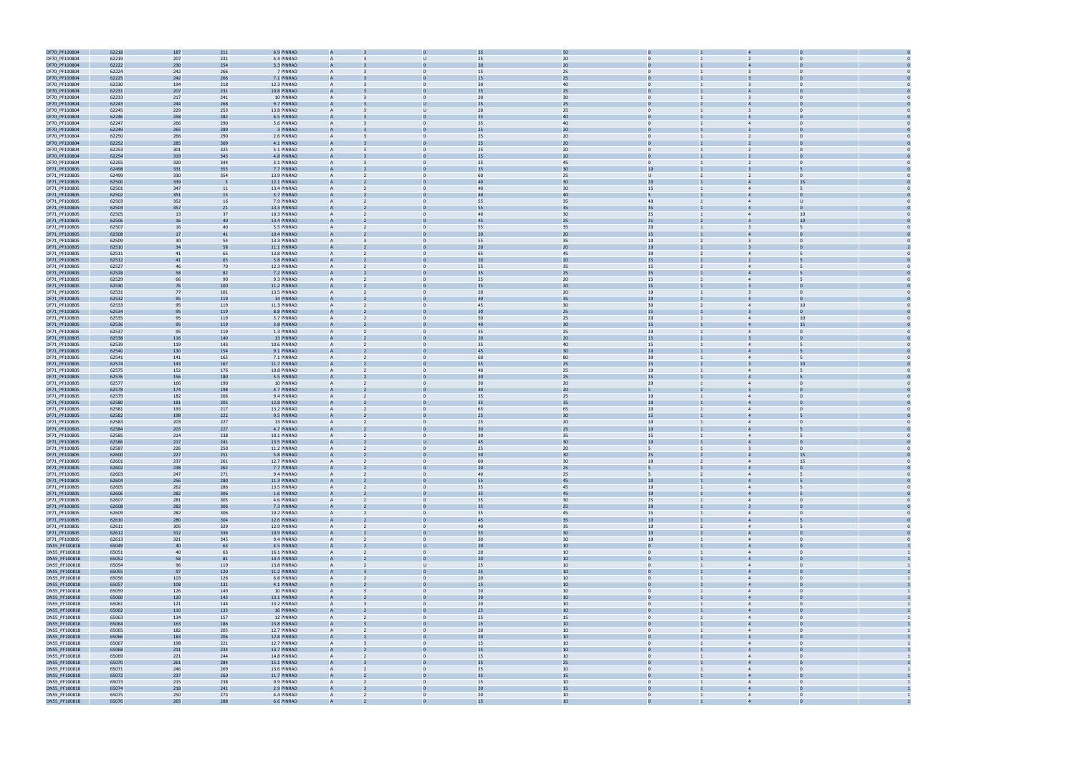

| DF70_PF100804<br>DF70_PF100804<br>DF70_PF100804 |       | 187 | 211 | 6.9 PINRAD  |                |                          |                | 35              | 50     |                  |                |                         |                |  |
|-------------------------------------------------|-------|-----|-----|-------------|----------------|--------------------------|----------------|-----------------|--------|------------------|----------------|-------------------------|----------------|--|
|                                                 | 62218 |     |     |             |                |                          |                |                 |        |                  |                |                         |                |  |
|                                                 | 62219 | 207 | 231 | 4.4 PINRAD  |                |                          |                | 25              | 20     |                  |                |                         |                |  |
|                                                 | 62222 | 230 | 254 | 3.3 PINRAD  |                |                          |                | 20              | 20     |                  |                |                         |                |  |
| DF70_PF100804                                   | 62224 | 242 | 266 | 7 PINRAD    | A              |                          | $\mathbf{0}$   | 15              | 25     | $\overline{0}$   |                | $\overline{3}$          | $\Omega$       |  |
| DF70_PF100804                                   | 62225 | 242 | 266 | 7.1 PINRAD  |                |                          |                | 15              | 25     |                  |                |                         |                |  |
|                                                 |       |     |     |             |                |                          |                |                 |        |                  |                |                         |                |  |
| DF70_PF100804                                   | 62230 | 194 | 218 | 12.3 PINRAD | A              |                          | $\Omega$       | 30              | 40     | $\mathbf{0}$     |                | $\mathbf{B}$            | $\Omega$       |  |
| DF70_PF100804                                   | 62231 | 207 | 231 | 10.8 PINRAD |                |                          |                | 25              | 25     |                  |                |                         |                |  |
| DF70_PF100804                                   | 62233 | 217 | 241 | 10 PINRAD   | A              |                          | $\Omega$       | 20              | 30     | $\overline{0}$   |                | $\overline{3}$          | $\Omega$       |  |
| DF70_PF100804                                   | 62243 | 244 | 268 | 9.7 PINRAD  |                |                          |                | 25              | 25     |                  |                |                         |                |  |
|                                                 |       |     |     |             |                |                          |                |                 |        |                  |                |                         |                |  |
| DF70_PF100804                                   | 62245 | 229 | 253 | 13.8 PINRAD | A              |                          |                | 20              | 25     | $\Omega$         |                | $\overline{\mathbf{3}}$ |                |  |
| DF70_PF100804                                   | 62246 | 258 | 282 | 6.5 PINRAD  | $\overline{A}$ |                          |                | 35              | 40     |                  |                |                         |                |  |
| DF70_PF100804                                   | 62247 | 266 | 290 | 5.6 PINRAD  |                |                          |                | 35              | 40     | $\Omega$         |                |                         |                |  |
|                                                 |       |     |     |             |                |                          |                |                 |        |                  |                |                         |                |  |
| DF70_PF100804                                   | 62249 | 265 | 289 | 3 PINRAD    |                |                          |                | 25              | 20     |                  |                |                         |                |  |
| DF70_PF100804                                   | 62250 | 266 | 290 | 2.6 PINRAD  | A              |                          |                | 25              | 20     | $\mathbf{0}$     |                |                         | $\Omega$       |  |
| DF70_PF100804                                   | 62252 | 285 | 309 | 4.1 PINRAD  |                |                          |                | 25              | $20\,$ |                  |                |                         |                |  |
|                                                 |       |     |     |             |                |                          | $\Omega$       |                 |        | $\mathbf{0}$     |                |                         | $\Omega$       |  |
| DF70_PF100804                                   | 62253 | 301 | 325 | 5.1 PINRAD  | A              |                          |                | 25              | 20     |                  |                | $\overline{2}$          |                |  |
| DF70_PF100804                                   | 62254 | 319 | 343 | 4.8 PINRAD  |                |                          |                | 25              | 20     |                  |                |                         |                |  |
| DF70_PF100804                                   | 62255 | 320 | 344 | 3.1 PINRAD  | A              |                          |                | 25              | 45     | $\overline{0}$   |                |                         | $\Omega$       |  |
| DF71_PF100805                                   | 62498 | 331 | 355 | 7.7 PINRAD  |                |                          |                |                 | 30     | 10               |                |                         |                |  |
|                                                 |       |     |     |             |                |                          |                |                 |        |                  |                |                         |                |  |
| DF71_PF100805                                   | 62499 | 330 | 354 | 13.9 PINRAD | A              |                          |                | 60              | 25     | $\cup$           |                | $\overline{2}$          | $\Omega$       |  |
| DF71_PF100805                                   | 62500 | 339 |     | 12.1 PINRAD | A              |                          |                | 40              | 30     | 20 <sub>2</sub>  |                |                         | 15             |  |
| DF71_PF100805                                   | 62501 | 347 | 11  | 13.4 PINRAD |                |                          |                | 40              | 30     | 15               |                |                         |                |  |
|                                                 |       |     |     |             |                |                          |                |                 |        |                  |                |                         |                |  |
| DF71_PF100805                                   | 62502 | 351 | 15  | 5.7 PINRAD  |                |                          |                | 40              | 40     |                  |                |                         |                |  |
| DF71_PF100805                                   | 62503 | 352 | 16  | 7.9 PINRAD  | A              |                          | $\Omega$       | 55              | 35     | 40               |                | $\overline{4}$          | υ              |  |
| DF71_PF100805                                   | 62504 | 357 | 21  | 13.3 PINRAD |                |                          |                | 55              | 35     | 35               |                |                         |                |  |
| DF71_PF100805                                   | 62505 | 13  | 37  | 10.3 PINRAD | A              |                          | $\Omega$       | 40              | 30     | 25               |                | $\overline{4}$          | 10             |  |
|                                                 |       |     |     |             |                |                          |                |                 |        |                  |                |                         |                |  |
| DF71_PF100805                                   | 62506 | 16  | 40  | 13.4 PINRAD |                |                          |                | 45              | 25     | 25               |                |                         | 10             |  |
| DF71_PF100805                                   | 62507 | 16  | 40  | 5.5 PINRAD  | A              |                          |                | 55              | 35     | 20 <sub>2</sub>  |                |                         |                |  |
| DF71_PF100805                                   | 62508 | 17  | 41  | 10.4 PINRAD |                |                          |                | 2C              | 20     | 15               |                |                         |                |  |
| DF71_PF100805                                   | 62509 | 30  | 54  | 13.3 PINRAD | A              |                          |                | 55              | 35     | 10 <sup>10</sup> |                | $\overline{3}$          |                |  |
|                                                 |       |     |     |             |                |                          |                |                 |        |                  |                |                         |                |  |
| DF71_PF100805                                   | 62510 | 34  | 58  | 11.1 PINRAD | $\overline{A}$ |                          |                | 20              | 20     | 10               |                |                         |                |  |
| DF71_PF100805                                   | 62511 | 41  | 65  | 13.8 PINRAD |                |                          |                | 65              | 45     | 30 <sup>°</sup>  |                |                         |                |  |
| DF71_PF100805                                   | 62512 | 41  | 65  | 5.8 PINRAD  |                |                          |                | 20              | 20     | 15               |                |                         |                |  |
|                                                 |       |     |     | 12.3 PINRAD |                |                          |                |                 |        | 15               |                |                         |                |  |
| DF71_PF100805                                   | 62527 | 46  | 70  |             | A              |                          | $\mathbf{0}$   | 55              | 35     |                  |                | $\overline{4}$          |                |  |
| DF71_PF100805                                   | 62528 | 58  | 82  | 7.2 PINRAD  | A              |                          |                | 35              | 25     | 25               |                |                         |                |  |
| DF71_PF100805                                   | 62529 | 66  | 90  | 9.3 PINRAD  | A              |                          | $\Omega$       | 25              | 20     | 15               |                | $\overline{4}$          | 5              |  |
| DF71_PF100805                                   | 62530 | 76  | 100 | 11.2 PINRAD |                |                          |                | 35              | 20     | 15               |                |                         |                |  |
|                                                 |       |     |     |             |                |                          |                |                 |        |                  |                |                         |                |  |
| DF71_PF100805                                   | 62531 | 77  | 101 | 13.5 PINRAD | A              |                          |                | 20              | 20     | 10 <sup>10</sup> |                |                         | $\Omega$       |  |
| DF71_PF100805                                   | 62532 | 95  | 119 | 14 PINRAD   |                |                          |                | 40              | 35     | 20               |                |                         |                |  |
| DF71_PF100805                                   | 62533 | 95  | 119 | 11.3 PINRAD | A              |                          |                | 45              | 30     | 30 <sup>°</sup>  |                | $\overline{4}$          | 10             |  |
|                                                 |       |     |     | 8.8 PINRAD  | $\mathsf{A}$   |                          |                | 30              |        |                  |                |                         |                |  |
| DF71_PF100805                                   | 62534 | 95  | 119 |             |                |                          |                |                 | 25     | 15               |                |                         |                |  |
| DF71_PF100805                                   | 62535 | 95  | 119 | 5.7 PINRAD  |                |                          |                | 50              | 25     | 20 <sub>2</sub>  |                |                         | 10             |  |
| DF71_PF100805                                   | 62536 | 95  | 119 | 3.8 PINRAD  |                |                          |                | 40              | 30     | 15               |                |                         | 15             |  |
| DF71_PF100805                                   | 62537 | 95  | 119 | 1.3 PINRAD  | A              |                          | $\mathbf{0}$   | 35              | 25     | 20               |                | $\overline{4}$          | $\Omega$       |  |
|                                                 |       |     |     |             |                |                          |                |                 |        |                  |                |                         |                |  |
| DF71_PF100805                                   | 62538 | 116 | 140 | 13 PINRAD   |                |                          |                | 20              | $20\,$ | 15               |                |                         |                |  |
| DF71_PF100805                                   | 62539 | 119 | 143 | 10.6 PINRAD | A              |                          | $\Omega$       | 35              | 40     | 15               |                | $\overline{4}$          |                |  |
| DF71_PF100805                                   | 62540 | 130 | 154 | 9.1 PINRAD  |                |                          |                | 45              | 30     | 20               |                |                         |                |  |
| DF71_PF100805                                   | 62541 | 141 | 165 | 7.1 PINRAD  | A              |                          | $\Omega$       | 60              | 80     | 30 <sub>o</sub>  |                | $\overline{4}$          | 5              |  |
|                                                 |       |     |     |             |                |                          |                |                 |        |                  |                |                         |                |  |
| DF71_PF100805                                   | 62574 | 143 | 167 | 11.7 PINRAD |                |                          |                | 55              | 25     | 15               |                |                         |                |  |
| DF71_PF100805                                   | 62575 | 152 | 176 | 10.8 PINRAD | A              |                          |                | 40              | 25     | 10 <sup>10</sup> |                | $\overline{4}$          |                |  |
| DF71_PF100805                                   | 62576 | 156 | 180 | 5.5 PINRAD  | $\overline{A}$ |                          |                | 30              | 25     | 15               |                |                         |                |  |
|                                                 | 62577 |     |     |             |                |                          |                | 30              | 20     |                  |                | $\overline{4}$          |                |  |
| DF71_PF100805                                   |       |     |     |             |                |                          |                |                 |        |                  |                |                         |                |  |
|                                                 |       | 166 | 190 | 10 PINRAD   |                |                          |                |                 |        | 20 <sub>2</sub>  |                |                         |                |  |
| DF71_PF100805                                   | 62578 | 174 | 198 | 4.7 PINRAD  |                |                          |                | 40              | 20     | 5                |                |                         |                |  |
|                                                 |       |     |     |             | A              |                          | $\Omega$       |                 |        |                  |                |                         | $\Omega$       |  |
| DF71_PF100805                                   | 62579 | 182 | 206 | 9.4 PINRAD  |                |                          |                | 35              | 25     | 10               |                |                         |                |  |
| DF71_PF100805                                   | 62580 | 181 | 205 | 12.8 PINRAD |                |                          |                | 35              | 35     | $10\,$           |                |                         |                |  |
| DF71_PF100805                                   | 62581 | 193 | 217 | 13.2 PINRAD | A              |                          | $\Omega$       | 65              | 65     | 10 <sup>10</sup> |                | $\overline{4}$          | $\Omega$       |  |
|                                                 |       |     |     | 9.5 PINRAD  |                |                          |                | 25              | 30     | 15               |                |                         |                |  |
| DF71_PF100805                                   | 62582 | 198 | 222 |             |                |                          |                |                 |        |                  |                |                         |                |  |
| DF71_PF100805                                   | 62583 | 203 | 227 | 13 PINRAD   | A              |                          |                | 25              | 20     | 10               |                |                         |                |  |
| DF71_PF100805                                   | 62584 | 203 | 227 | 4.7 PINRAD  |                |                          |                |                 | 25     | 10               |                |                         |                |  |
| DF71_PF100805                                   | 62585 | 214 | 238 | 10.1 PINRAD | A              |                          |                | 30              | 35     | 15               |                | $\overline{4}$          |                |  |
|                                                 |       |     |     |             | A              |                          |                | 45              | 30     | 10               |                |                         |                |  |
| DF71_PF100805                                   | 62586 | 217 | 241 | 13.5 PINRAD |                |                          |                |                 |        |                  |                |                         | $\Omega$       |  |
| DF71_PF100805                                   | 62587 | 226 | 250 | 11.2 PINRAD |                |                          |                | 25              | 20     |                  |                |                         |                |  |
| DF71_PF100805                                   | 62600 | 227 | 251 | 5.8 PINRAD  |                |                          |                |                 |        | 25               |                |                         |                |  |
| DF71_PF100805                                   | 62601 | 237 | 261 | 12.7 PINRAD |                |                          |                | 60              | 30     | 10 <sup>10</sup> |                |                         | 15             |  |
| DF71_PF100805                                   | 62602 |     |     | 7.7 PINRAD  |                |                          |                | 20              | 25     |                  |                |                         |                |  |
|                                                 |       | 238 | 262 |             |                |                          |                |                 |        |                  |                |                         |                |  |
| DF71_PF100805                                   | 62603 | 247 | 271 | 9.4 PINRAD  | $\overline{A}$ |                          | $\mathbf{0}$   | 40              | 25     | 5 <sup>5</sup>   | $\overline{2}$ | $\overline{4}$          | 5              |  |
| DF71_PF100805                                   | 62604 | 256 | 280 | 11.3 PINRAD | $\overline{A}$ |                          |                | 55              | 45     | 10 <sup>°</sup>  |                | $\overline{a}$          |                |  |
| DF71_PF100805                                   | 62605 | 262 | 286 | 13.5 PINRAD | A              |                          | $\mathbf{0}$   | 35              | 45     | 10               | $\mathbf{1}$   | $\overline{4}$          | 5              |  |
|                                                 |       |     |     |             |                |                          |                | 35              |        |                  |                |                         |                |  |
| DF71_PF100805                                   | 62606 | 282 | 306 | 1.6 PINRAD  |                |                          |                |                 | 45     | 10 <sup>10</sup> |                |                         |                |  |
| DF71_PF100805                                   | 62607 | 281 | 305 | 4.6 PINRAD  | $\overline{A}$ |                          | $\mathbf{0}$   | 35              | 30     | 25               | $\mathbf{1}$   | $\overline{4}$          | $\overline{0}$ |  |
| DF71_PF100805                                   | 62608 | 282 | 306 | 7.3 PINRAD  | A              |                          |                | 35              | 25     | 20               |                | $\overline{3}$          | $\Omega$       |  |
| DF71_PF100805                                   | 62609 | 282 | 306 | 10.2 PINRAD | $\overline{A}$ |                          | $\Omega$       | 35              | 45     | 15               |                | $\overline{4}$          | $\Omega$       |  |
|                                                 |       |     |     |             | $\overline{A}$ |                          |                | 45              |        |                  |                | $\overline{4}$          | 5              |  |
| DF71_PF100805                                   | 62610 | 280 | 304 | 12.6 PINRAD |                |                          |                |                 | 35     | 10 <sup>10</sup> |                |                         |                |  |
| DF71_PF100805                                   | 62611 | 305 | 329 | 12.9 PINRAD | $\mathsf{A}$   |                          | $\mathbf{0}$   | 40              | 35     | 10               | $\overline{2}$ | $\overline{4}$          | 5              |  |
| DF71_PF100805                                   | 62612 | 312 | 336 | 10.9 PINRAD | A              |                          |                | 55              | 30     | 10               |                | $\overline{4}$          | $\overline{0}$ |  |
| DF71_PF100805                                   | 62613 | 321 | 345 | 9.4 PINRAD  | $\overline{A}$ |                          | $\mathbf{0}$   | 30 <sub>o</sub> | 30     | 10               | $\mathbf{1}$   | $\overline{4}$          | $\overline{0}$ |  |
|                                                 |       |     |     |             | $\overline{A}$ |                          | $\mathbf{U}$   |                 |        | $\mathbf{0}$     |                | $\overline{4}$          | $\Omega$       |  |
| DN55_PF100818                                   | 65049 | 40  | 63  | 4.5 PINRAD  |                |                          |                | 20 <sub>2</sub> | 10     |                  |                |                         |                |  |
| DN55_PF100818                                   | 65051 | 40  | 63  | 16.1 PINRAD | A              |                          | $\mathbf{0}$   | 20              | 10     | $\overline{0}$   | 1              | $\overline{4}$          | $\overline{0}$ |  |
| DN55_PF100818                                   | 65052 | 58  | 81  | 14.4 PINRAD |                |                          |                | 20 <sub>2</sub> | 10     | $\mathbf{0}$     |                |                         | $\Omega$       |  |
| DN55_PF100818                                   | 65054 | 96  | 119 | 13.8 PINRAD | A              |                          | U              | 25              | $10\,$ | $\overline{0}$   | $\mathbf{1}$   | $\overline{4}$          | $\overline{0}$ |  |
|                                                 |       |     |     |             | A              |                          |                |                 |        | $\overline{0}$   |                | $\overline{4}$          | $\Omega$       |  |
| DN55_PF100818                                   | 65055 | 97  | 120 | 11.2 PINRAD |                |                          |                | 25              | 10     |                  |                |                         |                |  |
| DN55_PF100818                                   | 65056 | 103 | 126 | 6.8 PINRAD  | A              |                          | $\Omega$       | 20              | $10\,$ | $\overline{0}$   |                | $\overline{4}$          | $\Omega$       |  |
| DN55_PF100818                                   | 65057 | 108 | 131 | 4.1 PINRAD  | A              |                          |                | 15              | 10     | $\mathbf{0}$     |                | $\overline{4}$          | $\mathbf 0$    |  |
| DN55_PF100818                                   | 65059 | 126 | 149 | 10 PINRAD   | $\mathsf{A}$   |                          | $\mathbf{0}$   | 20              | 10     | $\overline{0}$   |                | $\overline{4}$          | $\overline{0}$ |  |
|                                                 |       |     |     |             |                |                          |                |                 |        |                  |                |                         | $\Omega$       |  |
| DN55_PF100818                                   | 65060 | 120 | 143 | 13.1 PINRAD | А              |                          |                | 20              | $10\,$ |                  |                | $\overline{4}$          |                |  |
| DN55_PF100818                                   | 65061 | 121 | 144 | 13.2 PINRAD | $\overline{A}$ |                          | $\mathbf{0}$   | 20              | 10     | $\overline{0}$   |                | $\overline{4}$          | $\overline{0}$ |  |
| DN55_PF100818                                   | 65062 | 110 | 133 | 16 PINRAD   | $\overline{A}$ |                          |                | 25              | 10     | $\overline{0}$   |                | $\overline{4}$          | $\Omega$       |  |
|                                                 | 65063 | 134 | 157 | 12 PINRAD   | $\overline{A}$ |                          | $\mathbf{0}$   | 25              | 15     | $\overline{0}$   |                | $\overline{4}$          | $\overline{0}$ |  |
| DN55_PF100818                                   |       |     |     |             | $\overline{A}$ |                          |                |                 |        |                  |                |                         | $\Omega$       |  |
| DN55_PF100818                                   | 65064 | 163 | 186 | 13.8 PINRAD |                |                          |                | 15              | 10     |                  |                |                         |                |  |
| DN55_PF100818                                   | 65065 | 182 | 205 | 12.7 PINRAD | $\overline{A}$ |                          | $\mathbf{0}$   | 20              | $10\,$ | $\overline{0}$   |                | $\overline{4}$          | $\overline{0}$ |  |
| DN55_PF100818                                   | 65066 | 183 | 206 | 12.8 PINRAD | A              |                          |                | 20 <sub>2</sub> | 10     | $\overline{0}$   |                | $\overline{4}$          | $\Omega$       |  |
| DN55_PF100818                                   | 65067 | 198 | 221 | 12.7 PINRAD |                |                          | $\Omega$       | 15              | $10\,$ | $\overline{0}$   |                | $\overline{4}$          | $\Omega$       |  |
|                                                 |       |     |     |             |                |                          |                |                 |        |                  |                | $\overline{4}$          | $\Omega$       |  |
| DN55_PF100818                                   | 65068 | 211 | 234 | 13.7 PINRAD |                |                          |                | 15              | 10     | $\mathbf{0}$     |                |                         |                |  |
| DN55_PF100818                                   | 65069 | 221 | 244 | 14.8 PINRAD | $\mathsf{A}$   |                          | $\mathbf{0}$   | 15              | 10     | $\overline{0}$   |                | $\overline{4}$          | $\overline{0}$ |  |
| DN55_PF100818                                   | 65070 | 261 | 284 | 15.1 PINRAD | A              |                          |                | 35              | 25     |                  |                | $\overline{4}$          |                |  |
|                                                 |       |     |     |             | $\overline{A}$ |                          | $\overline{0}$ |                 |        | $\overline{0}$   |                | $\overline{4}$          | $\overline{0}$ |  |
| DN55_PF100818                                   | 65071 | 246 | 269 | 13.6 PINRAD |                |                          |                | 25              | 10     |                  |                |                         |                |  |
| DN55_PF100818                                   | 65072 | 237 | 260 | 11.7 PINRAD |                |                          |                | 35              | 15     | $\Omega$         |                | $\overline{4}$          |                |  |
| DN55_PF100818                                   | 65073 | 215 | 238 | 9.9 PINRAD  | A              |                          | $\mathbf{0}$   | 15              | 10     | $\overline{0}$   |                | $\overline{4}$          | $\Omega$       |  |
| DN55_PF100818                                   | 65074 | 218 | 241 | 2.9 PINRAD  |                |                          |                | 20              | 15     |                  |                |                         |                |  |
| DN55_PF100818                                   | 65075 | 250 | 273 | 4.4 PINRAD  | A              | $\overline{\phantom{a}}$ | $\Omega$       | 20              | 10     | $\overline{0}$   |                | $\overline{4}$          | $\overline{0}$ |  |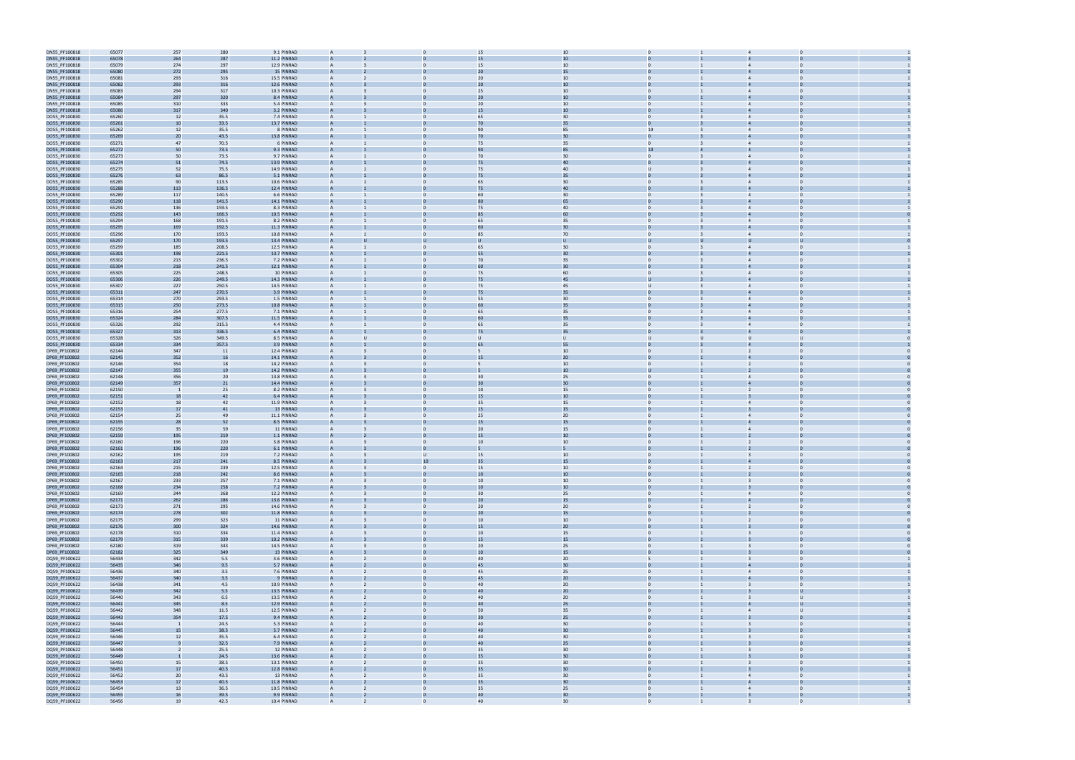| DN55_PF100818 | 65077 | 257                      | 280   | 9.1 PINRAD  | A              |              | 15              | 10     |                   |                                  |                |  |
|---------------|-------|--------------------------|-------|-------------|----------------|--------------|-----------------|--------|-------------------|----------------------------------|----------------|--|
| DN55_PF100818 | 65078 | 264                      | 287   | 11.2 PINRAD |                |              | 15              | 10     |                   |                                  |                |  |
|               |       |                          |       |             |                |              |                 |        |                   |                                  |                |  |
| DN55_PF100818 | 65079 | 274                      | 297   | 12.9 PINRAD | A              |              | 15              | 10     | $\mathbf{0}$      | $\overline{4}$                   | $\Omega$       |  |
| DN55_PF100818 | 65080 | 272                      | 295   | 15 PINRAD   |                |              | 2C              | 15     |                   |                                  |                |  |
| DN55_PF100818 | 65081 | 293                      | 316   | 15.5 PINRAD | A              |              | 20              | 10     | $\Omega$          | $\overline{4}$                   |                |  |
| DN55_PF100818 | 65082 | 293                      | 316   | 12.6 PINRAD | $\mathsf{A}$   |              | 20              | 10     | $\Omega$          | $\overline{4}$                   |                |  |
|               |       |                          |       |             |                |              |                 |        | $\Omega$          | $\overline{4}$                   |                |  |
| DN55_PF100818 | 65083 | 294                      | 317   | 10.3 PINRAD |                |              | 25              | 10     |                   |                                  |                |  |
| DN55_PF100818 | 65084 | 297                      | 320   | 8.4 PINRAD  |                |              | 20              | 10     |                   |                                  |                |  |
| DN55_PF100818 | 65085 | 310                      | 333   | 5.4 PINRAD  | A              | $\Omega$     | 20              | 10     | $\mathbf{0}$      | $\overline{4}$                   | $\Omega$       |  |
| DN55_PF100818 | 65086 | 317                      | 340   | 3.2 PINRAD  |                |              | 15              | $10\,$ |                   |                                  |                |  |
|               |       |                          |       |             |                | $\Omega$     |                 |        | $\overline{0}$    | $\overline{4}$                   | $\Omega$       |  |
| DO55_PF100830 | 65260 | 12                       | 35.5  | 7.4 PINRAD  | A              |              | 65              | 30     |                   |                                  |                |  |
| DO55_PF100830 | 65261 | 10                       | 33.5  | 13.7 PINRAD |                |              | 70              | 35     |                   |                                  |                |  |
| DO55_PF100830 | 65262 | 12                       | 35.5  | 8 PINRAD    | A              | $\Omega$     | 90              | 85     | 10                | $\overline{4}$                   | $\Omega$       |  |
| DO55_PF100830 | 65269 | 2 <sup>0</sup>           | 43.5  | 13.8 PINRAD |                |              | 70              | 30     |                   |                                  |                |  |
| DO55_PF100830 | 65271 | 47                       | 70.5  | 6 PINRAD    | A              |              | 75              | 35     | $\Omega$          | $\overline{4}$                   |                |  |
|               |       |                          |       |             |                |              |                 |        |                   |                                  |                |  |
| DO55_PF100830 | 65272 | 50                       | 73.5  | 9.3 PINRAD  | A              |              | 90              | 85     | 10                |                                  |                |  |
| DO55_PF100830 | 65273 | 50                       | 73.5  | 9.7 PINRAD  |                |              | 70              | 30     | $\mathbf{0}$      |                                  |                |  |
| DO55_PF100830 | 65274 | 51                       | 74.5  | 13.9 PINRAD |                |              | 75              | 40     |                   |                                  |                |  |
| DO55_PF100830 | 65275 | 52                       | 75.5  | 14.9 PINRAD | A              | $\Omega$     | 75              | 40     | $\cup$            | $\overline{4}$                   | $\Omega$       |  |
|               |       |                          |       |             |                |              |                 |        |                   |                                  |                |  |
| DO55_PF100830 | 65276 | 63                       | 86.5  | 5.1 PINRAD  |                |              | 75              | 35     |                   |                                  |                |  |
| DO55_PF100830 | 65285 | 90                       | 113.5 | 10.6 PINRAD | A              | $\Omega$     | 65              | 30     | $\overline{0}$    | $\overline{4}$                   | $\Omega$       |  |
| DO55_PF100830 | 65288 | 113                      | 136.5 | 12.4 PINRAD |                |              | 75              | 40     |                   |                                  |                |  |
| DO55_PF100830 | 65289 | 117                      | 140.5 | 6.6 PINRAD  | A              |              | 60              | 30     | $\mathbf{0}$      |                                  | $\Omega$       |  |
| DO55_PF100830 | 65290 | 118                      | 141.5 | 14.1 PINRAD |                |              |                 |        |                   |                                  |                |  |
|               |       |                          |       |             |                |              |                 |        | $\Omega$          |                                  |                |  |
| DO55_PF100830 | 65291 | 136                      | 159.5 | 8.3 PINRAD  | A              |              | 75              | 40     |                   | $\overline{4}$                   |                |  |
| DO55_PF100830 | 65292 | 143                      | 166.5 | 10.5 PINRAD | A              |              |                 | 60     | $\Omega$          |                                  |                |  |
| DO55_PF100830 | 65294 | 168                      | 191.5 | 8.2 PINRAD  |                |              | 65              | 35     | $\mathbf{0}$      |                                  |                |  |
| DO55_PF100830 | 65295 | 169                      | 192.5 | 11.3 PINRAD | $\overline{A}$ |              |                 | 30     |                   |                                  |                |  |
| DO55_PF100830 | 65296 | 170                      | 193.5 | 10.8 PINRAD | A              | $\mathbf{0}$ | 85              | 70     | $\overline{0}$    |                                  | $\mathbf 0$    |  |
|               |       |                          |       |             |                |              |                 |        |                   |                                  |                |  |
| DO55_PF100830 | 65297 | 170                      | 193.5 | 13.4 PINRAD | A              |              |                 |        | U                 |                                  |                |  |
| DO55_PF100830 | 65299 | 185                      | 208.5 | 12.5 PINRAD | A              | $\Omega$     | 65              | 30     | $\mathbf{0}$<br>3 | $\overline{4}$                   | $\Omega$       |  |
| DO55_PF100830 | 65301 | 198                      | 221.5 | 13.7 PINRAD |                |              | 55              | 30     |                   |                                  |                |  |
| DO55_PF100830 | 65302 | 213                      | 236.5 | 7.2 PINRAD  | A              |              | 70              | 35     | $\overline{0}$    |                                  | $\Omega$       |  |
|               | 65304 |                          |       | 12.1 PINRAD |                |              | 60              | 30     |                   |                                  |                |  |
| DO55_PF100830 |       | 218                      | 241.5 |             |                |              |                 |        |                   |                                  |                |  |
| DO55_PF100830 | 65305 | 225                      | 248.5 | 10 PINRAD   | A              |              | 75              | 60     | $\Omega$          | $\overline{4}$                   |                |  |
| DO55_PF100830 | 65306 | 226                      | 249.5 | 14.3 PINRAD | $\mathsf{A}$   |              | 75              | 45     | $\mathbf{U}$      |                                  |                |  |
| DO55_PF100830 | 65307 | 227                      | 250.5 | 14.5 PINRAD |                |              | 75              | 45     | U                 | $\overline{4}$                   |                |  |
| DO55_PF100830 | 65311 | 247                      | 270.5 | 3.9 PINRAD  |                |              | 75              | 35     |                   |                                  |                |  |
|               |       |                          |       |             |                |              |                 |        |                   |                                  |                |  |
| DO55_PF100830 | 65314 | 270                      | 293.5 | 1.5 PINRAD  | A              | $\mathbf{0}$ | 55              | 30     | $\overline{0}$    | $\overline{4}$                   | $\mathbf 0$    |  |
| DO55_PF100830 | 65315 | 250                      | 273.5 | 10.8 PINRAD | A              |              | 60              | 35     |                   |                                  |                |  |
| DO55_PF100830 | 65316 | 254                      | 277.5 | 7.1 PINRAD  | A              | $\Omega$     | 65              | 35     | $\overline{0}$    | $\overline{4}$                   | $\Omega$       |  |
| DO55_PF100830 | 65324 | 284                      | 307.5 | 11.5 PINRAD |                |              |                 | 35     |                   |                                  |                |  |
|               | 65326 | 292                      | 315.5 | 4.4 PINRAD  | A              | $\Omega$     | 65              | 35     | $\mathbf{0}$      |                                  | $\Omega$       |  |
| DO55_PF100830 |       |                          |       |             |                |              |                 |        |                   |                                  |                |  |
| DO55_PF100830 | 65327 | 313                      | 336.5 | 6.4 PINRAD  |                |              | 75              | 35     |                   |                                  |                |  |
| DO55_PF100830 | 65328 | 326                      | 349.5 | 8.5 PINRAD  | A              |              |                 | $\cup$ | $\cup$            | <b>U</b>                         | υ              |  |
| DO55_PF100830 | 65334 | 334                      | 357.5 | 3.9 PINRAD  | $\mathsf{A}$   |              |                 | 55     | $\Omega$          |                                  |                |  |
| DP69_PF100802 | 62144 | 347                      | 11    | 12.4 PINRAD |                |              |                 | 10     | $\Omega$          | $\overline{2}$                   |                |  |
|               |       |                          |       |             |                |              |                 |        |                   |                                  |                |  |
| DP69_PF100802 | 62145 | 352                      | 16    | 14.1 PINRAD |                |              | 15              | 20     | $\Omega$          |                                  |                |  |
| DP69_PF100802 | 62146 | 354                      | 18    | 14.2 PINRAD | A              |              |                 | 10     | $\mathbf{0}$      | 2                                | $\Omega$       |  |
| DP69_PF100802 | 62147 | 355                      | 19    | 14.2 PINRAD |                |              |                 | $10\,$ |                   |                                  |                |  |
| DP69_PF100802 | 62148 | 356                      | 20    | 13.8 PINRAD | A              | $\Omega$     | 30              | 25     | $\Omega$          | $\overline{4}$                   | $\Omega$       |  |
| DP69_PF100802 | 62149 | 357                      | 21    | 14.4 PINRAD |                |              |                 | 30     |                   |                                  |                |  |
|               |       |                          |       |             |                |              |                 |        |                   |                                  |                |  |
| DP69_PF100802 | 62150 | $\overline{1}$           | 25    | 8.2 PINRAD  | A              | $\Omega$     | 10              | 15     | $\mathbf{0}$      | $\overline{2}$                   | $\Omega$       |  |
| DP69_PF100802 | 62151 | 18                       | 42    | 6.4 PINRAD  |                |              |                 | 10     |                   |                                  |                |  |
| DP69_PF100802 | 62152 | 18                       | 42    | 11.9 PINRAD | A              |              | 35              | 15     | $\Omega$          | $\overline{4}$                   |                |  |
| DP69_PF100802 | 62153 | 17                       | 41    | 13 PINRAD   | $\overline{A}$ |              | 15              | 15     | $\Omega$          |                                  |                |  |
|               |       |                          |       |             |                |              |                 | 20     | $\Omega$          | $\overline{4}$                   |                |  |
| DP69_PF100802 | 62154 | 25                       | 49    | 11.1 PINRAD |                |              | 25              |        |                   |                                  |                |  |
| DP69_PF100802 | 62155 | 28                       | 52    | 8.5 PINRAD  |                |              | 15              | 15     |                   |                                  |                |  |
| DP69_PF100802 | 62156 | 35                       | 59    | 11 PINRAD   | A              | $\Omega$     | 20              | 15     | $\mathbf{0}$      | $\overline{4}$                   | $\Omega$       |  |
| DP69_PF100802 | 62159 | 195                      | 219   | 1.1 PINRAD  |                |              | 15              | 10     |                   |                                  |                |  |
| DP69_PF100802 | 62160 | 196                      | 220   | 3.8 PINRAD  | A              | $\mathbf{0}$ | 10              | 10     | $\Omega$          | 2                                | $\Omega$       |  |
|               |       |                          | 220   |             |                |              |                 |        |                   |                                  |                |  |
| DP69_PF100802 | 62161 | 196                      |       | 6.1 PINRAD  |                |              |                 |        |                   |                                  |                |  |
| DP69_PF100802 | 62162 | 195                      | 219   | 7.2 PINRAD  |                |              | 15              | 10     |                   |                                  |                |  |
| DP69_PF100802 | 62163 | 217                      | 241   | 8.5 PINRAD  |                |              |                 | 15     |                   |                                  |                |  |
| DP69_PF100802 | 62164 | 215                      | 239   | 12.5 PINRAD | $\overline{A}$ | $\mathbf{0}$ | 15              | 10     | $\overline{0}$    | $\overline{2}$                   | $\Omega$       |  |
| DP69_PF100802 | 62165 | 218                      | 242   | 8.6 PINRAD  | $\mathsf{A}$   |              | 10              | 10     | $\overline{0}$    |                                  | $\Omega$       |  |
| DP69 PF100802 |       |                          |       | 7.1 PINRAD  | $\overline{A}$ | $\Omega$     | 10              | 10     | $\overline{0}$    | $\overline{3}$                   | $\Omega$       |  |
|               | 62167 | 233                      | 257   |             |                |              |                 |        |                   |                                  |                |  |
| DP69_PF100802 | 62168 | 234                      | 258   | 7.2 PINRAD  | A              |              | 10              | 10     | $\overline{0}$    |                                  | $\overline{0}$ |  |
| DP69_PF100802 | 62169 | 244                      | 268   | 12.2 PINRAD | $\mathsf{A}$   | $\mathbf{0}$ | 30 <sup>°</sup> | 25     | $\overline{0}$    | $\overline{4}$                   | $\overline{0}$ |  |
| DP69_PF100802 | 62171 | 262                      | 286   | 13.6 PINRAD | A              |              | 20              | 15     |                   | $\overline{4}$                   | $\Omega$       |  |
| DP69_PF100802 | 62173 | 271                      | 295   | 14.6 PINRAD | $\overline{A}$ | $\mathbf{0}$ | 20              | 20     | $\overline{0}$    | $\overline{2}$                   | $\overline{0}$ |  |
| DP69_PF100802 | 62174 | 278                      | 302   | 11.8 PINRAD | $\overline{A}$ |              | 20              | 15     | $\Omega$          | $\overline{2}$                   | $\Omega$       |  |
| DP69_PF100802 | 62175 | 299                      | 323   | 11 PINRAD   | A              | $\mathbf{0}$ | 10              | 10     | $\overline{0}$    | 2                                | $\overline{0}$ |  |
|               |       |                          |       |             |                |              |                 |        |                   |                                  |                |  |
| DP69_PF100802 | 62176 | 300                      | 324   | 14.6 PINRAD |                |              | 15              | 20     |                   |                                  | $\Omega$       |  |
| DP69_PF100802 | 62178 | 310                      | 334   | 11.4 PINRAD | A              | $\mathbf{0}$ | 10              | 15     | $\overline{0}$    | $\overline{\mathbf{3}}$          | $\overline{0}$ |  |
| DP69_PF100802 | 62179 | 315                      | 339   | 10.2 PINRAD | A              |              | 15              | 15     | $\overline{0}$    |                                  | $\Omega$       |  |
| DP69_PF100802 | 62180 | 319                      | 343   | 14.5 PINRAD | A              | $\Omega$     | 20              | 25     | $\overline{0}$    | $\overline{3}$                   | $\mathbf{0}$   |  |
| DP69_PF100802 | 62182 | 325                      | 349   | 13 PINRAD   | A              |              | 10              | 15     | $\mathbf{0}$      |                                  | $\mathbf 0$    |  |
|               |       |                          |       |             |                |              |                 |        |                   |                                  |                |  |
| DQ59_PF100622 | 56434 | 342                      | 5.5   | 3.6 PINRAD  | $\mathsf{A}$   | $\mathbf{0}$ | 40              | 20     | 5                 | $\overline{3}$                   | $\overline{0}$ |  |
| DQ59_PF100622 | 56435 | 346                      | 9.5   | 5.7 PINRAD  | А              |              | 45              | 30     |                   | $\overline{4}$                   | $\Omega$       |  |
| DQ59_PF100622 | 56436 | 340                      | 3.5   | 7.6 PINRAD  | $\overline{A}$ | $\mathbf{0}$ | 45              | 25     | $\overline{0}$    | $\overline{4}$<br>$\overline{0}$ |                |  |
| DQ59_PF100622 | 56437 |                          |       |             | $\overline{A}$ |              | 45              | 20     | $\overline{0}$    |                                  |                |  |
|               |       |                          |       |             |                |              |                 |        |                   | $\overline{4}$                   | $\Omega$       |  |
| DQ59_PF100622 |       | 340                      | 3.5   | 9 PINRAD    |                |              |                 |        |                   |                                  |                |  |
| DQ59_PF100622 | 56438 | 341                      | 4.5   | 10.9 PINRAD | A              | $\mathbf{0}$ | 40              | 20     | $\overline{0}$    | $\overline{3}$                   | $\overline{0}$ |  |
| DQ59_PF100622 | 56439 | 342                      | 5.5   | 13.5 PINRAD |                |              | 40              | 20     |                   |                                  | $\mathbf{U}$   |  |
| DQ59_PF100622 | 56440 | 343                      | 6.5   | 13.5 PINRAD | A              | $\mathbf{0}$ | 40              | 20     | $\overline{0}$    | $\overline{\mathbf{3}}$          | U              |  |
|               |       |                          | 8.5   | 12.9 PINRAD | $\overline{A}$ |              | 40              | 25     | $\Omega$          | $\overline{4}$                   | $\mathbf{U}$   |  |
|               | 56441 | 345                      |       |             |                | $\Omega$     |                 |        |                   | $\overline{4}$                   |                |  |
| DQ59_PF100622 | 56442 | 348                      | 11.5  | 12.5 PINRAD |                |              | 50              | 35     | $\overline{0}$    |                                  | $\cup$         |  |
| DQ59_PF100622 | 56443 | 354                      | 17.5  | 9.4 PINRAD  | $\mathsf{A}$   |              | 30              | 25     | $\mathbf{0}$      |                                  | $\mathbf 0$    |  |
| DQ59_PF100622 | 56444 | $\overline{\phantom{0}}$ | 24.5  | 5.3 PINRAD  | $\mathsf{A}$   | $\mathbf{0}$ | 40              | 30     | $\overline{0}$    | $\overline{\mathbf{3}}$          | $\overline{0}$ |  |
| DQ59_PF100622 | 56445 | 15                       | 38.5  | 5.7 PINRAD  | A              |              | 40              | 30     |                   |                                  | $\Omega$       |  |
|               |       |                          |       | 6.4 PINRAD  | $\overline{A}$ | $\mathbf{0}$ | 40              | 30     | $\overline{0}$    | $\overline{\mathbf{3}}$          | $\overline{0}$ |  |
| DQ59_PF100622 | 56446 | 12<br><sub>q</sub>       | 35.5  |             |                |              |                 |        | $\Omega$          |                                  | $\Omega$       |  |
| DQ59_PF100622 | 56447 |                          | 32.5  | 7.9 PINRAD  | $\overline{A}$ |              | 40              | 25     |                   |                                  |                |  |
| DQ59_PF100622 | 56448 | $\overline{2}$           | 25.5  | 12 PINRAD   | A              | $\mathbf{0}$ | 35              | 30     | $\overline{0}$    | $\overline{3}$                   | $\overline{0}$ |  |
| DQ59_PF100622 | 56449 |                          | 24.5  | 13.6 PINRAD |                |              | 35              | 30     |                   |                                  |                |  |
| DQ59_PF100622 | 56450 | 15                       | 38.5  | 13.1 PINRAD | $\overline{A}$ | $\mathbf{0}$ | 35              | 30     | $\overline{0}$    | $\overline{3}$                   | $\overline{0}$ |  |
|               |       |                          |       |             | $\overline{A}$ |              |                 |        | $\overline{0}$    | $\overline{3}$                   | $\Omega$       |  |
| DQ59_PF100622 | 56451 | 17                       | 40.5  | 12.8 PINRAD |                |              | 35              | 30     |                   |                                  |                |  |
| DQ59_PF100622 | 56452 | 20                       | 43.5  | 13 PINRAD   |                |              | 35              | 30     | $\overline{0}$    | $\overline{4}$                   | $\Omega$       |  |
| DQ59_PF100622 | 56453 | 17                       | 40.5  | 11.8 PINRAD |                |              | 35              | 30     | $\Omega$          | $\overline{4}$                   |                |  |
| DQ59_PF100622 | 56454 | 13                       | 36.5  | 10.5 PINRAD | $\overline{A}$ | $\mathbf{0}$ | 35              | 25     | $\overline{0}$    | $\overline{4}$                   | $\overline{0}$ |  |
| DQ59_PF100622 | 56455 | 16                       | 39.5  | 9.9 PINRAD  |                |              | 40              | 30     |                   |                                  | $\overline{0}$ |  |

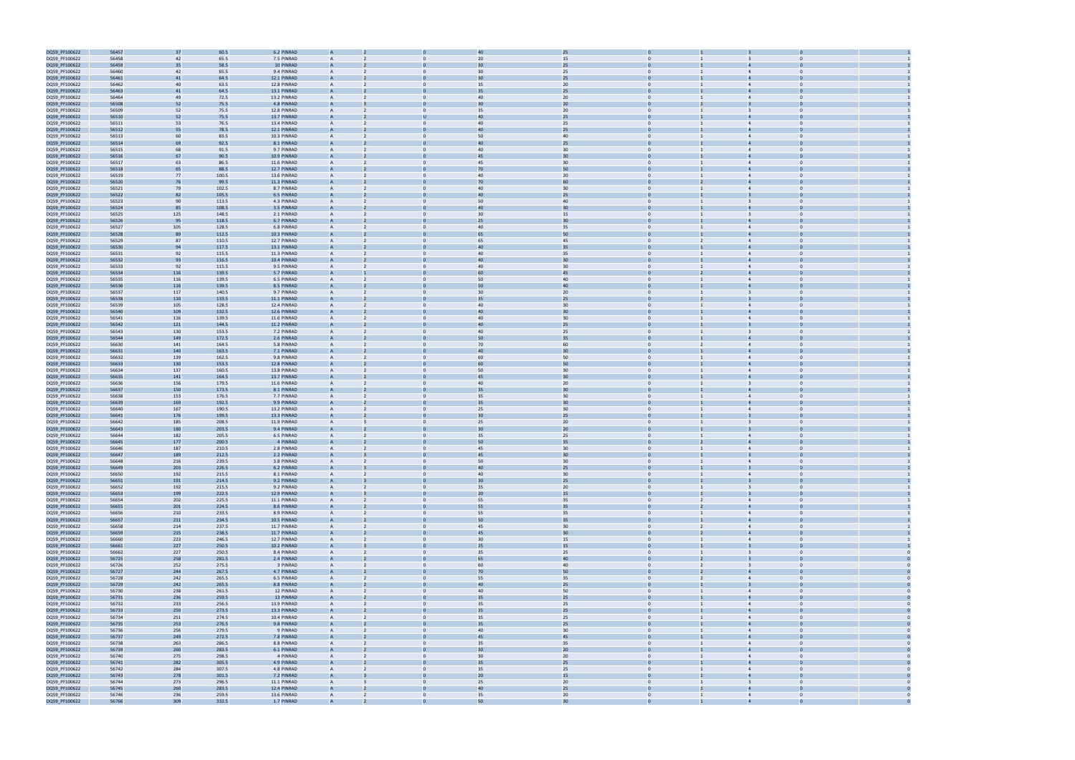

| DQ59_PF100622                  | 56457          | 37         | 60.5           | 6.2 PINRAD                 |                |                   |                | 25                    |                                  |                                           |  |
|--------------------------------|----------------|------------|----------------|----------------------------|----------------|-------------------|----------------|-----------------------|----------------------------------|-------------------------------------------|--|
| DQ59_PF100622                  | 56458          | 42         | 65.5           | 7.5 PINRAD                 |                |                   | 20             | 15                    |                                  |                                           |  |
| DQ59_PF100622                  | 56459          | 35         | 58.5           | 10 PINRAD                  |                |                   |                | 25                    |                                  |                                           |  |
|                                |                | 42         |                | 9.4 PINRAD                 | A              |                   | 30             |                       |                                  | $\Delta$                                  |  |
| DQ59_PF100622                  | 56460          |            | 65.5           |                            |                |                   |                | 25                    |                                  |                                           |  |
| DQ59_PF100622                  | 56461          | 41         | 64.5           | 12.1 PINRAD                | А              |                   |                | 25                    |                                  |                                           |  |
| DQ59_PF100622                  | 56462          | 40         | 63.5           | 12.8 PINRAD                | А              |                   | 35             | 20                    | $\mathbf{0}$                     | $\overline{4}$                            |  |
| DQ59_PF100622                  | 56463          | 41         | 64.5           | 13.1 PINRAD                |                |                   |                | 25                    |                                  |                                           |  |
| DQ59_PF100622                  | 56464          | 49         | 72.5           | 13.2 PINRAD                | $\mathsf{A}$   |                   | 40             | 20                    | $\Omega$                         | $\overline{4}$<br>$\Omega$                |  |
| DQ59_PF100622                  | 56508          | 52         | 75.5           | 4.8 PINRAD                 |                |                   |                | 20                    |                                  |                                           |  |
| DQ59_PF100622                  | 56509          | 52         | 75.5           | 12.8 PINRAD                | $\mathsf{A}$   |                   | 35             | 20                    | $\Omega$                         | $\Omega$                                  |  |
| DQ59_PF100622                  | 56510          | 52         | 75.5           | 13.7 PINRAD                |                |                   | 4(             | 25                    |                                  |                                           |  |
| DQ59_PF100622                  | 56511          | 53         | 76.5           | 13.4 PINRAD                |                |                   | 40             | 25                    |                                  |                                           |  |
|                                |                | 55         |                |                            |                |                   | 4(             | 25                    |                                  |                                           |  |
| DQ59_PF100622                  | 56512          |            | 78.5           | 12.1 PINRAD                |                |                   |                |                       |                                  |                                           |  |
| DQ59_PF100622                  | 56513          | 60         | 83.5           | 10.3 PINRAD                |                |                   | 50             | 40                    |                                  | $\overline{4}$                            |  |
| DQ59_PF100622                  | 56514          | 69         | 92.5           | 8.1 PINRAD                 |                |                   | 4(             | 25                    |                                  |                                           |  |
| DQ59_PF100622                  | 56515          | 68         | 91.5           | 9.7 PINRAD                 | A              |                   | 40             | 30                    | $\mathbf{0}$                     | $\overline{4}$                            |  |
| DQ59_PF100622                  | 56516          | 67         | 90.5           | 10.9 PINRAD                |                |                   | 45             | 30                    |                                  |                                           |  |
| DQ59_PF100622                  | 56517          | 63         | 86.5           | 11.6 PINRAD                | $\mathsf{A}$   |                   | 45             | 30                    | $\Omega$                         | $\overline{4}$                            |  |
| DQ59_PF100622                  | 56518          | 65         | 88.5           | 12.7 PINRAD                |                |                   | 7 <sub>0</sub> | 50                    |                                  |                                           |  |
| DQ59_PF100622                  | 56519          | 77         | 100.5          | 13.6 PINRAD                | A              |                   | 40             | 20                    | $\Omega$                         | $\overline{4}$<br>$\Omega$                |  |
| DQ59_PF100622                  | 56520          | 76         | 99.5           | 11.3 PINRAD                |                |                   | 70             | 60                    |                                  |                                           |  |
| DQ59_PF100622                  | 56521          | 79         | 102.5          | 8.7 PINRAD                 |                |                   | 40             | 30                    |                                  |                                           |  |
|                                |                |            |                |                            |                |                   | 4(             | 25                    |                                  |                                           |  |
| DQ59_PF100622                  | 56522          | 82         | 105.5          | 6.5 PINRAD                 |                |                   |                |                       |                                  |                                           |  |
| DQ59_PF100622                  | 56523          | 90         | 113.5          | 4.3 PINRAD                 |                |                   | 50             | 40                    | $\Omega$                         |                                           |  |
| DQ59_PF100622                  | 56524          | 85         | 108.5          | 3.5 PINRAD                 |                |                   | 40             | 30                    |                                  |                                           |  |
| DQ59_PF100622                  | 56525          | 125        | 148.5          | 2.1 PINRAD                 |                |                   | 30             | 15                    | $\mathbf{0}$                     | $\overline{3}$<br>$\Omega$                |  |
| DQ59_PF100622                  | 56526          | 95         | 118.5          | 6.7 PINRAD                 |                |                   | 25             | 30                    |                                  |                                           |  |
| DQ59_PF100622                  | 56527          | 105        | 128.5          | 6.8 PINRAD                 | A              |                   | 40             | 35                    | $\Omega$                         | $\Delta$                                  |  |
| DQ59_PF100622                  | 56528          | 89         | 112.5          | 10.3 PINRAD                |                |                   |                | 50                    |                                  |                                           |  |
| DQ59_PF100622                  | 56529          | 87         | 110.5          | 12.7 PINRAD                | A              |                   | 65             | 45                    | $\mathbf{0}$<br>$\overline{2}$   | $\overline{4}$<br>$\Omega$                |  |
| DQ59_PF100622                  | 56530          | 94         | 117.5          | 13.1 PINRAD                |                |                   | 40             | 35                    |                                  |                                           |  |
|                                |                |            |                | 11.3 PINRAD                |                |                   | 40             |                       |                                  |                                           |  |
| DQ59_PF100622                  | 56531          | 92         | 115.5          |                            |                |                   |                | 35                    |                                  |                                           |  |
| DQ59_PF100622                  | 56532          | 93         | 116.5          | 10.4 PINRAD                |                |                   | 40             | 30                    |                                  |                                           |  |
| DQ59_PF100622                  | 56533          | 92         | 115.5          | 9.5 PINRAD                 |                |                   | 40             | 30                    | $\Omega$                         | $\overline{4}$                            |  |
| DQ59_PF100622                  | 56534          | 116        | 139.5          | 5.7 PINRAD                 |                |                   | 60             | 45                    |                                  |                                           |  |
| DQ59_PF100622                  | 56535          | 116        | 139.5          | 6.5 PINRAD                 |                |                   | 50             | 40                    | $\mathbf{0}$                     | $\overline{4}$                            |  |
| DQ59_PF100622                  | 56536          | 116        | 139.5          | 8.5 PINRAD                 |                |                   | 50             | 40                    |                                  |                                           |  |
| DQ59_PF100622                  | 56537          | 117        | 140.5          | 9.7 PINRAD                 | A              |                   | 30             | 20                    | $\Omega$                         | $\overline{3}$<br>$\Omega$                |  |
| DQ59_PF100622                  | 56538          | 110        | 133.5          | 11.1 PINRAD                |                |                   | 35             | 25                    |                                  |                                           |  |
|                                |                |            |                |                            |                |                   | 40             |                       |                                  | $\overline{4}$<br>$\Omega$                |  |
| DQ59_PF100622                  | 56539          | 105        | 128.5          | 12.4 PINRAD                | A              |                   |                | 30                    | $\mathbf{0}$                     |                                           |  |
| DQ59_PF100622                  | 56540          | 109        | 132.5          | 12.6 PINRAD                |                |                   | 40             | 30                    |                                  |                                           |  |
| DQ59_PF100622                  | 56541          | 116        | 139.5          | 11.6 PINRAD                |                |                   | 40             | 30                    |                                  |                                           |  |
| DQ59_PF100622                  | 56542          | 121        | 144.5          | 11.2 PINRAD                |                |                   | 40             | 25                    |                                  |                                           |  |
| DQ59_PF100622                  | 56543          | 130        | 153.5          | 7.2 PINRAD                 |                |                   | 40             | 25                    |                                  |                                           |  |
| DQ59_PF100622                  | 56544          | 149        | 172.5          | 2.6 PINRAD                 |                |                   | 50             | 35                    |                                  |                                           |  |
| DQ59_PF100622                  | 56630          | 141        | 164.5          | 5.8 PINRAD                 | А              |                   | 70             | 60                    | $\mathbf{0}$                     | $\overline{4}$                            |  |
| DQ59_PF100622                  | 56631          | 140        | 163.5          | 7.1 PINRAD                 |                |                   | 4(             | 30                    |                                  |                                           |  |
|                                |                |            |                |                            |                |                   |                |                       |                                  |                                           |  |
| DQ59_PF100622                  | 56632          | 139        | 162.5          | 9.8 PINRAD                 | A              | $\Omega$          | 60             | 50                    | $\Omega$                         | $\overline{4}$<br>$\Omega$                |  |
| DQ59_PF100622                  | 56633          | 130        | 153.5          | 12.8 PINRAD                |                |                   |                | 50                    |                                  |                                           |  |
| DQ59_PF100622                  | 56634          | 137        | 160.5          | 13.8 PINRAD                | $\mathsf{A}$   |                   | 50             | 30                    | $\mathbf{0}$                     | $\overline{4}$<br>$\Omega$                |  |
| DQ59_PF100622                  | 56635          | 141        | 164.5          | 13.7 PINRAD                |                |                   | 45             | 30                    |                                  |                                           |  |
| DQ59_PF100622                  | 56636          | 156        | 179.5          | 11.6 PINRAD                |                |                   | 40             | 20                    | $\mathbf{0}$                     | $\overline{3}$                            |  |
| DQ59_PF100622                  | 56637          | 150        | 173.5          | 8.1 PINRAD                 |                |                   |                | 30                    |                                  |                                           |  |
| DQ59_PF100622                  | 56638          | 153        | 176.5          | 7.7 PINRAD                 | A              |                   | 35             | 30                    |                                  | $\overline{4}$                            |  |
| DQ59_PF100622                  | 56639          | 169        | 192.5          | 9.9 PINRAD                 |                |                   | 35             | 30                    |                                  |                                           |  |
| DQ59_PF100622                  | 56640          | 167        | 190.5          | 13.2 PINRAD                | А              |                   | 25             | 30                    | $\Omega$                         | $\overline{4}$                            |  |
| DQ59_PF100622                  | 56641          | 176        | 199.5          | 13.3 PINRAD                |                |                   |                | 25                    |                                  |                                           |  |
| DQ59_PF100622                  | 56642          | 185        | 208.5          | 11.9 PINRAD                | A              |                   | 25             | 20                    | $\Omega$                         |                                           |  |
|                                |                |            |                |                            |                |                   |                |                       |                                  |                                           |  |
| DQ59_PF100622                  | 56643          | 180        | 203.5          | 9.4 PINRAD                 |                |                   |                | 20                    |                                  |                                           |  |
| DQ59_PF100622                  | 56644          | 182        | 205.5          | 6.5 PINRAD                 | A              |                   | 35             | 25                    | $\mathbf{0}$                     | $\mathbf{0}$<br>$\overline{4}$            |  |
| DQ59_PF100622                  | 56645          | 177        | 200.5          | 4 PINRAD                   |                |                   | 50             | 35                    |                                  |                                           |  |
| DQ59_PF100622                  | 56646          | 187        | 210.5          | 2.8 PINRAD                 | A              |                   | 45             | 30                    | $\Omega$                         | $\Omega$<br>$\overline{4}$                |  |
| DQ59_PF100622                  | 56647          | 189        | 212.5          | 2.2 PINRAD                 |                |                   | 45             | 30                    |                                  |                                           |  |
| DQ59_PF100622                  | 56648          | 216        | 239.5          | 3.8 PINRAD                 |                |                   | 50             | 30                    |                                  |                                           |  |
| DQ59_PF100622                  | 56649          | 203        | 226.5          | 6.2 PINRAD                 |                |                   | 40             | 25                    | $\overline{0}$                   |                                           |  |
| DQ59_PF100622                  | 56650          | 192        | 215.5          | 8.1 PINRAD                 | A              | $\mathbf{0}$      | 40             | 30                    | $\overline{0}$                   | $\overline{0}$<br>$\overline{4}$          |  |
| DQ59_PF100622                  | 56651          | 191        | 214.5          | 9.2 PINRAD                 | A              |                   | 30             | 25                    | $\overline{0}$                   |                                           |  |
| DQ59_PF100622                  | 56652          | 192        | 215.5          | 9.2 PINRAD                 | A              | $\mathbf{0}$      | 35             | 20                    | $\overline{0}$                   | $\overline{0}$<br>$\overline{3}$          |  |
| DQ59_PF100622                  | 56653          | 199        | 222.5          | 12.9 PINRAD                |                |                   | 20             | 15                    |                                  |                                           |  |
| DQ59_PF100622                  | 56654          | 202        | 225.5          | 11.1 PINRAD                | $\mathsf{A}$   | $\mathbf{0}$      | 55             | 35                    | $\overline{0}$<br>$\overline{2}$ | $\overline{0}$<br>$\overline{4}$          |  |
|                                | 56655          |            |                |                            |                | $\Omega$          |                |                       | $\overline{0}$                   | $\overline{0}$<br>$\overline{4}$          |  |
| DQ59_PF100622                  |                | 201        | 224.5          | 8.6 PINRAD                 | A              |                   | 55             | 35                    |                                  |                                           |  |
| DQ59_PF100622                  | 56656          | 210        | 233.5          | 8.9 PINRAD                 | $\mathsf{A}$   | $\Omega$          | 55             | 35                    | $\overline{0}$                   | $\mathbf{0}$<br>$\overline{4}$            |  |
| DQ59_PF100622                  | 56657          | 211        | 234.5          | 10.5 PINRAD                | A              |                   | 50             | 35                    |                                  | $\overline{a}$<br>$\Omega$                |  |
| DQ59_PF100622                  | 56658          | 214        | 237.5          | 11.7 PINRAD                | $\overline{A}$ | $\Omega$          | 45             | 30                    | $\overline{0}$<br>$\overline{2}$ | $\overline{4}$<br>$\Omega$                |  |
| DQ59_PF100622                  | 56659          | 215        | 238.5          | 11.7 PINRAD                | A              |                   | 45             | 30                    | $\mathbf{0}$<br>$\overline{2}$   | $\overline{4}$<br>$\mathbf 0$             |  |
| DQ59_PF100622                  | 56660          | 223        | 246.5          | 12.7 PINRAD                | A              | $\mathbf{0}$      | 30             | 15                    | $\overline{0}$<br>$\mathbf{1}$   | $\overline{4}$<br>$\mathbf{0}$            |  |
| DQ59_PF100622                  | 56661          | 227        | 250.5          | 10.2 PINRAD                | A              |                   | 25             | $15\,$                | $\mathbf{0}$                     | $\overline{0}$<br>$\overline{3}$          |  |
| DQ59_PF100622                  | 56662          | 227        | 250.5          | 8.4 PINRAD                 | A              | $\mathbf{0}$      | 35             | 25                    | $\overline{0}$                   | $\overline{\mathbf{3}}$<br>$\overline{0}$ |  |
| DQ59_PF100622                  | 56725          | 258        | 281.5          | 2.4 PINRAD                 |                |                   | 65             | 40                    |                                  |                                           |  |
| DQ59_PF100622                  | 56726          | 252        | 275.5          | 3 PINRAD                   | $\mathsf{A}$   | $\mathbf{0}$      | 60             | 40                    | $\overline{0}$<br>$\overline{2}$ | $\overline{0}$<br>$\overline{\mathbf{3}}$ |  |
| DQ59_PF100622                  | 56727          | 244        | 267.5          | 4.7 PINRAD                 |                |                   | 70             | 50                    |                                  |                                           |  |
|                                | 56728          | 242        | 265.5          |                            |                |                   |                |                       |                                  | $\overline{0}$                            |  |
| DQ59_PF100622                  |                |            |                | 6.5 PINRAD                 | $\mathsf{A}$   | $\mathbf{0}$      | 55             | 35                    | $\overline{0}$<br>$\overline{2}$ | $\overline{4}$                            |  |
| DQ59_PF100622                  | 56729          | 242        | 265.5          | 8.8 PINRAD                 |                |                   | 40             | 25                    |                                  |                                           |  |
| DQ59_PF100622                  | 56730          | 238        | 261.5          | 12 PINRAD                  | A              | $\Omega$          | 40             | 50                    | $\Omega$                         | $\overline{4}$<br>$\Omega$                |  |
| DQ59_PF100622                  | 56731          | 236        | 259.5          | 13 PINRAD                  | A              |                   | 35             | 25                    | $\overline{0}$                   | $\overline{4}$                            |  |
| DQ59_PF100622                  | 56732          | 233        | 256.5          | 13.9 PINRAD                | A              | $\mathbf{0}$      | 35             | 25                    | $\overline{0}$                   | $\overline{4}$<br>$\mathbf{0}$            |  |
| DQ59_PF100622                  | 56733          | 250        | 273.5          | 13.3 PINRAD                | A              |                   | 35             | 25                    |                                  | $\overline{4}$                            |  |
| DQ59_PF100622                  | 56734          | 251        | 274.5          | 10.4 PINRAD                | A              | $\mathbf{0}$      | 35             | 25                    | $\overline{0}$                   | $\overline{4}$<br>$\overline{0}$          |  |
| DQ59_PF100622                  | 56735          | 253        | 276.5          | 9.8 PINRAD                 |                |                   | 35             | 25                    |                                  |                                           |  |
| DQ59_PF100622                  | 56736          | 256        | 279.5          | 9 PINRAD                   | $\mathsf{A}$   | $\mathbf{0}$      | 40             | 30                    | $\overline{0}$                   | $\overline{0}$<br>$\overline{4}$          |  |
|                                |                |            |                |                            |                |                   | 45             | 45                    |                                  | $\overline{4}$                            |  |
| DQ59_PF100622                  | 56737          | 249        | 272.5          | 7.8 PINRAD                 |                |                   |                |                       |                                  |                                           |  |
| DQ59_PF100622                  | 56738          | 263        | 286.5          | 8.8 PINRAD                 | A              | $\mathbf{0}$      | 35             | 35                    | $\overline{0}$                   | $\mathbf{0}$<br>$\overline{4}$            |  |
| DQ59_PF100622                  | 56739          | 260        | 283.5          | 6.1 PINRAD                 |                |                   | 30             | 20                    |                                  | $\Delta$                                  |  |
| DQ59_PF100622                  | 56740          | 275        | 298.5          | 4 PINRAD                   | A              | $\Omega$          | 30             | 20                    | $\Omega$                         | $\overline{4}$<br>$\Omega$                |  |
| DQ59_PF100622                  | 56741          | 282        | 305.5          | 4.9 PINRAD                 | A              |                   | 35             | 25                    | $\overline{0}$                   | $\overline{4}$                            |  |
| DQ59_PF100622                  | 56742          | 284        | 307.5          | 4.8 PINRAD                 | A              | $\mathbf{0}$      | 35             | 25                    | $\overline{0}$                   | $\overline{4}$<br>$\mathbf{0}$            |  |
|                                |                | 278        | 301.5          | 7.2 PINRAD                 | A              |                   | 20             | $15\,$                |                                  | $\overline{4}$                            |  |
|                                |                |            |                |                            |                |                   |                |                       |                                  |                                           |  |
| DQ59_PF100622                  | 56743          |            |                |                            | A              | $\mathbf{0}$      |                |                       | $\overline{0}$                   | $\overline{\mathbf{3}}$<br>$\overline{0}$ |  |
| DQ59_PF100622                  | 56744          | 273        | 296.5          | 11.1 PINRAD                |                |                   | 25             | 20                    |                                  |                                           |  |
| DQ59_PF100622<br>DQ59_PF100622 | 56745<br>56746 | 260<br>236 | 283.5<br>259.5 | 12.4 PINRAD<br>13.6 PINRAD | $\mathsf{A}$   | $\mathbf{0}$<br>2 | 40<br>35       | 25<br>20 <sub>2</sub> | $\overline{0}$<br>$\mathbf{1}$   | $\overline{4}$<br>$\overline{0}$          |  |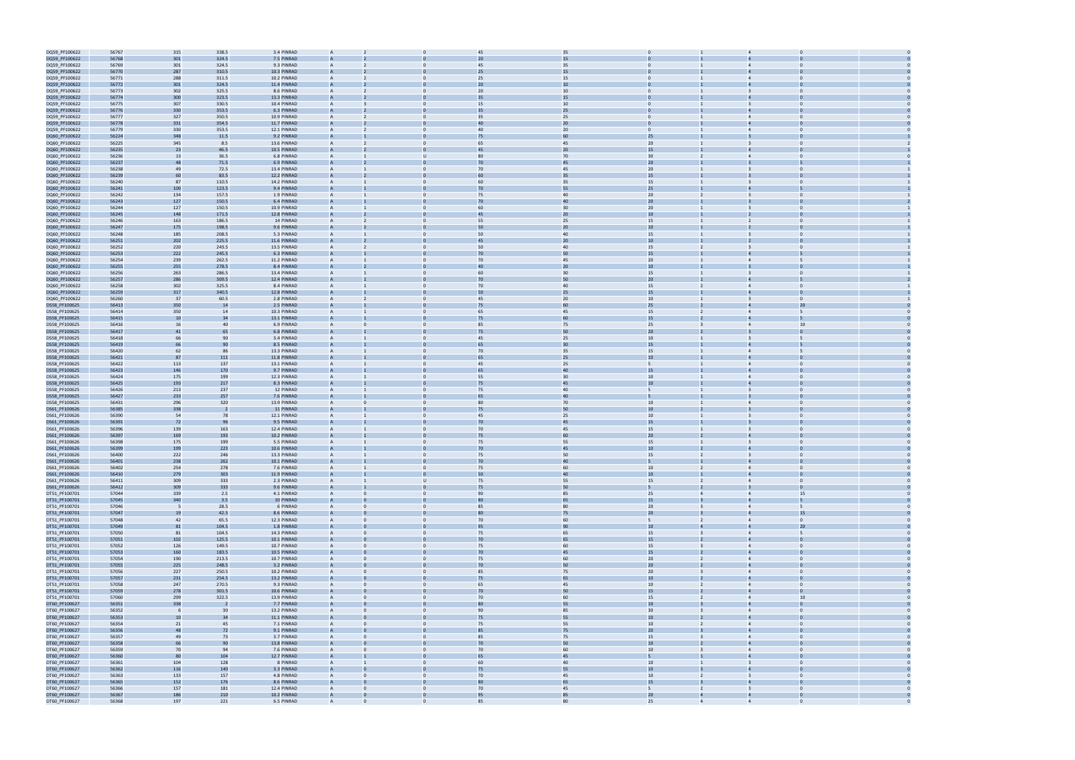| DQ59_PF100622 | 56767 | 315                      | 338.5 | 3.4 PINRAD  |                |              | 45             | 35     |                  |                         |                                  |    |  |
|---------------|-------|--------------------------|-------|-------------|----------------|--------------|----------------|--------|------------------|-------------------------|----------------------------------|----|--|
| DQ59_PF100622 | 56768 | 301                      | 324.5 | 7.5 PINRAD  |                |              | 20             | 15     |                  |                         |                                  |    |  |
| DQ59_PF100622 | 56769 | 301                      | 324.5 | 9.3 PINRAD  | A              |              | 45             | 35     | $\mathbf{0}$     |                         | $\Omega$                         |    |  |
|               |       |                          |       |             |                |              |                |        |                  |                         |                                  |    |  |
| DQ59_PF100622 | 56770 | 287                      | 310.5 | 10.3 PINRAD |                |              | 25             | 15     |                  |                         |                                  |    |  |
| DQ59_PF100622 | 56771 | 288                      | 311.5 | 10.2 PINRAD | A              |              | 25             | 15     | $\Omega$         |                         | $\overline{4}$                   |    |  |
| DQ59_PF100622 | 56772 | 301                      | 324.5 | 11.4 PINRAD | $\overline{A}$ |              | 20             | 10     |                  |                         |                                  |    |  |
| DQ59_PF100622 | 56773 | 302                      | 325.5 | 8.6 PINRAD  |                |              | 20             | 10     |                  |                         |                                  |    |  |
| DQ59_PF100622 | 56774 | 300                      | 323.5 | 13.3 PINRAD |                |              | 35             | 15     |                  |                         |                                  |    |  |
| DQ59_PF100622 | 56775 | 307                      | 330.5 | 10.4 PINRAD | A              |              | 15             | 10     | $\mathbf{0}$     |                         | $\overline{\mathbf{3}}$          |    |  |
| DQ59_PF100622 | 56776 | 330                      | 353.5 | 6.3 PINRAD  |                |              |                | 25     |                  |                         |                                  |    |  |
| DQ59_PF100622 | 56777 | 327                      | 350.5 | 10.9 PINRAD | A              | $\Omega$     | 35             | 25     | $\Omega$         |                         | $\overline{4}$<br>$\Omega$       |    |  |
| DQ59_PF100622 | 56778 | 331                      | 354.5 | 11.7 PINRAD |                |              |                | 20     |                  |                         |                                  |    |  |
|               |       |                          |       |             |                |              |                |        |                  |                         |                                  |    |  |
| DQ59_PF100622 | 56779 | 330                      | 353.5 | 12.1 PINRAD | A              | $\Omega$     | 40             | 20     | $\overline{0}$   |                         | $\overline{4}$<br>$\Omega$       |    |  |
| DQ60_PF100622 | 56224 | 348                      | 11.5  | 9.2 PINRAD  |                |              |                |        | 25               |                         |                                  |    |  |
| DQ60_PF100622 | 56225 | 345                      | 8.5   | 13.6 PINRAD | A              |              | 65             | 45     | 20 <sub>2</sub>  |                         |                                  |    |  |
| DQ60_PF100622 | 56235 | 23                       | 46.5  | 10.5 PINRAD | $\overline{A}$ |              | 45             | 20     | 15               |                         |                                  |    |  |
| DQ60_PF100622 | 56236 | 13                       | 36.5  | 6.8 PINRAD  |                |              | 80             | 70     | 30 <sub>o</sub>  |                         |                                  |    |  |
| DQ60_PF100622 | 56237 | 48                       | 71.5  | 6.9 PINRAD  |                |              | 70             | 45     | 20 <sub>2</sub>  |                         |                                  |    |  |
| DQ60_PF100622 | 56238 | 49                       | 72.5  | 13.4 PINRAD | A              | $\Omega$     | 70             | 45     | 20 <sub>2</sub>  |                         | $\Omega$                         |    |  |
|               |       |                          |       |             |                |              |                |        | 15               |                         |                                  |    |  |
| DQ60_PF100622 | 56239 | 60                       | 83.5  | 12.2 PINRAD |                |              |                | 35     |                  |                         |                                  |    |  |
| DQ60_PF100622 | 56240 | 87                       | 110.5 | 14.2 PINRAD | A              | $\Omega$     | 60             | 35     | 15               |                         | $\Omega$                         |    |  |
| DQ60_PF100622 | 56241 | 100                      | 123.5 | 9.4 PINRAD  |                |              | 70             | 55     | 25               |                         |                                  |    |  |
| DQ60_PF100622 | 56242 | 134                      | 157.5 | 1.9 PINRAD  | A              |              | 75             | 40     | 20 <sub>2</sub>  |                         | $\Omega$                         |    |  |
| DQ60_PF100622 | 56243 | 127                      | 150.5 | 6.4 PINRAD  |                |              |                | 40     | 20               |                         |                                  |    |  |
| DQ60_PF100622 | 56244 | 127                      | 150.5 | 10.9 PINRAD | A              |              | 60             | 30     | 20 <sub>2</sub>  |                         |                                  |    |  |
| DQ60_PF100622 | 56245 | 148                      | 171.5 | 12.8 PINRAD |                |              | 45             | 20     | 10               |                         |                                  |    |  |
| DQ60_PF100622 | 56246 | 163                      | 186.5 | 14 PINRAD   |                |              | 55             | 25     | 15               |                         | $\overline{2}$                   |    |  |
| DQ60_PF100622 | 56247 | 175                      | 198.5 | 9.6 PINRAD  |                |              | 50             | 20     | 10               |                         |                                  |    |  |
|               | 56248 | 185                      | 208.5 |             |                | $\Omega$     |                |        | 15               |                         |                                  |    |  |
| DQ60_PF100622 |       |                          |       | 5.3 PINRAD  | A              |              | 50             | 40     |                  |                         | $\mathbf 0$                      |    |  |
| DQ60_PF100622 | 56251 | 202                      | 225.5 | 11.6 PINRAD |                |              | 45             | $20\,$ | $10\,$           |                         |                                  |    |  |
| DQ60_PF100622 | 56252 | 220                      | 243.5 | 13.5 PINRAD | A              | $\Omega$     | 50             | 40     | 15               |                         | $\Omega$<br>$\mathbf{B}$         |    |  |
| DQ60_PF100622 | 56253 | 222                      | 245.5 | 6.3 PINRAD  |                |              | 70             | 50     | 15               |                         |                                  |    |  |
| DQ60_PF100622 | 56254 | 239                      | 262.5 | 11.2 PINRAD | A              |              | 70             | 45     | 20 <sub>2</sub>  |                         | $\overline{4}$                   |    |  |
| DQ60_PF100622 | 56255 | 255                      | 278.5 | 8.4 PINRAD  |                |              | 4 <sub>0</sub> | 20     | 10               |                         |                                  |    |  |
| DQ60_PF100622 | 56256 | 263                      | 286.5 | 13.4 PINRAD | A              |              | 60             | 30     | 15               |                         | $\overline{\mathbf{3}}$          |    |  |
| DQ60_PF100622 | 56257 | 286                      | 309.5 | 12.4 PINRAD | $\overline{A}$ |              | 70             | 50     | 20 <sub>2</sub>  |                         |                                  |    |  |
|               |       |                          |       |             |                |              |                |        |                  |                         | $\overline{4}$                   |    |  |
| DQ60_PF100622 | 56258 | 302                      | 325.5 | 8.4 PINRAD  |                |              | 70             | 40     | 15               |                         |                                  |    |  |
| DQ60_PF100622 | 56259 | 317                      | 340.5 | 12.8 PINRAD |                |              | 50             | 25     | 15               |                         |                                  |    |  |
| DQ60_PF100622 | 56260 | 37                       | 60.5  | 2.8 PINRAD  | A              | $\mathbf{0}$ | 45             | 20     | 10               |                         | $\overline{3}$<br>$\mathbf 0$    |    |  |
| DS58_PF100625 | 56413 | 350                      | 14    | 2.5 PINRAD  |                |              | 75             | 60     | 25               |                         |                                  | 20 |  |
| DS58_PF100625 | 56414 | 350                      | 14    | 10.3 PINRAD | A              | $\Omega$     | 65             | 45     | 15               | $\overline{2}$          | $\overline{4}$<br>5              |    |  |
| DS58_PF100625 | 56415 | 10                       | 34    | 13.1 PINRAD |                |              | 75             | 60     | 15               |                         |                                  |    |  |
| DS58_PF100625 | 56416 | 16                       | 40    | 6.9 PINRAD  |                |              | 85             | 75     | 25               |                         | $\overline{4}$                   | 10 |  |
| DS58_PF100625 | 56417 | 41                       | 65    | 6.8 PINRAD  |                |              | 75             | 50     | 20               |                         |                                  |    |  |
| DS58_PF100625 | 56418 | 66                       | 90    | 3.4 PINRAD  | A              |              | 45             | 25     | 10 <sup>1</sup>  |                         | 3                                |    |  |
|               |       |                          |       |             |                |              |                |        |                  |                         |                                  |    |  |
| DS58_PF100625 | 56419 | 66                       | 90    | 8.5 PINRAD  | $\overline{A}$ |              | 65             | 30     | 15               |                         |                                  |    |  |
| DS58_PF100625 | 56420 | 62                       | 86    | 13.3 PINRAD |                |              | 70             | 35     | 15               |                         |                                  |    |  |
| DS58_PF100625 | 56421 | 87                       | 111   | 11.8 PINRAD |                |              | 65             | 25     | 10               |                         |                                  |    |  |
| DS58_PF100625 | 56422 | 113                      | 137   | 13.1 PINRAD | A              |              | 45             | 25     | 5                |                         | $\overline{4}$<br>$\Omega$       |    |  |
| DS58_PF100625 | 56423 | 146                      | 170   | 9.7 PINRAD  |                |              | 65             | 40     | 15               |                         |                                  |    |  |
| DS58_PF100625 | 56424 | 175                      | 199   | 12.3 PINRAD | A              | $\Omega$     | 55             | 30     | 10 <sub>1</sub>  |                         | $\Omega$<br>$\overline{4}$       |    |  |
| DS58_PF100625 | 56425 | 193                      | 217   | 8.3 PINRAD  |                |              | 75             |        | 10 <sup>10</sup> |                         |                                  |    |  |
|               | 56426 | 213                      | 237   | 12 PINRAD   | A              |              | 75             | 40     | 5                |                         | $\Omega$                         |    |  |
| DS58_PF100625 |       |                          |       |             |                |              |                | 40     |                  |                         |                                  |    |  |
| DS58_PF100625 | 56427 | 233                      | 257   | 7.6 PINRAD  |                |              |                |        |                  |                         |                                  |    |  |
| DS58_PF100625 | 56431 | 296                      | 320   | 13.9 PINRAD | A              |              | 80             | 70     | 10 <sup>1</sup>  |                         | $\overline{4}$                   |    |  |
| DS61_PF100626 | 56385 | 338                      |       | 11 PINRAD   |                |              | 75             | 50     | 10               |                         |                                  |    |  |
| DS61_PF100626 | 56390 | 54                       | 78    | 12.1 PINRAD |                |              | 45             | 25     | $10\,$           |                         |                                  |    |  |
| DS61_PF100626 | 56391 | 72                       | 9(    | 9.5 PINRAD  |                |              | 70             | 45     | 15               |                         |                                  |    |  |
| DS61_PF100626 | 56396 | 139                      | 163   | 12.4 PINRAD | A              |              | 70             | 45     | 15               |                         | $\Omega$                         |    |  |
| DS61_PF100626 | 56397 | 169                      | 193   | 10.2 PINRAD |                |              | 75             | 60     | 20               |                         |                                  |    |  |
| DS61_PF100626 | 56398 | 175                      | 199   | 5.5 PINRAD  | A              | $\mathbf{0}$ | 75             | 55     | 15               |                         | $\overline{3}$<br>$\Omega$       |    |  |
|               |       |                          |       |             |                |              |                |        | 10 <sup>10</sup> |                         |                                  |    |  |
| DS61_PF100626 | 56399 | 199                      | 223   | 10.6 PINRAD |                |              | 70             | 45     |                  |                         |                                  |    |  |
| DS61_PF100626 | 56400 | 222                      | 246   | 13.3 PINRAD |                |              | 75             | 50     | 15               |                         |                                  |    |  |
| DS61_PF100626 | 56401 | 238                      | 262   | 10.1 PINRAD |                |              | 70             | 40     |                  |                         |                                  |    |  |
| DS61_PF100626 | 56402 | 254                      | 278   | 7.6 PINRAD  | $\overline{A}$ | $\mathbf{0}$ | 75             | 60     | 10               | $\overline{2}$          | $\overline{4}$<br>$\Omega$       |    |  |
| DS61_PF100626 | 56410 | 279                      | 303   | 11.9 PINRAD | A              |              | 50             | 40     | 10               |                         | $\overline{4}$<br>$\Omega$       |    |  |
| DS61_PF100626 | 56411 | 309                      | 333   | 2.3 PINRAD  | $\overline{A}$ | $\mathbf{U}$ | 75             | 55     | 15               |                         | $\overline{4}$<br>$\Omega$       |    |  |
| DS61_PF100626 | 56412 | 309                      | 333   | 9.6 PINRAD  | A              |              | 75             | 50     | 5 <sup>1</sup>   |                         | $\mathbf 0$                      |    |  |
| DT51_PF100701 | 57044 | 339                      | 2.5   | 4.1 PINRAD  | $\mathsf{A}$   | $\mathbf{0}$ | 90             | 85     | 25               | $\overline{4}$          | $\overline{4}$                   | 15 |  |
| DT51_PF100701 | 57045 | 340                      | 3.5   | 10 PINRAD   | A              |              | 80             | 65     | 15               |                         | 5<br>$\overline{4}$              |    |  |
| DT51_PF100701 | 57046 | $\overline{\phantom{0}}$ | 28.5  | 6 PINRAD    | $\overline{A}$ | $\mathbf{0}$ | 85             | 80     | 20               | $\overline{3}$          | $\overline{4}$<br>5              |    |  |
|               |       |                          |       |             |                |              |                |        |                  |                         | $\overline{a}$                   |    |  |
| DT51_PF100701 | 57047 | 19                       | 42.5  | 8.6 PINRAD  | $\overline{A}$ |              | 80             | 75     | 20 <sup>°</sup>  |                         |                                  | 15 |  |
| DT51_PF100701 | 57048 | 42                       | 65.5  | 12.3 PINRAD | A              | $\mathbf{0}$ | 70             | 60     | 5                | $\overline{2}$          | $\overline{0}$<br>$\overline{4}$ |    |  |
| DT51_PF100701 | 57049 | 81                       | 104.5 | 1.8 PINRAD  |                |              | 95             | 90     | 10 <sup>10</sup> | $\overline{4}$          |                                  | 20 |  |
| DT51_PF100701 | 57050 | 81                       | 104.5 | 14.3 PINRAD | A              | $\mathbf{0}$ | 75             | 65     | 15               | $\overline{3}$          | 5<br>$\overline{4}$              |    |  |
| DT51_PF100701 | 57051 | 102                      | 125.5 | 10.1 PINRAD | $\overline{A}$ |              | 70             | 65     | 15               |                         | $\overline{4}$<br>$\Omega$       |    |  |
| DT51_PF100701 | 57052 | 126                      | 149.5 | 10.7 PINRAD | A              | $\Omega$     | 75             | 60     | 15               |                         | $\overline{4}$<br>$\Omega$       |    |  |
| DT51_PF100701 | 57053 | 160                      | 183.5 | 10.5 PINRAD | $\mathsf{A}$   |              | 70             | 45     | 15               | $\overline{2}$          | $\overline{4}$<br>$\mathbf 0$    |    |  |
| DT51_PF100701 | 57054 | 190                      | 213.5 | 10.7 PINRAD | A              | $\mathbf{0}$ | 75             | 60     | 20               | $\overline{2}$          | $\overline{4}$<br>$\overline{0}$ |    |  |
| DT51_PF100701 | 57055 | 225                      | 248.5 | 3.2 PINRAD  | А              |              | 70             | 50     | 20 <sub>2</sub>  |                         | $\overline{4}$                   |    |  |
| DT51_PF100701 | 57056 | 227                      | 250.5 | 10.2 PINRAD | $\overline{A}$ | $\mathbf{0}$ | 85             | 75     | 20               | $\overline{3}$          | $\overline{4}$<br>$\overline{0}$ |    |  |
|               |       |                          |       |             |                |              |                |        |                  |                         |                                  |    |  |
| DT51_PF100701 | 57057 | 231                      | 254.5 | 13.2 PINRAD |                |              | 75             | 65     | 10 <sub>1</sub>  | $2^{\circ}$             | $\Omega$                         |    |  |
| DT51_PF100701 | 57058 | 247                      | 270.5 | 9.3 PINRAD  | A              | $\mathbf{0}$ | 65             | 45     | 10               | $\overline{2}$          | $\overline{0}$<br>$\overline{4}$ |    |  |
| DT51_PF100701 | 57059 | 278                      | 301.5 | 10.6 PINRAD |                |              | 70             | 50     | 15               |                         | $\Omega$                         |    |  |
| DT51_PF100701 | 57060 | 299                      | 322.5 | 13.9 PINRAD | A              | $\mathbf{0}$ | 70             | 60     | 15               | $\overline{2}$          | $\overline{4}$                   | 10 |  |
| DT60_PF100627 | 56351 | 338                      | - 2   | 7.7 PINRAD  | $\overline{A}$ |              | 80             | 55     | 10 <sup>°</sup>  |                         | $\overline{4}$<br>$\Omega$       |    |  |
| DT60_PF100627 | 56352 | 6                        | 30    | 13.2 PINRAD |                | $\Omega$     | 90             | 85     | 30 <sup>°</sup>  | $\overline{3}$          | $\overline{4}$<br>$\Omega$       |    |  |
| DT60_PF100627 | 56353 | 10                       | 34    | 11.1 PINRAD |                |              | 75             | 55     | 10 <sup>10</sup> |                         | $\overline{4}$<br>$\mathbf 0$    |    |  |
| DT60_PF100627 | 56354 | 21                       | 45    | 7.1 PINRAD  | A              | $\mathbf{0}$ | 75             | 55     | 10               | $\overline{2}$          | $\overline{4}$<br>$\overline{0}$ |    |  |
| DT60_PF100627 | 56356 | 48                       | 72    | 9.1 PINRAD  | A              |              | 85             | 75     | 20 <sub>2</sub>  |                         | $\overline{4}$                   |    |  |
|               |       |                          |       |             |                |              |                |        |                  |                         |                                  |    |  |
| DT60_PF100627 | 56357 | 49                       | 73    | 3.7 PINRAD  | $\overline{A}$ | $\mathbf{0}$ | 85             | 75     | 15               | $\overline{\mathbf{3}}$ | $\overline{4}$<br>$\overline{0}$ |    |  |
| DT60_PF100627 | 56358 | 66                       | 90    | 13.8 PINRAD |                |              | 70             | 50     | 10 <sub>1</sub>  |                         | $\overline{4}$<br>$\Omega$       |    |  |
| DT60_PF100627 | 56359 | 70                       | 94    | 7.6 PINRAD  | A              | $\mathbf{0}$ | 70             | 60     | 10               | $\overline{3}$          | $\overline{0}$<br>$\overline{4}$ |    |  |
| DT60_PF100627 | 56360 | 80                       | 104   | 12.7 PINRAD |                |              | 65             | 45     |                  |                         |                                  |    |  |
| DT60_PF100627 | 56361 | 104                      | 128   | 8 PINRAD    | $\overline{A}$ | $\mathbf{0}$ | 60             | 40     | 10               |                         | $\Omega$<br>$\overline{3}$       |    |  |
| DT60_PF100627 | 56362 | 116                      | 140   | 3.3 PINRAD  | $\overline{A}$ |              | 75             | 55     | 10               |                         | $\overline{4}$<br>$\Omega$       |    |  |
| DT60_PF100627 | 56363 | 133                      | 157   | 4.8 PINRAD  |                |              | 70             | 45     | 10 <sub>1</sub>  |                         | $\overline{3}$<br>$\Omega$       |    |  |
| DT60_PF100627 | 56365 | 152                      | 176   | 8.6 PINRAD  |                |              | 80             | 65     | 15               |                         | $\overline{4}$                   |    |  |
| DT60_PF100627 | 56366 | 157                      | 181   | 12.4 PINRAD | $\overline{A}$ | $\mathbf{0}$ | 70             | 45     | 5                | $\overline{2}$          | $\overline{3}$<br>$\overline{0}$ |    |  |
| DT60_PF100627 |       |                          |       |             |                |              |                |        |                  |                         |                                  |    |  |
|               | 56367 | 186                      | 210   | 10.2 PINRAD |                |              | 95             | 85     | 20 <sub>2</sub>  | $\overline{4}$          | $\overline{0}$<br>$\overline{4}$ |    |  |
| DT60 PF100627 | 56368 | 197                      | 221   | 6.5 PINRAD  | $\Lambda$      |              | 85             | 80     | 25               | $\Delta$                | $\Delta$<br>$\Omega$             |    |  |

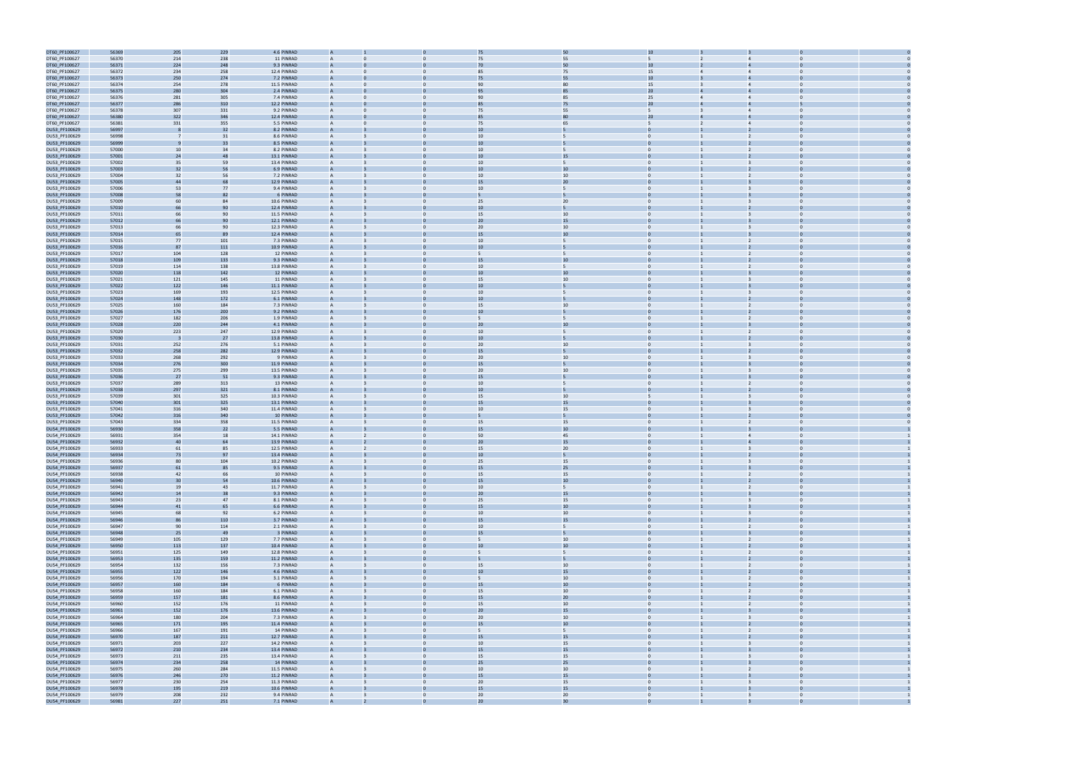

| DT60_PF100627 | 56369 | 205 | 229 | 4.6 PINRAD  |                |                | 75              | 50              |                                |                         |                |  |
|---------------|-------|-----|-----|-------------|----------------|----------------|-----------------|-----------------|--------------------------------|-------------------------|----------------|--|
|               |       |     |     |             |                |                |                 |                 |                                |                         |                |  |
| DT60_PF100627 | 56370 | 214 | 238 | 11 PINRAD   |                |                | 75              | 55              |                                |                         |                |  |
| DT60_PF100627 | 56371 | 224 | 248 | 9.3 PINRAD  |                |                | 70              | 50              | 10                             |                         |                |  |
| DT60_PF100627 | 56372 | 234 | 258 | 12.4 PINRAD |                |                | 85              | 75              | 15                             | $\Delta$                |                |  |
| DT60_PF100627 | 56373 | 250 | 274 | 7.2 PINRAD  | A              |                | 75              | 55              | 10                             |                         |                |  |
| DT60_PF100627 | 56374 | 254 | 278 | 11.5 PINRAD | A              |                | 90              | 80              | 15                             | $\overline{4}$          | $\bf{0}$       |  |
|               |       |     |     |             |                |                |                 |                 |                                |                         |                |  |
| DT60_PF100627 | 56375 | 280 | 304 | 2.4 PINRAD  |                |                |                 | 85              | 20 <sub>2</sub>                |                         |                |  |
| DT60_PF100627 | 56376 | 281 | 305 | 7.4 PINRAD  | A              | $\Omega$       | 90              | 85              | 25<br>$\Delta$                 | $\Delta$                | $\Omega$       |  |
| DT60_PF100627 | 56377 | 286 | 310 | 12.2 PINRAD |                |                |                 | 75              | 20                             |                         |                |  |
| DT60_PF100627 | 56378 | 307 | 331 | 9.2 PINRAD  | A              | $\Omega$       | 75              | 55              | 5                              | $\overline{4}$          | $\Omega$       |  |
|               |       |     |     |             |                |                |                 |                 |                                |                         |                |  |
| DT60_PF100627 | 56380 | 322 | 346 | 12.4 PINRAD |                |                |                 |                 | 20                             |                         |                |  |
| DT60_PF100627 | 56381 | 331 | 355 | 5.5 PINRAD  |                |                | 75              | 65              |                                |                         |                |  |
| DU53_PF100629 | 56997 |     | 32  | 8.2 PINRAD  |                |                | 1 <sup>1</sup>  |                 |                                |                         |                |  |
| DU53_PF100629 | 56998 |     | 31  | 8.6 PINRAD  |                |                | 10              |                 |                                | $\overline{2}$          |                |  |
|               |       |     |     |             |                |                |                 |                 |                                |                         |                |  |
| DU53_PF100629 | 56999 |     | 33  | 8.5 PINRAD  |                |                | 10              |                 |                                |                         |                |  |
| DU53_PF100629 | 57000 | 10  | 34  | 8.2 PINRAD  |                |                | 10              |                 | $\mathbf{0}$                   |                         | $\bf{0}$       |  |
| DU53_PF100629 | 57001 | 24  | 48  | 13.1 PINRAD |                |                | 10              | 15              |                                |                         |                |  |
| DU53_PF100629 | 57002 | 35  | 59  | 13.4 PINRAD | A              |                | 10              |                 | $\Omega$                       |                         | $\Omega$       |  |
|               |       |     | 56  | 6.9 PINRAD  |                |                |                 | 10              |                                |                         |                |  |
| DU53_PF100629 | 57003 | 32  |     |             |                |                |                 |                 |                                |                         |                |  |
| DU53_PF100629 | 57004 | 32  | 56  | 7.2 PINRAD  | A              |                | 10              | 10              | $\mathbf{0}$                   |                         | $\Omega$       |  |
| DU53_PF100629 | 57005 | 44  | 68  | 12.9 PINRAD |                |                | 15              | 20              |                                |                         |                |  |
| DU53_PF100629 | 57006 | 53  | 77  | 9.4 PINRAD  |                |                | 10              | 5               | $\Omega$                       |                         |                |  |
| DU53_PF100629 | 57008 | 58  | 82  | 6 PINRAD    |                |                |                 |                 |                                |                         |                |  |
|               |       |     |     |             |                |                |                 |                 |                                |                         |                |  |
| DU53_PF100629 | 57009 | 60  | 84  | 10.6 PINRAD | A              |                | 25              | 20              | $\Omega$                       |                         |                |  |
| DU53_PF100629 | 57010 | 66  | 90  | 12.4 PINRAD |                |                | 10              |                 | $\Omega$                       |                         |                |  |
| DU53_PF100629 | 57011 | 66  | 90  | 11.5 PINRAD |                |                | 15              | 10              | $\mathbf{0}$                   | 3                       | $\mathbf 0$    |  |
| DU53_PF100629 | 57012 | 66  | 90  | 12.1 PINRAD |                |                | 2C              | 15              |                                |                         |                |  |
| DU53_PF100629 | 57013 | 66  | 90  | 12.3 PINRAD | A              |                | 20              | 10              | $\Omega$                       |                         | $\Omega$       |  |
|               |       |     |     |             |                |                |                 |                 |                                |                         |                |  |
| DU53_PF100629 | 57014 | 65  | 89  | 12.4 PINRAD |                |                | 15              | 10              |                                |                         |                |  |
| DU53_PF100629 | 57015 | 77  | 101 | 7.3 PINRAD  | A              | $\Omega$       | 10              | 5               | $\overline{0}$                 | $\overline{2}$          | $\Omega$       |  |
| DU53_PF100629 | 57016 | 87  | 111 | 10.9 PINRAD |                |                | 10              |                 |                                |                         |                |  |
| DU53_PF100629 | 57017 | 104 | 128 | 12 PINRAD   |                |                |                 |                 |                                |                         |                |  |
|               |       | 109 | 133 | 9.3 PINRAD  |                |                | 15              | 10              |                                |                         |                |  |
| DU53_PF100629 | 57018 |     |     |             |                |                |                 |                 |                                |                         |                |  |
| DU53_PF100629 | 57019 | 114 | 138 | 13.8 PINRAD |                |                | 10              | 5               | $\Omega$                       | $\overline{2}$          | $\Omega$       |  |
| DU53_PF100629 | 57020 | 118 | 142 | 12 PINRAD   | A              |                | 10              | 10              | $\mathbf{0}$                   |                         |                |  |
| DU53_PF100629 | 57021 | 121 | 145 | 11 PINRAD   | A              |                | 15              | 10              | $\mathbf{0}$                   | 3                       | $\bf{0}$       |  |
| DU53_PF100629 | 57022 | 122 | 146 | 11.1 PINRAD |                |                | 10              |                 |                                |                         |                |  |
|               |       |     |     |             |                |                |                 |                 |                                |                         |                |  |
| DU53_PF100629 | 57023 | 169 | 193 | 12.5 PINRAD | A              | $\Omega$       | 10              | 5               | $\Omega$                       |                         | $\Omega$       |  |
| DU53_PF100629 | 57024 | 148 | 172 | 6.1 PINRAD  |                |                |                 |                 |                                |                         |                |  |
| DU53_PF100629 | 57025 | 160 | 184 | 7.3 PINRAD  | A              | $\Omega$       | 15              | 10              | $\mathbf{0}$                   | 2                       | $\Omega$       |  |
| DU53_PF100629 | 57026 | 176 | 200 | 9.2 PINRAD  |                |                | 10              |                 |                                |                         |                |  |
|               |       |     |     |             |                |                |                 |                 |                                |                         |                |  |
| DU53_PF100629 | 57027 | 182 | 206 | 1.9 PINRAD  |                |                |                 |                 | $\mathbf{0}$                   |                         | $\Omega$       |  |
| DU53_PF100629 | 57028 | 220 | 244 | 4.1 PINRAD  |                |                | 2C              | 10              |                                |                         |                |  |
| DU53_PF100629 | 57029 | 223 | 247 | 12.9 PINRAD |                |                | 10              | 5               | $\Omega$                       | $\overline{2}$          |                |  |
| DU53_PF100629 | 57030 | - 3 | 27  | 13.8 PINRAD |                |                | 10              |                 |                                |                         |                |  |
|               |       |     |     |             |                |                |                 |                 |                                |                         |                |  |
| DU53_PF100629 | 57031 | 252 | 276 | 5.1 PINRAD  | A              |                | 20              | 10              | $\mathbf{0}$                   |                         | $\bf{0}$       |  |
| DU53_PF100629 | 57032 | 258 | 282 | 12.9 PINRAD |                |                | 15              |                 |                                |                         |                |  |
| DU53_PF100629 | 57033 | 268 | 292 | 9 PINRAD    | A              | $\mathbf{0}$   | 20              | 10              | $\overline{0}$                 |                         | $\Omega$       |  |
| DU53_PF100629 | 57034 | 276 | 300 | 11.9 PINRAD |                |                | 1 <sup>5</sup>  |                 |                                |                         |                |  |
|               |       |     |     | 13.5 PINRAD | A              | $\Omega$       |                 |                 | $\mathbf{0}$                   |                         | $\Omega$       |  |
| DU53_PF100629 | 57035 | 275 | 299 |             |                |                | 20              | 10              |                                |                         |                |  |
| DU53_PF100629 | 57036 | 27  | 51  | 9.3 PINRAD  |                |                | 15              |                 |                                |                         |                |  |
| DU53_PF100629 | 57037 | 289 | 313 | 13 PINRAD   |                |                | 10              | 5               | $\mathbf{0}$                   |                         | $\Omega$       |  |
| DU53_PF100629 | 57038 | 297 | 321 | 8.1 PINRAD  |                |                | 10              |                 |                                |                         |                |  |
| DU53_PF100629 | 57039 | 301 | 325 | 10.3 PINRAD | A              |                | 15              | 10              |                                |                         |                |  |
|               |       |     |     |             |                |                |                 |                 |                                |                         |                |  |
| DU53_PF100629 | 57040 | 301 | 325 | 13.1 PINRAD |                |                | 15              | 15              | $\Omega$                       |                         |                |  |
| DU53_PF100629 | 57041 | 316 | 340 | 11.4 PINRAD | A              |                | 10              | 15              | $\mathbf{0}$                   |                         | $\bf{0}$       |  |
| DU53_PF100629 | 57042 | 316 | 340 | 10 PINRAD   |                |                |                 |                 |                                |                         |                |  |
| DU53_PF100629 | 57043 | 334 | 358 | 11.5 PINRAD | A              | $\Omega$       | 15              | 15              | $\mathbf{0}$                   |                         | $\Omega$       |  |
|               |       |     |     |             |                |                |                 |                 |                                |                         |                |  |
| DU54_PF100629 | 56930 | 358 | 22  | 5.5 PINRAD  |                |                |                 | 10              |                                |                         |                |  |
| DU54_PF100629 | 56931 | 354 | 18  | 14.1 PINRAD | A              |                | 50              | 45              | $\mathbf{0}$                   | $\overline{4}$          | $\mathbf{0}$   |  |
| DU54_PF100629 | 56932 | 40  | 64  | 13.9 PINRAD |                |                | 20              | 15              |                                |                         |                |  |
| DU54_PF100629 | 56933 | 61  | 85  | 12.5 PINRAD | A              |                | 15              | 20              | $\Omega$                       | $\overline{3}$          | $\Omega$       |  |
|               | 56934 |     | 97  | 13.4 PINRAD |                |                | 10              |                 |                                |                         |                |  |
| DU54_PF100629 |       | 73  |     |             |                |                |                 |                 |                                |                         |                |  |
| DU54_PF100629 | 56936 | 80  | 104 | 10.2 PINRAD |                |                | 25              | 15              | $\Omega$                       |                         |                |  |
| DU54_PF100629 | 56937 | 61  | 85  | 9.5 PINRAD  |                |                | 15              | 25              | $\overline{0}$                 |                         |                |  |
| DU54_PF100629 | 56938 | 42  | 66  | 10 PINRAD   | A              | $\mathbf{0}$   | 15              | 15              | $\overline{0}$                 | $\overline{2}$          | $\overline{0}$ |  |
| DU54_PF100629 | 56940 | 30  | 54  | 10.6 PINRAD | $\overline{A}$ |                | 15              | 10              | $\mathbf{0}$                   |                         | $\Omega$       |  |
| DU54_PF100629 | 56941 | 19  | 43  | 11.7 PINRAD | $\overline{A}$ | $\mathbf{0}$   | 10              | 5               | $\overline{0}$                 | $\overline{2}$          | $\overline{0}$ |  |
|               |       |     |     |             |                |                |                 |                 |                                |                         |                |  |
| DU54_PF100629 | 56942 | 14  | 38  | 9.3 PINRAD  |                |                | 20              | 15              | $\Omega$                       |                         |                |  |
| DU54_PF100629 | 56943 | 23  | 47  | 8.1 PINRAD  | $\overline{A}$ | $\mathbf{0}$   | 25              | 15              | $\mathbf{0}$                   | $\overline{3}$          | $\overline{0}$ |  |
| DU54_PF100629 | 56944 | 41  | 65  | 6.6 PINRAD  | A              |                | 15              | 10              | $\mathbf{0}$                   | $\overline{3}$          | $\mathbf 0$    |  |
| DU54_PF100629 | 56945 | 68  | 92  | 6.2 PINRAD  | A              | $\mathbf{0}$   | 10              | $10\,$          | $\overline{0}$                 | $\overline{3}$          | $\overline{0}$ |  |
| DU54_PF100629 | 56946 | 86  | 110 | 3.7 PINRAD  | $\overline{A}$ |                | 15              | 15              | $\Omega$                       |                         | $\Omega$       |  |
|               |       |     |     | 2.1 PINRAD  | A              | $\Omega$       | 10              |                 | $\overline{0}$                 | $\overline{2}$          | $\Omega$       |  |
| DU54_PF100629 | 56947 | 90  | 114 |             |                |                |                 | 5 <sup>5</sup>  |                                |                         |                |  |
| DU54_PF100629 | 56948 | 25  | 49  | 3 PINRAD    | A              |                | 15              | 5               | $\mathbf{0}$                   | $\overline{3}$          | $\mathbf 0$    |  |
| DU54_PF100629 | 56949 | 105 | 129 | 7.7 PINRAD  | A              | $\mathbf{0}$   | 5               | 10              | $\mathbf{0}$                   | $\overline{2}$          | $\overline{0}$ |  |
| DU54_PF100629 | 56950 | 113 | 137 | 10.4 PINRAD | $\overline{A}$ |                | 10              | $10\,$          | $\mathbf{0}$                   | $\overline{2}$          | $\overline{0}$ |  |
| DU54_PF100629 | 56951 | 125 | 149 | 12.8 PINRAD | $\overline{A}$ | $\overline{0}$ | 5               | 5 <sup>5</sup>  | $\overline{0}$                 | $\overline{2}$          | $\overline{0}$ |  |
|               |       |     |     |             |                |                |                 |                 |                                |                         |                |  |
| DU54_PF100629 | 56953 | 135 | 159 | 11.2 PINRAD |                |                |                 |                 |                                |                         |                |  |
| DU54_PF100629 | 56954 | 132 | 156 | 7.3 PINRAD  | A              | $\mathbf{0}$   | 15              | 10              | $\overline{0}$                 | $\overline{2}$          | $\overline{0}$ |  |
| DU54_PF100629 | 56955 | 122 | 146 | 4.6 PINRAD  |                |                | 10              | 15              | $\Omega$                       | $\overline{2}$          | $\Omega$       |  |
| DU54_PF100629 | 56956 | 170 | 194 | 3.1 PINRAD  | A              | $\mathbf{0}$   | 5               | $10\,$          | $\overline{0}$                 | 2                       | $\overline{0}$ |  |
| DU54_PF100629 | 56957 | 160 | 184 | 6 PINRAD    |                |                | 15              | 10              |                                |                         |                |  |
|               |       |     |     |             |                |                |                 |                 |                                |                         |                |  |
| DU54_PF100629 | 56958 | 160 | 184 | 6.1 PINRAD  | $\overline{A}$ | $\Omega$       | 15              | 10              | $\Omega$                       | $\overline{2}$          | $\Omega$       |  |
| DU54_PF100629 | 56959 | 157 | 181 | 8.6 PINRAD  | A              |                | 15              | 20              | $\mathbf{0}$                   | $\overline{2}$          | $\mathbf 0$    |  |
| DU54_PF100629 | 56960 | 152 | 176 | 11 PINRAD   | $\overline{A}$ | $\mathbf{0}$   | 15              | 10              | $\mathbf{0}$                   | $\overline{2}$          | $\overline{0}$ |  |
| DU54_PF100629 | 56961 | 152 | 176 | 13.6 PINRAD |                |                | 20 <sub>2</sub> | $15\,$          | $\mathbf{0}$                   | $\overline{3}$          | $\overline{0}$ |  |
|               |       |     |     |             |                |                |                 |                 |                                |                         | $\overline{0}$ |  |
| DU54_PF100629 | 56964 | 180 | 204 | 7.3 PINRAD  | $\mathsf{A}$   | $\overline{0}$ | 20              | 10              | $\overline{0}$                 | $\overline{\mathbf{3}}$ |                |  |
| DU54_PF100629 | 56965 | 171 | 195 | 11.4 PINRAD |                |                | 15              | $10\,$          |                                |                         |                |  |
| DU54_PF100629 | 56966 | 167 | 191 | 14 PINRAD   | $\overline{A}$ | $\mathbf{0}$   | 5               | 5 <sup>5</sup>  | $\overline{0}$                 | $\overline{2}$          | $\overline{0}$ |  |
| DU54_PF100629 | 56970 | 187 | 211 | 12.7 PINRAD |                |                | 15              | 15              | $\Omega$                       |                         |                |  |
| DU54_PF100629 | 56971 | 203 | 227 | 14.2 PINRAD | A              | $\mathbf{0}$   | 10              | 15              | $\overline{0}$                 | $\overline{3}$          | $\overline{0}$ |  |
|               |       |     |     |             |                |                |                 |                 |                                |                         |                |  |
| DU54_PF100629 | 56972 | 210 | 234 | 13.4 PINRAD |                |                | 15              | 15              |                                |                         |                |  |
| DU54_PF100629 | 56973 | 211 | 235 | 13.4 PINRAD | A              | $\Omega$       | 15              | 15              | $\Omega$                       | $\overline{3}$          | $\Omega$       |  |
| DU54_PF100629 | 56974 | 234 | 258 | 14 PINRAD   | A              |                | 25              | 25              | $\mathbf{0}$                   |                         | $\Omega$       |  |
|               |       | 260 | 284 | 11.5 PINRAD | $\overline{A}$ | $\mathbf{0}$   | 10              | 10              | $\overline{0}$                 |                         | $\overline{0}$ |  |
| DU54_PF100629 | 56975 |     |     |             |                |                |                 |                 |                                | $\overline{2}$          |                |  |
| DU54_PF100629 | 56976 | 246 | 270 | 11.2 PINRAD | A              |                | 15              | $15\,$          | $\overline{0}$                 |                         |                |  |
| DU54_PF100629 | 56977 | 230 | 254 | 11.3 PINRAD | $\overline{A}$ | $\overline{0}$ | 20              | 15              | $\overline{0}$                 | $\overline{\mathbf{3}}$ | $\overline{0}$ |  |
| DU54_PF100629 | 56978 | 195 | 219 | 10.6 PINRAD |                |                | 15              | 15              |                                |                         |                |  |
| DU54_PF100629 | 56979 | 208 | 232 | 9.4 PINRAD  | $\overline{A}$ | $\mathbf{0}$   | 20              | 20              | $\overline{0}$<br>$\mathbf{1}$ | $\overline{3}$          | $\overline{0}$ |  |
|               | 56981 | 227 | 251 | 7.1 PINRAD  |                |                | 20 <sub>2</sub> | 30 <sup>2</sup> |                                |                         |                |  |
| DU54 PF100629 |       |     |     |             |                |                |                 |                 |                                |                         |                |  |